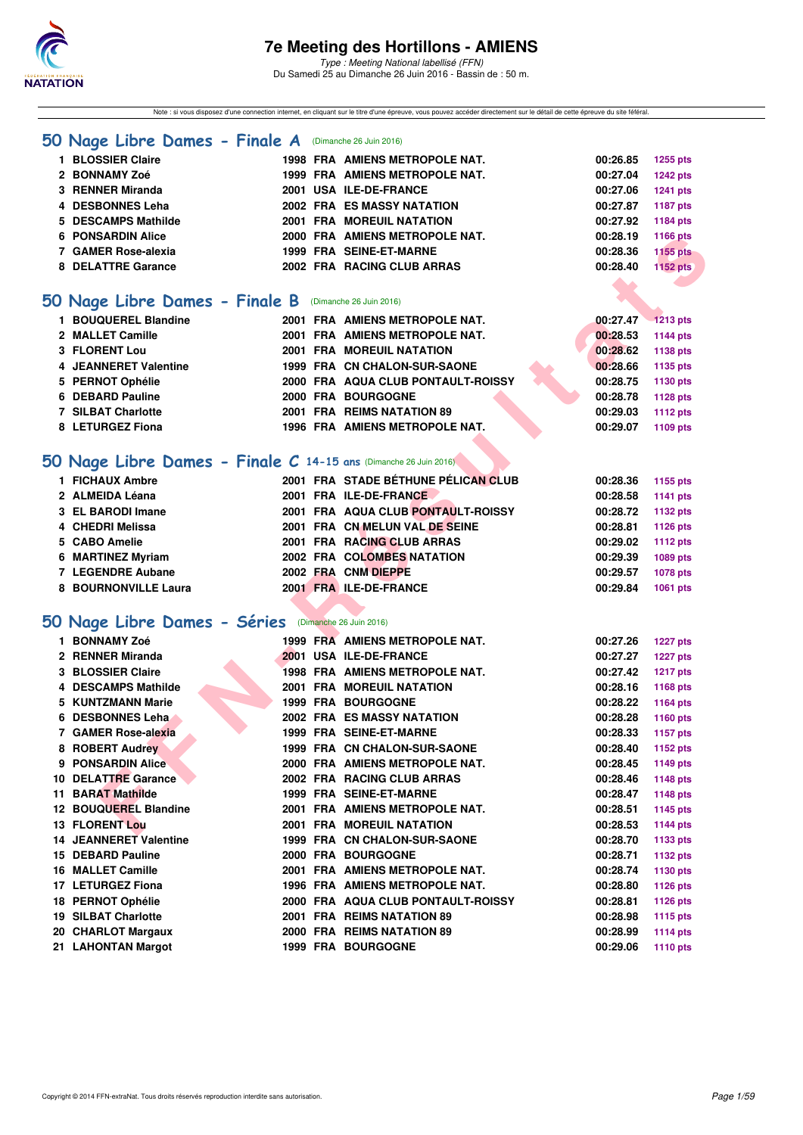

Note : si vous disposez d'une connection internet, en cliquant sur le titre d'une épreuve, vous pouvez accéder directement sur le détail de cette épreuve du site féféral.

#### **[50 Nage Libre Dames - Finale A](http://www.ffnatation.fr/webffn/resultats.php?idact=nat&go=epr&idcpt=38947&idepr=1)** (Dimanche 26 Juin 2016)

| <b>BLOSSIER Claire</b>   |  | 1998 FRA AMIENS METROPOLE NAT.   | 00:26.85 | 1255 pts        |
|--------------------------|--|----------------------------------|----------|-----------------|
| 2 BONNAMY Zoé            |  | 1999 FRA AMIENS METROPOLE NAT.   | 00:27.04 | <b>1242 pts</b> |
| 3 RENNER Miranda         |  | 2001 USA ILE-DE-FRANCE           | 00:27.06 | 1241 pts        |
| 4 DESBONNES Leha         |  | 2002 FRA ES MASSY NATATION       | 00:27.87 | 1187 pts        |
| 5 DESCAMPS Mathilde      |  | <b>2001 FRA MOREUIL NATATION</b> | 00:27.92 | 1184 pts        |
| <b>6 PONSARDIN Alice</b> |  | 2000 FRA AMIENS METROPOLE NAT.   | 00:28.19 | 1166 pts        |
| 7 GAMER Rose-alexia      |  | 1999 FRA SEINE-ET-MARNE          | 00:28.36 | 1155 pts        |
| 8 DELATTRE Garance       |  | 2002 FRA RACING CLUB ARRAS       | 00:28.40 | <b>1152 pts</b> |
|                          |  |                                  |          |                 |
|                          |  |                                  |          |                 |

#### **[50 Nage Libre Dames - Finale B](http://www.ffnatation.fr/webffn/resultats.php?idact=nat&go=epr&idcpt=38947&idepr=1)** (Dimanche 26 Juin 2016)

| 1 BOUQUEREL Blandine  |  | 2001 FRA AMIENS METROPOLE NAT.     | 00:27.47 | $-1213$ pts |
|-----------------------|--|------------------------------------|----------|-------------|
| 2 MALLET Camille      |  | 2001 FRA AMIENS METROPOLE NAT.     | 00:28.53 | 1144 pts    |
| <b>3 FLORENT Lou</b>  |  | <b>2001 FRA MOREUIL NATATION</b>   | 00:28.62 | 1138 pts    |
| 4 JEANNERET Valentine |  | 1999 FRA CN CHALON-SUR-SAONE       | 00:28.66 | 1135 pts    |
| 5 PERNOT Ophélie      |  | 2000 FRA AQUA CLUB PONTAULT-ROISSY | 00:28.75 | 1130 pts    |
| 6 DEBARD Pauline      |  | 2000 FRA BOURGOGNE                 | 00:28.78 | 1128 pts    |
| 7 SILBAT Charlotte    |  | 2001 FRA REIMS NATATION 89         | 00:29.03 | 1112 pts    |
| 8 LETURGEZ Fiona      |  | 1996 FRA AMIENS METROPOLE NAT.     | 00:29.07 | 1109 pts    |
|                       |  |                                    |          |             |

### **[50 Nage Libre Dames - Finale C](http://www.ffnatation.fr/webffn/resultats.php?idact=nat&go=epr&idcpt=38947&idepr=1) 14-15 ans** (Dimanche 26 Juin 2016)

| 1 FICHAUX Ambre   |                      |  | 2001 FRA STADE BÉTHUNE PÉLICAN CLUB | 00:28.36 | 1155 pts |
|-------------------|----------------------|--|-------------------------------------|----------|----------|
| 2 ALMEIDA Léana   |                      |  | 2001 FRA ILE-DE-FRANCE              | 00:28.58 | 1141 pts |
| 3 EL BARODI Imane |                      |  | 2001 FRA AQUA CLUB PONTAULT-ROISSY  | 00:28.72 | 1132 pts |
| 4 CHEDRI Melissa  |                      |  | 2001 FRA CN MELUN VAL DE SEINE      | 00:28.81 | 1126 pts |
| 5 CABO Amelie     |                      |  | 2001 FRA RACING CLUB ARRAS          | 00:29.02 | 1112 pts |
| 6 MARTINEZ Myriam |                      |  | 2002 FRA COLOMBES NATATION          | 00:29.39 | 1089 pts |
| 7 LEGENDRE Aubane |                      |  | 2002 FRA CNM DIEPPE                 | 00:29.57 | 1078 pts |
|                   | 8 BOURNONVILLE Laura |  | 2001 FRA ILE-DE-FRANCE              | 00:29.84 | 1061 pts |

### **[50 Nage Libre Dames - Séries](http://www.ffnatation.fr/webffn/resultats.php?idact=nat&go=epr&idcpt=38947&idepr=1)** (Dimanche 26 Juin 2016)

| 6 PONSARDIN Alice                                               |  | 2000 FRA AMIENS METROPOLE NAT.      | 00:28.19 | <b>1166 pts</b> |
|-----------------------------------------------------------------|--|-------------------------------------|----------|-----------------|
| 7 GAMER Rose-alexia                                             |  | 1999 FRA SEINE-ET-MARNE             | 00:28.36 | <b>1155 pts</b> |
| 8 DELATTRE Garance                                              |  | 2002 FRA RACING CLUB ARRAS          | 00:28.40 | <b>1152 pts</b> |
|                                                                 |  |                                     |          |                 |
| O Nage Libre Dames - Finale B (Dimanche 26 Juin 2016)           |  |                                     |          |                 |
| 1 BOUQUEREL Blandine                                            |  | 2001 FRA AMIENS METROPOLE NAT.      |          |                 |
|                                                                 |  |                                     | 00:27.47 | $-1213$ pts     |
| 2 MALLET Camille                                                |  | 2001 FRA AMIENS METROPOLE NAT.      | 00:28.53 | <b>1144 pts</b> |
| 3 FLORENT Lou                                                   |  | <b>2001 FRA MOREUIL NATATION</b>    | 00:28.62 | 1138 pts        |
| 4 JEANNERET Valentine                                           |  | 1999 FRA CN CHALON-SUR-SAONE        | 00:28.66 | 1135 pts        |
| 5 PERNOT Ophélie                                                |  | 2000 FRA AQUA CLUB PONTAULT-ROISSY  | 00:28.75 | 1130 pts        |
| 6 DEBARD Pauline                                                |  | 2000 FRA BOURGOGNE                  | 00:28.78 | 1128 pts        |
| <b>7 SILBAT Charlotte</b>                                       |  | 2001 FRA REIMS NATATION 89          | 00:29.03 | 1112 pts        |
| 8 LETURGEZ Fiona                                                |  | 1996 FRA AMIENS METROPOLE NAT.      | 00:29.07 | 1109 pts        |
|                                                                 |  |                                     |          |                 |
| O Nage Libre Dames - Finale C 14-15 ans (Dimanche 26 Juin 2016) |  |                                     |          |                 |
| 1 FICHAUX Ambre                                                 |  | 2001 FRA STADE BÉTHUNE PÉLICAN CLUB | 00:28.36 | 1155 pts        |
| 2 ALMEIDA Léana                                                 |  | 2001 FRA ILE-DE-FRANCE              | 00:28.58 | 1141 pts        |
| 3 EL BARODI Imane                                               |  | 2001 FRA AQUA CLUB PONTAULT-ROISSY  | 00:28.72 | 1132 pts        |
| 4 CHEDRI Melissa                                                |  | 2001 FRA CN MELUN VAL DE SEINE      | 00:28.81 | 1126 pts        |
| 5 CABO Amelie                                                   |  | 2001 FRA RACING CLUB ARRAS          | 00:29.02 | <b>1112 pts</b> |
| 6 MARTINEZ Myriam                                               |  | 2002 FRA COLOMBES NATATION          | 00:29.39 | 1089 pts        |
| 7 LEGENDRE Aubane                                               |  | 2002 FRA CNM DIEPPE                 | 00:29.57 | <b>1078 pts</b> |
| 8 BOURNONVILLE Laura                                            |  | 2001 FRA ILE-DE-FRANCE              | 00:29.84 | <b>1061 pts</b> |
|                                                                 |  |                                     |          |                 |
| O Nage Libre Dames - Séries (Dimanche 26 Juin 2016)             |  |                                     |          |                 |
|                                                                 |  |                                     |          |                 |
| 1 BONNAMY Zoé                                                   |  | 1999 FRA AMIENS METROPOLE NAT.      | 00:27.26 | <b>1227 pts</b> |
| 2 RENNER Miranda                                                |  | 2001 USA ILE-DE-FRANCE              | 00:27.27 | <b>1227 pts</b> |
| 3 BLOSSIER Claire                                               |  | 1998 FRA AMIENS METROPOLE NAT.      | 00:27.42 | <b>1217 pts</b> |
| 4 DESCAMPS Mathilde                                             |  | 2001 FRA MOREUIL NATATION           | 00:28.16 | 1168 pts        |
| 5 KUNTZMANN Marie                                               |  | <b>1999 FRA BOURGOGNE</b>           | 00:28.22 | 1164 pts        |
| 6 DESBONNES Leha                                                |  | 2002 FRA ES MASSY NATATION          | 00:28.28 | 1160 pts        |
| 7 GAMER Rose-alexia                                             |  | 1999 FRA SEINE-ET-MARNE             | 00:28.33 | 1157 pts        |
| 8 ROBERT Audrey                                                 |  | 1999 FRA CN CHALON-SUR-SAONE        | 00:28.40 | 1152 pts        |
| 9 PONSARDIN Alice                                               |  | 2000 FRA AMIENS METROPOLE NAT.      | 00:28.45 | 1149 pts        |
| 10 DELATTRE Garance                                             |  | 2002 FRA RACING CLUB ARRAS          | 00:28.46 | <b>1148 pts</b> |
| 11 BARAT Mathilde                                               |  | 1999 FRA SEINE-ET-MARNE             | 00:28.47 | 1148 pts        |
| 12 BOUQUEREL Blandine                                           |  | 2001 FRA AMIENS METROPOLE NAT.      | 00:28.51 | 1145 pts        |
| <b>13 FLORENT Lou</b>                                           |  | <b>2001 FRA MOREUIL NATATION</b>    | 00:28.53 | <b>1144 pts</b> |
| 14 JEANNERET Valentine                                          |  | 1999 FRA CN CHALON-SUR-SAONE        | 00:28.70 | 1133 pts        |
| 15 DEBARD Pauline                                               |  | 2000 FRA BOURGOGNE                  | 00:28.71 | 1132 pts        |
| <b>16 MALLET Camille</b>                                        |  | 2001 FRA AMIENS METROPOLE NAT.      | 00:28.74 | 1130 pts        |
| 17 LETURGEZ Fiona                                               |  | 1996 FRA AMIENS METROPOLE NAT.      | 00:28.80 | 1126 pts        |
| 18 PERNOT Ophélie                                               |  | 2000 FRA AQUA CLUB PONTAULT-ROISSY  | 00:28.81 | <b>1126 pts</b> |
| <b>19 SILBAT Charlotte</b>                                      |  | 2001 FRA REIMS NATATION 89          | 00:28.98 | 1115 pts        |
| 20 CHARLOT Margaux                                              |  | 2000 FRA REIMS NATATION 89          | 00:28.99 | <b>1114 pts</b> |
| 21 LAHONTAN Margot                                              |  | 1999 FRA BOURGOGNE                  | 00:29.06 | <b>1110 pts</b> |
|                                                                 |  |                                     |          |                 |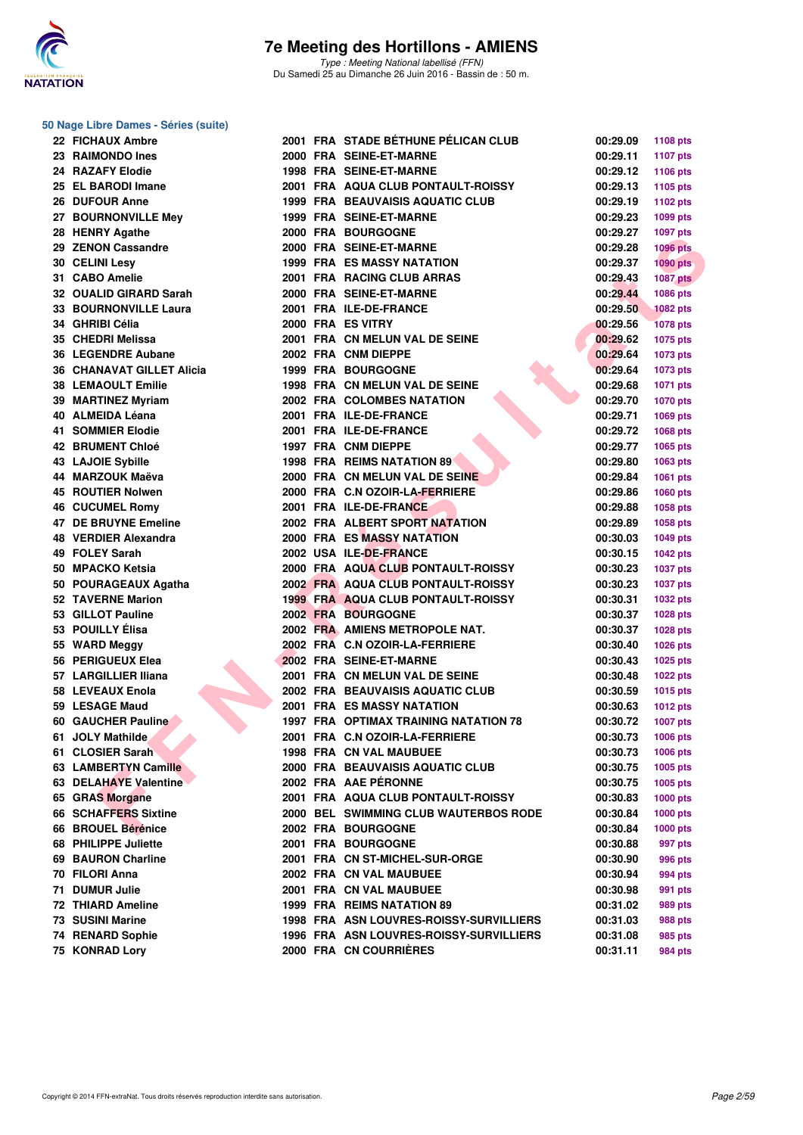

#### **50 Nage Libre Dames - Séries (suite)**

| 22 | <b>FICHAUX Ambre</b>        |
|----|-----------------------------|
|    | 23 RAIMONDO Ines            |
|    | 24 RAZAFY Elodie            |
| 25 | <b>EL BARODI Imane</b>      |
| 26 | <b>DUFOUR Anne</b>          |
| 27 | <b>BOURNONVILLE Mev</b>     |
|    | 28 HENRY Agathe             |
|    | 29 ZENON Cassandre          |
|    | 30 CELINI Lesy              |
|    | 31 CABO Amelie              |
|    | 32 OUALID GIRARD Sarah      |
| 33 | <b>BOURNONVILLE Laura</b>   |
| 34 | <b>GHRIBI Célia</b>         |
| 35 | <b>CHEDRI Melissa</b>       |
| 36 | <b>LEGENDRE Aubane</b>      |
|    | 36 CHANAVAT GILLET Alicia   |
|    | <b>38 LEMAOULT Emilie</b>   |
|    | 39 MARTINEZ Myriam          |
|    | 40 ALMEIDA Léana            |
|    | 41 SOMMIER Elodie           |
|    | 42 BRUMENT Chloé            |
| 43 | <b>LAJOIE Sybille</b>       |
| 44 | <b>MARZOUK Maëva</b>        |
| 45 | <b>ROUTIER Nolwen</b>       |
|    | 46 CUCUMEL Romy             |
|    | <b>47 DE BRUYNE Emeline</b> |
|    | 48 VERDIER Alexandra        |
|    | 49 FOLEY Sarah              |
|    | 50 MPACKO Ketsia            |
|    | 50 POURAGEAUX Agatha        |
| 52 | <b>TAVERNE Marion</b>       |
| 53 | <b>GILLOT Pauline</b>       |
| 53 | <b>POUILLY Élisa</b>        |
| 55 | <b>WARD Meggy</b>           |
|    | 56 PERIGUEUX Elea           |
|    | 57 LARGILLIER Iliana        |
|    | 58 LEVEAUX Enola            |
|    | 59 LESAGE Maud              |
|    | 60 GAUCHER Pauline          |
| 61 | <b>JOLY Mathilde</b>        |
| 61 | <b>CLOSIER Sarah</b>        |
| 63 | <b>LAMBERTYN Camille</b>    |
| 63 | <b>DELAHAYE Valentine</b>   |
| 65 | <b>GRAS Morgane</b>         |
| 66 | <b>SCHAFFERS Sixtine</b>    |
| 66 | <b>BROUEL Bérénice</b>      |
| 68 | <b>PHILIPPE Juliette</b>    |
| 69 | <b>BAURON Charline</b>      |
| 70 | <b>FILORI Anna</b>          |
| 71 | <b>DUMUR Julie</b>          |
| 72 | <b>THIARD Ameline</b>       |
| 73 | <b>SUSINI Marine</b>        |
| 74 | <b>RENARD Sophie</b>        |
|    | <b>75 VONDADIA</b>          |

| 22 FICHAUX Ambre                 |  | 2001 FRA STADE BETHUNE PELICAN CLUB                       | 00:29.09             | 1108 pts                    |
|----------------------------------|--|-----------------------------------------------------------|----------------------|-----------------------------|
| 23 RAIMONDO Ines                 |  | 2000 FRA SEINE-ET-MARNE                                   | 00:29.11             | 1107 pts                    |
| 24 RAZAFY Elodie                 |  | 1998 FRA SEINE-ET-MARNE                                   | 00:29.12             | 1106 pts                    |
| 25 EL BARODI Imane               |  | 2001 FRA AQUA CLUB PONTAULT-ROISSY                        | 00:29.13             | 1105 pts                    |
| 26 DUFOUR Anne                   |  | <b>1999 FRA BEAUVAISIS AQUATIC CLUB</b>                   | 00:29.19             | 1102 pts                    |
| 27 BOURNONVILLE Mey              |  | 1999 FRA SEINE-ET-MARNE                                   | 00:29.23             | 1099 pts                    |
| 28 HENRY Agathe                  |  | 2000 FRA BOURGOGNE                                        | 00:29.27             | 1097 pts                    |
| 29 ZENON Cassandre               |  | 2000 FRA SEINE-ET-MARNE                                   | 00:29.28             | <b>1096 pts</b>             |
| 30 CELINI Lesy                   |  | <b>1999 FRA ES MASSY NATATION</b>                         | 00:29.37             | <b>1090 pts</b>             |
| 31 CABO Amelie                   |  | 2001 FRA RACING CLUB ARRAS                                | 00:29.43             | <b>1087 pts</b>             |
| 32 OUALID GIRARD Sarah           |  | 2000 FRA SEINE-ET-MARNE                                   | 00:29.44             | <b>1086 pts</b>             |
| 33 BOURNONVILLE Laura            |  | 2001 FRA ILE-DE-FRANCE                                    | 00:29.50             | <b>1082 pts</b>             |
| 34 GHRIBI Célia                  |  | 2000 FRA ES VITRY                                         | 00:29.56             | <b>1078 pts</b>             |
| 35 CHEDRI Melissa                |  | 2001 FRA CN MELUN VAL DE SEINE                            | 00:29.62             | 1075 pts                    |
| <b>36 LEGENDRE Aubane</b>        |  | 2002 FRA CNM DIEPPE                                       | 00:29.64             | 1073 pts                    |
| <b>36 CHANAVAT GILLET Alicia</b> |  | <b>1999 FRA BOURGOGNE</b>                                 | 00:29.64             | 1073 pts                    |
| <b>38 LEMAOULT Emilie</b>        |  | 1998 FRA CN MELUN VAL DE SEINE                            | 00:29.68             | 1071 pts                    |
| 39 MARTINEZ Myriam               |  | 2002 FRA COLOMBES NATATION                                | 00:29.70             | 1070 pts                    |
| 40 ALMEIDA Léana                 |  | 2001 FRA ILE-DE-FRANCE                                    | 00:29.71             | 1069 pts                    |
| <b>41 SOMMIER Elodie</b>         |  | 2001 FRA ILE-DE-FRANCE                                    | 00:29.72             | <b>1068 pts</b>             |
| <b>42 BRUMENT Chloé</b>          |  | 1997 FRA CNM DIEPPE                                       | 00:29.77             | 1065 pts                    |
| 43 LAJOIE Sybille                |  | 1998 FRA REIMS NATATION 89                                | 00:29.80             | 1063 pts                    |
| 44 MARZOUK Maëva                 |  | 2000 FRA CN MELUN VAL DE SEINE                            | 00:29.84             | 1061 pts                    |
| <b>45 ROUTIER Nolwen</b>         |  | 2000 FRA C.N OZOIR-LA-FERRIERE                            | 00:29.86             | 1060 pts                    |
| <b>46 CUCUMEL Romy</b>           |  | 2001 FRA ILE-DE-FRANCE                                    | 00:29.88             | 1058 pts                    |
| 47 DE BRUYNE Emeline             |  | 2002 FRA ALBERT SPORT NATATION                            | 00:29.89             | 1058 pts                    |
| 48 VERDIER Alexandra             |  | 2000 FRA ES MASSY NATATION                                | 00:30.03             | 1049 pts                    |
| 49 FOLEY Sarah                   |  | 2002 USA ILE-DE-FRANCE                                    | 00:30.15             |                             |
| 50 MPACKO Ketsia                 |  | <b>2000 FRA AQUA CLUB PONTAULT-ROISSY</b>                 | 00:30.23             | <b>1042 pts</b>             |
| 50 POURAGEAUX Agatha             |  | 2002 FRA AQUA CLUB PONTAULT-ROISSY                        | 00:30.23             | <b>1037 pts</b><br>1037 pts |
| 52 TAVERNE Marion                |  | <b>1999 FRA AQUA CLUB PONTAULT-ROISSY</b>                 | 00:30.31             | 1032 pts                    |
| 53 GILLOT Pauline                |  | 2002 FRA BOURGOGNE                                        |                      | 1028 pts                    |
| 53 POUILLY Élisa                 |  | 2002 FRA AMIENS METROPOLE NAT.                            | 00:30.37             |                             |
|                                  |  |                                                           | 00:30.37             | 1028 pts                    |
| 55 WARD Meggy                    |  | 2002 FRA C.N OZOIR-LA-FERRIERE<br>2002 FRA SEINE-ET-MARNE | 00:30.40<br>00:30.43 | <b>1026 pts</b>             |
| 56 PERIGUEUX Elea                |  |                                                           |                      | <b>1025 pts</b>             |
| 57 LARGILLIER Iliana             |  | 2001 FRA CN MELUN VAL DE SEINE                            | 00:30.48             | <b>1022 pts</b>             |
| 58 LEVEAUX Enola                 |  | 2002 FRA BEAUVAISIS AQUATIC CLUB                          | 00:30.59             | 1015 pts                    |
| 59 LESAGE Maud                   |  | <b>2001 FRA ES MASSY NATATION</b>                         | 00:30.63             | 1012 pts                    |
| 60 GAUCHER Pauline               |  | <b>1997 FRA OPTIMAX TRAINING NATATION 78</b>              | 00:30.72             | <b>1007 pts</b>             |
| 61 JOLY Mathilde                 |  | 2001 FRA C.N OZOIR-LA-FERRIERE                            | 00:30.73             | 1006 pts                    |
| 61 CLOSIER Sarah                 |  | 1998 FRA CN VAL MAUBUEE                                   | 00:30.73             | <b>1006 pts</b>             |
| 63 LAMBERTYN Camille             |  | 2000 FRA BEAUVAISIS AQUATIC CLUB                          | 00:30.75             | 1005 pts                    |
| 63 DELAHAYE Valentine            |  | 2002 FRA AAE PÉRONNE                                      | 00:30.75             | 1005 pts                    |
| 65 GRAS Morgane                  |  | 2001 FRA AQUA CLUB PONTAULT-ROISSY                        | 00:30.83             | <b>1000 pts</b>             |
| 66 SCHAFFERS Sixtine             |  | 2000 BEL SWIMMING CLUB WAUTERBOS RODE                     | 00:30.84             | <b>1000 pts</b>             |
| 66 BROUEL Bérénice               |  | 2002 FRA BOURGOGNE                                        | 00:30.84             | 1000 pts                    |
| 68 PHILIPPE Juliette             |  | 2001 FRA BOURGOGNE                                        | 00:30.88             | 997 pts                     |
| 69 BAURON Charline               |  | 2001 FRA CN ST-MICHEL-SUR-ORGE                            | 00:30.90             | 996 pts                     |
| 70 FILORI Anna                   |  | 2002 FRA CN VAL MAUBUEE                                   | 00:30.94             | 994 pts                     |
| 71 DUMUR Julie                   |  | 2001 FRA CN VAL MAUBUEE                                   | 00:30.98             | 991 pts                     |
| <b>72 THIARD Ameline</b>         |  | 1999 FRA REIMS NATATION 89                                | 00:31.02             | 989 pts                     |
| <b>73 SUSINI Marine</b>          |  | 1998 FRA ASN LOUVRES-ROISSY-SURVILLIERS                   | 00:31.03             | 988 pts                     |
| 74 RENARD Sophie                 |  | 1996 FRA ASN LOUVRES-ROISSY-SURVILLIERS                   | 00:31.08             | 985 pts                     |
| 75 KONRAD Lory                   |  | 2000 FRA CN COURRIÈRES                                    | 00:31.11             | 984 pts                     |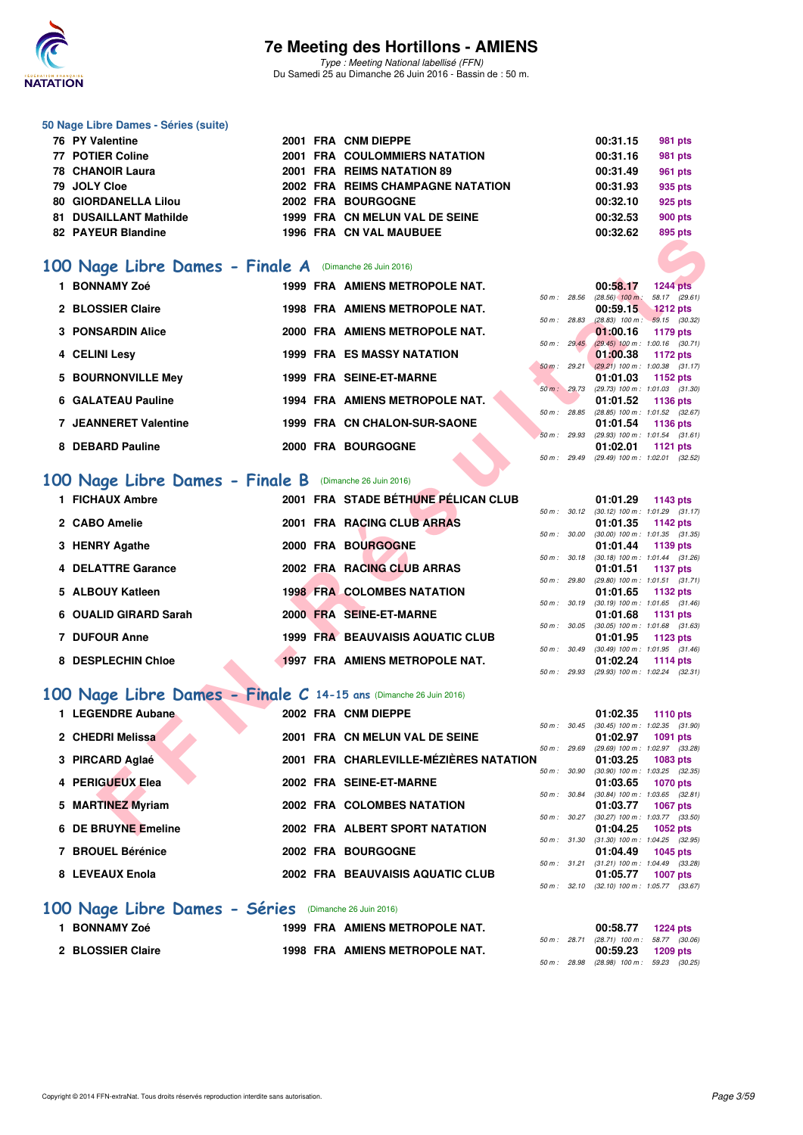

Type : Meeting National labellisé (FFN) Du Samedi 25 au Dimanche 26 Juin 2016 - Bassin de : 50 m.

#### **50 Nage Libre Dames - Séries (suite)**

| 76 PY Valentine               |  | 2001 FRA CNM DIEPPE                  | 00:31.15 | 981 pts |
|-------------------------------|--|--------------------------------------|----------|---------|
| 77 POTIER Coline              |  | <b>2001 FRA COULOMMIERS NATATION</b> | 00:31.16 | 981 pts |
| 78 CHANOIR Laura              |  | 2001 FRA REIMS NATATION 89           | 00:31.49 | 961 pts |
| 79 JOLY Cloe                  |  | 2002 FRA REIMS CHAMPAGNE NATATION    | 00:31.93 | 935 pts |
| 80 GIORDANELLA Lilou          |  | 2002 FRA BOURGOGNE                   | 00:32.10 | 925 pts |
| <b>81 DUSAILLANT Mathilde</b> |  | 1999 FRA CN MELUN VAL DE SEINE       | 00:32.53 | 900 pts |
| 82 PAYEUR Blandine            |  | <b>1996 FRA CN VAL MAUBUEE</b>       | 00:32.62 | 895 pts |

#### **[100 Nage Libre Dames - Finale A](http://www.ffnatation.fr/webffn/resultats.php?idact=nat&go=epr&idcpt=38947&idepr=2)** (Dimanche 26 Juin 2016)

| <b>FAILUR DIAIIUIIIE</b>                                          |  |  |                                         |                  |  |                                                 | <u>ບວບ µເວ</u>  |  |  |
|-------------------------------------------------------------------|--|--|-----------------------------------------|------------------|--|-------------------------------------------------|-----------------|--|--|
| 100 Nage Libre Dames - Finale A (Dimanche 26 Juin 2016)           |  |  |                                         |                  |  |                                                 |                 |  |  |
| 1 BONNAMY Zoé                                                     |  |  | 1999 FRA AMIENS METROPOLE NAT.          |                  |  | 00:58.17                                        | <b>1244 pts</b> |  |  |
|                                                                   |  |  |                                         | 50 m: 28.56      |  | $(28.56)$ 100 m : 58.17 (29.61)                 |                 |  |  |
| 2 BLOSSIER Claire                                                 |  |  | 1998 FRA AMIENS METROPOLE NAT.          |                  |  | 00:59.15                                        | <b>1212 pts</b> |  |  |
| <b>3 PONSARDIN Alice</b>                                          |  |  | 2000 FRA AMIENS METROPOLE NAT.          | 50 m: 28.83      |  | $(28.83)$ 100 m : 59.15 $(30.32)$               |                 |  |  |
|                                                                   |  |  |                                         | $50 m$ : $29.45$ |  | 01:00.16<br>$(29.45)$ 100 m : 1:00.16 $(30.71)$ | 1179 pts        |  |  |
| 4 CELINI Lesy                                                     |  |  | <b>1999 FRA ES MASSY NATATION</b>       |                  |  | 01:00.38                                        | <b>1172 pts</b> |  |  |
|                                                                   |  |  |                                         | $50 m$ : 29.21   |  | $(29.21)$ 100 m : 1:00.38 $(31.17)$             |                 |  |  |
| 5 BOURNONVILLE Mey                                                |  |  | 1999 FRA SEINE-ET-MARNE                 |                  |  | 01:01.03                                        | 1152 pts        |  |  |
|                                                                   |  |  |                                         | 50 m : 29.73     |  | (29.73) 100 m: 1:01.03 (31.30)                  |                 |  |  |
| 6 GALATEAU Pauline                                                |  |  | 1994 FRA AMIENS METROPOLE NAT.          | 50 m : 28.85     |  | 01:01.52                                        | 1136 pts        |  |  |
| <b>7 JEANNERET Valentine</b>                                      |  |  | 1999 FRA CN CHALON-SUR-SAONE            |                  |  | $(28.85)$ 100 m : 1:01.52 $(32.67)$<br>01:01.54 | 1136 pts        |  |  |
|                                                                   |  |  |                                         | 50 m: 29.93      |  | $(29.93)$ 100 m : 1:01.54 $(31.61)$             |                 |  |  |
| 8 DEBARD Pauline                                                  |  |  | 2000 FRA BOURGOGNE                      |                  |  | 01:02.01                                        | 1121 $pts$      |  |  |
|                                                                   |  |  |                                         | 50 m : 29.49     |  | (29.49) 100 m : 1:02.01 (32.52)                 |                 |  |  |
|                                                                   |  |  |                                         |                  |  |                                                 |                 |  |  |
| 100 Nage Libre Dames - Finale B (Dimanche 26 Juin 2016)           |  |  |                                         |                  |  |                                                 |                 |  |  |
| 1 FICHAUX Ambre                                                   |  |  | 2001 FRA STADE BÉTHUNE PÉLICAN CLUB     |                  |  | 01:01.29                                        | 1143 pts        |  |  |
|                                                                   |  |  |                                         | 50 m : 30.12     |  | $(30.12)$ 100 m : 1:01.29 $(31.17)$             |                 |  |  |
| 2 CABO Amelie                                                     |  |  | 2001 FRA RACING CLUB ARRAS              |                  |  | 01:01.35                                        | 1142 pts        |  |  |
|                                                                   |  |  |                                         | 50 m: 30.00      |  | $(30.00)$ 100 m : 1:01.35 $(31.35)$             |                 |  |  |
| 3 HENRY Agathe                                                    |  |  | 2000 FRA BOURGOGNE                      |                  |  | 01:01.44                                        | 1139 pts        |  |  |
| <b>DELATTRE Garance</b>                                           |  |  | 2002 FRA RACING CLUB ARRAS              | 50 m : 30.18     |  | $(30.18)$ 100 m : 1:01.44 $(31.26)$<br>01:01.51 | 1137 pts        |  |  |
|                                                                   |  |  |                                         | 50 m: 29.80      |  | (29.80) 100 m: 1:01.51 (31.71)                  |                 |  |  |
| 5 ALBOUY Katleen                                                  |  |  | <b>1998 FRA COLOMBES NATATION</b>       |                  |  | 01:01.65                                        | 1132 pts        |  |  |
|                                                                   |  |  |                                         | 50 m: 30.19      |  | $(30.19)$ 100 m : 1:01.65 $(31.46)$             |                 |  |  |
| <b>OUALID GIRARD Sarah</b>                                        |  |  | 2000 FRA SEINE-ET-MARNE                 |                  |  | 01:01.68                                        | <b>1131 pts</b> |  |  |
|                                                                   |  |  |                                         | 50 m : 30.05     |  | $(30.05)$ 100 m : 1:01.68 $(31.63)$             |                 |  |  |
| <b>7 DUFOUR Anne</b>                                              |  |  | <b>1999 FRA BEAUVAISIS AQUATIC CLUB</b> |                  |  | 01:01.95                                        | 1123 pts        |  |  |
| 8 DESPLECHIN Chloe                                                |  |  | <b>1997 FRA AMIENS METROPOLE NAT.</b>   | $50 m$ : $30.49$ |  | (30.49) 100 m: 1:01.95 (31.46)<br>01:02.24      | 1114 $pts$      |  |  |
|                                                                   |  |  |                                         | 50 m : 29.93     |  | (29.93) 100 m : 1:02.24 (32.31)                 |                 |  |  |
|                                                                   |  |  |                                         |                  |  |                                                 |                 |  |  |
| 100 Nage Libre Dames - Finale C 14-15 ans (Dimanche 26 Juin 2016) |  |  |                                         |                  |  |                                                 |                 |  |  |
| 1 LEGENDRE Aubane                                                 |  |  | 2002 FRA CNM DIEPPE                     |                  |  | 01:02.35                                        |                 |  |  |
|                                                                   |  |  |                                         | 50 m: 30.45      |  | $(30.45)$ 100 m : 1:02.35 $(31.90)$             | <b>1110 pts</b> |  |  |
| 2 CHEDRI Melissa                                                  |  |  | 2001 FRA CN MELUN VAL DE SEINE          |                  |  | 01:02.97                                        | <b>1091 pts</b> |  |  |
|                                                                   |  |  |                                         | 50 m: 29.69      |  | (29.69) 100 m: 1:02.97 (33.28)                  |                 |  |  |
| 3 PIRCARD Aglaé                                                   |  |  | 2001 FRA CHARLEVILLE-MÉZIÈRES NATATION  |                  |  | 01:03.25                                        | 1083 pts        |  |  |
|                                                                   |  |  |                                         | 50 m: 30.90      |  | $(30.90)$ 100 m : 1:03.25 $(32.35)$             |                 |  |  |
| <b>PERIGUEUX Elea</b>                                             |  |  | 2002 FRA SEINE-ET-MARNE                 |                  |  | 01:03.65                                        | <b>1070 pts</b> |  |  |
| 5 MARTINEZ Myriam                                                 |  |  | 2002 FRA COLOMBES NATATION              | 50 m : 30.84     |  | $(30.84)$ 100 m : 1:03.65 $(32.81)$             |                 |  |  |
|                                                                   |  |  |                                         | 50 m : 30.27     |  | 01:03.77<br>$(30.27)$ 100 m : 1:03.77 $(33.50)$ | 1067 pts        |  |  |
| 6 DE BRUYNE Emeline                                               |  |  | 2002 FRA ALBERT SPORT NATATION          |                  |  | 01:04.25                                        | 1052 pts        |  |  |
|                                                                   |  |  |                                         |                  |  |                                                 |                 |  |  |

#### **[100 Nage Libre Dames - Finale B](http://www.ffnatation.fr/webffn/resultats.php?idact=nat&go=epr&idcpt=38947&idepr=2)** (Dimanche 26 Juin 2016)

| 1 FICHAUX Ambre       | 2001 FRA STADE BÉTHUNE PÉLICAN CLUB     |                          | $01:01.29$ 1143 pts                                               |
|-----------------------|-----------------------------------------|--------------------------|-------------------------------------------------------------------|
| 2 CABO Amelie         | 2001 FRA RACING CLUB ARRAS              |                          | 50 m: 30.12 (30.12) 100 m: 1:01.29 (31.17)<br>$01:01.35$ 1142 pts |
| 3 HENRY Agathe        | 2000 FRA BOURGOGNE                      | 50 m: 30.00              | $(30.00)$ 100 m : 1:01.35 $(31.35)$<br>$01:01.44$ 1139 pts        |
| 4 DELATTRE Garance    | 2002 FRA RACING CLUB ARRAS              | 50 m: 30.18              | $(30.18)$ 100 m : 1:01.44 $(31.26)$<br>$01:01.51$ 1137 pts        |
| 5 ALBOUY Katleen      | <b>1998 FRA COLOMBES NATATION</b>       | 50 m : 29.80             | (29.80) 100 m : 1:01.51 (31.71)<br>$01:01.65$ 1132 pts            |
| 6 OUALID GIRARD Sarah | 2000 FRA SEINE-ET-MARNE                 |                          | 50 m: 30.19 (30.19) 100 m: 1:01.65 (31.46)<br>$01:01.68$ 1131 pts |
| 7 DUFOUR Anne         | <b>1999 FRA BEAUVAISIS AQUATIC CLUB</b> | 50 m : 30.05             | $(30.05)$ 100 m : 1:01.68 $(31.63)$<br>$01:01.95$ 1123 pts        |
| 8 DESPLECHIN Chloe    | 1997 FRA AMIENS METROPOLE NAT.          | $50 \text{ m}$ : $30.49$ | $(30.49)$ 100 m : 1:01.95 $(31.46)$<br>$01:02.24$ 1114 pts        |
|                       |                                         | 50 m : 29.93             | $(29.93)$ 100 m : 1:02.24 $(32.31)$                               |

### **[100 Nage Libre Dames - Finale C](http://www.ffnatation.fr/webffn/resultats.php?idact=nat&go=epr&idcpt=38947&idepr=2) 14-15 ans** (Dimanche 26 Juin 2016)

| 1 LEGENDRE Aubane   | 2002 FRA CNM DIEPPE                    |                            | 01:02.35 | 1110 pts                            |
|---------------------|----------------------------------------|----------------------------|----------|-------------------------------------|
|                     |                                        | 50 m : 30.45               |          | $(30.45)$ 100 m : 1:02.35 $(31.90)$ |
| 2 CHEDRI Melissa    | 2001 FRA CN MELUN VAL DE SEINE         |                            | 01:02.97 | 1091 pts                            |
|                     |                                        | $50 \text{ m}$ : 29.69     |          | (29.69) 100 m: 1:02.97 (33.28)      |
| 3 PIRCARD Aglaé     | 2001 FRA CHARLEVILLE-MÉZIÈRES NATATION |                            | 01:03.25 | 1083 pts                            |
|                     |                                        | 50 m: 30.90                |          | $(30.90)$ 100 m : 1:03.25 $(32.35)$ |
| 4 PERIGUEUX Elea    | 2002 FRA SEINE-ET-MARNE                |                            | 01:03.65 | <b>1070 pts</b>                     |
|                     |                                        | 50 m: 30.84                |          | $(30.84)$ 100 m : 1:03.65 $(32.81)$ |
| 5 MARTINEZ Myriam   | 2002 FRA COLOMBES NATATION             |                            | 01:03.77 | 1067 pts                            |
|                     |                                        | 50 m: 30.27                |          | $(30.27)$ 100 m : 1:03.77 $(33.50)$ |
| 6 DE BRUYNE Emeline | 2002 FRA ALBERT SPORT NATATION         |                            | 01:04.25 | 1052 pts                            |
|                     |                                        | $50 \, \text{m}$ : $31.30$ |          | $(31.30)$ 100 m : 1:04.25 $(32.95)$ |
| 7 BROUEL Bérénice   | 2002 FRA BOURGOGNE                     |                            | 01:04.49 | 1045 pts                            |
|                     |                                        | 50 m: 31.21                |          | $(31.21)$ 100 m : 1:04.49 $(33.28)$ |
| 8 LEVEAUX Enola     | 2002 FRA BEAUVAISIS AQUATIC CLUB       |                            | 01:05.77 | <b>1007 pts</b>                     |
|                     |                                        | 50 m: 32.10                |          | $(32.10)$ 100 m : 1:05.77 $(33.67)$ |

#### **[100 Nage Libre Dames - Séries](http://www.ffnatation.fr/webffn/resultats.php?idact=nat&go=epr&idcpt=38947&idepr=2)** (Dimanche 26 Juin 2016)

| <b>BONNAMY Zoé</b> | 1999 FRA AMIENS METROPOLE NAT.        |  | 00:58.77 1224 pts                                               |  |
|--------------------|---------------------------------------|--|-----------------------------------------------------------------|--|
| 2 BLOSSIER Claire  | <b>1998 FRA AMIENS METROPOLE NAT.</b> |  | 50 m : 28.71 (28.71) 100 m : 58.77 (30.06)<br>00:59.23 1209 pts |  |
|                    |                                       |  | 50 m : 28.98 (28.98) 100 m : 59.23 (30.25)                      |  |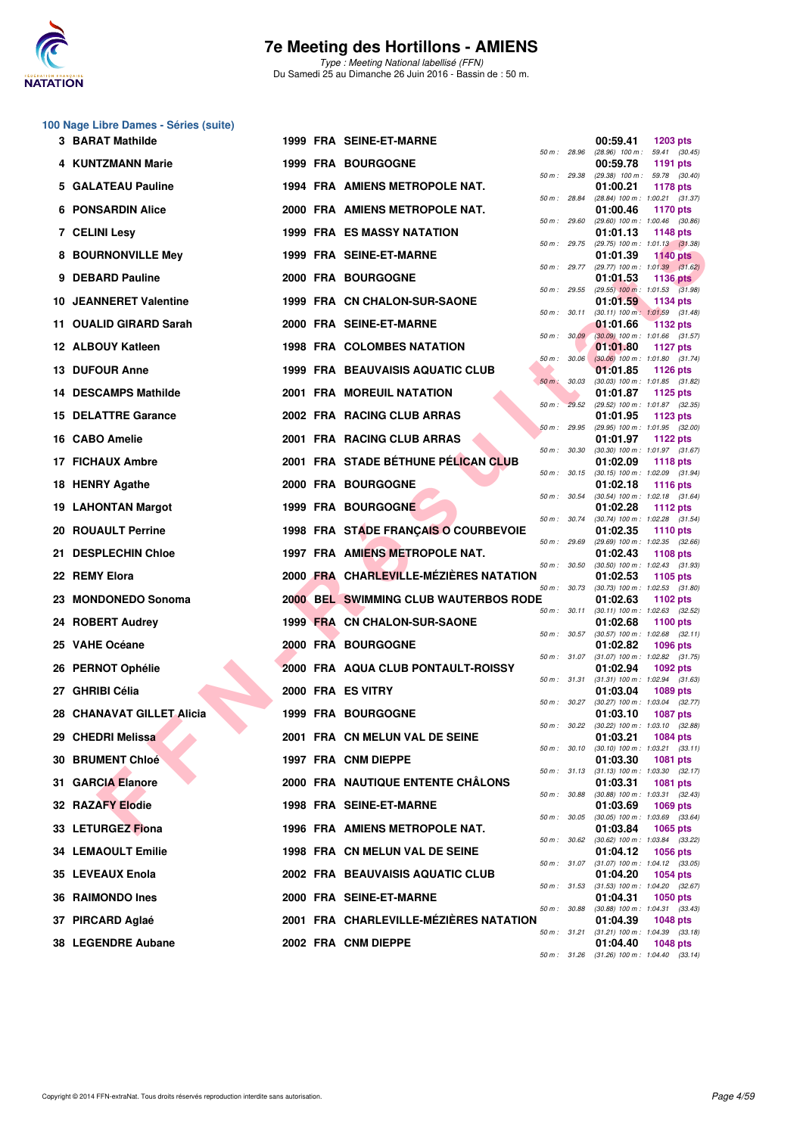

Type : Meeting National labellisé (FFN) Du Samedi 25 au Dimanche 26 Juin 2016 - Bassin de : 50 m.

#### **100 Nage Libre Dames - Séries (suite)**

| 3 BARAT Mathilde                        |  | 1999 FRA SEINE-ET-MARNE                      |                |              | 00:59.41                                                 | <b>1203 pts</b>           |  |
|-----------------------------------------|--|----------------------------------------------|----------------|--------------|----------------------------------------------------------|---------------------------|--|
| 4 KUNTZMANN Marie                       |  | <b>1999 FRA BOURGOGNE</b>                    | 50 m: 28.96    |              | $(28.96)$ 100 m :<br>00:59.78                            | 59.41 (30.45)<br>1191 pts |  |
| 5 GALATEAU Pauline                      |  | 1994 FRA AMIENS METROPOLE NAT.               | 50 m : 29.38   |              | $(29.38)$ 100 m : 59.78 $(30.40)$<br>01:00.21            | 1178 pts                  |  |
| <b>6 PONSARDIN Alice</b>                |  | 2000 FRA AMIENS METROPOLE NAT.               | 50 m : 28.84   |              | (28.84) 100 m: 1:00.21 (31.37)<br>01:00.46               | 1170 pts                  |  |
| 7 CELINI Lesy                           |  | <b>1999 FRA ES MASSY NATATION</b>            | 50 m: 29.60    |              | $(29.60)$ 100 m : 1:00.46 $(30.86)$<br>01:01.13          | 1148 pts                  |  |
| 8 BOURNONVILLE Mey                      |  | 1999 FRA SEINE-ET-MARNE                      |                | 50 m : 29.75 | (29.75) 100 m: 1:01.13 (31.38)<br>01:01.39               | <b>1140 pts</b>           |  |
| 9 DEBARD Pauline                        |  | 2000 FRA BOURGOGNE                           |                | 50 m : 29.77 | $(29.77)$ 100 m : 1:01.39 $(31.62)$<br>01:01.53          | 1136 pts                  |  |
| <b>10 JEANNERET Valentine</b>           |  | 1999 FRA CN CHALON-SUR-SAONE                 |                | 50 m: 29.55  | $(29.55)$ 100 m : 1:01.53 $(31.98)$<br>01:01.59          | 1134 pts                  |  |
| 11 OUALID GIRARD Sarah                  |  | 2000 FRA SEINE-ET-MARNE                      | 50 m: 30.11    |              | $(30.11)$ 100 m : 1:01.59 $(31.48)$<br>01:01.66          | <b>1132 pts</b>           |  |
| 12 ALBOUY Katleen                       |  | <b>1998 FRA COLOMBES NATATION</b>            | 50 m: 30.09    |              | $(30.09)$ 100 m : 1:01.66 $(31.57)$<br>01:01.80          | 1127 $pts$                |  |
| 13 DUFOUR Anne                          |  | <b>1999 FRA BEAUVAISIS AQUATIC CLUB</b>      | 50 m : 30.06   |              | $(30.06)$ 100 m : 1:01.80 $(31.74)$<br>01:01.85          | 1126 pts                  |  |
| <b>14 DESCAMPS Mathilde</b>             |  | 2001 FRA MOREUIL NATATION                    | 50 m: 30.03    |              | (30.03) 100 m: 1:01.85 (31.82)<br>01:01.87               | 1125 pts                  |  |
| <b>15 DELATTRE Garance</b>              |  | 2002 FRA RACING CLUB ARRAS                   |                | 50 m: 29.52  | (29.52) 100 m: 1:01.87 (32.35)<br>01:01.95               | 1123 pts                  |  |
| 16 CABO Amelie                          |  | 2001 FRA RACING CLUB ARRAS                   | $50 m$ : 29.95 |              | $(29.95)$ 100 m : 1:01.95 $(32.00)$<br>01:01.97          | 1122 pts                  |  |
| 17 FICHAUX Ambre                        |  | 2001 FRA STADE BÉTHUNE PÉLICAN CLUB          | 50 m: 30.30    |              | $(30.30)$ 100 m : 1:01.97 $(31.67)$<br>01:02.09          | 1118 pts                  |  |
| 18 HENRY Agathe                         |  | <b>2000 FRA BOURGOGNE</b>                    | 50 m: 30.15    |              | $(30.15)$ 100 m : 1:02.09 $(31.94)$<br>01:02.18          | <b>1116 pts</b>           |  |
| <b>19 LAHONTAN Margot</b>               |  | <b>1999 FRA BOURGOGNE</b>                    | 50 m : 30.54   |              | $(30.54)$ 100 m : 1:02.18 $(31.64)$<br>01:02.28          | <b>1112 pts</b>           |  |
| 20 ROUAULT Perrine                      |  | 1998 FRA STADE FRANÇAIS O COURBEVOIE         | 50 m : 30.74   |              | $(30.74)$ 100 m : 1:02.28 $(31.54)$<br>01:02.35          | <b>1110 pts</b>           |  |
| 21 DESPLECHIN Chloe                     |  | 1997 FRA AMIENS METROPOLE NAT.               | 50 m: 29.69    |              | (29.69) 100 m: 1:02.35 (32.66)<br>01:02.43               | 1108 pts                  |  |
| 22 REMY Elora                           |  | 2000 FRA CHARLEVILLE-MÉZIÈRES NATATION       | 50 m: 30.50    |              | $(30.50)$ 100 m : 1:02.43 $(31.93)$<br>01:02.53          | 1105 pts                  |  |
| 23 MONDONEDO Sonoma                     |  | <b>2000 BEL SWIMMING CLUB WAUTERBOS RODE</b> | 50 m : 30.73   |              | $(30.73)$ 100 m : 1:02.53 $(31.80)$<br>01:02.63          | 1102 pts                  |  |
| 24 ROBERT Audrey                        |  | 1999 FRA CN CHALON-SUR-SAONE                 |                | 50 m : 30.11 | $(30.11)$ 100 m : 1:02.63 $(32.52)$<br>01:02.68          | <b>1100 pts</b>           |  |
| 25 VAHE Océane                          |  | <b>2000 FRA BOURGOGNE</b>                    | 50 m : 30.57   |              | $(30.57)$ 100 m : 1:02.68 $(32.11)$<br>01:02.82          | 1096 pts                  |  |
| 26 PERNOT Ophélie                       |  | 2000 FRA AQUA CLUB PONTAULT-ROISSY           |                | 50 m : 31.07 | $(31.07)$ 100 m : 1:02.82 $(31.75)$<br>01:02.94          | 1092 pts                  |  |
| 27 GHRIBI Célia                         |  | 2000 FRA ES VITRY                            |                |              | 50 m: 31.31 (31.31) 100 m: 1:02.94 (31.63)<br>01:03.04   | 1089 pts                  |  |
| 28 CHANAVAT GILLET Alicia               |  | <b>1999 FRA BOURGOGNE</b>                    |                | 50 m : 30.27 | $(30.27)$ 100 m : 1:03.04 $(32.77)$<br>01:03.10          | <b>1087 pts</b>           |  |
| 29   CHEDRI Melissa<br>$\blacktriangle$ |  | 2001 FRA CN MELUN VAL DE SEINE               | 50 m: 30.22    |              | $(30.22)$ 100 m : 1:03.10 $(32.88)$<br>01:03.21          | <b>1084 pts</b>           |  |
| <b>30 BRUMENT Chloé</b>                 |  | 1997 FRA CNM DIEPPE                          |                |              | 50 m : 30.10 (30.10) 100 m : 1:03.21 (33.11)<br>01:03.30 | <b>1081 pts</b>           |  |
| 31 GARCIA Elanore                       |  | 2000 FRA NAUTIQUE ENTENTE CHÂLONS            |                |              | 50 m: 31.13 (31.13) 100 m: 1:03.30 (32.17)<br>01:03.31   | 1081 pts                  |  |
| <b>32 RAZAFY Elodie</b>                 |  | 1998 FRA SEINE-ET-MARNE                      |                | 50 m : 30.88 | (30.88) 100 m: 1:03.31 (32.43)<br>01:03.69               | 1069 pts                  |  |
| 33 LETURGEZ Fiona                       |  | 1996 FRA AMIENS METROPOLE NAT.               |                | 50 m : 30.05 | $(30.05)$ 100 m : 1:03.69 $(33.64)$<br>01:03.84          | 1065 pts                  |  |
| <b>34 LEMAOULT Emilie</b>               |  | 1998 FRA CN MELUN VAL DE SEINE               |                |              | 50 m : 30.62 (30.62) 100 m : 1:03.84 (33.22)<br>01:04.12 | <b>1056 pts</b>           |  |
| 35 LEVEAUX Enola                        |  | 2002 FRA BEAUVAISIS AQUATIC CLUB             |                |              | 50 m: 31.07 (31.07) 100 m: 1:04.12 (33.05)<br>01:04.20   | 1054 pts                  |  |
| 36 RAIMONDO Ines                        |  | 2000 FRA SEINE-ET-MARNE                      |                | 50 m : 31.53 | $(31.53)$ 100 m : 1:04.20 $(32.67)$<br>01:04.31          | 1050 pts                  |  |
| 37 PIRCARD Aglaé                        |  | 2001 FRA CHARLEVILLE-MÉZIÈRES NATATION       |                | 50 m : 30.88 | (30.88) 100 m: 1:04.31 (33.43)<br>01:04.39               | <b>1048 pts</b>           |  |
| <b>38 LEGENDRE Aubane</b>               |  | 2002 FRA CNM DIEPPE                          |                | 50 m : 31.21 | $(31.21)$ 100 m : 1:04.39 $(33.18)$<br>01:04.40          | <b>1048 pts</b>           |  |
|                                         |  |                                              |                |              | 50 m: 31.26 (31.26) 100 m: 1:04.40 (33.14)               |                           |  |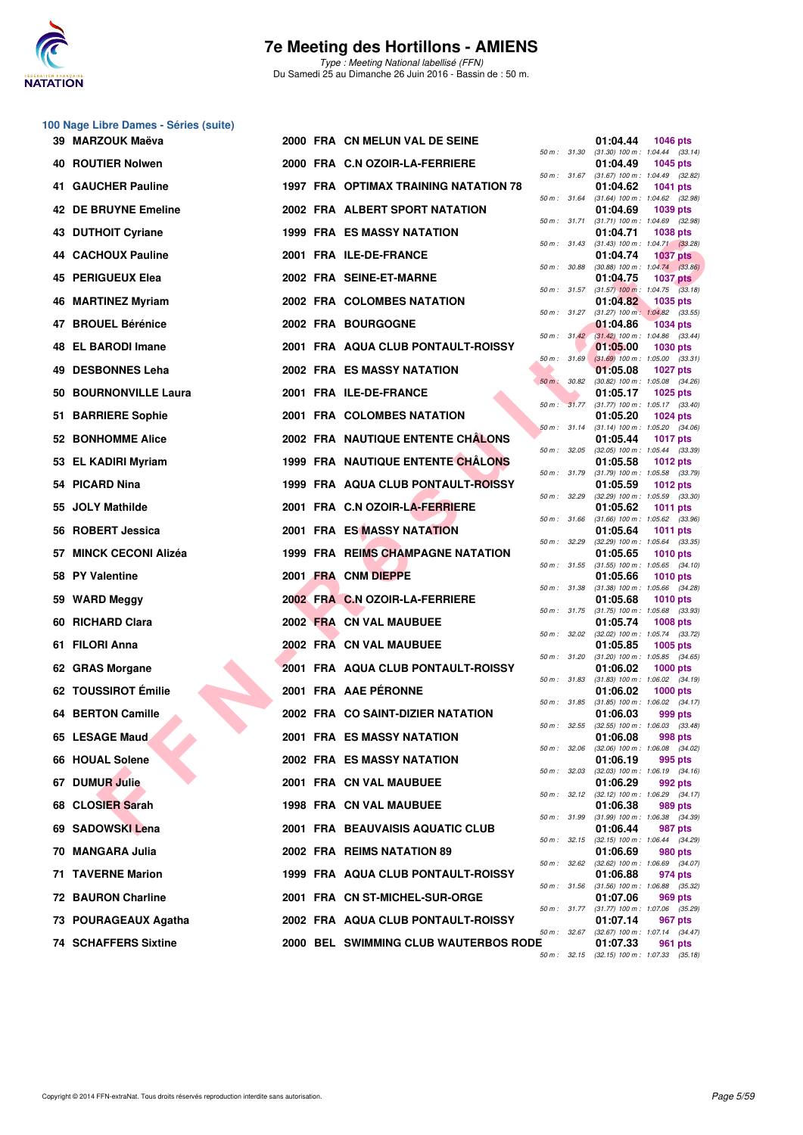

Type : Meeting National labellisé (FFN) Du Samedi 25 au Dimanche 26 Juin 2016 - Bassin de : 50 m.

#### **100 Nage Libre Dames - Séries (suite)**

| 39  MARZOUK Maëva           |  | 2000 FRA CN MELUN VAL DE SEINE               |             |              | 01:04.44 | <b>1046 pts</b>                                                 |
|-----------------------------|--|----------------------------------------------|-------------|--------------|----------|-----------------------------------------------------------------|
| 40 ROUTIER Nolwen           |  | 2000 FRA C.N OZOIR-LA-FERRIERE               |             | 50 m: 31.30  | 01:04.49 | $(31.30)$ 100 m : 1:04.44 $(33.14)$<br><b>1045 pts</b>          |
| 41 GAUCHER Pauline          |  | <b>1997 FRA OPTIMAX TRAINING NATATION 78</b> |             | 50 m : 31.67 | 01:04.62 | $(31.67)$ 100 m : 1:04.49 $(32.82)$<br><b>1041 pts</b>          |
| 42 DE BRUYNE Emeline        |  | 2002 FRA ALBERT SPORT NATATION               |             | 50 m : 31.64 | 01:04.69 | $(31.64)$ 100 m : 1:04.62 $(32.98)$<br>1039 pts                 |
| 43 DUTHOIT Cyriane          |  | <b>1999 FRA ES MASSY NATATION</b>            |             |              | 01:04.71 | 50 m: 31.71 (31.71) 100 m: 1:04.69 (32.98)<br><b>1038 pts</b>   |
| 44 CACHOUX Pauline          |  | 2001 FRA ILE-DE-FRANCE                       |             |              | 01:04.74 | 50 m: 31.43 (31.43) 100 m: 1:04.71 (33.28)<br><b>1037 pts</b>   |
| 45 PERIGUEUX Elea           |  | 2002 FRA SEINE-ET-MARNE                      |             |              | 01:04.75 | 50 m : 30.88 (30.88) 100 m : 1:04.74 (33.86)<br><b>1037 pts</b> |
| 46 MARTINEZ Myriam          |  | 2002 FRA COLOMBES NATATION                   |             |              | 01:04.82 | 50 m: 31.57 (31.57) 100 m: 1:04.75 (33.18)<br>1035 pts          |
| 47 BROUEL Bérénice          |  | 2002 FRA BOURGOGNE                           |             | 50 m: 31.27  | 01:04.86 | $(31.27)$ 100 m : 1:04.82 $(33.55)$<br><b>1034 pts</b>          |
| 48 EL BARODI Imane          |  | 2001 FRA AQUA CLUB PONTAULT-ROISSY           |             |              | 01:05.00 | 50 m: 31.42 (31.42) 100 m: 1:04.86 (33.44)<br><b>1030 pts</b>   |
| 49 DESBONNES Leha           |  | <b>2002 FRA ES MASSY NATATION</b>            |             |              | 01:05.08 | 50 m: 31.69 (31.69) 100 m: 1:05.00 (33.31)<br><b>1027 pts</b>   |
| 50 BOURNONVILLE Laura       |  | 2001 FRA ILE-DE-FRANCE                       |             | 50 m: 30.82  | 01:05.17 | $(30.82)$ 100 m : 1:05.08 $(34.26)$<br><b>1025 pts</b>          |
| 51 BARRIERE Sophie          |  | 2001 FRA COLOMBES NATATION                   |             |              | 01:05.20 | 50 m: 31.77 (31.77) 100 m: 1:05.17 (33.40)<br>1024 pts          |
| <b>52 BONHOMME Alice</b>    |  | <b>2002 FRA NAUTIQUE ENTENTE CHALONS</b>     |             | 50 m: 31.14  | 01:05.44 | $(31.14)$ 100 m : 1:05.20 $(34.06)$<br><b>1017 pts</b>          |
| 53 EL KADIRI Myriam         |  | 1999 FRA NAUTIQUE ENTENTE CHÂLONS            | 50 m: 32.05 |              | 01:05.58 | $(32.05)$ 100 m : 1:05.44 $(33.39)$<br>1012 pts                 |
| 54 PICARD Nina              |  | <b>1999 FRA AQUA CLUB PONTAULT-ROISSY</b>    |             | 50 m : 31.79 | 01:05.59 | $(31.79)$ 100 m : 1:05.58 $(33.79)$<br><b>1012 pts</b>          |
| 55 JOLY Mathilde            |  | 2001 FRA C.N OZOIR-LA-FERRIERE               |             | 50 m : 32.29 | 01:05.62 | $(32.29)$ 100 m : 1:05.59 $(33.30)$<br><b>1011 pts</b>          |
| 56 ROBERT Jessica           |  | 2001 FRA ES MASSY NATATION                   |             | 50 m : 31.66 | 01:05.64 | $(31.66)$ 100 m : 1:05.62 $(33.96)$<br><b>1011 pts</b>          |
| 57 MINCK CECONI Alizéa      |  | 1999 FRA REIMS CHAMPAGNE NATATION            |             |              | 01:05.65 | 50 m: 32.29 (32.29) 100 m: 1:05.64 (33.35)<br><b>1010 pts</b>   |
| 58 PY Valentine             |  | 2001 FRA CNM DIEPPE                          |             |              | 01:05.66 | 50 m: 31.55 (31.55) 100 m: 1:05.65 (34.10)<br><b>1010 pts</b>   |
| 59 WARD Meggy               |  | 2002 FRA C.N OZOIR-LA-FERRIERE               | 50 m: 31.38 |              | 01:05.68 | $(31.38)$ 100 m : 1:05.66 $(34.28)$<br><b>1010 pts</b>          |
| 60 RICHARD Clara            |  | 2002 FRA CN VAL MAUBUEE                      |             |              | 01:05.74 | 50 m: 31.75 (31.75) 100 m: 1:05.68 (33.93)<br><b>1008 pts</b>   |
| 61 FILORI Anna              |  | <b>2002 FRA CN VAL MAUBUEE</b>               |             |              | 01:05.85 | 50 m: 32.02 (32.02) 100 m: 1:05.74 (33.72)<br>1005 pts          |
| 62 GRAS Morgane             |  | 2001 FRA AQUA CLUB PONTAULT-ROISSY           |             | 50 m : 31.20 | 01:06.02 | $(31.20)$ 100 m : 1:05.85 $(34.65)$<br><b>1000 pts</b>          |
| 62 TOUSSIROT Émilie         |  | 2001 FRA AAE PÉRONNE                         |             |              | 01:06.02 | 50 m: 31.83 (31.83) 100 m: 1:06.02 (34.19)<br><b>1000 pts</b>   |
| 64 BERTON Camille           |  | 2002 FRA CO SAINT-DIZIER NATATION            |             |              | 01:06.03 | 50 m: 31.85 (31.85) 100 m: 1:06.02 (34.17)<br>999 pts           |
| 65 LESAGE Maud              |  | 2001 FRA ES MASSY NATATION                   | 50 m: 32.55 |              | 01:06.08 | $(32.55)$ 100 m : 1:06.03 $(33.48)$<br>998 pts                  |
| 66 HOUAL Solene             |  | <b>2002 FRA ES MASSY NATATION</b>            |             | 50 m : 32.06 | 01:06.19 | (32.06) 100 m : 1:06.08 (34.02)<br>995 pts                      |
| 67 DUMUR Julie              |  | 2001 FRA CN VAL MAUBUEE                      |             | 50 m : 32.03 | 01:06.29 | $(32.03)$ 100 m : 1:06.19 $(34.16)$<br>992 pts                  |
| 68 CLOSIER Sarah            |  | 1998 FRA CN VAL MAUBUEE                      |             | 50 m : 32.12 | 01:06.38 | $(32.12)$ 100 m : 1:06.29 $(34.17)$<br>989 pts                  |
| 69   SADOWSKI Lena          |  | 2001 FRA BEAUVAISIS AQUATIC CLUB             |             | 50 m : 31.99 | 01:06.44 | $(31.99)$ 100 m : 1:06.38 $(34.39)$<br>987 pts                  |
| 70 MANGARA Julia            |  | 2002 FRA REIMS NATATION 89                   |             | 50 m: 32.15  | 01:06.69 | $(32.15)$ 100 m : 1:06.44 $(34.29)$<br>980 pts                  |
| 71 TAVERNE Marion           |  | 1999 FRA AQUA CLUB PONTAULT-ROISSY           |             | 50 m : 32.62 | 01:06.88 | $(32.62)$ 100 m : 1:06.69 $(34.07)$<br>974 pts                  |
| <b>72 BAURON Charline</b>   |  | 2001 FRA CN ST-MICHEL-SUR-ORGE               |             | 50 m: 31.56  | 01:07.06 | $(31.56)$ 100 m : 1:06.88 $(35.32)$<br>969 pts                  |
| 73 POURAGEAUX Agatha        |  | 2002 FRA AQUA CLUB PONTAULT-ROISSY           |             | 50 m : 31.77 | 01:07.14 | $(31.77)$ 100 m : 1:07.06 $(35.29)$<br>967 pts                  |
| <b>74 SCHAFFERS Sixtine</b> |  | 2000 BEL SWIMMING CLUB WAUTERBOS RODE        |             | 50 m : 32.67 | 01:07.33 | $(32.67)$ 100 m : 1:07.14 $(34.47)$<br>961 pts                  |
|                             |  |                                              |             | 2215         |          | $(2215)$ 100 m · 1.07.22 $(2512)$                               |

|          |       | 01:04.44<br>$(31.30) 100 m$ : | <b>1046 pts</b>            |                |
|----------|-------|-------------------------------|----------------------------|----------------|
| $50 m$ : | 31.30 | 01:04.49                      | 1:04.44<br>1045 pts        | (33.14)        |
| 50 m :   | 31.67 | $(31.67) 100 m$ :             | 1:04.49                    | (32.82)        |
| $50 m$ : | 31.64 | 01:04.62<br>$(31.64) 100 m$ : | 1041 pts<br>1:04.62        | (32.98)        |
|          |       | 01:04.69                      | 1039 pts                   |                |
| $50 m$ : | 31.71 | $(31.71) 100 m$ :             | 1:04.69                    | (32.98)        |
| $50 m$ : | 31.43 | 01:04.71<br>$(31.43) 100 m$ : | 1038 pts<br>1:04.71        | (33.28)        |
|          |       | 01:04.74                      | <b>1037 pts</b>            |                |
| $50 m$ : | 30.88 | $(30.88)$ 100 m :             | 1:04.74                    | (33.86)        |
| $50 m$ : | 31.57 | 01:04.75<br>$(31.57)$ 100 m : | 1037 pts<br>1:04.75        | (33.18)        |
|          |       | 01:04.82                      | 1035 pts                   |                |
| $50 m$ : | 31.27 | $(31.27)$ 100 m :<br>01:04.86 | 1:04.82<br><b>1034 pts</b> | (33.55)        |
| $50 m$ : | 31.42 | $(31.42)$ 100 m :             | 1:04.86                    | (33.44)        |
|          |       | 01:05.00                      | <b>1030 pts</b>            |                |
| $50 m$ : | 31.69 | $(31.69) 100 m$ :<br>01:05.08 | 1:05.00<br>1027            | (33.31)<br>pts |
| $50 m$ : | 30.82 | (30.82) 100 m :               | 1:05.08                    | (34.26)        |
|          |       | 01:05.17                      | 1025 pts                   |                |
| $50 m$ : | 31.77 | $(31.77) 100 m$ :<br>01:05.20 | 1:05.17                    | (33.40)        |
| $50 m$ : | 31.14 | $(31.14) 100 m$ :             | <b>1024 pts</b><br>1:05.20 | (34.06)        |
|          |       | 01:05.44                      | <b>1017 pts</b>            |                |
| 50 m :   | 32.05 | $(32.05)$ 100 m :<br>01:05.58 | 1:05.44                    | (33.39)        |
| $50 m$ : | 31.79 | $(31.79) 100 m$ :             | 1012 pts<br>1:05.58        | (33.79)        |
|          |       | 01:05.59                      | <b>1012 pts</b>            |                |
| 50 m :   | 32.29 | $(32.29)$ 100 m :<br>01:05.62 | 1:05.59<br>1011            | (33.30)<br>pts |
| $50 m$ : | 31.66 | $(31.66)$ 100 m :             | 1:05.62                    | (33.96)        |
|          |       | 01:05.64                      | 1011                       | pts            |
| $50 m$ : | 32.29 | $(32.29)$ 100 m :<br>01:05.65 | 1:05.64                    | (33.35)        |
| $50 m$ : | 31.55 | $(31.55) 100 m$ :             | 1010 pts<br>1:05.65        | (34.10)        |
|          |       | 01:05.66                      | 1010 pts                   |                |
| $50 m$ : | 31.38 | $(31.38) 100 m$ :<br>01:05.68 | 1:05.66<br>1010 pts        | (34.28)        |
| $50 m$ : | 31.75 | $(31.75)$ 100 m :             | 1:05.68                    | (33.93)        |
|          |       | 01:05.74                      | 1008 pts                   |                |
| 50 m :   | 32.02 | $(32.02)$ 100 m :<br>01:05.85 | 1:05.74<br>1005 pts        | (33.72)        |
| $50 m$ : | 31.20 | $(31.20)$ 100 m :             | 1:05.85                    | (34.65)        |
|          |       | 01:06.02                      | 1000 pts                   |                |
| $50 m$ : | 31.83 | $(31.83) 100 m$ :<br>01:06.02 | 1:06.02<br>1000 pts        | (34.19)        |
| $50 m$ : | 31.85 | (31.85) 100 m :               | 1:06.02                    | (34.17)        |
|          |       | 01:06.03                      | 999 pts                    |                |
| 50 m :   | 32.55 | (32.55) 100 m :<br>01:06.08   | 1:06.03 (33.48)<br>998 pts |                |
| 50 m :   | 32.06 | $(32.06)$ 100 m :             | 1:06.08                    | (34.02)        |
|          |       | 01:06.19                      | 995 pts                    |                |
| $50 m$ : | 32.03 | $(32.03)$ 100 m :<br>01:06.29 | 1:06.19<br>992 pts         | (34.16)        |
| $50 m$ : | 32.12 | (32.12) 100 m :               | 1:06.29                    | (34.17)        |
| $50 m$ : | 31.99 | 01:06.38<br>$(31.99) 100 m$ : | 989<br>1:06.38             | pts<br>(34.39) |
|          |       | 01:06.44                      | 987                        | pts            |
| $50 m$ : | 32.15 | $(32.15)$ 100 m :             | 1:06.44                    | (34.29)        |
| 50 m :   | 32.62 | 01:06.69<br>$(32.62)$ 100 m : | <b>980 pts</b><br>1:06.69  | (34.07)        |
|          |       | 01:06.88                      | 974 pts                    |                |
| $50 m$ : | 31.56 | $(31.56) 100 m$ :             | 1:06.88                    | (35.32)        |
| $50 m$ : | 31.77 | 01:07.06<br>$(31.77) 100 m$ : | 969 pts<br>1:07.06         | (35.29)        |
|          |       | 01:07.14                      | 967                        | pts            |
| 50 m :   | 32.67 | (32.67) 100 m :               | 1:07.14                    | (34.47)        |
| $50 m$ : | 32.15 | 01:07.33<br>$(32.15) 100 m$ : | 961<br>1:07.33             | pts<br>(35.18) |
|          |       |                               |                            |                |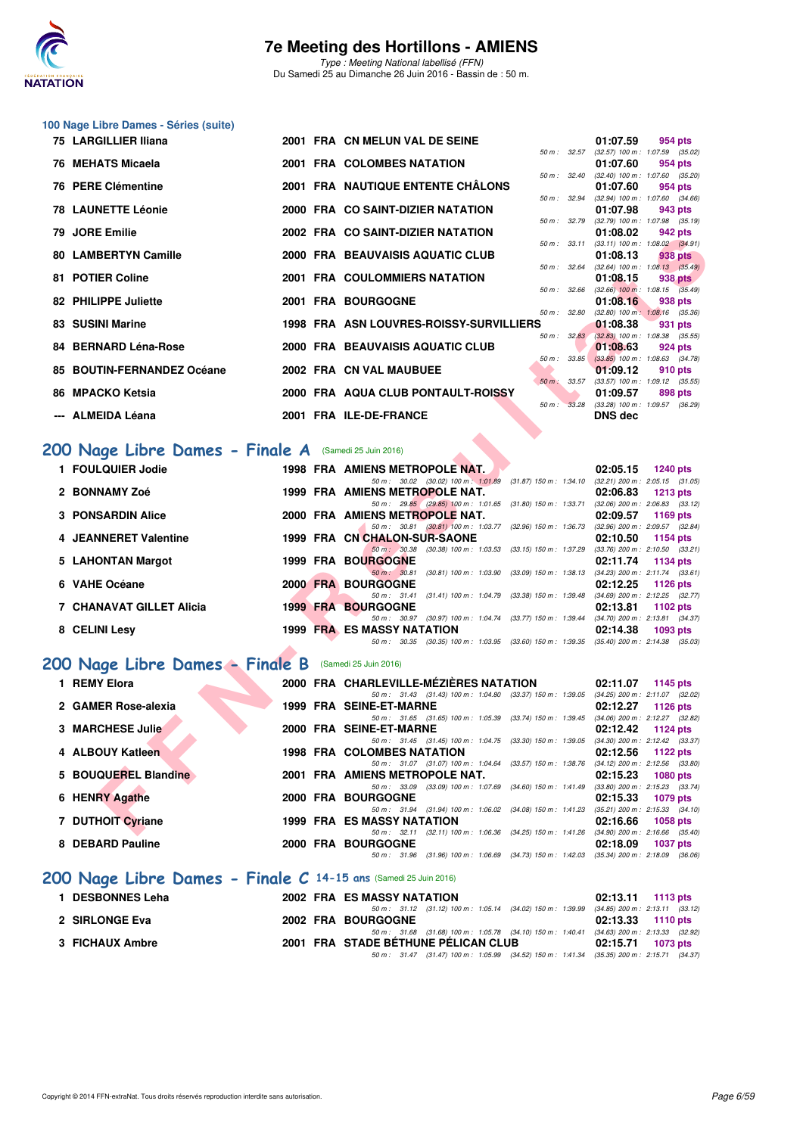

Type : Meeting National labellisé (FFN) Du Samedi 25 au Dimanche 26 Juin 2016 - Bassin de : 50 m.

## **100 Nage Libre Dames - Séries (suite)**

| 75 LARGILLIER Iliana                                  |  | 2001 FRA CN MELUN VAL DE SEINE                                                                                                |              | 01:07.59                                                 | 954 pts         |  |
|-------------------------------------------------------|--|-------------------------------------------------------------------------------------------------------------------------------|--------------|----------------------------------------------------------|-----------------|--|
| 76 MEHATS Micaela                                     |  | 2001 FRA COLOMBES NATATION                                                                                                    |              | 50 m: 32.57 (32.57) 100 m: 1:07.59 (35.02)<br>01:07.60   | 954 pts         |  |
| 76 PERE Clémentine                                    |  | 2001 FRA NAUTIQUE ENTENTE CHÂLONS                                                                                             |              | 50 m : 32.40 (32.40) 100 m : 1:07.60 (35.20)<br>01:07.60 | 954 pts         |  |
| <b>78 LAUNETTE Léonie</b>                             |  | 2000 FRA CO SAINT-DIZIER NATATION                                                                                             |              | 50 m: 32.94 (32.94) 100 m: 1:07.60 (34.66)<br>01:07.98   | 943 pts         |  |
| 79 JORE Emilie                                        |  | 2002 FRA CO SAINT-DIZIER NATATION                                                                                             | 50 m : 32.79 | $(32.79)$ 100 m : 1:07.98 $(35.19)$                      |                 |  |
|                                                       |  |                                                                                                                               | 50 m: 33.11  | 01:08.02<br>$(33.11)$ 100 m : 1:08.02 $(34.91)$          | 942 pts         |  |
| 80 LAMBERTYN Camille                                  |  | 2000 FRA BEAUVAISIS AQUATIC CLUB                                                                                              | 50 m: 32.64  | 01:08.13<br>$(32.64)$ 100 m : 1:08.13 $(35.49)$          | 938 pts         |  |
| 81 POTIER Coline                                      |  | 2001 FRA COULOMMIERS NATATION                                                                                                 | 50 m: 32.66  | 01:08.15<br>$(32.66)$ 100 m : 1:08.15 $(35.49)$          | <b>938 pts</b>  |  |
| 82 PHILIPPE Juliette                                  |  | 2001 FRA BOURGOGNE                                                                                                            |              | 01:08.16                                                 | 938 pts         |  |
| 83 SUSINI Marine                                      |  | 1998 FRA ASN LOUVRES-ROISSY-SURVILLIERS                                                                                       | 50 m: 32.80  | $(32.80)$ 100 m : 1:08.16 $(35.36)$<br>01:08.38          | 931 pts         |  |
| 84 BERNARD Léna-Rose                                  |  | 2000 FRA BEAUVAISIS AQUATIC CLUB                                                                                              | 50 m: 32.83  | $(32.83)$ 100 m : 1:08.38 $(35.55)$<br>01:08.63          | 924 pts         |  |
|                                                       |  |                                                                                                                               |              | 50 m : 33.85 (33.85) 100 m : 1:08.63 (34.78)             |                 |  |
| 85 BOUTIN-FERNANDEZ Océane                            |  | 2002 FRA CN VAL MAUBUEE                                                                                                       |              | 01:09.12<br>50 m: 33.57 (33.57) 100 m: 1:09.12 (35.55)   | 910 pts         |  |
| 86 MPACKO Ketsia                                      |  | 2000 FRA AQUA CLUB PONTAULT-ROISSY                                                                                            |              | 01:09.57                                                 | 898 pts         |  |
| --- ALMEIDA Léana                                     |  | 2001 FRA ILE-DE-FRANCE                                                                                                        | 50 m : 33.28 | $(33.28)$ 100 m : 1:09.57 $(36.29)$<br><b>DNS dec</b>    |                 |  |
|                                                       |  |                                                                                                                               |              |                                                          |                 |  |
| '00 Nage Libre Dames - Finale A (Samedi 25 Juin 2016) |  |                                                                                                                               |              |                                                          |                 |  |
| 1 FOULQUIER Jodie                                     |  | 1998 FRA AMIENS METROPOLE NAT.                                                                                                |              | 02:05.15                                                 | 1240 pts        |  |
| 2 BONNAMY Zoé                                         |  | 50 m: 30.02 (30.02) 100 m: 1:01.89 (31.87) 150 m: 1:34.10 (32.21) 200 m: 2:05.15 (31.05)<br>1999 FRA AMIENS METROPOLE NAT.    |              | 02:06.83                                                 | <b>1213 pts</b> |  |
|                                                       |  | 50 m: 29.85 (29.85) 100 m: 1:01.65 (31.80) 150 m: 1:33.71 (32.06) 200 m: 2:06.83 (33.12)                                      |              |                                                          |                 |  |
| <b>3 PONSARDIN Alice</b>                              |  | 2000 FRA AMIENS METROPOLE NAT.<br>50 m: 30.81 (30.81) 100 m: 1:03.77 (32.96) 150 m: 1:36.73 (32.96) 200 m: 2:09.57 (32.84)    |              | 02:09.57                                                 | 1169 pts        |  |
| 4 JEANNERET Valentine                                 |  | 1999 FRA CN CHALON-SUR-SAONE                                                                                                  |              | 02:10.50                                                 | 1154 pts        |  |
| 5 LAHONTAN Margot                                     |  | 50 m: 30.38 (30.38) 100 m: 1:03.53 (33.15) 150 m: 1:37.29 (33.76) 200 m: 2:10.50 (33.21)<br><b>1999 FRA BOURGOGNE</b>         |              | 02:11.74                                                 | <b>1134 pts</b> |  |
|                                                       |  | 50 m : 30.81<br>$(30.81)$ 100 m : 1:03.90 $(33.09)$ 150 m : 1:38.13                                                           |              | $(34.23)$ 200 m : 2:11.74 $(33.61)$                      |                 |  |
| 6 VAHE Océane                                         |  | 2000 FRA BOURGOGNE<br>50 m: 31.41 (31.41) 100 m: 1:04.79 (33.38) 150 m: 1:39.48 (34.69) 200 m: 2:12.25 (32.77)                |              | 02:12.25                                                 | <b>1126 pts</b> |  |
| 7 CHANAVAT GILLET Alicia                              |  | <b>1999 FRA BOURGOGNE</b>                                                                                                     |              | 02:13.81                                                 | 1102 pts        |  |
| 8 CELINI Lesy                                         |  | 50 m: 30.97 (30.97) 100 m: 1:04.74 (33.77) 150 m: 1:39.44 (34.70) 200 m: 2:13.81 (34.37)<br><b>1999 FRA ES MASSY NATATION</b> |              | 02:14.38                                                 | 1093 pts        |  |
|                                                       |  | 50 m: 30.35 (30.35) 100 m: 1:03.95 (33.60) 150 m: 1:39.35 (35.40) 200 m: 2:14.38 (35.03)                                      |              |                                                          |                 |  |
| 00 Nage Libre Dames - Finale B                        |  | (Samedi 25 Juin 2016)                                                                                                         |              |                                                          |                 |  |
| 1 REMY Elora                                          |  | 2000 FRA CHARLEVILLE-MÉZIÈRES NATATION                                                                                        |              | 02:11.07                                                 | 1145 pts        |  |
|                                                       |  | 50 m: 31.43 (31.43) 100 m: 1:04.80 (33.37) 150 m: 1:39.05 (34.25) 200 m: 2:11.07 (32.02)                                      |              |                                                          |                 |  |
| 2 GAMER Rose-alexia                                   |  | 1999 FRA SEINE-ET-MARNE<br>50 m: 31.65 (31.65) 100 m: 1:05.39 (33.74) 150 m: 1:39.45 (34.06) 200 m: 2:12.27 (32.82)           |              | 02:12.27                                                 | 1126 pts        |  |
| 3 MARCHESE Julie                                      |  | 2000 FRA SEINE-ET-MARNE                                                                                                       |              | 02:12.42                                                 | 1124 pts        |  |
| 4 ALBOUY Katleen                                      |  | 50 m: 31.45 (31.45) 100 m: 1:04.75 (33.30) 150 m: 1:39.05 (34.30) 200 m: 2:12.42 (33.37)<br><b>1998 FRA COLOMBES NATATION</b> |              | 02:12.56                                                 | 1122 pts        |  |
|                                                       |  | 50 m: 31.07 (31.07) 100 m: 1:04.64 (33.57) 150 m: 1:38.76 (34.12) 200 m: 2:12.56 (33.80)                                      |              |                                                          |                 |  |
| 5 BOUQUEREL Blandine                                  |  | 2001 FRA AMIENS METROPOLE NAT.<br>50 m: 33.09 (33.09) 100 m: 1:07.69 (34.60) 150 m: 1:41.49 (33.80) 200 m: 2:15.23 (33.74)    |              | 02:15.23                                                 | <b>1080 pts</b> |  |
| 6 HENRY Agathe                                        |  | 2000 FRA BOURGOGNE                                                                                                            |              | 02:15.33                                                 | 1079 pts        |  |
| 7 DUTHOIT Cyriane                                     |  | 50 m: 31.94 (31.94) 100 m: 1:06.02 (34.08) 150 m: 1:41.23 (35.21) 200 m: 2:15.33 (34.10)<br><b>1999 FRA ES MASSY NATATION</b> |              | 02:16.66                                                 | 1058 pts        |  |
|                                                       |  | 50 m: 32.11 (32.11) 100 m: 1:06.36 (34.25) 150 m: 1:41.26 (34.90) 200 m: 2:16.66 (35.40)                                      |              |                                                          |                 |  |

### [200 Nage Libre Dames - Finale A](http://www.ffnatation.fr/webffn/resultats.php?idact=nat&go=epr&idcpt=38947&idepr=3) (Samedi 25 Juin 2016)

| 1 FOULQUIER Jodie        |  |                                                        |                                                                                                                                                                                                                                                                                                                                             | 02:05.15                                                                                                                                                             | <b>1240 pts</b>                                                                                                              |
|--------------------------|--|--------------------------------------------------------|---------------------------------------------------------------------------------------------------------------------------------------------------------------------------------------------------------------------------------------------------------------------------------------------------------------------------------------------|----------------------------------------------------------------------------------------------------------------------------------------------------------------------|------------------------------------------------------------------------------------------------------------------------------|
|                          |  |                                                        | $(31.87)$ 150 m : 1:34.10                                                                                                                                                                                                                                                                                                                   |                                                                                                                                                                      | $(32.21)$ 200 m : 2:05.15 $(31.05)$                                                                                          |
| 2 BONNAMY Zoé            |  |                                                        |                                                                                                                                                                                                                                                                                                                                             | 02:06.83                                                                                                                                                             | 1213 $pts$                                                                                                                   |
|                          |  |                                                        | $(31.80)$ 150 m : 1:33.71                                                                                                                                                                                                                                                                                                                   |                                                                                                                                                                      | $(32.06)$ 200 m : 2:06.83 $(33.12)$                                                                                          |
| <b>3 PONSARDIN Alice</b> |  |                                                        |                                                                                                                                                                                                                                                                                                                                             |                                                                                                                                                                      | 1169 pts                                                                                                                     |
|                          |  |                                                        | $(32.96)$ 150 m : 1:36.73                                                                                                                                                                                                                                                                                                                   |                                                                                                                                                                      | $(32.96)$ 200 m : 2:09.57 $(32.84)$                                                                                          |
| 4 JEANNERET Valentine    |  |                                                        |                                                                                                                                                                                                                                                                                                                                             | 02:10.50                                                                                                                                                             | 1154 pts                                                                                                                     |
|                          |  |                                                        | $(33.15)$ 150 m : 1:37.29                                                                                                                                                                                                                                                                                                                   |                                                                                                                                                                      | $(33.76)$ 200 m : 2:10.50 $(33.21)$                                                                                          |
| 5 LAHONTAN Margot        |  |                                                        |                                                                                                                                                                                                                                                                                                                                             |                                                                                                                                                                      | 1134 pts                                                                                                                     |
|                          |  |                                                        | (33.09) 150 m : 1:38.13                                                                                                                                                                                                                                                                                                                     |                                                                                                                                                                      | $(34.23)$ 200 m : 2:11.74 $(33.61)$                                                                                          |
| 6 VAHE Océane            |  |                                                        |                                                                                                                                                                                                                                                                                                                                             |                                                                                                                                                                      | 1126 pts                                                                                                                     |
|                          |  |                                                        | $(33.38)$ 150 m : 1:39.48                                                                                                                                                                                                                                                                                                                   |                                                                                                                                                                      | $(34.69)$ 200 m : 2:12.25 $(32.77)$                                                                                          |
| 7 CHANAVAT GILLET Alicia |  |                                                        |                                                                                                                                                                                                                                                                                                                                             | 02:13.81                                                                                                                                                             | 1102 $pts$                                                                                                                   |
|                          |  |                                                        |                                                                                                                                                                                                                                                                                                                                             |                                                                                                                                                                      | $(34.70)$ 200 m : 2:13.81 $(34.37)$                                                                                          |
| 8 CELINI Lesy            |  |                                                        |                                                                                                                                                                                                                                                                                                                                             | 02:14.38                                                                                                                                                             | 1093 pts                                                                                                                     |
|                          |  |                                                        |                                                                                                                                                                                                                                                                                                                                             |                                                                                                                                                                      |                                                                                                                              |
|                          |  | <b>1999 FRA BOURGOGNE</b><br><b>1999 FRA BOURGOGNE</b> | 1998 FRA AMIENS METROPOLE NAT.<br>50 m: 30.02 (30.02) 100 m: 1:01.89<br>1999 FRA AMIENS METROPOLE NAT.<br>50 m: 29.85 (29.85) 100 m: 1:01.65<br>2000 FRA AMIENS METROPOLE NAT.<br>50 m: 30.81 (30.81) 100 m: 1:03.77<br>1999 FRA CN CHALON-SUR-SAONE<br>$50 \text{ m}$ ; $30.81$<br>2000 FRA BOURGOGNE<br><b>1999 FRA ES MASSY NATATION</b> | 50 m : 30.38 (30.38) 100 m : 1:03.53<br>(30.81) 100 m : 1:03.90<br>50 m : 31.41 (31.41) 100 m : 1:04.79<br>50 m: 30.97 (30.97) 100 m: 1:04.74 (33.77) 150 m: 1:39.44 | 02:09.57<br>02:11.74<br>02:12.25<br>50 m: 30.35 (30.35) 100 m: 1:03.95 (33.60) 150 m: 1:39.35 (35.40) 200 m: 2:14.38 (35.03) |

## **[200 Nage Libre Dames - Finale B](http://www.ffnatation.fr/webffn/resultats.php?idact=nat&go=epr&idcpt=38947&idepr=3)** (Samedi 25 Juin 2016)

| 1 REMY Elora         |  | 2000 FRA CHARLEVILLE-MÉZIÈRES NATATION                                                               | 02:11.07 | 1145 $pts$                                      |
|----------------------|--|------------------------------------------------------------------------------------------------------|----------|-------------------------------------------------|
| 2 GAMER Rose-alexia  |  | 50 m: 31.43 (31.43) 100 m: 1:04.80 (33.37) 150 m: 1:39.05<br>1999 FRA SEINE-ET-MARNE                 | 02:12.27 | $(34.25)$ 200 m : 2:11.07 $(32.02)$<br>1126 pts |
| 3 MARCHESE Julie     |  | 50 m: 31.65 (31.65) 100 m: 1:05.39 (33.74) 150 m: 1:39.45<br>2000 FRA SEINE-ET-MARNE                 | 02:12.42 | $(34.06)$ 200 m : 2:12.27 $(32.82)$<br>1124 pts |
| 4 ALBOUY Katleen     |  | 50 m: 31.45 (31.45) 100 m: 1:04.75<br>$(33.30)$ 150 m : 1:39.05<br><b>1998 FRA COLOMBES NATATION</b> | 02:12.56 | $(34.30)$ 200 m : 2:12.42 $(33.37)$<br>1122 pts |
| 5 BOUQUEREL Blandine |  | 50 m: 31.07 (31.07) 100 m: 1:04.64 (33.57) 150 m: 1:38.76<br>2001 FRA AMIENS METROPOLE NAT.          | 02:15.23 | $(34.12)$ 200 m : 2:12.56 $(33.80)$<br>1080 pts |
| 6 HENRY Agathe       |  | $(34.60)$ 150 m : 1:41.49<br>50 m : 33.09 (33.09) 100 m : 1:07.69<br>2000 FRA BOURGOGNE              | 02:15.33 | $(33.80)$ 200 m : 2:15.23 $(33.74)$<br>1079 pts |
| 7 DUTHOIT Cyriane    |  | 50 m: 31.94 (31.94) 100 m: 1:06.02 (34.08) 150 m: 1:41.23<br><b>1999 FRA ES MASSY NATATION</b>       | 02:16.66 | $(35.21)$ 200 m : 2:15.33 $(34.10)$<br>1058 pts |
| 8 DEBARD Pauline     |  | 50 m: 32.11 (32.11) 100 m: 1:06.36 (34.25) 150 m: 1:41.26<br>2000 FRA BOURGOGNE                      | 02:18.09 | $(34.90)$ 200 m : 2:16.66 $(35.40)$<br>1037 pts |
|                      |  | (34.73) 150 m : 1:42.03<br>50 m : 31.96 (31.96) 100 m : 1:06.69                                      |          | $(35.34)$ 200 m : 2:18.09 (36.06)               |

### **[200 Nage Libre Dames - Finale C](http://www.ffnatation.fr/webffn/resultats.php?idact=nat&go=epr&idcpt=38947&idepr=3) 14-15 ans** (Samedi 25 Juin 2016)

| 1 DESBONNES Leha | 2002 FRA ES MASSY NATATION                                                                  | $02:13.11$ 1113 pts |
|------------------|---------------------------------------------------------------------------------------------|---------------------|
|                  | 50 m : 31.12 (31.12) 100 m : 1:05.14 (34.02) 150 m : 1:39.99 (34.85) 200 m : 2:13.11 (33.12 |                     |
| 2 SIRLONGE Eva   | 2002 FRA BOURGOGNE                                                                          | 02:13.33 1110 pts   |
|                  | 50 m : 31.68 (31.68) 100 m : 1:05.78 (34.10) 150 m : 1:40.41 (34.63) 200 m : 2:13.33 (32.92 |                     |
| 3 FICHAUX Ambre  | 2001 FRA STADE BÉTHUNE PÉLICAN CLUB                                                         | 02:15.71 1073 pts   |
|                  | 50 m : 31.47 (31.47) 100 m : 1:05.99 (34.52) 150 m : 1:41.34 (35.35) 200 m : 2:15.71 (34.37 |                     |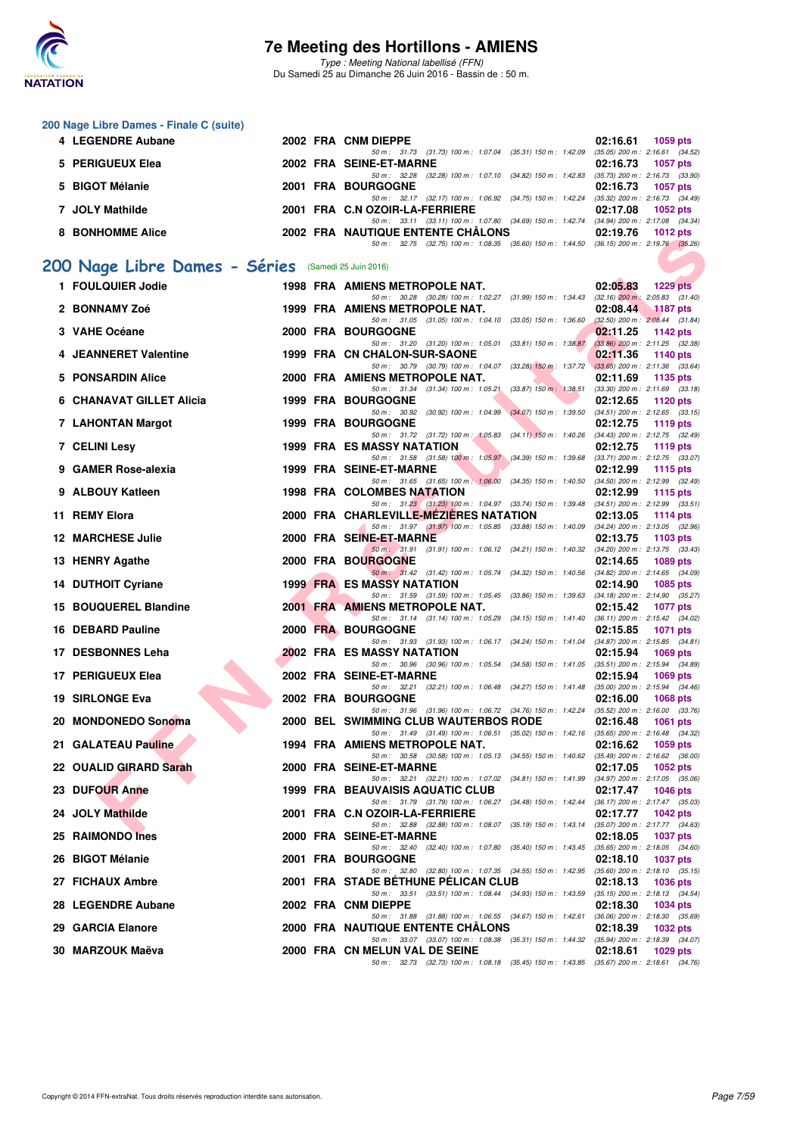

Type : Meeting National labellisé (FFN) Du Samedi 25 au Dimanche 26 Juin 2016 - Bassin de : 50 m.

#### **200 Nage Libre Dames - Finale C (suite)**

| 4 LEGENDRE Aubane |  | 2002 FRA CNM DIEPPE                                                                     |          | $02:16.61$ 1059 pts |
|-------------------|--|-----------------------------------------------------------------------------------------|----------|---------------------|
|                   |  | 50 m: 31.73 (31.73) 100 m: 1:07.04 (35.31) 150 m: 1:42.09 (35.05) 200 m: 2:16.61 (34.52 |          |                     |
| 5 PERIGUEUX Elea  |  | 2002 FRA SEINE-ET-MARNE                                                                 | 02:16.73 | 1057 pts            |
|                   |  | 50 m: 32.28 (32.28) 100 m: 1:07.10 (34.82) 150 m: 1:42.83 (35.73) 200 m: 2:16.73 (33.90 |          |                     |
| 5 BIGOT Mélanie   |  | 2001 FRA BOURGOGNE                                                                      |          | 02:16.73 1057 pts   |
|                   |  | 50 m: 32.17 (32.17) 100 m: 1:06.92 (34.75) 150 m: 1:42.24 (35.32) 200 m: 2:16.73 (34.49 |          |                     |
| 7 JOLY Mathilde   |  | 2001 FRA C.N OZOIR-LA-FERRIERE                                                          | 02:17.08 | 1052 pts            |
|                   |  | 50 m: 33.11 (33.11) 100 m: 1:07.80 (34.69) 150 m: 1:42.74 (34.94) 200 m: 2:17.08 (34.34 |          |                     |
| 8 BONHOMME Alice  |  | 2002 FRA NAUTIQUE ENTENTE CHÂLONS                                                       |          | 02:19.76 1012 pts   |
|                   |  | 50 m: 32.75 (32.75) 100 m: 1:08.35 (35.60) 150 m: 1:44.50 (36.15) 200 m: 2:19.76 (35.26 |          |                     |
|                   |  |                                                                                         |          |                     |

## **[200 Nage Libre Dames - Séries](http://www.ffnatation.fr/webffn/resultats.php?idact=nat&go=epr&idcpt=38947&idepr=3)** (Samedi 25 Juin 2016)

| <b>DOMINIQUE AIRC</b>                              |  | <b><i>LUUL FRA INAUTIQU</i></b><br>E ENTENTE VITALVINJ<br>50 m: 32.75 (32.75) 100 m: 1:08.35 (35.60) 150 m: 1:44.50 (36.15) 200 m: 2:19.76 (35.26) | <b>UZ. 19. 10</b> | $1012 \mu s$      |
|----------------------------------------------------|--|----------------------------------------------------------------------------------------------------------------------------------------------------|-------------------|-------------------|
|                                                    |  |                                                                                                                                                    |                   |                   |
| 00 Nage Libre Dames - Séries (Samedi 25 Juin 2016) |  |                                                                                                                                                    |                   |                   |
| 1 FOULQUIER Jodie                                  |  | 1998 FRA AMIENS METROPOLE NAT.                                                                                                                     | 02:05.83          | <b>1229 pts</b>   |
| 2 BONNAMY Zoé                                      |  | 50 m: 30.28 (30.28) 100 m: 1:02.27 (31.99) 150 m: 1:34.43 (32.16) 200 m: 2:05.83 (31.40)<br>1999 FRA AMIENS METROPOLE NAT.                         | 02:08.44          | <b>1187 pts</b>   |
| 3 VAHE Océane                                      |  | 50 m: 31.05 (31.05) 100 m: 1:04.10 (33.05) 150 m: 1:36.60 (32.50) 200 m: 2:08.44 (31.84)<br>2000 FRA BOURGOGNE                                     | 02:11.25          | 1142 pts          |
|                                                    |  | 50 m: 31.20 (31.20) 100 m: 1:05.01<br>$(33.81)$ 150 m : 1:38.87 $(33.86)$ 200 m : 2:11.25 $(32.38)$                                                |                   |                   |
| 4 JEANNERET Valentine                              |  | 1999 FRA CN CHALON-SUR-SAONE                                                                                                                       | 02:11.36          | 1140 pts          |
| 5 PONSARDIN Alice                                  |  | 50 m: 30.79 (30.79) 100 m: 1:04.07 (33.28) 150 m: 1:37.72 (33.65) 200 m: 2:11.36 (33.64)<br>2000 FRA AMIENS METROPOLE NAT.                         | 02:11.69          | 1135 pts          |
|                                                    |  | 50 m: 31.34 (31.34) 100 m: 1:05.21 (33.87) 150 m: 1:38.51 (33.30) 200 m: 2:11.69 (33.18)                                                           |                   |                   |
| <b>6 CHANAVAT GILLET Alicia</b>                    |  | 1999 FRA BOURGOGNE<br>50 m: 30.92 (30.92) 100 m: 1:04.99 (34.07) 150 m: 1:39.50 (34.51) 200 m: 2:12.65 (33.15)                                     | 02:12.65          | 1120 pts          |
| 7 LAHONTAN Margot                                  |  | <b>1999 FRA BOURGOGNE</b>                                                                                                                          | 02:12.75          | 1119 pts          |
| 7 CELINI Lesy                                      |  | 50 m: 31.72 (31.72) 100 m: 1:05.83 (34.11) 150 m: 1:40.26 (34.43) 200 m: 2:12.75 (32.49)<br><b>1999 FRA ES MASSY NATATION</b>                      | 02:12.75          | 1119 pts          |
|                                                    |  | 50 m: 31.58 (31.58) 100 m: 1:05.97 (34.39) 150 m: 1:39.68 (33.71) 200 m: 2:12.75 (33.07)                                                           |                   |                   |
| 9 GAMER Rose-alexia                                |  | 1999 FRA SEINE-ET-MARNE<br>50 m: 31.65 (31.65) 100 m: 1:06.00 (34.35) 150 m: 1:40.50 (34.50) 200 m: 2:12.99 (32.49)                                | 02:12.99          | 1115 pts          |
| 9 ALBOUY Katleen                                   |  | 1998 FRA COLOMBES NATATION                                                                                                                         | 02:12.99          | <b>1115 pts</b>   |
| 11 REMY Elora                                      |  | 50 m: 31.23 (31.23) 100 m: 1:04.97 (33.74) 150 m: 1:39.48 (34.51) 200 m: 2:12.99 (33.51)<br>2000 FRA CHARLEVILLE-MEZIERES NATATION                 |                   |                   |
|                                                    |  | 50 m: 31.97 (31.97) 100 m: 1:05.85 (33.88) 150 m: 1:40.09 (34.24) 200 m: 2:13.05 (32.96)                                                           | 02:13.05          | <b>1114 pts</b>   |
| <b>12 MARCHESE Julie</b>                           |  | 2000 FRA SEINE-ET-MARNE                                                                                                                            | 02:13.75          | 1103 pts          |
| 13 HENRY Agathe                                    |  | 50 m: 31.91 (31.91) 100 m: 1:06.12 (34.21) 150 m: 1:40.32 (34.20) 200 m: 2:13.75 (33.43)<br><b>2000 FRA BOURGOGNE</b>                              | 02:14.65          | 1089 pts          |
|                                                    |  | 50 m: 31.42 (31.42) 100 m: 1:05.74 (34.32) 150 m: 1:40.56 (34.82) 200 m: 2:14.65 (34.09)                                                           |                   |                   |
| <b>14 DUTHOIT Cyriane</b>                          |  | <b>1999 FRA ES MASSY NATATION</b><br>50 m: 31.59 (31.59) 100 m: 1:05.45 (33.86) 150 m: 1:39.63 (34.18) 200 m: 2:14.90 (35.27)                      | 02:14.90          | 1085 pts          |
| 15 BOUQUEREL Blandine                              |  | 2001 FRA AMIENS METROPOLE NAT.                                                                                                                     | 02:15.42          | <b>1077 pts</b>   |
|                                                    |  | 50 m: 31.14 (31.14) 100 m: 1:05.29 (34.15) 150 m: 1:41.40 (36.11) 200 m: 2:15.42 (34.02)                                                           |                   |                   |
| 16 DEBARD Pauline                                  |  | 2000 FRA BOURGOGNE<br>50 m: 31.93 (31.93) 100 m: 1:06.17 (34.24) 150 m: 1:41.04 (34.87) 200 m: 2:15.85 (34.81)                                     | 02:15.85          | <b>1071 pts</b>   |
| 17 DESBONNES Leha                                  |  | 2002 FRA ES MASSY NATATION                                                                                                                         | 02:15.94          | 1069 pts          |
| 17 PERIGUEUX Elea                                  |  | 50 m: 30.96 (30.96) 100 m: 1:05.54 (34.58) 150 m: 1:41.05 (35.51) 200 m: 2:15.94 (34.89)<br><b>2002 FRA SEINE-ET-MARNE</b>                         | 02:15.94          | 1069 pts          |
|                                                    |  | 50 m: 32.21 (32.21) 100 m: 1:06.48 (34.27) 150 m: 1:41.48 (35.00) 200 m: 2:15.94 (34.46)                                                           |                   |                   |
| 19 SIRLONGE Eva                                    |  | <b>2002 FRA BOURGOGNE</b><br>50 m: 31.96 (31.96) 100 m: 1:06.72 (34.76) 150 m: 1:42.24 (35.52) 200 m: 2:16.00 (33.76)                              | 02:16.00          | 1068 pts          |
| 20 MONDONEDO Sonoma                                |  | 2000 BEL SWIMMING CLUB WAUTERBOS RODE                                                                                                              | 02:16.48          | <b>1061 pts</b>   |
| 21 GALATEAU Pauline                                |  | 50 m: 31.49 (31.49) 100 m: 1:06.51 (35.02) 150 m: 1:42.16 (35.65) 200 m: 2:16.48 (34.32)                                                           |                   |                   |
|                                                    |  | 1994 FRA AMIENS METROPOLE NAT.<br>50 m: 30.58 (30.58) 100 m: 1:05.13 (34.55) 150 m: 1:40.62 (35.49) 200 m: 2:16.62 (36.00)                         | 02:16.62          | 1059 pts          |
| 22 OUALID GIRARD Sarah                             |  | 2000 FRA SEINE-ET-MARNE                                                                                                                            | 02:17.05          | 1052 pts          |
| 23 DUFOUR Anne                                     |  | 50 m: 32.21 (32.21) 100 m: 1:07.02 (34.81) 150 m: 1:41.99 (34.97) 200 m: 2:17.05 (35.06)<br>1999 FRA BEAUVAISIS AQUATIC CLUB                       | 02:17.47          | <b>1046 pts</b>   |
|                                                    |  | 50 m: 31.79 (31.79) 100 m: 1:06.27 (34.48) 150 m: 1:42.44 (36.17) 200 m: 2:17.47 (35.03)                                                           |                   |                   |
| 24 JOLY Mathilde                                   |  | 2001 FRA C.N OZOIR-LA-FERRIERE<br>50 m: 32.88 (32.88) 100 m: 1:08.07 (35.19) 150 m: 1:43.14 (35.07) 200 m: 2:17.77 (34.63)                         | 02:17.77          | 1042 pts          |
| 25 RAIMONDO Ines                                   |  | 2000 FRA SEINE-ET-MARNE                                                                                                                            |                   | 02:18.05 1037 pts |
| 26 BIGOT Mélanie                                   |  | 50 m: 32.40 (32.40) 100 m: 1:07.80 (35.40) 150 m: 1:43.45 (35.65) 200 m: 2:18.05 (34.60)<br><b>2001 FRA BOURGOGNE</b>                              | 02:18.10          | <b>1037 pts</b>   |
|                                                    |  | 50 m: 32.80 (32.80) 100 m: 1:07.35 (34.55) 150 m: 1:42.95 (35.60) 200 m: 2:18.10 (35.15)                                                           |                   |                   |
| 27 FICHAUX Ambre                                   |  | 2001 FRA STADE BETHUNE PELICAN CLUB                                                                                                                | 02:18.13          | <b>1036 pts</b>   |
| 28 LEGENDRE Aubane                                 |  | 50 m: 33.51 (33.51) 100 m: 1:08.44 (34.93) 150 m: 1:43.59 (35.15) 200 m: 2:18.13 (34.54)<br>2002 FRA CNM DIEPPE                                    | 02:18.30          | 1034 pts          |
|                                                    |  | 50 m: 31.88 (31.88) 100 m: 1.06.55 (34.67) 150 m: 1.42.61 (36.06) 200 m: 2.18.30 (35.69)                                                           |                   |                   |
| 29 GARCIA Elanore                                  |  | 2000 FRA NAUTIQUE ENTENTE CHALONS<br>50 m: 33.07 (33.07) 100 m: 1:08.38 (35.31) 150 m: 1:44.32 (35.94) 200 m: 2:18.39 (34.07)                      | 02:18.39          | 1032 pts          |
| 30  MARZOUK Maëva                                  |  | 2000 FRA CN MELUN VAL DE SEINE                                                                                                                     | 02:18.61          | 1029 pts          |
|                                                    |  | 50 m: 32.73 (32.73) 100 m: 1:08.18 (35.45) 150 m: 1:43.85 (35.67) 200 m: 2:18.61 (34.76)                                                           |                   |                   |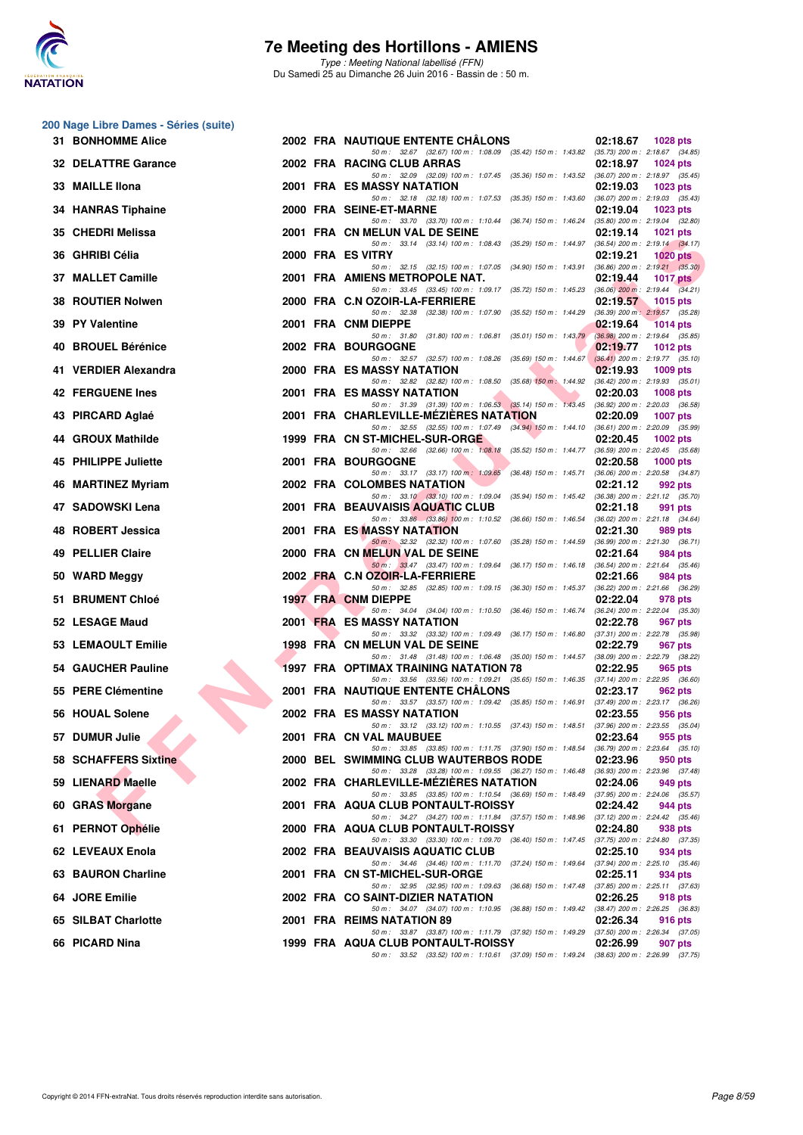

**200 Nage Libre Dames - Séries (suite)**

#### **7e Meeting des Hortillons - AMIENS**

Type : Meeting National labellisé (FFN) Du Samedi 25 au Dimanche 26 Juin 2016 - Bassin de : 50 m.

#### **FINE CARRIER MANUAL METHOD AND SECURE AND SECURE AND SECURE AND SECURE THE RESULTION AND SECURE AND SECURE AND SECURE AND SECURE AND SECURE AND SECURE AND SECURE AND SECURE AND SECURE AND SECURE AND SECURE AND SECURE AND 31 BONHOMME Alice** 2002 **FRA NAUTIQUE ENTENTE CHÂLONS 02:18.67 1028 pts**<br> *50 m : 32.67 (32.67) 100 m : 1:08.09 (35.42) 150 m : 1:43.82 (35.73) 200 m : 2:18.67 (34.85)* 50 m : 32.67 (32.67) 100 m : 1:08.09 (35.42) 150 m : 1:43.82 (35.73) 200 m : 2:18.67 (34.6<br>**NG CLUB ARRAS** (22:**18.97** 1024 pts **32 DELATTRE Garance** 2002 FRA RACING CLUB ARRAS 25.360 150 m i 1:07.45 (35.360 150 m i 1:43.52 (36.07) 200 m i 2:18.97 (35.45) 50 m : 32.09 (32.09) 100 m : 1:07.45 (35.36) 150 m : 1:43.52 (36.07) 200 m : 2:18.97 (35.45)<br>**ASSY NATATION** 02:19.03 1023 pts **33 MAILLE IIona** 2001 FRA ES MASSY NATATION 20219.03 **1023 pts**<br>
<sup>59 59</sup> <sup>59 6</sup> <sup>59 6</sup> <sup>59 6</sup> <sup>32.18</sup> <sup>32.18</sup> <sup>32.18</sup> <sup>32.18</sup> <sup>32.18</sup> <sup>32.18</sup> <sup>32.18</sup> <sup>102.19</sub> 107.53 <sup>43.59</sup> 102:19.03 <sup>43</sup> <sup>32.18</sup> <sup>59</sup> <sup>59</sup> <sup>59</sup> <sup>59</sup> <sup>59</sup></sup> 50 m : 32.18 (32.18) 100 m : 1:07.53 (35.35) 150 m : 1:43.60 **34 HANRAS Tiphaine** 2000 FRA SEINE-ET-MARNE 2000 12:19.04 02:19.04 1023 pts<br>
<sup>50</sup> <sup>50</sup> <sup>33.70</sup> <sup>33.70</sup> <sup>43.70</sub> 100 m; 1:10.44 (36.74) 150 m; 1:16.24 (35.80) 200 m; 2:19.04 (32.80)</sup>  $50 \text{ m}$  :  $33.70$   $(33.70)$   $100 \text{ m}$  :  $1:10.44$   $(36.74)$   $150 \text{ m}$  :  $1:46.24$ **35 CHEDRI Melissa** 2001 FRA CN MELUN VAL DE SEINE 25.29) 150 m : 1:44.97 (36.54) 200 m : 2:19.14 **1021** pts 50 m : 33.14 (33.14) 100 m : 1:08.43 (35.29) 150 m : 1:44.97 **36 GHRIBI Célia 2000 FRA ES VITRY 02:19.21 1020 pts** 50 m : 32.15 (32.15) 100 m : 1:07.05 (34.90) 150 m : 1:43.91 (36.86) 200 m : 2:19.21 (35.30) **37 MALLET Camille** 2001 FRA AMIENS METROPOLE NAT. **02:19.44 1017 pts**<br>50 50 3345 (3345) 100 1 109.17 (35.72) 150 m 145.23 (36.06) 200 m 2:19.44 (34.21)  $50 \text{ m}$  :  $33.45$   $(33.45)$   $100 \text{ m}$  :  $1:09.17$   $(35.72)$   $150 \text{ m}$  :  $1:45.23$ **38 ROUTIER Nolwen** 2000 FRA C.N OZOIR-LA-FERRIERE 202:38 100 m: 1:07.90 (35.52) 150 m: 1:44.29 (36.39) 200 m: 2:19.57 1015 pts 50 m : 32.38 (32.38) 100 m : 1:07.90 (35.52) 150 m : 1:44.29 **39 PY Valentine 1014 pts 2001 FRA CNM DIEPPE 1014 pts 02:19.64 1014 pts 1014 pts 1014 pts 1014 pts 1014 pts 1014 pts 1014 pts 1014 pts 1014 pts 1014 pts 1014 pts 1014 pts 1014 pts 1014** 50 m : 31.80 (31.80) 100 m : 1:06.81 (35.01) 150 m : 1:43.79 **40 BROUEL Bérénice 1012 pts 2002 FRA BOURGOGNE** *60m:* **2007 2007 <b>ERA BOURGOGNE** *02:57 (35.69)* **100m: 1:08.26** (35.69) **150m: 1:44.67** (36.41) **200m: 2:19.77** (35.10)  $50 \text{ m}$  :  $32.57$   $(32.57)$   $100 \text{ m}$  :  $1:08.26$   $(35.69)$   $150 \text{ m}$  :  $1:44.67$ **41 VERDIER Alexandra 1009 pts 1009 pts 1009 pts 1009 pts 1009 pts 1009 pts 141 WERDIER Alexandra 1111 1009 pts 141 <b>1109 141 14.92 16.42 200 m**: **2:19.93 45.01** *50 m*: **3:48** *41.98 9* 50 m : 32.82 (32.82) 100 m : 1:08.50 (35.68) 150 m : 1:44.92 **42 FERGUENE Ines 1008 pts 2001 FRA ES MASSY NATATION 02:20.03 1008 pts 1008 pts 142 FERGUENE Ines 1008 pts 142 FERGUENE Ines 1008 pts 142 FERGUENE Integral of the state of the state of the state** 31.39 (31.39) 100 m : 1:06.53 (35.14) 150 m : 1:43.45 **43 PIRCARD Aglaé 2001 FRA CHARLEVILLE-MÉZIÈRES NATATION 02:20.09 1007 pts** 50 m : 32.55 (32.55) 100 m : 1:07.49 (34.94) 150 m : 1:44.10 **44 GROUX Mathilde 1999 FRA CN ST-MICHEL-SUR-ORGE 62.681 1999 PERA CON ST-MICHEL-SUR-ORGE 62.6681 1002 PTS** 02:20.45 1002 pts  $50 m$  :  $32.66$  (32.66)  $100 m$  :  $1:08.18$ **45 PHILIPPE Juliette 2001 FRA BOURGOGNE 02:20.58 1000 pts** 50 m : 33.17 (33.17) 100 m : 1:09.65 (36.48) 150 m : 1:45.71 (36.06) 200 m : **46 MARTINEZ Myriam** 2002 FRA COLOMBES NATATION 02:21.12 992 pts 992 pts 50 m i 33.10 63.30 100 m i 1:45.42 (36.38) 200 m i 2:21.12 (35.70) 50 m : 33.10 (33.10) 100 m : 1:09.04 (35.94) 150 m : 1:45.42 (36.38) 200 m : 2:21.12 (35.70)<br>**JVAISIS AQUATIC CLUB** 02:21.18 991 pts **47 SADOWSKI Lena** 2001 FRA BEAUVAISIS **AQUATIC CLUB** 22:21.18 991 pts 22:21.18 991 pts 50 m : 33.86 (33.86) 100 m : 1:10.52 (36.66) 150 m : 1:46.54 (36.02) 200 m : 2:21.18 (34.64) **48 ROBERT Jessica 2001 FRA ES MASSY NATATION 02:21.30 989 pts**  $\frac{50 \text{ m}}{32.32}$  (32.32) 100 m : 1:07.60 (35.28) 150 m : 1:44.59 (36.99) 200 m : 2:21.30 (36.72)<br>**ELUN VAL DE SEINE** (2:21.64 984 pts) **49 PELLIER Claire 2000 FRA CN MELUN VAL DE SEINE** 50 m : 33.47 (33.47) 100 m : 1:09.64 (36.17) 150 m : 1:46.18 (36.54) 200 m : 2:21.64 (35.46) **50 WARD Meggy 2002 FRA C.N OZOIR-LA-FERRIERE 02:21.66 984 pts** 50 m : 32.85 (32.85) 100 m : 1:09.15 (36.30) 150 m : 1:45.37 (36.22) 200 m : 2:21.66 (36.29)<br>**DIEPPE** 02:22.04 978 pts **51 BRUMENT Chloé 1997 FRA CNM DIEPPE 02:22.04 978 pts** 50 m : 34.04 (34.04) 100 m : 1:10.50 (36.46) 150 m : 1:46.74 (36.24) 200 m : 2:22.04 (35.30) **52 LESAGE Maud** 2001 FRA ES MASSY NATATION 02:22.78 967 pts<br>50 m; 33.32 100 m; 1:09.49 (36.17) 150 m; 1:46.80 (37.31) 200 m; 222.78 (35.5 50 m : 33.32 (33.32) 100 m : 1:09.49 (36.17) 150 m : 1:46.80 (37.31) 200 m : 2:22.78 (35.98) **53 LEMAOULT Emilie** 1998 FRA CN MELUN VAL DE SEINE 02:22.79 967 pts<br>
<sup>50 m 3148</sup> (3148) 100 m 10648 (3500) 150 m 144.57 (38.09) 200 m 222.79 (38.29)  $50 \text{ m}$  :  $31.48$  ( $31.48$ )  $100 \text{ m}$  :  $1:06.48$  ( $35.00$ )  $150 \text{ m}$  :  $1:44.57$ **54 GAUCHER Pauline** 1997 FRA OPTIMAX TRAINING NATATION 78 02:22.95 965 pts<br>
<sup>50 56</sup> 33.56 (33.56) 100 m: 1:09.21 (35.65) 150 m: 1:46.35 (37.14) 200 m: 2:22.95 (36.60) 50 m : 33.56 (33.56) 100 m : 1:09.21 (35.65) 150 m : 1:46.35 **55 PERE Clémentine** 2001 FRA NAUTIQUE ENTENTE CHÂLONS 02:23.17 962 pts<br>  $50 \text{ m}: 33.57 (33.57) 100 \text{ m}: 1.99.42 (35.85) 150 \text{ m}: 1.46.91 (37.49) 200 \text{ m}: 2.23.17 (36.26)$ 50 m : 33.57 (33.57) 100 m : 1:09.42 (35.85) 150 m : 1:46.91 **56 HOUAL Solene** 2002 FRA ES MASSY NATATION 02:23.55 956 pts 956 pts 6 pts 50 m i 1:10.55 (37.43) 150 m i 1:48.51 (37.96) 200 m i 2:23.55 (35.04) 50 m : 33.12 (33.12) 100 m : 1:10.55 (37.43) 150 m : 1:48.51 **57 DUMUR Julie 2001 FRA CN VAL MAUBUEE 02:23.64 955 pts**<br>  $50 \text{ m}: 33.85 \text{ (33.85)}$   $100 \text{ m}: 1:11.75$   $(37.90)$   $150 \text{ m}: 1:48.54$   $(36.79)$   $200 \text{ m}: 2:23.64$   $(35.10)$ 50 m : 33.85 (33.85) 100 m : 1:11.75 (37.90) 150 m : 1:48.54 **58 SCHAFFERS Sixtine** 2000 BEL SWIMMING CLUB WAUTERBOS RODE 02:23.96 950 pts<br>
<sup>50 50</sup> 33.28 (33.28) 100 m : 1:09.55 (36.27) 150 m : 1:46.48 (36.93) 200 m : 2:23.96 (37.48)  $(33.28)$  100 m : 1:09.55 **59 LIENARD Maelle** 2002 FRA CHARLEVILLE-MÉZIÈRES NATATION 02:24.06 949 pts<br>  $\frac{50 \text{ m} \cdot 33.85}{50 \text{ m} \cdot 33.85}$   $\frac{33.85}{(33.85) \cdot 100 \text{ m} \cdot 1.10.54}$   $\frac{36.89}{(36.89) \cdot 150 \text{ m} \cdot 1.48.49}$   $\frac{(37.95) \cdot 200 \text{ m} \cdot 2$ 50 m : 33.85 (33.85) 100 m : 1:10.54 (36.69) 150 m : 1:48.49 (37.95) 200 m : 2:24.06 (35.57) **60 GRAS Morgane** 2001 FRA AQUA CLUB PONTAULT-ROISSY **02:24.42** 944 pts<br> **60 GRAS Morgane** 224.42 (35.46) **224.42** (35.46) **67.12** (34.27) 100 m: 1:11.84 (37.57) 150 m: 1:48.96 (37.12) 200 m: 2:24.42 (35.46) 34.27 (34.27) 100 m : 1:11.84 (37.57) 150 m : 1:48.96 **61 PERNOT Ophélie** 2000 FRA AQUA CLUB PONTAULT-ROISSY 202:24.80 938 pts<br>
<sup>50 50</sup> 33.30 (33.30) 100 m; 1:09.70 (36.40) 150 m; 1:04.745 (37.75) 200 m; 2:24.80 (37.35)  $503.30$  (33.30) 100 m : 1:09.70 (36.40) 150 m : 1:47.45 (37.75) 200 m : 2:24.80 (37.35)<br> **SIS AQUATIC CLUB** 02:25.10 934 pts **62 LEVEAUX Enola** 2002 **FRA BEAUVAISIS AQUATIC CLUB 02:25.10 034 pts 22:25.10 934 pts 62 LEVEAUX Enola** 50 m : 34.46 (34.46) 100 m : 1:11.70 (37.24) 150 m : 1:49.64 **63 BAURON Charline** 2001 FRA CN ST-MICHEL-SUR-ORGE 22:25.11 934 pts<br>
<sup>50 50</sup> 22:25 132.55 100 m 1 109.63 150 m 1 14748 137.85 200 m 225.11 137.63 50 m : 32.95 (32.95) 100 m : 1:09.63 (36.68) 150 m : 1:47.48 (37.85) 200 m : 2:25.11 (37.6<br>**AINT-DIZIER NATATION** 02:26.25 918 pts **64 JORE Emilie** 2002 FRA CO SAINT-DIZIER NATATION 22:26.25 918 pts<br>
<sup>50 50</sup> 50 683) 50 m : 1:10.95 (36.88) 150 m : 1:10.95 (36.88) 150 m : 1:14.9.42 (38.47) 200 m : 2:26.25 (36.83) 50 m : 34.07 (34.07) 100 m : 1:10.95 (36.88) 150 m : 1:49.42 (38.47) 200 m : <br>**S NATATION 89 02:26.34 65 SILBAT Charlotte 2001 FRA REIMS NATATION 89 02:26.34 916 pts** 50 m : 33.87 (33.87) 100 m : 1:11.79 (37.92) 150 m : 1:49.29 (37.50) 200 m : 2:26.34 (37.05) **66 PICARD Nina 1999 FRA AQUA CLUB PONTAULT-ROISSY 02:26.99 907 pts**

50 m : 33.52 (33.52) 100 m : 1:10.61 (37.09) 150 m : 1:49.24 (38.63) 200 m : 2:26.99 (37.75)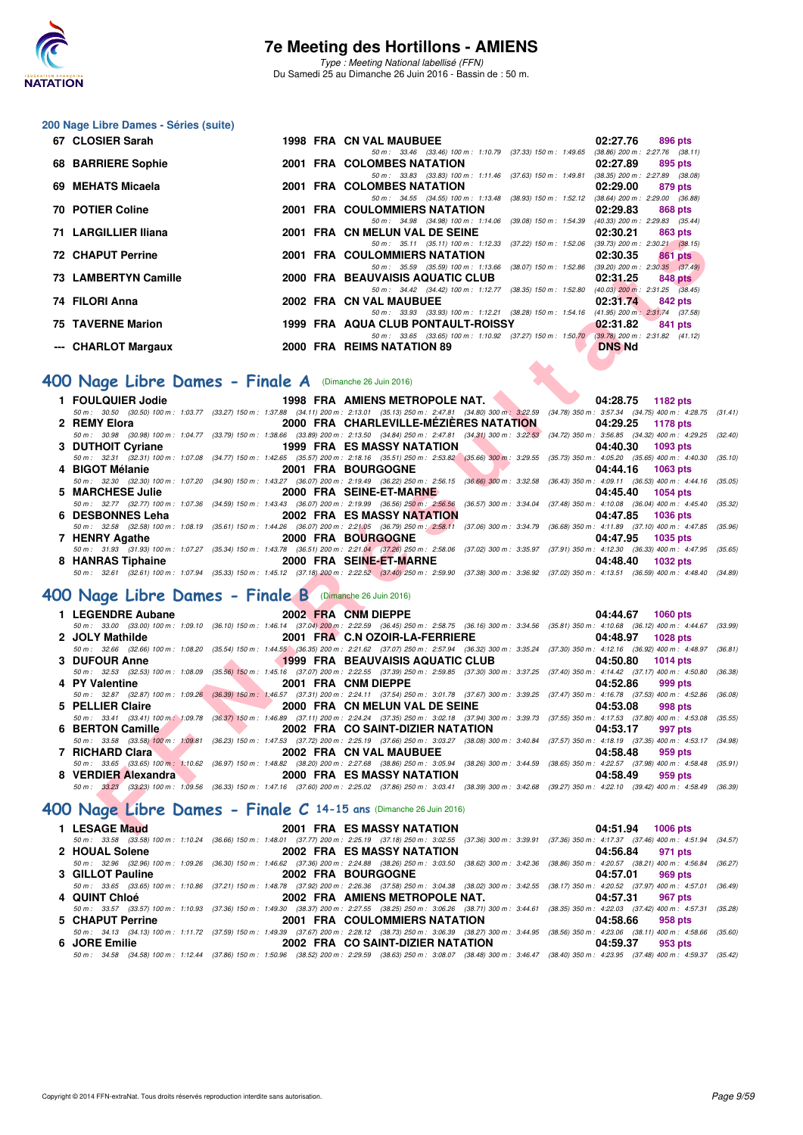

Type : Meeting National labellisé (FFN) Du Samedi 25 au Dimanche 26 Juin 2016 - Bassin de : 50 m.

#### **200 Nage Libre Dames - Séries (suite)**

| 67 CLOSIER Sarah                                              |  | <b>1998 FRA CN VAL MAUBUEE</b>                               |                           | 02:27.76                            | 896 pts |         |
|---------------------------------------------------------------|--|--------------------------------------------------------------|---------------------------|-------------------------------------|---------|---------|
|                                                               |  | 50 m: 33.46 (33.46) 100 m: 1:10.79 (37.33) 150 m: 1:49.65    |                           | $(38.86)$ 200 m : 2:27.76 $(38.11)$ |         |         |
| <b>68 BARRIERE Sophie</b>                                     |  | 2001 FRA COLOMBES NATATION                                   |                           | 02:27.89                            | 895 pts |         |
|                                                               |  | 50 m: 33.83 (33.83) 100 m: 1:11.46 (37.63) 150 m: 1:49.81    |                           | $(38.35)$ 200 m : 2:27.89 $(38.08)$ |         |         |
| 69 MEHATS Micaela                                             |  | 2001 FRA COLOMBES NATATION                                   |                           | 02:29.00                            | 879 pts |         |
|                                                               |  | 50 m: 34.55 (34.55) 100 m: 1:13.48                           | $(38.93)$ 150 m : 1:52.12 | $(38.64)$ 200 m : 2:29.00 $(36.88)$ |         |         |
| 70 POTIER Coline                                              |  | <b>2001 FRA COULOMMIERS NATATION</b>                         |                           | 02:29.83                            | 868 pts |         |
|                                                               |  | 50 m: 34.98 (34.98) 100 m: 1:14.06                           | $(39.08)$ 150 m : 1:54.39 | $(40.33)$ 200 m : 2:29.83 $(35.44)$ |         |         |
| 71 LARGILLIER Iliana                                          |  | 2001 FRA CN MELUN VAL DE SEINE                               |                           | 02:30.21                            | 863 pts |         |
|                                                               |  | 50 m: 35.11 (35.11) 100 m: 1:12.33                           | $(37.22)$ 150 m : 1:52.06 | $(39.73)$ 200 m : 2:30.21 $(38.15)$ |         |         |
| <b>72 CHAPUT Perrine</b>                                      |  | <b>2001 FRA COULOMMIERS NATATION</b>                         |                           | 02:30.35                            |         | 861 pts |
|                                                               |  | 50 m: 35.59 (35.59) 100 m: 1:13.66                           | $(38.07)$ 150 m : 1:52.86 | $(39.20)$ 200 m : 2:30.35 $(37.49)$ |         |         |
| 73 LAMBERTYN Camille                                          |  | 2000 FRA BEAUVAISIS AQUATIC CLUB                             |                           | 02:31.25                            |         | 848 pts |
|                                                               |  | 50 m : 34.42 (34.42) 100 m : 1:12.77 (38.35) 150 m : 1:52.80 |                           | $(40.03)$ 200 m : 2:31.25 $(38.45)$ |         |         |
| 74 FILORI Anna                                                |  | 2002 FRA CN VAL MAUBUEE                                      |                           | 02:31.74                            | 842 pts |         |
|                                                               |  | 50 m: 33.93 (33.93) 100 m: 1:12.21 (38.28) 150 m: 1:54.16    |                           | $(41.95)$ 200 m : 2:31.74 $(37.58)$ |         |         |
| 75 TAVERNE Marion                                             |  | 1999 FRA AQUA CLUB PONTAULT-ROISSY                           |                           | 02:31.82                            |         | 841 pts |
|                                                               |  | 50 m: 33.65 (33.65) 100 m: 1:10.92 (37.27) 150 m: 1:50.70    |                           | $(39.78)$ 200 m : 2:31.82 $(41.12)$ |         |         |
| --- CHARLOT Margaux                                           |  | 2000 FRA REIMS NATATION 89                                   |                           | <b>DNS Nd</b>                       |         |         |
|                                                               |  |                                                              |                           |                                     |         |         |
|                                                               |  |                                                              |                           |                                     |         |         |
| <b>OO Nage Libre Dames - Finale A</b> (Dimanche 26 Juin 2016) |  |                                                              |                           |                                     |         |         |
|                                                               |  |                                                              |                           |                                     |         |         |

### **[400 Nage Libre Dames - Finale A](http://www.ffnatation.fr/webffn/resultats.php?idact=nat&go=epr&idcpt=38947&idepr=4)** (Dimanche 26 Juin 2016)

| T LANGILLIEN IIIAIIA                                               |  | ZUUT FRA CIVINELUIV VAL DE SEINE<br><b>UZ.JU.ZI</b><br><b>OUJ PIS</b>                                                                                                                                                                          |
|--------------------------------------------------------------------|--|------------------------------------------------------------------------------------------------------------------------------------------------------------------------------------------------------------------------------------------------|
| <b>2 CHAPUT Perrine</b>                                            |  | 50 m: 35.11 (35.11) 100 m: 1:12.33 (37.22) 150 m: 1:52.06 (39.73) 200 m: 2:30.21 (38.15)<br><b>2001 FRA COULOMMIERS NATATION</b><br>02:30.35<br>861 pts                                                                                        |
|                                                                    |  | 50 m: 35.59 (35.59) 100 m: 1:13.66 (38.07) 150 m: 1:52.86 (39.20) 200 m: 2:30.35 (37.49)                                                                                                                                                       |
| 73   LAMBERTYN Camille                                             |  | 2000 FRA BEAUVAISIS AQUATIC CLUB<br>02:31.25<br>848 pts                                                                                                                                                                                        |
|                                                                    |  | 50 m: 34.42 (34.42) 100 m: 1:12.77 (38.35) 150 m: 1:52.80 (40.03) 200 m: 2:31.25 (38.45)                                                                                                                                                       |
| 74 FILORI Anna                                                     |  | 2002 FRA CN VAL MAUBUEE<br>02:31.74<br>842 pts                                                                                                                                                                                                 |
|                                                                    |  | 50 m: 33.93 (33.93) 100 m: 1:12.21 (38.28) 150 m: 1:54.16 (41.95) 200 m: 2:31.74 (37.58)                                                                                                                                                       |
| 75 TAVERNE Marion                                                  |  | 1999 FRA AQUA CLUB PONTAULT-ROISSY<br>02:31.82<br>841 pts<br>50 m: 33.65 (33.65) 100 m: 1:10.92 (37.27) 150 m: 1:50.70 (39.78) 200 m: 2:31.82 (41.12)                                                                                          |
| -- CHARLOT Margaux                                                 |  | 2000 FRA REIMS NATATION 89<br><b>DNS Nd</b>                                                                                                                                                                                                    |
|                                                                    |  |                                                                                                                                                                                                                                                |
|                                                                    |  |                                                                                                                                                                                                                                                |
| <b>00 Nage Libre Dames - Finale A</b> (Dimanche 26 Juin 2016)      |  |                                                                                                                                                                                                                                                |
| 1 FOULQUIER Jodie                                                  |  | 1998 FRA AMIENS METROPOLE NAT.<br>04:28.75<br>1182 pts                                                                                                                                                                                         |
|                                                                    |  | 50 m: 30.50 (30.50) 100 m: 1:03.77 (33.27) 150 m: 1:37.88 (34.11) 200 m: 2:13.01 (35.13) 250 m: 2:47.81 (34.80) 300 m: 3:22.59 (34.78) 350 m: 3:57.34 (34.75) 400 m: 4:28.75 (31.41)                                                           |
| 2 REMY Elora                                                       |  | 2000 FRA CHARLEVILLE-MEZIERES NATATION<br>04:29.25<br><b>1178 pts</b>                                                                                                                                                                          |
|                                                                    |  | 50 m: 30.98 (30.98) 100 m: 1:04.77 (33.79) 150 m: 1:38.66 (33.89) 200 m: 2:13.50 (34.84) 250 m: 2:47.81 (34.31) 300 m: 3:22.53 (34.72) 350 m: 3:56.85 (34.32) 400 m: 4:29.25 (32.40)                                                           |
| 3 DUTHOIT Cyriane                                                  |  | <b>1999 FRA ES MASSY NATATION</b><br>04:40.30<br>1093 pts                                                                                                                                                                                      |
|                                                                    |  | 50 m: 32.31 (32.31) 100 m: 1:07.08 (34.77) 150 m: 1:42.65 (35.57) 200 m: 2:18.16 (35.51) 250 m: 2:53.82 (35.66) 300 m: 3:29.55 (35.73) 350 m: 4:05.20 (35.65) 400 m: 4:40.30<br>(35.10)                                                        |
| 4 BIGOT Mélanie                                                    |  | 2001 FRA BOURGOGNE<br>04:44.16<br>1063 pts                                                                                                                                                                                                     |
|                                                                    |  | 50 m: 32.30 (32.30) 100 m: 1:07.20 (34.90) 150 m: 1:43.27 (36.07) 200 m: 2:19.49 (36.22) 250 m: 2:56.15 (36.66) 300 m: 3:32.58 (36.43) 350 m: 4:09.11 (36.53) 400 m: 4:44.16 (35.05)                                                           |
| 5 MARCHESE Julie                                                   |  | 2000 FRA SEINE-ET-MARNE<br>04:45.40<br><b>1054 pts</b>                                                                                                                                                                                         |
|                                                                    |  | 50 m: 32.77 (32.77) 100 m: 1:07.36 (34.59) 150 m: 1:43.43 (36.07) 200 m: 2:19.99 (36.56) 250 m: 2:56.56 (36.57) 300 m: 3:34.04 (37.48) 350 m: 4:10.08 (36.04) 400 m: 4:45.40<br>(35.32)                                                        |
| 6 DESBONNES Leha                                                   |  | <b>2002 FRA ES MASSY NATATION</b><br>04:47.85<br><b>1036 pts</b>                                                                                                                                                                               |
|                                                                    |  | 50 m: 32.58 (32.58) 100 m: 1:08.19 (35.61) 150 m: 1:44.26 (36.07) 200 m: 2:21.05 (36.79) 250 m: 2:58.11 (37.06) 300 m: 3:34.79 (36.68) 350 m: 4:11.89 (37.10) 400 m: 4:47.85 (35.96)                                                           |
| 7 HENRY Agathe                                                     |  | <b>2000 FRA BOURGOGNE</b><br>04:47.95<br>1035 pts                                                                                                                                                                                              |
|                                                                    |  | 50 m: 31.93 (31.93) 100 m: 1:07.27 (35.34) 150 m: 1:43.78 (36.51) 200 m: 2:21.04 (37.26) 250 m: 2:58.06 (37.02) 300 m: 3:35.97 (37.91) 350 m: 4:12.30 (36.33) 400 m: 4:47.95 (35.65)<br>2000 FRA SEINE-ET-MARNE<br>04:48.40<br>1032 pts        |
| 8 HANRAS Tiphaine                                                  |  | 50 m : 32.61 (32.61) 100 m : 1:07.94 (35.33) 150 m : 1:45.12 (37.18) 200 m : 2:22.52 (37.40) 250 m : 2:59.90 (37.38) 300 m : 3:36.92 (37.02) 350 m : 4:13.51 (36.59) 400 m : 4:48.40 (34.89)                                                   |
|                                                                    |  |                                                                                                                                                                                                                                                |
| <b>00 Nage Libre Dames - Finale B</b> (Dimanche 26 Juin 2016)      |  |                                                                                                                                                                                                                                                |
|                                                                    |  |                                                                                                                                                                                                                                                |
| 1 LEGENDRE Aubane                                                  |  | 2002 FRA CNM DIEPPE<br>04:44.67<br><b>1060 pts</b>                                                                                                                                                                                             |
| 2 JOLY Mathilde                                                    |  | 50 m: 33.00 (33.00) 100 m: 1:09.10 (36.10) 150 m: 1:46.14 (37.04) 200 m: 2:22.59 (36.45) 250 m: 2:58.75 (36.16) 300 m: 3:34.56 (35.81) 350 m: 4:10.68 (36.12) 400 m: 4:44.67 (33.99)<br>2001 FRA C.N OZOIR-LA-FERRIERE<br>04:48.97<br>1028 pts |
|                                                                    |  | 50 m : 32.66 (32.66) 100 m : 1:08.20 (35.54) 150 m : 1:44.55 (36.35) 200 m : 2:21.62 (37.07) 250 m : 2:57.94 (36.32) 300 m : 3:35.24 (37.30) 350 m : 4:12.16 (36.92) 400 m : 4:48.97<br>(36.81)                                                |
| 3 DUFOUR Anne                                                      |  | <b>1999 FRA BEAUVAISIS AQUATIC CLUB</b><br>04:50.80<br><b>1014 pts</b>                                                                                                                                                                         |
|                                                                    |  | 50 m: 32.53 (32.53) 100 m: 1:08.09 (35.56) 150 m: 1:45.16 (37.07) 200 m: 2:22.55 (37.39) 250 m: 2:59.85 (37.30) 300 m: 3:37.25 (37.40) 350 m: 4:14.42 (37.17) 400 m: 4:50.80<br>(36.38)                                                        |
| 4 PY Valentine                                                     |  | 2001 FRA CNM DIEPPE<br>04:52.86<br>999 pts                                                                                                                                                                                                     |
|                                                                    |  | 50 m: 32.87 (32.87) 100 m: 1:09.26 (36.39) 150 m: 1:46.57 (37.31) 200 m: 2:24.11 (37.54) 250 m: 3:01.78 (37.67) 300 m: 3:39.25 (37.47) 350 m: 4:16.78 (37.53) 400 m: 4:52.86<br>(36.08)                                                        |
| 5 PELLIER Claire                                                   |  | 2000 FRA CN MELUN VAL DE SEINE<br>04:53.08<br>998 pts                                                                                                                                                                                          |
|                                                                    |  | 50 m: 33.41 (33.41) 100 m: 1:09.78 (36.87) 150 m: 1:46.89 (37.11) 200 m: 2:24.24 (37.35) 250 m: 3:02.18 (37.94) 300 m: 3:39.73 (37.55) 350 m: 4:17.53 (37.80) 400 m: 4:53.08<br>(35.55)                                                        |
| 6 BERTON Camille                                                   |  | 2002 FRA CO SAINT-DIZIER NATATION<br>04:53.17<br>997 pts                                                                                                                                                                                       |
|                                                                    |  | 50 m: 33.58 (33.58) 100 m: 1:09.81 (36.23) 150 m: 1:47.53 (37.72) 200 m: 2:25.19 (37.66) 250 m: 3:03.27 (38.08) 300 m: 3:40.84 (37.57) 350 m: 4:18.19 (37.35) 400 m: 4:53.17 (34.98)                                                           |
| 7 RICHARD Clara                                                    |  | 2002 FRA CN VAL MAUBUEE<br>04:58.48<br>959 pts                                                                                                                                                                                                 |
|                                                                    |  | 50 m: 33.65 (33.65) 100 m: 1:10.62 (36.97) 150 m: 1:48.82 (38.20) 200 m: 2:27.68 (38.86) 250 m: 3:05.94 (38.26) 300 m: 3:44.59 (38.65) 350 m: 4:22.57 (37.98) 400 m: 4:58.48 (35.91)                                                           |
| 8 VERDIER Alexandra                                                |  | <b>2000 FRA ES MASSY NATATION</b><br>04:58.49<br>959 pts                                                                                                                                                                                       |
|                                                                    |  | 50 m : 33.23 (33.23) 100 m : 1.09.56 (36.33) 150 m : 1:47.16 (37.60) 200 m : 2:25.02 (37.86) 250 m : 3:03.41 (38.39) 300 m : 3:42.68 (39.27) 350 m : 4:22.10 (39.42) 400 m : 4:58.49 (36.39)                                                   |
|                                                                    |  |                                                                                                                                                                                                                                                |
| $90$ Nage Libre Dames - Finale C 14-15 ans (Dimanche 26 Juin 2016) |  |                                                                                                                                                                                                                                                |
| 1 LESAGE Maud                                                      |  | <b>2001 FRA ES MASSY NATATION</b><br>04:51.94<br><b>1006 pts</b>                                                                                                                                                                               |

### **[400 Nage Libre Dames - Finale B](http://www.ffnatation.fr/webffn/resultats.php?idact=nat&go=epr&idcpt=38947&idepr=4)** (Dimanche 26 Juin 2016)

| 1 LEGENDRE Aubane   | 2002 FRA CNM DIEPPE                                                                                                                                                                          | 04:44.67 1060 pts      |
|---------------------|----------------------------------------------------------------------------------------------------------------------------------------------------------------------------------------------|------------------------|
|                     | 50 m: 33.00 (33.00) 100 m: 1:09.10 (36.10) 150 m: 1:46.14 (37.04) 200 m: 2:22.59 (36.45) 250 m: 2:58.75 (36.16) 300 m: 3:34.56 (35.81) 350 m: 4:10.68 (36.12) 400 m: 4:44.67 (33.99)         |                        |
| 2 JOLY Mathilde     | 2001 FRA C.N OZOIR-LA-FERRIERE                                                                                                                                                               | 04:48.97 1028 pts      |
|                     | 50 m : 32.66 (32.66) 100 m : 1:08.20 (35.54) 150 m : 1:44.55 (36.35) 200 m : 2:21.62 (37.07) 250 m : 2:57.94 (36.32) 300 m : 3:35.24 (37.30) 350 m : 4:12.16 (36.92) 400 m : 4:48.97 (36.81) |                        |
| 3 DUFOUR Anne       | <b>1999 FRA BEAUVAISIS AQUATIC CLUB</b>                                                                                                                                                      | 04:50.80<br>1014 $pts$ |
|                     | 50 m: 32.53 (32.53) 100 m: 1:08.09 (35.56) 150 m: 1:45.16 (37.07) 200 m: 2:22.55 (37.39) 250 m: 2:59.85 (37.30) 300 m: 3:37.25 (37.40) 350 m: 4:14.42 (37.17) 400 m: 4:50.80 (36.38)         |                        |
| 4 PY Valentine      | 2001 FRA CNM DIEPPE                                                                                                                                                                          | 04:52.86 999 pts       |
|                     | 50 m: 32.87 (32.87) 100 m: 1:09.26 (36.39) 150 m: 1:46.57 (37.31) 200 m: 2:24.11 (37.54) 250 m: 3:01.78 (37.67) 300 m: 3:39.25 (37.47) 350 m: 4:16.78 (37.53) 400 m: 4:52.86 (36.08)         |                        |
| 5 PELLIER Claire    | 2000 FRA CN MELUN VAL DE SEINE                                                                                                                                                               | 04:53.08<br>998 pts    |
|                     | 50 m: 33.41 (33.41) 100 m; 1:09.78 (36.37) 150 m: 1:46.89 (37.11) 200 m: 2:24.24 (37.35) 250 m: 3:02.18 (37.94) 300 m: 3:39.73 (37.55) 350 m: 4:17.53 (37.80) 400 m: 4:53.08 (35.55)         |                        |
| 6 BERTON Camille    | 2002 FRA CO SAINT-DIZIER NATATION                                                                                                                                                            | 04:53.17<br>997 pts    |
|                     | 50 m: 33.58 (33.58) 100 m: 1:09.81 (36.23) 150 m: 1:47.53 (37.72) 200 m: 2:25.19 (37.66) 250 m: 3:03.27 (38.08) 300 m: 3:40.84 (37.57) 350 m: 4:18.19 (37.35) 400 m: 4:53.17 (34.98)         |                        |
| 7 RICHARD Clara     | 2002 FRA CN VAL MAUBUEE                                                                                                                                                                      | 04:58.48<br>959 pts    |
|                     | 50 m: 33.65 (33.65) 100 m: 1:10.62 (36.97) 150 m: 1:48.82 (38.20) 200 m: 2:27.68 (38.86) 250 m: 3:05.94 (38.26) 300 m: 3:44.59 (38.65) 350 m: 4:22.57 (37.98) 400 m: 4:58.48 (35.91)         |                        |
| 8 VERDIER Alexandra | 2000 FRA ES MASSY NATATION                                                                                                                                                                   | 04:58.49<br>959 pts    |
|                     |                                                                                                                                                                                              |                        |

## **[400 Nage Libre Dames - Finale C](http://www.ffnatation.fr/webffn/resultats.php?idact=nat&go=epr&idcpt=38947&idepr=4) 14-15 ans** (Dimanche 26 Juin 2016)

| 1 LESAGE Maud    | <b>2001 FRA ES MASSY NATATION</b> | 04:51.94 1006 pts                                                                                                                                                                            |
|------------------|-----------------------------------|----------------------------------------------------------------------------------------------------------------------------------------------------------------------------------------------|
|                  |                                   | 50 m: 33.58 (33.58) 100 m: 1:10.24 (36.66) 150 m: 1:48.01 (37.77) 200 m: 2:25.19 (37.18) 250 m: 3:02.55 (37.36) 300 m: 3:39.91 (37.36) 350 m: 4:17.37 (37.46) 400 m: 4:51.94 (34.57)         |
| 2 HOUAL Solene   | 2002 FRA ES MASSY NATATION        | 04:56.84 971 pts                                                                                                                                                                             |
|                  |                                   | 50 m : 32.96 (32.96) 100 m : 1:09.26 (36.30) 150 m : 1:46.62 (37.36) 200 m : 2:24.88 (38.26) 250 m : 3:03.50 (38.62) 300 m : 3:42.36 (38.86) 350 m : 4:20.57 (38.21) 400 m : 4:56.84 (36.27) |
| 3 GILLOT Pauline | 2002 FRA BOURGOGNE                | 04:57.01 969 pts                                                                                                                                                                             |
|                  |                                   | 50 m: 33.65 (33.65) 100 m: 1:10.86 (37.21) 150 m: 1:48.78 (37.92) 200 m: 2:26.36 (37.58) 250 m: 3:04.38 (38.02) 300 m: 3:42.55 (38.17) 350 m: 4:20.52 (37.97) 400 m: 4:57.01 (36.49)         |
| 4 QUINT Chloé    | 2002 FRA AMIENS METROPOLE NAT.    | 04:57.31 967 pts                                                                                                                                                                             |
|                  |                                   | 50 m: 33.57 (33.57) 100 m: 1:10.93 (37.36) 150 m: 1:49.30 (38.37) 200 m: 2:27.55 (38.25) 250 m: 3:06.26 (38.71) 300 m: 3:44.61 (38.35) 350 m: 4:22.03 (37.42) 400 m: 4:57.31 (35.28)         |
| 5 CHAPUT Perrine | 2001 FRA COULOMMIERS NATATION     | 04:58.66 958 pts                                                                                                                                                                             |
|                  |                                   | 50 m: 34.13 (34.13) 100 m: 1:11.72 (37.59) 150 m: 1:49.39 (37.67) 200 m: 2:28.12 (38.73) 250 m: 3:06.39 (38.27) 300 m: 3:44.95 (38.56) 350 m: 4:23.06 (38.11) 400 m: 4:58.66 (35.60)         |
| 6 JORE Emilie    | 2002 FRA CO SAINT-DIZIER NATATION | 04:59.37 953 pts                                                                                                                                                                             |
|                  |                                   | 50 m : 34.58 (34.58) 100 m : 1:12.44 (37.86) 150 m : 1:50.96 (38.52) 200 m : 2:29.59 (38.63) 250 m : 3:08.07 (38.48) 300 m : 3:46.47 (38.40) 350 m : 4:23.95 (37.48) 400 m : 4:59.37 (35.42) |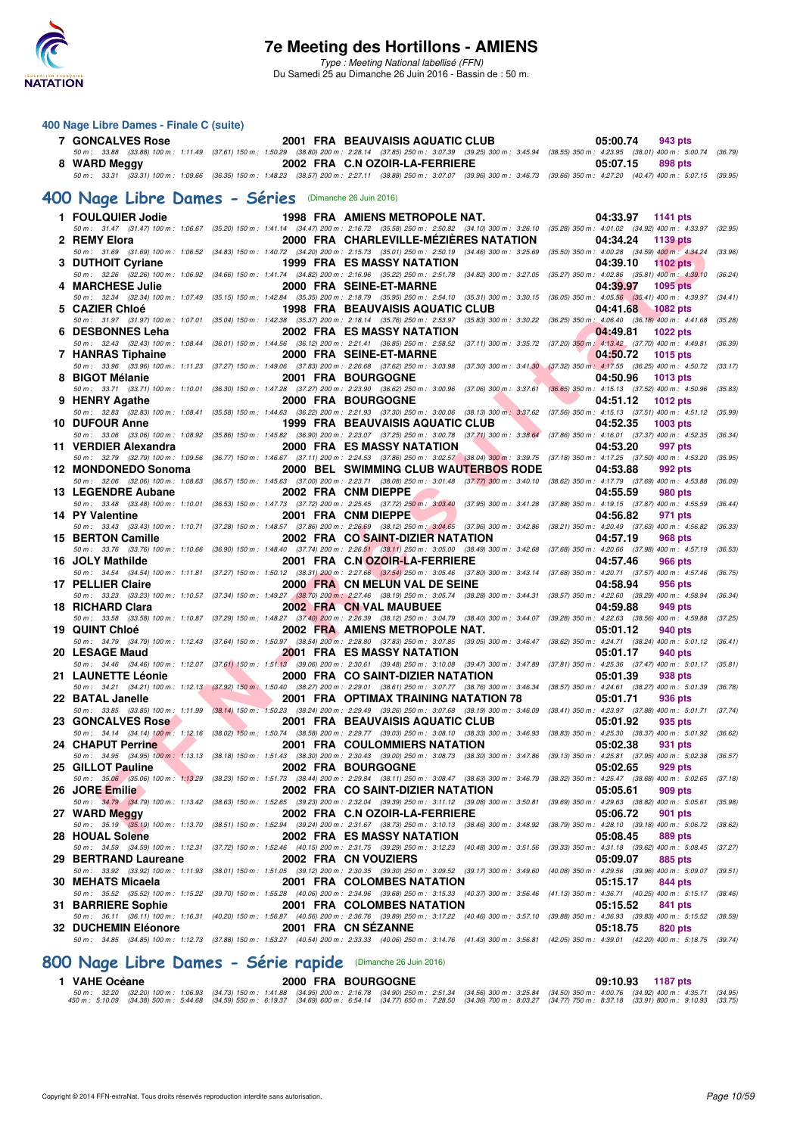

#### **400 Nage Libre Dames - Finale C (suite)**

| <b>7 GONCALVES Rose</b>                               |                                            | 2001 FRA BEAUVAISIS AQUATIC CLUB                                                                                                                                                                                                      | 05:00.74<br>943 pts                                                  |         |
|-------------------------------------------------------|--------------------------------------------|---------------------------------------------------------------------------------------------------------------------------------------------------------------------------------------------------------------------------------------|----------------------------------------------------------------------|---------|
| 8 WARD Meggy                                          |                                            | 50 m: 33.88 (33.88) 100 m: 1:11.49 (37.61) 150 m: 1:50.29 (38.80) 200 m: 2:28.14 (37.85) 250 m: 3:07.39 (39.25) 300 m: 3:45.94 (38.55) 350 m: 4:23.95 (38.01) 400 m: 5:00.74 (36.79)<br>2002 FRA C.N OZOIR-LA-FERRIERE                | 05:07.15<br>898 pts                                                  |         |
|                                                       |                                            | 50 m: 33.31 (33.31) 100 m: 1:09.66 (36.35) 150 m: 1:48.23 (38.57) 200 m: 2:27.11 (38.88) 250 m: 3:07.07 (39.96) 300 m: 3:46.73 (39.66) 350 m: 4:27.20 (40.47) 400 m: 5:07.15 (39.95)                                                  |                                                                      |         |
| 400 Nage Libre Dames - Séries (Dimanche 26 Juin 2016) |                                            |                                                                                                                                                                                                                                       |                                                                      |         |
| 1 FOULQUIER Jodie                                     |                                            | 1998 FRA AMIENS METROPOLE NAT.                                                                                                                                                                                                        | 04:33.97<br>1141 pts                                                 |         |
| 2 REMY Elora                                          |                                            | 50 m: 31.47 (31.47) 100 m: 1:06.67 (35.20) 150 m: 1:41.14 (34.47) 200 m: 2:16.72 (35.58) 250 m: 2:50.82 (34.10) 300 m: 3:26.10 (35.28) 350 m: 4:01.02 (34.92) 400 m: 4:33.97 (32.95)<br>2000 FRA CHARLEVILLE-MEZIERES NATATION        | 04:34.24<br>1139 pts                                                 |         |
|                                                       |                                            | 50 m: 31.69 (31.69) 100 m: 1:06.52 (34.83) 150 m: 1:40.72 (34.20) 200 m: 2:15.73 (35.01) 250 m: 2:50.19 (34.46) 300 m: 3:25.69 (35.50) 350 m: 4:00.28 (34.59) 400 m: 4:34.24 (33.96)                                                  |                                                                      |         |
| 3 DUTHOIT Cyriane                                     |                                            | 1999 FRA ES MASSY NATATION<br>50 m: 32.26 (32.26) 100 m: 1:06.92 (34.66) 150 m: 1:41.74 (34.82) 200 m: 2:16.96 (35.22) 250 m: 2:51.78 (34.82) 300 m: 3:27.05 (35.27) 350 m: 4:02.86 (35.81) 400 m: 4:39.10 (36.24)                    | 04:39.10<br><b>1102 pts</b>                                          |         |
| 4 MARCHESE Julie                                      |                                            | 2000 FRA SEINE-ET-MARNE                                                                                                                                                                                                               | 04:39.97<br>1095 pts                                                 |         |
| 5 CAZIER Chloé                                        |                                            | 50 m: 32.34 (32.34) 100 m: 1:07.49 (35.15) 150 m: 1:42.84 (35.35) 200 m: 2:18.79 (35.95) 250 m: 2:54.10 (35.31) 300 m: 3:30.15 (36.05) 350 m: 4:05.56 (35.41) 400 m: 4:39.97 (34.41)<br><b>1998 FRA BEAUVAISIS AQUATIC CLUB</b>       | 04:41.68<br>1082 pts                                                 |         |
|                                                       |                                            | 50 m: 31.97 (31.97) 100 m: 1:07.01 (35.04) 150 m: 1:42.38 (35.37) 200 m: 2:18.14 (35.76) 250 m: 2:53.97 (35.83) 300 m: 3:30.22 (36.25) 350 m: 4:06.40 (36.18) 400 m: 4:41.68 (35.28)                                                  |                                                                      |         |
| 6 DESBONNES Leha                                      |                                            | 2002 FRA ES MASSY NATATION<br>50 m: 32.43 (32.43) 100 m: 1:08.44 (36.01) 150 m: 1:44.56 (36.12) 200 m: 2:21.41 (36.85) 250 m: 2:58.52 (37.11) 300 m: 3:35.72 (37.20) 350 m: 4:13.42 (37.70) 400 m: 4:49.81 (36.39)                    | 04:49.81<br><b>1022 pts</b>                                          |         |
| 7 HANRAS Tiphaine                                     |                                            | 2000 FRA SEINE-ET-MARNE                                                                                                                                                                                                               | 04:50.72<br><b>1015 pts</b>                                          |         |
| 8 BIGOT Mélanie                                       |                                            | 50 m: 33.96 (33.96) 100 m: 1:11.23 (37.27) 150 m: 1:49.06 (37.83) 200 m: 2:26.68 (37.62) 250 m: 3:03.98 (37.30) 300 m: 3:41.30 (37.32) 350 m: 4:17.55 (36.25) 400 m: 4:50.72 (33.17)<br>2001 FRA BOURGOGNE                            | 04:50.96<br>1013 pts                                                 |         |
|                                                       |                                            | 50 m: 33.71 (33.71) 100 m: 1:10.01 (36.30) 150 m: 1:47.28 (37.27) 200 m: 2:23.90 (36.62) 250 m: 3:00.96 (37.06) 300 m: 3:37.61 (36.65) 350 m: 4:15.13 (37.52) 400 m: 4:50.96 (35.83)                                                  |                                                                      |         |
| 9 HENRY Agathe                                        |                                            | 2000 FRA BOURGOGNE<br>50 m: 32.83 (32.83) 100 m: 1:08.41 (35.58) 150 m: 1:44.63 (36.22) 200 m: 2:21.93 (37.30) 250 m: 3:00.06 (38.13) 300 m: 3:37.62 (37.56) 350 m: 4:15.13 (37.51) 400 m: 4:51.12 (35.99)                            | 04:51.12<br><b>1012 pts</b>                                          |         |
| <b>10 DUFOUR Anne</b>                                 |                                            | 1999 FRA BEAUVAISIS AQUATIC CLUB                                                                                                                                                                                                      | 04:52.35<br>1003 pts                                                 |         |
| 11 VERDIER Alexandra                                  |                                            | 50 m: 33.06 (33.06) 100 m: 1:08.92 (35.86) 150 m: 1:45.82 (36.90) 200 m: 2:23.07 (37.25) 250 m: 3:00.78 (37.71) 300 m: 3:38.64 (37.86) 350 m: 4:16.01 (37.37) 400 m: 4:52.35 (36.34)<br>2000 FRA ES MASSY NATATION                    | 04:53.20<br>997 pts                                                  |         |
|                                                       |                                            | 50 m : 32.79 (32.79) 100 m : 1:09.56 (36.77) 150 m : 1:46.67 (37.11) 200 m : 2:24.53 (37.86) 250 m : 3:02.57 (38.04) 300 m : 3:39.75 (37.18) 350 m : 4:17.25 (37.50) 400 m : 4:53.20                                                  |                                                                      | (35.95) |
| 12 MONDONEDO Sonoma                                   |                                            | 2000 BEL SWIMMING CLUB WAUTERBOS RODE<br>50 m : 32.06 (32.06) 100 m : 1:08.63 (36.57) 150 m : 1:45.63 (37.00) 200 m : 2:23.71 (38.08) 250 m : 3:01.48 (37.77) 300 m : 3:40.10 (38.62) 350 m : 4:17.79 (37.69) 400 m : 4:53.88 (36.09) | 04:53.88<br>992 pts                                                  |         |
| 13 LEGENDRE Aubane                                    |                                            | 2002 FRA CNM DIEPPE                                                                                                                                                                                                                   | 04:55.59<br><b>980 pts</b>                                           |         |
| 14 PY Valentine                                       |                                            | 50 m: 33.48 (33.48) 100 m: 1:10.01 (36.53) 150 m: 1:47.73 (37.72) 200 m: 2:25.45 (37.72) 250 m: 3:03.40 (37.95) 300 m: 3:41.28 (37.88) 350 m: 4:19.15 (37.87) 400 m: 4:55.59 (36.44)<br>2001 FRA CNM DIEPPE                           | 04:56.82<br>971 pts                                                  |         |
|                                                       |                                            | 50 m: 33.43 (33.43) 100 m: 1:10.71 (37.28) 150 m: 1:48.57 (37.86) 200 m: 2:26.69 (38.12) 250 m: 3:04.65 (37.96) 300 m: 3:42.86 (38.21) 350 m: 4:20.49 (37.63) 400 m: 4:56.82 (36.33)                                                  |                                                                      |         |
| 15 BERTON Camille                                     |                                            | 2002 FRA CO SAINT-DIZIER NATATION<br>50 m: 33.76 (33.76) 100 m: 1:10.66 (36.90) 150 m: 1:48.40 (37.74) 200 m: 2:26.51 (38.11) 250 m: 3:05.00 (38.49) 300 m: 3:42.68 (37.68) 350 m: 4:20.66 (37.98) 400 m: 4:57.19 (36.53)             | 04:57.19<br>968 pts                                                  |         |
| 16 JOLY Mathilde                                      |                                            | 2001 FRA C.N OZOIR-LA-FERRIERE                                                                                                                                                                                                        | 04:57.46<br>966 pts                                                  |         |
| 17 PELLIER Claire                                     |                                            | 50 m: 34.54 (34.54) 100 m: 1:11.81 (37.27) 150 m: 1:50.12 (38.31) 200 m: 2:27.66 (37.54) 250 m: 3:05.46 (37.80) 300 m: 3:43.14 (37.68) 350 m: 4:20.71 (37.57) 400 m: 4:57.46 (36.75)<br>2000 FRA CN MELUN VAL DE SEINE                | 04:58.94<br>956 pts                                                  |         |
|                                                       |                                            | 50 m: 33.23 (33.23) 100 m: 1:10.57 (37.34) 150 m: 1:49.27 (38.70) 200 m: 2:27.46 (38.19) 250 m: 3:05.74 (38.28) 300 m: 3:44.31 (38.57) 350 m: 4:22.60 (38.29) 400 m: 4:58.94 (36.34)                                                  |                                                                      |         |
| 18 RICHARD Clara                                      |                                            | 2002 FRA CN VAL MAUBUEE<br>50 m: 33.58 (33.58) 100 m: 1:10.87 (37.29) 150 m: 1:48.27 (37.40) 200 m: 2:26.39 (38.12) 250 m: 3:04.79 (38.40) 300 m: 3:44.07 (39.28) 350 m: 4:22.63 (38.56) 400 m: 4:59.88 (37.25)                       | 04:59.88<br>949 pts                                                  |         |
| 19 QUINT Chloé                                        |                                            | 2002 FRA AMIENS METROPOLE NAT.                                                                                                                                                                                                        | 05:01.12<br>940 pts                                                  |         |
| 20 LESAGE Maud                                        |                                            | 50 m: 34.79 (34.79) 100 m: 1:12.43 (37.64) 150 m: 1:50.97 (38.54) 200 m: 2:28.80 (37.83) 250 m: 3:07.85 (39.05) 300 m: 3:46.47 (38.62) 350 m: 4:24.71 (38.24) 400 m: 5:01.12 (36.41)<br><b>2001 FRA ES MASSY NATATION</b>             | 05:01.17<br>940 pts                                                  |         |
|                                                       |                                            | 50 m: 34.46 (34.46) 100 m: 1:12.07 (37.61) 150 m: 1:51.13 (39.06) 200 m: 2:30.61 (39.48) 250 m: 3:10.08 (39.47) 300 m: 3:47.89 (37.81) 350 m: 4:25.36 (37.47) 400 m: 5:01.17 (35.81)                                                  |                                                                      |         |
| 21 LAUNETTE Léonie                                    |                                            | 2000 FRA CO SAINT-DIZIER NATATION<br>50 m: 34.21 (34.21) 100 m: 1:12.13 (37.92) 150 m \ 1:50.40 (38.27) 200 m: 2:29.01 (38.61) 250 m: 3:07.77 (38.76) 300 m: 3:46.34 (38.57) 350 m: 4:24.61 (38.27) 400 m: 5:01.39 (36.78)            | 05:01.39<br>938 pts                                                  |         |
| 22 BATAL Janelle                                      | <b>Contract Contract Contract Contract</b> | 2001 FRA OPTIMAX TRAINING NATATION 78<br>50 m: 33.85 (33.85) 100 m: 1:11.99 (38.14) 150 m: 1:50.23 (38.24) 200 m: 2:29.49 (39.26) 250 m: 3:07.68 (38.19) 300 m: 3:46.09 (38.41) 350 m: 4:23.97 (37.88) 400 m: 5:01.71 (37.74)         | 05:01.71<br>936 pts                                                  |         |
| 23 GONCALVES Rose                                     |                                            | 2001 FRA BEAUVAISIS AQUATIC CLUB                                                                                                                                                                                                      | 05:01.92<br>935 pts                                                  |         |
| 24 CHAPUT Perrine                                     |                                            | 50 m: 34.14 (34.14) 100 m: 1:12.16 (38.02) 150 m: 1:50.74 (38.58) 200 m: 2:29.77 (39.03) 250 m: 3:08.10 (38.33) 300 m: 3:46.93 (38.83) 350 m: 4:25.30 (38.37) 400 m: 5:01.92 (36.62)<br>2001 FRA COULOMMIERS NATATION                 | 05:02.38<br>931 pts                                                  |         |
|                                                       |                                            | 50 m: 34.95 (34.95) 100 m: 1:13.13 (38.18) 150 m: 1:51.43 (38.30) 200 m: 2:30.43 (39.00) 250 m: 3:08.73 (38.30) 300 m: 3:47.86 (39.13) 350 m: 4:25.81 (37.95) 400 m: 5:02.38 (36.57)                                                  |                                                                      |         |
| 25 GILLOT Pauline                                     |                                            | 2002 FRA BOURGOGNE<br>50 m : 35,06 (35.06) 100 m : 1;13.29 (38.23) 150 m : 1:51.73 (38.44) 200 m : 2:29.84 (38.11) 250 m : 3:08.47 (38.63) 300 m : 3:46.79 (38.62) 350 m : 4:25.47 (38.68) 400 m : 5:02.65                            | 05:02.65<br>929 pts                                                  | (37.18) |
| 26 JORE Emilie                                        |                                            | 2002 FRA CO SAINT-DIZIER NATATION                                                                                                                                                                                                     | 05:05.61<br>909 pts                                                  |         |
| 27 WARD Meggy                                         |                                            | 50 m : 34.79 (34.79) 100 m : 1:13.42 (38.63) 150 m : 1:52.65 (39.23) 200 m : 2:32.04 (39.39) 250 m : 3:11.12 (39.08) 300 m : 3:50.81<br>2002 FRA C.N OZOIR-LA-FERRIERE                                                                | (39.69) 350 m: 4:29.63 (38.82) 400 m: 5:05.61<br>05:06.72<br>901 pts | (35.98) |
|                                                       |                                            | 50 m: 35.19 (35.19) 100 m: 1:13.70 (38.51) 150 m: 1:52.94 (39.24) 200 m: 2:31.67 (38.73) 250 m: 3:10.13 (38.46) 300 m: 3:48.92 (38.79) 350 m: 4:28.10 (39.18) 400 m: 5:06.72                                                          |                                                                      | (38.62) |
| 28 HOUAL Solene                                       |                                            | 2002 FRA ES MASSY NATATION<br>50 m: 34.59 (34.59) 100 m: 1:12.31 (37.72) 150 m: 1:52.46 (40.15) 200 m: 2:31.75 (39.29) 250 m: 3:12.23 (40.48) 300 m: 3:51.56 (39.33) 350 m: 4:31.18 (39.62) 400 m: 5:08.45                            | 05:08.45<br>889 pts                                                  | (37.27) |
| 29 BERTRAND Laureane                                  |                                            | 2002 FRA CN VOUZIERS                                                                                                                                                                                                                  | 05:09.07<br>885 pts                                                  |         |
| 30 MEHATS Micaela                                     |                                            | 50 m: 33.92 (33.92) 100 m: 1:11.93 (38.01) 150 m: 1:51.05 (39.12) 200 m: 2:30.35 (39.30) 250 m: 3:09.52 (39.17) 300 m: 3:49.60 (40.08) 350 m: 4:29.56 (39.96) 400 m: 5:09.07<br>2001 FRA COLOMBES NATATION                            | 05:15.17<br>844 pts                                                  | (39.51) |
|                                                       |                                            | 50 m : 35.52 (35.52) 100 m : 1:15.22 (39.70) 150 m : 1:55.28 (40.06) 200 m : 2:34.96 (39.68) 250 m : 3:15.33 (40.37) 300 m : 3:56.46 (41.13) 350 m : 4:36.71 (40.25) 400 m : 5:15.17 (38.46)                                          |                                                                      |         |
| 31 BARRIERE Sophie                                    |                                            | 2001 FRA COLOMBES NATATION<br>50 m: 36.11 (36.11) 100 m: 1:16.31 (40.20) 150 m: 1:56.87 (40.56) 200 m: 2:36.76 (39.89) 250 m: 3:17.22 (40.46) 300 m: 3:57.10 (39.88) 350 m: 4:36.93 (39.83) 400 m: 5:15.52                            | 05:15.52<br>841 pts                                                  | (38.59) |
| 32 DUCHEMIN Eléonore                                  |                                            | 2001 FRA CN SEZANNE                                                                                                                                                                                                                   | 05:18.75<br>820 pts                                                  |         |
|                                                       |                                            | 50 m : 34.85 (34.85) 100 m : 1:12.73 (37.88) 150 m : 1:53.27 (40.54) 200 m : 2:33.33 (40.06) 250 m : 3:14.76 (41.43) 300 m : 3:56.81 (42.05) 350 m : 4:39.01 (42.20) 400 m : 5:18.75 (39.74)                                          |                                                                      |         |

### **[800 Nage Libre Dames - Série rapide](http://www.ffnatation.fr/webffn/resultats.php?idact=nat&go=epr&idcpt=38947&idepr=5)** (Dimanche 26 Juin 2016)

# $\begin{array}{l} \textbf{1} \textbf{ VAHE Océane} \textbf{2} \textbf{0} \textbf{0} \textbf{0} \textbf{0} \textbf{0} \textbf{0} \textbf{0} \textbf{0} \textbf{0} \textbf{0} \textbf{0} \textbf{0} \textbf{0} \textbf{0} \textbf{0} \textbf{0} \textbf{0} \textbf{0} \textbf{0} \textbf{0} \textbf{0} \textbf{0} \textbf{0} \textbf{0} \textbf{0} \textbf{0} \textbf{0} \textbf{0} \textbf{0} \textbf{0} \textbf{0} \textbf$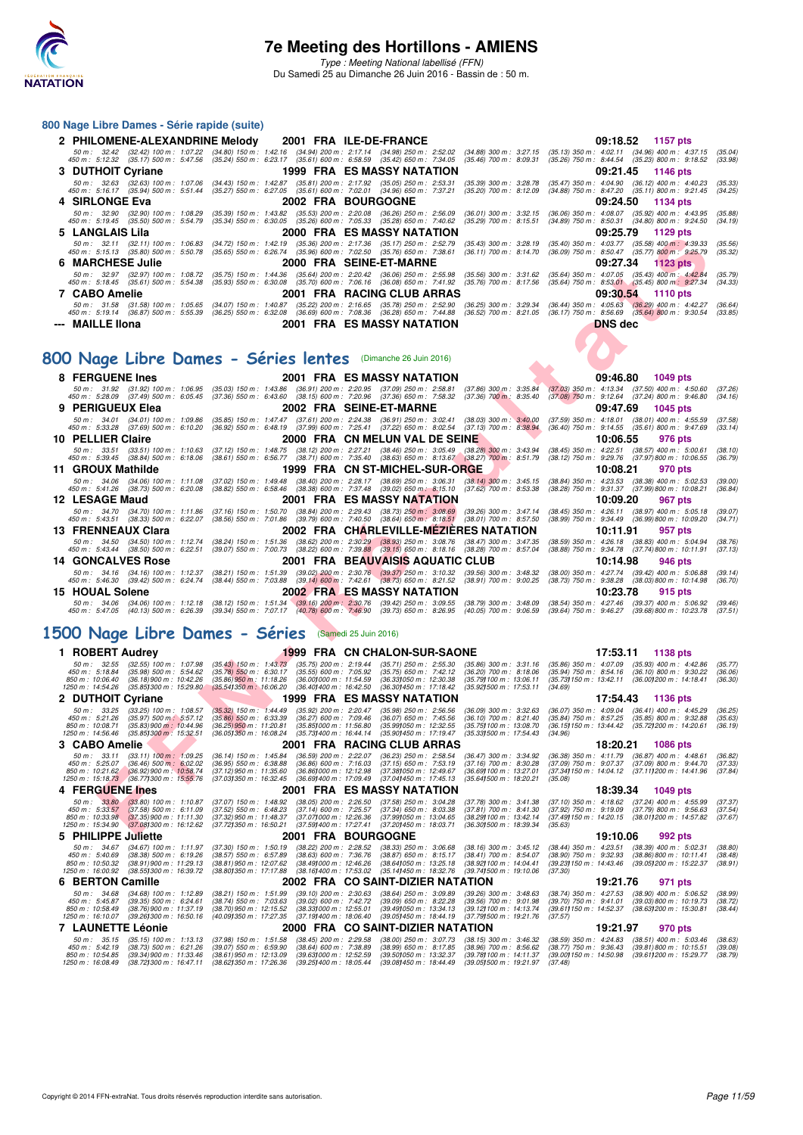

#### **800 Nage Libre Dames - Série rapide (suite)**

| 2 PHILOMENE-ALEXANDRINE Melody 2001 FRA ILE-DE-FRANCE |                                                                                                                                                                                                                                                                                 | 09:18.52 1157 pts                                                                                                                                                                                                                                                 |
|-------------------------------------------------------|---------------------------------------------------------------------------------------------------------------------------------------------------------------------------------------------------------------------------------------------------------------------------------|-------------------------------------------------------------------------------------------------------------------------------------------------------------------------------------------------------------------------------------------------------------------|
|                                                       | 50 m: 32.42 (32.42) 100 m: 1:07.22 (34.80) 150 m: 1:42.16 (34.94) 200 m: 2:17.14 (34.98) 250 m: 2:52.02 (34.88) 300 m: 3:27.15<br>450 m : 5:12.32 (35.17) 500 m : 5:47.56 (35.24) 550 m : 6:23.17 (35.61) 600 m : 6:58.59 (35.42) 650 m : 7:34.05 (35.46) 700 m : 8:09.31       | $(35.13)$ 350 m : 4:02.11 $(34.96)$ 400 m : 4:37.15<br>(35.04)<br>$(35.26)$ 750 m : 8:44.54 $(35.23)$ 800 m : 9:18.52<br>(33.98)                                                                                                                                  |
| 3 DUTHOIT Cyriane                                     | 1999 FRA ES MASSY NATATION                                                                                                                                                                                                                                                      | 09:21.45 1146 pts                                                                                                                                                                                                                                                 |
|                                                       | 50 m : 32.63 (32.63) 100 m : 1:07.06 (34.43) 150 m : 1:42.87 (35.81) 200 m : 2:17.92 (35.05) 250 m : 2:53.31 (35.39) 300 m : 3:28.78<br>450 m : 5:16.17 (35.94) 500 m : 5:51.44 (35.27) 550 m : 6:27.05 (35.61) 600 m : 7:02.01 (34.96) 650 m : 7:37.21 (35.20) 700 m : 8:12.09 | $(35.47)$ 350 m : 4:04.90 $(36.12)$ 400 m : 4:40.23<br>(35.33)<br>(34.88) 750 m : 8:47.20 (35.11) 800 m : 9:21.45<br>(34.25)                                                                                                                                      |
| 4 SIRLONGE Eva                                        | <b>2002 FRA BOURGOGNE</b>                                                                                                                                                                                                                                                       | 09:24.50 1134 pts                                                                                                                                                                                                                                                 |
|                                                       | 450 m : 5:19.45 (35.50) 500 m : 5:54.79 (35.34) 550 m : 6:30.05 (35.26) 600 m : 7:05.33 (35.28) 650 m : 7:40.62 (35.29) 700 m : 8:15.51                                                                                                                                         | 50 m : 32.90 (32.90) 100 m : 1:08.29 (35.39) 150 m : 1:43.82 (35.53) 200 m : 2:20.08 (36.26) 250 m : 2:56.09 (36.01) 300 m : 3:32.15 (36.06) 350 m : 4:08.07 (35.92) 400 m : 4:43.95<br>(35.88)<br>$(34.89)$ 750 m : 8:50.31 $(34.80)$ 800 m : 9:24.50<br>(34.19) |
| 5 LANGLAIS Lila                                       | <b>2000 FRA ES MASSY NATATION</b>                                                                                                                                                                                                                                               | 09:25.79 1129 pts                                                                                                                                                                                                                                                 |
| 50 m : 32.11                                          | (32.11) 100 m : 1:06.83 (34.72) 150 m : 1:42.19 (35.36) 200 m : 2:17.36 (35.17) 250 m : 2:52.79<br>450 m : 5:15.13 (35.80) 500 m : 5:50.78 (35.65) 550 m : 6:26.74 (35.96) 600 m : 7:02.50 (35.76) 650 m : 7:38.61                                                              | $(35.40)$ 350 m : 4:03.77 $(35.58)$ 400 m : 4:39.33<br>$(35.43)$ 300 m : 3:28.19<br>(35.56)<br>(36.09) 750 m : 8:50.47 (35.77) 800 m : 9:25.79<br>(35.32)<br>$(36.11)$ 700 m : 8:14.70                                                                            |
| 6 MARCHESE Julie                                      | <b>2000 FRA SEINE-ET-MARNE</b>                                                                                                                                                                                                                                                  | 09:27.34 1123 pts                                                                                                                                                                                                                                                 |
|                                                       | 50 m : 32.97 (32.97) 100 m : 1:08.72 (35.75) 150 m : 1:44.36 (35.64) 200 m : 2:20.42 (36.06) 250 m : 2:55.98 (35.56) 300 m : 3:31.62<br>450 m : 5:18.45 (35.61) 500 m : 5:54.38 (35.93) 550 m : 6:30.08 (35.70) 600 m : 7:06.16 (36.08) 650 m : 7:41.92 (35.76) 700 m : 8:17.56 | $(35.64)$ 350 m : 4:07.05 $(35.43)$ 400 m : 4:42.84<br>(35.79)<br>$(35.64)$ 750 m $: 8.53.01$ $(35.45)$ 800 m $: 9.27.34$<br>(34.33)                                                                                                                              |
| 7 CABO Amelie                                         | <b>2001 FRA RACING CLUB ARRAS</b>                                                                                                                                                                                                                                               | 09:30.54 1110 pts                                                                                                                                                                                                                                                 |
|                                                       | 450 m : 5:19.14 (36.87) 500 m : 5:55.39 (36.25) 550 m : 6:32.08 (36.69) 600 m : 7:08.36 (36.28) 650 m : 7:44.88 (36.52) 700 m : 8:21.05                                                                                                                                         | 50 m : 31.58 (31.58) 100 m : 1:05.65 (34.07) 150 m : 1:40.87 (35.22) 200 m : 2:16.65 (35.78) 250 m : 2:52.90 (36.25) 300 m : 3:29.34 (36.44) 350 m : 4:05.63 (36.29) 400 m : 4:42.27<br>(36.64)<br>$(36.17)$ 750 m : 8:56.69 $(35.64)$ 800 m : 9:30.54<br>(33.85) |
| --- MAILLE IIona                                      | <b>2001 FRA ES MASSY NATATION</b>                                                                                                                                                                                                                                               | DNS dec                                                                                                                                                                                                                                                           |

## **[800 Nage Libre Dames - Séries lentes](http://www.ffnatation.fr/webffn/resultats.php?idact=nat&go=epr&idcpt=38947&idepr=5)** (Dimanche 26 Juin 2016)

|    | LANGLAIS                                                                                                                                    | ZUUU FRA EJMAJJI                                                                                                                                                        |                                                                                                    |                                                         | <u>09.29.19</u><br>בוע כגו ו                                                                                    |                    |
|----|---------------------------------------------------------------------------------------------------------------------------------------------|-------------------------------------------------------------------------------------------------------------------------------------------------------------------------|----------------------------------------------------------------------------------------------------|---------------------------------------------------------|-----------------------------------------------------------------------------------------------------------------|--------------------|
|    | 50 m: 32.11 (32.11) 100 m: 1:06.83<br>450 m : 5:15.13 (35.80) 500 m : 5:50.78                                                               | (34.72) 150 m: 1:42.19 (35.36) 200 m: 2:17.36 (35.17) 250 m: 2:52.79<br>(35.65) 550 m: 6:26.74 (35.96) 600 m: 7:02.50 (35.76) 650 m: 7:38.61                            |                                                                                                    | $(35.43)$ 300 m : 3:28.19<br>$(36.11)$ 700 m : 8:14.70  | (35.40) 350 m : 4:03.77 (35.58) 400 m : 4:39.33<br>(36.09) 750 m : 8:50.47 (35.77) 800 m : 9:25.79              | (35.56)<br>(35.32) |
| 6. | <b>MARCHESE Julie</b>                                                                                                                       |                                                                                                                                                                         | 2000 FRA SEINE-ET-MARNE                                                                            |                                                         | 09:27.34<br><b>1123 pts</b>                                                                                     |                    |
|    | 50 m: 32.97 (32.97) 100 m: 1:08.72<br>450 m : 5:18.45 (35.61) 500 m : 5:54.38                                                               | $(35.75)$ 150 m : 1:44.36<br>(35.93) 550 m : 6:30.08 (35.70) 600 m : 7:06.16 (36.08) 650 m : 7:41.92                                                                    | (35.64) 200 m : 2:20.42 (36.06) 250 m : 2:55.98                                                    | $(35.56)$ 300 m : 3:31.62<br>$(35.76)$ 700 m : 8:17.56  | (35.64) 350 m: 4:07.05 (35.43) 400 m: 4:42.84<br>$(35.64)$ 750 m : 8:53.01 $(35.45)$ 800 m : 9:27.34            | (35.79)<br>(34.33) |
|    | 7 CABO Amelie                                                                                                                               |                                                                                                                                                                         | 2001 FRA RACING CLUB ARRAS                                                                         |                                                         | 09:30.54<br><b>1110 pts</b>                                                                                     |                    |
|    | 50 m: 31.58 (31.58) 100 m: 1:05.65                                                                                                          | $(34.07)$ 150 m : 1:40.87                                                                                                                                               | (35.22) 200 m : 2:16.65 (35.78) 250 m : 2:52.90                                                    | $(36.25)$ 300 m : 3:29.34                               | $(36.44)$ 350 m : 4:05.63<br>$(36.29)$ 400 m : 4:42.27                                                          | (36.64)            |
|    | 450 m : 5:19.14 (36.87) 500 m : 5:55.39<br>--- MAILLE IIona                                                                                 | $(36.69)$ 600 m : 7:08.36<br>$(36.25)$ 550 m : 6:32.08                                                                                                                  | $(36.28)$ 650 m : 7:44.88<br>2001 FRA ES MASSY NATATION                                            | $(36.52)$ 700 m : 8:21.05                               | $(36.17)$ 750 m : 8:56.69<br>$(35.64)$ 800 m : 9:30.54<br><b>DNS</b> dec                                        | (33.85)            |
|    |                                                                                                                                             |                                                                                                                                                                         |                                                                                                    |                                                         |                                                                                                                 |                    |
|    |                                                                                                                                             |                                                                                                                                                                         |                                                                                                    |                                                         |                                                                                                                 |                    |
|    | 00 Nage Libre Dames - Séries lentes (Dimanche 26 Juin 2016)                                                                                 |                                                                                                                                                                         |                                                                                                    |                                                         |                                                                                                                 |                    |
|    | 8 FERGUENE Ines                                                                                                                             |                                                                                                                                                                         | <b>2001 FRA ES MASSY NATATION</b>                                                                  |                                                         | 09:46.80<br>1049 pts                                                                                            |                    |
|    | 50 m : 31.92 (31.92) 100 m : 1:06.95<br>450 m : 5:28.09 (37.49) 500 m : 6:05.45                                                             | (35.03) 150 m : 1:43.86 (36.91) 200 m : 2:20.95 (37.09) 250 m : 2:58.81<br>(37.36) 550 m : 6:43.60 (38.15) 600 m : 7:20.96 (37.36) 650 m : 7:58.32                      |                                                                                                    | (37.86) 300 m : 3:35.84<br>$(37.36)$ 700 m : 8:35.40    | $(37.03)$ 350 m : 4:13.34<br>$(37.50)$ 400 m : 4:50.60<br>(37.08) 750 m : 9:12.64 (37.24) 800 m : 9:46.80       | (37.26)<br>(34.16) |
|    | 9 PERIGUEUX Elea                                                                                                                            |                                                                                                                                                                         | 2002 FRA SEINE-ET-MARNE                                                                            |                                                         | 09:47.69<br><b>1045 pts</b>                                                                                     |                    |
|    | 50 m: 34.01 (34.01) 100 m: 1:09.86<br>450 m : 5:33.28 (37.69) 500 m : 6:10.20                                                               | (35.85) 150 m: 1:47.47 (37.61) 200 m: 2:24.38 (36.91) 250 m: 3:02.41<br>(36.92) 550 m : 6:48.19 (37.99) 600 m : 7:25.41 (37.22) 650 m : 8:02.54 (37.13) 700 m : 8:38.94 |                                                                                                    | $(38.03)$ 300 m : 3:40.00                               | $(37.59)$ 350 m : 4:18.01<br>$(38.01)$ 400 m : 4:55.59<br>(36.40) 750 m : 9:14.55 (35.61) 800 m : 9:47.69       | (37.58)<br>(33.14) |
|    | 10 PELLIER Claire                                                                                                                           |                                                                                                                                                                         | 2000 FRA CN MELUN VAL DE SEINE                                                                     |                                                         | 10:06.55<br>976 pts                                                                                             |                    |
|    | 50 m: 33.51<br>$(33.51)$ 100 m : 1:10.63<br>450 m : 5:39.45 (38.84) 500 m : 6:18.06                                                         | (37.12) 150 m : 1:48.75 (38.12) 200 m : 2:27.21<br>(38.71) 600 m : 7:35.40<br>$(38.61)$ 550 m : 6:56.77                                                                 | (38.46) 250 m : 3:05.49 (38.28) 300 m : 3:43.94<br>(38.63) 650 m : 8:13.67 (38.27) 700 m : 8:51.79 |                                                         | (38.45) 350 m : 4:22.51<br>$(38.57)$ 400 m : 5:00.61<br>$(38.12)$ 750 m : $9:29.76$<br>(37.97) 800 m : 10:06.55 | (38.10)<br>(36.79) |
|    | 11 GROUX Mathilde                                                                                                                           |                                                                                                                                                                         | 1999 FRA CN ST-MICHEL-SUR-ORGE                                                                     |                                                         | 10:08.21<br>970 pts                                                                                             |                    |
|    | 50 m: 34.06 (34.06) 100 m: 1:11.08                                                                                                          | (37.02) 150 m : 1:49.48 (38.40) 200 m : 2:28.17 (38.69) 250 m : 3:06.31 (38.14) 300 m : 3:45.15                                                                         |                                                                                                    |                                                         | $(38.84)$ 350 m : 4:23.53<br>$(38.38)$ 400 m : 5:02.53                                                          | (39.00)            |
|    | 450 m : 5:41.26 (38.73) 500 m : 6:20.08<br><b>12 LESAGE Maud</b>                                                                            | $(38.82)$ 550 m : 6:58.46                                                                                                                                               | $(38.38)$ 600 m : 7:37.48 $(39.02)$ 650 m : 8:15.10<br>2001 FRA ES MASSY NATATION                  | $(37.62)$ 700 m : 8:53.38                               | $(38.28)$ 750 m : $9.31.37$<br>(37.99) 800 m : 10:08.21<br>10:09.20<br>967 pts                                  | (36.84)            |
|    | 50 m: 34.70 (34.70) 100 m: 1:11.86                                                                                                          | $(37.16)$ 150 m : 1:50.70 $(38.84)$ 200 m : 2:29.43 $(38.73)$ 250 m : 3:08.69 $(39.26)$ 300 m : 3:47.14                                                                 |                                                                                                    |                                                         | (38.45) 350 m : 4:26.11<br>$(38.97)$ 400 m : 5:05.18                                                            | (39.07)            |
|    | 450 m : 5:43.51 (38.33) 500 m : 6:22.07<br>13 FRENNEAUX Clara                                                                               | $(38.56)$ 550 m $: 7.01.86$ $(39.79)$ 600 m $: 7.40.50$ $(38.64)$ 650 m $: 8.18.51$                                                                                     | 2002 FRA CHARLEVILLE-MEZIERES NATATION                                                             | $(38.01)$ 700 m : 8:57.50                               | (38.99) 750 m : 9:34.49 (36.99) 800 m : 10:09.20<br>10:11.91<br>957 pts                                         | (34.71)            |
|    | 50 m: 34.50 (34.50) 100 m: 1:12.74                                                                                                          | (38.24) 150 m: 1:51.36 (38.62) 200 m: 2:30.29 (38.93) 250 m: 3:08.76                                                                                                    |                                                                                                    | $(38.47)$ 300 m : 3:47.35                               | (38.59) 350 m : 4:26.18<br>(38.83) 400 m : 5:04.94                                                              | (38.76)            |
|    | 450 m : 5:43.44 (38.50) 500 m : 6:22.51                                                                                                     | $(39.07)$ 550 m : 7:00.73 $(38.22)$ 600 m : 7:39.88 $(39.15)$ 650 m : 8:18.16                                                                                           |                                                                                                    | $(38.28)$ 700 m : 8:57.04                               | (38.88) 750 m: 9:34.78 (37.74) 800 m: 10:11.91                                                                  | (37.13)            |
|    | <b>14 GONCALVES Rose</b><br>50 m: 34.16 (34.16) 100 m: 1:12.37                                                                              | (38.21) 150 m : 1:51.39 (39.02) 200 m : 2:30.76 (39.37) 250 m : 3:10.32                                                                                                 | 2001 FRA BEAUVAISIS AQUATIC CLUB                                                                   | (39.56) 300 m : 3:48.32                                 | 10:14.98<br>946 pts<br>(38.00) 350 m : 4:27.74 (39.42) 400 m : 5:06.88                                          | (39.14)            |
|    | 450 m: 5:46.30 (39.42) 500 m: 6:24.74                                                                                                       | (38.44) 550 m : 7:03.88 (39.14) 600 m : 7:42.61 (38.73) 650 m : 8:21.52                                                                                                 |                                                                                                    | $(38.91)$ 700 m : 9:00.25                               | (38.73) 750 m : 9:38.28 (38.03) 800 m : 10:14.98                                                                | (36.70)            |
|    | 15 HOUAL Solene<br>50 m: 34.06 (34.06) 100 m: 1:12.18                                                                                       | $(38.12)$ 150 m : 1:51.34 $(39.16)$ 200 m : 2:30.76 $(39.42)$ 250 m : 3:09.55                                                                                           | 2002 FRAIES MASSY NATATION                                                                         | $(38.79)$ 300 m : 3:48.09                               | 10:23.78<br>915 pts<br>(38.54) 350 m : 4:27.46<br>$(39.37)$ 400 m : 5:06.92                                     | (39.46)            |
|    | 450 m : 5:47.05 (40.13) 500 m : 6:26.39                                                                                                     | (39.34) 550 m : 7:07.17 (40.78) 600 m : 7:46.90                                                                                                                         | $(39.73)$ 650 m : 8:26.95                                                                          | $(40.05)$ 700 m : 9:06.59                               | (39.64) 750 m : 9:46.27 (39.68) 800 m : 10:23.78                                                                | (37.51)            |
|    |                                                                                                                                             |                                                                                                                                                                         |                                                                                                    |                                                         |                                                                                                                 |                    |
|    | 500 Nage Libre Dames - Séries (Samedi 25 Juin 2016)                                                                                         |                                                                                                                                                                         |                                                                                                    |                                                         |                                                                                                                 |                    |
|    | 1 ROBERT Audrey                                                                                                                             |                                                                                                                                                                         | 1999 FRA CN CHALON-SUR-SAONE                                                                       |                                                         | 17:53.11<br>1138 pts                                                                                            |                    |
|    | 50 m: 32.55 (32.55) 100 m: 1:07.98<br>$(35.98)$ 500 m : 5:54.62<br>450 m: 5:18.84                                                           | $(35.43)$ 150 m : 1:43.73 $(35.75)$ 200 m : 2:19.44<br>(35.78) 550 m : 6.30.17<br>$(35.55)$ 600 m : 7:05.92                                                             | $(35.71)$ 250 m : 2:55.30<br>$(35.75)$ 650 m : 7:42.12                                             | $(35.86)$ 300 m : 3:31.16<br>$(36.20)$ 700 m : 8:18.06  | (35.86) 350 m: 4:07.09 (35.93) 400 m: 4:42.86<br>(35.94) 750 m : 8:54.16 (36.10) 800 m : 9:30.22                | (35.77)<br>(36.06) |
|    | 850 m: 10:06.40<br>$(36.18)900 \text{ m}$ : 10:42.26<br>1250 m: 14:54.26<br>(35.851300 m : 15:29.80                                         | (36.001000 m: 11:54.59)<br>$(35.86)$ 950 m : 11:18.26<br>$(35.541350 \text{ m} : 16.06.20)$<br>$(36.401400 \text{ m} : 16:42.50)$                                       | (36.331050 m: 12:30.38)<br>(36.301450 m : 17:18.42)                                                | (35.79) 100 m : 13:06.11<br>(35.921500 m: 17:53.11      | (35.73) 150 m : 13:42.11 (36.00) 200 m : 14:18.41<br>(34.69)                                                    | (36.30)            |
|    | 2 DUTHOIT Cyriane                                                                                                                           |                                                                                                                                                                         | 1999 FRA ES MASSY NATATION                                                                         |                                                         | 17:54.43<br>1136 pts                                                                                            |                    |
|    | 50 m: 33.25<br>$(33.25)$ 100 m : 1:08.57<br>450 m : 5:21.26<br>$(35.97)$ 500 m : 5:57.12                                                    | (35.92) 200 m : 2:20.47<br>$(35.32)$ 150 m : 1:44.49<br>$(35.86)$ 550 m : 6:33.39<br>$(36.27)$ 600 m : 7:09.46                                                          | $(35.98)$ 250 m : 2:56.56<br>$(36.07)$ 650 m : 7:45.56                                             | $(36.09)$ 300 m : 3:32.63<br>(36.10) 700 m : 8:21.40    | (36.07) 350 m : 4:09.04<br>$(36.41)$ 400 m : 4:45.29<br>(35.84) 750 m : 8:57.25<br>$(35.85)$ 800 m : 9:32.88    | (36.25)<br>(35.63) |
|    | 850 m: 10:08.71<br>$(35.83)$ 900 m : 10:44.96<br>1250 m : 14:56.46<br>(35.851300 m : 15:32.51                                               | $(36.25)$ 950 m : 11:20.81<br>(35.85) 000 m: 11:56.80<br>(36.051350 m : 16.08.24)<br>(35.731400 m : 16:44.14                                                            | (35.99) 050 m: 12:32.55<br>(35.901450 m : 17:19.47                                                 | (35.75) 100 m : 13:08.70<br>(35.331500 m : 17:54.43)    | (36.15) 150 m : 13:44.42<br>(35.72) 200 m : 14:20.61<br>(34.96)                                                 | (36.19)            |
|    | 3 CABO Amelie                                                                                                                               |                                                                                                                                                                         | 2001 FRA RACING CLUB ARRAS                                                                         |                                                         | 18:20.21<br><b>1086 pts</b>                                                                                     |                    |
|    | 50 m: 33.11<br>$(33.11)$ 100 m : 1:09.25<br>450 m: 5:25.07<br>$(36.46)$ 500 m : 6:02.02                                                     | (36.59) 200 m : 2:22.07<br>(36.14) 150 m : 1:45.84<br>$(36.95)$ 550 m : 6:38.88<br>$(36.86)$ 600 m : 7:16.03                                                            | $(36.23)$ 250 m : 2:58.54<br>$(37.15)$ 650 m : 7:53.19                                             | (36.47) 300 m : 3:34.92<br>$(37.16)$ 700 m : 8:30.28    | (36.38) 350 m : 4:11.79<br>$(36.87)$ 400 m : 4:48.61<br>(37.09) 750 m : 9:07.37<br>(37.09) 800 m : 9:44.70      | (36.82)<br>(37.33) |
|    | 850 m: 10:21.62<br>(36.92) 900 m : 10:58.74<br>1250 m: 15:18.73<br>(36.77) 300 m : 15:55.76                                                 | (37.12) 950 m: 11:35.60<br>(36.861000 m: 12:12.98<br>(37.031350 m: 16:32.45)<br>(36.69) 400 m : 17:09.49                                                                | (37.381050 m : 12:49.67<br>(37.04) 450 m : 17:45.13                                                | (36.69) 100 m : 13:27.01<br>(35.641500 m: 18:20.21      | (37.34) 150 m: 14:04.12 (37.11) 200 m: 14:41.96<br>(35.08)                                                      | (37.84)            |
|    | 4 FERGUENE Ines                                                                                                                             |                                                                                                                                                                         | 2001 FRA ES MASSY NATATION                                                                         |                                                         | 18:39.34<br>1049 pts                                                                                            |                    |
|    | 50 m: 33.80 (33.80) 100 m: 1:10.87                                                                                                          | $(38.05)$ 200 m : 2:26.50<br>$(37.07)$ 150 m : 1:48.92                                                                                                                  | $(37.58)$ 250 m : $3.04.28$                                                                        | $(37.78)$ 300 m : 3:41.38                               | (37.10) 350 m: 4:18.62 (37.24) 400 m: 4:55.99                                                                   | (37.37)            |
|    | 450 m : 5:33.57<br>(37.58) 500 m : 6:11.09<br>850 m : 10:33.98 (37.35) 900 m : 11:11.30                                                     | (37.14) 600 m : 7:25.57<br>$(37.52)$ 550 m : 6:48.23<br>(37.32) 950 m : 11:48.37<br>(37.071000 m: 12:26.36                                                              | $(37.34)$ 650 m : 8:03.38<br>(37.99) 050 m: 13:04.65                                               | $(37.81)$ 700 m : $8:41.30$<br>(38.29) 100 m : 13:42.14 | $(37.92)$ 750 m : $9:19.09$<br>$(37.79)$ 800 m : 9:56.63<br>(37.49) 150 m : 14:20.15 (38.01) 200 m : 14:57.82   | (37.54)<br>(37.67) |
|    | 1250 m : 15:34.90 (37.081300 m : 16:12.62 (37.721350 m : 16:50.21 (37.591400 m : 17:27.41 (37.201450 m : 18:03.71<br><b>DUILIDDE LJEANA</b> |                                                                                                                                                                         | <b>2004 EDA BOUDCOONE</b>                                                                          | (36.301500 m: 18:39.34                                  | (35.63)<br>$10.100c$ 000 $\mu$                                                                                  |                    |

## **[1500 Nage Libre Dames - Séries](http://www.ffnatation.fr/webffn/resultats.php?idact=nat&go=epr&idcpt=38947&idepr=6)** (Samedi 25 Juin 2016)

| <b>ROBERT Audrey</b>                                                              |                                                                                                                                |                                                                                                                            | 1999                                                                                                                     | <b>FRA CN CHALON-SUR-SAONE</b>                                                                                  |                                                                                                                | 17:53.11                                                                                                             | 1138 pts                                                                                   |                                 |
|-----------------------------------------------------------------------------------|--------------------------------------------------------------------------------------------------------------------------------|----------------------------------------------------------------------------------------------------------------------------|--------------------------------------------------------------------------------------------------------------------------|-----------------------------------------------------------------------------------------------------------------|----------------------------------------------------------------------------------------------------------------|----------------------------------------------------------------------------------------------------------------------|--------------------------------------------------------------------------------------------|---------------------------------|
| $50 m$ : $32.55$<br>450 m : 5:18.84<br>850 m : 10:06.40<br>1250 m : 14:54.26      | $(32.55)$ 100 m : 1:07.98<br>$(35.98)$ 500 m : 5:54.62<br>(36.18) 900 m : 10:42.26<br>(35.851300 m: 15:29.80                   | $(35.43)$ 150 m : 1:43.73<br>$(35.78)$ 550 m : 6:30.17<br>$(35.86)$ 950 m : 11:18.26<br>$(35.541350 \text{ m} : 16.06.20)$ | $(35.75)$ 200 m : 2:19.44<br>$(35.55)$ 600 m : 7:05.92<br>(36.001000 m : 11:54.59)<br>$(36.401400 \text{ m} : 16:42.50)$ | $(35.71)$ 250 m : 2:55.30<br>$(35.75)$ 650 m : 7:42.12<br>(36.331050 m : 12:30.38)<br>(36.301450 m : 17:18.42)  | $(35.86)$ 300 m : $3:31.16$<br>$(36.20)$ 700 m : 8:18.06<br>(35.791100 m: 13:06.11<br>(35.92) 500 m: 17:53.11  | $(35.86)$ 350 m : 4:07.09<br>$(35.94)$ 750 m : 8:54.16<br>(35.73) 150 m : 13:42.11<br>(34.69)                        | $(35.93)$ 400 m : 4:42.86<br>$(36.10)$ 800 m : 9:30.22<br>(36.001200 m : 14:18.41)         | (35, 77)<br>(36.06)<br>(36, 30) |
| 2 DUTHOIT Cyriane                                                                 |                                                                                                                                |                                                                                                                            |                                                                                                                          | <b>1999 FRA ES MASSY NATATION</b>                                                                               |                                                                                                                | 17:54.43                                                                                                             | 1136 pts                                                                                   |                                 |
| 50 m: 33.25<br>450 m : 5:21.26<br>850 m : 10:08.71<br>1250 m : 14:56.46           | $(33.25)$ 100 m : 1:08.57<br>$(35.97)$ 500 m : 5:57.12<br>$(35.83)$ 900 m : 10:44.96<br>(35.851300 m : 15:32.51                | $(35.32)$ 150 m : 1:44.49<br>$(35.86)$ 550 m : 6:33.39<br>$(36.25)$ 950 m : 11:20.81<br>(36.051350 m : 16.08.24)           | $(35.92)$ 200 m : 2:20.47<br>$(36.27)$ 600 m : 7:09.46<br>(35.851000 m : 11:56.80<br>(35.731400 m : 16:44.14             | $(35.98)$ 250 m : 2:56.56<br>$(36.07)$ 650 m : 7:45.56<br>(35.991050 m : 12:32.55<br>(35.901450 m : 17:19.47    | $(36.09)$ 300 m : 3:32.63<br>$(36.10)$ 700 m : 8:21.40<br>(35.751100 m : 13:08.70<br>(35.331500 m : 17:54.43)  | $(36.07)$ 350 m : 4:09.04<br>$(35.84)$ 750 m : 8:57.25<br>(36.15) 150 m : 13:44.42<br>(34.96)                        | $(36.41)$ 400 m : 4:45.29<br>$(35.85)$ 800 m : 9:32.88<br>(35.721200 m : 14:20.61          | (36.25)<br>(35.63)<br>(36.19)   |
| 3 CABO Amelie                                                                     |                                                                                                                                |                                                                                                                            |                                                                                                                          | 2001 FRA RACING CLUB ARRAS                                                                                      |                                                                                                                | 18:20.21                                                                                                             | 1086 pts                                                                                   |                                 |
| 50 m: 33.11<br>450 m : 5:25.07<br>850 m: 10:21.62                                 | $(33.11)$ 100 m : 1.09.25<br>$(36.46)$ 500 m : 6:02.02<br>(36.92) 900 m : 10:58.74<br>1250 m: 15:18.73 (36.771300 m: 15:55.76) | $(36.14)$ 150 m : 1:45.84<br>$(36.95)$ 550 m : 6:38.88<br>(37.12) 950 m : 11:35.60<br>(37.031350 m : 16:32.45)             | $(36.59)$ 200 m : 2:22.07<br>$(36.86)$ 600 m : 7:16.03<br>(36.861000 m : 12:12.98)<br>(36.691400 m : 17:09.49            | $(36.23)$ 250 m : 2:58.54<br>$(37.15)$ 650 m : 7:53.19<br>(37.381050 m : 12:49.67<br>(37.041450 m : 17:45.13    | $(36.47)$ 300 m : 3:34.92<br>(37.16) 700 m : 8:30.28<br>(36.691100 m: 13:27.01<br>(35.641500 m : 18:20.21      | $(36.38)$ 350 m : 4:11.79<br>$(37.09)$ 750 m : 9:07.37<br>(37.341150 m: 14:04.12 (37.111200 m: 14:41.96)<br>(35.08)  | $(36.87)$ 400 m : 4:48.61<br>$(37.09)$ 800 m : 9:44.70                                     | (36.82)<br>(37.33)<br>(37.84)   |
| 4 FERGUENE Ines                                                                   |                                                                                                                                |                                                                                                                            |                                                                                                                          | <b>2001 FRA ES MASSY NATATION</b>                                                                               |                                                                                                                | 18:39.34                                                                                                             | 1049 pts                                                                                   |                                 |
| $50 \text{ m}$ : 33.80<br>450 m : 5:33.57<br>850 m : 10:33.98<br>1250 m: 15:34.90 | $(33.80)$ 100 m : 1:10.87<br>(37.58) 500 m : 6:11.09<br>$(37.35)$ 900 m : 11:11.30<br>(37.081300 m : 16:12.62)                 | $(37.07)$ 150 m : 1:48.92<br>$(37.52)$ 550 m : 6:48.23<br>$(37.32)$ 950 m : 11:48.37<br>(37.721350 m : 16:50.21            | $(38.05)$ 200 m : 2:26.50<br>$(37.14)$ 600 m : 7:25.57<br>(37.071000 m : 12:26.36)<br>(37.591400 m : 17:27.41            | $(37.58)$ 250 m : $3.04.28$<br>$(37.34)$ 650 m : 8:03.38<br>(37.991050 m : 13:04.65<br>(37.201450 m: 18:03.71   | $(37.78)$ 300 m : 3:41.38<br>$(37.81)$ 700 m : $8.41.30$<br>(38.29) 100 m : 13:42.14<br>(36.301500 m: 18:39.34 | $(37.10)$ 350 m : 4:18.62<br>$(37.92)$ 750 m : 9:19.09<br>(37.49) 150 m: 14:20.15 (38.01) 200 m: 14:57.82<br>(35.63) | (37.24) 400 m : 4:55.99<br>$(37.79)$ 800 m : 9:56.63                                       | (37.37)<br>(37.54)<br>(37.67)   |
| 5 PHILIPPE Juliette                                                               |                                                                                                                                |                                                                                                                            | <b>2001 FRA BOURGOGNE</b>                                                                                                |                                                                                                                 |                                                                                                                | 19:10.06                                                                                                             | 992 pts                                                                                    |                                 |
| $50 \text{ m}$ : 34.67<br>450 m : 5:40.69<br>850 m : 10:50.32<br>1250 m: 16:00.92 | $(34.67)$ 100 m : 1:11.97<br>$(38.38)$ 500 m : 6:19.26<br>(38.91) 900 m : 11:29.13<br>(38.551300 m : 16:39.72)                 | $(37.30)$ 150 m : 1:50.19<br>$(38.57)$ 550 m : 6:57.89<br>(38.81) 950 m : 12:07.62<br>(38.801350 m : 17:17.88              | $(38.22)$ 200 m : 2:28.52<br>$(38.63)$ 600 m : 7:36.76<br>(38.491000 m : 12:46.26<br>(38.161400 m : 17:53.02             | $(38.33)$ 250 m : $3:06.68$<br>(38.87) 650 m : 8:15.17<br>(38.641050 m : 13:25.18)<br>(35.141450 m : 18:32.76   | $(38.16)$ 300 m : 3:45.12<br>(38.41) 700 m : 8:54.07<br>(38.92) 100 m : 14:04.41<br>(39.741500 m: 19:10.06     | $(38.44)$ 350 m : 4:23.51<br>$(38.90)$ 750 m : 9:32.93<br>(39.23) 150 m : 14:43.46<br>(37.30)                        | $(38.39)$ 400 m : 5:02.31<br>$(38.86)800 \text{ m}$ : 10:11.41<br>(39.05) 200 m : 15:22.37 | (38.80)<br>(38.48)<br>(38.91)   |
| 6 BERTON Camille                                                                  |                                                                                                                                |                                                                                                                            |                                                                                                                          | 2002 FRA CO SAINT-DIZIER NATATION                                                                               |                                                                                                                | 19:21.76                                                                                                             | 971 pts                                                                                    |                                 |
| $50 m$ : $34.68$<br>450 m : 5:45.87<br>850 m: 10:58.49<br>1250 m: 16:10.07        | $(34.68)$ 100 m : 1:12.89<br>$(39.35)$ 500 m : 6:24.61<br>(38.76) 900 m : 11:37.19<br>(39.261300 m : 16:50.16)                 | $(38.21)$ 150 m : 1:51.99<br>$(38.74)$ 550 m : 7:03.63<br>(38.70) 950 m : 12:15.52<br>(40.091350 m: 17:27.35               | $(39.10)$ 200 m : 2:30.63<br>$(39.02)$ 600 m : 7:42.72<br>(38.331000 m : 12.55.01<br>(37.191400 m : 18:06.40             | $(38.64)$ 250 m : 3:09.89<br>$(39.09)$ 650 m : 8:22.28<br>(39.491050 m : 13:34.13)<br>(39.051450 m : 18:44.19)  | $(39.26)$ 300 m : 3:48.63<br>$(39.56)$ 700 m : 9:01.98<br>(39.12) 100 m : 14:13.74<br>(37.791500 m: 19:21.76   | $(38.74)$ 350 m : 4:27.53<br>$(39.70)$ 750 m : 9:41.01<br>(39.611150 m: 14:52.37 (38.631200 m: 15:30.81<br>(37.57)   | $(38.90)$ 400 m : 5:06.52<br>(39.03) 800 m : 10:19.73                                      | (38.99)<br>(38.72)<br>(38.44)   |
| <b>7 LAUNETTE Léonie</b>                                                          |                                                                                                                                |                                                                                                                            |                                                                                                                          | 2000 FRA CO SAINT-DIZIER NATATION                                                                               |                                                                                                                | 19:21.97                                                                                                             | 970 pts                                                                                    |                                 |
| $50 m$ : $35.15$<br>450 m : 5:42.19<br>850 m : 10:54.85<br>1250 m: 16:08.49       | $(35.15)$ 100 m : 1:13.13<br>$(38.73)$ 500 m : 6:21.26<br>$(39.34)$ 900 m : 11:33.46<br>(38.721300 m : 16:47.11                | $(37.98)$ 150 m : 1:51.58<br>$(39.07)$ 550 m : 6:59.90<br>$(38.61)$ 950 m : 12:13.09<br>(38.621350 m: 17:26.36)            | $(38.45)$ 200 m : 2:29.58<br>$(38.64)$ 600 m : 7:38.89<br>(39.631000 m : 12:52.59)<br>(39.251400 m : 18:05.44)           | $(38.00)$ 250 m : 3:07.73<br>$(38.99)$ 650 m : $8:17.85$<br>(39.501050 m : 13:32.37<br>(39.081450 m : 18:44.49) | $(38.15)$ 300 m : 3:46.32<br>(38.96) 700 m : 8:56.62<br>(39.781100 m : 14:11.37<br>(39.051500 m: 19:21.97      | $(38.59)$ 350 m : 4:24.83<br>$(38.77)$ 750 m : 9:36.43<br>(39.001150 m : 14:50.98)<br>(37.48)                        | $(38.51)$ 400 m : 5.03.46<br>$(39.81)800 \text{ m}$ : 10:15.51<br>(39.611200 m : 15:29.77  | (38.63)<br>(39.08)<br>(38.79)   |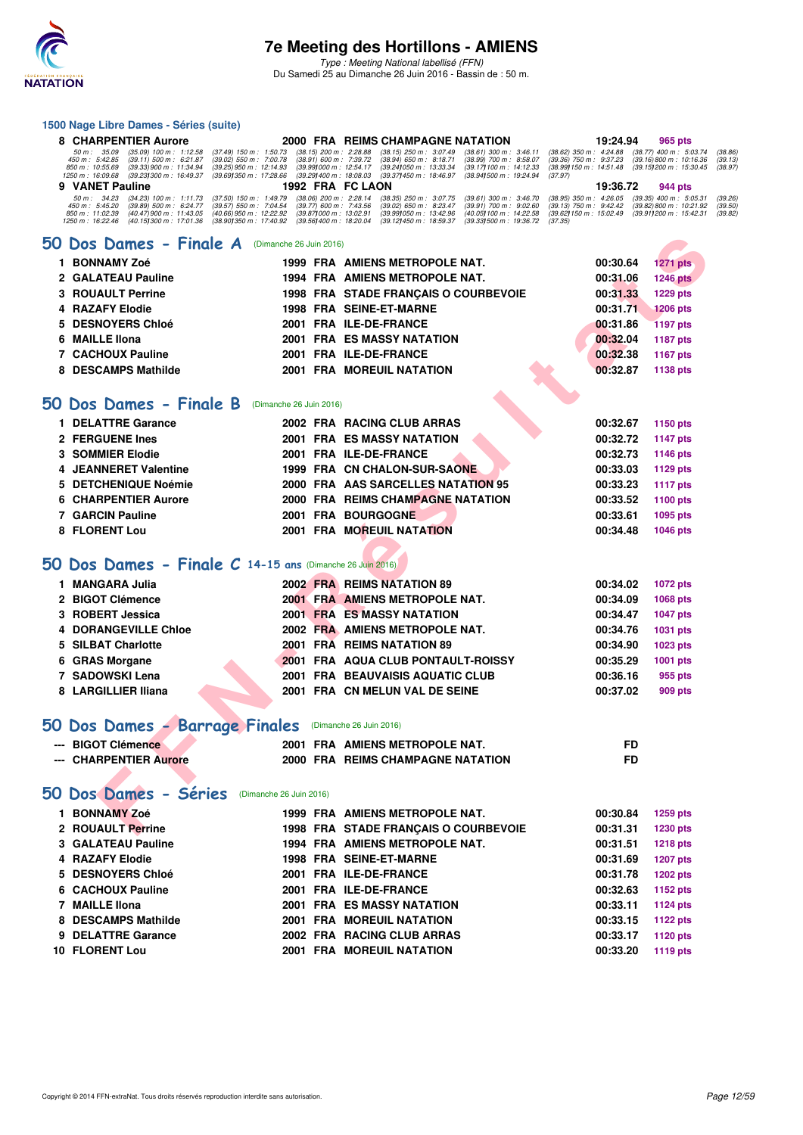

### **1500 Nage Libre Dames - Séries (suite)**

|    | 1500 Nage Libre Dames - Series (suite)                                                                                                                  |                         |                                                                                                                                                                            |                                                                              |                                                       |                    |
|----|---------------------------------------------------------------------------------------------------------------------------------------------------------|-------------------------|----------------------------------------------------------------------------------------------------------------------------------------------------------------------------|------------------------------------------------------------------------------|-------------------------------------------------------|--------------------|
|    | 8 CHARPENTIER Aurore                                                                                                                                    |                         | 2000 FRA REIMS CHAMPAGNE NATATION                                                                                                                                          | 19:24.94                                                                     | 965 pts                                               |                    |
|    | 50 m : 35.09<br>$(35.09)$ 100 m : 1:12.58<br>$(37.49)$ 150 m : 1:50.73<br>450 m : 5:42.85<br>$(39.02)$ 550 m : 7:00.78<br>$(39.11)$ 500 m : 6:21.87     |                         | $(38.15)$ 200 m : 2:28.88<br>$(38.15)$ 250 m : $3:07.49$<br>$(38.61)$ 300 m : 3:46.11<br>(38.94) 650 m : 8:18.71<br>(38.91) 600 m : 7:39.72<br>$(38.99)$ 700 m : $8.58.07$ | (38.62) 350 m: 4:24.88 (38.77) 400 m: 5:03.74<br>$(39.36)$ 750 m : $9.37.23$ | $(39.16)800 \text{ m}$ : 10:16.36                     | (38.86)<br>(39.13) |
|    | 850 m : 10:55.69<br>(39.33) 900 m : 11:34.94<br>(39.25) 950 m : 12:14.93<br>1250 m : 16:09.68<br>(39.23) 300 m : 16:49.37<br>(39.69) 350 m : 17:28.66   |                         | (39.24) 050 m: 13:33.34<br>(39.99) 000 m: 12:54.17<br>(39.17) 100 m : 14:12.33<br>(39.29) 400 m : 18:08.03<br>(39.37) 450 m : 18:46.97<br>(38.941500 m: 19:24.94           | (38.99) 150 m: 14:51.48 (39.15) 200 m: 15:30.45<br>(37.97)                   |                                                       | (38.97)            |
| 9  | <b>VANET Pauline</b>                                                                                                                                    |                         | 1992 FRA FC LAON                                                                                                                                                           | 19:36.72                                                                     | 944 pts                                               |                    |
|    | 50 m: 34.23<br>$(34.23)$ 100 m : 1:11.73<br>$(37.50)$ 150 m : 1:49.79<br>450 m: 5:45.20<br>$(39.89)$ 500 m : 6:24.77<br>$(39.57) 550 m$ : 7:04.54       |                         | $(38.06)$ 200 m : 2:28.14<br>$(38.35)$ 250 m : 3:07.75<br>$(39.61)$ 300 m : 3:46.70<br>$(39.77)$ 600 m : 7:43.56<br>$(39.02)$ 650 m : 8:23.47<br>$(39.91)$ 700 m : 9:02.60 | $(38.95)$ 350 m : 4:26.05<br>$(39.13)$ 750 m : $9.42.42$                     | $(39.35)$ 400 m : 5:05.31<br>(39.82) 800 m : 10:21.92 | (39.26)<br>(39.50) |
|    | $(40.66)$ 950 m : 12:22.92<br>$(40.47)$ 900 m : 11:43.05<br>850 m : 11:02.39<br>1250 m: 16:22.46<br>(40.15) 300 m : 17:01.36<br>(38.901350 m: 17:40.92) |                         | (39.87) 000 m : 13:02.91<br>(39.99) 050 m : 13:42.96<br>(40.05) 100 m : 14:22.58<br>(39.56) 400 m : 18:20.04<br>(39.12) 450 m : 18:59.37<br>(39.331500 m: 19:36.72)        | (39.62) 150 m : 15:02.49 (39.91) 200 m : 15:42.31<br>(37.35)                 |                                                       | (39.82)            |
|    |                                                                                                                                                         |                         |                                                                                                                                                                            |                                                                              |                                                       |                    |
| 50 | Dos Dames - Finale A                                                                                                                                    | (Dimanche 26 Juin 2016) |                                                                                                                                                                            |                                                                              |                                                       |                    |
| 1. | <b>BONNAMY Zoé</b>                                                                                                                                      |                         | 1999 FRA AMIENS METROPOLE NAT.                                                                                                                                             | 00:30.64                                                                     | <b>1271 pts</b>                                       |                    |
| 2  | <b>GALATEAU Pauline</b>                                                                                                                                 |                         | 1994 FRA AMIENS METROPOLE NAT.                                                                                                                                             | 00:31.06                                                                     | <b>1246 pts</b>                                       |                    |
| 3  | <b>ROUAULT Perrine</b>                                                                                                                                  |                         | 1998 FRA STADE FRANÇAIS O COURBEVOIE                                                                                                                                       | 00:31.33                                                                     | 1229 pts                                              |                    |
| 4  | <b>RAZAFY Elodie</b>                                                                                                                                    |                         | 1998 FRA SEINE-ET-MARNE                                                                                                                                                    | 00:31.71                                                                     | <b>1206 pts</b>                                       |                    |
| 5  | <b>DESNOYERS Chloé</b>                                                                                                                                  |                         | 2001 FRA ILE-DE-FRANCE                                                                                                                                                     | 00:31.86                                                                     | <b>1197 pts</b>                                       |                    |
| 6  | <b>MAILLE Ilona</b>                                                                                                                                     |                         | <b>2001 FRA ES MASSY NATATION</b>                                                                                                                                          | 00:32.04                                                                     | <b>1187 pts</b>                                       |                    |
|    | <b>7 CACHOUX Pauline</b>                                                                                                                                |                         | 2001 FRA ILE-DE-FRANCE                                                                                                                                                     | 00:32.38                                                                     | <b>1167 pts</b>                                       |                    |
| 8  | <b>DESCAMPS Mathilde</b>                                                                                                                                |                         | <b>2001 FRA MOREUIL NATATION</b>                                                                                                                                           | 00:32.87                                                                     | 1138 pts                                              |                    |
|    |                                                                                                                                                         |                         |                                                                                                                                                                            |                                                                              |                                                       |                    |
|    | 50 Dos Dames - Finale B                                                                                                                                 | (Dimanche 26 Juin 2016) |                                                                                                                                                                            |                                                                              |                                                       |                    |
| 1. | <b>DELATTRE Garance</b>                                                                                                                                 |                         | 2002 FRA RACING CLUB ARRAS                                                                                                                                                 | 00:32.67                                                                     | 1150 pts                                              |                    |
|    | 2 FERGUENE Ines                                                                                                                                         |                         | <b>2001 FRA ES MASSY NATATION</b>                                                                                                                                          | 00:32.72                                                                     | <b>1147 pts</b>                                       |                    |
| 3  | <b>SOMMIER Elodie</b>                                                                                                                                   |                         | 2001 FRA ILE-DE-FRANCE                                                                                                                                                     | 00:32.73                                                                     | 1146 pts                                              |                    |
| 4  | <b>JEANNERET Valentine</b>                                                                                                                              |                         | 1999 FRA CN CHALON-SUR-SAONE                                                                                                                                               | 00:33.03                                                                     | 1129 pts                                              |                    |
| 5  | <b>DETCHENIQUE Noémie</b>                                                                                                                               |                         | 2000 FRA AAS SARCELLES NATATION 95                                                                                                                                         | 00:33.23                                                                     | <b>1117 pts</b>                                       |                    |
| 6  | <b>CHARPENTIER Aurore</b>                                                                                                                               |                         | 2000 FRA REIMS CHAMPAGNE NATATION                                                                                                                                          | 00:33.52                                                                     | 1100 pts                                              |                    |
|    | <b>7 GARCIN Pauline</b>                                                                                                                                 |                         | <b>2001 FRA BOURGOGNE</b>                                                                                                                                                  | 00:33.61                                                                     | 1095 pts                                              |                    |
|    | 8 FLORENT Lou                                                                                                                                           |                         | <b>2001 FRA MOREUIL NATATION</b>                                                                                                                                           | 00:34.48                                                                     | <b>1046 pts</b>                                       |                    |
|    |                                                                                                                                                         |                         |                                                                                                                                                                            |                                                                              |                                                       |                    |
|    | 50 Dos Dames - Finale C 14-15 ans (Dimanche 26 Juin 2016)                                                                                               |                         |                                                                                                                                                                            |                                                                              |                                                       |                    |
|    | 1 MANGARA Julia                                                                                                                                         |                         | 2002 FRA REIMS NATATION 89                                                                                                                                                 | 00:34.02                                                                     | 1072 pts                                              |                    |
| 2  | <b>BIGOT Clémence</b>                                                                                                                                   |                         | 2001 FRA AMIENS METROPOLE NAT.                                                                                                                                             | 00:34.09                                                                     | <b>1068 pts</b>                                       |                    |
| 3  | <b>ROBERT Jessica</b>                                                                                                                                   |                         | <b>2001 FRA ES MASSY NATATION</b>                                                                                                                                          | 00:34.47                                                                     | <b>1047 pts</b>                                       |                    |
| 4  | <b>DORANGEVILLE Chloe</b>                                                                                                                               |                         | 2002 FRA AMIENS METROPOLE NAT.                                                                                                                                             | 00:34.76                                                                     | 1031 pts                                              |                    |
| 5  | <b>SILBAT Charlotte</b>                                                                                                                                 |                         | 2001 FRA REIMS NATATION 89                                                                                                                                                 | 00:34.90                                                                     | 1023 pts                                              |                    |
| 6  | <b>GRAS Morgane</b>                                                                                                                                     |                         | 2001 FRA AQUA CLUB PONTAULT-ROISSY                                                                                                                                         | 00:35.29                                                                     | 1001 pts                                              |                    |
| 7  | <b>SADOWSKI Lena</b>                                                                                                                                    |                         | 2001 FRA BEAUVAISIS AQUATIC CLUB                                                                                                                                           | 00:36.16                                                                     | 955 pts                                               |                    |
|    | 8 LARGILLIER Iliana                                                                                                                                     |                         | 2001 FRA CN MELUN VAL DE SEINE                                                                                                                                             | 00:37.02                                                                     | 909 pts                                               |                    |
|    |                                                                                                                                                         |                         |                                                                                                                                                                            |                                                                              |                                                       |                    |
|    | 50 Dos Dames - Barrage Finales (Dimanche 26 Juin 2016)                                                                                                  |                         |                                                                                                                                                                            |                                                                              |                                                       |                    |
|    | --- BIGOT Clémence                                                                                                                                      |                         | 2001 FRA AMIENS METROPOLE NAT.                                                                                                                                             | FD                                                                           |                                                       |                    |
|    | --- CHARPENTIER Aurore                                                                                                                                  |                         | 2000 FRA REIMS CHAMPAGNE NATATION                                                                                                                                          | <b>FD</b>                                                                    |                                                       |                    |
|    |                                                                                                                                                         |                         |                                                                                                                                                                            |                                                                              |                                                       |                    |
|    | 50 Dos Dames - Séries<br>(Dimanche 26 Juin 2016)                                                                                                        |                         |                                                                                                                                                                            |                                                                              |                                                       |                    |
|    |                                                                                                                                                         |                         | 1999 FRA AMIENS METROPOLE NAT.                                                                                                                                             |                                                                              |                                                       |                    |
|    | 1 BONNAMY Zoé                                                                                                                                           |                         |                                                                                                                                                                            | 00:30.84                                                                     | 1259 pts                                              |                    |
|    | 2 ROUAULT Perrine<br>3 GALATEAU Pauline                                                                                                                 |                         | 1998 FRA STADE FRANÇAIS O COURBEVOIE<br>1994 FRA AMIENS METROPOLE NAT.                                                                                                     | 00:31.31                                                                     | 1230 pts                                              |                    |
|    | 4 RAZAFY Elodie                                                                                                                                         |                         | <b>1998 FRA SEINE-ET-MARNE</b>                                                                                                                                             | 00:31.51                                                                     | <b>1218 pts</b>                                       |                    |
|    | 5 DESNOYERS Chloé                                                                                                                                       |                         | 2001 FRA ILE-DE-FRANCE                                                                                                                                                     | 00:31.69<br>00:31.78                                                         | <b>1207 pts</b><br><b>1202 pts</b>                    |                    |
|    | 6 CACHOUX Pauline                                                                                                                                       |                         | 2001 FRA ILE-DE-FRANCE                                                                                                                                                     | 00:32.63                                                                     |                                                       |                    |
|    | 7 MAILLE IIona                                                                                                                                          |                         | <b>2001 FRA ES MASSY NATATION</b>                                                                                                                                          | 00:33.11                                                                     | 1152 pts<br><b>1124 pts</b>                           |                    |
|    | 8 DESCAMPS Mathilde                                                                                                                                     |                         | <b>2001 FRA MOREUIL NATATION</b>                                                                                                                                           | 00:33.15                                                                     | <b>1122 pts</b>                                       |                    |
|    | 9 DELATTRE Garance                                                                                                                                      |                         | 2002 FRA RACING CLUB ARRAS                                                                                                                                                 | 00:33.17                                                                     | 1120 pts                                              |                    |
|    | 10 FLORENT Lou                                                                                                                                          |                         | <b>2001 FRA MOREUIL NATATION</b>                                                                                                                                           | 00:33.20                                                                     | 1119 pts                                              |                    |
|    |                                                                                                                                                         |                         |                                                                                                                                                                            |                                                                              |                                                       |                    |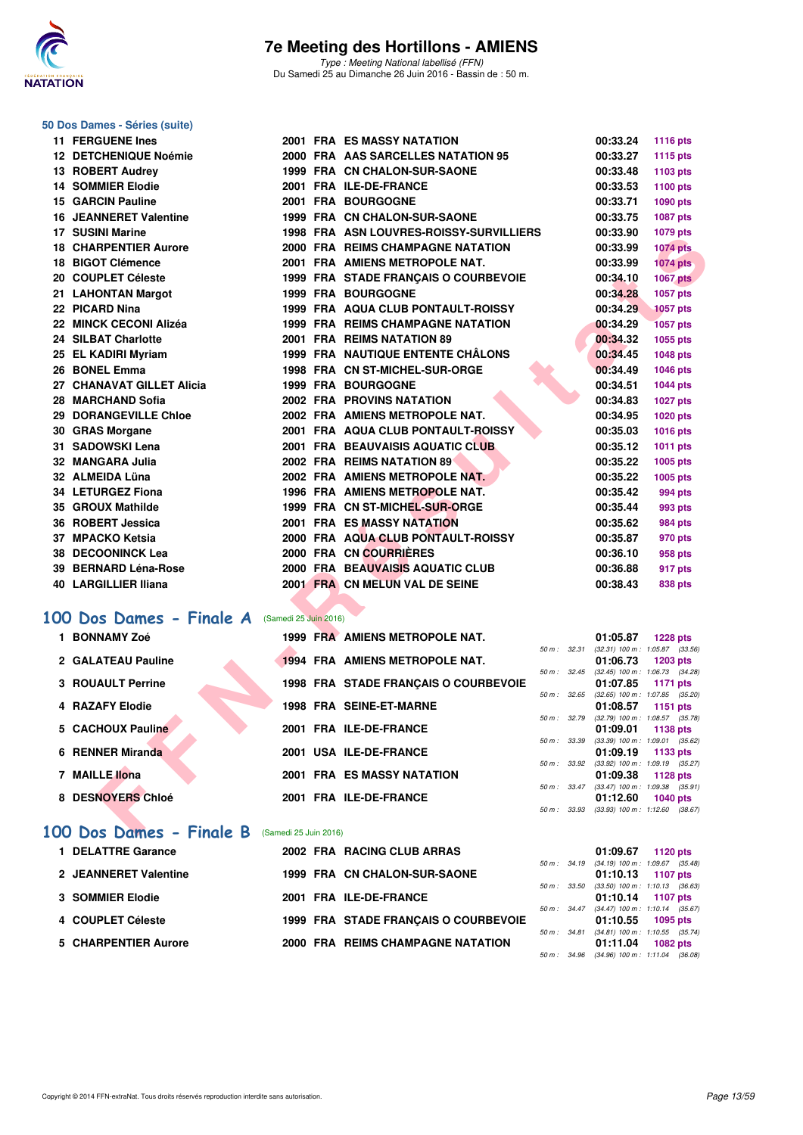

Type : Meeting National labellisé (FFN) Du Samedi 25 au Dimanche 26 Juin 2016 - Bassin de : 50 m.

## **50 Dos Dames - Séries (suite)**

| <b>11 FERGUENE Ines</b>                                       |  | <b>2001 FRA ES MASSY NATATION</b>        |              | 00:33.24 | 1116 pts                                               |  |
|---------------------------------------------------------------|--|------------------------------------------|--------------|----------|--------------------------------------------------------|--|
| 12 DETCHENIQUE Noémie                                         |  | 2000 FRA AAS SARCELLES NATATION 95       |              | 00:33.27 | 1115 pts                                               |  |
| 13 ROBERT Audrey                                              |  | 1999 FRA CN CHALON-SUR-SAONE             |              | 00:33.48 | 1103 pts                                               |  |
| <b>14 SOMMIER Elodie</b>                                      |  | 2001 FRA ILE-DE-FRANCE                   |              | 00:33.53 | 1100 pts                                               |  |
| 15 GARCIN Pauline                                             |  | 2001 FRA BOURGOGNE                       |              | 00:33.71 | <b>1090 pts</b>                                        |  |
| <b>16 JEANNERET Valentine</b>                                 |  | 1999 FRA CN CHALON-SUR-SAONE             |              | 00:33.75 | 1087 pts                                               |  |
| 17 SUSINI Marine                                              |  | 1998 FRA ASN LOUVRES-ROISSY-SURVILLIERS  |              | 00:33.90 | <b>1079 pts</b>                                        |  |
| <b>18 CHARPENTIER Aurore</b>                                  |  | 2000 FRA REIMS CHAMPAGNE NATATION        |              | 00:33.99 | <b>1074 pts</b>                                        |  |
| 18 BIGOT Clémence                                             |  | 2001 FRA AMIENS METROPOLE NAT.           |              | 00:33.99 | <b>1074 pts</b>                                        |  |
| 20 COUPLET Céleste                                            |  | 1999 FRA STADE FRANÇAIS O COURBEVOIE     |              | 00:34.10 | <b>1067 pts</b>                                        |  |
| 21 LAHONTAN Margot                                            |  | <b>1999 FRA BOURGOGNE</b>                |              | 00:34.28 | <b>1057 pts</b>                                        |  |
| 22 PICARD Nina                                                |  | 1999 FRA AQUA CLUB PONTAULT-ROISSY       |              | 00:34.29 | <b>1057 pts</b>                                        |  |
| 22 MINCK CECONI Alizéa                                        |  | <b>1999 FRA REIMS CHAMPAGNE NATATION</b> |              | 00:34.29 | <b>1057 pts</b>                                        |  |
| 24 SILBAT Charlotte                                           |  | 2001 FRA REIMS NATATION 89               |              | 00:34.32 | 1055 pts                                               |  |
| 25 EL KADIRI Myriam                                           |  | <b>1999 FRA NAUTIQUE ENTENTE CHÂLONS</b> |              | 00:34.45 | 1048 pts                                               |  |
| 26 BONEL Emma                                                 |  | 1998 FRA CN ST-MICHEL-SUR-ORGE           |              | 00:34.49 | 1046 pts                                               |  |
| 27 CHANAVAT GILLET Alicia                                     |  | 1999 FRA BOURGOGNE                       |              | 00:34.51 | <b>1044 pts</b>                                        |  |
| 28   MARCHAND Sofia                                           |  | 2002 FRA PROVINS NATATION                |              | 00:34.83 | 1027 pts                                               |  |
| <b>29 DORANGEVILLE Chloe</b>                                  |  | 2002 FRA AMIENS METROPOLE NAT.           |              | 00:34.95 | 1020 pts                                               |  |
| 30 GRAS Morgane                                               |  | 2001 FRA AQUA CLUB PONTAULT-ROISSY       |              | 00:35.03 | 1016 pts                                               |  |
| 31   SADOWSKI Lena                                            |  | 2001 FRA BEAUVAISIS AQUATIC CLUB         |              | 00:35.12 | <b>1011 pts</b>                                        |  |
| 32 MANGARA Julia                                              |  | 2002 FRA REIMS NATATION 89               |              | 00:35.22 | 1005 pts                                               |  |
| 32 ALMEIDA Lüna                                               |  | 2002 FRA AMIENS METROPOLE NAT.           |              | 00:35.22 | 1005 pts                                               |  |
| 34 LETURGEZ Fiona                                             |  | 1996 FRA AMIENS METROPOLE NAT.           |              | 00:35.42 | 994 pts                                                |  |
| 35 GROUX Mathilde                                             |  | 1999 FRA CN ST-MICHEL-SUR-ORGE           |              | 00:35.44 | 993 pts                                                |  |
| 36 ROBERT Jessica                                             |  | 2001 FRA ES MASSY NATATION               |              | 00:35.62 | <b>984 pts</b>                                         |  |
| 37 MPACKO Ketsia                                              |  | 2000 FRA AQUA CLUB PONTAULT-ROISSY       |              | 00:35.87 | 970 pts                                                |  |
| 38 DECOONINCK Lea                                             |  | 2000 FRA CN COURRIERES                   |              | 00:36.10 | 958 pts                                                |  |
| 39 BERNARD Léna-Rose                                          |  | 2000 FRA BEAUVAISIS AQUATIC CLUB         |              | 00:36.88 | 917 pts                                                |  |
| 40 LARGILLIER Iliana                                          |  | 2001 FRA CN MELUN VAL DE SEINE           |              | 00:38.43 | 838 pts                                                |  |
|                                                               |  |                                          |              |          |                                                        |  |
| <b>00 Dos Dames - Finale A</b> (Samedi 25 Juin 2016)          |  |                                          |              |          |                                                        |  |
| 1 BONNAMY Zoé                                                 |  | 1999 FRA AMIENS METROPOLE NAT.           |              | 01:05.87 | <b>1228 pts</b>                                        |  |
|                                                               |  |                                          | 50 m: 32.31  |          | $(32.31)$ 100 m : 1:05.87 $(33.56)$                    |  |
| 2 GALATEAU Pauline                                            |  | 1994 FRA AMIENS METROPOLE NAT.           | 50 m: 32.45  | 01:06.73 | $1203$ pts<br>$(32.45)$ 100 m : 1:06.73 $(34.28)$      |  |
| <b>3 ROUAULT Perrine</b>                                      |  | 1998 FRA STADE FRANÇAIS O COURBEVOIE     |              | 01:07.85 | 1171 pts                                               |  |
|                                                               |  |                                          | 50 m: 32.65  |          | $(32.65)$ 100 m : 1:07.85 $(35.20)$                    |  |
| 4 RAZAFY Elodie                                               |  | <b>1998 FRA SEINE-ET-MARNE</b>           | 50 m : 32.79 | 01:08.57 | 1151 $pts$<br>$(32.79)$ 100 m : 1:08.57 $(35.78)$      |  |
| 5 CACHOUX Pauline                                             |  | 2001 FRA ILE-DE-FRANCE                   |              | 01:09.01 | 1138 pts                                               |  |
|                                                               |  |                                          | 50 m : 33.39 |          | $(33.39)$ 100 m : 1:09.01 $(35.62)$                    |  |
| 6 RENNER Miranda                                              |  | 2001 USA ILE-DE-FRANCE                   |              | 01:09.19 | 1133 pts<br>50 m: 33.92 (33.92) 100 m: 1:09.19 (35.27) |  |
| 7 MAILLE Ilona                                                |  | <b>2001 FRA ES MASSY NATATION</b>        |              | 01:09.38 | 1128 pts                                               |  |
|                                                               |  |                                          |              |          | 50 m: 33.47 (33.47) 100 m: 1:09.38 (35.91)             |  |
| 8 DESNOYERS Chloé                                             |  | 2001 FRA ILE-DE-FRANCE                   |              | 01:12.60 | 1040 pts<br>50 m: 33.93 (33.93) 100 m: 1:12.60 (38.67) |  |
|                                                               |  |                                          |              |          |                                                        |  |
| $\overline{00}$ Dos Dames - Finale R $($ Samedi 25 Juin 2016) |  |                                          |              |          |                                                        |  |

### **[100 Dos Dames - Finale A](http://www.ffnatation.fr/webffn/resultats.php?idact=nat&go=epr&idcpt=38947&idepr=12)** (Samedi 25 Juin 2016)

| 1 BONNAMY Zoé            | 1999 FRA AMIENS METROPOLE NAT.       |                  | 01:05.87 | <b>1228 pts</b>                     |
|--------------------------|--------------------------------------|------------------|----------|-------------------------------------|
|                          |                                      | 50 m: 32.31      |          | $(32.31)$ 100 m : 1:05.87 $(33.56)$ |
| 2 GALATEAU Pauline       | 1994 FRA AMIENS METROPOLE NAT.       |                  | 01:06.73 | $1203$ pts                          |
|                          |                                      | $50 m$ : $32.45$ |          | $(32.45)$ 100 m : 1:06.73 $(34.28)$ |
| <b>3 ROUAULT Perrine</b> | 1998 FRA STADE FRANCAIS O COURBEVOIE |                  | 01:07.85 | 1171 pts                            |
|                          |                                      | $50 m$ : $32.65$ |          | $(32.65)$ 100 m : 1:07.85 $(35.20)$ |
| 4 RAZAFY Elodie          | <b>1998 FRA SEINE-ET-MARNE</b>       |                  | 01:08.57 | 1151 pts                            |
|                          |                                      | 50 m: 32.79      |          | $(32.79)$ 100 m : 1:08.57 $(35.78)$ |
| 5 CACHOUX Pauline        | 2001 FRA ILE-DE-FRANCE               |                  | 01:09.01 | 1138 pts                            |
|                          |                                      | 50 m: 33.39      |          | $(33.39)$ 100 m : 1:09.01 $(35.62)$ |
| 6 RENNER Miranda         | 2001 USA ILE-DE-FRANCE               |                  | 01:09.19 | 1133 pts                            |
|                          |                                      | 50 m: 33.92      |          | $(33.92)$ 100 m : 1:09.19 $(35.27)$ |
| 7 MAILLE Ilona           | <b>2001 FRA ES MASSY NATATION</b>    |                  | 01:09.38 | 1128 pts                            |
|                          |                                      | $50 m$ : $33.47$ |          | $(33.47)$ 100 m : 1:09.38 $(35.91)$ |
| 8 DESNOYERS Chloé        | 2001 FRA ILE-DE-FRANCE               |                  | 01:12.60 | $1040$ pts                          |
|                          |                                      | 50 m : 33.93     |          | $(33.93)$ 100 m : 1:12.60 $(38.67)$ |

#### **[100 Dos Dames - Finale B](http://www.ffnatation.fr/webffn/resultats.php?idact=nat&go=epr&idcpt=38947&idepr=12)** (Samedi 25 Juin 2016)

| <b>DELATTRE Garance</b> |  | 2002 FRA RACING CLUB ARRAS           |              | 01:09.67 1120 pts                            |          |  |
|-------------------------|--|--------------------------------------|--------------|----------------------------------------------|----------|--|
|                         |  |                                      |              | 50 m: 34.19 (34.19) 100 m: 1:09.67 (35.48)   |          |  |
| 2 JEANNERET Valentine   |  | 1999 FRA CN CHALON-SUR-SAONE         |              | $01:10.13$ 1107 pts                          |          |  |
|                         |  |                                      | 50 m : 33.50 | $(33.50)$ 100 m : 1:10.13 $(36.63)$          |          |  |
| 3 SOMMIER Elodie        |  | 2001 FRA ILE-DE-FRANCE               |              | $01:10.14$ 1107 pts                          |          |  |
|                         |  |                                      |              | 50 m: 34.47 (34.47) 100 m: 1:10.14 (35.67)   |          |  |
| 4 COUPLET Céleste       |  | 1999 FRA STADE FRANCAIS O COURBEVOIE |              | $01:10.55$ 1095 pts                          |          |  |
|                         |  |                                      | 50 m: 34.81  | $(34.81)$ 100 m : 1:10.55 $(35.74)$          |          |  |
| 5 CHARPENTIER Aurore    |  | 2000 FRA REIMS CHAMPAGNE NATATION    |              | 01:11.04                                     | 1082 pts |  |
|                         |  |                                      |              | 50 m : 34.96 (34.96) 100 m : 1:11.04 (36.08) |          |  |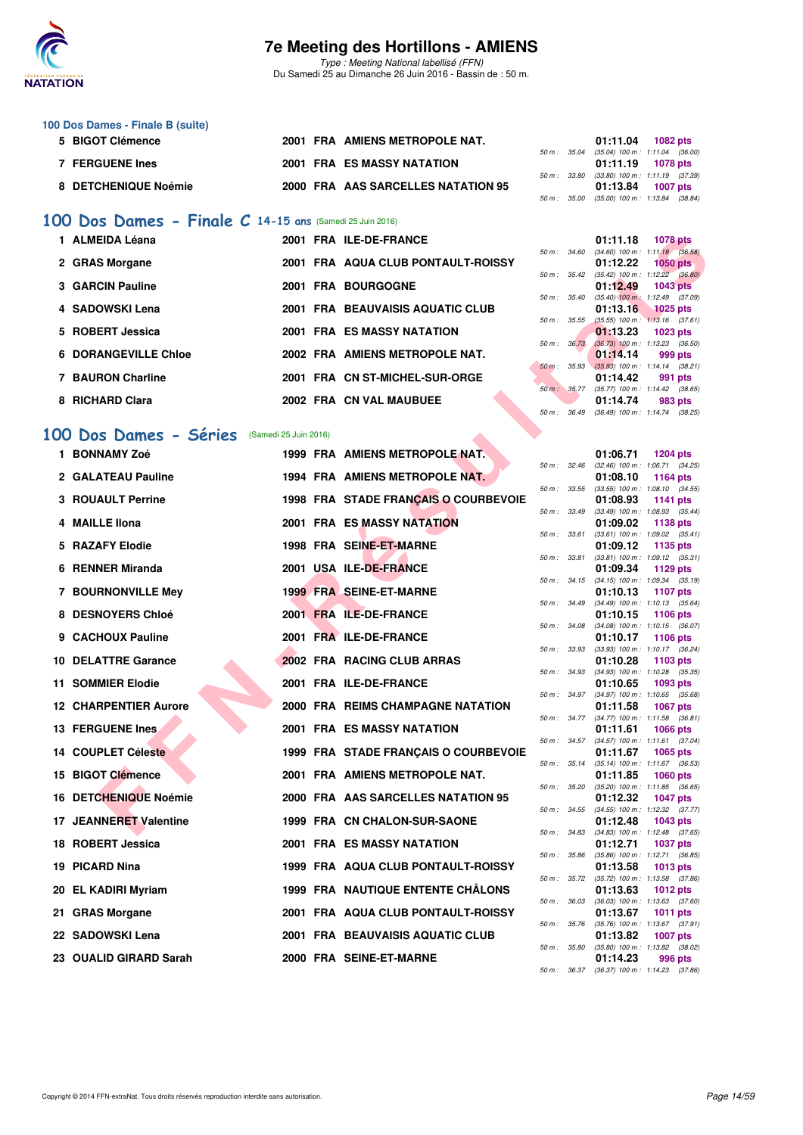

Type : Meeting National labellisé (FFN) Du Samedi 25 au Dimanche 26 Juin 2016 - Bassin de : 50 m.

| 100 Dos Dames - Finale B (suite) |  |                                    |              |                   |                                            |
|----------------------------------|--|------------------------------------|--------------|-------------------|--------------------------------------------|
| 5 BIGOT Clémence                 |  | 2001 FRA AMIENS METROPOLE NAT.     |              | 01:11.04          | <b>1082 pts</b>                            |
|                                  |  |                                    |              |                   | 50 m: 35.04 (35.04) 100 m: 1:11.04 (36.00) |
| <b>FERGUENE Ines</b>             |  | <b>2001 FRA ES MASSY NATATION</b>  |              | 01:11.19 1078 pts |                                            |
|                                  |  |                                    |              |                   | 50 m: 33.80 (33.80) 100 m: 1:11.19 (37.39) |
| 8 DETCHENIQUE Noémie             |  | 2000 FRA AAS SARCELLES NATATION 95 |              | 01:13.84          | <b>1007 pts</b>                            |
|                                  |  |                                    | 50 m : 35.00 |                   | $(35.00)$ 100 m : 1:13.84 $(38.84)$        |

### **[100 Dos Dames - Finale C](http://www.ffnatation.fr/webffn/resultats.php?idact=nat&go=epr&idcpt=38947&idepr=12) 14-15 ans** (Samedi 25 Juin 2016)

| 1 ALMEIDA Léana             | 2001 FRA ILE-DE-FRANCE             |                          | 01:11.18<br>1078 pts                                            |
|-----------------------------|------------------------------------|--------------------------|-----------------------------------------------------------------|
| 2 GRAS Morgane              | 2001 FRA AQUA CLUB PONTAULT-ROISSY | 50 m : 34.60             | $(34.60)$ 100 m : 1:11.18 $(36.$<br>01:12.22<br><b>1050 pts</b> |
|                             |                                    | $50 m$ : $35.42$         | $(35.42)$ 100 m : 1:12.22 (36.                                  |
| 3 GARCIN Pauline            | 2001 FRA BOURGOGNE                 |                          | 01:12.49<br>1043 pts                                            |
| 4 SADOWSKI Lena             | 2001 FRA BEAUVAISIS AQUATIC CLUB   | 50 m: 35.40              | $(35.40)$ 100 m : 1:12.49 (37.<br>01:13.16 1025 pts             |
| 5 ROBERT Jessica            | <b>2001 FRA ES MASSY NATATION</b>  | $50 m$ : $35.55$         | $(35.55)$ 100 m : 1:13.16 (37.<br>01:13.23<br>1023 pts          |
| <b>6 DORANGEVILLE Chloe</b> | 2002 FRA AMIENS METROPOLE NAT.     | $50 \text{ m}$ : $36.73$ | $(36.73)$ 100 m : 1:13.23 (36.<br>01:14.14<br>999 pts           |
| 7 BAURON Charline           | 2001 FRA CN ST-MICHEL-SUR-ORGE     | $50 \text{ m}$ : 35.93   | $(35.93)$ 100 m : 1:14.14 (38.<br>01:14.42<br>991 pts           |
|                             |                                    | 50 m: 35.77              | $(35.77)$ 100 m : 1:14.42 (38.                                  |
| 8 RICHARD Clara             | 2002 FRA CN VAL MAUBUEE            |                          | 01:14.74<br>983 pts                                             |

#### **[100 Dos Dames - Séries](http://www.ffnatation.fr/webffn/resultats.php?idact=nat&go=epr&idcpt=38947&idepr=12)** (Samedi 25 Juin 2016)

| 1 ALMEIDA Léana                             |  | 2001 FRA ILE-DE-FRANCE                   |              |              | 01:11.18 | <b>1078 pts</b>                                                 |
|---------------------------------------------|--|------------------------------------------|--------------|--------------|----------|-----------------------------------------------------------------|
| 2 GRAS Morgane                              |  | 2001 FRA AQUA CLUB PONTAULT-ROISSY       |              |              | 01:12.22 | 50 m: 34.60 (34.60) 100 m: 1:11.18 (36.58)<br>$1050$ pts        |
| 3 GARCIN Pauline                            |  | 2001 FRA BOURGOGNE                       |              |              | 01:12.49 | 50 m : 35.42 (35.42) 100 m : 1:12.22 (36.80)<br><b>1043 pts</b> |
| 4 SADOWSKI Lena                             |  | 2001 FRA BEAUVAISIS AQUATIC CLUB         | 50 m: 35.40  |              | 01:13.16 | $(35.40)$ 100 m : 1:12.49 $(37.09)$<br><b>1025 pts</b>          |
| 5 ROBERT Jessica                            |  | <b>2001 FRA ES MASSY NATATION</b>        | 50 m: 35.55  |              | 01:13.23 | $(35.55)$ 100 m : 1:13.16 $(37.61)$<br>1023 pts                 |
| <b>6 DORANGEVILLE Chloe</b>                 |  | 2002 FRA AMIENS METROPOLE NAT.           | 50 m: 36.73  |              | 01:14.14 | $(36.73)$ 100 m : 1:13.23 $(36.50)$<br>999 pts                  |
| 7 BAURON Charline                           |  | 2001 FRA CN ST-MICHEL-SUR-ORGE           |              |              | 01:14.42 | 50 m: 35.93 (35.93) 100 m: 1:14.14 (38.21)<br>991 pts           |
|                                             |  |                                          |              |              |          | 50 m : 35.77 (35.77) 100 m : 1:14.42 (38.65)                    |
| 8 RICHARD Clara                             |  | 2002 FRA CN VAL MAUBUEE                  | 50 m : 36.49 |              | 01:14.74 | 983 pts<br>$(36.49)$ 100 m : 1:14.74 $(38.25)$                  |
| 00 Dos Dames - Séries (Samedi 25 Juin 2016) |  |                                          |              |              |          |                                                                 |
| 1 BONNAMY Zoé                               |  | 1999 FRA AMIENS METROPOLE NAT.           |              |              | 01:06.71 | <b>1204 pts</b>                                                 |
| 2 GALATEAU Pauline                          |  | 1994 FRA AMIENS METROPOLE NAT.           |              |              | 01:08.10 | 50 m: 32.46 (32.46) 100 m: 1:06.71 (34.25)<br><b>1164 pts</b>   |
| 3 ROUAULT Perrine                           |  | 1998 FRA STADE FRANÇAIS O COURBEVOIE     |              | 50 m : 33.55 | 01:08.93 | $(33.55)$ 100 m : 1:08.10 $(34.55)$<br>1141 pts                 |
| 4 MAILLE IIona                              |  | 2001 FRA ES MASSY NATATION               |              | 50 m : 33.49 | 01:09.02 | $(33.49)$ 100 m : 1:08.93 $(35.44)$<br>1138 pts                 |
|                                             |  |                                          |              | 50 m : 33.61 |          | $(33.61)$ 100 m : 1:09.02 $(35.41)$                             |
| 5 RAZAFY Elodie                             |  | 1998 FRA SEINE-ET-MARNE                  | 50 m : 33.81 |              | 01:09.12 | 1135 pts<br>$(33.81)$ 100 m : 1:09.12 $(35.31)$                 |
| 6 RENNER Miranda                            |  | 2001 USA ILE-DE-FRANCE                   |              | 50 m : 34.15 | 01:09.34 | 1129 pts<br>$(34.15)$ 100 m : 1:09.34 $(35.19)$                 |
| <b>7 BOURNONVILLE Mey</b>                   |  | <b>1999 FRA SEINE-ET-MARNE</b>           |              | 50 m : 34.49 | 01:10.13 | 1107 pts                                                        |
| 8 DESNOYERS Chloé                           |  | 2001 FRA ILE-DE-FRANCE                   |              |              | 01:10.15 | $(34.49)$ 100 m : 1:10.13 $(35.64)$<br>1106 pts                 |
| 9 CACHOUX Pauline                           |  | 2001 FRA ILE-DE-FRANCE                   |              | 50 m : 34.08 | 01:10.17 | $(34.08)$ 100 m : 1:10.15 $(36.07)$<br>1106 pts                 |
| 10 DELATTRE Garance                         |  | 2002 FRA RACING CLUB ARRAS               |              | 50 m : 33.93 | 01:10.28 | $(33.93)$ 100 m : 1:10.17 $(36.24)$<br>1103 pts                 |
| <b>11 SOMMIER Elodie</b>                    |  | 2001 FRA ILE-DE-FRANCE                   |              |              | 01:10.65 | 50 m: 34.93 (34.93) 100 m: 1:10.28 (35.35)<br>1093 pts          |
|                                             |  |                                          |              |              |          | 50 m: 34.97 (34.97) 100 m: 1:10.65 (35.68)                      |
| <b>12 CHARPENTIER Aurore</b>                |  | 2000 FRA REIMS CHAMPAGNE NATATION        | 50 m : 34.77 |              | 01:11.58 | <b>1067 pts</b><br>$(34.77)$ 100 m : 1:11.58 $(36.81)$          |
| <b>13 FERGUENE Ines</b>                     |  | <b>2001 FRA ES MASSY NATATION</b>        |              | 50 m : 34.57 | 01:11.61 | <b>1066 pts</b><br>$(34.57)$ 100 m : 1:11.61 $(37.04)$          |
| 14 COUPLET Céleste                          |  | 1999 FRA STADE FRANÇAIS O COURBEVOIE     |              | 50 m : 35.14 | 01:11.67 | 1065 pts<br>$(35.14)$ 100 m : 1:11.67 $(36.53)$                 |
| 15 BIGOT Clémence                           |  | 2001 FRA AMIENS METROPOLE NAT.           |              |              | 01:11.85 | <b>1060 pts</b>                                                 |
| 16 DETCHENIQUE Noémie                       |  | 2000 FRA AAS SARCELLES NATATION 95       |              | 50 m : 35.20 | 01:12.32 | $(35.20)$ 100 m : 1:11.85 $(36.65)$<br><b>1047 pts</b>          |
| <b>17 JEANNERET Valentine</b>               |  | 1999 FRA CN CHALON-SUR-SAONE             |              |              | 01:12.48 | 50 m: 34.55 (34.55) 100 m: 1:12.32 (37.77)<br><b>1043 pts</b>   |
| 18 ROBERT Jessica                           |  | <b>2001 FRA ES MASSY NATATION</b>        |              |              | 01:12.71 | 50 m: 34.83 (34.83) 100 m: 1:12.48 (37.65)<br><b>1037 pts</b>   |
|                                             |  |                                          | 50 m: 35.86  |              |          | $(35.86)$ 100 m : 1:12.71 $(36.85)$                             |
| 19 PICARD Nina                              |  | 1999 FRA AQUA CLUB PONTAULT-ROISSY       |              |              | 01:13.58 | 1013 pts<br>50 m: 35.72 (35.72) 100 m: 1:13.58 (37.86)          |
| 20 EL KADIRI Myriam                         |  | <b>1999 FRA NAUTIQUE ENTENTE CHALONS</b> |              | 50 m : 36.03 | 01:13.63 | <b>1012 pts</b><br>$(36.03)$ 100 m : 1:13.63 $(37.60)$          |
| 21 GRAS Morgane                             |  | 2001 FRA AQUA CLUB PONTAULT-ROISSY       |              |              | 01:13.67 | 1011 pts                                                        |
| 22 SADOWSKI Lena                            |  | 2001 FRA BEAUVAISIS AQUATIC CLUB         |              | 50 m : 35.76 | 01:13.82 | $(35.76)$ 100 m : 1:13.67 $(37.91)$<br>1007 pts                 |
| 23 OUALID GIRARD Sarah                      |  | 2000 FRA SEINE-ET-MARNE                  |              | 50 m : 35.80 | 01:14.23 | $(35.80)$ 100 m : 1:13.82 $(38.02)$<br>996 pts                  |

|                  |       | 01:11.18          | <b>1078 pts</b>     |  |
|------------------|-------|-------------------|---------------------|--|
| 50 m : 34.60     |       | $(34.60)$ 100 m : | $1:11.18$ (36.58)   |  |
|                  |       | 01:12.22          | <b>1050 pts</b>     |  |
| $50 m$ : $35.42$ |       | $(35.42)$ 100 m : | $1:12.22$ $(36.80)$ |  |
|                  |       | 01:12.49          | <b>1043 pts</b>     |  |
| $50 m$ : 35.40   |       | $(35.40)$ 100 m : | $1:12.49$ $(37.09)$ |  |
|                  |       | 01:13.16          | 1025 pts            |  |
| $50 m$ : $35.55$ |       | $(35.55)$ 100 m : | $1:13.16$ (37.61)   |  |
|                  |       |                   |                     |  |
|                  |       | 01:13.23          | <b>1023 pts</b>     |  |
| $50 m$ : $36.73$ |       | $(36.73) 100 m$ : | $1:13.23$ $(36.50)$ |  |
|                  |       | 01:14.14          | 999 pts             |  |
| $50 m$ :         | 35.93 | $(35.93)$ 100 m : | $1:14.14$ $(38.21)$ |  |
|                  |       | 01:14.42          | 991 pts             |  |
| $50 m$ : $35.77$ |       | $(35.77)$ 100 m : | $1:14.42$ (38.65)   |  |
|                  |       | 01:14.74          | 983 pts             |  |

|          |       | 01:06.71          | 1204 pts |         |
|----------|-------|-------------------|----------|---------|
| $50 m$ : | 32.46 | $(32.46)$ 100 m : | 1:06.71  | (34.25) |
|          |       | 01:08.10          | 1164 pts |         |
|          |       |                   |          |         |
| $50 m$ : | 33.55 | $(33.55)$ 100 m : | 1:08.10  | (34.55) |
|          |       | 01:08.93          | 1141     | pts     |
| $50 m$ : | 33.49 | $(33.49) 100 m$ : | 1:08.93  | (35.44) |
|          |       | 01:09.02          | 1138 pts |         |
| $50 m$ : | 33.61 | $(33.61)$ 100 m : | 1:09.02  | (35.41) |
|          |       | 01:09.12          | 1135     | pts     |
| $50 m$ : | 33.81 | $(33.81)$ 100 m : | 1:09.12  | (35.31) |
|          |       | 01:09.34          | 1129     | pts     |
| $50 m$ : | 34.15 | $(34.15) 100 m$ : | 1:09.34  | (35.19) |
|          |       | 01:10.13          |          |         |
|          |       |                   | 1107     | pts     |
| $50 m$ : | 34.49 | $(34.49) 100 m$ : | 1:10.13  | (35.64) |
|          |       | 01:10.15          | 1106     | pts     |
| $50 m$ : | 34.08 | $(34.08) 100 m$ : | 1:10.15  | (36.07) |
|          |       | 01:10.17          | 1106     | pts     |
| $50 m$ : | 33.93 | $(33.93) 100 m$ : | 1:10.17  | (36.24) |
|          |       | 01:10.28          | 1103     | pts     |
| $50 m$ : | 34.93 | $(34.93) 100 m$ : | 1:10.28  | (35.35) |
|          |       | 01:10.65          | 1093 pts |         |
| $50 m$ : | 34.97 | (34.97) 100 m :   | 1:10.65  | (35.68) |
|          |       |                   |          |         |
|          |       | 01:11.58          | 1067     | pts     |
| $50 m$ : | 34.77 | (34.77) 100 m :   | 1:11.58  | (36.81) |
|          |       | 01:11.61          | 1066     | pts     |
| $50 m$ : | 34.57 | $(34.57) 100 m$ : | 1:11.61  | (37.04) |
|          |       | 01:11.67          | 1065     | pts     |
| $50 m$ : | 35.14 | $(35.14) 100 m$ : | 1:11.67  | (36.53) |
|          |       | 01:11.85          | 1060 pts |         |
| $50 m$ : | 35.20 | $(35.20)$ 100 m : | 1:11.85  | (36.65) |
|          |       | 01:12.32          | 1047     | pts     |
| $50 m$ : | 34.55 | $(34.55)$ 100 m : | 1:12.32  | (37.77) |
|          |       | 01:12.48          | 1043     | pts     |
|          |       |                   |          |         |
| $50 m$ : | 34.83 | $(34.83) 100 m$ : | 1:12.48  | (37.65) |
|          |       | 01:12.71          | 1037     | pts     |
| $50 m$ : | 35.86 | $(35.86) 100 m$ : | 1:12.71  | (36.85) |
|          |       | 01:13.58          | 1013     | pts     |
| $50 m$ : | 35.72 | $(35.72)$ 100 m : | 1:13.58  | (37.86) |
|          |       | 01:13.63          | 1012 pts |         |
| $50 m$ : | 36.03 | $(36.03)$ 100 m : | 1:13.63  | (37.60) |
|          |       | 01:13.67          | 1011     | pts     |
| $50 m$ : | 35.76 | $(35.76) 100 m$ : | 1:13.67  | (37.91) |
|          |       | 01:13.82          | 1007     |         |
|          |       |                   |          | pts     |
| $50 m$ : | 35.80 | $(35.80)$ 100 m : | 1:13.82  | (38.02) |
|          |       | 01:14.23          | 996      | pts     |
| $50 m$ : | 36.37 | $(36.37) 100 m$ : | 1:14.23  | (37.86) |
|          |       |                   |          |         |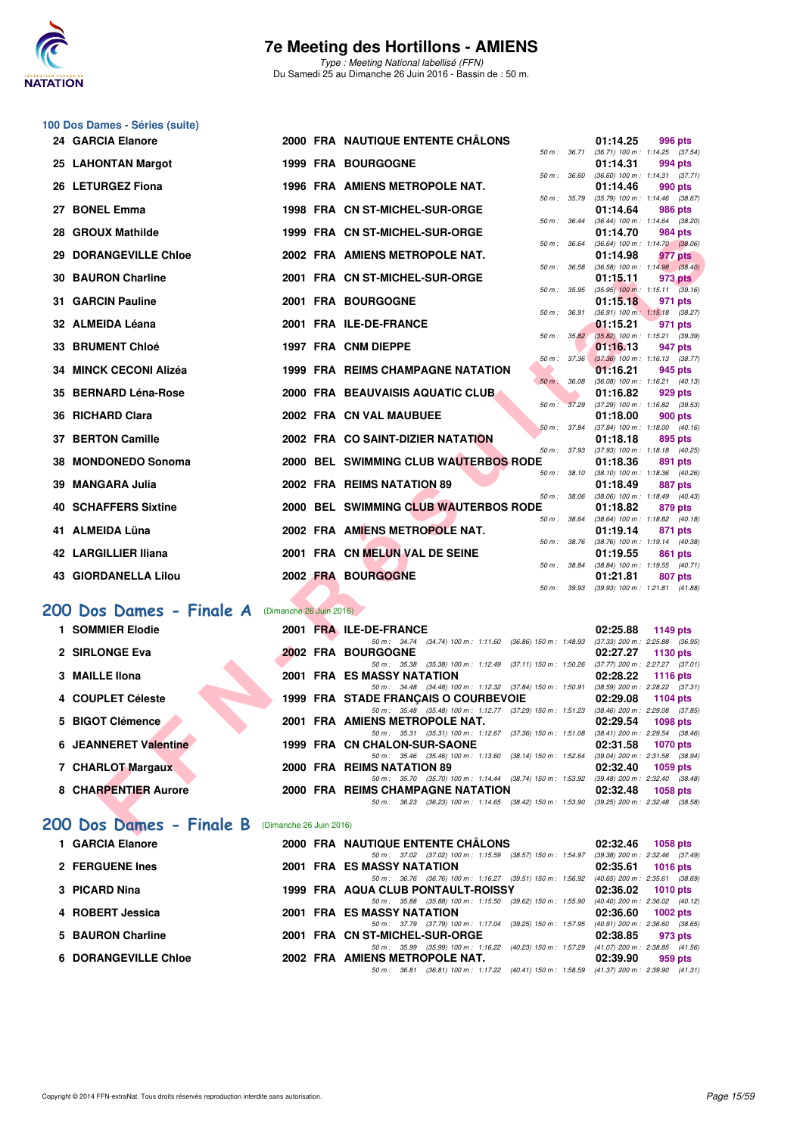

Type : Meeting National labellisé (FFN) Du Samedi 25 au Dimanche 26 Juin 2016 - Bassin de : 50 m.

| 100 Dos Dames - Séries (suite)                      |  |  |                                                                                                                                  |                                                                   |  |  |
|-----------------------------------------------------|--|--|----------------------------------------------------------------------------------------------------------------------------------|-------------------------------------------------------------------|--|--|
| 24 GARCIA Elanore                                   |  |  | 2000 FRA NAUTIQUE ENTENTE CHÂLONS                                                                                                | 01:14.25<br>996 pts                                               |  |  |
| 25 LAHONTAN Margot                                  |  |  | 1999 FRA BOURGOGNE                                                                                                               | 50 m: 36.71 (36.71) 100 m: 1:14.25 (37.54)<br>01:14.31<br>994 pts |  |  |
| 26 LETURGEZ Fiona                                   |  |  | 50 m : 36.60<br>1996 FRA AMIENS METROPOLE NAT.                                                                                   | $(36.60)$ 100 m : 1:14.31 $(37.71)$<br>01:14.46<br>990 pts        |  |  |
| 27 BONEL Emma                                       |  |  | 50 m : 35.79<br>1998 FRA CN ST-MICHEL-SUR-ORGE                                                                                   | (35.79) 100 m: 1:14.46 (38.67)<br>01:14.64<br>986 pts             |  |  |
| 28 GROUX Mathilde                                   |  |  | 50 m : 36.44<br>1999 FRA CN ST-MICHEL-SUR-ORGE                                                                                   | (36.44) 100 m: 1:14.64 (38.20)<br>01:14.70<br>984 pts             |  |  |
|                                                     |  |  | 50 m : 36.64                                                                                                                     | (36.64) 100 m: 1:14.70 (38.06)                                    |  |  |
| <b>29 DORANGEVILLE Chloe</b>                        |  |  | 2002 FRA AMIENS METROPOLE NAT.<br>50 m : 36.58                                                                                   | 01:14.98<br>977 pts<br>$(36.58)$ 100 m : 1:14.98 $(38.40)$        |  |  |
| <b>30 BAURON Charline</b>                           |  |  | 2001 FRA CN ST-MICHEL-SUR-ORGE<br>50 m : 35.95                                                                                   | 01:15.11<br>973 pts<br>$(35.95)$ 100 m : 1:15.11 $(39.16)$        |  |  |
| 31 GARCIN Pauline                                   |  |  | <b>2001 FRA BOURGOGNE</b>                                                                                                        | 01:15.18<br>971 pts                                               |  |  |
| 32 ALMEIDA Léana                                    |  |  | 50 m : 36.91<br>2001 FRA ILE-DE-FRANCE                                                                                           | (36.91) 100 m: 1:15.18 (38.27)<br>01:15.21<br>971 pts             |  |  |
| <b>33 BRUMENT Chloé</b>                             |  |  | 50 m: 35.82<br>1997 FRA CNM DIEPPE                                                                                               | (35.82) 100 m : 1:15.21 (39.39)<br>01:16.13<br>947 pts            |  |  |
| 34 MINCK CECONI Alizéa                              |  |  | 50 m : 37.36<br><b>1999 FRA REIMS CHAMPAGNE NATATION</b>                                                                         | $(37.36)$ 100 m : 1:16.13 $(38.77)$<br>01:16.21<br>945 pts        |  |  |
|                                                     |  |  | $50 m$ :<br>36.08                                                                                                                | (36.08) 100 m: 1:16.21 (40.13)                                    |  |  |
| 35 BERNARD Léna-Rose                                |  |  | 2000 FRA BEAUVAISIS AQUATIC CLUB.<br>50 m : 37.29                                                                                | 01:16.82<br>929 pts<br>$(37.29)$ 100 m : 1:16.82 $(39.53)$        |  |  |
| 36 RICHARD Clara                                    |  |  | 2002 FRA CN VAL MAUBUEE<br>50 m : 37.84                                                                                          | 01:18.00<br>900 pts<br>(37.84) 100 m: 1:18.00 (40.16)             |  |  |
| 37 BERTON Camille                                   |  |  | 2002 FRA CO SAINT-DIZIER NATATION                                                                                                | 01:18.18<br>895 pts                                               |  |  |
| 38 MONDONEDO Sonoma                                 |  |  | 50 m : 37.93<br>2000 BEL SWIMMING CLUB WAUTERBOS RODE                                                                            | (37.93) 100 m: 1:18.18 (40.25)<br>01:18.36<br>891 pts             |  |  |
| 39 MANGARA Julia                                    |  |  | 50 m : 38.10<br>2002 FRA REIMS NATATION 89                                                                                       | $(38.10)$ 100 m : 1:18.36 $(40.26)$<br>01:18.49<br>887 pts        |  |  |
|                                                     |  |  | 50 m : 38.06                                                                                                                     | (38.06) 100 m: 1:18.49 (40.43)                                    |  |  |
| <b>40 SCHAFFERS Sixtine</b>                         |  |  | 2000 BEL SWIMMING CLUB WAUTERBOS RODE<br>50 m : 38.64                                                                            | 01:18.82<br>879 pts<br>(38.64) 100 m: 1:18.82 (40.18)             |  |  |
| 41 ALMEIDA Lüna                                     |  |  | 2002 FRA AMIENS METROPOLE NAT.<br>50 m : 38.76                                                                                   | 01:19.14<br>871 pts<br>(38.76) 100 m: 1:19.14 (40.38)             |  |  |
| 42 LARGILLIER Iliana                                |  |  | 2001 FRA CN MELUN VAL DE SEINE<br>50 m : 38.84                                                                                   | 01:19.55<br>861 pts                                               |  |  |
| <b>43 GIORDANELLA Lilou</b>                         |  |  | 2002 FRA BOURGOGNE                                                                                                               | (38.84) 100 m: 1:19.55 (40.71)<br>01:21.81<br>807 pts             |  |  |
|                                                     |  |  | 50 m : 39.93                                                                                                                     | $(39.93)$ 100 m : 1:21.81 $(41.88)$                               |  |  |
| 200 Dos Dames - Finale A (Dimanche 26 Juin 2016)    |  |  |                                                                                                                                  |                                                                   |  |  |
| 1 SOMMIER Elodie                                    |  |  | 2001 FRA ILE-DE-FRANCE<br>50 m: 34.74 (34.74) 100 m: 1:11.60 (36.86) 150 m: 1:48.93                                              | 02:25.88<br>1149 pts<br>$(37.33)$ 200 m : 2:25.88 $(36.95)$       |  |  |
| 2 SIRLONGE Eva                                      |  |  | <b>2002 FRA BOURGOGNE</b>                                                                                                        | 02:27.27<br>1130 pts                                              |  |  |
| 3 MAILLE IIona                                      |  |  | 50 m: 35.38 (35.38) 100 m: 1:12.49 (37.11) 150 m: 1:50.26 (37.77) 200 m: 2:27.27 (37.01)<br>2001 FRA ES MASSY NATATION           | 02:28.22<br><b>1116 pts</b>                                       |  |  |
| 4 COUPLET Céleste                                   |  |  | 50 m: 34.48 (34.48) 100 m: 1:12.32 (37.84) 150 m: 1:50.91 (38.59) 200 m: 2:28.22 (37.31)<br>1999 FRA STADE FRANÇAIS O COURBEVOIE | 02:29.08<br>1104 pts                                              |  |  |
|                                                     |  |  | 50 m: 35.48 (35.48) 100 m: 1:12.77 (37.29) 150 m: 1:51.23 (38.46) 200 m: 2:29.08 (37.85)                                         |                                                                   |  |  |
| 5 BIGOT Clémence                                    |  |  | 2001 FRA AMIENS METROPOLE NAT.<br>50 m: 35.31 (35.31) 100 m: 1:12.67 (37.36) 150 m: 1:51.08 (38.41) 200 m: 2:29.54 (38.46)       | 02:29.54<br>1098 pts                                              |  |  |
| <b>6 JEANNERET Valentine</b>                        |  |  | 1999 FRA CN CHALON-SUR-SAONE<br>50 m: 35.46 (35.46) 100 m: 1:13.60 (38.14) 150 m: 1:52.64 (39.04) 200 m: 2:31.58 (38.94)         | 02:31.58<br><b>1070 pts</b>                                       |  |  |
| 7 CHARLOT Margaux                                   |  |  | 2000 FRA REIMS NATATION 89                                                                                                       | 02:32.40<br>1059 pts                                              |  |  |
| 8 CHARPENTIER Aurore                                |  |  | 50 m: 35.70 (35.70) 100 m: 1:14.44 (38.74) 150 m: 1:53.92 (39.48) 200 m: 2:32.40 (38.48)<br>2000 FRA REIMS CHAMPAGNE NATATION    | 02:32.48<br><b>1058 pts</b>                                       |  |  |
|                                                     |  |  | 50 m: 36.23 (36.23) 100 m: 1:14.65 (38.42) 150 m: 1:53.90 (39.25) 200 m: 2:32.48 (38.58)                                         |                                                                   |  |  |
| 200 Dos Dames - Finale B<br>(Dimanche 26 Juin 2016) |  |  |                                                                                                                                  |                                                                   |  |  |

### [200 Dos Dames - Finale A](http://www.ffnatation.fr/webffn/resultats.php?idact=nat&go=epr&idcpt=38947&idepr=13) (Dimanche 26 Juin 2016)

| 1 SOMMIER Elodie             |  | 2001 FRA ILE-DE-FRANCE                                              | 02:25.88 | 1149 pts                            |
|------------------------------|--|---------------------------------------------------------------------|----------|-------------------------------------|
|                              |  | $(34.74)$ 100 m : 1:11.60 $(36.86)$ 150 m : 1:48.93<br>50 m : 34.74 |          | (37.33) 200 m : 2:25.88 (36.95      |
| 2 SIRLONGE Eva               |  | 2002 FRA BOURGOGNE                                                  | 02:27.27 | $1130$ pts                          |
|                              |  | (35.38) 100 m : 1:12.49 (37.11) 150 m : 1:50.26<br>50 m : 35.38     |          | (37.77) 200 m : 2:27.27 (37.01      |
| 3 MAILLE IIona               |  | <b>2001 FRA ES MASSY NATATION</b>                                   | 02:28.22 | 1116 pts                            |
|                              |  | 50 m: 34.48 (34.48) 100 m: 1:12.32 (37.84) 150 m: 1:50.91           |          | (38.59) 200 m : 2:28.22 (37.31      |
| 4 COUPLET Céleste            |  | 1999 FRA STADE FRANCAIS O COURBEVOIE                                | 02:29.08 | 1104 $pts$                          |
|                              |  | 50 m: 35.48 (35.48) 100 m: 1:12.77 (37.29) 150 m: 1:51.23           |          | $(38.46)$ 200 m : 2:29.08 $(37.85)$ |
| 5 BIGOT Clémence             |  | 2001 FRA AMIENS METROPOLE NAT.                                      | 02:29.54 | 1098 pts                            |
|                              |  | 50 m: 35.31 (35.31) 100 m: 1:12.67 (37.36) 150 m: 1:51.08           |          | $(38.41)$ 200 m : 2:29.54 $(38.46)$ |
| <b>6 JEANNERET Valentine</b> |  | 1999 FRA CN CHALON-SUR-SAONE                                        | 02:31.58 | 1070 pts                            |
|                              |  | 50 m: 35.46 (35.46) 100 m: 1:13.60 (38.14) 150 m: 1:52.64           |          | (39.04) 200 m : 2:31.58 (38.94      |
| 7 CHARLOT Margaux            |  | 2000 FRA REIMS NATATION 89                                          | 02:32.40 | $1059$ pts                          |
|                              |  | 50 m: 35.70 (35.70) 100 m: 1:14.44 (38.74) 150 m: 1:53.92           |          | $(39.48)$ 200 m : 2:32.40 $(38.48)$ |
| 8 CHARPENTIER Aurore         |  | 2000 FRA REIMS CHAMPAGNE NATATION                                   | 02:32.48 | $1058$ pts                          |
|                              |  | 50 m: 36.23 (36.23) 100 m: 1:14.65 (38.42) 150 m: 1:53.90           |          | $(39.25)$ 200 m : 2:32.48 $(38.58)$ |

### **[200 Dos Dames - Finale B](http://www.ffnatation.fr/webffn/resultats.php?idact=nat&go=epr&idcpt=38947&idepr=13)** (Dimanche 26 Juin 2016)

| 1 GARCIA Elanore            | 2000 FRA NAUTIQUE ENTENTE CHÂLONS                                                       | 02:32.46<br>$1058$ pts              |
|-----------------------------|-----------------------------------------------------------------------------------------|-------------------------------------|
|                             | 50 m: 37.02 (37.02) 100 m: 1:15.59 (38.57) 150 m: 1:54.97                               | (39.38) 200 m : 2:32.46 (37.49      |
| 2 FERGUENE Ines             | 2001 FRA ES MASSY NATATION                                                              | $02:35.61$ 1016 pts                 |
|                             | 50 m: 36.76 (36.76) 100 m: 1:16.27 (39.51) 150 m: 1:56.92                               | $(40.65)$ 200 m : 2:35.61 $(38.69)$ |
| 3 PICARD Nina               | 1999 FRA AQUA CLUB PONTAULT-ROISSY                                                      | 02:36.02 1010 pts                   |
|                             | 50 m: 35.88 (35.88) 100 m: 1:15.50 (39.62) 150 m: 1:55.90                               | (40.40) 200 m : 2:36.02 (40.12)     |
| 4 ROBERT Jessica            | <b>2001 FRA ES MASSY NATATION</b>                                                       | $02:36.60$ 1002 pts                 |
|                             | 50 m: 37.79 (37.79) 100 m: 1:17.04 (39.25) 150 m: 1:57.95                               | $(40.91)$ 200 m : 2:36.60 $(38.65)$ |
| 5 BAURON Charline           | 2001 FRA CN ST-MICHEL-SUR-ORGE                                                          | 02:38.85<br>973 pts                 |
|                             | 50 m: 35.99 (35.99) 100 m: 1:16.22 (40.23) 150 m: 1:57.29                               | (41.07) 200 m : 2:38.85 (41.56      |
| <b>6 DORANGEVILLE Chloe</b> | 2002 FRA AMIENS METROPOLE NAT.                                                          | 02:39.90<br>959 pts                 |
|                             | 50 m: 36.81 (36.81) 100 m: 1:17.22 (40.41) 150 m: 1:58.59 (41.37) 200 m: 2:39.90 (41.31 |                                     |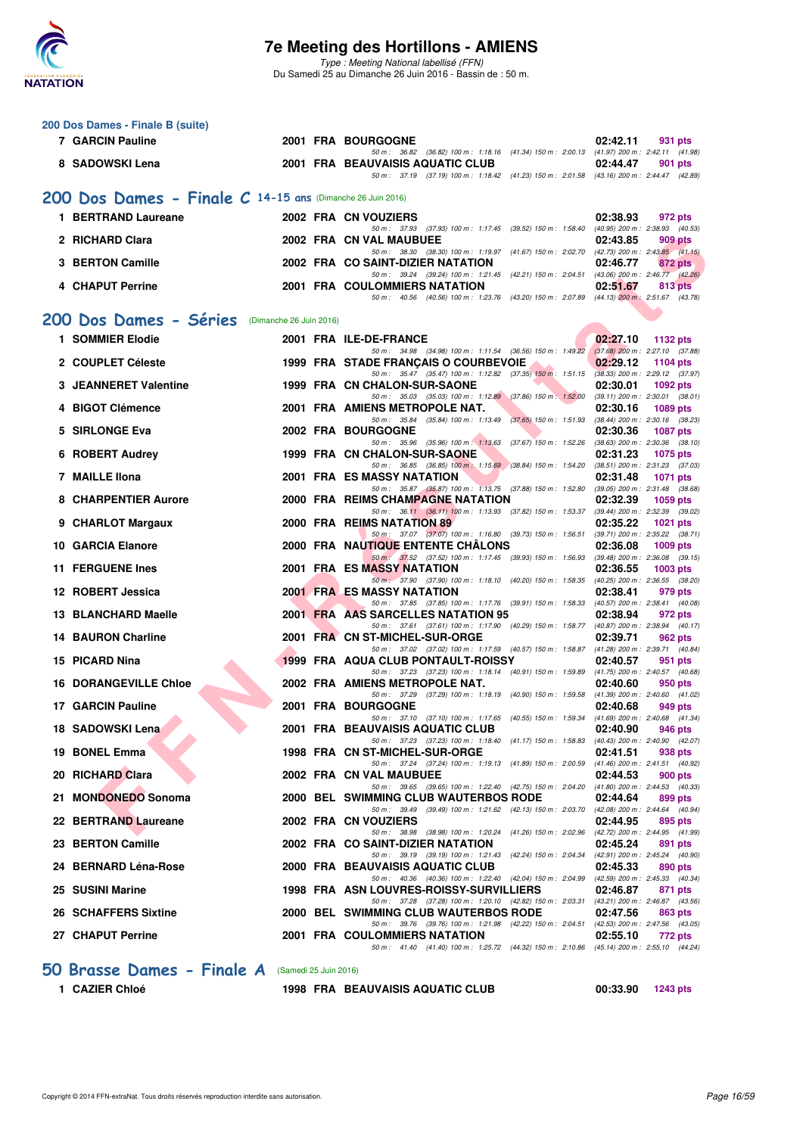

Type : Meeting National labellisé (FFN) Du Samedi 25 au Dimanche 26 Juin 2016 - Bassin de : 50 m.

| 200 Dos Dames - Finale B (suite)                           |                         |  |                                                                                                                                     |                                                                    |  |
|------------------------------------------------------------|-------------------------|--|-------------------------------------------------------------------------------------------------------------------------------------|--------------------------------------------------------------------|--|
| <b>7 GARCIN Pauline</b>                                    |                         |  | <b>2001 FRA BOURGOGNE</b><br>50 m: 36.82 (36.82) 100 m: 1:18.16 (41.34) 150 m: 2:00.13 (41.97) 200 m: 2:42.11 (41.98)               | 02:42.11<br>931 pts                                                |  |
| 8 SADOWSKI Lena                                            |                         |  | 2001 FRA BEAUVAISIS AQUATIC CLUB<br>50 m: 37.19 (37.19) 100 m: 1:18.42 (41.23) 150 m: 2:01.58 (43.16) 200 m: 2:44.47 (42.89)        | 02:44.47<br>901 pts                                                |  |
| 200 Dos Dames - Finale C 14-15 ans (Dimanche 26 Juin 2016) |                         |  |                                                                                                                                     |                                                                    |  |
| 1 BERTRAND Laureane                                        |                         |  | 2002 FRA CN VOUZIERS                                                                                                                | 02:38.93<br>972 pts                                                |  |
|                                                            |                         |  | 50 m: 37.93 (37.93) 100 m: 1:17.45 (39.52) 150 m: 1:58.40 (40.95) 200 m: 2:38.93 (40.53)                                            |                                                                    |  |
| 2 RICHARD Clara                                            |                         |  | 2002 FRA CN VAL MAUBUEE<br>50 m: 38.30 (38.30) 100 m: 1:19.97 (41.67) 150 m: 2:02.70 (42.73) 200 m: 2:43.85 (41.15)                 | 02:43.85<br>909 pts                                                |  |
| 3 BERTON Camille                                           |                         |  | 2002 FRA CO SAINT-DIZIER NATATION<br>50 m: 39.24 (39.24) 100 m: 1:21.45 (42.21) 150 m: 2:04.51 (43.06) 200 m: 2:46.77 (42.26)       | 02:46.77<br>872 pts                                                |  |
| 4 CHAPUT Perrine                                           |                         |  | <b>2001 FRA COULOMMIERS NATATION</b><br>50 m: 40.56 (40.56) 100 m: 1:23.76 (43.20) 150 m: 2:07.89 (44.13) 200 m: 2:51.67 (43.78)    | 02:51.67<br>813 pts                                                |  |
| 200 Dos Dames - Séries                                     |                         |  |                                                                                                                                     |                                                                    |  |
| 1 SOMMIER Elodie                                           | (Dimanche 26 Juin 2016) |  | 2001 FRA ILE-DE-FRANCE                                                                                                              | 02:27.10<br>1132 pts                                               |  |
|                                                            |                         |  | 50 m: 34.98 (34.98) 100 m: 1:11.54 (36.56) 150 m: 1:49.22 (37.68) 200 m: 2:27.10 (37.88)                                            |                                                                    |  |
| 2 COUPLET Céleste                                          |                         |  | 1999 FRA STADE FRANÇAIS O COURBEVOIE<br>50 m: 35.47 (35.47) 100 m: 1:12.82 (37.35) 150 m: 1:51.15                                   | 02:29.12<br><b>1104 pts</b><br>$(38.33)$ 200 m : 2:29.12 $(37.97)$ |  |
| <b>3 JEANNERET Valentine</b>                               |                         |  | 1999 FRA CN CHALON-SUR-SAONE<br>50 m: 35.03 (35.03) 100 m: 1:12.89 (37.86) 150 m: 1:52.00                                           | 02:30.01<br><b>1092 pts</b><br>$(39.11)$ 200 m : 2:30.01 $(38.01)$ |  |
| 4 BIGOT Clémence                                           |                         |  | 2001 FRA AMIENS METROPOLE NAT.                                                                                                      | 02:30.16<br>1089 pts                                               |  |
| 5 SIRLONGE Eva                                             |                         |  | 50 m: 35.84 (35.84) 100 m: 1:13.49 (37.65) 150 m: 1:51.93<br><b>2002 FRA BOURGOGNE</b>                                              | (38.44) 200 m : 2:30.16 (38.23)<br>02:30.36<br><b>1087 pts</b>     |  |
| 6 ROBERT Audrey                                            |                         |  | 50 m: 35.96 (35.96) 100 m: 1:13.63 (37.67) 150 m: 1:52.26<br>1999 FRA CN CHALON-SUR-SAONE                                           | $(38.63)$ 200 m : 2:30.36 $(38.10)$<br>02:31.23<br>1075 pts        |  |
| 7 MAILLE IIona                                             |                         |  | 50 m: 36.85 (36.85) 100 m: 1:15.69 (38.84) 150 m: 1:54.20 (38.51) 200 m: 2:31.23 (37.03)<br>2001 FRA ES MASSY NATATION              | 02:31.48<br><b>1071 pts</b>                                        |  |
|                                                            |                         |  | 50 m: 35.87 (35.87) 100 m: 1:13.75 (37.88) 150 m: 1:52.80 (39.05) 200 m: 2:31.48 (38.68)                                            |                                                                    |  |
| <b>8 CHARPENTIER Aurore</b>                                |                         |  | 2000 FRA REIMS CHAMPAGNE NATATION<br>50 m: 36.11 (36.11) 100 m: 1:13.93 (37.82) 150 m: 1:53.37 (39.44) 200 m: 2:32.39 (39.02)       | 02:32.39<br>1059 pts                                               |  |
| 9 CHARLOT Margaux                                          |                         |  | 2000 FRA REIMS NATATION 89<br>50 m: 37.07 (37.07) 100 m: 1:16.80 (39.73) 150 m: 1:56.51 (39.71) 200 m: 2:35.22 (38.71)              | 02:35.22<br><b>1021 pts</b>                                        |  |
| 10 GARCIA Elanore                                          |                         |  | <b>2000 FRA NAUTIQUE ENTENTE CHALONS</b>                                                                                            | 02:36.08<br>1009 pts                                               |  |
| <b>11 FERGUENE Ines</b>                                    |                         |  | 50 m : 37.52 (37.52) 100 m : 1:17.45 (39.93) 150 m : 1:56.93<br><b>2001 FRA ES MASSY NATATION</b>                                   | $(39.48)$ 200 m : 2:36.08 $(39.15)$<br>02:36.55<br>1003 pts        |  |
| 12 ROBERT Jessica                                          |                         |  | 50 m : 37.90 (37.90) 100 m : 1:18.10 (40.20) 150 m : 1:58.35<br><b>2001 FRALES MASSY NATATION</b>                                   | (40.25) 200 m : 2:36.55 (38.20)<br>02:38.41<br>979 pts             |  |
| 13 BLANCHARD Maelle                                        |                         |  | 50 m: 37.85 (37.85) 100 m: 1:17.76 (39.91) 150 m: 1:58.33 (40.57) 200 m: 2:38.41 (40.08)<br>2001 FRA AAS SARCELLES NATATION 95      | 02:38.94<br>972 pts                                                |  |
|                                                            |                         |  | 50 m: 37.61 (37.61) 100 m: 1:17.90 (40.29) 150 m: 1:58.77 (40.87) 200 m: 2:38.94 (40.17)                                            |                                                                    |  |
| <b>14 BAURON Charline</b>                                  |                         |  | 2001 FRA CN ST-MICHEL-SUR-ORGE<br>50 m: 37.02 (37.02) 100 m: 1:17.59 (40.57) 150 m: 1:58.87 (41.28) 200 m: 2:39.71 (40.84)          | 02:39.71<br>962 pts                                                |  |
| 15 PICARD Nina                                             |                         |  | 1999 FRA AQUA CLUB PONTAULT-ROISSY<br>50 m: 37.23 (37.23) 100 m: 1:18.14 (40.91) 150 m: 1:59.89 (41.75) 200 m: 2:40.57 (40.68)      | 02:40.57<br>951 pts                                                |  |
| <b>16 DORANGEVILLE Chloe</b>                               |                         |  | 2002 FRA AMIENS METROPOLE NAT.<br>50 m: 37.29 (37.29) 100 m: 1:18.19 (40.90) 150 m: 1:59.58 (41.39) 200 m: 2:40.60 (41.02)          | 02:40.60<br>950 pts                                                |  |
| 17 GARCIN Pauline                                          |                         |  | <b>2001 FRA BOURGOGNE</b>                                                                                                           | 02:40.68<br>949 pts                                                |  |
| 18 SADOWSKI Lena                                           |                         |  | 50 m: 37.10 (37.10) 100 m: 1:17.65 (40.55) 150 m: 1:59.34 (41.69) 200 m: 2:40.68 (41.34)<br>2001 FRA BEAUVAISIS AQUATIC CLUB        | 946 pts<br><b>02:40.90</b>                                         |  |
| 19 BONEL Emma                                              |                         |  | 50 m: 37.23 (37.23) 100 m: 1:18.40 (41.17) 150 m: 1:58.83<br>1998 FRA CN ST-MICHEL-SUR-ORGE                                         | $(40.43)$ 200 m : 2:40.90 $(42.07)$<br>02:41.51<br>938 pts         |  |
| 20 RICHARD Clara                                           |                         |  | 50 m: 37.24 (37.24) 100 m: 1:19.13 (41.89) 150 m: 2:00.59                                                                           | (41.46) 200 m : 2:41.51 (40.92)                                    |  |
|                                                            |                         |  | 2002 FRA CN VAL MAUBUEE<br>50 m: 39.65 (39.65) 100 m: 1:22.40 (42.75) 150 m: 2:04.20 (41.80) 200 m: 2:44.53 (40.33)                 | 02:44.53<br>900 pts                                                |  |
| 21 MONDONEDO Sonoma                                        |                         |  | 2000 BEL SWIMMING CLUB WAUTERBOS RODE<br>50 m: 39.49 (39.49) 100 m: 1:21.62 (42.13) 150 m: 2:03.70 (42.08) 200 m: 2:44.64 (40.94)   | 02:44.64<br>899 pts                                                |  |
| 22 BERTRAND Laureane                                       |                         |  | 2002 FRA CN VOUZIERS<br>50 m: 38.98 (38.98) 100 m: 1:20.24 (41.26) 150 m: 2:02.96 (42.72) 200 m: 2:44.95 (41.99)                    | 02:44.95<br>895 pts                                                |  |
| 23 BERTON Camille                                          |                         |  | 2002 FRA CO SAINT-DIZIER NATATION                                                                                                   | 02:45.24<br>891 pts                                                |  |
| 24 BERNARD Léna-Rose                                       |                         |  | 50 m: 39.19 (39.19) 100 m: 1:21.43 (42.24) 150 m: 2:04.34<br>2000 FRA BEAUVAISIS AQUATIC CLUB                                       | (42.91) 200 m : 2:45.24 (40.90)<br>02:45.33<br>890 pts             |  |
| 25 SUSINI Marine                                           |                         |  | 50 m: 40.36 (40.36) 100 m: 1:22.40 (42.04) 150 m: 2:04.99 (42.59) 200 m: 2:45.33 (40.34)<br>1998 FRA ASN LOUVRES-ROISSY-SURVILLIERS | 02:46.87<br>871 pts                                                |  |
| 26 SCHAFFERS Sixtine                                       |                         |  | 50 m: 37.28 (37.28) 100 m: 1:20.10 (42.82) 150 m: 2:03.31 (43.21) 200 m: 2:46.87 (43.56)<br>2000 BEL SWIMMING CLUB WAUTERBOS RODE   | 02:47.56<br>863 pts                                                |  |
|                                                            |                         |  | 50 m : 39.76 (39.76) 100 m : 1:21.98 (42.22) 150 m : 2:04.51 (42.53) 200 m : 2:47.56 (43.05)                                        |                                                                    |  |
| 27 CHAPUT Perrine                                          |                         |  | 2001 FRA COULOMMIERS NATATION<br>50 m: 41.40 (41.40) 100 m: 1:25.72 (44.32) 150 m: 2:10.86 (45.14) 200 m: 2:55.10 (44.24)           | 02:55.10<br>772 pts                                                |  |
| 50 Brasse Dames - Finale A<br>(Samedi 25 Juin 2016)        |                         |  |                                                                                                                                     |                                                                    |  |

**1 CAZIER Chloé 1998 FRA BEAUVAISIS AQUATIC CLUB 00:33.90 1243 pts**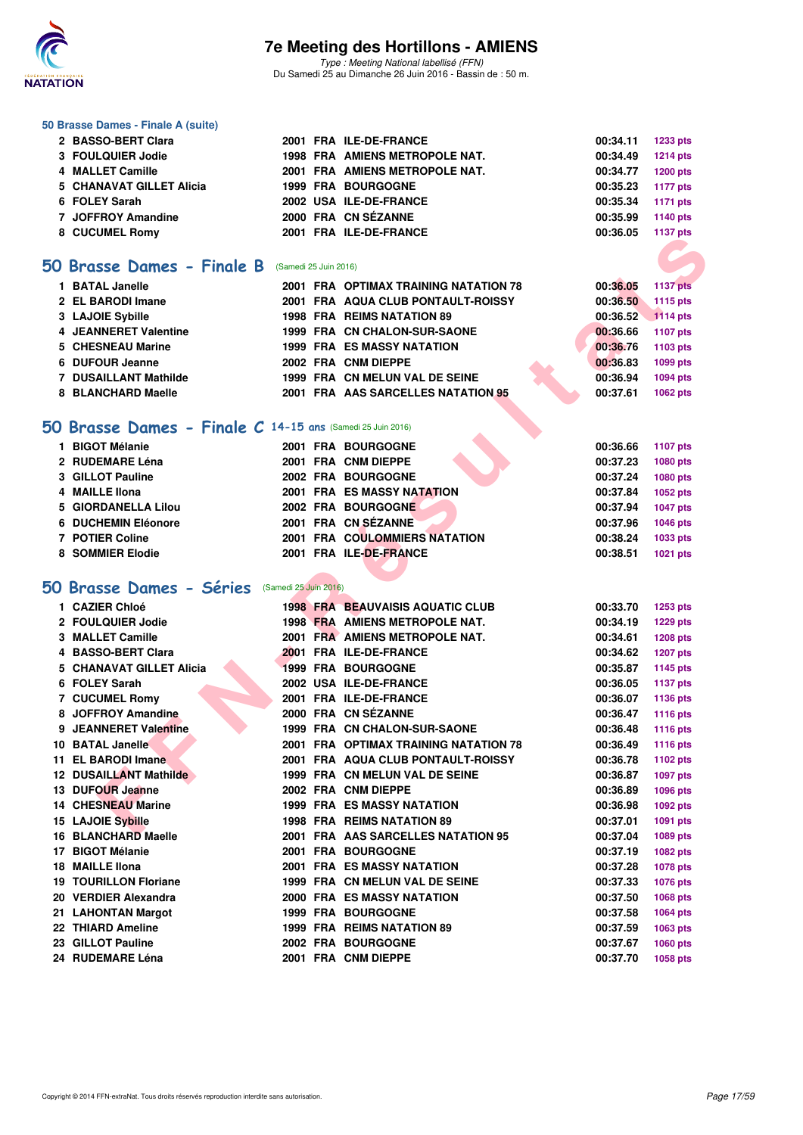

Type : Meeting National labellisé (FFN) Du Samedi 25 au Dimanche 26 Juin 2016 - Bassin de : 50 m.

#### **50 Brasse Dames - Finale A (suite)**

| 2 BASSO-BERT Clara       |  | 2001 FRA ILE-DE-FRANCE         | 00:34.11 1233 pts |          |
|--------------------------|--|--------------------------------|-------------------|----------|
| 3 FOULQUIER Jodie        |  | 1998 FRA AMIENS METROPOLE NAT. | 00:34.49          | 1214 pts |
| 4 MALLET Camille         |  | 2001 FRA AMIENS METROPOLE NAT. | 00:34.77          | 1200 pts |
| 5 CHANAVAT GILLET Alicia |  | <b>1999 FRA BOURGOGNE</b>      | 00:35.23 1177 pts |          |
| 6 FOLEY Sarah            |  | 2002 USA ILE-DE-FRANCE         | 00:35.34 1171 pts |          |
| 7 JOFFROY Amandine       |  | 2000 FRA CN SÉZANNE            | 00:35.99          | 1140 pts |
| 8 CUCUMEL Romy           |  | 2001 FRA ILE-DE-FRANCE         | 00:36.05 1137 pts |          |
|                          |  |                                |                   |          |

#### **[50 Brasse Dames - Finale B](http://www.ffnatation.fr/webffn/resultats.php?idact=nat&go=epr&idcpt=38947&idepr=21)** (Samedi 25 Juin 2016)

| <b>BATAL Janelle</b>         |  | 2001 FRA OPTIMAX TRAINING NATATION 78 |  | 00:36.05 | 1137 pts        |
|------------------------------|--|---------------------------------------|--|----------|-----------------|
| 2 EL BARODI Imane            |  | 2001 FRA AQUA CLUB PONTAULT-ROISSY    |  | 00:36.50 | 1115 pts        |
| 3 LAJOIE Sybille             |  | 1998 FRA REIMS NATATION 89            |  | 00:36.52 | 1114 pts        |
| 4 JEANNERET Valentine        |  | 1999 FRA CN CHALON-SUR-SAONE          |  | 00:36.66 | 1107 pts        |
| 5 CHESNEAU Marine            |  | <b>1999 FRA ES MASSY NATATION</b>     |  | 00:36.76 | 1103 pts        |
| 6 DUFOUR Jeanne              |  | 2002 FRA CNM DIEPPE                   |  | 00:36.83 | 1099 pts        |
| <b>7 DUSAILLANT Mathilde</b> |  | 1999 FRA CN MELUN VAL DE SEINE        |  | 00:36.94 | 1094 pts        |
| 8 BLANCHARD Maelle           |  | 2001 FRA AAS SARCELLES NATATION 95    |  | 00:37.61 | <b>1062 pts</b> |
|                              |  |                                       |  |          |                 |

#### **[50 Brasse Dames - Finale C](http://www.ffnatation.fr/webffn/resultats.php?idact=nat&go=epr&idcpt=38947&idepr=21) 14-15 ans** (Samedi 25 Juin 2016)

| 1 BIGOT Mélanie     | 2001 FRA BOURGOGNE                | 00:36.66 | 1107 pts |
|---------------------|-----------------------------------|----------|----------|
| 2 RUDEMARE Léna     | 2001 FRA CNM DIEPPE               | 00:37.23 | 1080 pts |
| 3 GILLOT Pauline    | 2002 FRA BOURGOGNE                | 00:37.24 | 1080 pts |
| 4 MAILLE IIona      | <b>2001 FRA ES MASSY NATATION</b> | 00:37.84 | 1052 pts |
| 5 GIORDANELLA Lilou | 2002 FRA BOURGOGNE                | 00:37.94 | 1047 pts |
| 6 DUCHEMIN Eléonore | 2001 FRA CN SÉZANNE               | 00:37.96 | 1046 pts |
| 7 POTIER Coline     | 2001 FRA COULOMMIERS NATATION     | 00:38.24 | 1033 pts |
| 8 SOMMIER Elodie    | 2001 FRA ILE-DE-FRANCE            | 00:38.51 | 1021 pts |

### **[50 Brasse Dames - Séries](http://www.ffnatation.fr/webffn/resultats.php?idact=nat&go=epr&idcpt=38947&idepr=21)** (Samedi 25 Juin 2016)

| <b>0 COCOMEL RUILLY</b>                                   |                       |                                              |          | <b>TISL PIS</b> |
|-----------------------------------------------------------|-----------------------|----------------------------------------------|----------|-----------------|
|                                                           |                       |                                              |          |                 |
| 0 Brasse Dames - Finale B                                 | (Samedi 25 Juin 2016) |                                              |          |                 |
| 1 BATAL Janelle                                           |                       | <b>2001 FRA OPTIMAX TRAINING NATATION 78</b> | 00:36.05 | <b>1137 pts</b> |
| 2 EL BARODI Imane                                         |                       | 2001 FRA AQUA CLUB PONTAULT-ROISSY           | 00:36.50 | 1115 pts        |
| 3 LAJOIE Sybille                                          |                       | 1998 FRA REIMS NATATION 89                   | 00:36.52 | 1114 pts        |
| 4 JEANNERET Valentine                                     |                       | 1999 FRA CN CHALON-SUR-SAONE                 | 00:36.66 | 1107 pts        |
| 5 CHESNEAU Marine                                         |                       | <b>1999 FRA ES MASSY NATATION</b>            | 00:36.76 | 1103 pts        |
| 6 DUFOUR Jeanne                                           |                       | 2002 FRA CNM DIEPPE                          | 00:36.83 | 1099 pts        |
| <b>7 DUSAILLANT Mathilde</b>                              |                       | 1999 FRA CN MELUN VAL DE SEINE               | 00:36.94 | <b>1094 pts</b> |
| 8 BLANCHARD Maelle                                        |                       | 2001 FRA AAS SARCELLES NATATION 95           | 00:37.61 | <b>1062 pts</b> |
|                                                           |                       |                                              |          |                 |
| O Brasse Dames - Finale C 14-15 ans (Samedi 25 Juin 2016) |                       |                                              |          |                 |
| 1 BIGOT Mélanie                                           |                       | 2001 FRA BOURGOGNE                           | 00:36.66 | <b>1107 pts</b> |
| 2 RUDEMARE Léna                                           |                       | 2001 FRA CNM DIEPPE                          | 00:37.23 | 1080 pts        |
| 3 GILLOT Pauline                                          |                       | 2002 FRA BOURGOGNE                           | 00:37.24 | 1080 pts        |
| 4 MAILLE IIona                                            |                       | <b>2001 FRA ES MASSY NATATION</b>            | 00:37.84 | 1052 pts        |
| 5 GIORDANELLA Lilou                                       |                       | 2002 FRA BOURGOGNE                           | 00:37.94 | <b>1047 pts</b> |
| 6 DUCHEMIN Eléonore                                       |                       | 2001 FRA CN SÉZANNE                          | 00:37.96 | <b>1046 pts</b> |
| 7 POTIER Coline                                           |                       | 2001 FRA COULOMMIERS NATATION                | 00:38.24 | 1033 pts        |
| 8 SOMMIER Elodie                                          |                       | 2001 FRA ILE-DE-FRANCE                       | 00:38.51 | <b>1021 pts</b> |
|                                                           |                       |                                              |          |                 |
| O Brasse Dames - Séries (Samedi 25 Juin 2016)             |                       |                                              |          |                 |
| 1 CAZIER Chloé                                            |                       | 1998 FRA BEAUVAISIS AQUATIC CLUB             | 00:33.70 | 1253 pts        |
| 2 FOULQUIER Jodie                                         |                       | 1998 FRA AMIENS METROPOLE NAT.               | 00:34.19 | 1229 pts        |
| 3 MALLET Camille                                          |                       | 2001 FRA AMIENS METROPOLE NAT.               | 00:34.61 | 1208 pts        |
| 4 BASSO-BERT Clara                                        |                       | 2001 FRA ILE-DE-FRANCE                       | 00:34.62 | 1207 pts        |
| 5 CHANAVAT GILLET Alicia                                  |                       | <b>1999 FRA BOURGOGNE</b>                    | 00:35.87 | <b>1145 pts</b> |
| 6 FOLEY Sarah                                             |                       | 2002 USA ILE-DE-FRANCE                       | 00:36.05 | <b>1137 pts</b> |
| 7 CUCUMEL Romy                                            |                       | 2001 FRA ILE-DE-FRANCE                       | 00:36.07 | 1136 pts        |
| 8 JOFFROY Amandine                                        |                       | 2000 FRA CN SÉZANNE                          | 00:36.47 | 1116 pts        |
| 9 JEANNERET Valentine                                     |                       | 1999 FRA CN CHALON-SUR-SAONE                 | 00:36.48 | 1116 pts        |
| 10 BATAL Janelle                                          |                       | 2001 FRA OPTIMAX TRAINING NATATION 78        | 00:36.49 | <b>1116 pts</b> |
| 11 EL BARODI Imane                                        |                       | 2001 FRA AQUA CLUB PONTAULT-ROISSY           | 00:36.78 | 1102 pts        |
| 12 DUSAILLANT Mathilde                                    |                       | 1999 FRA CN MELUN VAL DE SEINE               | 00:36.87 | <b>1097 pts</b> |
| 13 DUFOUR Jeanne                                          |                       | 2002 FRA CNM DIEPPE                          | 00:36.89 | <b>1096 pts</b> |
| <b>14 CHESNEAU Marine</b>                                 |                       | <b>1999 FRA ES MASSY NATATION</b>            | 00:36.98 | <b>1092 pts</b> |
| 15 LAJOIE Sybille                                         |                       | 1998 FRA REIMS NATATION 89                   | 00:37.01 | 1091 pts        |
| 16 BLANCHARD Maelle                                       |                       | 2001 FRA AAS SARCELLES NATATION 95           | 00:37.04 | 1089 pts        |
| 17 BIGOT Mélanie                                          |                       | <b>2001 FRA BOURGOGNE</b>                    | 00:37.19 | <b>1082 pts</b> |
| 18 MAILLE Ilona                                           |                       | 2001 FRA ES MASSY NATATION                   | 00:37.28 | <b>1078 pts</b> |
| <b>19 TOURILLON Floriane</b>                              |                       | 1999 FRA CN MELUN VAL DE SEINE               | 00:37.33 | <b>1076 pts</b> |
| 20 VERDIER Alexandra                                      |                       | <b>2000 FRA ES MASSY NATATION</b>            | 00:37.50 | 1068 pts        |
| 21 LAHONTAN Margot                                        |                       | <b>1999 FRA BOURGOGNE</b>                    | 00:37.58 | <b>1064 pts</b> |
| 22 THIARD Ameline                                         |                       | 1999 FRA REIMS NATATION 89                   | 00:37.59 | 1063 pts        |
| 23 GILLOT Pauline                                         |                       | <b>2002 FRA BOURGOGNE</b>                    | 00:37.67 | 1060 pts        |
| 24 RUDEMARE Léna                                          |                       | 2001 FRA CNM DIEPPE                          | 00:37.70 | 1058 pts        |
|                                                           |                       |                                              |          |                 |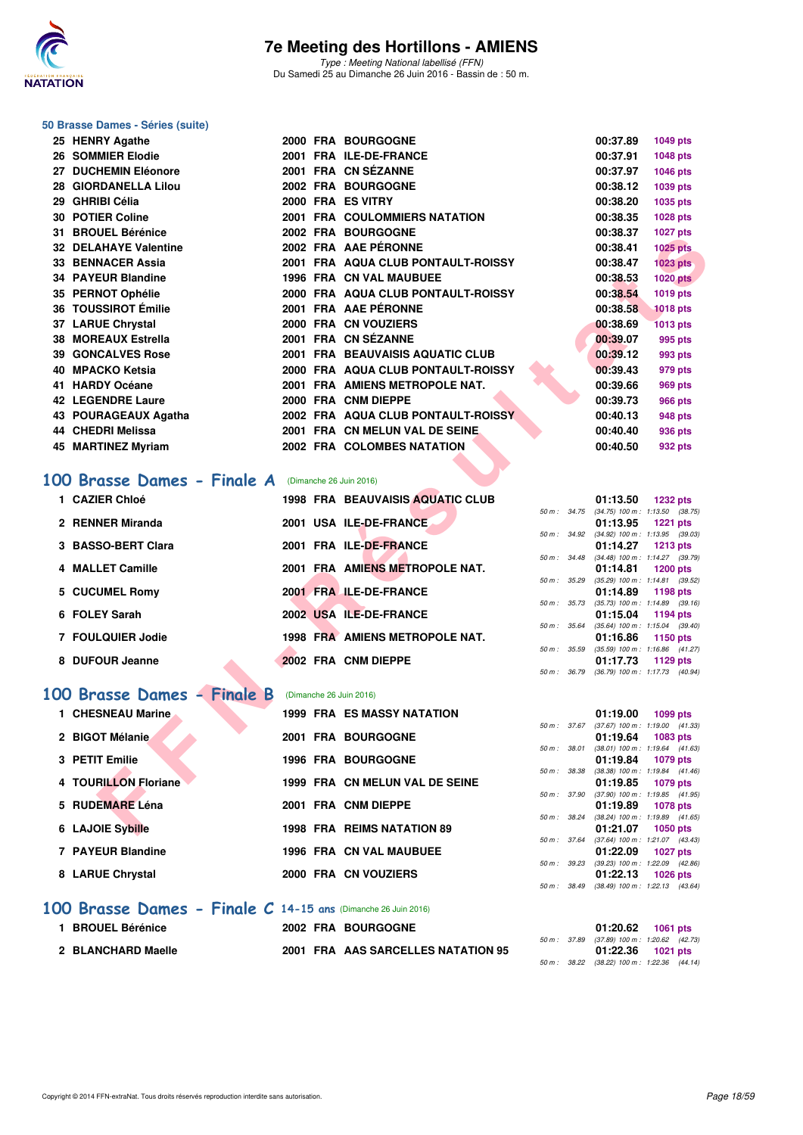

Type : Meeting National labellisé (FFN) Du Samedi 25 au Dimanche 26 Juin 2016 - Bassin de : 50 m.

#### **50 Brasse Dames - Séries (suite)**

| 25 HENRY Agathe                                    |  | <b>2000 FRA BOURGOGNE</b>               |  | 00:37.89 | <b>1049 pts</b>                                                    |
|----------------------------------------------------|--|-----------------------------------------|--|----------|--------------------------------------------------------------------|
| <b>26 SOMMIER Elodie</b>                           |  | 2001 FRA ILE-DE-FRANCE                  |  | 00:37.91 | 1048 pts                                                           |
| 27 DUCHEMIN Eléonore                               |  | 2001 FRA CN SÉZANNE                     |  | 00:37.97 | 1046 pts                                                           |
| 28 GIORDANELLA Lilou                               |  | 2002 FRA BOURGOGNE                      |  | 00:38.12 | 1039 pts                                                           |
| 29 GHRIBI Célia                                    |  | 2000 FRA ES VITRY                       |  | 00:38.20 | 1035 pts                                                           |
| <b>30 POTIER Coline</b>                            |  | <b>2001 FRA COULOMMIERS NATATION</b>    |  | 00:38.35 | 1028 pts                                                           |
| 31 BROUEL Bérénice                                 |  | 2002 FRA BOURGOGNE                      |  | 00:38.37 | <b>1027 pts</b>                                                    |
| <b>32 DELAHAYE Valentine</b>                       |  | 2002 FRA AAE PÉRONNE                    |  | 00:38.41 | <b>1025 pts</b>                                                    |
| <b>33 BENNACER Assia</b>                           |  | 2001 FRA AQUA CLUB PONTAULT-ROISSY      |  | 00:38.47 | <b>1023 pts</b>                                                    |
| <b>34 PAYEUR Blandine</b>                          |  | <b>1996 FRA CN VAL MAUBUEE</b>          |  | 00:38.53 | <b>1020 pts</b>                                                    |
| 35 PERNOT Ophélie                                  |  | 2000 FRA AQUA CLUB PONTAULT-ROISSY      |  | 00:38.54 | 1019 pts                                                           |
| 36 TOUSSIROT Émilie                                |  | 2001 FRA AAE PÉRONNE                    |  | 00:38.58 | <b>1018 pts</b>                                                    |
| 37 LARUE Chrystal                                  |  | 2000 FRA CN VOUZIERS                    |  | 00:38.69 | <b>1013 pts</b>                                                    |
| 38 MOREAUX Estrella                                |  | 2001 FRA CN SÉZANNE                     |  | 00:39.07 | 995 pts                                                            |
| <b>39 GONCALVES Rose</b>                           |  | 2001 FRA BEAUVAISIS AQUATIC CLUB        |  | 00:39.12 | 993 pts                                                            |
| 40 MPACKO Ketsia                                   |  | 2000 FRA AQUA CLUB PONTAULT-ROISSY      |  | 00:39.43 | 979 pts                                                            |
| 41 HARDY Océane                                    |  | 2001 FRA AMIENS METROPOLE NAT.          |  | 00:39.66 | 969 pts                                                            |
| <b>42 LEGENDRE Laure</b>                           |  | 2000 FRA CNM DIEPPE                     |  | 00:39.73 | <b>966 pts</b>                                                     |
| 43 POURAGEAUX Agatha                               |  | 2002 FRA AQUA CLUB PONTAULT-ROISSY      |  | 00:40.13 | <b>948 pts</b>                                                     |
| 44 CHEDRI Melissa                                  |  | 2001 FRA CN MELUN VAL DE SEINE.         |  | 00:40.40 | 936 pts                                                            |
| 45 MARTINEZ Myriam                                 |  | 2002 FRA COLOMBES NATATION              |  | 00:40.50 | 932 pts                                                            |
|                                                    |  |                                         |  |          |                                                                    |
| 00 Brasse Dames - Finale A (Dimanche 26 Juin 2016) |  |                                         |  |          |                                                                    |
| 1 CAZIER Chloé                                     |  | <b>1998 FRA BEAUVAISIS AQUATIC CLUB</b> |  | 01:13.50 | <b>1232 pts</b>                                                    |
| 2 RENNER Miranda                                   |  | 2001 USA ILE-DE-FRANCE                  |  | 01:13.95 | 50 m: 34.75 (34.75) 100 m: 1:13.50 (38.75)<br><b>1221 pts</b>      |
|                                                    |  |                                         |  |          | 50 m: 34.92 (34.92) 100 m: 1:13.95 (39.03)                         |
| 3 BASSO-BERT Clara                                 |  | 2001 FRA ILE-DE-FRANCE                  |  | 01:14.27 | <b>1213 pts</b>                                                    |
| 4 MALLET Camille                                   |  | 2001 FRA AMIENS METROPOLE NAT.          |  | 01:14.81 | 50 m : 34.48 (34.48) 100 m : 1:14.27 (39.79)<br>1200 pts           |
|                                                    |  |                                         |  |          | 50 m: 35.29 (35.29) 100 m: 1:14.81 (39.52)                         |
| 5 CUCUMEL Romy                                     |  | 2001 FRA ILE-DE-FRANCE                  |  | 01:14.89 | 1198 pts<br>50 m: 35.73 (35.73) 100 m: 1:14.89 (39.16)             |
| 6 FOLEY Sarah                                      |  | 2002 USA ILE-DE-FRANCE                  |  | 01:15.04 | 1194 pts                                                           |
|                                                    |  |                                         |  |          | 50 m: 35.64 (35.64) 100 m: 1:15.04 (39.40)                         |
| 7 FOULQUIER Jodie                                  |  | 1998 FRA AMIENS METROPOLE NAT.          |  | 01:16.86 | 1150 pts<br>50 m: 35.59 (35.59) 100 m: 1:16.86 (41.27)             |
| 8 DUFOUR Jeanne                                    |  | 2002 FRA CNM DIEPPE                     |  | 01:17.73 | 1129 pts                                                           |
|                                                    |  |                                         |  |          | 50 m: 36.79 (36.79) 100 m: 1:17.73 (40.94)                         |
| 00 Brasse Dames - Finale B                         |  | (Dimanche 26 Juin 2016)                 |  |          |                                                                    |
| 1 CHESNEAU Marine                                  |  | <b>1999 FRA ES MASSY NATATION</b>       |  | 01:19.00 | 1099 pts                                                           |
|                                                    |  |                                         |  |          | 50 m: 37.67 (37.67) 100 m: 1:19.00 (41.33)                         |
| 2 BIGOT Mélanie                                    |  | 2001 FRA BOURGOGNE                      |  | 01:19.64 | 1083 pts                                                           |
| 3 PETIT Emilie                                     |  | <b>1996 FRA BOURGOGNE</b>               |  | 01:19.84 | $50 m$ : $38.01$ $(38.01) 100 m$ : $1:19.64$ $(41.63)$<br>1079 pts |
|                                                    |  |                                         |  |          | 50 m: 38.38 (38.38) 100 m: 1:19.84 (41.46)                         |
| 4 TOURILLON Floriane                               |  | 1999 FRA CN MELUN VAL DE SEINE          |  | 01:19.85 | <b>1079 pts</b>                                                    |
| 5 RUDEMARE Léna                                    |  | 2001 FRA CNM DIEPPE                     |  | 01:19.89 | 50 m: 37.90 (37.90) 100 m: 1:19.85 (41.95)<br><b>1078 pts</b>      |
|                                                    |  |                                         |  |          | 50 m: 38.24 (38.24) 100 m: 1:19.89 (41.65)                         |
| 6 LAJOIE Sybille                                   |  | 1998 FRA REIMS NATATION 89              |  | 01:21.07 | 1050 pts                                                           |

#### **[100 Brasse Dames - Finale A](http://www.ffnatation.fr/webffn/resultats.php?idact=nat&go=epr&idcpt=38947&idepr=22)** (Dimanche 26 Juin 2016)

| 1 CAZIER Chloé     | <b>1998 FRA BEAUVAISIS AQUATIC CLUB</b> |                        | 01:13.50          | 1232 pts                                               |
|--------------------|-----------------------------------------|------------------------|-------------------|--------------------------------------------------------|
| 2 RENNER Miranda   | 2001 USA ILE-DE-FRANCE                  | $50 m$ : $34.75$       | 01:13.95          | $(34.75)$ 100 m : 1:13.50 $(38.75)$<br><b>1221 pts</b> |
| 3 BASSO-BERT Clara | 2001 FRA ILE-DE-FRANCE                  | 50 m: 34.92            | 01:14.27          | $(34.92)$ 100 m : 1:13.95 $(39.03)$<br><b>1213 pts</b> |
| 4 MALLET Camille   | 2001 FRA AMIENS METROPOLE NAT.          | $50 \text{ m}$ : 34.48 | 01:14.81          | $(34.48)$ 100 m : 1:14.27 $(39.79)$<br>$1200$ pts      |
| 5 CUCUMEL Romy     | 2001 FRA ILE-DE-FRANCE                  | 50 m : 35.29           | 01:14.89 1198 pts | $(35.29)$ 100 m : 1:14.81 $(39.52)$                    |
| 6 FOLEY Sarah      | 2002 USA ILE-DE-FRANCE                  | $50 m$ : $35.73$       | 01:15.04          | $(35.73)$ 100 m : 1:14.89 $(39.16)$<br>1194 pts        |
| 7 FOULQUIER Jodie  | 1998 FRA AMIENS METROPOLE NAT.          | $50 m$ : 35.64         | 01:16.86          | $(35.64)$ 100 m : 1:15.04 $(39.40)$                    |
|                    |                                         | $50 m$ : 35.59         |                   | 1150 pts<br>$(35.59)$ 100 m : 1:16.86 $(41.27)$        |
| 8 DUFOUR Jeanne    | 2002 FRA CNM DIEPPE                     | 50 m : 36.79           | 01:17.73          | 1129 pts<br>$(36.79)$ 100 m : 1:17.73 $(40.94)$        |

#### **[100 Brasse Dames - Finale B](http://www.ffnatation.fr/webffn/resultats.php?idact=nat&go=epr&idcpt=38947&idepr=22)** (Dimanche 26 Juin 2016)

| 1 CHESNEAU Marine    | <b>1999 FRA ES MASSY NATATION</b> |
|----------------------|-----------------------------------|
| 2 BIGOT Mélanie      | 2001 FRA BOURGOGNE                |
| 3 PETIT Emilie       | <b>1996 FRA BOURGOGNE</b>         |
| 4 TOURILLON Floriane | 1999 FRA CN MELUN VAL DE SEINE    |
| 5 RUDEMARE Léna      | 2001 FRA CNM DIEPPE               |
| 6 LAJOIE Sybille     | <b>1998 FRA REIMS NATATION 89</b> |
| 7 PAYEUR Blandine    | <b>1996 FRA CN VAL MAUBUEE</b>    |
| 8 LARUE Chrystal     | 2000 FRA CN VOUZIERS              |
|                      |                                   |

#### **1 CHESNEAU Marine 1999 FRA ES MASSY NATATION 01:19.00 1099 pts** 50 m : 37.67 (37.67) 100 m : 1:19.00 (41.33) **2 BIGOT Mélanie 2001 FRA BOURGOGNE 01:19.64 1083 pts** 50 m : 38.01 (38.01) 100 m : 1:19.64 (41.63) **3 PETIT Emilie 1996 FRA BOURGOGNE 01:19.84 1079 pts** 50 m : 38.38 (38.38) 100 m : 1:19.84 (41.46) 01:19.85 **1079 pts** 50 m : 37.90 (37.90) 100 m : 1:19.85 (41.95) **5 RUDEMARE Léna 2001 FRA CNM DIEPPE 01:19.89 1078 pts** 50 m : 38.24 (38.24) 100 m : 1:19.89 (41.65) **6 LAJOIE Sybille 1998 FRA REIMS NATATION 89 01:21.07 1050 pts** 50 m : 37.64 (37.64) 100 m : 1:21.07 (43.43) **01:22.09 1027 pts** 50 m : 39.23 (39.23) 100 m : 1:22.09 (42.86) **8 LARUE Chrystal 2000 FRA CN VOUZIERS 01:22.13 1026 pts** 50 m : 38.49 (38.49) 100 m : 1:22.13 (43.64)

#### **[100 Brasse Dames - Finale C](http://www.ffnatation.fr/webffn/resultats.php?idact=nat&go=epr&idcpt=38947&idepr=22) 14-15 ans** (Dimanche 26 Juin 2016)

| <b>BROUEL Bérénice</b> |  | 2002 FRA BOURGOGNE                 |  | 01:20.62                                        | 1061 pts |  |
|------------------------|--|------------------------------------|--|-------------------------------------------------|----------|--|
|                        |  |                                    |  | 50 m : 37.89 (37.89) 100 m : 1:20.62 (42.       |          |  |
| 2 BLANCHARD Maelle     |  | 2001 FRA AAS SARCELLES NATATION 95 |  | 01:22.36                                        | 1021 pts |  |
|                        |  |                                    |  | $50 m \cdot 3822 (3822) 100 m \cdot 12236 (44)$ |          |  |

|  | 01:20.62 1061 pts                          |  |
|--|--------------------------------------------|--|
|  | 50 m: 37.89 (37.89) 100 m: 1:20.62 (42.73) |  |
|  |                                            |  |
|  | $01:22.36$ 1021 pts                        |  |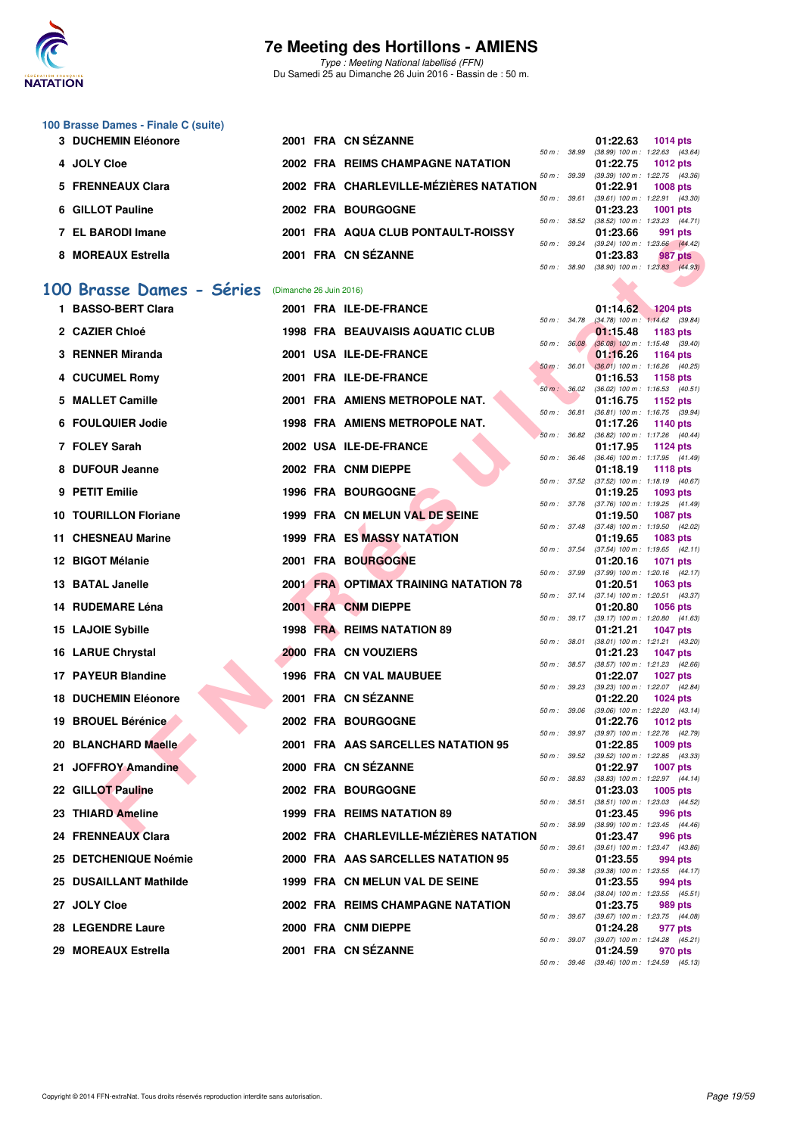

Type : Meeting National labellisé (FFN) Du Samedi 25 au Dimanche 26 Juin 2016 - Bassin de : 50 m.

#### **100 Brasse Dames - Finale C (suite)**

| 3 DUCHEMIN Eléonore |  | 2001 FRA CN SEZANNE                      |                          | 01:22.63                                   | 1014 $pts$ |                |
|---------------------|--|------------------------------------------|--------------------------|--------------------------------------------|------------|----------------|
|                     |  |                                          | 50 m: 38.99              | (38.99) 100 m: 1:22.63 (43.64)             |            |                |
| 4 JOLY Cloe         |  | <b>2002 FRA REIMS CHAMPAGNE NATATION</b> | 50 m: 39.39              | 01:22.75<br>(39.39) 100 m : 1:22.75 (43.36 | 1012 $pts$ |                |
| 5 FRENNEAUX Clara   |  | 2002 FRA CHARLEVILLE-MÉZIÈRES NATATION   |                          | 01:22.91                                   | 1008 $pts$ |                |
|                     |  |                                          | 50 m: 39.61              | $(39.61)$ 100 m : 1:22.91 $(43.30)$        |            |                |
| 6 GILLOT Pauline    |  | 2002 FRA BOURGOGNE                       |                          | 01:23.23                                   | 1001 pts   |                |
| 7 EL BARODI Imane   |  | 2001 FRA AQUA CLUB PONTAULT-ROISSY       | $50 \text{ m}$ : $38.52$ | (38.52) 100 m : 1:23.23 (44.71<br>01:23.66 |            | 991 pts        |
|                     |  |                                          | $50 \text{ m}$ : 39.24   | (39.24) 100 m : 1:23.66 (44.42)            |            |                |
| 8 MOREAUX Estrella  |  | 2001 FRA CN SÉZANNE                      |                          | 01:23.83                                   |            | <b>987 pts</b> |
|                     |  |                                          | 50 m : 38.90             | (38.90) 100 m : 1:23.83 (44.93)            |            |                |

#### **[100 Brasse Dames - Séries](http://www.ffnatation.fr/webffn/resultats.php?idact=nat&go=epr&idcpt=38947&idepr=22)** (Dimanche 26 Juin 2016)

|           | - DANUDI IIIIAIIT            |                         | <b>FRA AGOA CLOB FONTADLI-ROISST</b>         |                |              | 01. <b>2</b> . 00                                      | <i>ออ</i> เ pเอ |  |
|-----------|------------------------------|-------------------------|----------------------------------------------|----------------|--------------|--------------------------------------------------------|-----------------|--|
|           | 8 MOREAUX Estrella           |                         | 2001 FRA CN SÉZANNE                          | 50 m : 39.24   |              | $(39.24)$ 100 m : 1:23.66 $(44.42)$<br>01:23.83        | <b>987 pts</b>  |  |
|           |                              |                         |                                              | 50 m : 38.90   |              | $(38.90)$ 100 m : 1:23.83 $(44.93)$                    |                 |  |
| <b>OO</b> | <b>Brasse Dames - Séries</b> | (Dimanche 26 Juin 2016) |                                              |                |              |                                                        |                 |  |
|           | 1 BASSO-BERT Clara           |                         | 2001 FRA ILE-DE-FRANCE                       |                |              | 01:14.62                                               | $1204$ pts      |  |
|           | 2 CAZIER Chloé               |                         | <b>1998 FRA BEAUVAISIS AQUATIC CLUB</b>      |                |              | 50 m: 34.78 (34.78) 100 m: 1:14.62 (39.84)<br>01:15.48 | 1183 pts        |  |
|           | 3 RENNER Miranda             |                         | 2001 USA ILE-DE-FRANCE                       | 50 m : 36.08   |              | $(36.08)$ 100 m : 1:15.48 $(39.40)$<br>01:16.26        | 1164 pts        |  |
|           |                              |                         |                                              | $50 m$ : 36.01 |              | $(36.01)$ 100 m : 1:16.26 $(40.25)$                    |                 |  |
|           | 4 CUCUMEL Romy               |                         | 2001 FRA ILE-DE-FRANCE                       |                |              | 01:16.53<br>50 m: 36.02 (36.02) 100 m: 1:16.53 (40.51) | 1158 pts        |  |
|           | 5 MALLET Camille             |                         | 2001 FRA AMIENS METROPOLE NAT.               |                |              | 01:16.75                                               | 1152 pts        |  |
|           | 6 FOULQUIER Jodie            |                         | <b>1998 FRA AMIENS METROPOLE NAT.</b>        | 50 m : 36.81   |              | $(36.81)$ 100 m : 1:16.75 $(39.94)$<br>01:17.26        | 1140 pts        |  |
|           | 7 FOLEY Sarah                |                         | 2002 USA ILE-DE-FRANCE                       | 50 m: 36.82    |              | $(36.82)$ 100 m : 1:17.26 $(40.44)$                    |                 |  |
|           |                              |                         |                                              | 50 m : 36.46   |              | 01:17.95<br>(36.46) 100 m: 1:17.95 (41.49)             | 1124 pts        |  |
|           | 8 DUFOUR Jeanne              |                         | 2002 FRA CNM DIEPPE                          |                | 50 m : 37.52 | 01:18.19<br>$(37.52)$ 100 m : 1:18.19 $(40.67)$        | <b>1118 pts</b> |  |
|           | 9 PETIT Emilie               |                         | <b>1996 FRA BOURGOGNE</b>                    |                |              | 01:19.25                                               | 1093 pts        |  |
|           | <b>10 TOURILLON Floriane</b> |                         | 1999 FRA CN MELUN VAL DE SEINE               |                |              | 50 m: 37.76 (37.76) 100 m: 1:19.25 (41.49)<br>01:19.50 | <b>1087 pts</b> |  |
|           |                              |                         |                                              | 50 m : 37.48   |              | $(37.48)$ 100 m : 1:19.50 $(42.02)$                    |                 |  |
|           | 11 CHESNEAU Marine           |                         | 1999 FRA ES MASSY NATATION                   |                |              | 01:19.65<br>50 m: 37.54 (37.54) 100 m: 1:19.65 (42.11) | 1083 pts        |  |
|           | 12 BIGOT Mélanie             |                         | 2001 FRA BOURGOGNE                           |                |              | 01:20.16                                               | <b>1071 pts</b> |  |
|           | 13 BATAL Janelle             |                         | <b>2001 FRA OPTIMAX TRAINING NATATION 78</b> | 50 m : 37.99   |              | $(37.99)$ 100 m : 1:20.16 $(42.17)$<br>01:20.51        | 1063 pts        |  |
|           | 14 RUDEMARE Léna             |                         | 2001 FRA CNM DIEPPE                          |                |              | 50 m: 37.14 (37.14) 100 m: 1:20.51 (43.37)<br>01:20.80 | <b>1056 pts</b> |  |
|           |                              |                         |                                              |                |              | 50 m: 39.17 (39.17) 100 m: 1:20.80 (41.63)             |                 |  |
|           | 15 LAJOIE Sybille            |                         | 1998 FRA REIMS NATATION 89                   | 50 m : 38.01   |              | 01:21.21<br>(38.01) 100 m: 1:21.21 (43.20)             | <b>1047 pts</b> |  |
|           | 16 LARUE Chrystal            |                         | 2000 FRA CN VOUZIERS                         |                |              | 01:21.23                                               | <b>1047 pts</b> |  |
|           | 17 PAYEUR Blandine           |                         | 1996 FRA CN VAL MAUBUEE                      |                |              | 50 m: 38.57 (38.57) 100 m: 1:21.23 (42.66)<br>01:22.07 | <b>1027 pts</b> |  |
|           |                              |                         |                                              | 50 m : 39.23   |              | (39.23) 100 m: 1:22.07 (42.84)                         |                 |  |
|           | <b>18 DUCHEMIN Eléonore</b>  |                         | 2001 FRA CN SEZANNE                          |                |              | 01:22.20<br>50 m: 39.06 (39.06) 100 m: 1:22.20 (43.14) | 1024 pts        |  |
|           | 19 BROUEL Bérénice           |                         | 2002 FRA BOURGOGNE                           | 50 m : 39.97   |              | 01:22.76<br>(39.97) 100 m : 1:22.76 (42.79)            | <b>1012 pts</b> |  |
|           | 20 BLANCHARD Maelle          |                         | 2001 FRA AAS SARCELLES NATATION 95           |                |              | 01:22.85                                               | 1009 pts        |  |
|           | 21 JOFFROY Amandine          |                         | 2000 FRA CN SEZANNE                          |                |              | 50 m: 39.52 (39.52) 100 m: 1:22.85 (43.33)<br>01:22.97 | <b>1007 pts</b> |  |
|           |                              |                         |                                              |                |              | 50 m: 38.83 (38.83) 100 m: 1:22.97 (44.14)             |                 |  |
|           | 22 GILLOT Pauline            |                         | 2002 FRA BOURGOGNE                           |                | 50 m : 38.51 | 01:23.03<br>$(38.51)$ 100 m : 1:23.03 $(44.52)$        | 1005 pts        |  |
|           | 23 THIARD Ameline            |                         | 1999 FRA REIMS NATATION 89                   |                |              | 01:23.45                                               | 996 pts         |  |
|           | 24 FRENNEAUX Clara           |                         | 2002 FRA CHARLEVILLE-MÉZIÈRES NATATION       |                | 50 m : 38.99 | $(38.99)$ 100 m : 1:23.45 $(44.46)$<br>01:23.47        | 996 pts         |  |
|           | 25 DETCHENIQUE Noémie        |                         | 2000 FRA AAS SARCELLES NATATION 95           |                |              | 50 m: 39.61 (39.61) 100 m: 1:23.47 (43.86)<br>01:23.55 | 994 pts         |  |
|           |                              |                         |                                              |                |              | 50 m: 39.38 (39.38) 100 m: 1:23.55 (44.17)             |                 |  |
|           | 25 DUSAILLANT Mathilde       |                         | 1999 FRA CN MELUN VAL DE SEINE               |                |              | 01:23.55<br>50 m: 38.04 (38.04) 100 m: 1:23.55 (45.51) | 994 pts         |  |
|           | 27 JOLY Cloe                 |                         | 2002 FRA REIMS CHAMPAGNE NATATION            |                |              | 01:23.75                                               | 989 pts         |  |
|           | 28 LEGENDRE Laure            |                         | 2000 FRA CNM DIEPPE                          |                |              | 50 m: 39.67 (39.67) 100 m: 1:23.75 (44.08)<br>01:24.28 | 977 pts         |  |
|           |                              |                         | 2001 FRA CN SÉZANNE                          |                |              | 50 m: 39.07 (39.07) 100 m: 1:24.28 (45.21)             |                 |  |
|           | 29 MOREAUX Estrella          |                         |                                              |                |              | 01:24.59                                               | 970 pts         |  |

|   |          |                | 01:14.62          | <b>1204 pts</b> |         |
|---|----------|----------------|-------------------|-----------------|---------|
|   | $50 m$ : | 34.78          | $(34.78) 100 m$ : | 1:14.62         | (39.84) |
|   |          |                | 01:15.48          | 1183 pts        |         |
|   | 50 m :   | 36.08          | $(36.08) 100 m$ : | 1:15.48         | (39.40) |
|   |          |                | 01:16.26          | 1164 pts        |         |
|   | $50 m$ : | 36.01          | $(36.01)$ 100 m : | 1:16.26         | (40.25) |
|   |          |                | 01:16.53          | 1158            | pts     |
|   | $50 m$ : | 36.02          | $(36.02)$ 100 m : | 1:16.53         | (40.51) |
|   |          |                | 01:16.75          | 1152 pts        |         |
|   | $50 m$ : | 36.81          | $(36.81)$ 100 m : | 1:16.75         | (39.94) |
|   |          |                | 01:17.26          | 1140 pts        |         |
|   | $50 m$ : | 36.82          | $(36.82)$ 100 m : | 1:17.26         | (40.44) |
|   |          |                | 01:17.95          | 1124 pts        |         |
|   | $50 m$ : | 36.46          | $(36.46) 100 m$ : | 1:17.95         | (41.49) |
|   |          |                | 01:18.19          | 1118 pts        |         |
|   | $50 m$ : | 37.52          | $(37.52)$ 100 m : | 1:18.19         | (40.67) |
|   |          |                | 01:19.25          | 1093 pts        |         |
|   | $50 m$ : | 37.76          | $(37.76) 100 m$ : | 1:19.25         | (41.49) |
|   |          |                | 01:19.50          | 1087            | pts     |
|   | $50 m$ : | 37.48          | $(37.48) 100 m$ : | 1:19.50         | (42.02) |
|   |          |                | 01:19.65          | 1083 pts        |         |
|   | $50 m$ : | 37.54          | $(37.54) 100 m$ : | 1:19.65         | (42.11) |
|   |          |                | 01:20.16          | 1071            | pts     |
|   | $50 m$ : | 37.99          | (37.99) 100 m :   | 1:20.16         | (42.17) |
|   |          |                | 01:20.51          | 1063            | pts     |
|   | $50 m$ : | 37.14          | $(37.14) 100 m$ : | 1:20.51         | (43.37) |
|   |          |                | 01:20.80          | 1056            | pts     |
|   | $50 m$ : | 39.17          | $(39.17) 100 m$ : | 1:20.80         | (41.63) |
|   |          |                | 01:21.21          | 1047            | pts     |
|   | $50 m$ : | 38.01          | $(38.01)$ 100 m : | 1:21.21         | (43.20) |
|   |          | 38.57<br>39.23 | 01:21.23          | 1047            | pts     |
|   | $50 m$ : |                | $(38.57) 100 m$ : | 1:21.23         | (42.66) |
|   |          |                | 01:22.07          | 1027            | pts     |
|   | $50 m$ : |                | (39.23) 100 m :   | 1:22.07         | (42.84) |
|   |          |                | 01:22.20          | 1024 pts        |         |
|   | $50 m$ : | 39.06          | (39.06) 100 m :   | 1:22.20         | (43.14) |
|   |          |                | 01:22.76          | 1012            | pts     |
|   | $50 m$ : | 39.97          | (39.97) 100 m :   | 1:22.76         | (42.79) |
|   |          |                | 01:22.85          | 1009 pts        |         |
|   | $50 m$ : | 39.52          | $(39.52) 100 m$ : | 1:22.85         | (43.33) |
|   |          |                | 01:22.97          | 1007            | pts     |
|   | $50 m$ : | 38.83          | $(38.83) 100 m$ : | 1:22.97         | (44.14) |
|   |          |                | 01:23.03          | 1005 pts        |         |
|   | $50 m$ : | 38.51          | $(38.51)$ 100 m : | 1:23.03         | (44.52) |
|   |          |                | 01:23.45          | 996             | pts     |
|   | 50 m :   | 38.99          | (38.99) 100 m :   | 1:23.45         | (44.46) |
| √ |          |                | 01:23.47          | 996 pts         |         |
|   | 50 m :   | 39.61          | $(39.61)$ 100 m : | 1:23.47         | (43.86) |
|   |          |                | 01:23.55          | 994             | pts     |
|   | $50 m$ : | 39.38          | (39.38) 100 m :   | 1:23.55         | (44.17) |
|   |          |                | 01:23.55          | 994 pts         |         |
|   | $50 m$ : | 38.04          | $(38.04)$ 100 m : | 1:23.55         | (45.51) |
|   |          |                | 01:23.75          | 989             | pts     |
|   | $50 m$ : | 39.67          | (39.67) 100 m :   | 1:23.75         | (44.08) |
|   |          |                | 01:24.28          | 977             | pts     |
|   | $50 m$ : | 39.07          | (39.07) 100 m :   | 1:24.28         | (45.21) |
|   |          |                | 01:24.59          | 970 pts         |         |
|   | $50 m$ : | 39.46          | (39.46) 100 m :   | 1:24.59         | (45.13) |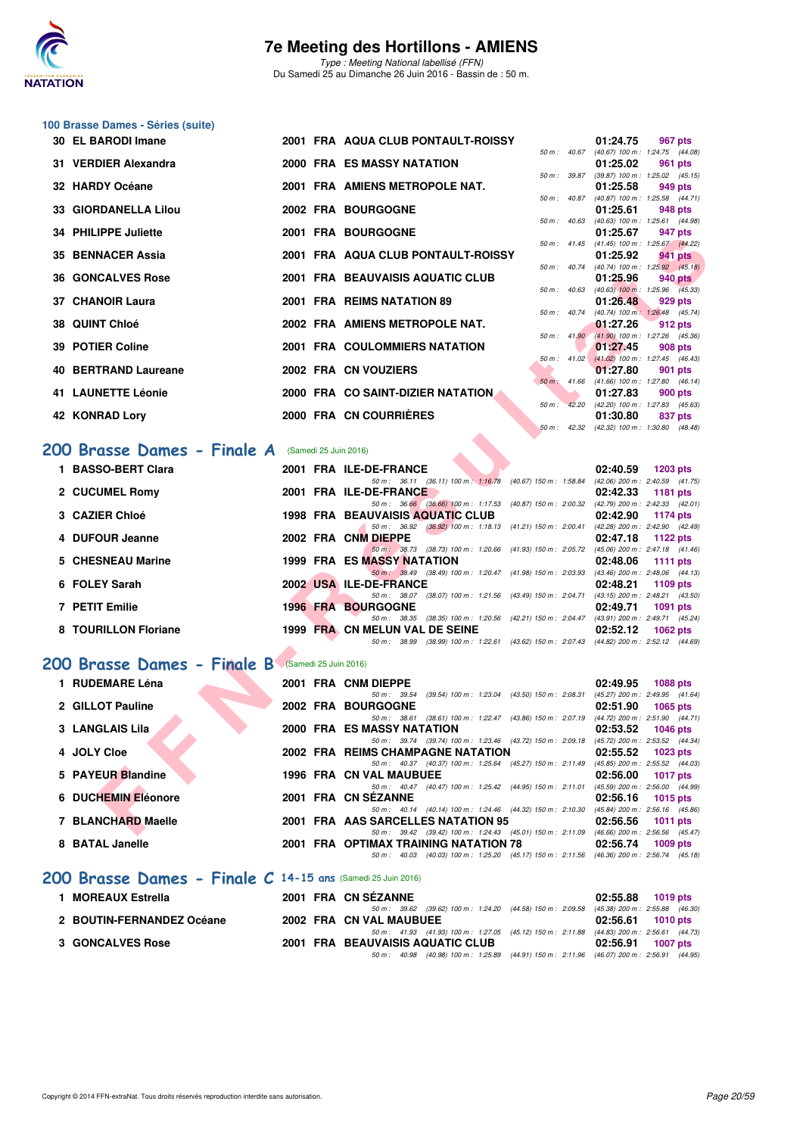

Type : Meeting National labellisé (FFN) Du Samedi 25 au Dimanche 26 Juin 2016 - Bassin de : 50 m.

## **100 Brasse Dames - Séries (suite)**

| 30 EL BARODI Imane                                |  |  | 2001 FRA AQUA CLUB PONTAULT-ROISSY                                                                                                  | 01:24.75<br>967 pts<br>50 m: 40.67 (40.67) 100 m: 1:24.75 (44.08)   |  |  |  |  |  |  |  |
|---------------------------------------------------|--|--|-------------------------------------------------------------------------------------------------------------------------------------|---------------------------------------------------------------------|--|--|--|--|--|--|--|
| 31 VERDIER Alexandra                              |  |  | <b>2000 FRA ES MASSY NATATION</b>                                                                                                   | 01:25.02<br>961 pts                                                 |  |  |  |  |  |  |  |
| 32 HARDY Océane                                   |  |  | 2001 FRA AMIENS METROPOLE NAT.                                                                                                      | 50 m : 39.87 (39.87) 100 m : 1:25.02 (45.15)<br>01:25.58<br>949 pts |  |  |  |  |  |  |  |
| 33 GIORDANELLA Lilou                              |  |  | 2002 FRA BOURGOGNE                                                                                                                  | 50 m: 40.87 (40.87) 100 m: 1:25.58 (44.71)<br>01:25.61<br>948 pts   |  |  |  |  |  |  |  |
| 34 PHILIPPE Juliette                              |  |  | <b>2001 FRA BOURGOGNE</b>                                                                                                           | 50 m: 40.63 (40.63) 100 m: 1:25.61 (44.98)<br>01:25.67<br>947 pts   |  |  |  |  |  |  |  |
| 35 BENNACER Assia                                 |  |  | 2001 FRA AQUA CLUB PONTAULT-ROISSY                                                                                                  | 50 m: 41.45 (41.45) 100 m: 1:25.67 (44.22)                          |  |  |  |  |  |  |  |
|                                                   |  |  |                                                                                                                                     | 01:25.92<br>941 pts<br>50 m : 40.74 (40.74) 100 m : 1:25.92 (45.18) |  |  |  |  |  |  |  |
| <b>36 GONCALVES Rose</b>                          |  |  | 2001 FRA BEAUVAISIS AQUATIC CLUB                                                                                                    | 01:25.96<br>940 pts<br>50 m : 40.63 (40.63) 100 m : 1:25.96 (45.33) |  |  |  |  |  |  |  |
| 37 CHANOIR Laura                                  |  |  | 2001 FRA REIMS NATATION 89                                                                                                          | 01:26.48<br>929 pts<br>50 m : 40.74 (40.74) 100 m : 1:26.48 (45.74) |  |  |  |  |  |  |  |
| 38 QUINT Chloé                                    |  |  | 2002 FRA AMIENS METROPOLE NAT.                                                                                                      | 01:27.26<br>912 pts                                                 |  |  |  |  |  |  |  |
| 39 POTIER Coline                                  |  |  | 2001 FRA COULOMMIERS NATATION                                                                                                       | 50 m : 41.90 (41.90) 100 m : 1:27.26 (45.36)<br>01:27.45<br>908 pts |  |  |  |  |  |  |  |
| 40 BERTRAND Laureane                              |  |  | 2002 FRA CN VOUZIERS                                                                                                                | 50 m : 41.02 (41.02) 100 m : 1:27.45 (46.43)<br>01:27.80<br>901 pts |  |  |  |  |  |  |  |
|                                                   |  |  |                                                                                                                                     | 50 m : 41.66 (41.66) 100 m : 1:27.80 (46.14)                        |  |  |  |  |  |  |  |
| <b>41 LAUNETTE Léonie</b>                         |  |  | 2000 FRA CO SAINT-DIZIER NATATION<br>$50 m$ :                                                                                       | 01:27.83<br>900 pts<br>42.20 (42.20) 100 m : 1:27.83 (45.63)        |  |  |  |  |  |  |  |
| 42 KONRAD Lory                                    |  |  | 2000 FRA CN COURRIERES                                                                                                              | 01:30.80<br>837 pts                                                 |  |  |  |  |  |  |  |
|                                                   |  |  |                                                                                                                                     | 50 m: 42.32 (42.32) 100 m: 1:30.80 (48.48)                          |  |  |  |  |  |  |  |
| 200 Brasse Dames - Finale A (Samedi 25 Juin 2016) |  |  |                                                                                                                                     |                                                                     |  |  |  |  |  |  |  |
| 1 BASSO-BERT Clara                                |  |  | 2001 FRA ILE-DE-FRANCE                                                                                                              | 02:40.59<br>$1203$ pts                                              |  |  |  |  |  |  |  |
| 2 CUCUMEL Romy                                    |  |  | 50 m: 36.11 (36.11) 100 m: 1:16.78 (40.67) 150 m: 1:58.84 (42.06) 200 m: 2:40.59 (41.75)<br>2001 FRA ILE-DE-FRANCE                  | 02:42.33<br>1181 pts                                                |  |  |  |  |  |  |  |
|                                                   |  |  | 50 m: 36.66 (36.66) 100 m: 1:17.53 (40.87) 150 m: 2:00.32 (42.79) 200 m: 2:42.33 (42.01)                                            |                                                                     |  |  |  |  |  |  |  |
| 3 CAZIER Chloé                                    |  |  | <b>1998 FRA BEAUVAISIS AQUATIC CLUB</b><br>50 m: 36.92 (36.92) 100 m: 1:18.13 (41.21) 150 m: 2:00.41 (42.28) 200 m: 2:42.90 (42.49) | 02:42.90<br>1174 pts                                                |  |  |  |  |  |  |  |
| 4 DUFOUR Jeanne                                   |  |  | 2002 FRA CNM DIEPPE                                                                                                                 | 02:47.18<br>1122 $pts$                                              |  |  |  |  |  |  |  |
| 5 CHESNEAU Marine                                 |  |  | 50 m: 38.73 (38.73) 100 m: 1:20.66 (41.93) 150 m: 2:05.72 (45.06) 200 m: 2:47.18 (41.46)<br>1999 FRA ES MASSY NATATION              | 02:48.06<br>1111 pts                                                |  |  |  |  |  |  |  |
| 6 FOLEY Sarah                                     |  |  | 50 m: 38.49 (38.49) 100 m: 1:20.47 (41.98) 150 m: 2:03.93 (43.46) 200 m: 2:48.06 (44.13)<br>2002 USA ILE-DE-FRANCE                  | 02:48.21                                                            |  |  |  |  |  |  |  |
|                                                   |  |  | 50 m: 38.07 (38.07) 100 m: 1:21.56 (43.49) 150 m: 2:04.71 (43.15) 200 m: 2:48.21 (43.50)                                            | 1109 pts                                                            |  |  |  |  |  |  |  |
| 7 PETIT Emilie                                    |  |  | <b>1996 FRA BOURGOGNE</b>                                                                                                           | 02:49.71<br>1091 pts                                                |  |  |  |  |  |  |  |
| 8 TOURILLON Floriane                              |  |  | 50 m: 38.35 (38.35) 100 m: 1:20.56 (42.21) 150 m: 2:04.47 (43.91) 200 m: 2:49.71 (45.24)<br>1999 FRA CN MELUN VAL DE SEINE          | 02:52.12<br>1062 pts                                                |  |  |  |  |  |  |  |
|                                                   |  |  | 50 m: 38.99 (38.99) 100 m: 1:22.61 (43.62) 150 m: 2:07.43 (44.82) 200 m: 2:52.12 (44.69)                                            |                                                                     |  |  |  |  |  |  |  |
| 200 Brasse Dames - Finale B (Samedi 25 Juin 2016) |  |  |                                                                                                                                     |                                                                     |  |  |  |  |  |  |  |
| 1 RUDEMARE Léna                                   |  |  | 2001 FRA CNM DIEPPE                                                                                                                 | 02:49.95<br>1088 pts                                                |  |  |  |  |  |  |  |
| 2 GILLOT Pauline                                  |  |  | 50 m: 39.54 (39.54) 100 m: 1:23.04 (43.50) 150 m: 2:08.31 (45.27) 200 m: 2:49.95 (41.64)                                            | 02:51.90                                                            |  |  |  |  |  |  |  |
|                                                   |  |  | <b>2002 FRA BOURGOGNE</b><br>50 m: 38.61 (38.61) 100 m: 1:22.47 (43.86) 150 m: 2:07.19 (44.72) 200 m: 2:51.90 (44.71)               | 1065 pts                                                            |  |  |  |  |  |  |  |
| 3 LANGLAIS Lila                                   |  |  | 2000 FRA ES MASSY NATATION                                                                                                          | 02:53.52<br><b>1046 pts</b>                                         |  |  |  |  |  |  |  |
| 4 JOLY Cloe                                       |  |  | 50 m: 39.74 (39.74) 100 m: 1:23.46 (43.72) 150 m: 2:09.18<br>2002 FRA REIMS CHAMPAGNE NATATION                                      | (45.72) 200 m : 2:53.52 (44.34)<br>02:55.52<br>1023 pts             |  |  |  |  |  |  |  |
|                                                   |  |  | 50 m: 40.37 (40.37) 100 m: 1:25.64 (45.27) 150 m: 2:11.49 (45.85) 200 m: 2:55.52 (44.03)                                            |                                                                     |  |  |  |  |  |  |  |
| 5 PAYEUR Blandine                                 |  |  | 1996 FRA CN VAL MAUBUEE<br>50 m: 40.47 (40.47) 100 m: 1:25.42 (44.95) 150 m: 2:11.01                                                | 02:56.00<br><b>1017 pts</b><br>(45.59) 200 m : 2:56.00 (44.99)      |  |  |  |  |  |  |  |
| 6 DUCHEMIN Eléonore                               |  |  | 2001 FRA CN SEZANNE                                                                                                                 | 02:56.16<br><b>1015 pts</b>                                         |  |  |  |  |  |  |  |
| 7 BLANCHARD Maelle                                |  |  | 50 m: 40.14 (40.14) 100 m: 1:24.46 (44.32) 150 m: 2:10.30 (45.84) 200 m: 2:56.16 (45.86)<br>2001 FRA AAS SARCELLES NATATION 95      |                                                                     |  |  |  |  |  |  |  |
|                                                   |  |  | 50 m; 39.42 (39.42) 100 m; 1:24.43 (45.01) 150 m; 2:11.09 (46.66) 200 m; 2:56.56 (45.47)                                            | 02:56.56<br>1011 pts                                                |  |  |  |  |  |  |  |

## **200 Brasse Dames - Finale A** (Samedi 25 Juin 2016)

| 1 BASSO-BERT Clara   |  | 2001 FRA ILE-DE-FRANCE                                                                       | 02:40.59 | $1203$ pts                          |
|----------------------|--|----------------------------------------------------------------------------------------------|----------|-------------------------------------|
|                      |  | 50 m: 36.11 (36.11) 100 m: 1:16.78<br>$(40.67)$ 150 m : 1:58.84                              |          | $(42.06)$ 200 m : 2:40.59 $(41.75)$ |
| 2 CUCUMEL Romy       |  | 2001 FRA ILE-DE-FRANCE                                                                       | 02:42.33 | 1181 pts                            |
|                      |  | 50 m: 36.66 (36.66) 100 m: 1:17.53 (40.87) 150 m: 2:00.32                                    |          | (42.79) 200 m : 2:42.33 (42.01)     |
| 3 CAZIER Chloé       |  | <b>1998 FRA BEAUVAISIS AQUATIC CLUB</b>                                                      | 02:42.90 | 1174 pts                            |
|                      |  | (36.92) 100 m : 1:18.13 (41.21) 150 m : 2:00.41<br>50 m : 36.92                              |          | (42.28) 200 m : 2:42.90 (42.49)     |
| 4 DUFOUR Jeanne      |  | 2002 FRA CNM DIEPPE                                                                          | 02:47.18 | 1122 $pts$                          |
|                      |  | (38.73) 100 m : 1:20.66 (41.93) 150 m : 2:05.72<br>50 m: 38.73                               |          | $(45.06)$ 200 m : 2:47.18 $(41.46)$ |
| 5 CHESNEAU Marine    |  | <b>1999 FRA ES MASSY NATATION</b>                                                            | 02:48.06 | 1111 pts                            |
|                      |  | 50 m: 38.49 (38.49) 100 m: 1:20.47 (41.98) 150 m: 2:03.93                                    |          | $(43.46)$ 200 m : 2:48.06 $(44.13)$ |
| 6 FOLEY Sarah        |  | 2002 USA ILE-DE-FRANCE                                                                       | 02:48.21 | $1109$ pts                          |
|                      |  | (38.07) 100 m : 1:21.56 (43.49) 150 m : 2:04.71<br>50 m: 38.07                               |          | $(43.15)$ 200 m : 2:48.21 $(43.50)$ |
| 7 PETIT Emilie       |  | <b>1996 FRA BOURGOGNE</b>                                                                    | 02:49.71 | 1091 pts                            |
|                      |  | (38.35) 100 m : 1:20.56 (42.21) 150 m : 2:04.47<br>50 m: 38.35                               |          | (43.91) 200 m : 2:49.71 (45.24)     |
| 8 TOURILLON Floriane |  | 1999 FRA CN MELUN VAL DE SEINE                                                               | 02:52.12 | 1062 $pts$                          |
|                      |  | (38.99) 100 m: 1:22.61 (43.62) 150 m: 2:07.43 (44.82) 200 m: 2:52.12 (44.69)<br>50 m : 38.99 |          |                                     |
|                      |  |                                                                                              |          |                                     |

### [200 Brasse Dames - Finale B](http://www.ffnatation.fr/webffn/resultats.php?idact=nat&go=epr&idcpt=38947&idepr=23) (Samedi 25 Juin 2016)

| 1 RUDEMARE Léna                                             | 2001 FRA CNM DIEPPE                                                         | 02:49.95<br><b>1088 pts</b>         |
|-------------------------------------------------------------|-----------------------------------------------------------------------------|-------------------------------------|
|                                                             | $(39.54)$ 100 m : 1:23.04 $(43.50)$ 150 m : 2:08.31<br>50 m: 39.54          | (45.27) 200 m : 2:49.95 (41.64)     |
| 2 GILLOT Pauline                                            | 2002 FRA BOURGOGNE                                                          | 02:51.90<br>$1065$ pts              |
|                                                             | (38.61) 100 m : 1:22.47 (43.86) 150 m : 2:07.19<br>50 m : 38.61             | (44.72) 200 m : 2:51.90 (44.71)     |
| <b>3 LANGLAIS Lila</b>                                      | 2000 FRA ES MASSY NATATION                                                  | 02:53.52<br>1046 pts                |
|                                                             | 50 m: 39.74 (39.74) 100 m: 1:23.46 (43.72) 150 m: 2:09.18                   | (45.72) 200 m : 2:53.52 (44.34)     |
| 4 JOLY Cloe                                                 | 2002 FRA REIMS CHAMPAGNE NATATION                                           | 02:55.52<br>1023 $p$ ts             |
|                                                             | 50 m: 40.37 (40.37) 100 m: 1:25.64 (45.27) 150 m: 2:11.49                   | (45.85) 200 m : 2:55.52 (44.03)     |
| 5 PAYEUR Blandine                                           | <b>1996 FRA CN VAL MAUBUEE</b>                                              | 02:56.00<br><b>1017 pts</b>         |
|                                                             | (40.47) 100 m : 1:25.42 (44.95) 150 m : 2:11.01<br>50 m : 40.47             | $(45.59)$ 200 m : 2:56.00 $(44.99)$ |
| 6 DUCHEMIN Eléonore                                         | 2001 FRA CN SEZANNE                                                         | 02:56.16<br>1015 $pts$              |
|                                                             | (40.14) 100 m: 1:24.46 (44.32) 150 m: 2:10.30<br>$50 \text{ m}$ : $40.14$   | $(45.84)$ 200 m : 2:56.16 $(45.86)$ |
| 7 BLANCHARD Maelle                                          | 2001 FRA AAS SARCELLES NATATION 95                                          | 02:56.56<br>1011 $pts$              |
|                                                             | 50 m: 39.42 (39.42) 100 m: 1:24.43 (45.01) 150 m: 2:11.09                   | $(46.66)$ 200 m : 2:56.56 $(45.47)$ |
| 8 BATAL Janelle                                             | 2001 FRA OPTIMAX TRAINING NATATION 78                                       | 02:56.74<br>$1009$ pts              |
|                                                             | (40.03) 100 m : 1:25.20 (45.17) 150 m : 2:11.56<br>$50 \text{ m}$ : $40.03$ | $(46.36)$ 200 m : 2:56.74 $(45.18)$ |
| 200 Brasse Dames - Finale C 14-15 ans (Samedi 25 Juin 2016) |                                                                             |                                     |

| 1 MOREAUX Estrella        |  | 2001 FRA CN SÉZANNE                                                                          | 02:55.88 1019 pts |
|---------------------------|--|----------------------------------------------------------------------------------------------|-------------------|
|                           |  | 50 m : 39.62 (39.62) 100 m : 1:24.20 (44.58) 150 m : 2:09.58 (45.38) 200 m : 2:55.88 (46.30) |                   |
| 2 BOUTIN-FERNANDEZ Océane |  | 2002 FRA CN VAL MAUBUEE                                                                      | 02:56.61 1010 pts |
|                           |  | 50 m: 41.93 (41.93) 100 m: 1:27.05 (45.12) 150 m: 2:11.88 (44.83) 200 m: 2:56.61 (44.73)     |                   |
| <b>3 GONCALVES Rose</b>   |  | 2001 FRA BEAUVAISIS AQUATIC CLUB                                                             | 02:56.91 1007 pts |
|                           |  | 50 m : 40.98 (40.98) 100 m : 1:25.89 (44.91) 150 m : 2:11.96 (46.07) 200 m : 2:56.91 (44.95) |                   |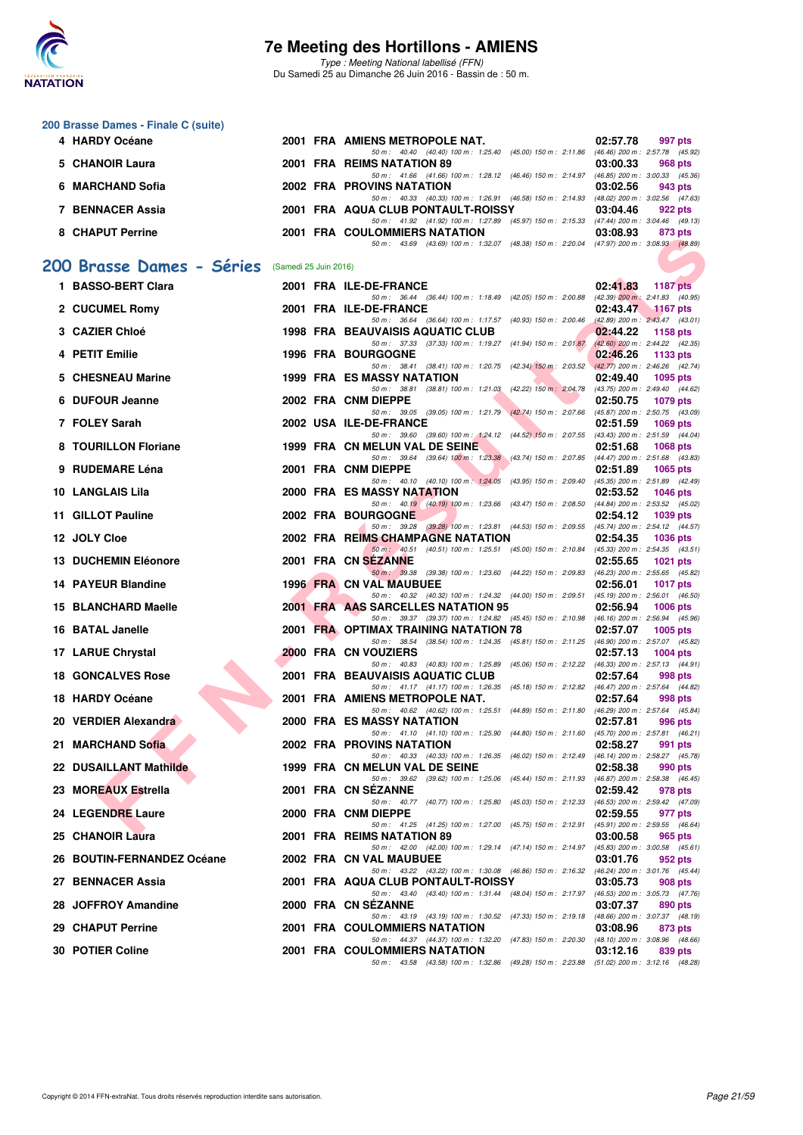

**200 Brasse Dames - Finale C (suite)**

### **7e Meeting des Hortillons - AMIENS**

Type : Meeting National labellisé (FFN) Du Samedi 25 au Dimanche 26 Juin 2016 - Bassin de : 50 m.

| 4 HARDY Océane                                  |  | 2001 FRA AMIENS METROPOLE NAT.                                                                                                       | 02:57.78<br>997 pts                                                |
|-------------------------------------------------|--|--------------------------------------------------------------------------------------------------------------------------------------|--------------------------------------------------------------------|
| 5 CHANOIR Laura                                 |  | 50 m: 40.40 (40.40) 100 m: 1:25.40 (45.00) 150 m: 2:11.86 (46.46) 200 m: 2:57.78 (45.92)<br>2001 FRA REIMS NATATION 89               | 03:00.33<br>968 pts                                                |
| 6 MARCHAND Sofia                                |  | 50 m: 41.66 (41.66) 100 m: 1:28.12 (46.46) 150 m: 2:14.97 (46.85) 200 m: 3:00.33 (45.36)<br>2002 FRA PROVINS NATATION                | 03:02.56<br>943 pts                                                |
| 7 BENNACER Assia                                |  | 50 m: 40.33 (40.33) 100 m: 1:26.91 (46.58) 150 m: 2:14.93 (48.02) 200 m: 3:02.56 (47.63)<br>2001 FRA AQUA CLUB PONTAULT-ROISSY       | 03:04.46<br>922 pts                                                |
| 8 CHAPUT Perrine                                |  | 50 m: 41.92 (41.92) 100 m: 1:27.89 (45.97) 150 m: 2:15.33 (47.44) 200 m: 3:04.46 (49.13)<br><b>2001 FRA COULOMMIERS NATATION</b>     | 03:08.93<br>873 pts                                                |
|                                                 |  | 50 m: 43.69 (43.69) 100 m: 1:32.07 (48.38) 150 m: 2:20.04 (47.97) 200 m: 3:08.93 (48.89)                                             |                                                                    |
| 200 Brasse Dames - Séries (Samedi 25 Juin 2016) |  |                                                                                                                                      |                                                                    |
| 1 BASSO-BERT Clara                              |  | 2001 FRA ILE-DE-FRANCE<br>50 m: 36.44 (36.44) 100 m: 1:18.49 (42.05) 150 m: 2:00.88                                                  | 02:41.83<br><b>1187 pts</b><br>$(42.39)$ 200 m : 2:41.83 $(40.95)$ |
| 2 CUCUMEL Romy                                  |  | 2001 FRA ILE-DE-FRANCE<br>50 m: 36.64 (36.64) 100 m: 1:17.57 (40.93) 150 m: 2:00.46 (42.89) 200 m: 2:43.47 (43.01)                   | 02:43.47<br><b>1167 pts</b>                                        |
| 3 CAZIER Chloé                                  |  | <b>1998 FRA BEAUVAISIS AQUATIC CLUB</b><br>50 m: 37.33 (37.33) 100 m: 1:19.27 (41.94) 150 m: 2:01.87                                 | 02:44.22<br>1158 pts<br>(42.60) 200 m : 2:44.22 (42.35)            |
| 4 PETIT Emilie                                  |  | <b>1996 FRA BOURGOGNE</b>                                                                                                            | 02:46.26<br>1133 pts                                               |
| 5 CHESNEAU Marine                               |  | 50 m: 38.41 (38.41) 100 m: 1:20.75 (42.34) 150 m: 2:03.52 (42.77) 200 m: 2:46.26 (42.74)<br><b>1999 FRA ES MASSY NATATION</b>        | 02:49.40<br>1095 pts                                               |
| 6 DUFOUR Jeanne                                 |  | 50 m: 38.81 (38.81) 100 m: 1:21.03 (42.22) 150 m: 2:04.78 (43.75) 200 m: 2:49.40 (44.62)<br>2002 FRA CNM DIEPPE                      | 02:50.75<br>1079 pts                                               |
| 7 FOLEY Sarah                                   |  | 50 m: 39.05 (39.05) 100 m: 1:21.79 (42.74) 150 m: 2:07.66 (45.87) 200 m: 2:50.75 (43.09)<br>2002 USA ILE-DE-FRANCE                   | 02:51.59<br>1069 pts                                               |
| 8 TOURILLON Floriane                            |  | 50 m: 39.60 (39.60) 100 m: 1:24.12 (44.52) 150 m: 2:07.55 (43.43) 200 m: 2:51.59 (44.04)<br>1999 FRA CN MELUN VAL DE SEINE           | 02:51.68<br>1068 pts                                               |
| 9 RUDEMARE Léna                                 |  | 50 m: 39.64 (39.64) 100 m: 1:23.38 (43.74) 150 m: 2:07.85 (44.47) 200 m: 2:51.68 (43.83)<br>2001 FRA CNM DIEPPE                      | 02:51.89<br>1065 pts                                               |
| <b>10 LANGLAIS Lila</b>                         |  | 50 m : 40.10 (40.10) 100 m : 1:24.05 (43.95) 150 m : 2:09.40<br><b>2000 FRA ES MASSY NATATION</b>                                    | (45.35) 200 m : 2:51.89 (42.49)<br>02:53.52<br>1046 $pts$          |
| 11 GILLOT Pauline                               |  | 50 m: 40.19 (40.19) 100 m: 1:23.66 (43.47) 150 m: 2:08.50 (44.84) 200 m: 2:53.52 (45.02)<br>2002 FRA BOURGOGNE                       | 02:54.12<br><b>1039 pts</b>                                        |
| 12 JOLY Cloe                                    |  | 50 m: 39.28 (39.28) 100 m: 1:23.81 (44.53) 150 m: 2:09.55 (45.74) 200 m: 2:54.12 (44.57)<br><b>2002 FRA REIMS CHAMPAGNE NATATION</b> | 02:54.35<br><b>1036 pts</b>                                        |
| <b>13 DUCHEMIN Eléonore</b>                     |  | 50 m: 40.51 (40.51) 100 m: 1:25.51 (45.00) 150 m: 2:10.84 (45.33) 200 m: 2:54.35 (43.51)<br>2001 FRA CN SEZANNE                      | 02:55.65<br>1021 pts                                               |
| <b>14 PAYEUR Blandine</b>                       |  | 50 m: 39.38 (39.38) 100 m: 1:23.60 (44.22) 150 m: 2:09.83 (46.23) 200 m: 2:55.65 (45.82)<br>1996 FRA CN VAL MAUBUEE                  | 02:56.01<br><b>1017 pts</b>                                        |
| 15 BLANCHARD Maelle                             |  | 50 m: 40.32 (40.32) 100 m: 1:24.32 (44.00) 150 m: 2:09.51 (45.19) 200 m: 2:56.01 (46.50)<br>2001 FRA AAS SARCELLES NATATION 95       | 02:56.94<br>$1006$ pts                                             |
| 16 BATAL Janelle                                |  | 50 m: 39.37 (39.37) 100 m: 1:24.82 (45.45) 150 m: 2:10.98 (46.16) 200 m: 2:56.94 (45.96)<br>2001 FRA OPTIMAX TRAINING NATATION 78    | 02:57.07<br>$1005$ pts                                             |
| 17 LARUE Chrystal                               |  | 50 m: 38.54 (38.54) 100 m: 1:24.35 (45.81) 150 m: 2:11.25 (46.90) 200 m: 2:57.07 (45.82)<br>2000 FRA CN VOUZIERS                     | 02:57.13<br>$1004$ pts                                             |
| <b>18 GONCALVES Rose</b>                        |  | 50 m: 40.83 (40.83) 100 m: 1:25.89 (45.06) 150 m: 2:12.22 (46.33) 200 m: 2:57.13 (44.91)<br>2001 FRA BEAUVAISIS AQUATIC CLUB         | 02:57.64<br>998 pts                                                |
| 18 HARDY Océane                                 |  | 50 m: 41.17 (41.17) 100 m: 1:26.35 (45.18) 150 m: 2:12.82 (46.47) 200 m: 2:57.64 (44.82)<br>2001 FRA AMIENS METROPOLE NAT.           | 02:57.64<br>998 pts                                                |
| 20 VERDIER Alexandra                            |  | 50 m: 40.62 (40.62) 100 m: 1:25.51 (44.89) 150 m: 2:11.80 (46.29) 200 m: 2:57.64 (45.84)<br><b>2000 FRA ES MASSY NATATION</b>        | 02:57.81<br>996 pts                                                |
| 21 MARCHAND Sofia                               |  | 50 m: 41.10 (41.10) 100 m: 1:25.90 (44.80) 150 m: 2:11.60 (45.70) 200 m: 2:57.81 (46.21)<br>2002 FRA PROVINS NATATION                | 02:58.27<br>991 pts                                                |
| 22 DUSAILLANT Mathilde                          |  | 50 m: 40.33 (40.33) 100 m: 1:26.35 (46.02) 150 m: 2:12.49 (46.14) 200 m: 2:58.27 (45.78)<br>1999 FRA CN MELUN VAL DE SEINE           | 02:58.38<br>990 pts                                                |
| 23 MOREAUX Estrella                             |  | 50 m: 39.62 (39.62) 100 m: 1:25.06 (45.44) 150 m: 2:11.93 (46.87) 200 m: 2:58.38 (46.45)<br>2001 FRA CN SEZANNE                      | 02:59.42<br>978 pts                                                |
| 24 LEGENDRE Laure                               |  | 50 m : 40.77 (40.77) 100 m : 1:25.80 (45.03) 150 m : 2:12.33<br>2000 FRA CNM DIEPPE                                                  | (46.53) 200 m : 2:59.42 (47.09)<br>02:59.55<br>977 pts             |
| 25 CHANOIR Laura                                |  | 50 m: 41.25 (41.25) 100 m: 1:27.00 (45.75) 150 m: 2:12.91<br>2001 FRA REIMS NATATION 89                                              | (45.91) 200 m : 2:59.55 (46.64)<br>03:00.58                        |
|                                                 |  | 50 m: 42.00 (42.00) 100 m: 1:29.14 (47.14) 150 m: 2:14.97 (45.83) 200 m: 3:00.58 (45.61)                                             | 965 pts                                                            |
| 26 BOUTIN-FERNANDEZ Océane                      |  | 2002 FRA CN VAL MAUBUEE<br>50 m: 43.22 (43.22) 100 m: 1:30.08 (46.86) 150 m: 2:16.32 (46.24) 200 m: 3:01.76 (45.44)                  | 03:01.76<br>952 pts                                                |
| 27 BENNACER Assia                               |  | 2001 FRA AQUA CLUB PONTAULT-ROISSY<br>50 m: 43.40 (43.40) 100 m: 1:31.44 (48.04) 150 m: 2:17.97 (46.53) 200 m: 3:05.73 (47.76)       | 03:05.73<br>908 pts                                                |
| 28 JOFFROY Amandine                             |  | 2000 FRA CN SEZANNE<br>50 m: 43.19 (43.19) 100 m: 1:30.52 (47.33) 150 m: 2:19.18 (48.66) 200 m: 3:07.37 (48.19)                      | 03:07.37<br>890 pts                                                |
| 29 CHAPUT Perrine                               |  | 2001 FRA COULOMMIERS NATATION<br>50 m: 44.37 (44.37) 100 m: 1:32.20 (47.83) 150 m: 2:20.30 (48.10) 200 m: 3:08.96 (48.66)            | 03:08.96<br>873 pts                                                |
| 30 POTIER Coline                                |  | 2001 FRA COULOMMIERS NATATION<br>50 m: 43.58 (43.58) 100 m: 1:32.86 (49.28) 150 m: 2:23.88 (51.02) 200 m: 3:12.16 (48.28)            | 03:12.16<br>839 pts                                                |
|                                                 |  |                                                                                                                                      |                                                                    |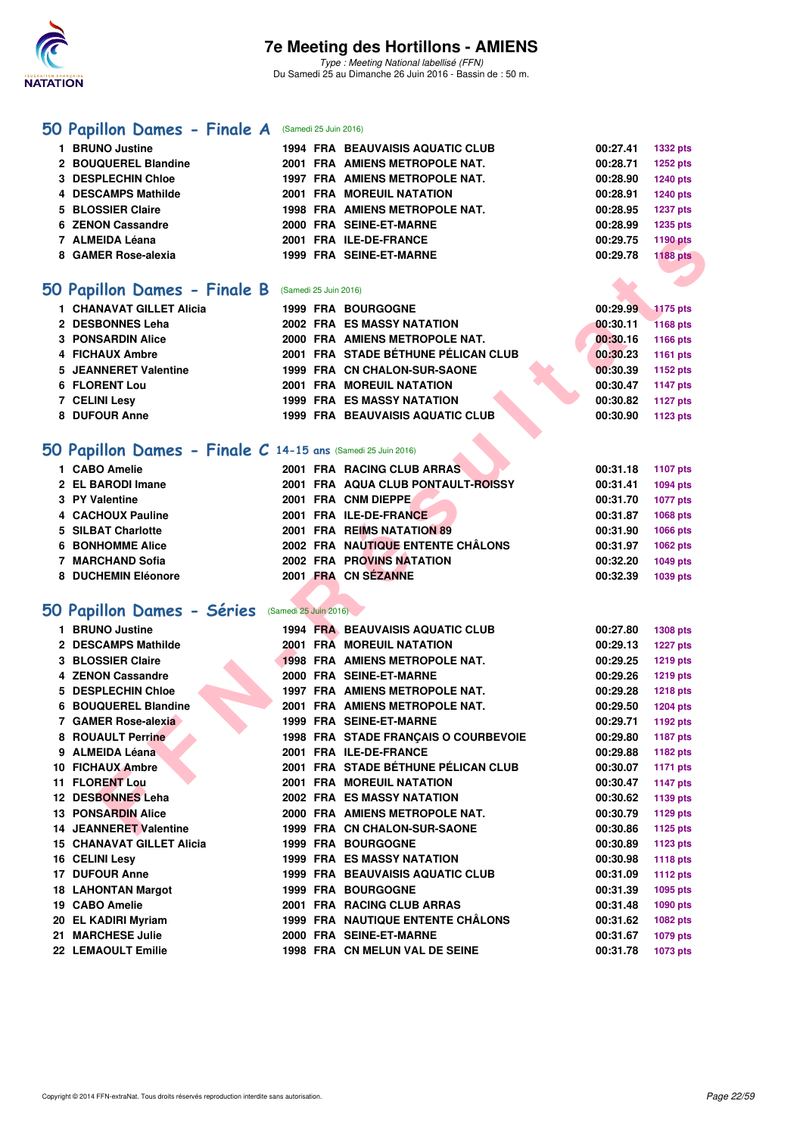

### **[50 Papillon Dames - Finale A](http://www.ffnatation.fr/webffn/resultats.php?idact=nat&go=epr&idcpt=38947&idepr=31)** (Samedi 25 Juin 2016)

| O Papillon Dames - Finale B | (Samedi 25 Juin 2016) |                                         |          |                 |
|-----------------------------|-----------------------|-----------------------------------------|----------|-----------------|
| 8 GAMER Rose-alexia         |                       | 1999 FRA SEINE-ET-MARNE                 | 00:29.78 | <b>1188 pts</b> |
| 7 ALMEIDA Léana             |                       | 2001 FRA ILE-DE-FRANCE                  | 00:29.75 | 1190 pts        |
| 6 ZENON Cassandre           |                       | 2000 FRA SEINE-ET-MARNE                 | 00:28.99 | 1235 pts        |
| 5 BLOSSIER Claire           |                       | <b>1998 FRA AMIENS METROPOLE NAT.</b>   | 00:28.95 | <b>1237 pts</b> |
| 4 DESCAMPS Mathilde         |                       | <b>2001 FRA MOREUIL NATATION</b>        | 00:28.91 | <b>1240 pts</b> |
| 3 DESPLECHIN Chloe          |                       | 1997 FRA AMIENS METROPOLE NAT.          | 00:28.90 | <b>1240 pts</b> |
| 2 BOUQUEREL Blandine        |                       | 2001 FRA AMIENS METROPOLE NAT.          | 00:28.71 | 1252 pts        |
| 1 BRUNO Justine             |                       | <b>1994 FRA BEAUVAISIS AQUATIC CLUB</b> | 00:27.41 | <b>1332 pts</b> |
|                             |                       |                                         |          |                 |

### **[50 Papillon Dames - Finale B](http://www.ffnatation.fr/webffn/resultats.php?idact=nat&go=epr&idcpt=38947&idepr=31)** (Samedi 25 Juin 2016)

| 1 CHANAVAT GILLET Alicia |  | <b>1999 FRA BOURGOGNE</b>               | 00:29.99 | $-1175$ pts     |
|--------------------------|--|-----------------------------------------|----------|-----------------|
| 2 DESBONNES Leha         |  | 2002 FRA ES MASSY NATATION              | 00:30.11 | <b>1168 pts</b> |
| <b>3 PONSARDIN Alice</b> |  | 2000 FRA AMIENS METROPOLE NAT.          | 00:30.16 | 1166 pts        |
| 4 FICHAUX Ambre          |  | 2001 FRA STADE BÉTHUNE PÉLICAN CLUB     | 00:30.23 | 1161 pts        |
| 5 JEANNERET Valentine    |  | 1999 FRA CN CHALON-SUR-SAONE            | 00:30.39 | 1152 pts        |
| 6 FLORENT Lou            |  | <b>2001 FRA MOREUIL NATATION</b>        | 00:30.47 | 1147 pts        |
| <b>7 CELINI Lesv</b>     |  | <b>1999 FRA ES MASSY NATATION</b>       | 00:30.82 | 1127 pts        |
| 8 DUFOUR Anne            |  | <b>1999 FRA BEAUVAISIS AQUATIC CLUB</b> | 00:30.90 | 1123 pts        |
|                          |  |                                         |          |                 |

### **[50 Papillon Dames - Finale C](http://www.ffnatation.fr/webffn/resultats.php?idact=nat&go=epr&idcpt=38947&idepr=31) 14-15 ans** (Samedi 25 Juin 2016)

| 1 CABO Amelie           | 2001 FRA RACING CLUB ARRAS         | 00:31.18 | 1107 pts        |
|-------------------------|------------------------------------|----------|-----------------|
| 2 EL BARODI Imane       | 2001 FRA AQUA CLUB PONTAULT-ROISSY | 00:31.41 | <b>1094 pts</b> |
| 3 PY Valentine          | 2001 FRA CNM DIEPPE                | 00:31.70 | <b>1077 pts</b> |
| 4 CACHOUX Pauline       | 2001 FRA ILE-DE-FRANCE             | 00:31.87 | 1068 pts        |
| 5 SILBAT Charlotte      | 2001 FRA REIMS NATATION 89         | 00:31.90 | 1066 pts        |
| <b>6 BONHOMME Alice</b> | 2002 FRA NAUTIQUE ENTENTE CHÂLONS  | 00:31.97 | 1062 pts        |
| 7 MARCHAND Sofia        | <b>2002 FRA PROVINS NATATION</b>   | 00:32.20 | 1049 pts        |
| 8 DUCHEMIN Eléonore     | 2001 FRA CN SEZANNE                | 00:32.39 | 1039 pts        |

### **[50 Papillon Dames - Séries](http://www.ffnatation.fr/webffn/resultats.php?idact=nat&go=epr&idcpt=38947&idepr=31)** (Samedi 25 Juin 2016)

| 7 ALMEIDA Léana                                              |                       | 2001 FRA ILE-DE-FRANCE                   | 00:29.75 | <b>1190 pts</b> |
|--------------------------------------------------------------|-----------------------|------------------------------------------|----------|-----------------|
| 8 GAMER Rose-alexia                                          |                       | 1999 FRA SEINE-ET-MARNE                  | 00:29.78 | <b>1188 pts</b> |
|                                                              |                       |                                          |          |                 |
| iO Papillon Dames - Finale B (Samedi 25 Juin 2016)           |                       |                                          |          |                 |
| 1 CHANAVAT GILLET Alicia                                     |                       | <b>1999 FRA BOURGOGNE</b>                | 00:29.99 | <b>1175 pts</b> |
| 2 DESBONNES Leha                                             |                       | 2002 FRA ES MASSY NATATION               | 00:30.11 | 1168 pts        |
| <b>3 PONSARDIN Alice</b>                                     |                       | 2000 FRA AMIENS METROPOLE NAT.           | 00:30.16 | 1166 pts        |
| 4 FICHAUX Ambre                                              |                       | 2001 FRA STADE BÉTHUNE PÉLICAN CLUB      | 00:30.23 | 1161 pts        |
| 5 JEANNERET Valentine                                        |                       | 1999 FRA CN CHALON-SUR-SAONE             | 00:30.39 | 1152 pts        |
| <b>6 FLORENT Lou</b>                                         |                       | <b>2001 FRA MOREUIL NATATION</b>         | 00:30.47 | <b>1147 pts</b> |
| 7 CELINI Lesv                                                |                       | 1999 FRA ES MASSY NATATION               | 00:30.82 | <b>1127 pts</b> |
| 8 DUFOUR Anne                                                |                       | <b>1999 FRA BEAUVAISIS AQUATIC CLUB</b>  | 00:30.90 | <b>1123 pts</b> |
|                                                              |                       |                                          |          |                 |
| iO Papillon Dames - Finale C 14-15 ans (Samedi 25 Juin 2016) |                       |                                          |          |                 |
| 1 CABO Amelie                                                |                       | 2001 FRA RACING CLUB ARRAS               | 00:31.18 | <b>1107 pts</b> |
| 2 EL BARODI Imane                                            |                       | 2001 FRA AQUA CLUB PONTAULT-ROISSY       | 00:31.41 | 1094 pts        |
| 3 PY Valentine                                               |                       | 2001 FRA CNM DIEPPE                      | 00:31.70 | 1077 pts        |
| 4 CACHOUX Pauline                                            |                       | 2001 FRA ILE-DE-FRANCE                   | 00:31.87 | 1068 pts        |
| 5 SILBAT Charlotte                                           |                       | 2001 FRA REIMS NATATION 89               | 00:31.90 | <b>1066 pts</b> |
| <b>6 BONHOMME Alice</b>                                      |                       | 2002 FRA NAUTIQUE ENTENTE CHÂLONS        | 00:31.97 | 1062 pts        |
| 7 MARCHAND Sofia                                             |                       | 2002 FRA PROVINS NATATION                | 00:32.20 | 1049 pts        |
| 8 DUCHEMIN Eléonore                                          |                       | 2001 FRA CN SEZANNE                      | 00:32.39 | 1039 pts        |
|                                                              |                       |                                          |          |                 |
| iO Papillon Dames - Séries                                   | (Samedi 25 Juin 2016) |                                          |          |                 |
| 1 BRUNO Justine                                              |                       | <b>1994 FRA BEAUVAISIS AQUATIC CLUB</b>  | 00:27.80 | <b>1308 pts</b> |
| 2 DESCAMPS Mathilde                                          |                       | 2001 FRA MOREUIL NATATION                | 00:29.13 | <b>1227 pts</b> |
| 3 BLOSSIER Claire                                            |                       | 1998 FRA AMIENS METROPOLE NAT.           | 00:29.25 | 1219 pts        |
| 4 ZENON Cassandre                                            |                       | 2000 FRA SEINE-ET-MARNE                  | 00:29.26 | <b>1219 pts</b> |
| 5 DESPLECHIN Chloe                                           |                       | 1997 FRA AMIENS METROPOLE NAT.           | 00:29.28 | <b>1218 pts</b> |
| 6 BOUQUEREL Blandine                                         |                       | 2001 FRA AMIENS METROPOLE NAT.           | 00:29.50 | <b>1204 pts</b> |
| 7 GAMER Rose-alexia                                          |                       | 1999 FRA SEINE-ET-MARNE                  | 00:29.71 | 1192 pts        |
| 8 ROUAULT Perrine                                            |                       | 1998 FRA STADE FRANÇAIS O COURBEVOIE     | 00:29.80 | <b>1187 pts</b> |
| 9 ALMEIDA Léana                                              |                       | 2001 FRA ILE-DE-FRANCE                   | 00:29.88 | 1182 pts        |
| 10 FICHAUX Ambre                                             |                       | 2001 FRA STADE BÉTHUNE PÉLICAN CLUB      | 00:30.07 | 1171 pts        |
| <b>11 FLORENT Lou</b>                                        |                       | <b>2001 FRA MOREUIL NATATION</b>         | 00:30.47 | <b>1147 pts</b> |
| 12 DESBONNES Leha                                            |                       | <b>2002 FRA ES MASSY NATATION</b>        | 00:30.62 | 1139 pts        |
| <b>13 PONSARDIN Alice</b>                                    |                       | 2000 FRA AMIENS METROPOLE NAT.           | 00:30.79 | <b>1129 pts</b> |
| <b>14 JEANNERET Valentine</b>                                |                       | 1999 FRA CN CHALON-SUR-SAONE             | 00:30.86 | <b>1125 pts</b> |
| <b>15 CHANAVAT GILLET Alicia</b>                             |                       | <b>1999 FRA BOURGOGNE</b>                | 00:30.89 | <b>1123 pts</b> |
| 16 CELINI Lesy                                               |                       | <b>1999 FRA ES MASSY NATATION</b>        | 00:30.98 | <b>1118 pts</b> |
| 17 DUFOUR Anne                                               |                       | <b>1999 FRA BEAUVAISIS AQUATIC CLUB</b>  | 00:31.09 | <b>1112 pts</b> |
| <b>18 LAHONTAN Margot</b>                                    |                       | 1999 FRA BOURGOGNE                       | 00:31.39 | 1095 pts        |
| 19 CABO Amelie                                               |                       | 2001 FRA RACING CLUB ARRAS               | 00:31.48 | 1090 pts        |
| 20 EL KADIRI Myriam                                          |                       | <b>1999 FRA NAUTIQUE ENTENTE CHALONS</b> | 00:31.62 | 1082 pts        |
| 21 MARCHESE Julie                                            |                       | 2000 FRA SEINE-ET-MARNE                  | 00:31.67 | 1079 pts        |
| 22 LEMAOULT Emilie                                           |                       | 1998 FRA CN MELUN VAL DE SEINE           | 00:31.78 | <b>1073 pts</b> |
|                                                              |                       |                                          |          |                 |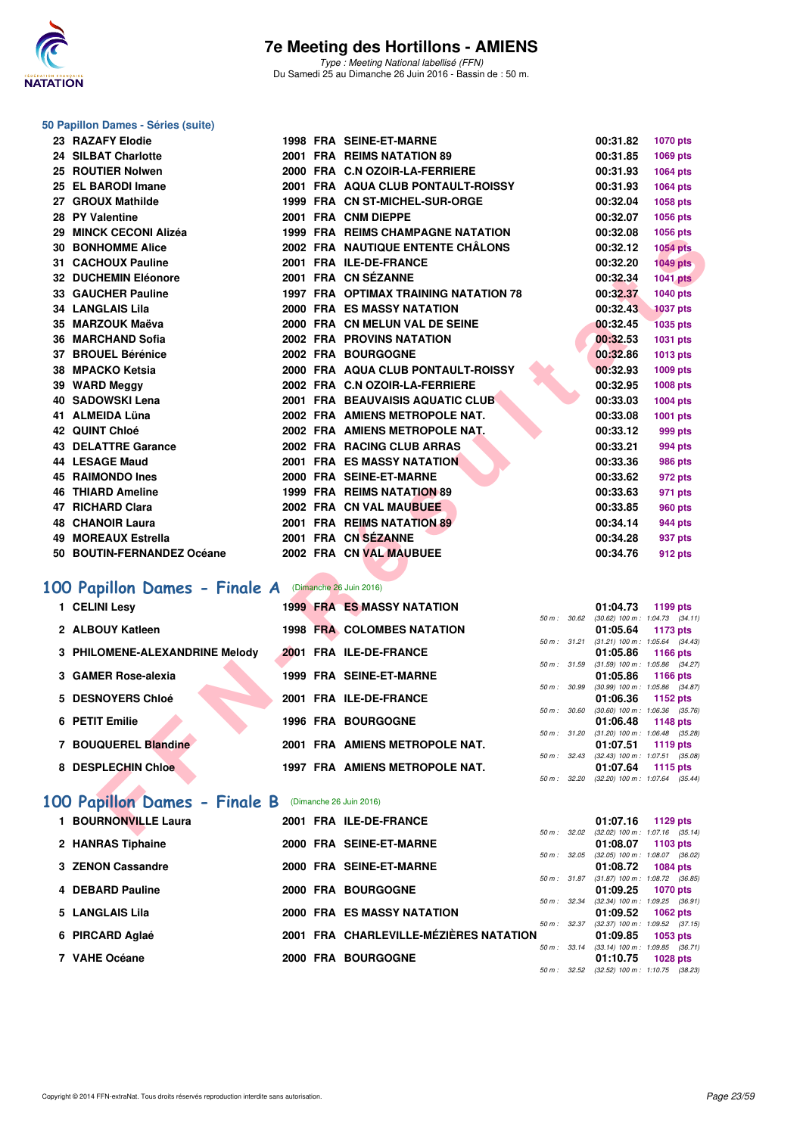

Type : Meeting National labellisé (FFN) Du Samedi 25 au Dimanche 26 Juin 2016 - Bassin de : 50 m.

## **50 Papillon Dames - Séries (suite)**

| 23 RAZAFY Elodie                                            |  | <b>1998 FRA SEINE-ET-MARNE</b>        |              |              | 00:31.82 | 1070 pts                                        |
|-------------------------------------------------------------|--|---------------------------------------|--------------|--------------|----------|-------------------------------------------------|
| 24 SILBAT Charlotte                                         |  | 2001 FRA REIMS NATATION 89            |              |              | 00:31.85 | 1069 pts                                        |
| 25 ROUTIER Nolwen                                           |  | 2000 FRA C.N OZOIR-LA-FERRIERE        |              |              | 00:31.93 | 1064 pts                                        |
| 25 EL BARODI Imane                                          |  | 2001 FRA AQUA CLUB PONTAULT-ROISSY    |              |              | 00:31.93 | <b>1064 pts</b>                                 |
| 27 GROUX Mathilde                                           |  | 1999 FRA CN ST-MICHEL-SUR-ORGE        |              |              | 00:32.04 | 1058 pts                                        |
| 28 PY Valentine                                             |  | 2001 FRA CNM DIEPPE                   |              |              | 00:32.07 | 1056 pts                                        |
| 29 MINCK CECONI Alizéa                                      |  | 1999 FRA REIMS CHAMPAGNE NATATION     |              |              | 00:32.08 | <b>1056 pts</b>                                 |
| <b>30 BONHOMME Alice</b>                                    |  | 2002 FRA NAUTIQUE ENTENTE CHÂLONS     |              |              | 00:32.12 | <b>1054 pts</b>                                 |
| 31 CACHOUX Pauline                                          |  | 2001 FRA ILE-DE-FRANCE                |              |              | 00:32.20 | <b>1049 pts</b>                                 |
| 32 DUCHEMIN Eléonore                                        |  | 2001 FRA CN SÉZANNE                   |              |              | 00:32.34 | <b>1041 pts</b>                                 |
| 33 GAUCHER Pauline                                          |  | 1997 FRA OPTIMAX TRAINING NATATION 78 |              |              | 00:32.37 | 1040 pts                                        |
| <b>34 LANGLAIS Lila</b>                                     |  | <b>2000 FRA ES MASSY NATATION</b>     |              |              | 00:32.43 | <b>1037 pts</b>                                 |
| 35 MARZOUK Maëva                                            |  | 2000 FRA CN MELUN VAL DE SEINE        |              |              | 00:32.45 | <b>1035 pts</b>                                 |
| 36 MARCHAND Sofia                                           |  | <b>2002 FRA PROVINS NATATION</b>      |              |              | 00:32.53 | 1031 pts                                        |
| 37 BROUEL Bérénice                                          |  | 2002 FRA BOURGOGNE                    |              |              | 00:32.86 | <b>1013 pts</b>                                 |
| 38 MPACKO Ketsia                                            |  | 2000 FRA AQUA CLUB PONTAULT-ROISSY    |              |              | 00:32.93 | 1009 pts                                        |
| 39 WARD Meggy                                               |  | 2002 FRA C.N OZOIR-LA-FERRIERE        |              |              | 00:32.95 | 1008 pts                                        |
| 40 SADOWSKI Lena                                            |  | 2001 FRA BEAUVAISIS AQUATIC CLUB      |              |              | 00:33.03 | 1004 pts                                        |
| 41 ALMEIDA Lüna                                             |  | 2002 FRA AMIENS METROPOLE NAT.        |              |              | 00:33.08 | 1001 pts                                        |
| 42 QUINT Chloé                                              |  | 2002 FRA AMIENS METROPOLE NAT.        |              |              | 00:33.12 | 999 pts                                         |
| 43 DELATTRE Garance                                         |  | 2002 FRA RACING CLUB ARRAS            |              |              | 00:33.21 | 994 pts                                         |
| 44 LESAGE Maud                                              |  | 2001 FRA ES MASSY NATATION            |              |              | 00:33.36 | <b>986 pts</b>                                  |
| <b>45 RAIMONDO Ines</b>                                     |  | 2000 FRA SEINE-ET-MARNE               |              |              | 00:33.62 | 972 pts                                         |
| <b>46 THIARD Ameline</b>                                    |  | 1999 FRA REIMS NATATION 89            |              |              | 00:33.63 | 971 pts                                         |
| 47 RICHARD Clara                                            |  | 2002 FRA CN VAL MAUBUEE               |              |              | 00:33.85 | <b>960 pts</b>                                  |
| <b>48 CHANOIR Laura</b>                                     |  | 2001 FRA REIMS NATATION 89            |              |              | 00:34.14 | <b>944 pts</b>                                  |
| 49 MOREAUX Estrella                                         |  | 2001 FRA CN SÉZANNE                   |              |              | 00:34.28 | 937 pts                                         |
| 50 BOUTIN-FERNANDEZ Océane                                  |  | 2002 FRA CN VAL MAUBUEE               |              |              | 00:34.76 | 912 pts                                         |
|                                                             |  |                                       |              |              |          |                                                 |
| <b>00 Papillon Dames - Finale A</b> (Dimanche 26 Juin 2016) |  |                                       |              |              |          |                                                 |
| 1 CELINI Lesv                                               |  | <b>1999 FRA ES MASSY NATATION</b>     |              |              | 01:04.73 | 1199 pts                                        |
|                                                             |  |                                       | 50 m: 30.62  |              |          | $(30.62)$ 100 m : 1:04.73 $(34.11)$             |
| 2 ALBOUY Katleen                                            |  | <b>1998 FRA COLOMBES NATATION</b>     |              | 50 m: 31.21  | 01:05.64 | 1173 pts<br>$(31.21)$ 100 m : 1:05.64 $(34.43)$ |
| 3 PHILOMENE-ALEXANDRINE Melody                              |  | 2001 FRA ILE-DE-FRANCE                |              |              | 01:05.86 | 1166 pts                                        |
|                                                             |  |                                       |              | 50 m: 31.59  |          | $(31.59)$ 100 m : 1:05.86 $(34.27)$             |
| 3 GAMER Rose-alexia                                         |  | 1999 FRA SEINE-ET-MARNE               | 50 m : 30.99 |              | 01:05.86 | 1166 pts<br>(30.99) 100 m: 1:05.86 (34.87)      |
| 5 DESNOYERS Chloé                                           |  | 2001 FRA ILE-DE-FRANCE                |              |              | 01:06.36 | 1152 pts                                        |
|                                                             |  |                                       | 50 m : 30.60 |              |          | $(30.60)$ 100 m : 1:06.36 $(35.76)$             |
| 6 PETIT Emilie                                              |  | <b>1996 FRA BOURGOGNE</b>             | 50 m: 31.20  |              | 01:06.48 | 1148 pts<br>$(31.20)$ 100 m : 1:06.48 $(35.28)$ |
| 7 BOUQUEREL Blandine                                        |  | 2001 FRA AMIENS METROPOLE NAT.        |              |              | 01:07.51 | <b>1119 pts</b>                                 |
|                                                             |  |                                       |              | 50 m : 32.43 |          | $(32.43)$ 100 m : 1:07.51 $(35.08)$             |
| 8 DESPLECHIN Chloe                                          |  | 1997 FRA AMIENS METROPOLE NAT.        | 50 m: 32.20  |              | 01:07.64 | 1115 pts<br>$(32.20)$ 100 m : 1:07.64 $(35.44)$ |
|                                                             |  |                                       |              |              |          |                                                 |
| 00 Papillon Dames - Finale B (Dimanche 26 Juin 2016)        |  |                                       |              |              |          |                                                 |
| 1 BOURNONVILLE Laura                                        |  | 2001 FRA ILE-DE-FRANCE                |              |              |          | 01:07.16 1129 pts                               |
|                                                             |  |                                       |              |              |          | 50 m : 32.02 (32.02) 100 m : 1:07.16 (35.14)    |

## **[100 Papillon Dames - Finale A](http://www.ffnatation.fr/webffn/resultats.php?idact=nat&go=epr&idcpt=38947&idepr=32)** (Dimanche 26 Juin 2016)

| 1 CELINI Lesy                  | <b>1999 FRA ES MASSY NATATION</b> |                  | 01:04.73<br>1199 pts                                        |
|--------------------------------|-----------------------------------|------------------|-------------------------------------------------------------|
| 2 ALBOUY Katleen               | <b>1998 FRA COLOMBES NATATION</b> | 50 m: 30.62      | $(30.62)$ 100 m : 1:04.73 $(34.11)$<br>01:05.64<br>1173 pts |
| 3 PHILOMENE-ALEXANDRINE Melody | 2001 FRA ILE-DE-FRANCE            | 50 m: 31.21      | $(31.21)$ 100 m : 1:05.64 $(34.43)$<br>01:05.86 1166 pts    |
| 3 GAMER Rose-alexia            | 1999 FRA SEINE-ET-MARNE           | 50 m: 31.59      | (31.59) 100 m: 1:05.86 (34.27<br>01:05.86 1166 pts          |
| 5 DESNOYERS Chloé              | 2001 FRA ILE-DE-FRANCE            | 50 m: 30.99      | (30.99) 100 m: 1:05.86 (34.87<br>$01:06.36$ 1152 pts        |
| 6 PETIT Emilie                 | <b>1996 FRA BOURGOGNE</b>         | 50 m: 30.60      | $(30.60)$ 100 m : 1:06.36 $(35.76)$<br>01:06.48 1148 pts    |
| 7 BOUQUEREL Blandine           | 2001 FRA AMIENS METROPOLE NAT.    | 50 m: 31.20      | (31.20) 100 m: 1:06.48 (35.28<br>01:07.51<br>1119 $pts$     |
| 8 DESPLECHIN Chloe             | 1997 FRA AMIENS METROPOLE NAT.    | $50 m$ : $32.43$ | (32.43) 100 m: 1:07.51 (35.08<br>01:07.64<br>1115 $pts$     |
|                                |                                   |                  | 50 m : 32.20 (32.20) 100 m : 1:07.64 (35.44                 |

### **[100 Papillon Dames - Finale B](http://www.ffnatation.fr/webffn/resultats.php?idact=nat&go=epr&idcpt=38947&idepr=32)** (Dimanche 26 Juin 2016)

| 1 BOURNONVILLE Laura |  | 2001 FRA ILE-DE-FRANCE                 |                          | 01:07.16                                        | 1129 pts        |  |
|----------------------|--|----------------------------------------|--------------------------|-------------------------------------------------|-----------------|--|
| 2 HANRAS Tiphaine    |  | 2000 FRA SEINE-ET-MARNE                | 50 m: 32.02              | $(32.02)$ 100 m : 1:07.16 $(35.14)$<br>01:08.07 | $1103$ pts      |  |
| 3 ZENON Cassandre    |  | 2000 FRA SEINE-ET-MARNE                | $50 m$ : $32.05$         | $(32.05)$ 100 m : 1:08.07 $(36.02)$<br>01:08.72 | 1084 pts        |  |
| 4 DEBARD Pauline     |  | 2000 FRA BOURGOGNE                     | 50 m: 31.87              | $(31.87)$ 100 m : 1:08.72 $(36.85)$<br>01:09.25 | <b>1070 pts</b> |  |
| 5 LANGLAIS Lila      |  | <b>2000 FRA ES MASSY NATATION</b>      | $50 \text{ m}$ : 32.34   | $(32.34)$ 100 m : 1:09.25 $(36.91)$<br>01:09.52 | $1062$ pts      |  |
| 6 PIRCARD Aglaé      |  | 2001 FRA CHARLEVILLE-MÉZIÈRES NATATION | $50 m$ : $32.37$         | $(32.37)$ 100 m : 1:09.52 $(37.15)$<br>01:09.85 | $1053$ pts      |  |
| 7 VAHE Océane        |  | 2000 FRA BOURGOGNE                     | $50 \text{ m}$ : 33.14   | $(33.14)$ 100 m : 1:09.85 $(36.71)$<br>01:10.75 | 1028 pts        |  |
|                      |  |                                        | $50 \text{ m}$ : $32.52$ | $(32.52)$ 100 m : 1:10.75 $(38.23)$             |                 |  |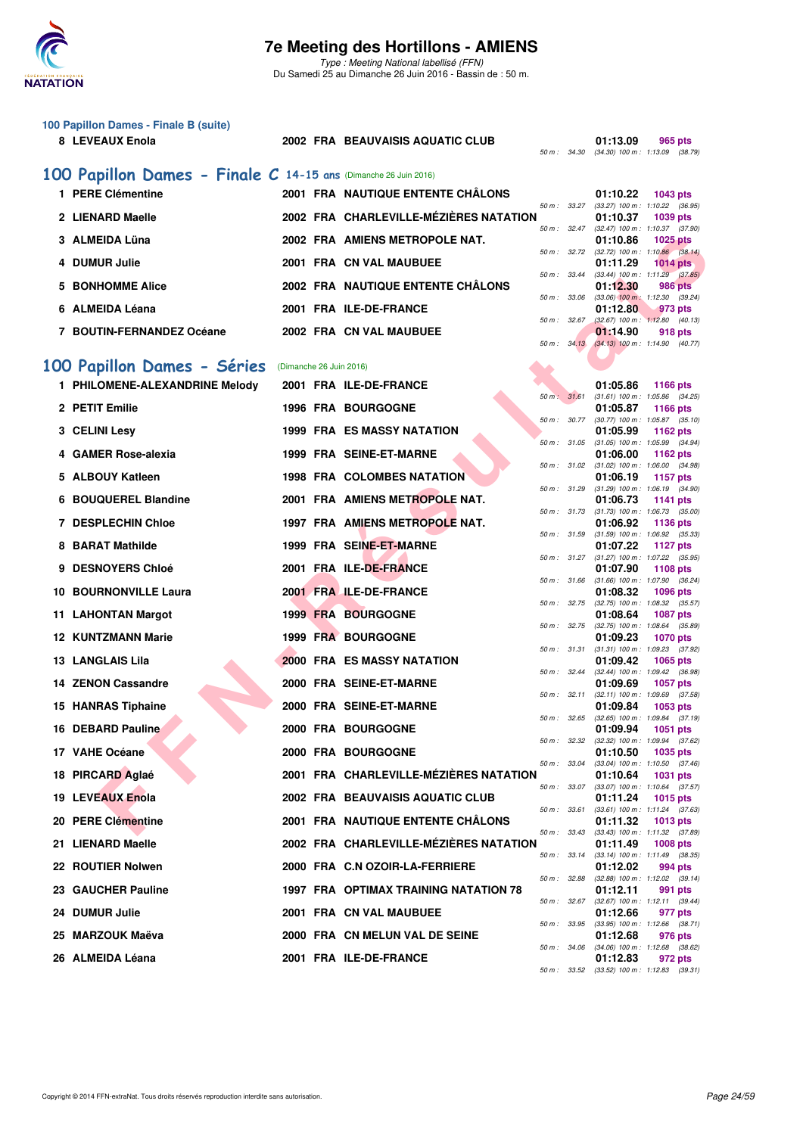

**100 Papillon Dames - Finale B (suite)**

### **7e Meeting des Hortillons - AMIENS**

Type : Meeting National labellisé (FFN) Du Samedi 25 au Dimanche 26 Juin 2016 - Bassin de : 50 m.

50 m : 34.30 (34.30) 100 m : 1:13.09 (38.79)

**8 LEVEAUX Enola 2002 FRA BEAUVAISIS AQUATIC CLUB 01:13.09 965 pts**

|    | 100 Papillon Dames - Finale C 14-15 ans (Dimanche 26 Juin 2016) |                         |                                        |              |                                                                    |
|----|-----------------------------------------------------------------|-------------------------|----------------------------------------|--------------|--------------------------------------------------------------------|
|    | 1 PERE Clémentine                                               |                         | 2001 FRA NAUTIQUE ENTENTE CHÂLONS      |              | 01:10.22<br><b>1043 pts</b>                                        |
|    | 2 LIENARD Maelle                                                |                         | 2002 FRA CHARLEVILLE-MÉZIÈRES NATATION | 50 m : 33.27 | $(33.27)$ 100 m : 1:10.22 $(36.95)$<br>01:10.37<br>1039 pts        |
|    | 3 ALMEIDA Lüna                                                  |                         | 2002 FRA AMIENS METROPOLE NAT.         | 50 m: 32.47  | $(32.47)$ 100 m : 1:10.37 $(37.90)$<br>01:10.86<br><b>1025 pts</b> |
|    | 4 DUMUR Julie                                                   |                         | 2001 FRA CN VAL MAUBUEE                | 50 m: 32.72  | $(32.72)$ 100 m : 1:10.86 $(38.14)$<br>01:11.29<br>$1014$ pts      |
| 5. | <b>BONHOMME Alice</b>                                           |                         | 2002 FRA NAUTIQUE ENTENTE CHÂLONS      | 50 m : 33.44 | $(33.44)$ 100 m : 1:11.29 $(37.85)$<br>01:12.30<br>986 pts         |
|    | 6 ALMEIDA Léana                                                 |                         | 2001 FRA ILE-DE-FRANCE                 | 50 m: 33.06  | $(33.06)$ 100 m : 1:12.30 $(39.24)$<br>01:12.80<br>973 pts         |
|    | 7 BOUTIN-FERNANDEZ Océane                                       |                         | 2002 FRA CN VAL MAUBUEE                | 50 m: 32.67  | $(32.67)$ 100 m : 1:12.80 $(40.13)$<br>01:14.90<br>918 pts         |
|    |                                                                 |                         |                                        | 50 m: 34.13  | $(34.13)$ 100 m : 1:14.90 $(40.77)$                                |
|    | 100 Papillon Dames - Séries                                     | (Dimanche 26 Juin 2016) |                                        |              |                                                                    |
|    | 1 PHILOMENE-ALEXANDRINE Melody                                  |                         | 2001 FRA ILE-DE-FRANCE                 |              | 01:05.86<br><b>1166 pts</b>                                        |
|    | 2 PETIT Emilie                                                  |                         | <b>1996 FRA BOURGOGNE</b>              | 50 m: 31.61  | $(31.61)$ 100 m : 1:05.86 $(34.25)$<br>01:05.87<br><b>1166 pts</b> |
|    | 3 CELINI Lesy                                                   |                         | <b>1999 FRA ES MASSY NATATION</b>      | 50 m: 30.77  | $(30.77)$ 100 m : 1:05.87 $(35.10)$<br>01:05.99<br>1162 pts        |
|    | 4 GAMER Rose-alexia                                             |                         | 1999 FRA SEINE-ET-MARNE                | 50 m: 31.05  | $(31.05)$ 100 m : 1:05.99 $(34.94)$<br>01:06.00<br>1162 pts        |
|    | 5 ALBOUY Katleen                                                |                         | <b>1998 FRA COLOMBES NATATION</b>      | 50 m : 31.02 | $(31.02)$ 100 m : 1:06.00 $(34.98)$<br>01:06.19<br><b>1157 pts</b> |
|    |                                                                 |                         |                                        | 50 m : 31.29 | $(31.29)$ 100 m : 1:06.19 $(34.90)$                                |
|    | 6 BOUQUEREL Blandine                                            |                         | 2001 FRA AMIENS METROPOLE NAT.         | 50 m : 31.73 | 01:06.73<br>1141 pts<br>$(31.73)$ 100 m : 1:06.73 $(35.00)$        |
|    | <b>7 DESPLECHIN Chloe</b>                                       |                         | 1997 FRA AMIENS METROPOLE NAT.         | 50 m: 31.59  | 01:06.92<br>1136 pts<br>$(31.59)$ 100 m : 1:06.92 $(35.33)$        |
|    | 8 BARAT Mathilde                                                |                         | 1999 FRA SEINE-ET-MARNE                | 50 m: 31.27  | 01:07.22<br>1127 pts<br>$(31.27)$ 100 m : 1:07.22 $(35.95)$        |
| 9  | <b>DESNOYERS Chloé</b>                                          |                         | 2001 FRA ILE-DE-FRANCE                 | 50 m: 31.66  | 01:07.90<br><b>1108 pts</b><br>(31.66) 100 m: 1:07.90 (36.24)      |
|    | <b>10 BOURNONVILLE Laura</b>                                    |                         | 2001 FRA ILE-DE-FRANCE                 |              | 01:08.32<br>1096 pts                                               |
|    | 11 LAHONTAN Margot                                              |                         | <b>1999 FRA BOURGOGNE</b>              | 50 m : 32.75 | (32.75) 100 m: 1:08.32 (35.57)<br>01:08.64<br><b>1087 pts</b>      |
|    | <b>12 KUNTZMANN Marie</b>                                       |                         | <b>1999 FRA BOURGOGNE</b>              | 50 m : 32.75 | (32.75) 100 m : 1:08.64 (35.89)<br>01:09.23<br><b>1070 pts</b>     |
|    | <b>13 LANGLAIS Lila</b>                                         |                         | <b>2000 FRA ES MASSY NATATION</b>      | 50 m: 31.31  | $(31.31)$ 100 m : 1:09.23 $(37.92)$<br>01:09.42<br><b>1065 pts</b> |
|    | <b>14 ZENON Cassandre</b>                                       |                         | 2000 FRA SEINE-ET-MARNE                | 50 m: 32.44  | $(32.44)$ 100 m : 1:09.42 $(36.98)$<br>01:09.69<br><b>1057 pts</b> |
|    | 15 HANRAS Tiphaine                                              |                         | 2000 FRA SEINE-ET-MARNE                | 50 m: 32.11  | $(32.11)$ 100 m : 1:09.69 $(37.58)$<br>01:09.84                    |
|    |                                                                 |                         |                                        | 50 m: 32.65  | 1053 pts<br>(32.65) 100 m: 1:09.84 (37.19)                         |
|    | 16 DEBARD Pauline                                               |                         | <b>2000 FRA BOURGOGNE</b>              | 50 m : 32.32 | 01:09.94<br>1051 pts<br>$(32.32)$ 100 m : 1:09.94 $(37.62)$        |
|    | 17 VAHE Océane                                                  |                         | <b>2000 FRA BOURGOGNE</b>              | 50 m : 33.04 | 01:10.50<br>1035 pts<br>$(33.04)$ 100 m : 1:10.50 $(37.46)$        |
|    | 18 PIRCARD Aglaé                                                |                         | 2001 FRA CHARLEVILLE-MEZIERES NATATION | 50 m : 33.07 | 01:10.64<br><b>1031 pts</b><br>$(33.07)$ 100 m : 1:10.64 $(37.57)$ |
|    | 19 LEVEAUX Enola                                                |                         | 2002 FRA BEAUVAISIS AQUATIC CLUB       | 50 m : 33.61 | 01:11.24<br><b>1015 pts</b><br>$(33.61)$ 100 m : 1:11.24 $(37.63)$ |
|    | 20 PERE Clémentine                                              |                         | 2001 FRA NAUTIQUE ENTENTE CHALONS      |              | 01:11.32<br><b>1013 pts</b>                                        |
|    | 21 LIENARD Maelle                                               |                         | 2002 FRA CHARLEVILLE-MÉZIÈRES NATATION | 50 m: 33.43  | $(33.43)$ 100 m : 1:11.32 $(37.89)$<br>01:11.49<br>1008 pts        |
|    | 22 ROUTIER Nolwen                                               |                         | 2000 FRA C.N OZOIR-LA-FERRIERE         | 50 m: 33.14  | (33.14) 100 m: 1:11.49 (38.35)<br>01:12.02<br>994 pts              |
|    | 23 GAUCHER Pauline                                              |                         | 1997 FRA OPTIMAX TRAINING NATATION 78  | 50 m : 32.88 | $(32.88)$ 100 m : 1:12.02 $(39.14)$<br>01:12.11<br>991 pts         |
|    | 24 DUMUR Julie                                                  |                         | 2001 FRA CN VAL MAUBUEE                | 50 m : 32.67 | $(32.67)$ 100 m : 1:12.11 $(39.44)$<br>01:12.66<br>977 pts         |
|    | 25 MARZOUK Maëva                                                |                         | 2000 FRA CN MELUN VAL DE SEINE         | 50 m : 33.95 | $(33.95)$ 100 m : 1:12.66 $(38.71)$<br>976 pts                     |
|    |                                                                 |                         |                                        | 50 m : 34.06 | 01:12.68<br>$(34.06)$ 100 m : 1:12.68 $(38.62)$                    |
|    | 26 ALMEIDA Léana                                                |                         | 2001 FRA ILE-DE-FRANCE                 |              | 01:12.83<br>972 pts                                                |

 $50 m$ : 33.52 (33.52) 100 m: 1:12.83 (39.31)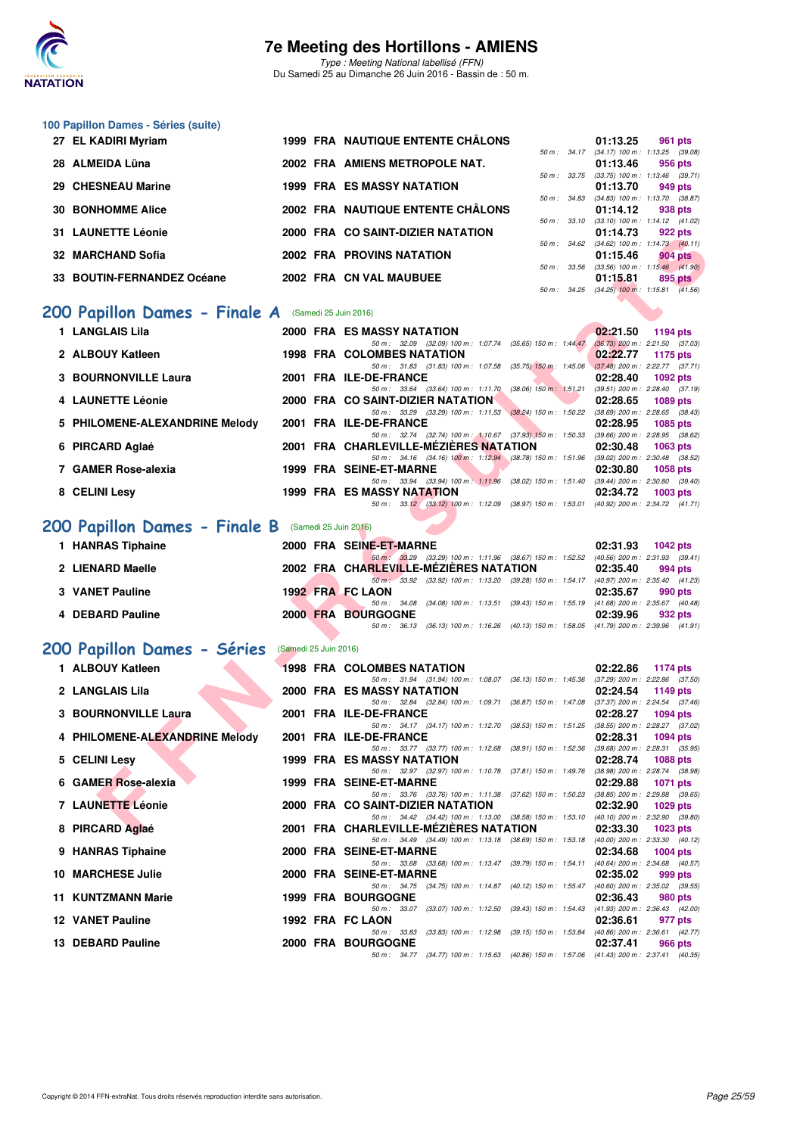

Type : Meeting National labellisé (FFN) Du Samedi 25 au Dimanche 26 Juin 2016 - Bassin de : 50 m.

| 100 Papillon Dames - Séries (suite)                 |                       |                                                                                                                                    |                                                                   |
|-----------------------------------------------------|-----------------------|------------------------------------------------------------------------------------------------------------------------------------|-------------------------------------------------------------------|
| 27 EL KADIRI Myriam                                 |                       | 1999 FRA NAUTIQUE ENTENTE CHÂLONS                                                                                                  | 01:13.25<br>961 pts<br>50 m: 34.17 (34.17) 100 m: 1:13.25 (39.08) |
| 28 ALMEIDA Lüna                                     |                       | 2002 FRA AMIENS METROPOLE NAT.                                                                                                     | 01:13.46<br>956 pts                                               |
| 29 CHESNEAU Marine                                  |                       | <b>1999 FRA ES MASSY NATATION</b>                                                                                                  | 50 m: 33.75 (33.75) 100 m: 1:13.46 (39.71)<br>01:13.70<br>949 pts |
| <b>30 BONHOMME Alice</b>                            |                       | 50 m : 34.83<br>2002 FRA NAUTIQUE ENTENTE CHALONS                                                                                  | $(34.83)$ 100 m : 1:13.70 $(38.87)$<br>01:14.12<br>938 pts        |
| <b>31 LAUNETTE Léonie</b>                           |                       | 50 m : 33.10<br>2000 FRA CO SAINT-DIZIER NATATION                                                                                  | $(33.10)$ 100 m : 1:14.12 $(41.02)$<br>01:14.73<br>922 pts        |
| 32 MARCHAND Sofia                                   |                       | <b>2002 FRA PROVINS NATATION</b>                                                                                                   | 50 m: 34.62 (34.62) 100 m: 1:14.73 (40.11)<br>904 pts             |
|                                                     |                       |                                                                                                                                    | 01:15.46<br>50 m: 33.56 (33.56) 100 m: 1:15.46 (41.90)            |
| 33 BOUTIN-FERNANDEZ Océane                          |                       | 2002 FRA CN VAL MAUBUEE                                                                                                            | 01:15.81<br>895 pts<br>50 m: 34.25 (34.25) 100 m: 1:15.81 (41.56) |
| 200 Papillon Dames - Finale A (Samedi 25 Juin 2016) |                       |                                                                                                                                    |                                                                   |
| 1 LANGLAIS Lila                                     |                       | <b>2000 FRA ES MASSY NATATION</b>                                                                                                  | 02:21.50<br>1194 pts                                              |
| 2 ALBOUY Katleen                                    |                       | 50 m: 32.09 (32.09) 100 m: 1:07.74 (35.65) 150 m: 1:44.47<br><b>1998 FRA COLOMBES NATATION</b>                                     | $(36.73)$ 200 m : 2:21.50 $(37.03)$<br>02:22.77<br>1175 pts       |
| <b>3 BOURNONVILLE Laura</b>                         |                       | 50 m: 31.83 (31.83) 100 m: 1:07.58 (35.75) 150 m: 1:45.06<br>2001 FRA ILE-DE-FRANCE                                                | $(37.48)$ 200 m : 2:22.77 $(37.71)$<br>02:28.40<br>1092 pts       |
| 4 LAUNETTE Léonie                                   |                       | 50 m : 33.64 (33.64) 100 m : 1:11.70 (38.06) 150 m : 1:51.21<br>2000 FRA CO SAINT-DIZIER NATATION                                  | $(39.51)$ 200 m : 2:28.40 $(37.19)$<br>02:28.65                   |
|                                                     |                       | 50 m: 33.29 (33.29) 100 m: 1:11.53 (38.24) 150 m: 1:50.22 (38.69) 200 m: 2:28.65 (38.43)                                           | 1089 pts                                                          |
| 5 PHILOMENE-ALEXANDRINE Melody                      |                       | 2001 FRA ILE-DE-FRANCE<br>50 m: 32.74 (32.74) 100 m: 1:10.67 (37.93) 150 m: 1:50.33 (39.66) 200 m: 2:28.95 (38.62)                 | 02:28.95<br>1085 pts                                              |
| 6 PIRCARD Aglaé                                     |                       | 2001 FRA CHARLEVILLE-MEZIERES NATATION<br>50 m: 34.16 (34.16) 100 m: 1:12.94 (38.78) 150 m: 1:51.96 (39.02) 200 m: 2:30.48 (38.52) | 02:30.48<br><b>1063 pts</b>                                       |
| 7 GAMER Rose-alexia                                 |                       | <b>1999 FRA SEINE-ET-MARNE</b><br>50 m: 33.94 (33.94) 100 m: 1:11.96 (38.02) 150 m: 1:51.40 (39.44) 200 m: 2:30.80 (39.40)         | 02:30.80<br><b>1058 pts</b>                                       |
| 8 CELINI Lesy                                       |                       | <b>1999 FRA ES MASSY NATATION</b>                                                                                                  | 02:34.72<br>1003 pts                                              |
|                                                     |                       | 50 m: 33.12 (33.12) 100 m: 1:12.09 (38.97) 150 m: 1:53.01 (40.92) 200 m: 2:34.72 (41.71)                                           |                                                                   |
| 200 Papillon Dames - Finale B                       |                       | (Samedi 25 Juin 2016)                                                                                                              |                                                                   |
| 1 HANRAS Tiphaine                                   |                       | 2000 FRA SEINE-ET-MARNE<br>50 m: 33.29 (33.29) 100 m: 1:11.96 (38.67) 150 m: 1:52.52 (40.56) 200 m: 2:31.93 (39.41)                | 02:31.93<br>1042 pts                                              |
| 2 LIENARD Maelle                                    |                       | 2002 FRA CHARLEVILLE-MEZIERES NATATION<br>50 m: 33.92 (33.92) 100 m: 1:13.20 (39.28) 150 m: 1:54.17 (40.97) 200 m: 2:35.40 (41.23) | 02:35.40<br>994 pts                                               |
| <b>3 VANET Pauline</b>                              |                       | <b>1992 FRA FC LAON</b><br>50 m: 34.08<br>(34.08) 100 m : 1:13.51 (39.43) 150 m : 1:55.19 (41.68) 200 m : 2:35.67 (40.48)          | 02:35.67<br>990 pts                                               |
| 4 DEBARD Pauline                                    |                       | 2000 FRA BOURGOGNE                                                                                                                 | 02:39.96<br>932 pts                                               |
|                                                     |                       | 50 m: 36.13 (36.13) 100 m: 1:16.26 (40.13) 150 m: 1:58.05 (41.79) 200 m: 2:39.96 (41.91)                                           |                                                                   |
| 200 Papillon Dames - Séries                         | (Samedi 25 Juin 2016) |                                                                                                                                    |                                                                   |
| 1 ALBOUY Katleen                                    |                       | <b>1998 FRA COLOMBES NATATION</b><br>50 m: 31.94 (31.94) 100 m: 1:08.07 (36.13) 150 m: 1:45.36 (37.29) 200 m: 2:22.86 (37.50)      | 02:22.86<br>1174 pts                                              |
| 2 LANGLAIS Lila                                     |                       | 2000 FRA ES MASSY NATATION<br>50 m : 32.84 (32.84) 100 m : 1:09.71 (36.87) 150 m : 1:47.08                                         | 02:24.54<br>1149 pts<br>$(37.37)$ 200 m : 2:24.54 $(37.46)$       |
| <b>3 BOURNONVILLE Laura</b>                         |                       | 2001 FRA ILE-DE-FRANCE<br>50 m: 34.17 (34.17) 100 m: 1:12.70 (38.53) 150 m: 1:51.25                                                | 02:28.27<br><b>1094 pts</b><br>(38.55) 200 m : 2:28.27 (37.02)    |
| 4 PHILOMENE-ALEXANDRINE Melody                      |                       | 2001 FRA ILE-DE-FRANCE                                                                                                             | 02:28.31<br>1094 pts                                              |
| 5 CELINI Lesy                                       |                       | 50 m: 33.77 (33.77) 100 m: 1:12.68 (38.91) 150 m: 1:52.36 (39.68) 200 m: 2:28.31 (35.95)<br>1999 FRA ES MASSY NATATION             | 02:28.74<br><b>1088 pts</b>                                       |
| 6 GAMER Rose-alexia                                 |                       | 50 m: 32.97 (32.97) 100 m: 1:10.78 (37.81) 150 m: 1:49.76<br>1999 FRA SEINE-ET-MARNE                                               | (38.98) 200 m : 2:28.74 (38.98)<br>02:29.88<br>1071 pts           |
| 7 LAUNETTE Léonie                                   |                       | 50 m: 33.76 (33.76) 100 m: 1:11.38 (37.62) 150 m: 1:50.23<br>2000 FRA CO SAINT-DIZIER NATATION                                     | (38.85) 200 m : 2:29.88 (39.65)<br>02:32.90<br>1029 pts           |
| 8 PIRCARD Aglaé                                     |                       | 50 m : 34.42 (34.42) 100 m : 1:13.00 (38.58) 150 m : 1:53.10<br>2001 FRA CHARLEVILLE-MEZIERES NATATION                             | $(40.10)$ 200 m : 2:32.90 $(39.80)$<br>02:33.30<br>1023 pts       |
|                                                     |                       | 50 m: 34.49 (34.49) 100 m: 1:13.18 (38.69) 150 m: 1:53.18 (40.00) 200 m: 2:33.30 (40.12)                                           |                                                                   |
| 9 HANRAS Tiphaine                                   |                       | 2000 FRA SEINE-ET-MARNE<br>50 m: 33.68 (33.68) 100 m: 1:13.47 (39.79) 150 m: 1:54.11 (40.64) 200 m: 2:34.68 (40.57)                | 02:34.68<br>1004 pts                                              |
| <b>10 MARCHESE Julie</b>                            |                       | 2000 FRA SEINE-ET-MARNE<br>50 m: 34.75 (34.75) 100 m: 1:14.87 (40.12) 150 m: 1:55.47                                               | 02:35.02<br>999 pts<br>$(40.60)$ 200 m : 2:35.02 $(39.55)$        |
| 11 KUNTZMANN Marie                                  |                       | <b>1999 FRA BOURGOGNE</b><br>50 m: 33.07 (33.07) 100 m: 1:12.50 (39.43) 150 m: 1:54.43                                             | 02:36.43<br>980 pts<br>(41.93) 200 m : 2:36.43 (42.00)            |
| <b>12 VANET Pauline</b>                             |                       | 1992 FRA FC LAON<br>(33.83) 100 m : 1:12.98 (39.15) 150 m : 1:53.84<br>50 m : 33.83                                                | 02:36.61<br>977 pts                                               |
| 13 DEBARD Pauline                                   |                       | 2000 FRA BOURGOGNE                                                                                                                 | (40.86) 200 m : 2:36.61 (42.77)<br>02:37.41<br>966 pts            |
|                                                     |                       | 50 m: 34.77 (34.77) 100 m: 1:15.63 (40.86) 150 m: 1:57.06 (41.43) 200 m: 2:37.41 (40.35)                                           |                                                                   |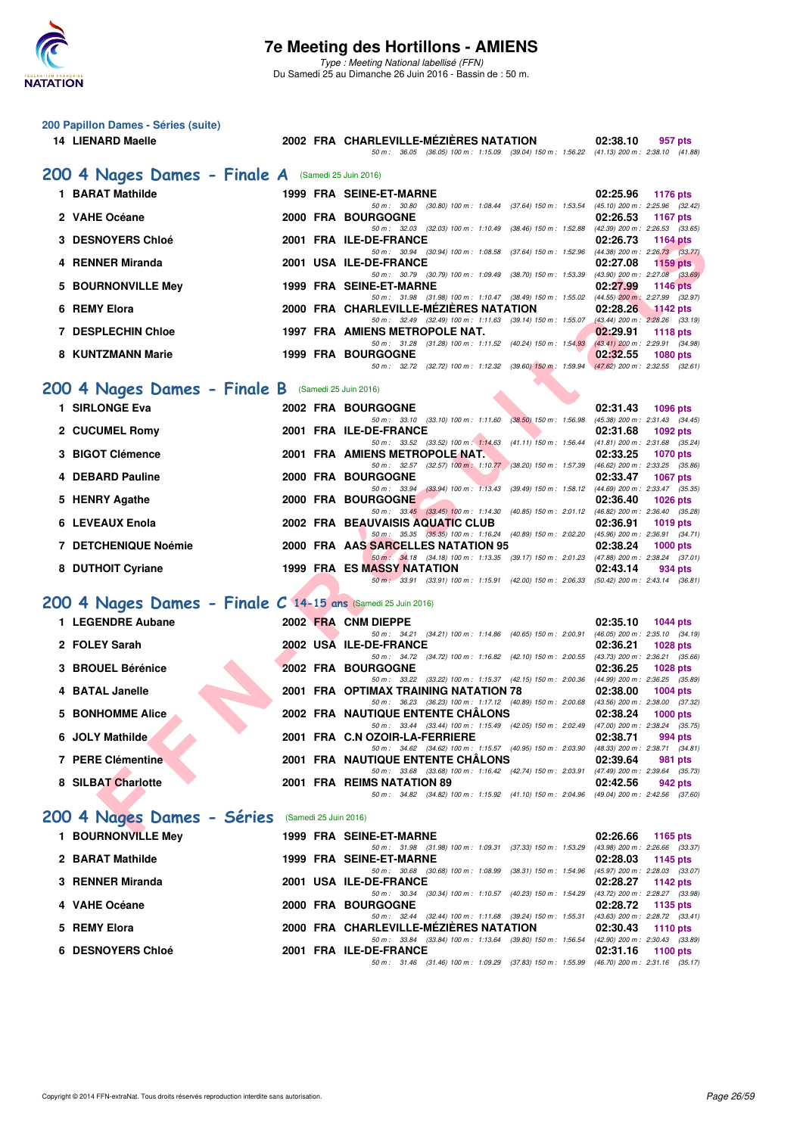

**200 Papillon Dames - Séries (suite)**

Type : Meeting National labellisé (FFN) Du Samedi 25 au Dimanche 26 Juin 2016 - Bassin de : 50 m.

**14 LIENARD Maelle 2002 FRA CHARLEVILLE-MÉZIÈRES NATATION 02:38.10 957 pts** 50 m : 36.05 (36.05) 100 m : 1:15.09 (39.04) 150 m : 1:56.22 (41.13) 200 m : 2:38.10 (41.88)

| 200 4 Nages Dames - Finale A (Samedi 25 Juin 2016)           |                       |                                                                                                                                          |                                                             |
|--------------------------------------------------------------|-----------------------|------------------------------------------------------------------------------------------------------------------------------------------|-------------------------------------------------------------|
| 1 BARAT Mathilde                                             |                       | 1999 FRA SEINE-ET-MARNE                                                                                                                  | 02:25.96<br><b>1176 pts</b>                                 |
| 2 VAHE Océane                                                |                       | 50 m: 30.80 (30.80) 100 m: 1:08.44 (37.64) 150 m: 1:53.54 (45.10) 200 m: 2:25.96 (32.42)<br>2000 FRA BOURGOGNE                           | 02:26.53<br>1167 pts                                        |
| <b>3 DESNOYERS Chloé</b>                                     |                       | 50 m: 32.03 (32.03) 100 m: 1:10.49 (38.46) 150 m: 1:52.88 (42.39) 200 m: 2:26.53 (33.65)<br>2001 FRA ILE-DE-FRANCE                       | 02:26.73<br><b>1164 pts</b>                                 |
| 4 RENNER Miranda                                             |                       | 50 m: 30.94 (30.94) 100 m: 1:08.58 (37.64) 150 m: 1:52.96 (44.38) 200 m: 2:26.73 (33.77)<br>2001 USA ILE-DE-FRANCE                       | 02:27.08<br>$1159$ pts                                      |
|                                                              |                       | 50 m: 30.79 (30.79) 100 m: 1:09.49 (38.70) 150 m: 1:53.39 (43.90) 200 m: 2:27.08 (33.69)                                                 |                                                             |
| 5 BOURNONVILLE Mey                                           |                       | 1999 FRA SEINE-ET-MARNE<br>50 m: 31.98 (31.98) 100 m: 1:10.47 (38.49) 150 m: 1:55.02 (44.55) 200 m: 2:27.99 (32.97)                      | 02:27.99<br><b>1146 pts</b>                                 |
| 6 REMY Elora                                                 |                       | 2000 FRA CHARLEVILLE-MÉZIÈRES NATATION<br>50 m: 32.49 (32.49) 100 m: 1:11.63 (39.14) 150 m: 1:55.07 (43.44) 200 m: 2:28.26 (33.19)       | 02:28.26<br>$1142$ pts                                      |
| <b>7 DESPLECHIN Chloe</b>                                    |                       | 1997 FRA AMIENS METROPOLE NAT.<br>50 m: 31.28 (31.28) 100 m: 1:11.52 (40.24) 150 m: 1:54.93 (43.41) 200 m: 2:29.91 (34.98)               | 02:29.91<br>1118 $pts$                                      |
| 8 KUNTZMANN Marie                                            |                       | <b>1999 FRA BOURGOGNE</b>                                                                                                                | 02:32.55<br>1080 pts                                        |
|                                                              |                       | 50 m: 32.72 (32.72) 100 m: 1:12.32 (39.60) 150 m: 1:59.94 (47.62) 200 m: 2:32.55 (32.61)                                                 |                                                             |
| 200 4 Nages Dames - Finale B (Samedi 25 Juin 2016)           |                       |                                                                                                                                          |                                                             |
| 1 SIRLONGE Eva                                               |                       | <b>2002 FRA BOURGOGNE</b><br>50 m: 33.10 (33.10) 100 m: 1:11.60 (38.50) 150 m: 1:56.98                                                   | 02:31.43<br>1096 pts<br>$(45.38)$ 200 m : 2:31.43 $(34.45)$ |
| 2 CUCUMEL Romy                                               |                       | 2001 FRA ILE-DE-FRANCE<br>50 m: 33.52 (33.52) 100 m: 1:14.63 (41.11) 150 m: 1:56.44 (41.81) 200 m: 2:31.68 (35.24)                       | 02:31.68<br>1092 pts                                        |
| 3 BIGOT Clémence                                             |                       | 2001 FRA AMIENS METROPOLE NAT.                                                                                                           | 02:33.25<br><b>1070 pts</b>                                 |
| 4 DEBARD Pauline                                             |                       | 50 m: 32.57 (32.57) 100 m: 1:10.77 (38.20) 150 m: 1:57.39 (46.62) 200 m: 2:33.25 (35.86)<br>2000 FRA BOURGOGNE                           | 02:33.47<br>1067 pts                                        |
|                                                              |                       | (33.94) 100 m: 1:13.43 (39.49) 150 m: 1:58.12 (44.69) 200 m: 2:33.47 (35.35)<br>50 m: 33.94                                              |                                                             |
| 5 HENRY Agathe                                               |                       | <b>2000 FRA BOURGOGNE</b><br>50 m: 33.45 (33.45) 100 m: 1:14.30 (40.85) 150 m: 2:01.12 (46.82) 200 m: 2:36.40 (35.28)                    | 02:36.40<br><b>1026 pts</b>                                 |
| 6 LEVEAUX Enola                                              |                       | 2002 FRA BEAUVAISIS AQUATIC CLUB<br>50 m: 35.35 (35.35) 100 m: 1:16.24 (40.89) 150 m: 2:02.20 (45.96) 200 m: 2:36.91 (34.71)             | 02:36.91<br>1019 pts                                        |
| 7 DETCHENIQUE Noémie                                         |                       | 2000 FRA AAS SARCELLES NATATION 95                                                                                                       | 02:38.24<br>$1000$ pts                                      |
| 8 DUTHOIT Cyriane                                            |                       | 50 m: 34.18 (34.18) 100 m: 1:13.35 (39.17) 150 m: 2:01.23 (47.88) 200 m: 2:38.24 (37.01)<br><b>1999 FRA ES MASSY NATATION</b>            | 02:43.14<br>934 pts                                         |
|                                                              |                       | 50 m: 33.91 (33.91) 100 m: 1:15.91 (42.00) 150 m: 2:06.33 (50.42) 200 m: 2:43.14 (36.81)                                                 |                                                             |
| 200 4 Nages Dames - Finale C 14-15 ans (Samedi 25 Juin 2016) |                       |                                                                                                                                          |                                                             |
| 1 LEGENDRE Aubane                                            |                       | 2002 FRA CNM DIEPPE                                                                                                                      | 02:35.10<br><b>1044 pts</b>                                 |
| 2 FOLEY Sarah                                                |                       | 50 m: 34.21 (34.21) 100 m: 1:14.86 (40.65) 150 m: 2:00.91 (46.05) 200 m: 2:35.10 (34.19)<br>2002 USA ILE-DE-FRANCE                       | 02:36.21<br>1028 pts                                        |
| 3 BROUEL Bérénice                                            |                       | 50 m: 34.72 (34.72) 100 m: 1:16.82 (42.10) 150 m: 2:00.55 (43.73) 200 m: 2:36.21 (35.66)<br><b>2002 FRA BOURGOGNE</b>                    | 02:36.25<br><b>1028 pts</b>                                 |
|                                                              |                       | 50 m: 33.22 (33.22) 100 m: 1:15.37 (42.15) 150 m: 2:00.36 (44.99) 200 m: 2:36.25 (35.89)                                                 |                                                             |
| 4 BATAL Janelle                                              |                       | <b>2001 FRA OPTIMAX TRAINING NATATION 78</b><br>50 m: 36.23 (36.23) 100 m: 1:17.12 (40.89) 150 m: 2:00.68 (43.56) 200 m: 2:38.00 (37.32) | 02:38.00<br>1004 pts                                        |
| 5 BONHOMME Alice                                             |                       | 2002 FRA NAUTIQUE ENTENTE CHALONS<br>50 m: 33.44 (33.44) 100 m: 1:15.49 (42.05) 150 m: 2:02.49 (47.00) 200 m: 2:38.24 (35.75)            | 02:38.24<br>$1000$ pts                                      |
| 6 JOLY Mathilde                                              |                       | 2001 FRA C.N OZOIR-LA-FERRIERE                                                                                                           | 02:38.71<br>994 pts                                         |
| <b>7 PERE Clémentine</b>                                     |                       | 50 m: 34.62 (34.62) 100 m: 1:15.57 (40.95) 150 m: 2:03.90 (48.33) 200 m: 2:38.71 (34.81)<br>2001 FRA NAUTIQUE ENTENTE CHÂLONS            | 02:39.64<br>981 pts                                         |
| 8 SILBAT Charlotte                                           |                       | 50 m: 33.68 (33.68) 100 m: 1:16.42 (42.74) 150 m: 2:03.91 (47.49) 200 m: 2:39.64 (35.73)<br>2001 FRA REIMS NATATION 89                   | 02:42.56<br><b>942 pts</b>                                  |
|                                                              |                       | 50 m: 34.82 (34.82) 100 m: 1:15.92 (41.10) 150 m: 2:04.96 (49.04) 200 m: 2:42.56 (37.60)                                                 |                                                             |
| 200 4 Nages Dames - Séries                                   | (Samedi 25 Juin 2016) |                                                                                                                                          |                                                             |
| 1 BOURNONVILLE Mey                                           |                       | 1999 FRA SEINE-ET-MARNE                                                                                                                  | 02:26.66<br>1165 pts                                        |
| 2 BARAT Mathilde                                             |                       | 50 m: 31.98 (31.98) 100 m: 1:09.31 (37.33) 150 m: 1:53.29<br>1999 FRA SEINE-ET-MARNE                                                     | (43.98) 200 m : 2:26.66 (33.37)<br>02:28.03<br>1145 pts     |
| 3 RENNER Miranda                                             |                       | 50 m : 30.68 (30.68) 100 m : 1:08.99 (38.31) 150 m : 1:54.96<br>2001 USA ILE-DE-FRANCE                                                   | (45.97) 200 m : 2:28.03 (33.07)<br>02:28.27<br>1142 pts     |
|                                                              |                       | 50 m : 30.34 (30.34) 100 m : 1:10.57 (40.23) 150 m : 1:54.29                                                                             | (43.72) 200 m : 2:28.27 (33.98)                             |
| 4 VAHE Océane                                                |                       | <b>2000 FRA BOURGOGNE</b><br>50 m: 32.44 (32.44) 100 m: 1:11.68 (39.24) 150 m: 1:55.31 (43.63) 200 m: 2:28.72 (33.41)                    | 02:28.72<br>1135 pts                                        |
| 5 REMY Elora                                                 |                       | 2000 FRA CHARLEVILLE-MEZIERES NATATION<br>50 m: 33.84 (33.84) 100 m: 1:13.64 (39.80) 150 m: 1:56.54 (42.90) 200 m: 2:30.43 (33.89)       | 02:30.43<br><b>1110 pts</b>                                 |
| <b>6 DESNOYERS Chloé</b>                                     |                       | 2001 FRA ILE-DE-FRANCE                                                                                                                   | 02:31.16<br>1100 pts                                        |
|                                                              |                       | 50 m: 31.46 (31.46) 100 m: 1:09.29 (37.83) 150 m: 1:55.99 (46.70) 200 m: 2:31.16 (35.17)                                                 |                                                             |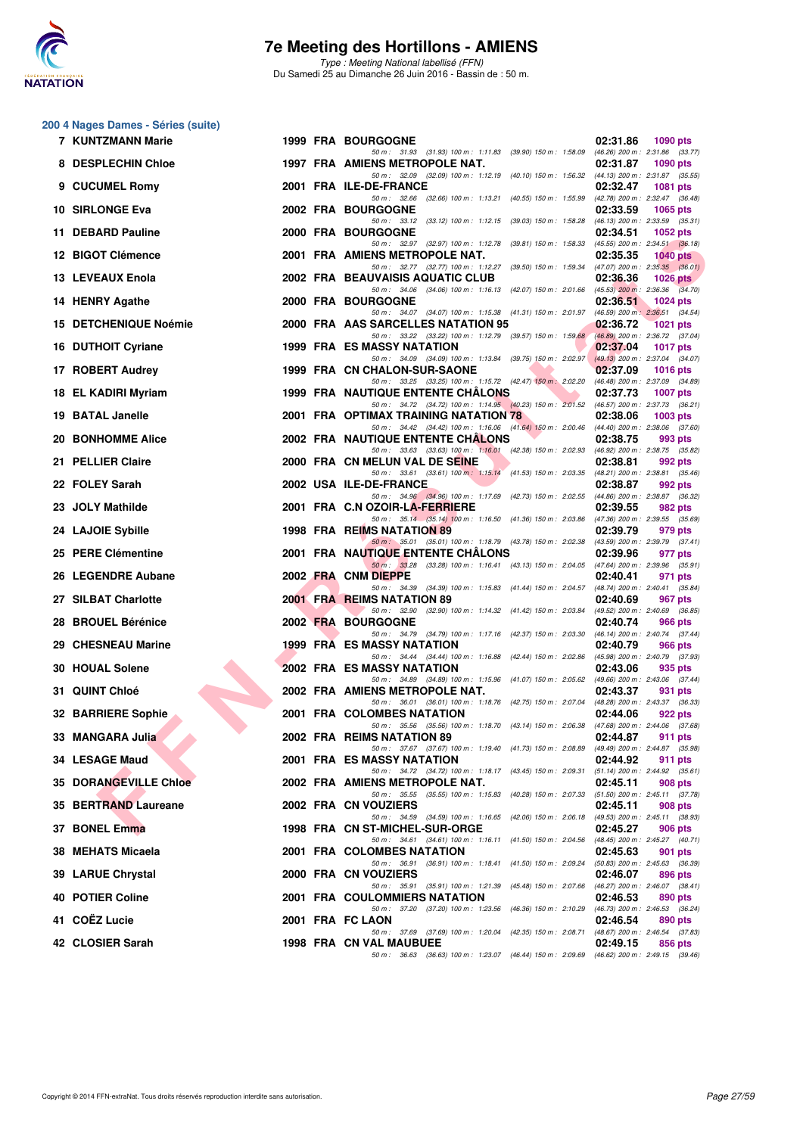

Type : Meeting National labellisé (FFN) Du Samedi 25 au Dimanche 26 Juin 2016 - Bassin de : 50 m.

#### **200 4 Nages Dames - Séries (suite)**

| 7 KUNTZMANN Marie            |  | <b>1999 FRA BOURGOGNE</b>                                                                                                                                             | 02:31.86 | 1090 pts                                       |
|------------------------------|--|-----------------------------------------------------------------------------------------------------------------------------------------------------------------------|----------|------------------------------------------------|
| 8 DESPLECHIN Chloe           |  | 50 m: 31.93 (31.93) 100 m: 1:11.83 (39.90) 150 m: 1:58.09 (46.26) 200 m: 2:31.86 (33.77)<br>1997 FRA AMIENS METROPOLE NAT.                                            | 02:31.87 | 1090 pts                                       |
| 9 CUCUMEL Romy               |  | 50 m: 32.09 (32.09) 100 m: 1:12.19 (40.10) 150 m: 1:56.32 (44.13) 200 m: 2:31.87 (35.55)<br>2001 FRA ILE-DE-FRANCE                                                    | 02:32.47 | <b>1081 pts</b>                                |
| 10 SIRLONGE Eva              |  | 50 m: 32.66 (32.66) 100 m: 1:13.21 (40.55) 150 m: 1:55.99 (42.78) 200 m: 2:32.47 (36.48)<br>2002 FRA BOURGOGNE                                                        | 02:33.59 | 1065 pts                                       |
| 11 DEBARD Pauline            |  | 50 m: 33.12 (33.12) 100 m: 1:12.15 (39.03) 150 m: 1:58.28 (46.13) 200 m: 2:33.59 (35.31)<br>2000 FRA BOURGOGNE                                                        | 02:34.51 | 1052 pts                                       |
| 12 BIGOT Clémence            |  | 50 m: 32.97 (32.97) 100 m: 1:12.78 (39.81) 150 m: 1:58.33 (45.55) 200 m: 2:34.51 (36.18)<br>2001 FRA AMIENS METROPOLE NAT.                                            | 02:35.35 | $1040$ pts                                     |
| 13 LEVEAUX Enola             |  | 50 m: 32.77 (32.77) 100 m: 1:12.27 (39.50) 150 m: 1:59.34 (47.07) 200 m: 2:35.35 (36.01)<br>2002 FRA BEAUVAISIS AQUATIC CLUB                                          | 02:36.36 | 1026 $pts$                                     |
| 14 HENRY Agathe              |  | 50 m: 34.06 (34.06) 100 m: 1:16.13 (42.07) 150 m: 2:01.66 (45.53) 200 m: 2:36.36 (34.70)<br>2000 FRA BOURGOGNE                                                        | 02:36.51 | 1024 pts                                       |
| 15 DETCHENIQUE Noémie        |  | 50 m: 34.07 (34.07) 100 m: 1:15.38 (41.31) 150 m: 2:01.97 (46.59) 200 m: 2:36.51 (34.54)<br>2000 FRA AAS SARCELLES NATATION 95                                        | 02:36.72 | 1021 pts                                       |
| 16 DUTHOIT Cyriane           |  | 50 m: 33.22 (33.22) 100 m: 1:12.79 (39.57) 150 m: 1:59.68 (46.89) 200 m: 2:36.72 (37.04)<br><b>1999 FRA ES MASSY NATATION</b>                                         | 02:37.04 | 1017 pts                                       |
|                              |  | 50 m: 34.09 (34.09) 100 m: 1:13.84 (39.75) 150 m: 2:02.97 (49.13) 200 m: 2:37.04 (34.07)                                                                              |          |                                                |
| 17 ROBERT Audrey             |  | 1999 FRA CN CHALON-SUR-SAONE<br>50 m: 33.25 (33.25) 100 m: 1:15.72 (42.47) 150 m: 2:02.20 (46.48) 200 m: 2:37.09 (34.89)                                              | 02:37.09 | 1016 $pts$                                     |
| 18 EL KADIRI Myriam          |  | <b>The Contract of Street</b><br><b>1999 FRA NAUTIQUE ENTENTE CHALONS</b><br>50 m: 34.72 (34.72) 100 m: 1:14.95 (40.23) 150 m: 2:01.52 (46.57) 200 m: 2:37.73 (36.21) | 02:37.73 | 1007 pts                                       |
| 19 BATAL Janelle             |  | 2001 FRA OPTIMAX TRAINING NATATION 78<br>50 m: 34.42 (34.42) 100 m: 1:16.06 (41.64) 150 m: 2:00.46 (44.40) 200 m: 2:38.06 (37.60)                                     | 02:38.06 | $1003$ pts                                     |
| 20   BONHOMME Alice          |  | <b>2002 FRA NAUTIQUE ENTENTE CHALONS</b><br>50 m: 33.63 (33.63) 100 m: 1:16.01 (42.38) 150 m: 2:02.93 (46.92) 200 m: 2:38.75 (35.82)                                  | 02:38.75 | 993 pts                                        |
| 21 PELLIER Claire            |  | 2000 FRA CN MELUN VAL DE SEINE<br>50 m: 33.61 (33.61) 100 m: 1:15.14 (41.53) 150 m: 2:03.35 (48.21) 200 m: 2:38.81 (35.46)                                            | 02:38.81 | 992 pts                                        |
| 22 FOLEY Sarah               |  | 2002 USA ILE-DE-FRANCE<br>50 m: 34.96 (34.96) 100 m: 1:17.69 (42.73) 150 m: 2:02.55 (44.86) 200 m: 2:38.87 (36.32)                                                    | 02:38.87 | 992 pts                                        |
| 23 JOLY Mathilde             |  | 2001 FRA C.N OZOIR-LA-FERRIERE                                                                                                                                        | 02:39.55 | 982 pts                                        |
| 24 LAJOIE Sybille            |  | 50 m: 35.14 (35.14) 100 m: 1:16.50 (41.36) 150 m: 2:03.86 (47.36) 200 m: 2:39.55 (35.69)<br>1998 FRA REIMS NATATION 89                                                | 02:39.79 | 979 pts                                        |
| 25 PERE Clémentine           |  | 50 m: 35.01 (35.01) 100 m: 1:18.79 (43.78) 150 m: 2:02.38 (43.59) 200 m: 2:39.79 (37.41)<br>2001 FRA NAUTIQUE ENTENTE CHALONS                                         | 02:39.96 | 977 pts                                        |
| 26 LEGENDRE Aubane           |  | 50 m: 33.28 (33.28) 100 m: 1:16.41 (43.13) 150 m: 2:04.05 (47.64) 200 m: 2:39.96 (35.91)<br>2002 FRA CNM DIEPPE                                                       | 02:40.41 | 971 pts                                        |
| 27 SILBAT Charlotte          |  | 50 m: 34.39 (34.39) 100 m: 1:15.83 (41.44) 150 m: 2:04.57 (48.74) 200 m: 2:40.41 (35.84)<br><b>2001 FRA REIMS NATATION 89</b>                                         | 02:40.69 | 967 pts                                        |
| <b>28 BROUEL Bérénice</b>    |  | 50 m: 32.90 (32.90) 100 m: 1:14.32 (41.42) 150 m: 2:03.84 (49.52) 200 m: 2:40.69 (36.85)<br>2002 FRA BOURGOGNE                                                        | 02:40.74 | 966 pts                                        |
| 29 CHESNEAU Marine           |  | 50 m: 34.79 (34.79) 100 m: 1:17.16 (42.37) 150 m: 2:03.30 (46.14) 200 m: 2:40.74 (37.44)<br><b>1999 FRA ES MASSY NATATION</b>                                         | 02:40.79 | 966 pts                                        |
| <b>30 HOUAL Solene</b>       |  | 50 m: 34.44 (34.44) 100 m: 1:16.88 (42.44) 150 m: 2:02.86 (45.98) 200 m: 2:40.79 (37.93)<br><b>2002 FRA ES MASSY NATATION</b>                                         | 02:43.06 | 935 pts                                        |
| 31   QUINT Chloé             |  | 50 m: 34.89 (34.89) 100 m: 1:15.96 (41.07) 150 m: 2:05.62 (49.66) 200 m: 2:43.06 (37.44)<br>2002 FRA AMIENS METROPOLE NAT.                                            | 02:43.37 | 931 pts                                        |
| <b>32 BARRIERE Sophie</b>    |  | 50 m: 36.01 (36.01) 100 m: 1:18.76 (42.75) 150 m: 2:07.04 (48.28) 200 m: 2:43.37 (36.33)<br>2001 FRA COLOMBES NATATION                                                | 02:44.06 | 922 pts                                        |
| 33 MANGARA Julia             |  | 50 m: 35.56 (35.56) 100 m: 1:18.70 (43.14) 150 m: 2:06.38 (47.68) 200 m: 2:44.06 (37.68)<br>2002 FRA REIMS NATATION 89                                                | 02:44.87 | 911 pts                                        |
| 34 LESAGE Maud               |  | 50 m: 37.67 (37.67) 100 m: 1:19.40 (41.73) 150 m: 2:08.89 (49.49) 200 m: 2:44.87 (35.98)<br><b>2001 FRA ES MASSY NATATION</b>                                         | 02:44.92 |                                                |
|                              |  | 50 m: 34.72 (34.72) 100 m: 1:18.17 (43.45) 150 m: 2:09.31 (51.14) 200 m: 2:44.92 (35.61)                                                                              |          | 911 pts                                        |
| <b>35 DORANGEVILLE Chloe</b> |  | 2002 FRA AMIENS METROPOLE NAT.<br>50 m: 35.55 (35.55) 100 m: 1:15.83 (40.28) 150 m: 2:07.33 (51.50) 200 m: 2:45.11 (37.78)                                            | 02:45.11 | 908 pts                                        |
| 35 BERTRAND Laureane         |  | 2002 FRA CN VOUZIERS<br>50 m: 34.59 (34.59) 100 m: 1:16.65 (42.06) 150 m: 2:06.18 (49.53) 200 m: 2:45.11 (38.93)                                                      | 02:45.11 | 908 pts                                        |
| 37 BONEL Emma                |  | 1998 FRA CN ST-MICHEL-SUR-ORGE<br>50 m: 34.61 (34.61) 100 m: 1:16.11 (41.50) 150 m: 2:04.56 (48.45) 200 m: 2:45.27 (40.71)                                            | 02:45.27 | 906 pts                                        |
| 38  MEHATS Micaela           |  | 2001 FRA COLOMBES NATATION<br>50 m : 36.91 (36.91) 100 m : 1:18.41 (41.50) 150 m : 2:09.24                                                                            | 02:45.63 | 901 pts<br>$(50.83)$ 200 m : 2:45.63 $(36.39)$ |
| 39 LARUE Chrystal            |  | 2000 FRA CN VOUZIERS<br>50 m : 35.91 (35.91) 100 m : 1:21.39 (45.48) 150 m : 2:07.66                                                                                  | 02:46.07 | 896 pts<br>(46.27) 200 m : 2:46.07 (38.41)     |
| 40 POTIER Coline             |  | <b>2001 FRA COULOMMIERS NATATION</b><br>50 m : 37.20 (37.20) 100 m : 1:23.56 (46.36) 150 m : 2:10.29                                                                  | 02:46.53 | 890 pts<br>(46.73) 200 m : 2:46.53 (36.24)     |
| 41 COËZ Lucie                |  | 2001 FRA FC LAON<br>50 m: 37.69 (37.69) 100 m: 1:20.04 (42.35) 150 m: 2:08.71                                                                                         | 02:46.54 | 890 pts                                        |
| 42 CLOSIER Sarah             |  | 1998 FRA CN VAL MAUBUEE                                                                                                                                               | 02:49.15 | (48.67) 200 m : 2:46.54 (37.83)<br>856 pts     |
|                              |  | 50 m: 36.63 (36.63) 100 m: 1:23.07 (46.44) 150 m: 2:09.69 (46.62) 200 m: 2:49.15 (39.46)                                                                              |          |                                                |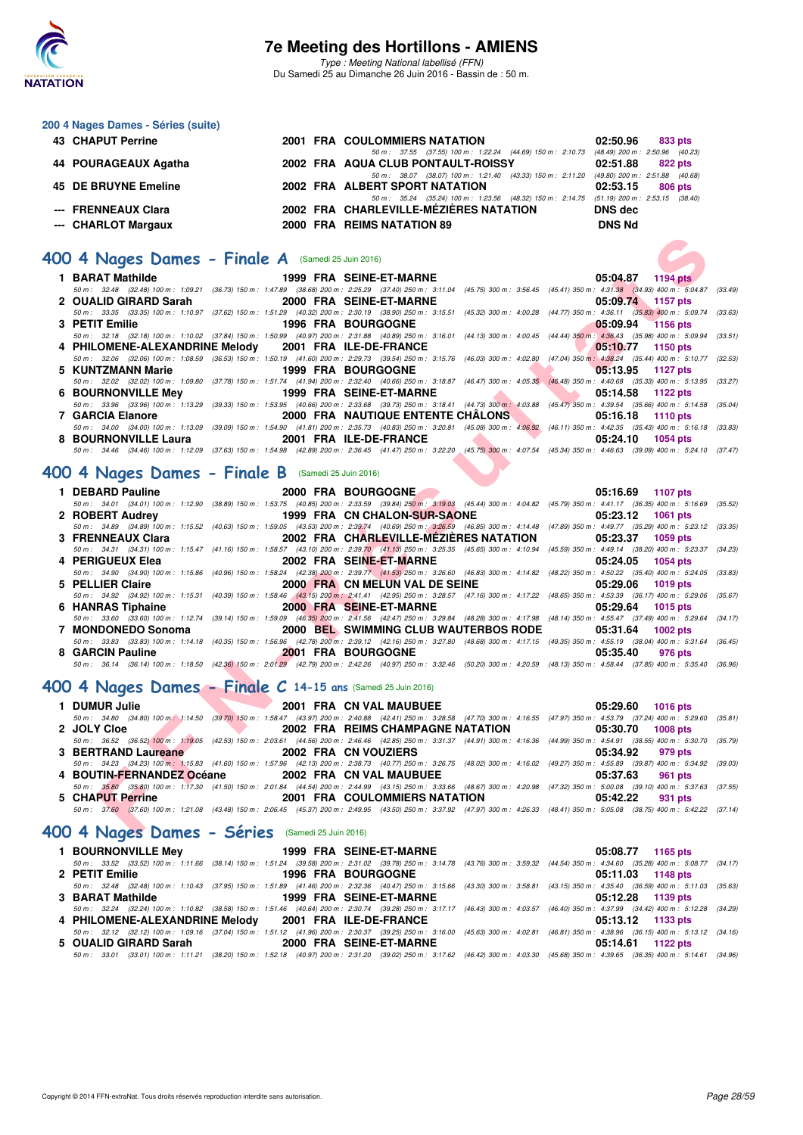

Type : Meeting National labellisé (FFN) Du Samedi 25 au Dimanche 26 Juin 2016 - Bassin de : 50 m.

#### **200 4 Nages Dames - Séries (suite)**

| 43 CHAPUT Perrine    |  | <b>2001 FRA COULOMMIERS NATATION</b>                                                     | 02:50.96      | 833 pts |
|----------------------|--|------------------------------------------------------------------------------------------|---------------|---------|
|                      |  | 50 m: 37.55 (37.55) 100 m: 1:22.24 (44.69) 150 m: 2:10.73 (48.49) 200 m: 2:50.96 (40.23) |               |         |
| 44 POURAGEAUX Agatha |  | 2002 FRA AQUA CLUB PONTAULT-ROISSY                                                       | 02:51.88      | 822 pts |
|                      |  | 50 m: 38.07 (38.07) 100 m: 1:21.40 (43.33) 150 m: 2:11.20 (49.80) 200 m: 2:51.88 (40.68) |               |         |
| 45 DE BRUYNE Emeline |  | 2002 FRA ALBERT SPORT NATATION                                                           | 02:53.15      | 806 pts |
|                      |  | 50 m: 35.24 (35.24) 100 m: 1:23.56 (48.32) 150 m: 2:14.75 (51.19) 200 m: 2:53.15 (38.40) |               |         |
| --- FRENNEAUX Clara  |  | 2002 FRA CHARLEVILLE-MÉZIÈRES NATATION                                                   | DNS dec       |         |
| --- CHARLOT Margaux  |  | 2000 FRA REIMS NATATION 89                                                               | <b>DNS Nd</b> |         |
|                      |  |                                                                                          |               |         |

### **[400 4 Nages Dames - Finale A](http://www.ffnatation.fr/webffn/resultats.php?idact=nat&go=epr&idcpt=38947&idepr=42)** (Samedi 25 Juin 2016)

| 00 4 Nages Dames - Finale A (Samedi 25 Juin 2016)                                                                                                                                                        |  |                                   |                                        |          |                   |         |
|----------------------------------------------------------------------------------------------------------------------------------------------------------------------------------------------------------|--|-----------------------------------|----------------------------------------|----------|-------------------|---------|
| 1 BARAT Mathilde                                                                                                                                                                                         |  | 1999 FRA SEINE-ET-MARNE           |                                        |          | 05:04.87 1194 pts |         |
| 50 m: 32.48 (32.48) 100 m: 1:09.21 (36.73) 150 m: 1:47.89 (38.68) 200 m: 2:25.29 (37.40) 250 m: 3:11.04 (45.75) 300 m: 3:56.45 (45.41) 350 m: 4:31.38 (34.93) 400 m: 5:04.87 (33.49)                     |  |                                   |                                        |          |                   |         |
| 2 OUALID GIRARD Sarah                                                                                                                                                                                    |  | 2000 FRA SEINE-ET-MARNE           |                                        |          | 05:09.74 1157 pts |         |
| 50 m: 33.35 (33.35) 100 m: 1:10.97 (37.62) 150 m: 1:51.29 (40.32) 200 m: 2:30.19 (38.90) 250 m: 3:15.51 (45.32) 300 m: 4:00.28 (44.77) 350 m: 4:36.11 (35.83) 400 m: 5:09.74                             |  |                                   |                                        |          |                   | (33.63) |
| 3 PETIT Emilie                                                                                                                                                                                           |  | <b>1996 FRA BOURGOGNE</b>         |                                        | 05:09.94 | <b>1156 pts</b>   |         |
| 50 m: 32.18 (32.18) 100 m: 1:10.02 (37.84) 150 m: 1:50.99 (40.97) 200 m: 2:31.88 (40.89) 250 m: 3:16.01 (44.13) 300 m: 4:00.45 (44.44) 350 m: 4:36.43 (35.98) 400 m: 5:09.94                             |  |                                   |                                        |          |                   | (33.51) |
| 4 PHILOMENE-ALEXANDRINE Melody                                                                                                                                                                           |  | 2001 FRA ILE-DE-FRANCE            |                                        | 05:10.77 | 1150 pts          |         |
| 50 m : 32.06 (32.06) 100 m : 1:08.59 (36.53) 150 m : 1:50.19 (41.60) 200 m : 2:29.73 (39.54) 250 m : 3:15.76 (46.03) 300 m : 4:02.80 (47.04) 350 m : 4:38.24 (35.44) 400 m : 5:10.77 (32.53)             |  |                                   |                                        |          |                   |         |
| 5 KUNTZMANN Marie                                                                                                                                                                                        |  | <b>1999 FRA BOURGOGNE</b>         |                                        | 05:13.95 | 1127 pts          |         |
| 50 m: 32.02 (32.02) 100 m: 1:09.80 (37.78) 150 m: 1:51.74 (41.94) 200 m: 2:32.40 (40.66) 250 m: 3:18.87 (46.47) 300 m: 4:05.35 (46.48) 350 m: 4:40.68 (35.33) 400 m: 5:13.95 (33.27)                     |  |                                   |                                        |          |                   |         |
| <b>6 BOURNONVILLE Mey</b>                                                                                                                                                                                |  | 1999 FRA SEINE-ET-MARNE           |                                        | 05:14.58 | 1122 pts          |         |
| 50 m: 33.96 (33.96) 100 m: 1:13.29 (39.33) 150 m: 1:53.95 (40.66) 200 m: 2:33.68 (39.73) 250 m: 3:18.41 (44.73) 300 m: 4:03.88 (45.47) 350 m: 4:39.54 (35.66) 400 m: 5:14.58 (35.04)<br>7 GARCIA Elanore |  |                                   | 2000 FRA NAUTIQUE ENTENTE CHÂLONS      |          |                   |         |
| 50 m: 34.00 (34.00) 100 m: 1:13.09 (39.09) 150 m: 1:54.90 (41.81) 200 m: 2:35.73 (40.83) 250 m: 3:20.81 (45.08) 300 m: 4:06.92 (46.11) 350 m: 4:42.35 (35.43) 400 m: 5:16.18 (33.83)                     |  |                                   |                                        | 05:16.18 | <b>1110 pts</b>   |         |
| 8 BOURNONVILLE Laura                                                                                                                                                                                     |  | 2001 FRA ILE-DE-FRANCE            |                                        | 05:24.10 | 1054 pts          |         |
| 50 m: 34.46 (34.46) 100 m: 1:12.09 (37.63) 150 m: 1:54.98 (42.89) 200 m: 2:36.45 (41.47) 250 m: 3:22.20 (45.75) 300 m: 4:07.54 (45.34) 350 m: 4:46.63 (39.09) 400 m: 5:24.10 (37.47)                     |  |                                   |                                        |          |                   |         |
|                                                                                                                                                                                                          |  |                                   |                                        |          |                   |         |
| 00 4 Nages Dames - Finale B (Samedi 25 Juin 2016)                                                                                                                                                        |  |                                   |                                        |          |                   |         |
|                                                                                                                                                                                                          |  |                                   |                                        |          |                   |         |
| 1 DEBARD Pauline                                                                                                                                                                                         |  | 2000 FRA BOURGOGNE                |                                        | 05:16.69 | <b>1107 pts</b>   |         |
| 50 m: 34.01 (34.01) 100 m: 1:12.90 (38.89) 150 m: 1:53.75 (40.85) 200 m: 2:33.59 (39.84) 250 m: 3:19.03 (45.44) 300 m: 4:04.82 (45.79) 350 m: 4:41.17 (36.35) 400 m: 5:16.69 (35.52)                     |  |                                   |                                        |          |                   |         |
| 2 ROBERT Audrey                                                                                                                                                                                          |  | 1999 FRA CN CHALON-SUR-SAONE      |                                        | 05:23.12 | <b>1061 pts</b>   |         |
| 50 m : 34.89 (34.89) 100 m : 1:15.52 (40.63) 150 m : 1:59.05 (43.53) 200 m : 2:39.74 (40.69) 250 m : 3:26.59 (46.85) 300 m : 4:14.48 (47.89) 350 m : 4:49.77 (35.29) 400 m : 5:23.12 (33.35)             |  |                                   |                                        |          |                   |         |
| 3 FRENNEAUX Clara                                                                                                                                                                                        |  |                                   | 2002 FRA CHARLEVILLE-MEZIERES NATATION | 05:23.37 | 1059 pts          |         |
| 50 m: 34.31 (34.31) 100 m: 1:15.47 (41.16) 150 m: 1:58.57 (43.10) 200 m: 2:39.70 (41.13) 250 m: 3:25.35 (45.65) 300 m: 4:10.94 (45.59) 350 m: 4:49.14 (38.20) 400 m: 5:23.37 (34.23)                     |  |                                   |                                        |          |                   |         |
| 4 PERIGUEUX Elea<br>50 m: 34.90 (34.90) 100 m: 1:15.86 (40.96) 150 m: 1:58.24 (42.38) 200 m: 2:39.77 (41.53) 250 m: 3:26.60 (46.83) 300 m: 4:14.82 (48.22) 350 m: 4:50.22 (35.40) 400 m: 5:24.05         |  | 2002 FRA SEINE-ET-MARNE           |                                        | 05:24.05 | 1054 pts          | (33.83) |
| 5 PELLIER Claire                                                                                                                                                                                         |  | 2000 FRA CN MELUN VAL DE SEINE    |                                        | 05:29.06 |                   |         |
| 50 m: 34.92 (34.92) 100 m: 1:15.31 (40.39) 150 m: 1:58.46 (43.15) 200 m: 2:41.41 (42.95) 250 m: 3:28.57 (47.16) 300 m: 4:17.22 (48.65) 350 m: 4:53.39 (36.17) 400 m: 5:29.06 (35.67)                     |  |                                   |                                        |          | <b>1019 pts</b>   |         |
| 6 HANRAS Tiphaine                                                                                                                                                                                        |  | 2000 FRA SEINE-ET-MARNE           |                                        | 05:29.64 | <b>1015 pts</b>   |         |
| 50 m: 33.60 (33.60) 100 m: 1:12.74 (39.14) 150 m: 1:59.09 (46.35) 200 m: 2:41.56 (42.47) 250 m: 3:29.84 (48.28) 300 m: 4:17.98 (48.14) 350 m: 4:55.47 (37.49) 400 m: 5:29.64                             |  |                                   |                                        |          |                   | (34.17) |
| 7 MONDONEDO Sonoma                                                                                                                                                                                       |  |                                   | 2000 BEL SWIMMING CLUB WAUTERBOS RODE  | 05:31.64 | <b>1002 pts</b>   |         |
| 50 m: 33.83 (33.83) 100 m: 1:14.18 (40.35) 150 m: 1:56.96 (42.78) 200 m: 2:39.12 (42.16) 250 m: 3:27.80 (48.68) 300 m: 4:17.15 (49.35) 350 m: 4:55.19 (38.04) 400 m: 5:31.64 (36.45)                     |  |                                   |                                        |          |                   |         |
| 8 GARCIN Pauline                                                                                                                                                                                         |  | <b>2001 FRA BOURGOGNE</b>         |                                        | 05:35.40 | 976 pts           |         |
| 50 m : 36.14 (36.14) 100 m : 1:18.50 (42.36) 150 m : 2:01.29 (42.79) 200 m : 2:42.26 (40.97) 250 m : 3:32.46 (50.20) 300 m : 4:20.59 (48.13) 350 m : 4:58.44 (37.85) 400 m : 5:35.40 (36.96)             |  |                                   |                                        |          |                   |         |
|                                                                                                                                                                                                          |  |                                   |                                        |          |                   |         |
| 00 4 Nages Dames - Finale C 14-15 ans (Samedi 25 Juin 2016)                                                                                                                                              |  |                                   |                                        |          |                   |         |
|                                                                                                                                                                                                          |  |                                   |                                        |          |                   |         |
| 1 DUMUR Julie                                                                                                                                                                                            |  | 2001 FRA CN VAL MAUBUEE           |                                        | 05:29.60 | <b>1016 pts</b>   |         |
| 50 m: 34.80 (34.80) 100 m; 1:14.50 (39.70) 150 m: 1:58.47 (43.97) 200 m: 2:40.88 (42.41) 250 m: 3:28.58 (47.70) 300 m: 4:16.55 (47.97) 350 m: 4:53.79 (37.24) 400 m: 5:29.60 (35.81)                     |  |                                   |                                        |          |                   |         |
| 2 JOLY Cloe<br>50 m: 36.52 (36.52) 100 m: 1:19.05 (42.53) 150 m: 2:03.61 (44.56) 200 m: 2:46.46 (42.85) 250 m: 3:31.37 (44.91) 300 m: 4:16.36 (44.99) 350 m: 4:54.91 (38.55) 400 m: 5:30.70 (35.79)      |  | 2002 FRA REIMS CHAMPAGNE NATATION |                                        | 05:30.70 | <b>1008 pts</b>   |         |
| 3 BERTRAND Laureane                                                                                                                                                                                      |  | 2002 FRA CN VOUZIERS              |                                        | 05:34.92 | 979 pts           |         |
| 50 m: 34.23 (34.23) 100 m: 1:15.83 (41.60) 150 m: 1:57.96 (42.13) 200 m: 2:38.73 (40.77) 250 m: 3:26.75 (48.02) 300 m: 4:16.02 (49.27) 350 m: 4:55.89 (39.87) 400 m: 5:34.92                             |  |                                   |                                        |          |                   | (39.03) |
| 4 BOUTIN-FERNANDEZ Océane                                                                                                                                                                                |  | 2002 FRA CN VAL MAUBUEE           |                                        | 05:37.63 | 961 pts           |         |
| 50 m: 35.80 (35.80) 100 m: 1:17.30 (41.50) 150 m: 2:01.84 (44.54) 200 m: 2:44.99 (43.15) 250 m: 3:33.66 (48.67) 300 m: 4:20.98 (47.32) 350 m: 5:00.08 (39.10) 400 m: 5:37.63 (37.55)                     |  |                                   |                                        |          |                   |         |
| 5 CHAPUT Perrine                                                                                                                                                                                         |  |                                   | 2001 FRA COULOMMIERS NATATION          | 05:42.22 | 931 pts           |         |
| 50 m: 37.60 (37.60) 100 m: 1:21.08 (43.48) 150 m: 2:06.45 (45.37) 200 m: 2:49.95 (43.50) 250 m: 3:37.92 (47.97) 300 m: 4:26.33 (48.41) 350 m: 5:05.08 (38.75) 400 m: 5:42.22 (37.14)                     |  |                                   |                                        |          |                   |         |
|                                                                                                                                                                                                          |  |                                   |                                        |          |                   |         |
| 00 4 Nages Dames - Séries (Samedi 25 Juin 2016)                                                                                                                                                          |  |                                   |                                        |          |                   |         |

### **[400 4 Nages Dames - Finale B](http://www.ffnatation.fr/webffn/resultats.php?idact=nat&go=epr&idcpt=38947&idepr=42)** (Samedi 25 Juin 2016)

| 1 DEBARD Pauline   | 2000 FRA BOURGOGNE AND DESCRIPTION OF REAL PROPERTY.                                                                                                                                         | 05:16.69 1107 pts   |
|--------------------|----------------------------------------------------------------------------------------------------------------------------------------------------------------------------------------------|---------------------|
|                    | 50 m: 34.01 (34.01) 100 m: 1:12.90 (38.89) 150 m: 1:53.75 (40.85) 200 m: 2:33.59 (39.84) 250 m: 3:19.03 (45.44) 300 m: 4:04.82 (45.79) 350 m: 4:41.17 (36.35) 400 m: 5:16.69 (35.52)         |                     |
| 2 ROBERT Audrey    | 1999 FRA CN CHALON-SUR-SAONE 65:23.12 1061 pts                                                                                                                                               |                     |
|                    | 50 m: 34.89 (34.89) 100 m: 1:15.52 (40.63) 150 m: 1:59.05 (43.53) 200 m: 2:39.74 (40.69) 250 m: 3:26.59 (46.85) 300 m: 4:14.48 (47.89) 350 m: 4:49.77 (35.29) 400 m: 5:23.12 (33.35)         |                     |
| 3 FRENNEAUX Clara  | 2002 FRA CHARLEVILLE-MEZIERES NATATION 05:23.37 1059 pts                                                                                                                                     |                     |
|                    | 50 m: 34.31 (34.31) 100 m: 1:15.47 (41.16) 150 m: 1:58.57 (43.10) 200 m: 2:39.70 (41.13) 250 m: 3:25.35 (45.65) 300 m: 4:10.94 (45.59) 350 m: 4:49.14 (38.20) 400 m: 5:23.37 (34.23)         |                     |
| 4 PERIGUEUX Elea   | 2002 FRA SEINE-ET-MARNE                                                                                                                                                                      | 05:24.05 1054 pts   |
|                    | 50 m: 34.90 (34.90) 100 m: 1:15.86 (40.96) 150 m: 1:58.24 (42.38) 200 m: 2:39.77 (41.53) 250 m: 3:26.60 (46.83) 300 m: 4:14.82 (48.22) 350 m: 4:50.22 (35.40) 400 m: 5:24.05 (33.83)         |                     |
| 5 PELLIER Claire   | 2000 FRA CN MELUN VAL DE SEINE                                                                                                                                                               | 05:29.06 1019 pts   |
|                    |                                                                                                                                                                                              |                     |
|                    | 50 m: 34.92 (34.92) 100 m: 1:15.31 (40.39) 150 m: 1:58.46 (43.15) 200 m: 2:41.41 (42.95) 250 m: 3:28.57 (47.16) 300 m: 4:17.22 (48.65) 350 m: 4:53.39 (36.17) 400 m: 5:29.06 (35.67)         |                     |
| 6 HANRAS Tiphaine  | 2000 FRA SEINE-ET-MARNE                                                                                                                                                                      | 05:29.64 1015 pts   |
|                    | 50 m : 33.60 (33.60) 100 m : 1:12.74 (39.14) 150 m : 1:59.09 (46.35) 200 m : 2:41.56 (42.47) 250 m : 3:29.84 (48.28) 300 m : 4:17.98 (48.14) 350 m : 4:55.47 (37.49) 400 m : 5:29.64 (34.17) |                     |
| 7 MONDONEDO Sonoma | 2000 BEL SWIMMING CLUB WAUTERBOS RODE 05:31.64 1002 pts                                                                                                                                      |                     |
|                    | 50 m: 33.83 (33.83) 100 m: 1:14.18 (40.35) 150 m: 1:56.96 (42.78) 200 m: 2:39.12 (42.16) 250 m: 3:27.80 (48.68) 300 m: 4:17.15 (49.35) 350 m: 4:55.19 (38.04) 400 m: 5:31.64 (36.45)         |                     |
| 8 GARCIN Pauline   | <b>2001 FRA BOURGOGNE</b>                                                                                                                                                                    | 05:35.40<br>976 pts |

#### **[400 4 Nages Dames - Finale C](http://www.ffnatation.fr/webffn/resultats.php?idact=nat&go=epr&idcpt=38947&idepr=42) 14-15 ans** (Samedi 25 Juin 2016)

| 1 DUMUR Julie                                     | 2001 FRA CN VAL MAUBUEE           | 05:29.60 1016 pts                                                                                                                                                                            |
|---------------------------------------------------|-----------------------------------|----------------------------------------------------------------------------------------------------------------------------------------------------------------------------------------------|
|                                                   |                                   | 50 m: 34.80 (34.80) 100 m; 1:14.50 (39.70) 150 m: 1:58.47 (43.97) 200 m: 2:40.88 (42.41) 250 m: 3:28.58 (47.70) 300 m: 4:16.55 (47.97) 350 m: 4:53.79 (37.24) 400 m: 5:29.60 (35.81)         |
| 2 JOLY Cloe                                       | 2002 FRA REIMS CHAMPAGNE NATATION | 05:30.70 1008 pts                                                                                                                                                                            |
|                                                   |                                   | 50 m: 36.52 (36.52) 100 m: 1:19.05 (42.53) 150 m: 2:03.61 (44.56) 200 m: 2:46.46 (42.85) 250 m: 3:31.37 (44.91) 300 m: 4:16.36 (44.99) 350 m: 4:54.91 (38.55) 400 m: 5:30.70 (35.79)         |
| 3 BERTRAND Laureane                               | 2002 FRA CN VOUZIERS              | 05:34.92 979 pts                                                                                                                                                                             |
|                                                   |                                   | 50 m: 34.23 (34.23) 100 m: 1:15.83 (41.60) 150 m: 1:57.96 (42.13) 200 m: 2:38.73 (40.77) 250 m: 3:26.75 (48.02) 300 m: 4:16.02 (49.27) 350 m: 4:55.89 (39.87) 400 m: 5:34.92 (39.03)         |
| 4 BOUTIN-FERNANDEZ Océane 2002 FRA CN VAL MAUBUEE |                                   | 05:37.63 961 pts                                                                                                                                                                             |
|                                                   |                                   | 50 m: 35.80 (35.80) 100 m: 1:17.30 (41.50) 150 m: 2:01.84 (44.54) 200 m: 2:44.99 (43.15) 250 m: 3:33.66 (48.67) 300 m: 4:20.98 (47.32) 350 m: 5:00.08 (39.10) 400 m: 5:37.63 (37.55)         |
| 5 CHAPUT Perrine                                  | 2001 FRA COULOMMIERS NATATION     | 05:42.22 931 pts                                                                                                                                                                             |
|                                                   |                                   | 50 m : 37.60 (37.60) 100 m : 1:21.08 (43.48) 150 m : 2:06.45 (45.37) 200 m : 2:49.95 (43.50) 250 m : 3:37.92 (47.97) 300 m : 4:26.33 (48.41) 350 m : 5:05.08 (38.75) 400 m : 5:42.22 (37.14) |

### **[400 4 Nages Dames - Séries](http://www.ffnatation.fr/webffn/resultats.php?idact=nat&go=epr&idcpt=38947&idepr=42)** (Samedi 25 Juin 2016)

|                                                          | 1 BOURNONVILLE Mey 1999 FRA SEINE-ET-MARNE            | 05:08.77 1165 pts                                                                                                                                                                            |
|----------------------------------------------------------|-------------------------------------------------------|----------------------------------------------------------------------------------------------------------------------------------------------------------------------------------------------|
|                                                          |                                                       | 50 m: 33.52 (33.52) 100 m: 1:11.66 (38.14) 150 m: 1:51.24 (39.58) 200 m: 2:31.02 (39.78) 250 m: 3:14.78 (43.76) 300 m: 3:59.32 (44.54) 350 m: 4:34.60 (35.28) 400 m: 5:08.77 (34.17)         |
| 2 PETIT Emilie                                           | <b>1996 FRA BOURGOGNE</b>                             | 05:11.03 1148 pts                                                                                                                                                                            |
|                                                          |                                                       | 50 m: 32.48 (32.48) 100 m: 1:10.43 (37.95) 150 m: 1:51.89 (41.46) 200 m: 2:32.36 (40.47) 250 m: 3:15.66 (43.30) 300 m: 3:58.81 (43.15) 350 m: 4:35.40 (36.59) 400 m: 5:11.03 (35.63)         |
| 3 BARAT Mathilde <b>San American Structure Communist</b> | 1999 FRA SEINE-ET-MARNE                               | 05:12.28 1139 pts                                                                                                                                                                            |
|                                                          |                                                       | 50 m : 32.24 (32.24) 100 m : 1:10.82 (38.58) 150 m : 1:51.46 (40.64) 200 m : 2:30.74 (39.28) 250 m : 3:17.17 (46.43) 300 m : 4:03.57 (46.40) 350 m : 4:37.99 (34.42) 400 m : 5:12.28 (34.29) |
|                                                          | 4 PHILOMENE-ALEXANDRINE Melody 2001 FRA ILE-DE-FRANCE | $05:13.12$ 1133 pts                                                                                                                                                                          |
|                                                          |                                                       | 50 m: 32.12 (32.12) 100 m: 1:09.16 (37.04) 150 m: 1:51.12 (41.96) 200 m: 2:30.37 (39.25) 250 m: 3:16.00 (45.63) 300 m: 4:02.81 (46.81) 350 m: 4:38.96 (36.15) 400 m: 5:13.12 (34.16)         |
| 5 OUALID GIRARD Sarah                                    | <b>2000 FRA SEINE-ET-MARNE</b>                        | 05:14.61 1122 pts                                                                                                                                                                            |
|                                                          |                                                       | 50 m : 33.01 (33.01) 100 m : 1:11.21 (38.20) 150 m : 1:52.18 (40.97) 200 m : 2:31.20 (39.02) 250 m : 3:17.62 (46.42) 300 m : 4:03.30 (45.68) 350 m : 4:39.65 (36.35) 400 m : 5:14.61 (34.96) |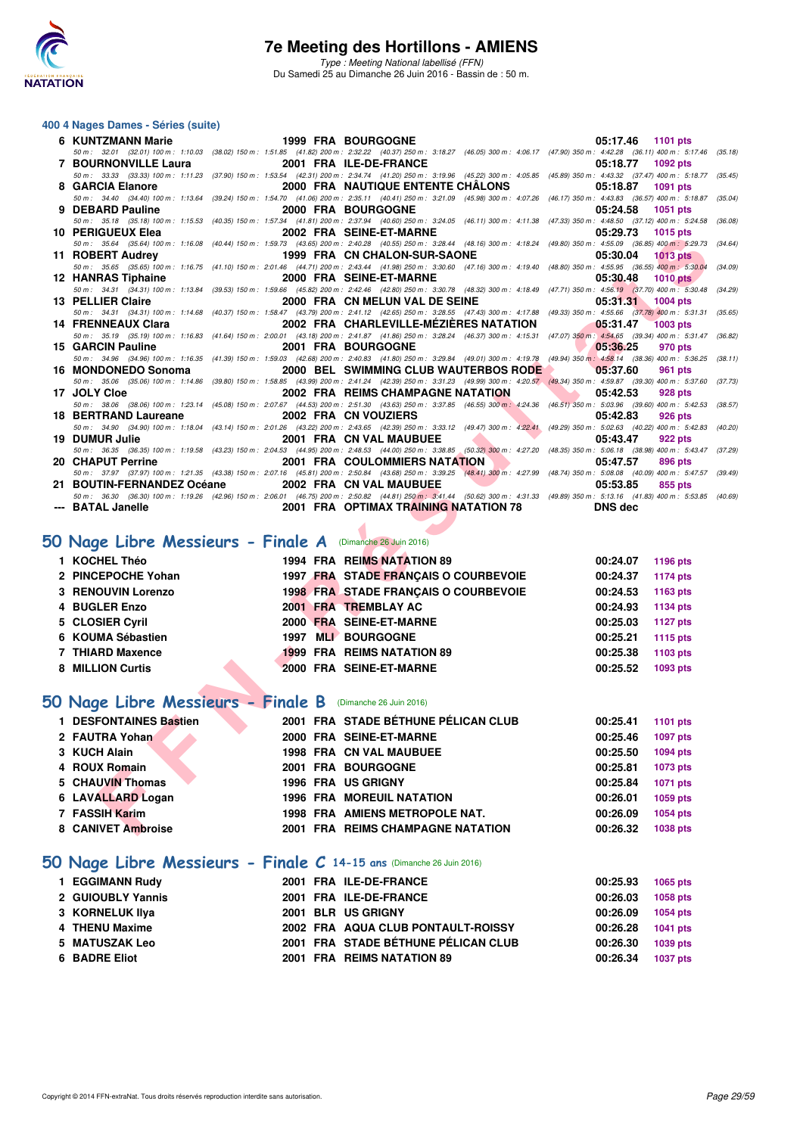

#### **400 4 Nages Dames - Séries (suite)**

| 6 KUNTZMANN Marie                                                          | <b>1999 FRA BOURGOGNE</b>                                                                                                                                                                                             | 1101 pts<br>05:17.46        |         |
|----------------------------------------------------------------------------|-----------------------------------------------------------------------------------------------------------------------------------------------------------------------------------------------------------------------|-----------------------------|---------|
| 7 BOURNONVILLE Laura                                                       | 50 m: 32.01 (32.01) 100 m: 1:10.03 (38.02) 150 m: 1:51.85 (41.82) 200 m: 2:32.22 (40.37) 250 m: 3:18.27 (46.05) 300 m: 4:06.17 (47.90) 350 m: 4:42.28 (36.11) 400 m: 5:17.46 (35.18)<br>2001 FRA ILE-DE-FRANCE        | 05:18.77<br><b>1092 pts</b> |         |
|                                                                            | 50 m: 33.33 (33.33) 100 m: 1:11.23 (37.90) 150 m: 1:53.54 (42.31) 200 m: 2:34.74 (41.20) 250 m: 3:19.96 (45.22) 300 m: 4:05.85 (45.89) 350 m: 4:43.32 (37.47) 400 m: 5:18.77 (35.45)                                  |                             |         |
| 8 GARCIA Elanore                                                           | 2000 FRA NAUTIQUE ENTENTE CHALONS                                                                                                                                                                                     | 05:18.87<br>1091 pts        |         |
|                                                                            | 50 m: 34.40 (34.40) 100 m: 1:13.64 (39.24) 150 m: 1:54.70 (41.06) 200 m: 2:35.11 (40.41) 250 m: 3:21.09 (45.98) 300 m: 4:07.26 (46.17) 350 m: 4:43.83 (36.57) 400 m: 5:18.87 (35.04)<br>2000 FRA BOURGOGNE            |                             |         |
| 9 DEBARD Pauline                                                           | 50 m: 35.18 (35.18) 100 m: 1:15.53 (40.35) 150 m: 1:57.34 (41.81) 200 m: 2:37.94 (40.60) 250 m: 3:24.05 (46.11) 300 m: 4:11.38 (47.33) 350 m: 4:48.50 (37.12) 400 m: 5:24.58 (36.08)                                  | 05:24.58<br>1051 pts        |         |
| 10 PERIGUEUX Elea                                                          | 2002 FRA SEINE-ET-MARNE                                                                                                                                                                                               | 05:29.73<br>1015 pts        |         |
|                                                                            | 50 m: 35.64 (35.64) 100 m: 1:16.08 (40.44) 150 m: 1:59.73 (43.65) 200 m: 2:40.28 (40.55) 250 m: 3:28.44 (48.16) 300 m: 4:18.24 (49.80) 350 m: 4:55.09 (36.85) 400 m: 5:29.73 (34.64)                                  |                             |         |
| 11 ROBERT Audrey <b>State State State State</b>                            | 1999 FRA CN CHALON-SUR-SAONE                                                                                                                                                                                          | 05:30.04<br><b>1013 pts</b> |         |
| 12 HANRAS Tiphaine                                                         | 50 m: 35.65 (35.65) 100 m: 1:16.75 (41.10) 150 m: 2:01.46 (44.71) 200 m: 2:43.44 (41.98) 250 m: 3:30.60 (47.16) 300 m: 4:19.40 (48.80) 350 m: 4:55.95 (36.55) 400 m: 5:30.04<br>2000 FRA SEINE-ET-MARNE               | 05:30.48<br><b>1010 pts</b> | (34.09) |
|                                                                            | 50 m: 34.31 (34.31) 100 m: 1:13.84 (39.53) 150 m: 1:59.66 (45.82) 200 m: 2:42.46 (42.80) 250 m: 3:30.78 (48.32) 300 m: 4:18.49 (47.71) 350 m: 4:56.19 (37.70) 400 m: 5:30.48                                          |                             | (34.29) |
| 13 PELLIER Claire                                                          | 2000 FRA CN MELUN VAL DE SEINE                                                                                                                                                                                        | 05:31.31<br>1004 pts        |         |
|                                                                            | 50 m: 34.31 (34.31) 100 m: 1:14.68 (40.37) 150 m: 1:58.47 (43.79) 200 m: 2:41.12 (42.65) 250 m: 3:28.55 (47.43) 300 m: 4:17.88 (49.33) 350 m: 4:55.66 (37.78) 400 m: 5:31.31                                          |                             | (35.65) |
| 14 FRENNEAUX Clara                                                         | 2002 FRA CHARLEVILLE-MEZIERES NATATION                                                                                                                                                                                | 05:31.47<br><b>1003 pts</b> |         |
| 15 GARCIN Pauline                                                          | 50 m: 35.19 (35.19) 100 m: 1:16.83 (41.64) 150 m: 2:00.01 (43.18) 200 m: 2:41.87 (41.86) 250 m: 3:28.24 (46.37) 300 m: 4:15.31 (47.07) 350 m: 4:54.65 (39.34) 400 m: 5:31.47 (36.82)<br>2001 FRA BOURGOGNE            | 05:36.25<br>970 pts         |         |
|                                                                            | 50 m: 34.96 (34.96) 100 m: 1:16.35 (41.39) 150 m: 1:59.03 (42.68) 200 m: 2:40.83 (41.80) 250 m: 3:29.84 (49.01) 300 m: 4:19.78 (49.94) 350 m: 4:58.14 (38.36) 400 m: 5:36.25                                          |                             | (38.11) |
| 16 MONDONEDO Sonoma                                                        | 2000 BEL SWIMMING CLUB WAUTERBOS RODE                                                                                                                                                                                 | 05:37.60<br>961 pts         |         |
|                                                                            | 50 m: 35.06 (35.06) 100 m: 1:14.86 (39.80) 150 m: 1:58.85 (43.99) 200 m: 2:41.24 (42.39) 250 m: 3:31.23 (49.99) 300 m: 4:20.57 (49.34) 350 m: 4:59.87 (39.30) 400 m: 5:37.60 (37.73)                                  |                             |         |
| 17 JOLY Cloe                                                               | 2002 FRA REIMS CHAMPAGNE NATATION                                                                                                                                                                                     | 05:42.53<br><b>928 pts</b>  |         |
| 18 BERTRAND Laureane                                                       | 50 m: 38.06 (38.06) 100 m: 1:23.14 (45.08) 150 m: 2:07.67 (44.53) 200 m: 2:51.30 (43.63) 250 m: 3:37.85 (46.55) 300 m: 4:24.36 (46.51) 350 m: 5:03.96 (39.60) 400 m: 5:42.53 (38.57)<br>2002 FRA CN VOUZIERS          | 05:42.83<br>926 pts         |         |
|                                                                            | 50 m: 34.90 (34.90) 100 m: 1:18.04 (43.14) 150 m: 2:01.26 (43.22) 200 m: 2:43.65 (42.39) 250 m: 3:33.12 (49.47) 300 m: 4:22.41 (49.29) 350 m: 5:02.63 (40.22) 400 m: 5:42.83 (40.20)                                  |                             |         |
| 19 DUMUR Julie                                                             | <b>Contract Contract Contract</b><br>2001 FRA CN VAL MAUBUEE                                                                                                                                                          | 05:43.47<br>922 pts         |         |
|                                                                            | 50 m: 36.35 (36.35) 100 m: 1:19.58 (43.23) 150 m: 2:04.53 (44.95) 200 m: 2:48.53 (44.00) 250 m: 3:38.85 (50.32) 300 m: 4:27.20 (48.35) 350 m: 5:06.18 (38.98) 400 m: 5:43.47 (37.29)                                  |                             |         |
| 20 CHAPUT Perrine                                                          | 2001 FRA COULOMMIERS NATATION<br>50 m: 37.97 (37.97) 100 m: 1:21.35 (43.38) 150 m: 2:07.16 (45.81) 200 m: 2:50.84 (43.68) 250 m: 3:39.25 (48.41) 300 m: 4:27.99 (48.74) 350 m: 5:08.08 (40.09) 400 m: 5:47.57 (39.49) | 05:47.57<br>896 pts         |         |
| 21 BOUTIN-FERNANDEZ Océane                                                 | 2002 FRA CN VAL MAUBUEE                                                                                                                                                                                               | 05:53.85<br>855 pts         |         |
|                                                                            |                                                                                                                                                                                                                       |                             |         |
|                                                                            | 50 m: 36.30 (36.30) 100 m: 1:19.26 (42.96) 150 m: 2:06.01 (46.75) 200 m: 2:50.82 (44.81) 250 m: 3:41.44 (50.62) 300 m: 4:31.33 (49.89) 350 m: 5:13.16 (41.83) 400 m: 5:53.85 (40.69)                                  |                             |         |
| --- BATAL Janelle                                                          | 2001 FRA  OPTIMAX TRAINING NATATION 78                                                                                                                                                                                | <b>DNS</b> dec              |         |
|                                                                            |                                                                                                                                                                                                                       |                             |         |
|                                                                            |                                                                                                                                                                                                                       |                             |         |
| O Nage Libre Messieurs - Finale A (Dimanche 26 Juin 2016)<br>1 KOCHEL Théo | 1994 FRA REIMS NATATION 89                                                                                                                                                                                            | 00:24.07<br>1196 pts        |         |
| 2 PINCEPOCHE Yohan                                                         |                                                                                                                                                                                                                       |                             |         |
|                                                                            | 1997 FRA STADE FRANÇAIS O COURBEVOIE                                                                                                                                                                                  | 00:24.37<br><b>1174 pts</b> |         |
| 3 RENOUVIN Lorenzo                                                         |                                                                                                                                                                                                                       | 00:24.53<br>1163 pts        |         |
| 4 BUGLER Enzo                                                              | 1998 FRA STADE FRANÇAIS O COURBEVOIE<br>2001 FRA TREMBLAY AC                                                                                                                                                          | 00:24.93<br>1134 pts        |         |
| 5 CLOSIER Cyril                                                            | 2000 FRA SEINE-ET-MARNE                                                                                                                                                                                               | 00:25.03<br><b>1127 pts</b> |         |
| 6 KOUMA Sébastien                                                          | 1997 MLI BOURGOGNE                                                                                                                                                                                                    | 00:25.21<br>1115 pts        |         |
| 7 THIARD Maxence                                                           | <b>1999 FRA REIMS NATATION 89</b>                                                                                                                                                                                     | 00:25.38<br>1103 pts        |         |
| 8 MILLION Curtis                                                           | 2000 FRA SEINE-ET-MARNE                                                                                                                                                                                               | 00:25.52<br>1093 pts        |         |
|                                                                            |                                                                                                                                                                                                                       |                             |         |
| O Nage Libre Messieurs - Finale B (Dimanche 26 Juin 2016)                  |                                                                                                                                                                                                                       |                             |         |
|                                                                            |                                                                                                                                                                                                                       |                             |         |
| 1 DESFONTAINES Bastien                                                     | 2001 FRA STADE BÉTHUNE PÉLICAN CLUB                                                                                                                                                                                   | 00:25.41<br><b>1101 pts</b> |         |
| 2 FAUTRA Yohan                                                             | 2000 FRA SEINE-ET-MARNE                                                                                                                                                                                               | 00:25.46<br><b>1097 pts</b> |         |
| 3 KUCH Alain                                                               | 1998 FRA CN VAL MAUBUEE                                                                                                                                                                                               | 00:25.50<br><b>1094 pts</b> |         |
| 4 ROUX Romain                                                              | 2001 FRA BOURGOGNE                                                                                                                                                                                                    | 00:25.81<br>1073 pts        |         |
| 5 CHAUVIN Thomas                                                           | <b>1996 FRA US GRIGNY</b>                                                                                                                                                                                             | 00:25.84<br>1071 pts        |         |
| 6 LAVALLARD Logan                                                          | <b>1996 FRA MOREUIL NATATION</b>                                                                                                                                                                                      | 00:26.01<br>1059 pts        |         |
| 7 FASSIH Karim                                                             | <b>1998 FRA AMIENS METROPOLE NAT.</b>                                                                                                                                                                                 | 00:26.09<br>1054 pts        |         |

## **[50 Nage Libre Messieurs - Finale A](http://www.ffnatation.fr/webffn/resultats.php?idact=nat&go=epr&idcpt=38947&idepr=51)** (Dimanche 26 Juin 2016)

| 1 KOCHEL Théo      |      | 1994 FRA REIMS NATATION 89           | 00:24.07 | 1196 pts |
|--------------------|------|--------------------------------------|----------|----------|
| 2 PINCEPOCHE Yohan |      | 1997 FRA STADE FRANCAIS O COURBEVOIE | 00:24.37 | 1174 pts |
| 3 RENOUVIN Lorenzo |      | 1998 FRA STADE FRANÇAIS O COURBEVOIE | 00:24.53 | 1163 pts |
| 4 BUGLER Enzo      |      | 2001 FRA TREMBLAY AC                 | 00:24.93 | 1134 pts |
| 5 CLOSIER Cyril    |      | 2000 FRA SEINE-ET-MARNE              | 00:25.03 | 1127 pts |
| 6 KOUMA Sébastien  | 1997 | <b>MLI BOURGOGNE</b>                 | 00:25.21 | 1115 pts |
| 7 THIARD Maxence   |      | 1999 FRA REIMS NATATION 89           | 00:25.38 | 1103 pts |
| 8 MILLION Curtis   |      | 2000 FRA SEINE-ET-MARNE              | 00:25.52 | 1093 pts |

### **[50 Nage Libre Messieurs - Finale B](http://www.ffnatation.fr/webffn/resultats.php?idact=nat&go=epr&idcpt=38947&idepr=51)** (Dimanche 26 Juin 2016)

| 1 DESFONTAINES Bastien | 2001 FRA STADE BÉTHUNE PÉLICAN CLUB   | 00:25.41 | 1101 pts |
|------------------------|---------------------------------------|----------|----------|
| 2 FAUTRA Yohan         | 2000 FRA SEINE-ET-MARNE               | 00:25.46 | 1097 pts |
| 3 KUCH Alain           | <b>1998 FRA CN VAL MAUBUEE</b>        | 00:25.50 | 1094 pts |
| 4 ROUX Romain          | 2001 FRA BOURGOGNE                    | 00:25.81 | 1073 pts |
| 5 CHAUVIN Thomas       | <b>1996 FRA US GRIGNY</b>             | 00:25.84 | 1071 pts |
| 6 LAVALLARD Logan      | <b>1996 FRA MOREUIL NATATION</b>      | 00:26.01 | 1059 pts |
| 7 FASSIH Karim         | <b>1998 FRA AMIENS METROPOLE NAT.</b> | 00:26.09 | 1054 pts |
| 8 CANIVET Ambroise     | 2001 FRA REIMS CHAMPAGNE NATATION     | 00:26.32 | 1038 pts |

#### **[50 Nage Libre Messieurs - Finale C](http://www.ffnatation.fr/webffn/resultats.php?idact=nat&go=epr&idcpt=38947&idepr=51) 14-15 ans** (Dimanche 26 Juin 2016)

| 1 EGGIMANN Rudy   |  | 2001 FRA ILE-DE-FRANCE              | 00:25.93 | 1065 pts |
|-------------------|--|-------------------------------------|----------|----------|
| 2 GUIOUBLY Yannis |  | 2001 FRA ILE-DE-FRANCE              | 00:26.03 | 1058 pts |
| 3 KORNELUK IIya   |  | 2001 BLR US GRIGNY                  | 00:26.09 | 1054 pts |
| 4 THENU Maxime    |  | 2002 FRA AQUA CLUB PONTAULT-ROISSY  | 00:26.28 | 1041 pts |
| 5 MATUSZAK Leo    |  | 2001 FRA STADE BÉTHUNE PÉLICAN CLUB | 00:26.30 | 1039 pts |
| 6 BADRE Eliot     |  | 2001 FRA REIMS NATATION 89          | 00:26.34 | 1037 pts |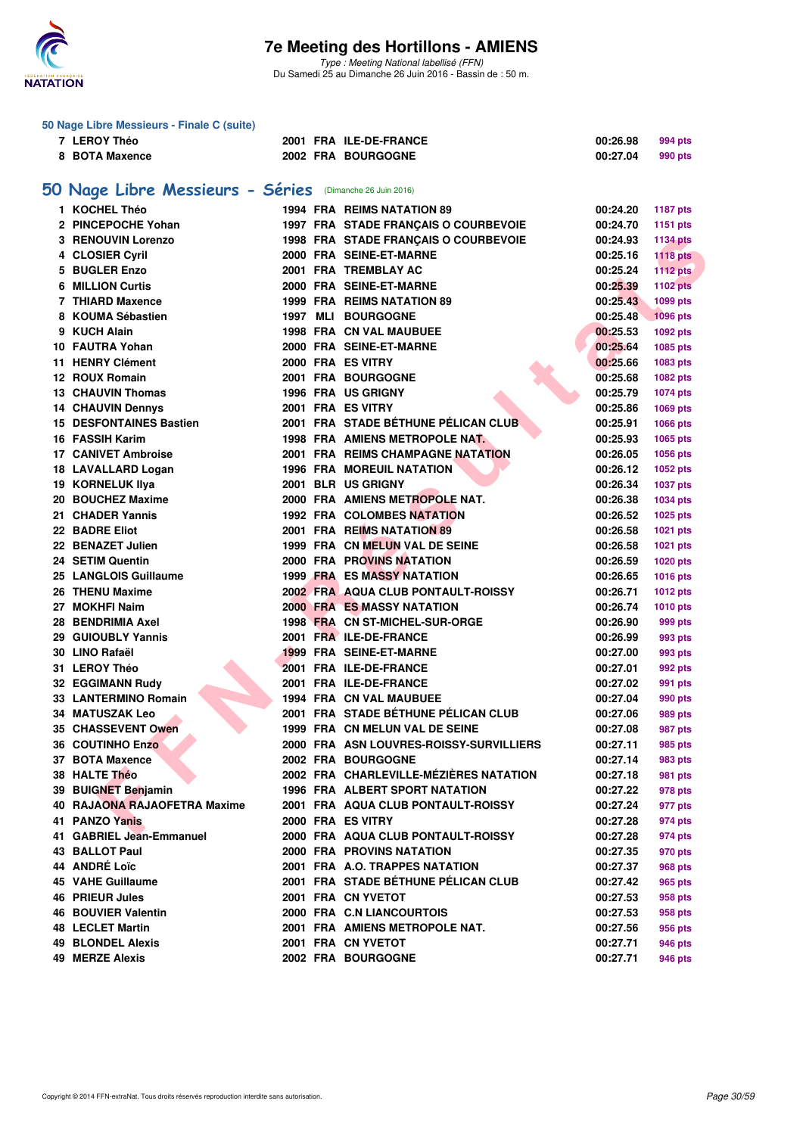

Type : Meeting National labellisé (FFN) Du Samedi 25 au Dimanche 26 Juin 2016 - Bassin de : 50 m.

| 50 Nage Libre Messieurs - Finale C (suite)                  |                                                            |  |  |                                          |          |                 |  |  |  |  |  |
|-------------------------------------------------------------|------------------------------------------------------------|--|--|------------------------------------------|----------|-----------------|--|--|--|--|--|
|                                                             | 7 LEROY Théo                                               |  |  | 2001 FRA ILE-DE-FRANCE                   | 00:26.98 | 994 pts         |  |  |  |  |  |
|                                                             | 8 BOTA Maxence                                             |  |  | 2002 FRA BOURGOGNE                       | 00:27.04 | 990 pts         |  |  |  |  |  |
|                                                             |                                                            |  |  |                                          |          |                 |  |  |  |  |  |
| 50 Nage Libre Messieurs - Séries<br>(Dimanche 26 Juin 2016) |                                                            |  |  |                                          |          |                 |  |  |  |  |  |
|                                                             | 1 KOCHEL Théo                                              |  |  | <b>1994 FRA REIMS NATATION 89</b>        | 00:24.20 | <b>1187 pts</b> |  |  |  |  |  |
|                                                             | 2 PINCEPOCHE Yohan                                         |  |  | 1997 FRA STADE FRANÇAIS O COURBEVOIE     | 00:24.70 | 1151 pts        |  |  |  |  |  |
|                                                             | 3 RENOUVIN Lorenzo                                         |  |  | 1998 FRA STADE FRANÇAIS O COURBEVOIE     | 00:24.93 | <b>1134 pts</b> |  |  |  |  |  |
|                                                             | 4 CLOSIER Cyril                                            |  |  | 2000 FRA SEINE-ET-MARNE                  | 00:25.16 | <b>1118 pts</b> |  |  |  |  |  |
| 5                                                           | <b>BUGLER Enzo</b>                                         |  |  | 2001 FRA TREMBLAY AC                     | 00:25.24 | <b>1112 pts</b> |  |  |  |  |  |
|                                                             | <b>6 MILLION Curtis</b>                                    |  |  | 2000 FRA SEINE-ET-MARNE                  | 00:25.39 | <b>1102 pts</b> |  |  |  |  |  |
|                                                             | 7 THIARD Maxence                                           |  |  | 1999 FRA REIMS NATATION 89               | 00:25.43 | 1099 pts        |  |  |  |  |  |
|                                                             | 8 KOUMA Sébastien                                          |  |  | 1997 MLI BOURGOGNE                       | 00:25.48 | <b>1096 pts</b> |  |  |  |  |  |
|                                                             | 9 KUCH Alain                                               |  |  | 1998 FRA CN VAL MAUBUEE                  | 00:25.53 | 1092 pts        |  |  |  |  |  |
|                                                             | 10 FAUTRA Yohan                                            |  |  | 2000 FRA SEINE-ET-MARNE                  | 00:25.64 | 1085 pts        |  |  |  |  |  |
|                                                             | 11 HENRY Clément                                           |  |  | 2000 FRA ES VITRY                        | 00:25.66 | 1083 pts        |  |  |  |  |  |
|                                                             | 12 ROUX Romain                                             |  |  | 2001 FRA BOURGOGNE                       | 00:25.68 | 1082 pts        |  |  |  |  |  |
|                                                             | <b>13 CHAUVIN Thomas</b>                                   |  |  | 1996 FRA US GRIGNY                       | 00:25.79 |                 |  |  |  |  |  |
|                                                             |                                                            |  |  | 2001 FRA ES VITRY                        |          | 1074 pts        |  |  |  |  |  |
|                                                             | <b>14 CHAUVIN Dennys</b><br><b>15 DESFONTAINES Bastien</b> |  |  |                                          | 00:25.86 | 1069 pts        |  |  |  |  |  |
|                                                             |                                                            |  |  | 2001 FRA STADE BÉTHUNE PÉLICAN CLUB      | 00:25.91 | 1066 pts        |  |  |  |  |  |
|                                                             | 16 FASSIH Karim                                            |  |  | 1998 FRA AMIENS METROPOLE NAT.           | 00:25.93 | 1065 pts        |  |  |  |  |  |
|                                                             | <b>17 CANIVET Ambroise</b>                                 |  |  | <b>2001 FRA REIMS CHAMPAGNE NATATION</b> | 00:26.05 | 1056 pts        |  |  |  |  |  |
|                                                             | 18 LAVALLARD Logan                                         |  |  | <b>1996 FRA MOREUIL NATATION</b>         | 00:26.12 | 1052 pts        |  |  |  |  |  |
|                                                             | <b>19 KORNELUK IIva</b>                                    |  |  | 2001 BLR US GRIGNY                       | 00:26.34 | <b>1037 pts</b> |  |  |  |  |  |
|                                                             | 20 BOUCHEZ Maxime                                          |  |  | 2000 FRA AMIENS METROPOLE NAT.           | 00:26.38 | 1034 pts        |  |  |  |  |  |
|                                                             | 21 CHADER Yannis                                           |  |  | <b>1992 FRA COLOMBES NATATION</b>        | 00:26.52 | 1025 pts        |  |  |  |  |  |
|                                                             | 22 BADRE Eliot                                             |  |  | 2001 FRA REIMS NATATION 89               | 00:26.58 | 1021 pts        |  |  |  |  |  |
|                                                             | 22 BENAZET Julien                                          |  |  | 1999 FRA CN MELUN VAL DE SEINE           | 00:26.58 | 1021 pts        |  |  |  |  |  |
|                                                             | 24 SETIM Quentin                                           |  |  | <b>2000 FRA PROVINS NATATION</b>         | 00:26.59 | 1020 pts        |  |  |  |  |  |
|                                                             | 25 LANGLOIS Guillaume                                      |  |  | <b>1999 FRA ES MASSY NATATION</b>        | 00:26.65 | 1016 pts        |  |  |  |  |  |
|                                                             | 26 THENU Maxime                                            |  |  | 2002 FRA AQUA CLUB PONTAULT-ROISSY       | 00:26.71 | <b>1012 pts</b> |  |  |  |  |  |
|                                                             | 27 MOKHFI Naim                                             |  |  | <b>2000 FRAMES MASSY NATATION</b>        | 00:26.74 | <b>1010 pts</b> |  |  |  |  |  |
|                                                             | 28 BENDRIMIA Axel                                          |  |  | 1998 FRA CN ST-MICHEL-SUR-ORGE           | 00:26.90 | 999 pts         |  |  |  |  |  |
|                                                             | 29 GUIOUBLY Yannis                                         |  |  | 2001 FRA ILE-DE-FRANCE                   | 00:26.99 | 993 pts         |  |  |  |  |  |
|                                                             | 30 LINO Rafaël                                             |  |  | 1999 FRA SEINE-ET-MARNE                  | 00:27.00 | 993 pts         |  |  |  |  |  |
|                                                             | 31 LEROY Théo                                              |  |  | 2001 FRA ILE-DE-FRANCE                   | 00:27.01 | 992 pts         |  |  |  |  |  |
|                                                             | 32 EGGIMANN Rudy                                           |  |  | 2001 FRA ILE-DE-FRANCE                   | 00:27.02 | 991 pts         |  |  |  |  |  |
|                                                             | 33 LANTERMINO Romain                                       |  |  | <b>1994 FRA CN VAL MAUBUEE</b>           | 00:27.04 | 990 pts         |  |  |  |  |  |
|                                                             | <b>34 MATUSZAK Leo</b>                                     |  |  | 2001 FRA STADE BÉTHUNE PÉLICAN CLUB      | 00:27.06 | 989 pts         |  |  |  |  |  |
|                                                             | 35 CHASSEVENT Owen                                         |  |  | 1999 FRA CN MELUN VAL DE SEINE           | 00:27.08 | 987 pts         |  |  |  |  |  |
|                                                             | 36 COUTINHO Enzo                                           |  |  | 2000 FRA ASN LOUVRES-ROISSY-SURVILLIERS  | 00:27.11 | 985 pts         |  |  |  |  |  |
|                                                             | 37 BOTA Maxence                                            |  |  | 2002 FRA BOURGOGNE                       | 00:27.14 | 983 pts         |  |  |  |  |  |
|                                                             | 38 HALTE Théo                                              |  |  | 2002 FRA CHARLEVILLE-MÉZIÈRES NATATION   | 00:27.18 | 981 pts         |  |  |  |  |  |
|                                                             | 39 BUIGNET Benjamin                                        |  |  | 1996 FRA ALBERT SPORT NATATION           | 00:27.22 | 978 pts         |  |  |  |  |  |
|                                                             | 40 RAJAONA RAJAOFETRA Maxime                               |  |  | 2001 FRA AQUA CLUB PONTAULT-ROISSY       | 00:27.24 | 977 pts         |  |  |  |  |  |
|                                                             | 41 PANZO Yanis                                             |  |  | 2000 FRA ES VITRY                        | 00:27.28 | 974 pts         |  |  |  |  |  |
|                                                             | 41 GABRIEL Jean-Emmanuel                                   |  |  | 2000 FRA AQUA CLUB PONTAULT-ROISSY       | 00:27.28 | 974 pts         |  |  |  |  |  |
|                                                             | <b>43 BALLOT Paul</b>                                      |  |  | 2000 FRA PROVINS NATATION                | 00:27.35 | 970 pts         |  |  |  |  |  |
|                                                             | 44 ANDRÉ Loïc                                              |  |  | 2001 FRA A.O. TRAPPES NATATION           | 00:27.37 | 968 pts         |  |  |  |  |  |
|                                                             | 45 VAHE Guillaume                                          |  |  | 2001 FRA STADE BÉTHUNE PÉLICAN CLUB      | 00:27.42 | 965 pts         |  |  |  |  |  |
|                                                             | <b>46 PRIEUR Jules</b>                                     |  |  | 2001 FRA CN YVETOT                       | 00:27.53 | 958 pts         |  |  |  |  |  |
|                                                             | <b>46 BOUVIER Valentin</b>                                 |  |  | 2000 FRA C.N LIANCOURTOIS                | 00:27.53 | 958 pts         |  |  |  |  |  |
|                                                             | <b>48 LECLET Martin</b>                                    |  |  | 2001 FRA AMIENS METROPOLE NAT.           | 00:27.56 | 956 pts         |  |  |  |  |  |
|                                                             | <b>49 BLONDEL Alexis</b>                                   |  |  | 2001 FRA CN YVETOT                       | 00:27.71 | 946 pts         |  |  |  |  |  |
|                                                             | <b>49 MERZE Alexis</b>                                     |  |  | 2002 FRA BOURGOGNE                       | 00:27.71 | 946 pts         |  |  |  |  |  |
|                                                             |                                                            |  |  |                                          |          |                 |  |  |  |  |  |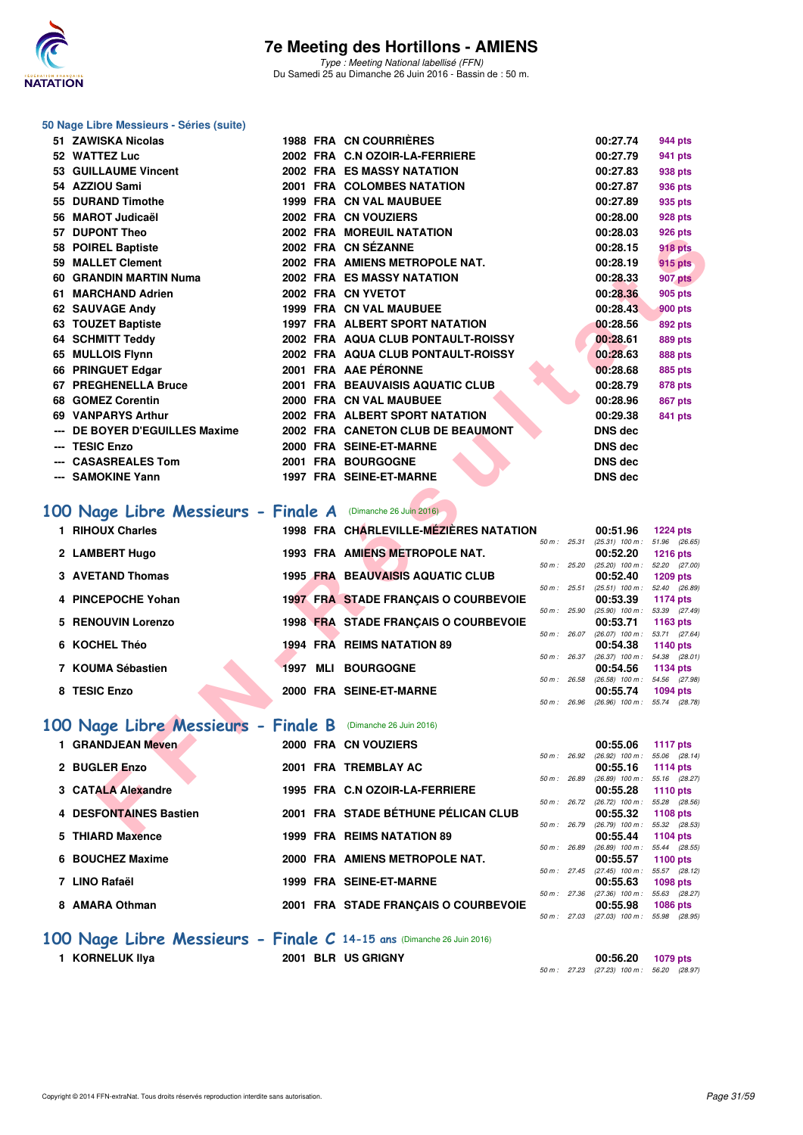

#### **50 Nage Libre Messieurs - Séries (suite)**

| 51 ZAWISKA Nicolas                                         |                    | <b>1988 FRA CN COURRIERES</b>           |              | 00:27.74                                             | 944 pts                                       |
|------------------------------------------------------------|--------------------|-----------------------------------------|--------------|------------------------------------------------------|-----------------------------------------------|
| 52 WATTEZ Luc                                              |                    | 2002 FRA C.N OZOIR-LA-FERRIERE          |              | 00:27.79                                             | 941 pts                                       |
| 53 GUILLAUME Vincent                                       |                    | 2002 FRA ES MASSY NATATION              |              | 00:27.83                                             | 938 pts                                       |
| 54 AZZIOU Sami                                             |                    | 2001 FRA COLOMBES NATATION              |              | 00:27.87                                             | 936 pts                                       |
| 55 DURAND Timothe                                          |                    | 1999 FRA CN VAL MAUBUEE                 |              | 00:27.89                                             | 935 pts                                       |
| 56 MAROT Judicaël                                          |                    | 2002 FRA CN VOUZIERS                    |              | 00:28.00                                             | 928 pts                                       |
| 57 DUPONT Theo                                             |                    | <b>2002 FRA MOREUIL NATATION</b>        |              | 00:28.03                                             | 926 pts                                       |
| 58 POIREL Baptiste                                         |                    | 2002 FRA CN SÉZANNE                     |              | 00:28.15                                             | 918 pts                                       |
| 59 MALLET Clement                                          |                    | 2002 FRA AMIENS METROPOLE NAT.          |              | 00:28.19                                             | 915 pts                                       |
| 60 GRANDIN MARTIN Numa                                     |                    | <b>2002 FRA ES MASSY NATATION</b>       |              | 00:28.33                                             | 907 pts                                       |
| 61 MARCHAND Adrien                                         |                    | 2002 FRA CN YVETOT                      |              | 00:28.36                                             | 905 pts                                       |
| 62 SAUVAGE Andy                                            |                    | 1999 FRA CN VAL MAUBUEE                 |              | 00:28.43                                             | 900 pts                                       |
| 63 TOUZET Baptiste                                         |                    | 1997 FRA ALBERT SPORT NATATION          |              | 00:28.56                                             | 892 pts                                       |
| 64 SCHMITT Teddy                                           |                    | 2002 FRA AQUA CLUB PONTAULT-ROISSY      |              | 00:28.61                                             | 889 pts                                       |
| 65 MULLOIS Flynn                                           |                    | 2002 FRA AQUA CLUB PONTAULT-ROISSY      |              | 00:28.63                                             | <b>888 pts</b>                                |
| 66 PRINGUET Edgar                                          |                    | 2001 FRA AAE PÉRONNE                    |              | 00:28.68                                             | 885 pts                                       |
| 67 PREGHENELLA Bruce                                       |                    | 2001 FRA BEAUVAISIS AQUATIC CLUB        |              | 00:28.79                                             | 878 pts                                       |
| 68 GOMEZ Corentin                                          |                    | 2000 FRA CN VAL MAUBUEE                 |              | 00:28.96                                             | 867 pts                                       |
| 69 VANPARYS Arthur                                         |                    | 2002 FRA ALBERT SPORT NATATION          |              | 00:29.38                                             | 841 pts                                       |
| --- DE BOYER D'EGUILLES Maxime                             |                    | 2002 FRA CANETON CLUB DE BEAUMONT       |              | <b>DNS dec</b>                                       |                                               |
| --- TESIC Enzo                                             |                    | 2000 FRA SEINE-ET-MARNE                 |              | <b>DNS dec</b>                                       |                                               |
| --- CASASREALES Tom                                        |                    | 2001 FRA BOURGOGNE                      |              | <b>DNS dec</b>                                       |                                               |
| --- SAMOKINE Yann                                          |                    | 1997 FRA SEINE-ET-MARNE                 |              | <b>DNS dec</b>                                       |                                               |
|                                                            |                    |                                         |              |                                                      |                                               |
| 00 Nage Libre Messieurs - Finale A (Dimanche 26 Juin 2016) |                    |                                         |              |                                                      |                                               |
| 1 RIHOUX Charles                                           |                    | 1998 FRA CHARLEVILLE-MÉZIÈRES NATATION  |              | 00:51.96                                             | <b>1224 pts</b>                               |
| 2 LAMBERT Hugo                                             |                    | 1993 FRA AMIENS METROPOLE NAT.          | 50 m: 25.31  | $(25.31)$ 100 m : 51.96 (26.65)<br>00:52.20          | <b>1216 pts</b>                               |
|                                                            |                    |                                         | 50 m: 25.20  | $(25.20)$ 100 m : 52.20 $(27.00)$                    |                                               |
| <b>3 AVETAND Thomas</b>                                    |                    | <b>1995 FRA BEAUVAISIS AQUATIC CLUB</b> |              | 00:52.40                                             | 1209 pts                                      |
| 4 PINCEPOCHE Yohan                                         |                    | 1997 FRA STADE FRANÇAIS O COURBEVOIE    | 50 m: 25.51  | $(25.51)$ 100 m : 52.40 $(26.89)$<br>00:53.39        | 1174 pts                                      |
|                                                            |                    |                                         | 50 m: 25.90  | $(25.90)$ 100 m : 53.39 $(27.49)$                    |                                               |
| 5 RENOUVIN Lorenzo                                         |                    | 1998 FRA STADE FRANÇAIS O COURBEVOIE    |              | 00:53.71<br>50 m: 26.07 (26.07) 100 m: 53.71 (27.64) | 1163 pts                                      |
| 6 KOCHEL Théo                                              |                    | 1994 FRA REIMS NATATION 89              |              | 00:54.38                                             | 1140 pts                                      |
|                                                            |                    |                                         | 50 m : 26.37 | $(26.37)$ 100 m : 54.38 $(28.01)$                    |                                               |
| 7 KOUMA Sébastien                                          | 1997 MLI BOURGOGNE |                                         |              | 00:54.56                                             | 1134 pts                                      |
| 8 TESIC Enzo                                               |                    |                                         |              |                                                      |                                               |
|                                                            |                    | 2000 FRA SEINE-ET-MARNE                 | 50 m : 26.58 | (26.58) 100 m: 54.56 (27.98)<br>00:55.74             | 1094 pts                                      |
|                                                            |                    |                                         | 50 m : 26.96 | $(26.96)$ 100 m : 55.74 $(28.78)$                    |                                               |
|                                                            |                    |                                         |              |                                                      |                                               |
| 00 Nage Libre Messieurs - Finale B (Dimanche 26 Juin 2016) |                    |                                         |              |                                                      |                                               |
| 1 GRANDJEAN Meven                                          |                    | 2000 FRA CN VOUZIERS                    | 50 m: 26.92  | 00:55.06<br>$(26.92)$ 100 m : 55.06 $(28.14)$        | <b>1117 pts</b>                               |
| 2 BUGLER Enzo                                              |                    | 2001 FRA TREMBLAY AC                    |              | 00:55.16                                             | 1114 pts                                      |
|                                                            |                    |                                         | 50 m : 26.89 | (26.89) 100 m: 55.16 (28.27)                         |                                               |
| 3 CATALA Alexandre                                         |                    | 1995 FRA C.N OZOIR-LA-FERRIERE          |              | 00:55.28<br>50 m: 26.72 (26.72) 100 m: 55.28 (28.56) | <b>1110 pts</b>                               |
| 4 DESFONTAINES Bastien                                     |                    | 2001 FRA STADE BÉTHUNE PÉLICAN CLUB     | 50 m : 26.79 | 00:55.32                                             | 1108 pts<br>$(26.79)$ 100 m : 55.32 $(28.53)$ |

### [100 Nage Libre Messieurs - Finale A](http://www.ffnatation.fr/webffn/resultats.php?idact=nat&go=epr&idcpt=38947&idepr=52) (Dimanche 26 Juin 2016)

| 1 RIHOUX Charles        |             | 1998 FRA CHARLEVILLE-MÉZIÈRES NATATION      |                        | 00:51.96                      | $1224$ pts                      |
|-------------------------|-------------|---------------------------------------------|------------------------|-------------------------------|---------------------------------|
| 2 LAMBERT Hugo          |             | 1993 FRA AMIENS METROPOLE NAT.              | $50 m$ : 25.31         | $(25.31)$ 100 m :<br>00:52.20 | 51.96 (26.65<br>$1216$ pts      |
| <b>3 AVETAND Thomas</b> |             | <b>1995 FRA BEAUVAISIS AQUATIC CLUB</b>     | 50 m: 25.20            | $(25.20)$ 100 m :<br>00:52.40 | 52.20 (27.00<br>1209 pts        |
| 4 PINCEPOCHE Yohan      |             | <b>1997 FRA STADE FRANCAIS O COURBEVOIE</b> | 50 m: 25.51            | $(25.51)$ 100 m :<br>00:53.39 | 52.40 (26.89)<br>1174 pts       |
| 5 RENOUVIN Lorenzo      |             | 1998 FRA STADE FRANÇAIS O COURBEVOIE        | 50 m: 25.90            | $(25.90)$ 100 m :<br>00:53.71 | 53.39 (27.49<br>1163 $pts$      |
| 6 KOCHEL Théo           |             | 1994 FRA REIMS NATATION 89                  | $50 m$ : 26.07         | $(26.07)$ 100 m :<br>00:54.38 | 53.71 (27.64<br><b>1140 pts</b> |
| 7 KOUMA Sébastien       | MLI<br>1997 | <b>BOURGOGNE</b>                            | $50 m$ : 26.37         | $(26.37)$ 100 m :<br>00:54.56 | 54.38 (28.01<br>1134 pts        |
| 8 TESIC Enzo            |             | 2000 FRA SEINE-ET-MARNE                     | 50 m: 26.58            | $(26.58)$ 100 m :<br>00:55.74 | 54.56 (27.98<br>1094 pts        |
|                         |             |                                             | $50 \text{ m}$ : 26.96 | $(26.96)$ 100 m :             | 55.74 (28.78)                   |

### **[100 Nage Libre Messieurs - Finale B](http://www.ffnatation.fr/webffn/resultats.php?idact=nat&go=epr&idcpt=38947&idepr=52)** (Dimanche 26 Juin 2016)

| 1 GRANDJEAN Meven      |  | 2000 FRA CN VOUZIERS                 |                |                | 00:55.06          | <b>1117 pts</b> |  |
|------------------------|--|--------------------------------------|----------------|----------------|-------------------|-----------------|--|
|                        |  |                                      |                | $50 m$ : 26.92 | $(26.92)$ 100 m : | 55.06 (28.      |  |
| 2 BUGLER Enzo          |  | 2001 FRA TREMBLAY AC                 |                |                | 00:55.16          | 1114 pts        |  |
|                        |  |                                      | 50 m: 26.89    |                | $(26.89)$ 100 m : | 55.16 (28.      |  |
| 3 CATALA Alexandre     |  | 1995 FRA C.N OZOIR-LA-FERRIERE       |                |                | 00:55.28          | 1110 pts        |  |
|                        |  |                                      |                | $50 m$ : 26.72 | $(26.72)$ 100 m : | 55.28 (28.      |  |
| 4 DESFONTAINES Bastien |  | 2001 FRA STADE BÉTHUNE PÉLICAN CLUB  |                |                | 00:55.32          | 1108 pts        |  |
|                        |  |                                      | 50 m :         | 26.79          | $(26.79)$ 100 m : | 55.32 (28.      |  |
| 5 THIARD Maxence       |  | 1999 FRA REIMS NATATION 89           |                |                | 00:55.44          | 1104 pts        |  |
|                        |  |                                      | 50 m :         | 26.89          | $(26.89)$ 100 m : | 55.44 (28.      |  |
| 6 BOUCHEZ Maxime       |  | 2000 FRA AMIENS METROPOLE NAT.       |                |                | 00:55.57          | 1100 pts        |  |
|                        |  |                                      | $50 m$ : 27.45 |                | $(27.45)$ 100 m : | 55.57 (28.      |  |
| 7 LINO Rafaël          |  | 1999 FRA SEINE-ET-MARNE              |                |                | 00:55.63          | 1098 pts        |  |
|                        |  |                                      | 50 m: 27.36    |                | $(27.36)$ 100 m : | 55.63 (28.      |  |
| 8 AMARA Othman         |  | 2001 FRA STADE FRANCAIS O COURBEVOIE |                |                | 00:55.98          | <b>1086 pts</b> |  |

### **1117 pts**<br>**1 GDAN:** 26.92 (26.92) 100 m: 55.06 (28.1  $(26.92)$  100 m : 55.06  $(28.14)$ 50 m : 26.89 (26.89) 100 m : 55.16 (28.27)<br>**00:55.28** 1110 pts 50 m : 26.72 (26.72) 100 m : 55.28 (28.56) 50 m : 26.79 (26.79) 100 m : 55.32 (28.53)<br>**00:55.44** 1104 pts 50 m : 26.89 (26.89) 100 m : 55.44 (28.55)<br>**00:55.57** 1100 pts 50 m : 27.45 (27.45) 100 m : 55.57 (28.12)<br>**00:55.63 1098 pts** 50 m : 27.36 (27.36) 100 m : 55.63 (28.27)<br>**00:55.98 1086 pts** 50 m : 27.03 (27.03) 100 m : 55.98 (28.95)

#### **[100 Nage Libre Messieurs - Finale C](http://www.ffnatation.fr/webffn/resultats.php?idact=nat&go=epr&idcpt=38947&idepr=52) 14-15 ans** (Dimanche 26 Juin 2016)

**1 KORNELUK Ilya 2001 BLR US GRIGNY 00:56.20 1079 pts** 50 m : 27.23 (27.23) 100 m : 56.20 (28.97)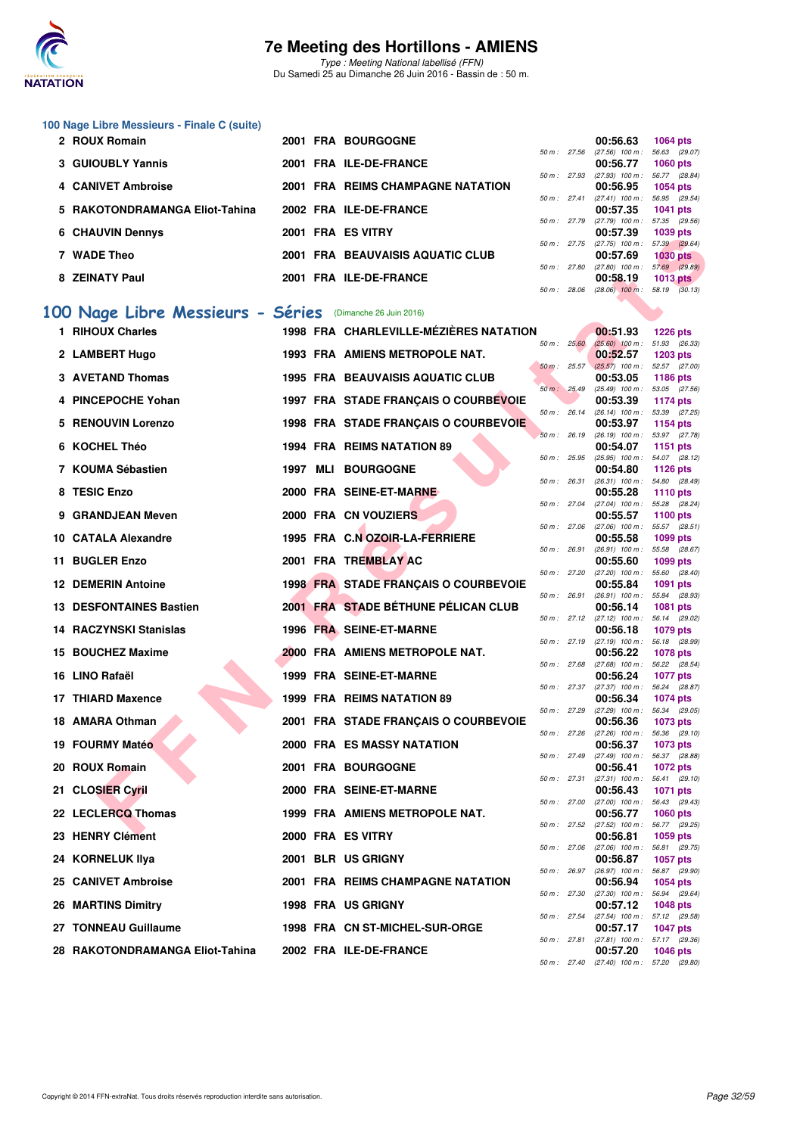

Type : Meeting National labellisé (FFN) Du Samedi 25 au Dimanche 26 Juin 2016 - Bassin de : 50 m.

|                                                  | 100 Nage Libre Messieurs - Finale C (suite)<br>2 ROUX Romain |  |  |                                         |                |              |                                                      |                 |  |  |  |  |
|--------------------------------------------------|--------------------------------------------------------------|--|--|-----------------------------------------|----------------|--------------|------------------------------------------------------|-----------------|--|--|--|--|
|                                                  |                                                              |  |  | 2001 FRA BOURGOGNE                      | 50 m: 27.56    |              | 00:56.63<br>$(27.56)$ 100 m : 56.63 (29.07)          | <b>1064 pts</b> |  |  |  |  |
|                                                  | <b>3 GUIOUBLY Yannis</b>                                     |  |  | 2001 FRA ILE-DE-FRANCE                  |                | 50 m : 27.93 | 00:56.77<br>(27.93) 100 m: 56.77 (28.84)             | <b>1060 pts</b> |  |  |  |  |
|                                                  | 4 CANIVET Ambroise                                           |  |  | 2001 FRA REIMS CHAMPAGNE NATATION       |                | 50 m : 27.41 | 00:56.95<br>$(27.41)$ 100 m : 56.95 $(29.54)$        | <b>1054 pts</b> |  |  |  |  |
|                                                  | 5 RAKOTONDRAMANGA Eliot-Tahina                               |  |  | 2002 FRA ILE-DE-FRANCE                  |                |              | 00:57.35                                             | 1041 pts        |  |  |  |  |
|                                                  | <b>6 CHAUVIN Dennys</b>                                      |  |  | 2001 FRA ES VITRY                       |                |              | 50 m: 27.79 (27.79) 100 m: 57.35 (29.56)<br>00:57.39 | 1039 pts        |  |  |  |  |
|                                                  | 7 WADE Theo                                                  |  |  | 2001 FRA BEAUVAISIS AQUATIC CLUB        | 50 m : 27.75   |              | (27.75) 100 m: 57.39 (29.64)<br>00:57.69             | <b>1030 pts</b> |  |  |  |  |
|                                                  | 8 ZEINATY Paul                                               |  |  | 2001 FRA ILE-DE-FRANCE                  | 50 m : 27.80   |              | $(27.80)$ 100 m : 57.69 $(29.89)$<br>00:58.19        | $1013$ pts      |  |  |  |  |
| 50 m: 28.06<br>$(28.06)$ 100 m : 58.19 $(30.13)$ |                                                              |  |  |                                         |                |              |                                                      |                 |  |  |  |  |
|                                                  | 100 Nage Libre Messieurs - Séries (Dimanche 26 Juin 2016)    |  |  |                                         |                |              |                                                      |                 |  |  |  |  |
|                                                  | 1 RIHOUX Charles                                             |  |  | 1998 FRA CHARLEVILLE-MÉZIÈRES NATATION  |                |              | 00:51.93                                             | <b>1226 pts</b> |  |  |  |  |
|                                                  | 2 LAMBERT Hugo                                               |  |  | 1993 FRA AMIENS METROPOLE NAT.          | 50 m: 25.60    |              | $(25.60)$ 100 m : 51.93 (26.33)<br>00:52.57          | <b>1203 pts</b> |  |  |  |  |
|                                                  | <b>3 AVETAND Thomas</b>                                      |  |  | <b>1995 FRA BEAUVAISIS AQUATIC CLUB</b> | $50 m$ : 25.57 |              | $(25.57)$ 100 m : 52.57 (27.00)<br>00:53.05          | <b>1186 pts</b> |  |  |  |  |
|                                                  | 4 PINCEPOCHE Yohan                                           |  |  | 1997 FRA STADE FRANÇAIS O COURBEVOIE    | 50 m: 25.49    |              | (25.49) 100 m: 53.05 (27.56)<br>00:53.39             | <b>1174 pts</b> |  |  |  |  |
| 5                                                | <b>RENOUVIN Lorenzo</b>                                      |  |  | 1998 FRA STADE FRANÇAIS O COURBEVOIE    | 50 m: 26.14    |              | (26.14) 100 m: 53.39 (27.25)<br>00:53.97             | 1154 pts        |  |  |  |  |
|                                                  | 6 KOCHEL Théo                                                |  |  | 1994 FRA REIMS NATATION 89              | 50 m: 26.19    |              | (26.19) 100 m: 53.97 (27.78)<br>00:54.07             | 1151 pts        |  |  |  |  |
|                                                  |                                                              |  |  |                                         | 50 m : 25.95   |              | (25.95) 100 m: 54.07 (28.12)                         |                 |  |  |  |  |
|                                                  | 7 KOUMA Sébastien                                            |  |  | 1997 MLI BOURGOGNE                      | 50 m : 26.31   |              | 00:54.80<br>$(26.31)$ 100 m : 54.80 $(28.49)$        | <b>1126 pts</b> |  |  |  |  |
|                                                  | 8 TESIC Enzo                                                 |  |  | 2000 FRA SEINE-ET-MARNE                 | 50 m: 27.04    |              | 00:55.28<br>(27.04) 100 m: 55.28 (28.24)             | <b>1110 pts</b> |  |  |  |  |
|                                                  | 9 GRANDJEAN Meven                                            |  |  | 2000 FRA CN VOUZIERS                    |                | 50 m : 27.06 | 00:55.57<br>$(27.06)$ 100 m : 55.57 $(28.51)$        | <b>1100 pts</b> |  |  |  |  |
|                                                  | 10 CATALA Alexandre                                          |  |  | 1995 FRA C.N OZOIR-LA-FERRIERE          | 50 m: 26.91    |              | 00:55.58<br>(26.91) 100 m: 55.58 (28.67)             | 1099 pts        |  |  |  |  |
|                                                  | 11 BUGLER Enzo                                               |  |  | 2001 FRA TREMBLAY AC                    |                |              | 00:55.60                                             | 1099 pts        |  |  |  |  |
|                                                  | <b>12 DEMERIN Antoine</b>                                    |  |  | 1998 FRA STADE FRANÇAIS O COURBEVOIE    | 50 m: 27.20    |              | (27.20) 100 m: 55.60 (28.40)<br>00:55.84             | 1091 pts        |  |  |  |  |
|                                                  | <b>13 DESFONTAINES Bastien</b>                               |  |  | 2001 FRA STADE BÉTHUNE PÉLICAN CLUB     | 50 m : 26.91   |              | (26.91) 100 m: 55.84 (28.93)<br>00:56.14             | <b>1081 pts</b> |  |  |  |  |
|                                                  | <b>14 RACZYNSKI Stanislas</b>                                |  |  | 1996 FRA SEINE-ET-MARNE                 |                |              | 50 m: 27.12 (27.12) 100 m: 56.14 (29.02)<br>00:56.18 | 1079 pts        |  |  |  |  |
|                                                  | 15 BOUCHEZ Maxime                                            |  |  | 2000 FRA AMIENS METROPOLE NAT.          |                |              | 50 m: 27.19 (27.19) 100 m: 56.18 (28.99)<br>00:56.22 | 1078 pts        |  |  |  |  |
|                                                  | 16 LINO Rafaël                                               |  |  | <b>1999 FRA SEINE-ET-MARNE</b>          | 50 m: 27.68    |              | (27.68) 100 m: 56.22 (28.54)                         | <b>1077 pts</b> |  |  |  |  |
|                                                  |                                                              |  |  |                                         |                | 50 m : 27.37 | 00:56.24<br>(27.37) 100 m: 56.24 (28.87)             |                 |  |  |  |  |
|                                                  | 17 THIARD Maxence                                            |  |  | 1999 FRA REIMS NATATION 89              |                |              | 00:56.34<br>50 m: 27.29 (27.29) 100 m: 56.34 (29.05) | <b>1074 pts</b> |  |  |  |  |
|                                                  | 18 AMARA Othman                                              |  |  | 2001 FRA STADE FRANÇAIS O COURBEVOIE    |                | 50 m : 27.26 | 00:56.36<br>$(27.26)$ 100 m : 56.36 $(29.10)$        | 1073 pts        |  |  |  |  |
|                                                  | 19 FOURMY Matéo                                              |  |  | 2000 FRA ES MASSY NATATION              |                | 50 m : 27.49 | 00:56.37<br>(27.49) 100 m: 56.37 (28.88)             | 1073 pts        |  |  |  |  |
|                                                  | 20 ROUX Romain                                               |  |  | 2001 FRA BOURGOGNE                      |                | 50 m: 27.31  | 00:56.41<br>$(27.31)$ 100 m : 56.41 $(29.10)$        | 1072 pts        |  |  |  |  |
|                                                  | 21 CLOSIER Cyril                                             |  |  | 2000 FRA SEINE-ET-MARNE                 |                |              | 00:56.43                                             | <b>1071 pts</b> |  |  |  |  |
|                                                  | 22 LECLERCQ Thomas                                           |  |  | 1999 FRA AMIENS METROPOLE NAT.          | 50 m: 27.00    |              | $(27.00)$ 100 m : 56.43 $(29.43)$<br>00:56.77        | <b>1060 pts</b> |  |  |  |  |
|                                                  | 23 HENRY Clément                                             |  |  | 2000 FRA ES VITRY                       | 50 m : 27.52   |              | (27.52) 100 m: 56.77 (29.25)<br>00:56.81             | 1059 pts        |  |  |  |  |
|                                                  | 24 KORNELUK IIya                                             |  |  | 2001 BLR US GRIGNY                      | 50 m : 27.06   |              | (27.06) 100 m: 56.81 (29.75)<br>00:56.87             | <b>1057 pts</b> |  |  |  |  |
|                                                  | 25 CANIVET Ambroise                                          |  |  | 2001 FRA REIMS CHAMPAGNE NATATION       |                | 50 m : 26.97 | (26.97) 100 m: 56.87 (29.90)<br>00:56.94             | <b>1054 pts</b> |  |  |  |  |
|                                                  | 26 MARTINS Dimitry                                           |  |  | 1998 FRA US GRIGNY                      |                | 50 m : 27.30 | $(27.30)$ 100 m : 56.94 $(29.64)$<br>00:57.12        | 1048 pts        |  |  |  |  |
|                                                  |                                                              |  |  |                                         |                |              | 50 m: 27.54 (27.54) 100 m: 57.12 (29.58)             |                 |  |  |  |  |
|                                                  | 27 TONNEAU Guillaume                                         |  |  | 1998 FRA CN ST-MICHEL-SUR-ORGE          |                | 50 m : 27.81 | 00:57.17<br>$(27.81)$ 100 m : 57.17 $(29.36)$        | <b>1047 pts</b> |  |  |  |  |
|                                                  | 28 RAKOTONDRAMANGA Eliot-Tahina                              |  |  | 2002 FRA ILE-DE-FRANCE                  |                |              | 00:57.20<br>50 m: 27.40 (27.40) 100 m: 57.20 (29.80) | <b>1046 pts</b> |  |  |  |  |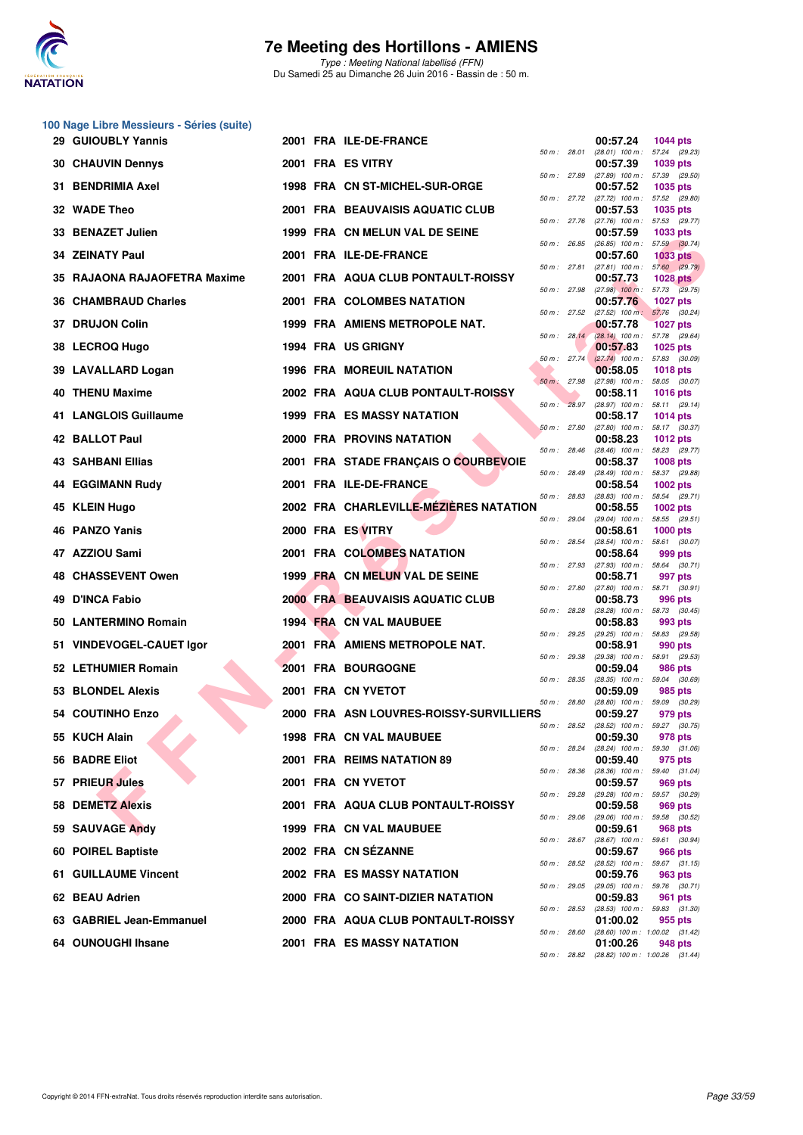

Type : Meeting National labellisé (FFN) Du Samedi 25 au Dimanche 26 Juin 2016 - Bassin de : 50 m.

|    | 100 Nage Libre Messieurs - Séries (suite)<br>29 GUIOUBLY Yannis |  | 2001 FRA ILE-DE-FRANCE                  |              |              | 00:57.24                                               | <b>1044 pts</b> |
|----|-----------------------------------------------------------------|--|-----------------------------------------|--------------|--------------|--------------------------------------------------------|-----------------|
|    |                                                                 |  | 2001 FRA ES VITRY                       | 50 m : 28.01 |              | (28.01) 100 m: 57.24 (29.23)                           |                 |
|    | <b>30 CHAUVIN Dennys</b>                                        |  |                                         |              | 50 m : 27.89 | 00:57.39<br>(27.89) 100 m: 57.39 (29.50)               | 1039 pts        |
|    | 31 BENDRIMIA Axel                                               |  | 1998 FRA CN ST-MICHEL-SUR-ORGE          |              |              | 00:57.52<br>50 m: 27.72 (27.72) 100 m: 57.52 (29.80)   | 1035 pts        |
|    | 32 WADE Theo                                                    |  | 2001 FRA BEAUVAISIS AQUATIC CLUB        |              |              | 00:57.53<br>50 m: 27.76 (27.76) 100 m: 57.53 (29.77)   | 1035 pts        |
|    | 33 BENAZET Julien                                               |  | 1999 FRA CN MELUN VAL DE SEINE          | 50 m : 26.85 |              | 00:57.59<br>$(26.85)$ 100 m : 57.59 $(30.74)$          | 1033 pts        |
|    | 34 ZEINATY Paul                                                 |  | 2001 FRA ILE-DE-FRANCE                  | 50 m : 27.81 |              | 00:57.60<br>$(27.81)$ 100 m : 57.60 $(29.79)$          | <b>1033 pts</b> |
|    | 35 RAJAONA RAJAOFETRA Maxime                                    |  | 2001 FRA AQUA CLUB PONTAULT-ROISSY      | 50 m: 27.98  |              | 00:57.73<br>$(27.98)$ 100 m : 57.73 $(29.75)$          | <b>1028 pts</b> |
|    | 36 CHAMBRAUD Charles                                            |  | 2001 FRA COLOMBES NATATION              |              |              | 00:57.76                                               | <b>1027 pts</b> |
|    | 37 DRUJON Colin                                                 |  | 1999 FRA AMIENS METROPOLE NAT.          |              | 50 m : 27.52 | $(27.52)$ 100 m : 57.76 $(30.24)$<br>00:57.78          | <b>1027 pts</b> |
|    | 38 LECROQ Hugo                                                  |  | 1994 FRA US GRIGNY                      |              | 50 m: 28.14  | (28.14) 100 m: 57.78 (29.64)<br>00:57.83               | 1025 pts        |
|    | 39 LAVALLARD Logan                                              |  | <b>1996 FRA MOREUIL NATATION</b>        | 50 m: 27.74  |              | $(27.74)$ 100 m : 57.83 (30.09)<br>00:58.05            | 1018 pts        |
|    | <b>40 THENU Maxime</b>                                          |  | 2002 FRA AQUA CLUB PONTAULT-ROISSY      | 50 m: 27.98  |              | $(27.98)$ 100 m : 58.05 $(30.07)$<br>00:58.11          | <b>1016 pts</b> |
|    | 41 LANGLOIS Guillaume                                           |  | 1999 FRA ES MASSY NATATION              | 50 m: 28.97  |              | (28.97) 100 m: 58.11 (29.14)<br>00:58.17               | <b>1014 pts</b> |
|    | 42 BALLOT Paul                                                  |  | 2000 FRA PROVINS NATATION               | 50 m: 27.80  |              | $(27.80)$ 100 m : 58.17 $(30.37)$<br>00:58.23          | <b>1012 pts</b> |
|    | <b>43 SAHBANI Ellias</b>                                        |  | 2001 FRA STADE FRANCAIS O COURBEVOIE    | 50 m : 28.46 |              | (28.46) 100 m: 58.23 (29.77)                           |                 |
|    |                                                                 |  |                                         | 50 m : 28.49 |              | 00:58.37<br>(28.49) 100 m: 58.37 (29.88)               | <b>1008 pts</b> |
|    | <b>44 EGGIMANN Rudy</b>                                         |  | 2001 FRA ILE-DE-FRANCE                  | 50 m: 28.83  |              | 00:58.54<br>(28.83) 100 m: 58.54 (29.71)               | <b>1002 pts</b> |
|    | 45 KLEIN Hugo                                                   |  | 2002 FRA CHARLEVILLE-MEZIERES NATATION  | 50 m: 29.04  |              | 00:58.55<br>(29.04) 100 m: 58.55 (29.51)               | 1002 pts        |
|    | 46 PANZO Yanis                                                  |  | 2000 FRA ES VITRY                       | 50 m : 28.54 |              | 00:58.61<br>(28.54) 100 m: 58.61 (30.07)               | 1000 pts        |
|    | 47 AZZIOU Sami                                                  |  | 2001 FRA COLOMBES NATATION              | 50 m: 27.93  |              | 00:58.64<br>$(27.93)$ 100 m : 58.64 $(30.71)$          | 999 pts         |
|    | 48 CHASSEVENT Owen                                              |  | 1999 FRA CN MELUN VAL DE SEINE          | 50 m : 27.80 |              | 00:58.71<br>(27.80) 100 m: 58.71 (30.91)               | 997 pts         |
| 49 | <b>D'INCA Fabio</b>                                             |  | <b>2000 FRA BEAUVAISIS AQUATIC CLUB</b> |              |              | 00:58.73                                               | 996 pts         |
|    | 50 LANTERMINO Romain                                            |  | 1994 FRA CN VAL MAUBUEE                 | 50 m : 28.28 |              | $(28.28)$ 100 m : 58.73 $(30.45)$<br>00:58.83          | 993 pts         |
|    | 51 VINDEVOGEL-CAUET Igor                                        |  | 2001 FRA AMIENS METROPOLE NAT.          | 50 m : 29.25 |              | (29.25) 100 m: 58.83 (29.58)<br>00:58.91               | 990 pts         |
|    | 52 LETHUMIER Romain                                             |  | <b>2001 FRA BOURGOGNE</b>               | 50 m : 29.38 |              | (29.38) 100 m: 58.91 (29.53)<br>00:59.04               | 986 pts         |
|    | 53 BLONDEL Alexis                                               |  | 2001 FRA CN YVETOT                      | 50 m : 28.35 |              | $(28.35)$ 100 m : 59.04 $(30.69)$<br>00:59.09          | 985 pts         |
|    | 54 COUTINHO Enzo                                                |  | 2000 FRA ASN LOUVRES-ROISSY-SURVILLIERS | 50 m : 28.80 |              | (28.80) 100 m: 59.09 (30.29)<br>00:59.27               | 979 pts         |
|    | 55 KUCH Alain                                                   |  | 1998 FRA CN VAL MAUBUEE                 | 50 m : 28.52 |              | $(28.52)$ 100 m : 59.27 $(30.75)$<br>00:59.30          | 978 pts         |
|    | 56 BADRE Eliot                                                  |  | 2001 FRA REIMS NATATION 89              |              | 50 m : 28.24 | $(28.24)$ 100 m : 59.30 $(31.06)$<br>00:59.40          | 975 pts         |
|    | 57 PRIEUR Jules                                                 |  | 2001 FRA CN YVETOT                      | 50 m : 28.36 |              | (28.36) 100 m: 59.40 (31.04)<br>00:59.57               | 969 pts         |
|    | 58 DEMETZ Alexis                                                |  | 2001 FRA AQUA CLUB PONTAULT-ROISSY      | 50 m: 29.28  |              | (29.28) 100 m: 59.57 (30.29)<br>00:59.58               |                 |
|    |                                                                 |  |                                         | 50 m: 29.06  |              | (29.06) 100 m: 59.58 (30.52)                           | 969 pts         |
|    | 59 SAUVAGE Andy                                                 |  | 1999 FRA CN VAL MAUBUEE                 | 50 m: 28.67  |              | 00:59.61<br>$(28.67)$ 100 m : 59.61 $(30.94)$          | 968 pts         |
|    | 60 POIREL Baptiste                                              |  | 2002 FRA CN SEZANNE                     | 50 m : 28.52 |              | 00:59.67<br>$(28.52)$ 100 m : 59.67 $(31.15)$          | 966 pts         |
|    | 61 GUILLAUME Vincent                                            |  | 2002 FRA ES MASSY NATATION              | 50 m : 29.05 |              | 00:59.76<br>(29.05) 100 m: 59.76 (30.71)               | 963 pts         |
|    | 62 BEAU Adrien                                                  |  | 2000 FRA CO SAINT-DIZIER NATATION       | 50 m: 28.53  |              | 00:59.83<br>$(28.53)$ 100 m : 59.83 $(31.30)$          | 961 pts         |
|    | 63 GABRIEL Jean-Emmanuel                                        |  | 2000 FRA AQUA CLUB PONTAULT-ROISSY      | 50 m : 28.60 |              | 01:00.02<br>(28.60) 100 m: 1:00.02 (31.42)             | 955 pts         |
|    | 64 OUNOUGHI Ihsane                                              |  | <b>2001 FRA ES MASSY NATATION</b>       |              |              | 01:00.26<br>50 m: 28.82 (28.82) 100 m: 1:00.26 (31.44) | 948 pts         |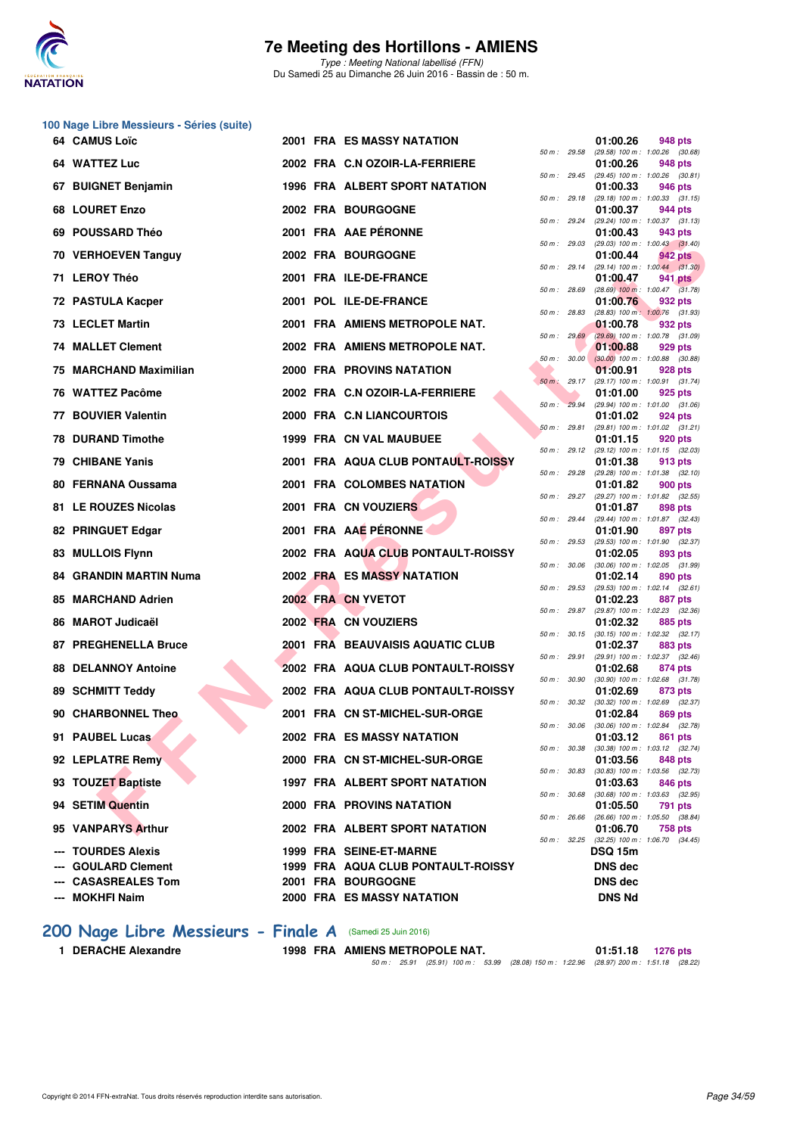

Type : Meeting National labellisé (FFN) Du Samedi 25 au Dimanche 26 Juin 2016 - Bassin de : 50 m.

## **100 Nage Libre Messieurs - Séries (suite)**

| 64 CAMUS Loïc                                    |  | <b>2001 FRA ES MASSY NATATION</b>                        |              |              | 01:00.26                  | 948 pts                                               |
|--------------------------------------------------|--|----------------------------------------------------------|--------------|--------------|---------------------------|-------------------------------------------------------|
| 64 WATTEZ Luc                                    |  | 2002 FRA C.N OZOIR-LA-FERRIERE                           |              |              | 01:00.26                  | 50 m: 29.58 (29.58) 100 m: 1:00.26 (30.68)<br>948 pts |
| 67 BUIGNET Benjamin                              |  | 1996 FRA ALBERT SPORT NATATION                           |              | 50 m : 29.45 | 01:00.33                  | $(29.45)$ 100 m : 1:00.26 $(30.81)$<br>946 pts        |
| 68 LOURET Enzo                                   |  | <b>2002 FRA BOURGOGNE</b>                                | 50 m: 29.18  |              | 01:00.37                  | $(29.18)$ 100 m : 1:00.33 $(31.15)$<br>944 pts        |
| 69 POUSSARD Théo                                 |  | 2001 FRA AAE PÉRONNE                                     |              | 50 m : 29.24 | 01:00.43                  | $(29.24)$ 100 m : 1:00.37 $(31.13)$<br>943 pts        |
| 70 VERHOEVEN Tanguy                              |  | 2002 FRA BOURGOGNE                                       | 50 m: 29.03  |              | 01:00.44                  | $(29.03)$ 100 m : 1:00.43 $(31.40)$<br>942 pts        |
| 71 LEROY Théo                                    |  | 2001 FRA ILE-DE-FRANCE                                   |              | 50 m: 29.14  | 01:00.47                  | $(29.14)$ 100 m : 1:00.44 $(31.30)$<br>941 pts        |
| 72 PASTULA Kacper                                |  | 2001 POL ILE-DE-FRANCE                                   | 50 m : 28.69 |              | 01:00.76                  | $(28.69)$ 100 m : 1:00.47 $(31.78)$<br>932 pts        |
| 73 LECLET Martin                                 |  | 2001 FRA AMIENS METROPOLE NAT.                           | 50 m : 28.83 |              | 01:00.78                  | (28.83) 100 m: 1:00.76 (31.93)<br>932 pts             |
| <b>74 MALLET Clement</b>                         |  | 2002 FRA AMIENS METROPOLE NAT.                           |              | 50 m: 29.69  | 01:00.88                  | $(29.69)$ 100 m : 1:00.78 $(31.09)$<br>929 pts        |
| 75 MARCHAND Maximilian                           |  | 2000 FRA PROVINS NATATION                                |              | 50 m: 30.00  | 01:00.91                  | $(30.00)$ 100 m : 1:00.88 $(30.88)$<br>928 pts        |
| 76 WATTEZ Pacôme                                 |  | 2002 FRA C.N OZOIR-LA-FERRIERE                           | 50 m: 29.17  |              | 01:01.00                  | (29.17) 100 m: 1:00.91 (31.74)<br>925 pts             |
| 77 BOUVIER Valentin                              |  | 2000 FRA C.N LIANCOURTOIS                                | 50 m: 29.94  |              | 01:01.02                  | (29.94) 100 m: 1:01.00 (31.06)<br>924 pts             |
| <b>78 DURAND Timothe</b>                         |  | <b>1999 FRA CN VAL MAUBUEE</b>                           | 50 m: 29.81  |              | 01:01.15                  | $(29.81)$ 100 m : 1:01.02 $(31.21)$<br>920 pts        |
| 79 CHIBANE Yanis                                 |  | 2001 FRA AQUA CLUB PONTAULT-ROISSY                       |              | 50 m : 29.12 | 01:01.38                  | $(29.12)$ 100 m : 1:01.15 $(32.03)$<br>913 pts        |
| 80 FERNANA Oussama                               |  | 2001 FRA COLOMBES NATATION                               |              | 50 m : 29.28 | 01:01.82                  | $(29.28)$ 100 m : 1:01.38 $(32.10)$<br>900 pts        |
| 81 LE ROUZES Nicolas                             |  | 2001 FRA CN VOUZIERS                                     |              |              | 01:01.87                  | 50 m: 29.27 (29.27) 100 m: 1:01.82 (32.55)<br>898 pts |
| 82 PRINGUET Edgar                                |  | 2001 FRA AAE PÉRONNE                                     | 50 m : 29.44 |              | 01:01.90                  | (29.44) 100 m : 1:01.87 (32.43)<br>897 pts            |
| 83 MULLOIS Flynn                                 |  | 2002 FRA AQUA CLUB PONTAULT-ROISSY                       | 50 m : 29.53 |              | 01:02.05                  | (29.53) 100 m: 1:01.90 (32.37)<br>893 pts             |
| 84 GRANDIN MARTIN Numa                           |  | 2002 FRA ES MASSY NATATION                               | 50 m : 30.06 |              |                           | (30.06) 100 m: 1:02.05 (31.99)                        |
|                                                  |  |                                                          | 50 m : 29.53 |              | 01:02.14                  | 890 pts<br>(29.53) 100 m: 1:02.14 (32.61)             |
| 85 MARCHAND Adrien                               |  | 2002 FRA CN YVETOT                                       |              |              | 01:02.23                  | 887 pts<br>50 m: 29.87 (29.87) 100 m: 1:02.23 (32.36) |
| 86 MAROT Judicaël                                |  | 2002 FRA CN VOUZIERS                                     |              | 50 m : 30.15 | 01:02.32                  | 885 pts<br>$(30.15)$ 100 m : 1:02.32 $(32.17)$        |
| 87 PREGHENELLA Bruce                             |  | 2001 FRA BEAUVAISIS AQUATIC CLUB                         |              | 50 m : 29.91 | 01:02.37                  | 883 pts<br>(29.91) 100 m: 1:02.37 (32.46)             |
| <b>88 DELANNOY Antoine</b>                       |  | 2002 FRA AQUA CLUB PONTAULT-ROISSY                       | 50 m : 30.90 |              | 01:02.68                  | 874 pts<br>$(30.90)$ 100 m : 1:02.68 $(31.78)$        |
| 89 SCHMITT Teddy                                 |  | 2002 FRA AQUA CLUB PONTAULT-ROISSY                       |              | 50 m : 30.32 | 01:02.69                  | 873 pts<br>$(30.32)$ 100 m : 1:02.69 $(32.37)$        |
| 90 CHARBONNEL Theo                               |  | 2001 FRA CN ST-MICHEL-SUR-ORGE                           | 50 m : 30.06 |              | 01:02.84                  | 869 pts<br>$(30.06)$ 100 m : 1:02.84 $(32.78)$        |
| 91 PAUBEL Lucas                                  |  | 2002 FRA ES MASSY NATATION                               |              |              | 01:03.12                  | 861 pts<br>50 m: 30.38 (30.38) 100 m: 1:03.12 (32.74) |
| 92 LEPLATRE Remy                                 |  | 2000 FRA CN ST-MICHEL-SUR-ORGE                           |              | 50 m : 30.83 | 01:03.56                  | 848 pts<br>$(30.83)$ 100 m : 1:03.56 $(32.73)$        |
| 93 TOUZET Baptiste                               |  | 1997 FRA ALBERT SPORT NATATION                           |              | 50 m : 30.68 | 01:03.63                  | 846 pts<br>$(30.68)$ 100 m : 1:03.63 $(32.95)$        |
| 94 SETIM Quentin                                 |  | <b>2000 FRA PROVINS NATATION</b>                         | 50 m : 26.66 |              | 01:05.50                  | 791 pts<br>(26.66) 100 m : 1:05.50 (38.84)            |
| 95 VANPARYS Arthur                               |  | 2002 FRA ALBERT SPORT NATATION                           |              |              | 01:06.70                  | 758 pts<br>50 m: 32.25 (32.25) 100 m: 1:06.70 (34.45) |
| --- TOURDES Alexis                               |  | 1999 FRA SEINE-ET-MARNE                                  |              |              | <b>DSQ 15m</b>            |                                                       |
| <b>GOULARD Clement</b><br><b>CASASREALES Tom</b> |  | 1999 FRA AQUA CLUB PONTAULT-ROISSY<br>2001 FRA BOURGOGNE |              |              | <b>DNS dec</b><br>DNS dec |                                                       |
| <b>MOKHFI Naim</b>                               |  | <b>2000 FRA ES MASSY NATATION</b>                        |              |              | <b>DNS Nd</b>             |                                                       |

|          |       | 01:00.26                      | 948 pts                              |
|----------|-------|-------------------------------|--------------------------------------|
| $50 m$ : | 29.58 | (29.58) 100 m :               | 1:00.26<br>(30.68)                   |
|          |       | 01:00.26                      | 948 pts                              |
| $50 m$ : | 29.45 | $(29.45)$ 100 m :             | 1:00.26<br>(30.81)                   |
| $50 m$ : | 29.18 | 01:00.33<br>$(29.18) 100 m$ : | 946 pts<br>1:00.33<br>(31.15)        |
|          |       | 01:00.37                      | 944 pts                              |
| $50 m$ : | 29.24 | (29.24) 100 m :               | 1:00.37<br>(31.13)                   |
| $50 m$ : | 29.03 | 01:00.43<br>(29.03) 100 m :   | <b>943 pts</b><br>1:00.43<br>(31.40) |
|          |       | 01:00.44                      | <b>942 pts</b>                       |
| $50 m$ : | 29.14 | $(29.14) 100 m$ :             | 1:00.44<br>(31.30)                   |
| $50 m$ : | 28.69 | 01:00.47<br>$(28.69)$ 100 m : | <b>941 pts</b><br>1:00.47<br>(31.78) |
|          |       | 01:00.76                      | 932 pts                              |
| $50 m$ : | 28.83 | $(28.83) 100 m$ :             | 1:00.76<br>(31.93)                   |
| $50 m$ : | 29.69 | 01:00.78                      | 932 pts                              |
|          |       | $(29.69)$ 100 m :<br>01:00.88 | 1:00.78<br>(31.09)<br>929 pts        |
| $50 m$ : | 30.00 | $(30.00)$ 100 m :             | 1:00.88<br>(30.88)                   |
|          |       | 01:00.91                      | 928 pts                              |
| $50 m$ : | 29.17 | (29.17) 100 m :<br>01:01.00   | 1:00.91<br>(31.74)<br>925 pts        |
| $50 m$ : | 29.94 | $(29.94) 100 m$ :             | 1:01.00<br>(31.06)                   |
|          |       | 01:01.02                      | 924 pts                              |
| $50 m$ : | 29.81 | $(29.81)$ 100 m :<br>01:01.15 | 1:01.02<br>(31.21)<br>920 pts        |
| $50 m$ : | 29.12 | (29.12) 100 m :               | 1:01.15<br>(32.03)                   |
|          |       | 01:01.38                      | 913 pts                              |
| $50 m$ : | 29.28 | (29.28) 100 m :<br>01:01.82   | 1:01.38<br>(32.10)                   |
| $50 m$ : | 29.27 | (29.27) 100 m :               | <b>900 pts</b><br>1:01.82<br>(32.55) |
|          |       | 01:01.87                      | 898 pts                              |
| $50 m$ : | 29.44 | (29.44) 100 m :               | 1:01.87<br>(32.43)                   |
| $50 m$ : | 29.53 | 01:01.90<br>(29.53) 100 m :   | 897 pts<br>1:01.90<br>(32.37)        |
|          |       | 01:02.05                      | 893 pts                              |
| $50 m$ : | 30.06 | $(30.06)$ 100 m :             | 1:02.05<br>(31.99)                   |
| 50 m :   | 29.53 | 01:02.14<br>(29.53) 100 m :   | 890 pts<br>1:02.14<br>(32.61)        |
|          |       | 01:02.23                      | <b>887 pts</b>                       |
| $50 m$ : | 29.87 | (29.87) 100 m :               | 1:02.23<br>(32.36)                   |
| $50 m$ : | 30.15 | 01:02.32<br>$(30.15)$ 100 m : | 885 pts<br>1:02.32<br>(32.17)        |
|          |       | 01:02.37                      | <b>883 pts</b>                       |
| 50 m :   | 29.91 | (29.91) 100 m :               | 1:02.37<br>(32.46)                   |
| $50 m$ : | 30.90 | 01:02.68<br>$(30.90)$ 100 m : | 874 pts<br>1:02.68<br>(31.78)        |
|          |       | 01:02.69                      | 873 pts                              |
| $50 m$ : | 30.32 | $(30.32)$ 100 m :             | 1:02.69<br>(32.37)                   |
| $50 m$ : | 30.06 | 01:02.84<br>$(30.06)$ 100 m : | <b>869 pts</b><br>1:02.84<br>(32.78) |
|          |       | 01:03.12                      | 861 pts                              |
| $50 m$ : | 30.38 | (30.38) 100 m :               | 1:03.12<br>(32.74)                   |
| $50 m$ : | 30.83 | 01:03.56<br>$(30.83) 100 m$ : | 848 pts<br>1:03.56<br>(32.73)        |
|          |       | 01:03.63                      | <b>846 pts</b>                       |
| 50 m :   | 30.68 | $(30.68) 100 m$ :             | 1:03.63<br>(32.95)                   |
| $50 m$ : | 26.66 | 01:05.50<br>$(26.66) 100 m$ : | 791<br>pts<br>1:05.50<br>(38.84)     |
|          |       | 01:06.70                      | <b>758 pts</b>                       |
| $50 m$ : | 32.25 | (32.25) 100 m :               | 1:06.70<br>(34.45)                   |
|          |       | DSQ 15m                       |                                      |
|          |       | DNS dec                       |                                      |
|          |       | <b>DNS</b> dec                |                                      |
|          |       | <b>DNS Nd</b>                 |                                      |

### **[200 Nage Libre Messieurs - Finale A](http://www.ffnatation.fr/webffn/resultats.php?idact=nat&go=epr&idcpt=38947&idepr=53)** (Samedi 25 Juin 2016)

**1 DERACHE Alexandre 1998 FRA AMIENS METROPOLE NAT. 01:51.18 1276 pts** 50 m : 25.91 (25.91) 100 m : 53.99 (28.08) 150 m : 1:22.96 (28.97) 200 m : 1:51.18 (28.22)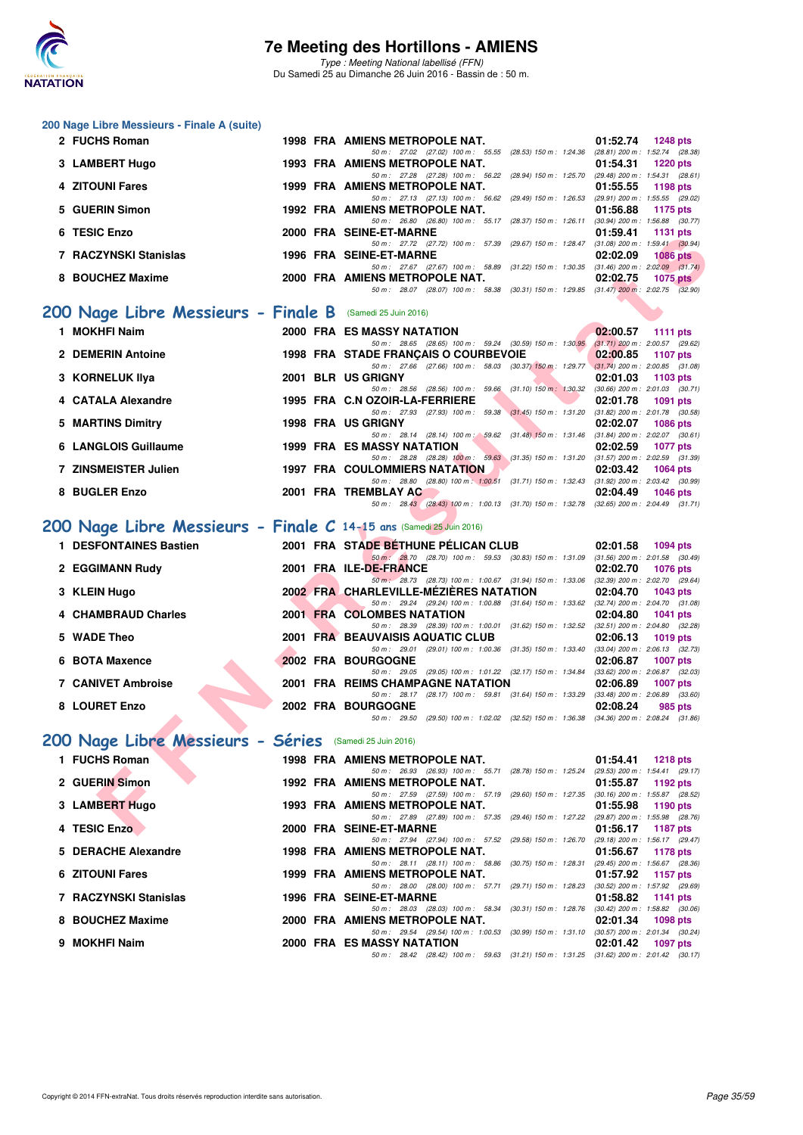

| 200 Nage Libre Messieurs - Finale A (suite)                         |                                                                                                                                                                                                                  |                                                                    |
|---------------------------------------------------------------------|------------------------------------------------------------------------------------------------------------------------------------------------------------------------------------------------------------------|--------------------------------------------------------------------|
| 2 FUCHS Roman                                                       | <b>1998 FRA AMIENS METROPOLE NAT.</b><br>50 m: 27.02 (27.02) 100 m: 55.55 (28.53) 150 m: 1:24.36 (28.81) 200 m: 1:52.74 (28.38)                                                                                  | 01:52.74<br><b>1248 pts</b>                                        |
| 3 LAMBERT Hugo                                                      | 1993 FRA AMIENS METROPOLE NAT.                                                                                                                                                                                   | 01:54.31<br><b>1220 pts</b>                                        |
| 4 ZITOUNI Fares                                                     | 50 m: 27.28 (27.28) 100 m: 56.22 (28.94) 150 m: 1:25.70 (29.48) 200 m: 1:54.31 (28.61)<br>1999 FRA AMIENS METROPOLE NAT.                                                                                         | 01:55.55<br>1198 pts                                               |
| 5 GUERIN Simon                                                      | 50 m: 27.13 (27.13) 100 m: 56.62 (29.49) 150 m: 1:26.53 (29.91) 200 m: 1:55.55 (29.02)<br>1992 FRA AMIENS METROPOLE NAT.                                                                                         | 01:56.88<br>1175 pts                                               |
| 6 TESIC Enzo                                                        | 50 m: 26.80 (26.80) 100 m: 55.17 (28.37) 150 m: 1:26.11 (30.94) 200 m: 1:56.88 (30.77)<br>2000 FRA SEINE-ET-MARNE                                                                                                | 01:59.41<br><b>1131 pts</b>                                        |
| 7 RACZYNSKI Stanislas                                               | 50 m: 27.72 (27.72) 100 m: 57.39 (29.67) 150 m: 1:28.47<br>1996 FRA SEINE-ET-MARNE                                                                                                                               | $(31.08)$ 200 m : 1:59.41 $(30.94)$<br>02:02.09<br><b>1086 pts</b> |
|                                                                     | 50 m: 27.67 (27.67) 100 m: 58.89 (31.22) 150 m: 1:30.35 (31.46) 200 m: 2:02.09 (31.74)                                                                                                                           |                                                                    |
| 8 BOUCHEZ Maxime                                                    | 2000 FRA AMIENS METROPOLE NAT.<br>50 m: 28.07 (28.07) 100 m: 58.38 (30.31) 150 m: 1:29.85 (31.47) 200 m: 2:02.75 (32.90)                                                                                         | 02:02.75<br>1075 $p$ ts                                            |
| 200 Nage Libre Messieurs - Finale B                                 | (Samedi 25 Juin 2016)                                                                                                                                                                                            |                                                                    |
| 1 MOKHFI Naim                                                       | <b>2000 FRA ES MASSY NATATION</b>                                                                                                                                                                                | 02:00.57<br><b>1111 pts</b>                                        |
| 2 DEMERIN Antoine                                                   | 50 m: 28.65 (28.65) 100 m: 59.24 (30.59) 150 m: 1:30.95<br>1998 FRA STADE FRANÇAIS O COURBEVOIE                                                                                                                  | $(31.71)$ 200 m : 2:00.57 (29.62)<br>02:00.85<br><b>1107 pts</b>   |
| 3 KORNELUK Ilya                                                     | 50 m: 27.66 (27.66) 100 m: 58.03 (30.37) 150 m: 1:29.77 (31.74) 200 m: 2:00.85 (31.08)<br>2001 BLR US GRIGNY                                                                                                     | 02:01.03<br>1103 pts                                               |
| 4 CATALA Alexandre                                                  | 50 m: 28.56 (28.56) 100 m: 59.66 (31.10) 150 m: 1:30.32<br>1995 FRA C.N OZOIR-LA-FERRIERE                                                                                                                        | $(30.66)$ 200 m : 2:01.03 $(30.71)$<br>02:01.78<br>1091 pts        |
|                                                                     | 50 m: 27.93 (27.93) 100 m: 59.38 (31.45) 150 m: 1:31.20                                                                                                                                                          | $(31.82)$ 200 m : 2:01.78 $(30.58)$                                |
| 5 MARTINS Dimitry                                                   | 1998 FRA US GRIGNY<br>50 m: 28.14 (28.14) 100 m: 59.62 (31.48) 150 m: 1:31.46 (31.84) 200 m: 2:02.07 (30.61)                                                                                                     | 02:02.07<br><b>1086 pts</b>                                        |
| 6 LANGLOIS Guillaume                                                | 1999 FRA ES MASSY NATATION<br>50 m: 28.28 (28.28) 100 m: 59.63 (31.35) 150 m: 1:31.20 (31.57) 200 m: 2:02.59 (31.39)                                                                                             | 02:02.59<br>1077 pts                                               |
| 7 ZINSMEISTER Julien                                                | <b>1997 FRA COULOMMIERS NATATION</b><br>50 m: 28.80 (28.80) 100 m: 1:00.51 (31.71) 150 m: 1:32.43 (31.92) 200 m: 2:03.42 (30.99)                                                                                 | 02:03.42<br><b>1064 pts</b>                                        |
| 8 BUGLER Enzo                                                       | 2001 FRA TREMBLAY AC                                                                                                                                                                                             | 02:04.49<br><b>1046 pts</b>                                        |
|                                                                     | 50 m: 28.43 (28.43) 100 m: 1:00.13 (31.70) 150 m: 1:32.78 (32.65) 200 m: 2:04.49 (31.71)                                                                                                                         |                                                                    |
| 200 Nage Libre Messieurs - Finale C 14-15 ans (Samedi 25 Juin 2016) |                                                                                                                                                                                                                  |                                                                    |
|                                                                     |                                                                                                                                                                                                                  |                                                                    |
| 1 DESFONTAINES Bastien                                              | 2001 FRA STADE BETHUNE PELICAN CLUB<br>50 m: 28.70 (28.70) 100 m: 59.53 (30.83) 150 m: 1:31.09 (31.56) 200 m: 2:01.58 (30.49)                                                                                    | 02:01.58<br><b>1094 pts</b>                                        |
| 2 EGGIMANN Rudy                                                     | 2001 FRA ILE-DE-FRANCE<br>50 m : 28.73 (28.73) 100 m : 1:00.67 (31.94) 150 m : 1:33.06 (32.39) 200 m : 2:02.70 (29.64)                                                                                           | 02:02.70<br><b>1076 pts</b>                                        |
| 3 KLEIN Hugo                                                        | 2002 FRA CHARLEVILLE-MEZIERES NATATION                                                                                                                                                                           | 02:04.70<br>1043 pts                                               |
| 4 CHAMBRAUD Charles                                                 | 50 m: 29.24 (29.24) 100 m: 1:00.88 (31.64) 150 m: 1:33.62 (32.74) 200 m: 2:04.70 (31.08)<br>2001 FRA COLOMBES NATATION                                                                                           | 02:04.80<br><b>1041 pts</b>                                        |
| 5 WADE Theo                                                         | 50 m: 28.39 (28.39) 100 m: 1:00.01 (31.62) 150 m: 1:32.52 (32.51) 200 m: 2:04.80 (32.28)<br>2001 FRA BEAUVAISIS AQUATIC CLUB                                                                                     | 02:06.13<br><b>1019 pts</b>                                        |
| 6 BOTA Maxence                                                      | 50 m: 29.01 (29.01) 100 m: 1:00.36 (31.35) 150 m: 1:33.40 (33.04) 200 m: 2:06.13 (32.73)<br>2002 FRA BOURGOGNE                                                                                                   | 02:06.87<br><b>1007 pts</b>                                        |
| <b>7 CANIVET Ambroise</b>                                           | 50 m : 29.05 (29.05) 100 m : 1:01.22 (32.17) 150 m : 1:34.84                                                                                                                                                     | $(33.62)$ 200 m : 2:06.87 $(32.03)$                                |
|                                                                     | 2001 FRA REIMS CHAMPAGNE NATATION<br>50 m: 28.17 (28.17) 100 m: 59.81 (31.64) 150 m: 1.33.29 (33.48) 200 m: 2:06.89 (33.60)                                                                                      | 02:06.89<br><b>1007 pts</b>                                        |
| 8 LOURET Enzo                                                       | <b>2002 FRA BOURGOGNE</b><br>50 m: 29.50 (29.50) 100 m: 1:02.02 (32.52) 150 m: 1:36.38 (34.36) 200 m: 2:08.24 (31.86)                                                                                            | 02:08.24<br>985 pts                                                |
| 200 Nage Libre Messieurs - Séries (Samedi 25 Juin 2016)             |                                                                                                                                                                                                                  |                                                                    |
| 1 FUCHS Roman                                                       | 1998 FRA AMIENS METROPOLE NAT.                                                                                                                                                                                   | 01:54.41<br><b>1218 pts</b>                                        |
| 2 GUERIN Simon                                                      | 50 m: 26.93 (26.93) 100 m: 55.71 (28.78) 150 m: 1:25.24 (29.53) 200 m: 1:54.41 (29.17)<br>1992 FRA AMIENS METROPOLE NAT.                                                                                         | 01:55.87<br>1192 pts                                               |
| 3 LAMBERT Hugo                                                      | 50 m: 27.59 (27.59) 100 m: 57.19 (29.60) 150 m: 1:27.35 (30.16) 200 m: 1:55.87 (28.52)<br>1993 FRA AMIENS METROPOLE NAT.                                                                                         | 01:55.98<br>1190 pts                                               |
|                                                                     | 50 m: 27.89 (27.89) 100 m: 57.35 (29.46) 150 m: 1:27.22 (29.87) 200 m: 1:55.98 (28.76)                                                                                                                           |                                                                    |
| 4 TESIC Enzo                                                        | 2000 FRA SEINE-ET-MARNE<br>50 m: 27.94 (27.94) 100 m: 57.52 (29.58) 150 m: 1:26.70 (29.18) 200 m: 1:56.17 (29.47)                                                                                                | 01:56.17<br>1187 pts                                               |
| 5 DERACHE Alexandre                                                 | 1998 FRA AMIENS METROPOLE NAT.<br>50 m: 28.11 (28.11) 100 m: 58.86 (30.75) 150 m: 1:28.31 (29.45) 200 m: 1:56.67 (28.36)                                                                                         | 01:56.67<br><b>1178 pts</b>                                        |
| <b>6 ZITOUNI Fares</b>                                              | 1999 FRA AMIENS METROPOLE NAT.<br>50 m : 28.00 (28.00) 100 m : 57.71 (29.71) 150 m : 1:28.23 (30.52) 200 m : 1:57.92 (29.69)                                                                                     | 01:57.92<br>1157 pts                                               |
| 7 RACZYNSKI Stanislas                                               | 1996 FRA SEINE-ET-MARNE<br>50 m : 28.03 (28.03) 100 m : 58.34 (30.31) 150 m : 1:28.76 (30.42) 200 m : 1:58.82 (30.06)                                                                                            | 01:58.82<br><b>1141 pts</b>                                        |
| <b>BOUCHEZ Maxime</b><br>8                                          | 2000 FRA AMIENS METROPOLE NAT.                                                                                                                                                                                   | 02:01.34<br>1098 pts                                               |
| <b>MOKHFI Naim</b>                                                  | 50 m: 29.54 (29.54) 100 m: 1:00.53 (30.99) 150 m: 1:31.10 (30.57) 200 m: 2:01.34 (30.24)<br>2000 FRA ES MASSY NATATION<br>50 m: 28.42 (28.42) 100 m: 59.63 (31.21) 150 m: 1:31.25 (31.62) 200 m: 2:01.42 (30.17) | 02:01.42<br>1097 pts                                               |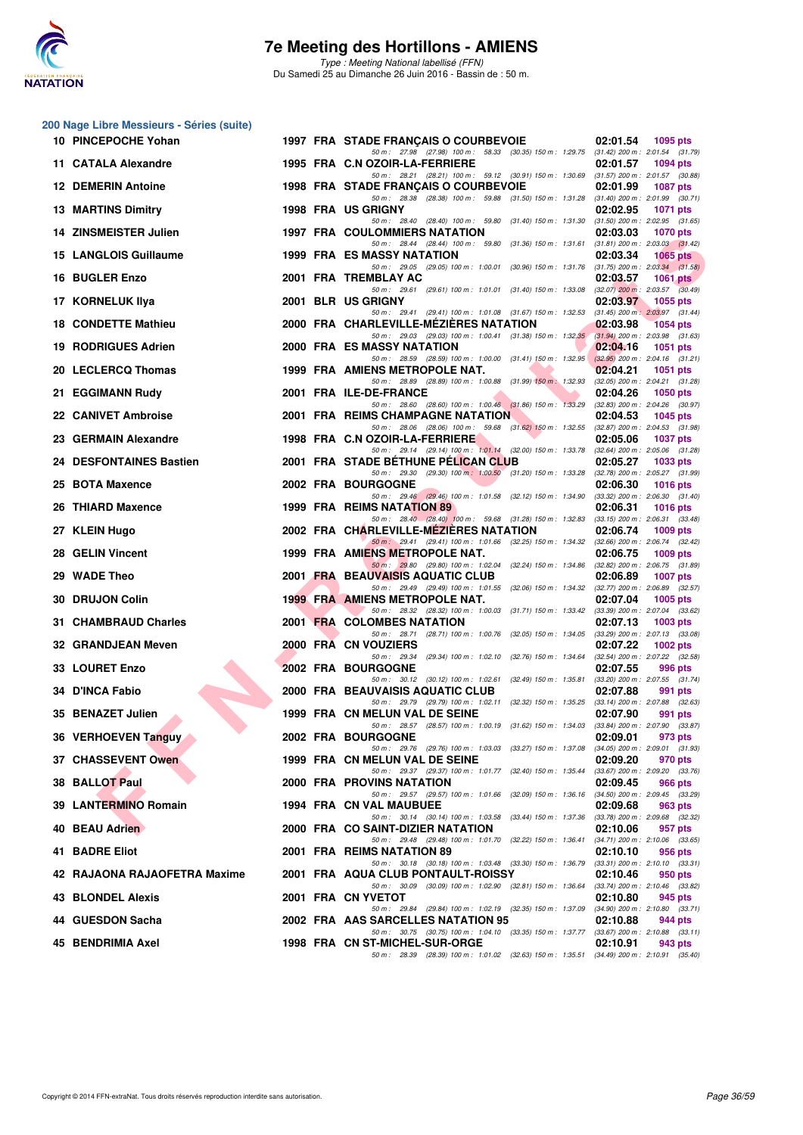

**200 Nage Libre Messieurs - Séries (suite)**

Type : Meeting National labellisé (FFN) Du Samedi 25 au Dimanche 26 Juin 2016 - Bassin de : 50 m.

|    | 10 PINCEPOCHE Yohan          |  | 1997 FRA STADE FRANÇAIS O COURBEVOIE                                                                                                   | 02:01.54                                        | 1095 pts        |
|----|------------------------------|--|----------------------------------------------------------------------------------------------------------------------------------------|-------------------------------------------------|-----------------|
|    | 11 CATALA Alexandre          |  | 50 m: 27.98 (27.98) 100 m: 58.33 (30.35) 150 m: 1:29.75 (31.42) 200 m: 2:01.54 (31.79)<br>1995 FRA C.N OZOIR-LA-FERRIERE               | 02:01.57                                        | <b>1094 pts</b> |
|    | <b>12 DEMERIN Antoine</b>    |  | 50 m: 28.21 (28.21) 100 m: 59.12 (30.91) 150 m: 1:30.69 (31.57) 200 m: 2:01.57 (30.88)<br>1998 FRA STADE FRANÇAIS O COURBEVOIE         | 02:01.99                                        | <b>1087 pts</b> |
|    | <b>13 MARTINS Dimitry</b>    |  | 50 m: 28.38 (28.38) 100 m: 59.88 (31.50) 150 m: 1:31.28 (31.40) 200 m: 2:01.99 (30.71)<br>1998 FRA US GRIGNY                           | 02:02.95                                        | <b>1071 pts</b> |
|    | 14 ZINSMEISTER Julien        |  | 50 m: 28.40 (28.40) 100 m: 59.80 (31.40) 150 m: 1:31.30 (31.50) 200 m: 2:02.95 (31.65)<br><b>1997 FRA COULOMMIERS NATATION</b>         | 02:03.03                                        | <b>1070 pts</b> |
|    | <b>15 LANGLOIS Guillaume</b> |  | 50 m: 28.44 (28.44) 100 m: 59.80 (31.36) 150 m: 1:31.61 (31.81) 200 m: 2:03.03 (31.42)<br>1999 FRA ES MASSY NATATION                   | 02:03.34                                        | <b>1065 pts</b> |
|    | 16 BUGLER Enzo               |  | 50 m: 29.05 (29.05) 100 m: 1:00.01 (30.96) 150 m: 1:31.76 (31.75) 200 m: 2:03.34 (31.58)<br>2001 FRA TREMBLAY AC                       | 02:03.57                                        | 1061 pts        |
|    | 17 KORNELUK IIya             |  | 50 m: 29.61 (29.61) 100 m: 1:01.01 (31.40) 150 m: 1:33.08 (32.07) 200 m: 2:03.57 (30.49)<br>2001 BLR US GRIGNY                         | 02:03.97                                        | 1055 pts        |
|    | <b>18 CONDETTE Mathieu</b>   |  | 50 m: 29.41 (29.41) 100 m: 1:01.08 (31.67) 150 m: 1:32.53 (31.45) 200 m: 2:03.97 (31.44)<br>2000 FRA CHARLEVILLE-MEZIERES NATATION     | 02:03.98                                        | 1054 pts        |
|    | <b>19 RODRIGUES Adrien</b>   |  | 50 m: 29.03 (29.03) 100 m: 1:00.41 (31.38) 150 m: 1:32.35 (31.94) 200 m: 2:03.98 (31.63)<br>2000 FRA ES MASSY NATATION                 | 02:04.16                                        | <b>1051 pts</b> |
|    | 20 LECLERCQ Thomas           |  | 50 m: 28.59 (28.59) 100 m: 1:00.00 (31.41) 150 m: 1:32.95 (32.95) 200 m: 2:04.16 (31.21)<br>1999 FRA AMIENS METROPOLE NAT.             | 02:04.21                                        | 1051 pts        |
|    | 21 EGGIMANN Rudy             |  | 50 m : 28.89 (28.89) 100 m : 1:00.88 (31.99) 150 m : 1:32.93<br>2001 FRA ILE-DE-FRANCE                                                 | $(32.05)$ 200 m : 2:04.21 $(31.28)$<br>02:04.26 | <b>1050 pts</b> |
|    | 22 CANIVET Ambroise          |  | 50 m: 28.60 (28.60) 100 m: 1:00.46 (31.86) 150 m: 1:33.29 (32.83) 200 m: 2:04.26 (30.97)<br>2001 FRA REIMS CHAMPAGNE NATATION          | 02:04.53                                        | 1045 pts        |
|    | 23 GERMAIN Alexandre         |  | 50 m: 28.06 (28.06) 100 m: 59.68 (31.62) 150 m: 1:32.55 (32.87) 200 m: 2:04.53 (31.98)<br>1998 FRA C.N OZOIR-LA-FERRIERE               | 02:05.06                                        |                 |
|    | 24 DESFONTAINES Bastien      |  | 50 m: 29.14 (29.14) 100 m: 1:01.14 (32.00) 150 m: 1:33.78 (32.64) 200 m: 2:05.06 (31.28)<br>2001 FRA STADE BÉTHUNE PÉLICAN CLUB        |                                                 | 1037 pts        |
|    |                              |  | 50 m: 29.30 (29.30) 100 m: 1:00.50 (31.20) 150 m: 1:33.28 (32.78) 200 m: 2:05.27 (31.99)                                               | 02:05.27                                        | 1033 pts        |
|    | 25 BOTA Maxence              |  | <b>2002 FRA BOURGOGNE</b><br>50 m: 29.46 (29.46) 100 m: 1:01.58 (32.12) 150 m: 1:34.90                                                 | 02:06.30<br>$(33.32)$ 200 m : 2:06.30 $(31.40)$ | <b>1016 pts</b> |
| 26 | <b>THIARD Maxence</b>        |  | 1999 FRA REIMS NATATION 89<br>50 m: 28.40 (28.40) 100 m: 59.68 (31.28) 150 m: 1:32.83 (33.15) 200 m: 2:06.31 (33.48)                   | 02:06.31                                        | <b>1016 pts</b> |
|    | 27 KLEIN Hugo                |  | 2002 FRA CHARLEVILLE-MEZIERES NATATION<br>50 m : 29.41 (29.41) 100 m : 1:01.66 (32.25) 150 m : 1:34.32 (32.66) 200 m : 2:06.74 (32.42) | 02:06.74                                        | $1009$ pts      |
|    | 28 GELIN Vincent             |  | 1999 FRA AMIENS METROPOLE NAT.<br>50 m : 29.80 (29.80) 100 m : 1:02.04 (32.24) 150 m : 1:34.86 (32.82) 200 m : 2:06.75 (31.89)         | 02:06.75                                        | $1009$ pts      |
|    | 29 WADE Theo                 |  | 2001 FRA BEAUVAISIS AQUATIC CLUB<br>50 m: 29.49 (29.49) 100 m: 1:01.55 (32.06) 150 m: 1:34.32 (32.77) 200 m: 2:06.89 (32.57)           | 02:06.89                                        | <b>1007 pts</b> |
|    | 30 DRUJON Colin              |  | 1999 FRA AMIENS METROPOLE NAT.<br>50 m : 28.32 (28.32) 100 m : 1:00.03 (31.71) 150 m : 1:33.42                                         | 02:07.04<br>$(33.39)$ 200 m : 2:07.04 $(33.62)$ | <b>1005 pts</b> |
|    | 31 CHAMBRAUD Charles         |  | 2001 FRA COLOMBES NATATION<br>50 m : 28.71 (28.71) 100 m : 1:00.76 (32.05) 150 m : 1:34.05                                             | 02:07.13<br>$(33.29)$ 200 m : 2:07.13 $(33.08)$ | $1003$ pts      |
|    | 32 GRANDJEAN Meven           |  | 2000 FRA CN VOUZIERS<br>50 m : 29.34 (29.34) 100 m : 1:02.10 (32.76) 150 m : 1:34.64                                                   | 02:07.22<br>$(32.54)$ 200 m : 2:07.22 $(32.58)$ | 1002 pts        |
|    | 33 LOURET Enzo               |  | 2002 FRA BOURGOGNE<br>50 m: 30.12 (30.12) 100 m: 1:02.61 (32.49) 150 m: 1:35.81 (33.20) 200 m: 2:07.55 (31.74)                         | 02:07.55                                        | 996 pts         |
|    | 34 D'INCA Fabio              |  | 2000 FRA BEAUVAISIS AQUATIC CLUB<br>50 m: 29.79 (29.79) 100 m: 1:02.11 (32.32) 150 m: 1:35.25 (33.14) 200 m: 2:07.88 (32.63)           | 02:07.88                                        | 991 pts         |
|    | 35 BENAZET Julien            |  | 1999 FRA CN MELUN VAL DE SEINE<br>50 m: 28.57 (28.57) 100 m: 1:00.19 (31.62) 150 m: 1:34.03 (33.84) 200 m: 2:07.90 (33.87)             | 02:07.90                                        | 991 pts         |
|    | 36 VERHOEVEN Tanguy          |  | <b>2002 FRA BOURGOGNE</b><br>50 m: 29.76 (29.76) 100 m: 1:03.03 (33.27) 150 m: 1:37.08 (34.05) 200 m: 2:09.01 (31.93)                  | 02:09.01                                        | 973 pts         |
|    | 37 CHASSEVENT Owen           |  | 1999 FRA CN MELUN VAL DE SEINE                                                                                                         | 02:09.20                                        | 970 pts         |
|    | 38 BALLOT Paul               |  | 50 m: 29.37 (29.37) 100 m: 1:01.77 (32.40) 150 m: 1:35.44 (33.67) 200 m: 2:09.20 (33.76)<br>2000 FRA PROVINS NATATION                  | 02:09.45                                        | 966 pts         |
|    | 39 LANTERMINO Romain         |  | 50 m: 29.57 (29.57) 100 m: 1:01.66 (32.09) 150 m: 1:36.16 (34.50) 200 m: 2:09.45 (33.29)<br>1994 FRA CN VAL MAUBUEE                    | 02:09.68                                        | 963 pts         |
|    | 40 BEAU Adrien               |  | 50 m : 30.14 (30.14) 100 m : 1:03.58 (33.44) 150 m : 1:37.36<br>2000 FRA CO SAINT-DIZIER NATATION                                      | (33.78) 200 m : 2:09.68 (32.32)<br>02:10.06     | 957 pts         |
|    | 41 BADRE Eliot               |  | 50 m : 29.48 (29.48) 100 m : 1:01.70 (32.22) 150 m : 1:36.41<br>2001 FRA REIMS NATATION 89                                             | $(34.71)$ 200 m : 2:10.06 $(33.65)$<br>02:10.10 | 956 pts         |
|    | 42 RAJAONA RAJAOFETRA Maxime |  | 50 m: 30.18 (30.18) 100 m: 1:03.48 (33.30) 150 m: 1:36.79 (33.31) 200 m: 2:10.10 (33.31)<br>2001 FRA AQUA CLUB PONTAULT-ROISSY         | 02:10.46                                        | 950 pts         |
|    | 43 BLONDEL Alexis            |  | 50 m : 30.09 (30.09) 100 m : 1:02.90 (32.81) 150 m : 1:36.64<br>2001 FRA CN YVETOT                                                     | $(33.74)$ 200 m : 2:10.46 $(33.82)$<br>02:10.80 | 945 pts         |
|    | 44 GUESDON Sacha             |  | 50 m: 29.84 (29.84) 100 m: 1:02.19 (32.35) 150 m: 1:37.09 (34.90) 200 m: 2:10.80 (33.71)<br>2002 FRA AAS SARCELLES NATATION 95         | 02:10.88                                        | 944 pts         |
|    | 45 BENDRIMIA Axel            |  | 50 m: 30.75 (30.75) 100 m: 1:04.10 (33.35) 150 m: 1:37.77 (33.67) 200 m: 2:10.88 (33.11)<br>1998 FRA CN ST-MICHEL-SUR-ORGE             | 02:10.91                                        | 943 pts         |
|    |                              |  | 50 m: 28.39 (28.39) 100 m: 1:01.02 (32.63) 150 m: 1:35.51 (34.49) 200 m: 2:10.91 (35.40)                                               |                                                 |                 |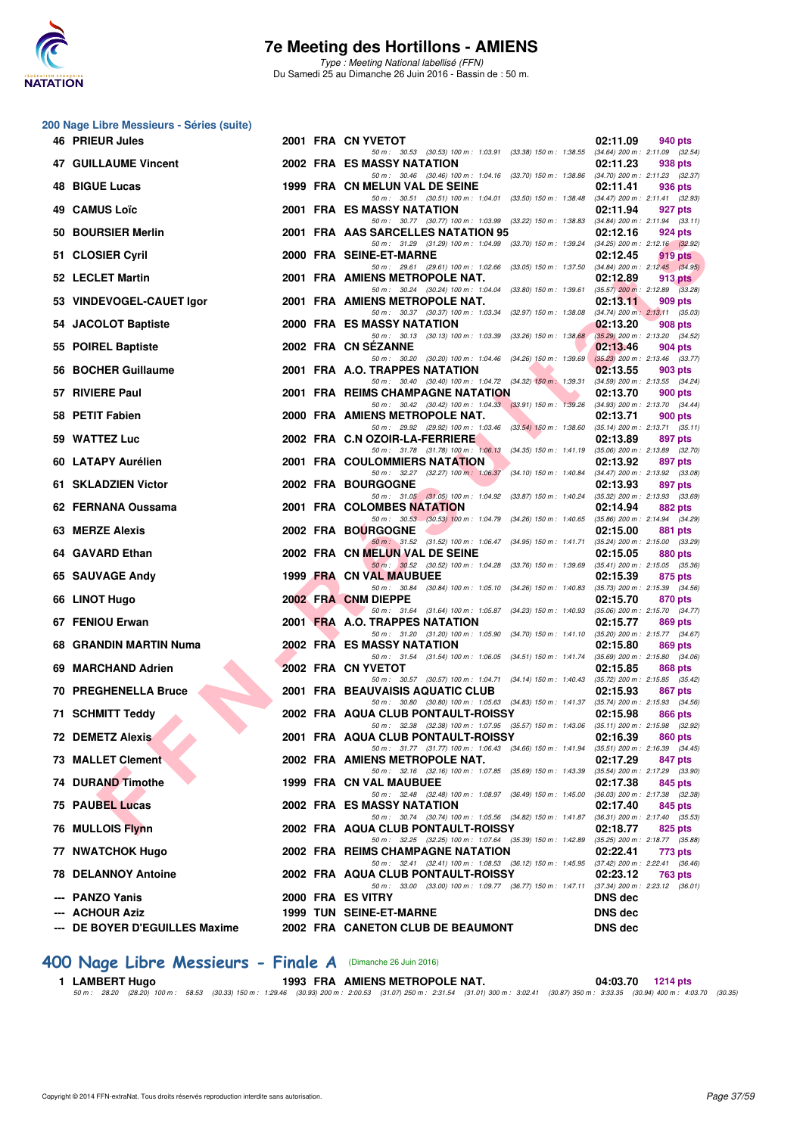

Type : Meeting National labellisé (FFN) Du Samedi 25 au Dimanche 26 Juin 2016 - Bassin de : 50 m.

#### **200 Nage Libre Messieurs - Séries (suite)**

|     | 46 PRIEUR Jules             |  | 2001 FRA CN YVETOT                                                                                                             | 02:11.09<br>940 pts                                        |
|-----|-----------------------------|--|--------------------------------------------------------------------------------------------------------------------------------|------------------------------------------------------------|
|     | 47 GUILLAUME Vincent        |  | 50 m: 30.53 (30.53) 100 m: 1:03.91 (33.38) 150 m: 1:38.55 (34.64) 200 m: 2:11.09 (32.54)<br>2002 FRA ES MASSY NATATION         | 02:11.23<br>938 pts                                        |
| 48. | <b>BIGUE Lucas</b>          |  | 50 m: 30.46 (30.46) 100 m: 1:04.16 (33.70) 150 m: 1:38.86 (34.70) 200 m: 2:11.23 (32.37)<br>1999 FRA CN MELUN VAL DE SEINE     | 02:11.41<br>936 pts                                        |
|     | 49 CAMUS Loïc               |  | 50 m: 30.51 (30.51) 100 m: 1:04.01 (33.50) 150 m: 1:38.48 (34.47) 200 m: 2:11.41 (32.93)<br><b>2001 FRA ES MASSY NATATION</b>  | 02:11.94<br>927 pts                                        |
|     | 50 BOURSIER Merlin          |  | 50 m: 30.77 (30.77) 100 m: 1:03.99 (33.22) 150 m: 1:38.83 (34.84) 200 m: 2:11.94 (33.11)<br>2001 FRA AAS SARCELLES NATATION 95 | 02:12.16<br>924 pts                                        |
|     | 51 CLOSIER Cyril            |  | 50 m: 31.29 (31.29) 100 m: 1:04.99 (33.70) 150 m: 1:39.24 (34.25) 200 m: 2:12.16 (32.92)<br>2000 FRA SEINE-ET-MARNE            | 02:12.45<br>919 pts                                        |
|     | 52 LECLET Martin            |  | 50 m: 29.61 (29.61) 100 m: 1:02.66 (33.05) 150 m: 1:37.50 (34.84) 200 m: 2:12.45 (34.95)<br>2001 FRA AMIENS METROPOLE NAT.     | 02:12.89<br>913 pts                                        |
|     | 53 VINDEVOGEL-CAUET Igor    |  | 50 m: 30.24 (30.24) 100 m: 1:04.04 (33.80) 150 m: 1:39.61 (35.57) 200 m: 2:12.89 (33.28)<br>2001 FRA AMIENS METROPOLE NAT.     | 02:13.11<br>909 pts                                        |
|     | 54 JACOLOT Baptiste         |  | 50 m: 30.37 (30.37) 100 m: 1:03.34 (32.97) 150 m: 1:38.08<br>2000 FRA ES MASSY NATATION                                        | $(34.74)$ 200 m : 2:13.11 $(35.03)$<br>02:13.20<br>908 pts |
|     | 55 POIREL Baptiste          |  | 50 m: 30.13 (30.13) 100 m: 1:03.39 (33.26) 150 m: 1:38.68<br>2002 FRA CN SEZANNE                                               | (35.29) 200 m : 2:13.20 (34.52)<br>02:13.46<br>904 pts     |
|     | 56 BOCHER Guillaume         |  | 50 m: 30.20 (30.20) 100 m: 1:04.46 (34.26) 150 m: 1:39.69 (35.23) 200 m: 2:13.46 (33.77)<br>2001 FRA A.O. TRAPPES NATATION     | 02:13.55<br>903 pts                                        |
|     | 57 RIVIERE Paul             |  | 50 m: 30.40 (30.40) 100 m: 1:04.72 (34.32) 150 m: 1:39.31 (34.59) 200 m: 2:13.55 (34.24)<br>2001 FRA REIMS CHAMPAGNE NATATION  | 02:13.70<br><b>900 pts</b>                                 |
|     | 58 PETIT Fabien             |  | 50 m: 30.42 (30.42) 100 m: 1:04.33 (33.91) 150 m: 1:39.26 (34.93) 200 m: 2:13.70 (34.44)<br>2000 FRA AMIENS METROPOLE NAT.     | 02:13.71<br>900 pts                                        |
|     | 59 WATTEZ Luc               |  | 50 m: 29.92 (29.92) 100 m: 1:03.46 (33.54) 150 m: 1:38.60 (35.14) 200 m: 2:13.71 (35.11)<br>2002 FRA C.N OZOIR-LA-FERRIERE     |                                                            |
|     |                             |  | 50 m: 31.78 (31.78) 100 m: 1:06.13 (34.35) 150 m: 1:41.19                                                                      | 02:13.89<br>897 pts<br>$(35.06)$ 200 m : 2:13.89 $(32.70)$ |
|     | 60 LATAPY Aurélien          |  | 2001 FRA COULOMMIERS NATATION<br>50 m : 32.27 (32.27) 100 m : 1:06.37 (34.10) 150 m : 1:40.84                                  | 02:13.92<br>897 pts<br>$(34.47)$ 200 m : 2:13.92 $(33.08)$ |
|     | 61 SKLADZIEN Victor         |  | 2002 FRA BOURGOGNE<br>50 m: 31.05 (31.05) 100 m: 1:04.92 (33.87) 150 m: 1:40.24 (35.32) 200 m: 2:13.93 (33.69)                 | 02:13.93<br>897 pts                                        |
|     | 62 FERNANA Oussama          |  | 2001 FRA COLOMBES NATATION                                                                                                     | 02:14.94<br>882 pts                                        |
|     | 63 MERZE Alexis             |  | 50 m: 30.53 (30.53) 100 m: 1:04.79 (34.26) 150 m: 1:40.65 (35.86) 200 m: 2:14.94 (34.29)<br>2002 FRA BOURGOGNE                 | 02:15.00<br>881 pts                                        |
|     | 64 GAVARD Ethan             |  | 50 m: 31.52 (31.52) 100 m: 1:06.47 (34.95) 150 m: 1:41.71 (35.24) 200 m: 2:15.00 (33.29)<br>2002 FRA CN MELUN VAL DE SEINE     | 02:15.05<br>880 pts                                        |
|     | 65 SAUVAGE Andy             |  | 50 m: 30.52 (30.52) 100 m: 1:04.28 (33.76) 150 m: 1:39.69 (35.41) 200 m: 2:15.05 (35.36)<br>1999 FRA CN VAL MAUBUEE            | 02:15.39<br>875 pts                                        |
|     |                             |  | 50 m: 30.84 (30.84) 100 m: 1:05.10 (34.26) 150 m: 1:40.83                                                                      | $(35.73)$ 200 m : 2:15.39 $(34.56)$                        |
|     | 66 LINOT Hugo               |  | 2002 FRA CNM DIEPPE<br>50 m: 31.64 (31.64) 100 m: 1:05.87 (34.23) 150 m: 1:40.93                                               | 02:15.70<br>870 pts<br>$(35.06)$ 200 m : 2:15.70 $(34.77)$ |
|     | 67 FENIOU Erwan             |  | 2001 FRA A.O. TRAPPES NATATION<br>50 m: 31.20 (31.20) 100 m: 1:05.90 (34.70) 150 m: 1:41.10 (35.20) 200 m: 2:15.77 (34.67)     | 02:15.77<br>869 pts                                        |
|     | 68 GRANDIN MARTIN Numa      |  | <b>2002 FRA ES MASSY NATATION</b><br>50 m: 31.54 (31.54) 100 m: 1:06.05 (34.51) 150 m: 1:41.74 (35.69) 200 m: 2:15.80 (34.06)  | 02:15.80<br>869 pts                                        |
|     | 69 MARCHAND Adrien          |  | 2002 FRA CN YVETOT                                                                                                             | 02:15.85<br>868 pts                                        |
|     | <b>70 PREGHENELLA Bruce</b> |  | 50 m: 30.57 (30.57) 100 m: 1:04.71 (34.14) 150 m: 1:40.43 (35.72) 200 m: 2:15.85 (35.42)<br>2001 FRA BEAUVAISIS AQUATIC CLUB   | 02:15.93<br>867 pts                                        |
|     | 71 SCHMITT Teddy            |  | 50 m: 30.80 (30.80) 100 m: 1:05.63 (34.83) 150 m: 1:41.37 (35.74) 200 m: 2:15.93 (34.56)<br>2002 FRA AQUA CLUB PONTAULT-ROISSY | 02:15.98<br>866 pts                                        |
|     | <b>72 DEMETZ Alexis</b>     |  | 50 m: 32.38 (32.38) 100 m: 1:07.95 (35.57) 150 m: 1:43.06 (35.11) 200 m: 2:15.98 (32.92)<br>2001 FRA AQUA CLUB PONTAULT-ROISSY | 02:16.39<br>860 pts                                        |
|     | 73 MALLET Clement           |  | 50 m: 31.77 (31.77) 100 m: 1:06.43 (34.66) 150 m: 1:41.94<br>2002 FRA AMIENS METROPOLE NAT.                                    | $(35.51)$ 200 m : 2:16.39 $(34.45)$<br>02:17.29<br>847 pts |
|     | 74 DURAND Timothe           |  | 50 m: 32.16 (32.16) 100 m: 1:07.85 (35.69) 150 m: 1:43.39<br>1999 FRA CN VAL MAUBUEE                                           | $(35.54)$ 200 m : 2:17.29 $(33.90)$<br>02:17.38<br>845 pts |
|     | 75 PAUBEL Lucas             |  | 50 m : 32.48 (32.48) 100 m : 1:08.97 (36.49) 150 m : 1:45.00<br><b>2002 FRA ES MASSY NATATION</b>                              | $(36.03)$ 200 m : 2:17.38 $(32.38)$<br>02:17.40<br>845 pts |
|     | 76 MULLOIS Flynn            |  | 50 m: 30.74 (30.74) 100 m: 1:05.56 (34.82) 150 m: 1:41.87 (36.31) 200 m: 2:17.40 (35.53)<br>2002 FRA AQUA CLUB PONTAULT-ROISSY | 02:18.77<br>825 pts                                        |
|     | 77 NWATCHOK Hugo            |  | 50 m: 32.25 (32.25) 100 m: 1:07.64 (35.39) 150 m: 1:42.89 (35.25) 200 m: 2:18.77 (35.88)<br>2002 FRA REIMS CHAMPAGNE NATATION  | 02:22.41<br>773 pts                                        |
|     | <b>78 DELANNOY Antoine</b>  |  | 50 m: 32.41 (32.41) 100 m: 1:08.53 (36.12) 150 m: 1:45.95 (37.42) 200 m: 2:22.41 (36.46)<br>2002 FRA AQUA CLUB PONTAULT-ROISSY | 02:23.12<br>763 pts                                        |
|     | --- PANZO Yanis             |  | 50 m: 33.00 (33.00) 100 m: 1:09.77 (36.77) 150 m: 1:47.11 (37.34) 200 m: 2:23.12 (36.01)<br>2000 FRA ES VITRY                  | <b>DNS</b> dec                                             |
|     | <b>ACHOUR Aziz</b>          |  | <b>1999 TUN SEINE-ET-MARNE</b>                                                                                                 | DNS dec                                                    |
|     | DE BOYER D'EGUILLES Maxime  |  | 2002 FRA CANETON CLUB DE BEAUMONT                                                                                              | DNS dec                                                    |
|     |                             |  |                                                                                                                                |                                                            |

## **[400 Nage Libre Messieurs - Finale A](http://www.ffnatation.fr/webffn/resultats.php?idact=nat&go=epr&idcpt=38947&idepr=54)** (Dimanche 26 Juin 2016)

|  | 1 LAMBERT Hugo |  | 1993 FRA AMIENS METROPOLE NAT.                                                                                                                                                                                    |  | 04:03.70 1214 pts |  |
|--|----------------|--|-------------------------------------------------------------------------------------------------------------------------------------------------------------------------------------------------------------------|--|-------------------|--|
|  |                |  | 50 m :   28.20   (28.20)  100 m :   58.53   (30.33) 150 m :  1:29.46   (30.93) 200 m :  2:00.53   (31.07) 250 m : 2:31.54   (31.01) 300 m : 3:02.41   (30.87) 350 m : 3:33.35   (30.94) 400 m : 4:03.70   (30.35) |  |                   |  |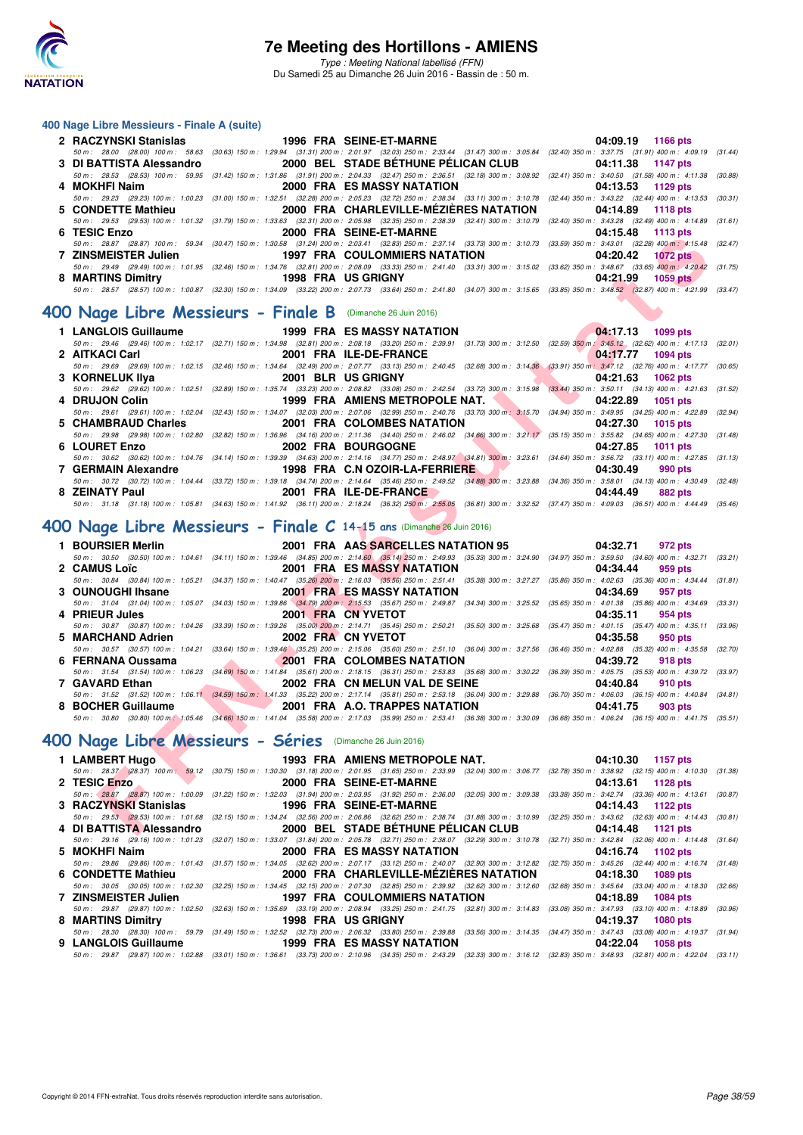

#### **400 Nage Libre Messieurs - Finale A (suite)**

| 2 RACZYNSKI Stanislas 1996 FRA SEINE-ET-MARNE |                                |  | 04:09.19 1166 pts                                                                                                                                                                    |  |
|-----------------------------------------------|--------------------------------|--|--------------------------------------------------------------------------------------------------------------------------------------------------------------------------------------|--|
|                                               |                                |  | 50 m: 28.00 (28.00) 100 m: 58.63 (30.63) 150 m: 1:29.94 (31.31) 200 m: 2:01.97 (32.03) 250 m: 2:33.44 (31.47) 300 m: 3:05.84 (32.40) 350 m: 3:37.75 (31.91) 400 m: 4:09.19 (31.44)   |  |
|                                               |                                |  | 3 DI BATTISTA Alessandro 2000 BEL STADE BÉTHUNE PÉLICAN CLUB 04:11.38 1147 pts                                                                                                       |  |
|                                               |                                |  | 50 m: 28.53 (28.53) 100 m: 59.95 (31.42) 150 m: 1:31.86 (31.91) 200 m: 2:04.33 (32.47) 250 m: 2:36.51 (32.18) 300 m: 3:08.92 (32.41) 350 m: 3:40.50 (31.58) 400 m: 4:11.38 (30.88)   |  |
| 4 MOKHFI Naim                                 | 2000 FRA ES MASSY NATATION     |  | 04:13.53 1129 pts                                                                                                                                                                    |  |
|                                               |                                |  | 50 m: 29.23 (29.23) 100 m: 1:00.23 (31.00) 150 m: 1:32.51 (32.28) 200 m: 2:05.23 (32.72) 250 m: 2:38.34 (33.11) 300 m: 3:10.78 (32.44) 350 m: 3:43.22 (32.44) 400 m: 4:13.53 (30.31) |  |
|                                               |                                |  | 5 CONDETTE Mathieu 2000 FRA CHARLEVILLE-MEZIERES NATATION 04:14.89 1118 pts                                                                                                          |  |
|                                               |                                |  | 50 m: 29.53 (29.53) 100 m: 1:01.32 (31.79) 150 m: 1:33.63 (32.31) 200 m: 2:05.98 (32.35) 250 m: 2:38.39 (32.41) 300 m: 3:10.79 (32.40) 350 m: 3:43.28 (32.49) 400 m: 4:14.89 (31.61) |  |
| 6 TESIC Enzo                                  | <b>2000 FRA SEINE-ET-MARNE</b> |  | 04:15.48 1113 pts                                                                                                                                                                    |  |
|                                               |                                |  | 50 m: 28.87 (28.87) 100 m: 59.34 (30.47) 150 m: 1:30.58 (31.24) 200 m: 2:03.41 (32.83) 250 m: 2:37.14 (33.73) 300 m: 3:10.73 (33.59) 350 m: 3:43.01 (32.28) 400 m: 4:15.48 (32.47)   |  |
|                                               |                                |  |                                                                                                                                                                                      |  |
|                                               |                                |  | 50 m: 29.49 (29.49) 100 m: 1:01.95 (32.46) 150 m: 1:34.76 (32.81) 200 m: 2:08.09 (33.33) 250 m: 2:41.40 (33.31) 300 m: 3:15.02 (33.62) 350 m: 3:48.67 (33.65) 400 m: 4:20.42 (31.75) |  |
| 8 MARTINS Dimitry <b>1998 FRA</b> US GRIGNY   |                                |  | 04:21.99 1059 pts                                                                                                                                                                    |  |
|                                               |                                |  | 50 m: 28.57 (28.57) 100 m: 1:00.87 (32.30) 150 m: 1:34.09 (33.22) 200 m: 2:07.73 (33.64) 250 m: 2:41.80 (34.07) 300 m: 3:15.65 (33.85) 350 m: 3:48.52 (32.87) 400 m: 4:21.99 (33.47) |  |
|                                               |                                |  |                                                                                                                                                                                      |  |

### **[400 Nage Libre Messieurs - Finale B](http://www.ffnatation.fr/webffn/resultats.php?idact=nat&go=epr&idcpt=38947&idepr=54)** (Dimanche 26 Juin 2016)

|                 |                               | $04.17.13$ 1099 pts                                                                                                                                                                                                                                       |
|-----------------|-------------------------------|-----------------------------------------------------------------------------------------------------------------------------------------------------------------------------------------------------------------------------------------------------------|
|                 |                               | 50 m: 29.46 (29.46) 100 m: 1:02.17 (32.71) 150 m: 1:34.98 (32.81) 200 m: 2:08.18 (33.20) 250 m: 2:39.91 (31.73) 300 m: 3:12.50 (32.59) 350 m; 3:45.12 (32.62) 400 m: 4:17.13 (32.01)                                                                      |
| 2 AITKACI Carl  | <b>2001 FRA ILE-DE-FRANCE</b> | 04:17.77 1094 pts                                                                                                                                                                                                                                         |
|                 |                               | 50 m: 29.69 (29.69) 100 m: 1:02.15 (32.46) 150 m: 1:34.64 (32.49) 200 m: 2:07.77 (33.13) 250 m: 2:40.45 (32.68) 300 m: 3:14.36 (33.91) 350 m: 3:47.12 (32.76) 400 m: 4:17.77 (30.65)                                                                      |
| 3 KORNELUK IIya | 2001 BLR USGRIGNY             | 04:21.63 1062 pts<br><u>and the company of the company of the company of the company of the company of the company of the company of the company of the company of the company of the company of the company of the company of the company of the com</u> |
|                 |                               | 50 m: 29.62 (29.62) 100 m: 1:02.51 (32.89) 150 m: 1:35.74 (33.23) 200 m: 2:08.82 (33.08) 250 m: 2:42.54 (33.72) 300 m: 3:15.98 (33.44) 350 m: 3:50.11 (34.13) 400 m: 4:21.63 (31.52)                                                                      |
| 4 DRUJON Colin  |                               | 1999 FRA AMIENS METROPOLE NAT. 04:22.89 1051 pts                                                                                                                                                                                                          |
|                 |                               | 50 m : 29.61 (29.61) 100 m : 1:02.04 (32.43) 150 m : 1:34.07 (32.03) 200 m : 2:07.06 (32.99) 250 m : 2:40.76 (33.70) 300 m : 3:15.70 (34.94) 350 m : 3:49.95 (34.25) 400 m : 4:22.89 (32.94)                                                              |
|                 |                               | 04:27.30 1015 pts                                                                                                                                                                                                                                         |
|                 |                               | 50 m : 29.98 (29.98) 100 m : 1:02.80 (32.82) 150 m : 1:36.96 (34.16) 200 m : 2:11.36 (34.40) 250 m : 2:46.02 (34.66) 300 m : 3:21.17 (35.15) 350 m : 3:55.82 (34.65) 400 m : 4:27.30 (31.48)                                                              |
| 6 LOURET Enzo   | <b>2002 FRA BOURGOGNE</b>     | 04:27.85 1011 pts<br>the contract of the contract of the contract of the contract of the contract of                                                                                                                                                      |
|                 |                               | 50 m: 30.62 (30.62) 100 m: 1:04.76 (34.14) 150 m: 1:39.39 (34.63) 200 m: 2:14.16 (34.77) 250 m: 2:48.97 (34.81) 300 m: 3:23.61 (34.64) 350 m: 3:56.72 (33.11) 400 m: 4:27.85 (31.13)                                                                      |
|                 |                               | 990 pts                                                                                                                                                                                                                                                   |
|                 |                               | 50 m : 30.72 (30.72) 100 m : 1:04.44 (33.72) 150 m : 1:39.18 (34.74) 200 m : 2:14.64 (35.46) 250 m : 2:49.52 (34.88) 300 m : 3:23.88 (34.36) 350 m : 3:58.01 (34.13) 400 m : 4:30.49 (32.48)                                                              |
| 8 ZEINATY Paul  | <b>2001 FRA ILE-DE-FRANCE</b> | 04:44.49<br>882 pts                                                                                                                                                                                                                                       |
|                 |                               | 50 m: 31.18 (31.18) 100 m: 1:05.81 (34.63) 150 m: 1:41.92 (36.11) 200 m: 2:18.24 (36.32) 250 m: 2:55.05 (36.81) 300 m: 3:32.52 (37.47) 350 m: 4:09.03 (36.51) 400 m: 4:44.49 (35.46)                                                                      |

### **[400 Nage Libre Messieurs - Finale C](http://www.ffnatation.fr/webffn/resultats.php?idact=nat&go=epr&idcpt=38947&idepr=54) 14-15 ans** (Dimanche 26 Juin 2016)

| יובש טופט                                                                                                                      |                                                                                                                                                                                                                                      | ZUUU FRA SEINE-EI-WARNE              |                                     | <b>UT.IJ.TU IIIJ.US</b>                                                                                                                                                                                     |         |
|--------------------------------------------------------------------------------------------------------------------------------|--------------------------------------------------------------------------------------------------------------------------------------------------------------------------------------------------------------------------------------|--------------------------------------|-------------------------------------|-------------------------------------------------------------------------------------------------------------------------------------------------------------------------------------------------------------|---------|
|                                                                                                                                |                                                                                                                                                                                                                                      |                                      |                                     | 50 m: 28.87 (28.87) 100 m: 59.34 (30.47) 150 m: 1:30.58 (31.24) 200 m: 2:03.41 (32.83) 250 m: 2:37.14 (33.73) 300 m: 3:10.73 (33.59) 350 m: 3:43.01 (32.28) 400 m: 4:15.48 (32.47)                          |         |
| 7 ZINSMEISTER Julien                                                                                                           |                                                                                                                                                                                                                                      | <b>1997 FRA COULOMMIERS NATATION</b> |                                     | 04:20.42<br><b>1072 pts</b>                                                                                                                                                                                 |         |
|                                                                                                                                |                                                                                                                                                                                                                                      |                                      |                                     | 50 m: 29.49 (29.49) 100 m: 1:01.95 (32.46) 150 m: 1:34.76 (32.81) 200 m: 2:08.09 (33.33) 250 m: 2:41.40 (33.31) 300 m: 3:15.02 (33.62) 350 m: 3:48.67 (33.65) 400 m: 4:20.42 (31.75)                        |         |
| 8 MARTINS Dimitry                                                                                                              |                                                                                                                                                                                                                                      | 1998 FRA US GRIGNY                   |                                     | 04:21.99<br><b>1059 pts</b>                                                                                                                                                                                 |         |
|                                                                                                                                |                                                                                                                                                                                                                                      |                                      |                                     | 50 m: 28.57 (28.57) 100 m: 1:00.87 (32.30) 150 m: 1:34.09 (33.22) 200 m: 2:07.73 (33.64) 250 m: 2:41.80 (34.07) 300 m: 3:15.65 (33.85) 350 m: 3:48.52 (32.87) 400 m: 4:21.99 (33.47)                        |         |
|                                                                                                                                |                                                                                                                                                                                                                                      |                                      |                                     |                                                                                                                                                                                                             |         |
| <b>00 Nage Libre Messieurs - Finale B</b> (Dimanche 26 Juin 2016)                                                              |                                                                                                                                                                                                                                      |                                      |                                     |                                                                                                                                                                                                             |         |
|                                                                                                                                |                                                                                                                                                                                                                                      |                                      |                                     |                                                                                                                                                                                                             |         |
| 1 LANGLOIS Guillaume                                                                                                           |                                                                                                                                                                                                                                      | 1999 FRA ES MASSY NATATION           |                                     | 04:17.13 1099 pts                                                                                                                                                                                           |         |
|                                                                                                                                |                                                                                                                                                                                                                                      |                                      |                                     | 50 m: 29.46 (29.46) 100 m: 1:02.17 (32.71) 150 m: 1:34.98 (32.81) 200 m: 2:08.18 (33.20) 250 m: 2:39.91 (31.73) 300 m: 3:12.50 (32.59) 350 m: 3:45.12 (32.62) 400 m: 4:17.13                                | (32.01) |
| 2 AITKACI Carl                                                                                                                 |                                                                                                                                                                                                                                      | 2001 FRA ILE-DE-FRANCE               |                                     | 04:17.77<br>1094 pts                                                                                                                                                                                        |         |
|                                                                                                                                |                                                                                                                                                                                                                                      |                                      |                                     | 50 m: 29.69 (29.69) 100 m: 1:02.15 (32.46) 150 m: 1:34.64 (32.49) 200 m: 2:07.77 (33.13) 250 m: 2:40.45 (32.68) 300 m: 3:14.36 (33.91) 350 m: 3:47.12 (32.76) 400 m: 4:17.77 (30.65)                        |         |
| 3 KORNELUK IIya                                                                                                                |                                                                                                                                                                                                                                      | 2001 BLR US GRIGNY                   |                                     | 04:21.63<br>1062 pts                                                                                                                                                                                        |         |
|                                                                                                                                |                                                                                                                                                                                                                                      |                                      |                                     | 50 m: 29.62 (29.62) 100 m: 1:02.51 (32.89) 150 m: 1:35.74 (33.23) 200 m: 2:08.82 (33.08) 250 m: 2:42.54 (33.72) 300 m: 3:15.98 (33.44) 350 m: 3:50.11 (34.13) 400 m: 4:21.63 (31.52)                        |         |
| 4 DRUJON Colin                                                                                                                 |                                                                                                                                                                                                                                      | 1999 FRA AMIENS METROPOLE NAT.       |                                     | 04:22.89<br>1051 pts                                                                                                                                                                                        |         |
|                                                                                                                                |                                                                                                                                                                                                                                      |                                      |                                     | 50 m : 29.61 (29.61) 100 m : 1:02.04 (32.43) 150 m : 1:34.07 (32.03) 200 m : 2:07.06 (32.99) 250 m : 2:40.76 (33.70) 300 m : 3:15.70 (34.94) 350 m : 3:49.95 (34.25) 400 m : 4:22.89                        | (32.94) |
| 5 CHAMBRAUD Charles                                                                                                            |                                                                                                                                                                                                                                      | 2001 FRA COLOMBES NATATION           |                                     | 04:27.30<br><b>1015 pts</b>                                                                                                                                                                                 |         |
|                                                                                                                                |                                                                                                                                                                                                                                      |                                      |                                     | 50 m: 29.98 (29.98) 100 m: 1:02.80 (32.82) 150 m: 1:36.96 (34.16) 200 m: 2:11.36 (34.40) 250 m: 2:46.02 (34.66) 300 m: 3:21.17 (35.15) 350 m: 3:55.82 (34.65) 400 m: 4:27.30 (31.48)                        |         |
| 6 LOURET Enzo                                                                                                                  |                                                                                                                                                                                                                                      | 2002 FRA BOURGOGNE                   |                                     | 04:27.85<br>1011 pts                                                                                                                                                                                        |         |
|                                                                                                                                |                                                                                                                                                                                                                                      |                                      |                                     | 50 m: 30.62 (30.62) 100 m: 1:04.76 (34.14) 150 m: 1:39.39 (34.63) 200 m: 2:14.16 (34.77) 250 m: 2:48.97 (34.81) 300 m: 3:23.61 (34.64) 350 m: 3:56.72 (33.11) 400 m: 4:27.85                                | (31.13) |
| 7 GERMAIN Alexandre                                                                                                            |                                                                                                                                                                                                                                      | 1998 FRA C.N OZOIR-LA-FERRIERE       |                                     | 04:30.49<br>990 pts                                                                                                                                                                                         |         |
|                                                                                                                                |                                                                                                                                                                                                                                      |                                      |                                     | 50 m : 30.72 (30.72) 100 m : 1:04.44 (33.72) 150 m : 1:39.18 (34.74) 200 m : 2:14.64 (35.46) 250 m : 2:49.52 (34.88) 300 m : 3:23.88 (34.36) 350 m : 3:58.01 (34.13) 400 m : 4:30.49 (32.48)                |         |
| 8 ZEINATY Paul                                                                                                                 |                                                                                                                                                                                                                                      | 2001 FRA ILE-DE-FRANCE               |                                     | 04:44.49<br>882 pts                                                                                                                                                                                         |         |
|                                                                                                                                |                                                                                                                                                                                                                                      |                                      |                                     | 50 m: 31.18 (31.18) 100 m: 1:05.81 (34.63) 150 m: 1:41.92 (36.11) 200 m: 2:18.24 (36.32) 250 m: 2:55.05 (36.81) 300 m: 3:32.52 (37.47) 350 m: 4:09.03 (36.51) 400 m: 4:44.49 (35.46)                        |         |
|                                                                                                                                |                                                                                                                                                                                                                                      |                                      |                                     |                                                                                                                                                                                                             |         |
| 00 Nage Libre Messieurs - Finale C 14-15 ans (Dimanche 26 Juin 2016)                                                           |                                                                                                                                                                                                                                      |                                      |                                     |                                                                                                                                                                                                             |         |
|                                                                                                                                |                                                                                                                                                                                                                                      |                                      |                                     |                                                                                                                                                                                                             |         |
| 1 BOURSIER Merlin                                                                                                              |                                                                                                                                                                                                                                      |                                      |                                     | 04:32.71                                                                                                                                                                                                    |         |
|                                                                                                                                |                                                                                                                                                                                                                                      | 2001 FRA AAS SARCELLES NATATION 95   |                                     | 972 pts                                                                                                                                                                                                     | (33.21) |
| 2 CAMUS Loïc                                                                                                                   |                                                                                                                                                                                                                                      |                                      |                                     | 50 m : 30.50 (30.50) 100 m : 1:04.61 (34.11) 150 m : 1:39.46 (34.85) 200 m : 2:14.60 (35.14) 250 m : 2:49.93 (35.33) 300 m : 3:24.90 (34.97) 350 m : 3:59.50 (34.60) 400 m : 4:32.71<br>04:34.44<br>959 pts |         |
|                                                                                                                                |                                                                                                                                                                                                                                      | 2001 FRA ES MASSY NATATION           |                                     | 50 m: 30.84 (30.84) 100 m: 1:05.21 (34.37) 150 m: 1:40.47 (35.26) 200 m: 2:16.03 (35.56) 250 m: 2:51.41 (35.38) 300 m: 3:27.27 (35.86) 350 m: 4:02.63 (35.36) 400 m: 4:34.44 (31.81)                        |         |
| 3 OUNOUGHI Ihsane                                                                                                              |                                                                                                                                                                                                                                      | <b>2001 FRAMES MASSY NATATION</b>    |                                     | 04:34.69<br>957 pts                                                                                                                                                                                         |         |
| 50 m: 31.04 (31.04) 100 m: 1:05.07 (34.03) 150 m: 1:39.86 (34.79) 200 m: 2:15.53 (35.67) 250 m: 2:49.87 (34.34) 300 m: 3:25.52 |                                                                                                                                                                                                                                      |                                      |                                     | $(35.65)$ 350 m : 4:01.38 $(35.86)$ 400 m : 4:34.69                                                                                                                                                         | (33.31) |
| 4 PRIEUR Jules                                                                                                                 |                                                                                                                                                                                                                                      | 2001 FRA CN YVETOT                   |                                     | 954 pts                                                                                                                                                                                                     |         |
|                                                                                                                                |                                                                                                                                                                                                                                      |                                      |                                     | 04:35.11<br>50 m: 30.87 (30.87) 100 m: 1:04.26 (33.39) 150 m: 1:39.26 (35.00) 200 m: 2:14.71 (35.45) 250 m: 2:50.21 (35.50) 300 m: 3:25.68 (35.47) 350 m: 4:01.15 (35.47) 400 m: 4:35.11                    | (33.96) |
| 5 MARCHAND Adrien                                                                                                              |                                                                                                                                                                                                                                      | 2002 FRA CN YVETOT                   |                                     | 04:35.58<br>950 pts                                                                                                                                                                                         |         |
| 50 m: 30.57 (30.57) 100 m: 1:04.21 (33.64) 150 m: 1:39.46 (35.25) 200 m: 2:15.06 (35.60) 250 m: 2:51.10 (36.04) 300 m: 3:27.56 |                                                                                                                                                                                                                                      |                                      |                                     | $(36.46)$ 350 m : 4:02.88 $(35.32)$ 400 m : 4:35.58                                                                                                                                                         | (32.70) |
| 6 FERNANA Oussama                                                                                                              |                                                                                                                                                                                                                                      | 2001 FRA COLOMBES NATATION           |                                     | 04:39.72<br>918 pts                                                                                                                                                                                         |         |
|                                                                                                                                |                                                                                                                                                                                                                                      |                                      |                                     | 50 m: 31.54 (31.54) 100 m: 1:06.23 (34.69) 150 m: 1:41.84 (35.61) 200 m: 2:18.15 (36.31) 250 m: 2:53.83 (35.68) 300 m: 3:30.22 (36.39) 350 m: 4:05.75 (35.53) 400 m: 4:39.72 (33.97)                        |         |
| 7 GAVARD Ethan                                                                                                                 |                                                                                                                                                                                                                                      | 2002 FRA CN MELUN VAL DE SEINE       |                                     | 04:40.84<br>910 pts                                                                                                                                                                                         |         |
|                                                                                                                                |                                                                                                                                                                                                                                      |                                      |                                     | 50 m: 31.52 (31.52) 100 m: 1:06.11 (34.59) 150 m: 1:41.33 (35.22) 200 m: 2:17.14 (35.81) 250 m: 2:53.18 (36.04) 300 m: 3:29.88 (36.70) 350 m: 4:06.03 (36.15) 400 m: 4:40.84 (34.81)                        |         |
| 8 BOCHER Guillaume                                                                                                             | <u>and the second second second second second second second second second second second second second second second second second second second second second second second second second second second second second second sec</u> | 2001 FRA A.O. TRAPPES NATATION       |                                     | 04:41.75<br>903 pts                                                                                                                                                                                         |         |
|                                                                                                                                |                                                                                                                                                                                                                                      |                                      |                                     | 50 m: 30.80 (30.80) 100 m: 1:05.46 (34.66) 150 m: 1:41.04 (35.58) 200 m: 2:17.03 (35.99) 250 m: 2:53.41 (36.38) 300 m: 3:30.09 (36.68) 350 m: 4:06.24 (36.15) 400 m: 4:41.75 (35.51)                        |         |
|                                                                                                                                |                                                                                                                                                                                                                                      |                                      |                                     |                                                                                                                                                                                                             |         |
|                                                                                                                                |                                                                                                                                                                                                                                      |                                      |                                     |                                                                                                                                                                                                             |         |
| <b>JO Nage Libre Messieurs - Séries</b> (Dimanche 26 Juin 2016)                                                                |                                                                                                                                                                                                                                      |                                      |                                     |                                                                                                                                                                                                             |         |
| 1 LAMBERT Hugo                                                                                                                 |                                                                                                                                                                                                                                      | 1993 FRA AMIENS METROPOLE NAT.       |                                     | 04:10.30 1157 pts                                                                                                                                                                                           |         |
|                                                                                                                                |                                                                                                                                                                                                                                      |                                      |                                     | 50 m: 28.37 (28.37) 100 m: 59.12 (30.75) 150 m: 1:30.30 (31.18) 200 m: 2:01.95 (31.65) 250 m: 2:33.99 (32.04) 300 m: 3:06.77 (32.78) 350 m: 3:38.92 (32.15) 400 m: 4:10.30 (31.38)                          |         |
| 2 TESIC Enzo                                                                                                                   |                                                                                                                                                                                                                                      | 2000 FRA SEINE-ET-MARNE              |                                     | 04:13.61<br><b>1128 pts</b>                                                                                                                                                                                 |         |
|                                                                                                                                |                                                                                                                                                                                                                                      |                                      |                                     | 50 m: 28.87 (28.87) 100 m: 1:00.09 (31.22) 150 m: 1:32.03 (31.94) 200 m: 2:03.95 (31.92) 250 m: 2:36.00 (32.05) 300 m: 3:09.38 (33.38) 350 m: 3:42.74 (33.36) 400 m: 4:13.61 (30.87)                        |         |
| 3 RACZYNSKI Stanislas                                                                                                          |                                                                                                                                                                                                                                      | 1996 FRA SEINE-ET-MARNE              |                                     | 04:14.43<br>1122 pts                                                                                                                                                                                        |         |
| 4 DI BATTISTA Alessandro                                                                                                       |                                                                                                                                                                                                                                      |                                      | 2000 BEL STADE BÉTHUNE PÉLICAN CLUB | 50 m: 29.53 (29.53) 100 m: 1:01.68 (32.15) 150 m: 1:34.24 (32.56) 200 m: 2:06.86 (32.62) 250 m: 2:38.74 (31.88) 300 m: 3:10.99 (32.25) 350 m: 3:43.62 (32.63) 400 m: 4:14.43 (30.81)<br>04:14.48 1121 pts   |         |

## **[400 Nage Libre Messieurs - Séries](http://www.ffnatation.fr/webffn/resultats.php?idact=nat&go=epr&idcpt=38947&idepr=54)** (Dimanche 26 Juin 2016)

| 1 LAMBERT Hugo                                | 1993 FRA AMIENS METROPOLE NAT.                                                                                                                                                                | 04:10.30 1157 pts |
|-----------------------------------------------|-----------------------------------------------------------------------------------------------------------------------------------------------------------------------------------------------|-------------------|
|                                               | 50 m: 28.37 (28.37) 100 m: 59.12 (30.75) 150 m: 1:30.30 (31.18) 200 m: 2:01.95 (31.65) 250 m: 2:33.99 (32.04) 300 m: 3:06.77 (32.78) 350 m: 3:38.92 (32.15) 400 m: 4:10.30 (31.38)            |                   |
| 2 TESIC Enzo                                  | 2000 FRA SEINE-ET-MARNE                                                                                                                                                                       | 04:13.61 1128 pts |
|                                               | 50 m : (28.87 (28.87) 100 m : 1:00.09 (31.22) 150 m : 1:32.03 (31.94) 200 m : 2:03.95 (31.92) 250 m : 2:36.00 (32.05) 300 m : 3:09.38 (33.38) 350 m : 3:42.74 (33.36) 400 m : 4:13.61 (30.87) |                   |
| 3 RACZYNSKI Stanislas 1996 FRA SEINE-ET-MARNE |                                                                                                                                                                                               | 04:14.43 1122 pts |
|                                               | 50 m: 29.53 (29.53) 100 m: 1:01.68 (32.15) 150 m: 1:34.24 (32.56) 200 m: 2:06.86 (32.62) 250 m: 2:38.74 (31.88) 300 m: 3:10.99 (32.25) 350 m: 3:43.62 (32.63) 400 m: 4:14.43 (30.81)          |                   |
|                                               |                                                                                                                                                                                               | 04:14.48 1121 pts |
|                                               | 50 m: 29.16 (29.16) 100 m: 1:01.23 (32.07) 150 m: 1:33.07 (31.84) 200 m: 2:05.78 (32.71) 250 m: 2:38.07 (32.29) 300 m: 3:10.78 (32.71) 350 m: 3:42.84 (32.06) 400 m: 4:14.48 (31.64)          |                   |
| 5 MOKHFI Naim                                 | 2000 FRA ES MASSY NATATION                                                                                                                                                                    | 04:16.74 1102 pts |
|                                               | 50 m: 29.86 (29.86) 100 m: 1:01.43 (31.57) 150 m: 1:34.05 (32.62) 200 m: 2:07.17 (33.12) 250 m: 2:40.07 (32.90) 300 m: 3:12.82 (32.75) 350 m: 3:45.26 (32.44) 400 m: 4:16.74 (31.48)          |                   |
| 6 CONDETTE Mathieu                            | 2000 FRA CHARLEVILLE-MEZIERES NATATION                                                                                                                                                        | 04:18.30 1089 pts |
|                                               | 50 m : 30.05 (30.05) 100 m : 1:02.30 (32.25) 150 m : 1:34.45 (32.15) 200 m : 2:07.30 (32.85) 250 m : 2:39.92 (32.62) 300 m : 3:12.60 (32.68) 350 m : 3:45.64 (33.04) 400 m : 4:18.30 (32.66)  |                   |
| 7 ZINSMEISTER Julien                          | 1997 FRA COULOMMIERS NATATION 694:18.89 1084 pts                                                                                                                                              |                   |
|                                               | 50 m : 29.87 (29.87) 100 m : 1:02.50 (32.63) 150 m : 1:35.69 (33.19) 200 m : 2:08.94 (33.25) 250 m : 2:41.75 (32.81) 300 m : 3:14.83 (33.08) 350 m : 3:47.93 (33.10) 400 m : 4:18.89 (30.06)  |                   |
| 8 MARTINS Dimitry                             | <b>1998 FRA US GRIGNY</b>                                                                                                                                                                     | 04:19.37 1080 pts |
|                                               | 50 m : 28.30 (28.30) 100 m : 59.79 (31.49) 150 m : 1:32.52 (32.73) 200 m : 2:06.32 (33.80) 250 m : 2:39.88 (33.56) 300 m : 3:14.35 (34.47) 350 m : 3:47.43 (33.08) 400 m : 4:19.37 (31.94)    |                   |
|                                               | 9 LANGLOIS Guillaume <b>1999 FRA</b> ES MASSY NATATION                                                                                                                                        | 04:22.04 1058 pts |
|                                               | 50 m : 29.87 (29.87) 100 m : 1:02.88 (33.01) 150 m : 1:36.61 (33.73) 200 m : 2:10.96 (34.35) 250 m : 2:43.29 (32.33) 300 m : 3:16.12 (32.83) 350 m : 3:48.93 (32.81) 400 m : 4:22.04 (33.11)  |                   |
|                                               |                                                                                                                                                                                               |                   |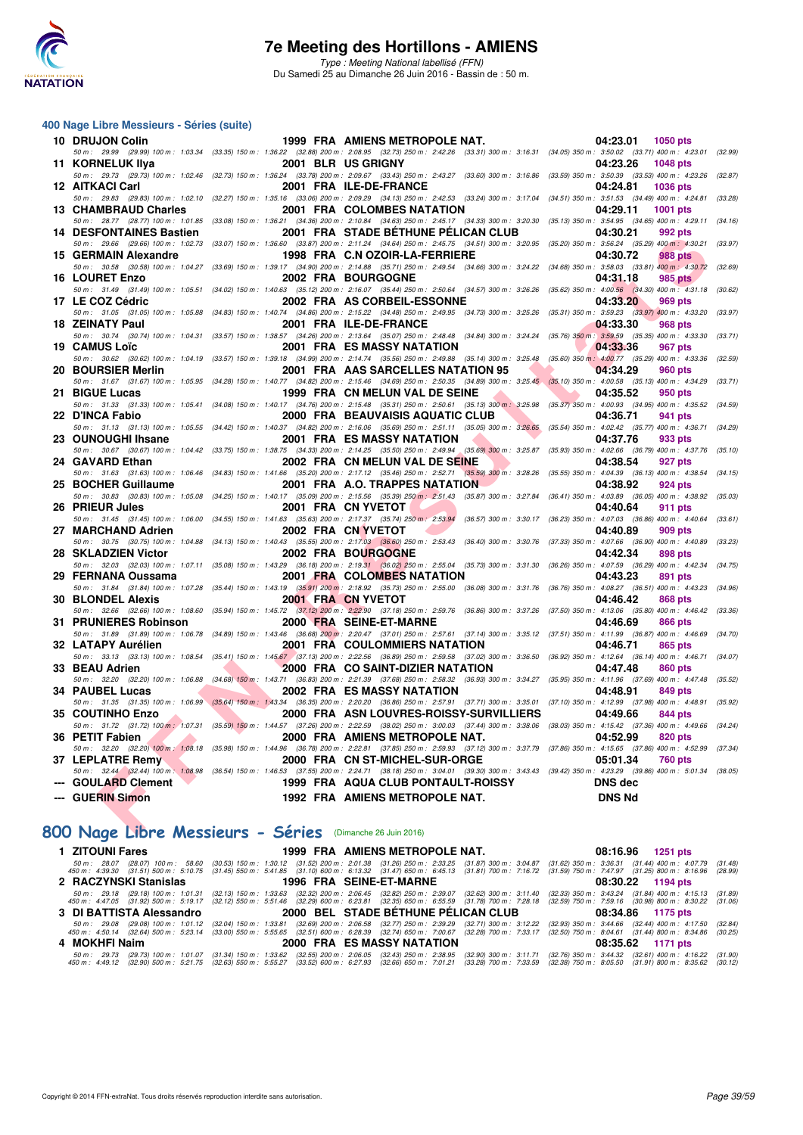

#### **400 Nage Libre Messieurs - Séries (suite)**

| 10 DRUJON Colin                    | 1999 FRA AMIENS METROPOLE NAT.                                                                                                                                                                                                                                                                     | 04:23.01<br>1050 pts                                          |         |
|------------------------------------|----------------------------------------------------------------------------------------------------------------------------------------------------------------------------------------------------------------------------------------------------------------------------------------------------|---------------------------------------------------------------|---------|
|                                    | 50 m : 29.99 (29.99) 100 m : 1:03.34 (33.35) 150 m : 1:36.22 (32.88) 200 m : 2:08.95 (32.73) 250 m : 2:42.26 (33.31) 300 m : 3:16.31                                                                                                                                                               | $(34.05)$ 350 m : 3:50.02 $(33.71)$ 400 m : 4:23.01           | (32.99) |
| 11 KORNELUK IIya                   | 2001 BLR US GRIGNY                                                                                                                                                                                                                                                                                 | 04:23.26<br><b>1048 pts</b>                                   |         |
|                                    | 50 m : 29.73 (29.73) 100 m : 1:02.46 (32.73) 150 m : 1:36.24 (33.78) 200 m : 2:09.67 (33.43) 250 m : 2:43.27 (33.60) 300 m : 3:16.86                                                                                                                                                               | $(33.59)$ 350 m : 3:50.39 $(33.53)$ 400 m : 4:23.26           | (32.87) |
| <b>12 AITKACI Carl</b>             | 2001 FRA ILE-DE-FRANCE                                                                                                                                                                                                                                                                             | 04:24.81<br><b>1036 pts</b>                                   |         |
|                                    | 50 m: 29.83 (29.83) 100 m: 1:02.10 (32.27) 150 m: 1:35.16 (33.06) 200 m: 2:09.29 (34.13) 250 m: 2:42.53 (33.24) 300 m: 3:17.04                                                                                                                                                                     | $(34.51)$ 350 m: 3:51.53 $(34.49)$ 400 m: 4:24.81 $(33.28)$   |         |
| 13 CHAMBRAUD Charles               | 2001 FRA COLOMBES NATATION                                                                                                                                                                                                                                                                         | 04:29.11<br><b>1001 pts</b>                                   |         |
|                                    | 50 m: 28.77 (28.77) 100 m: 1:01.85 (33.08) 150 m: 1:36.21 (34.36) 200 m: 2:10.84 (34.63) 250 m: 2:45.17 (34.33) 300 m: 3:20.30                                                                                                                                                                     | $(35.13)$ 350 m : 3:54.95 $(34.65)$ 400 m : 4:29.11 $(34.16)$ |         |
| <b>14 DESFONTAINES Bastien</b>     | 2001 FRA STADE BÉTHUNE PÉLICAN CLUB                                                                                                                                                                                                                                                                | 04:30.21<br>992 pts                                           |         |
|                                    | 50 m : 29.66 (29.66) 100 m : 1:02.73 (33.07) 150 m : 1:36.60 (33.87) 200 m : 2:11.24 (34.64) 250 m : 2:45.75 (34.51) 300 m : 3:20.95 (35.20) 350 m : 3:56.24 (35.29) 400 m : 4:30.21                                                                                                               |                                                               | (33.97) |
| 15 GERMAIN Alexandre               | 1998 FRA C.N OZOIR-LA-FERRIERE                                                                                                                                                                                                                                                                     | 04:30.72<br><b>988 pts</b>                                    |         |
| 50 m: 30.58 (30.58) 100 m: 1:04.27 | $(33.69)$ 150 m : 1:39.17 $(34.90)$ 200 m : 2:14.88 $(35.71)$ 250 m : 2:49.54 $(34.66)$ 300 m : 3:24.22                                                                                                                                                                                            | $(34.68)$ 350 m : 3:58.03 $(33.81)$ 400 m : 4:30.72           | (32.69) |
| 16 LOURET Enzo                     | 2002 FRA BOURGOGNE                                                                                                                                                                                                                                                                                 | 04:31.18<br><b>985 pts</b>                                    |         |
|                                    | 50 m: 31.49 (31.49) 100 m: 1:05.51 (34.02) 150 m: 1:40.63 (35.12) 200 m: 2:16.07 (35.44) 250 m: 2:50.64 (34.57) 300 m: 3:26.26 (35.62) 350 m: 4:00.56 (34.30) 400 m: 4:31.18                                                                                                                       |                                                               | (30.62) |
| 17 LE COZ Cédric                   | 2002 FRA AS CORBEIL-ESSONNE                                                                                                                                                                                                                                                                        | 04:33.20<br>969 pts                                           |         |
| 50 m: 31.05 (31.05) 100 m: 1:05.88 | $(34.83) 150 m : 1:40.74 \quad (34.86) 200 m : 2:15.22 \quad (34.48) 250 m : 2:49.95 \quad (34.73) 300 m : 3:25.26$                                                                                                                                                                                | $(35.31)$ 350 m : 3:59.23 $(33.97)$ 400 m : 4:33.20           | (33.97) |
| 18 ZEINATY Paul                    | 2001 FRA ILE-DE-FRANCE                                                                                                                                                                                                                                                                             | 04:33.30<br><b>968 pts</b>                                    |         |
|                                    | 50 m: 30.74 (30.74) 100 m: 1:04.31 (33.57) 150 m: 1:38.57 (34.26) 200 m: 2:13.64 (35.07) 250 m: 2:48.48 (34.84) 300 m: 3:24.24 (35.76) 350 m: 3:59.59 (35.35) 400 m: 4:33.30 (33.71)                                                                                                               |                                                               |         |
| 19 CAMUS Loïc                      | <b>2001 FRA ES MASSY NATATION</b>                                                                                                                                                                                                                                                                  | 04:33.36<br>967 pts                                           |         |
|                                    | 50 m: 30.62 (30.62) 100 m: 1:04.19 (33.57) 150 m: 1:39.18 (34.99) 200 m: 2:14.74 (35.56) 250 m: 2:49.88 (35.14) 300 m: 3:25.48                                                                                                                                                                     | $(35.60)$ 350 m : $4.00.77$ $(35.29)$ 400 m : $4.33.36$       | (32.59) |
| 20 BOURSIER Merlin                 | 2001 FRA AAS SARCELLES NATATION 95                                                                                                                                                                                                                                                                 | 04:34.29<br><b>960 pts</b>                                    |         |
|                                    | 50 m: 31.67 (31.67) 100 m: 1:05.95 (34.28) 150 m: 1:40.77 (34.82) 200 m: 2:15.46 (34.69) 250 m: 2:50.35 (34.89) 300 m: 3:25.45 (35.10) 350 m: 4:00.58 (35.13) 400 m: 4:34.29                                                                                                                       |                                                               | (33.71) |
| 21 BIGUE Lucas                     | 1999 FRA CN MELUN VAL DE SEINE                                                                                                                                                                                                                                                                     | 04:35.52                                                      |         |
|                                    | 50 m: 31.33 (31.33) 100 m: 1:05.41 (34.08) 150 m: 1:40.17 (34.76) 200 m: 2:15.48 (35.31) 250 m: 2:50.61 (35.13) 300 m: 3:25.98 (35.37) 350 m: 4:00.93 (34.95) 400 m: 4:35.52                                                                                                                       | 950 pts                                                       |         |
|                                    |                                                                                                                                                                                                                                                                                                    |                                                               | (34.59) |
| 22 D'INCA Fabio                    | 2000 FRA BEAUVAISIS AQUATIC CLUB                                                                                                                                                                                                                                                                   | 04:36.71<br>941 pts                                           |         |
|                                    | 50 m: 31.13 (31.13) 100 m: 1:05.55 (34.42) 150 m: 1:40.37 (34.82) 200 m: 2:16.06 (35.69) 250 m: 2:51.11 (35.05) 300 m: 3:26.65 (35.54) 350 m: 4:02.42 (35.77) 400 m: 4:36.71 (34.29)                                                                                                               |                                                               |         |
| 23 OUNOUGHI Ihsane                 | <b>2001 FRA ES MASSY NATATION</b>                                                                                                                                                                                                                                                                  | 04:37.76<br>933 pts                                           |         |
|                                    | 50 m: 30.67 (30.67) 100 m: 1:04.42 (33.75) 150 m: 1:38.75 (34.33) 200 m: 2:14.25 (35.50) 250 m: 2:49.94 (35.69) 300 m: 3:25.87                                                                                                                                                                     | $(35.93)$ 350 m : 4:02.66 $(36.79)$ 400 m : 4:37.76           | (35.10) |
| 24 GAVARD Ethan                    | 2002 FRA CN MELUN VAL DE SEINE                                                                                                                                                                                                                                                                     | 04:38.54<br>927 pts                                           |         |
|                                    | 50 m: 31.63 (31.63) 100 m: 1:06.46 (34.83) 150 m: 1:41.66 (35.20) 200 m: 2:17.12 (35.46) 250 m: 2:52.71 (35.59) 300 m: 3:28.26                                                                                                                                                                     | $(35.55)$ 350 m : 4:04.39 $(36.13)$ 400 m : 4:38.54           | (34.15) |
| 25 BOCHER Guillaume                | 2001 FRA A.O. TRAPPES NATATION                                                                                                                                                                                                                                                                     | 04:38.92<br>924 pts                                           |         |
|                                    | 50 m : 30.83 (30.83) 100 m : 1:05.08 (34.25) 150 m : 1:40.17 (35.09) 200 m : 2:15.56 (35.39) 250 m : 2:51.43 (35.87) 300 m : 3:27.84 (36.41) 350 m : 4:03.89 (36.05) 400 m : 4:38.92 (35.03)                                                                                                       |                                                               |         |
| 26 PRIEUR Jules                    | 2001 FRA CN YVETOT                                                                                                                                                                                                                                                                                 | 04:40.64<br>911 pts                                           |         |
|                                    | 50 m: 31.45 (31.45) 100 m: 1:06.00 (34.55) 150 m: 1:41.63 (35.63) 200 m: 2:17.37 (35.74) 250 m: 2:53.94 (36.57) 300 m: 3:30.17 (36.23) 350 m: 4:07.03 (36.86) 400 m: 4:40.64                                                                                                                       |                                                               | (33.61) |
| 27 MARCHAND Adrien                 | 2002 FRA CN YVETOT                                                                                                                                                                                                                                                                                 | 04:40.89<br>909 pts                                           |         |
|                                    | 50 m: 30.75 (30.75) 100 m: 1:04.88 (34.13) 150 m: 1:40.43 (35.55) 200 m: 2:17.03 (36.60) 250 m: 2:53.43 (36.40) 300 m: 3:30.76 (37.33) 350 m: 4:07.66 (36.90) 400 m: 4:40.89 (33.23)                                                                                                               |                                                               |         |
| 28 SKLADZIEN Victor                | 2002 FRA BOURGOGNE                                                                                                                                                                                                                                                                                 | 04:42.34<br>898 pts                                           |         |
| 50 m: 32.03 (32.03) 100 m: 1:07.11 | (35.08) 150 m: 1:43.29 (36.18) 200 m: 2:19.31 (36.02) 250 m: 2:55.04 (35.73) 300 m: 3:31.30 (36.26) 350 m: 4:07.59 (36.29) 400 m: 4:42.34                                                                                                                                                          |                                                               | (34.75) |
| 29 FERNANA Oussama                 | 2001 FRA COLOMBES NATATION                                                                                                                                                                                                                                                                         | 04:43.23<br>891 pts                                           |         |
|                                    | 50 m: 31.84 (31.84) 100 m: 1:07.28 (35.44) 150 m: 1:43.19 (35.91) 200 m: 2:18.92 (35.73) 250 m: 2:55.00 (36.08) 300 m: 3:31.76 (36.76) 350 m: 4:08.27 (36.51) 400 m: 4:43.23                                                                                                                       |                                                               | (34.96) |
| <b>30 BLONDEL Alexis</b>           | 2001 FRA CN YVETOT                                                                                                                                                                                                                                                                                 | 868 pts<br>04:46.42                                           |         |
|                                    | 50 m: 32.66 (32.66) 100 m: 1:08.60 (35.94) 150 m: 1:45.72 (37.12) 200 m: 2:22.90 (37.18) 250 m: 2:59.76 (36.86) 300 m: 3:37.26 (37.50) 350 m: 4:13.06 (35.80) 400 m: 4:46.42                                                                                                                       |                                                               | (33.36) |
| 31 PRUNIERES Robinson              | 2000 FRA SEINE-ET-MARNE                                                                                                                                                                                                                                                                            | 04:46.69<br>866 pts                                           |         |
|                                    | 50 m: 31.89 (31.89) 100 m: 1:06.78 (34.89) 150 m: 1:43.46 (36.68) 200 m: 2:20.47 (37.01) 250 m: 2:57.61 (37.14) 300 m: 3:35.12 (37.51) 350 m: 4:11.99 (36.87) 400 m: 4:46.69 (34.70)                                                                                                               |                                                               |         |
| 32 LATAPY Aurélien                 | <b>2001 FRA COULOMMIERS NATATION</b>                                                                                                                                                                                                                                                               | 04:46.71<br>865 pts                                           |         |
|                                    | $50\,m:\quad 33.13\quad(33.13)\ 100\,m:\quad 1.08.54\quad(35.41)\ 150\,m:\quad 1.45.67\quad(37.13)\ 200\,m:\quad 2.22.56\quad(36.89)\ 250\,m:\quad 2.59.58\quad(37.02)\ 300\,m:\quad 3.36.50\quad(36.92)\ 350\,m:\quad 4.12.64\quad(36.14)\ 400\,m:\quad 4.46.71\ 4.47\,n:\quad 4.47.72\,n:\quad $ |                                                               | (34.07) |
| 33 BEAU Adrien                     | 2000 FRA CO SAINT-DIZIER NATATION                                                                                                                                                                                                                                                                  | 04:47.48<br>860 pts                                           |         |
| 50 m: 32.20 (32.20) 100 m: 1:06.88 | $(34.68)$ 150 m : 1:43.71 $(36.83)$ 200 m : 2:21.39 $(37.68)$ 250 m : 2:58.32 $(36.93)$ 300 m : 3:34.27                                                                                                                                                                                            | (35.95) 350 m: 4:11.96 (37.69) 400 m: 4:47.48                 | (35.52) |
| 34 PAUBEL Lucas                    | 2002 FRA ES MASSY NATATION                                                                                                                                                                                                                                                                         | <b>849 pts</b><br>04:48.91                                    |         |
|                                    | 50 m: 31.35 (31.35) 100 m: 1:06.99 (35.64) 150 m: 1:43.34 (36.35) 200 m: 2:20.20 (36.86) 250 m: 2:57.91 (37.71) 300 m: 3:35.01 (37.10) 350 m: 4:12.99 (37.98) 400 m: 4:48.91 (35.92)                                                                                                               |                                                               |         |
| 35 COUTINHO Enzo                   | 2000 FRA ASN LOUVRES-ROISSY-SURVILLIERS                                                                                                                                                                                                                                                            | 04:49.66<br>844 pts                                           |         |
|                                    | 50 m: 31.72 (31.72) 100 m: 1:07.31 (35.59) 150 m: 1:44.57 (37.26) 200 m: 2:22.59 (38.02) 250 m: 3:00.03 (37.44) 300 m: 3:38.06 (38.03) 350 m: 4:15.42 (37.36) 400 m: 4:49.66 (34.24)                                                                                                               |                                                               |         |
| 36 PETIT Fabien                    | 2000 FRA AMIENS METROPOLE NAT.                                                                                                                                                                                                                                                                     | 04:52.99<br>820 pts                                           |         |
|                                    | 50 m: 32.20 (32.20) 100 m: 1:08.18 (35.98) 150 m: 1:44.96 (36.78) 200 m: 2:22.81 (37.85) 250 m: 2:59.93 (37.12) 300 m: 3:37.79 (37.86) 350 m: 4:15.65 (37.86) 400 m: 4:52.99 (37.34)                                                                                                               |                                                               |         |
| 37 LEPLATRE Remy                   | 2000 FRA CN ST-MICHEL-SUR-ORGE                                                                                                                                                                                                                                                                     | 05:01.34<br><b>760 pts</b>                                    |         |
|                                    | 50 m: 32.44 (32.44) 100 m: 1:08,98 (36.54) 150 m: 1:46.53 (37.55) 200 m: 2:24.71 (38.18) 250 m: 3:04.01 (39.30) 300 m: 3:43.43 (39.42) 350 m: 4:23.29 (39.86) 400 m: 5:01.34 (38.05)                                                                                                               |                                                               |         |
| --- GOULARD Clement                | 1999 FRA AQUA CLUB PONTAULT-ROISSY                                                                                                                                                                                                                                                                 | <b>DNS dec</b>                                                |         |
|                                    |                                                                                                                                                                                                                                                                                                    |                                                               |         |
|                                    |                                                                                                                                                                                                                                                                                                    |                                                               |         |
| --- GUERIN Simon                   | <b>1992 FRA AMIENS METROPOLE NAT.</b>                                                                                                                                                                                                                                                              | <b>DNS Nd</b>                                                 |         |
|                                    |                                                                                                                                                                                                                                                                                                    |                                                               |         |

## **[800 Nage Libre Messieurs - Séries](http://www.ffnatation.fr/webffn/resultats.php?idact=nat&go=epr&idcpt=38947&idepr=55)** (Dimanche 26 Juin 2016)

| 1 ZITOUNI Fares          | 1999 FRA AMIENS METROPOLE NAT.                                                                                                                                                                                                                                                                                                                                                  | 08:16.96 1251 pts                                                                                                                                                                                                                                                                                                                                                                          |
|--------------------------|---------------------------------------------------------------------------------------------------------------------------------------------------------------------------------------------------------------------------------------------------------------------------------------------------------------------------------------------------------------------------------|--------------------------------------------------------------------------------------------------------------------------------------------------------------------------------------------------------------------------------------------------------------------------------------------------------------------------------------------------------------------------------------------|
|                          |                                                                                                                                                                                                                                                                                                                                                                                 | 50 m: 28.07 (28.07) 100 m: 58.60 (30.53) 150 m: 1:30.12 (31.52) 200 m: 2:01.38 (31.26) 250 m: 2:33.25 (31.87) 300 m: 3:04.87 (31.62) 350 m: 3:36.31 (31.44) 400 m: 4:07.79 (31.48)<br>450 m: 4:39.30 (31.51) 500 m: 5:10.75 (31.45) 550 m: 5:41.85 (31.10) 600 m: 6:13.32 (31.47) 650 m: 6:45.13 (31.81) 700 m: 7:16.72 (31.59) 750 m: 7:47.97 (31.25) 800 m: 8:16.96 (28.99)              |
| 2 RACZYNSKI Stanislas    | 1996 FRA SEINE-ET-MARNE                                                                                                                                                                                                                                                                                                                                                         | 08:30.22 1194 pts                                                                                                                                                                                                                                                                                                                                                                          |
|                          |                                                                                                                                                                                                                                                                                                                                                                                 | 50 m: 29.18 (29.18) 100 m: 1:01.31 (32.13) 150 m: 1:33.63 (32.32) 200 m: 2:06.45 (32.82) 250 m: 2:39.07 (32.62) 300 m: 3:11.40 (32.33) 350 m: 3:43.24 (31.84) 400 m: 4:15.13<br>(31.89)<br>450 m : 4:47.05 (31.92) 500 m : 5:19.17 (32.12) 550 m : 5:51.46 (32.29) 600 m : 6:23.81 (32.35) 650 m : 6:55.59 (31.78) 700 m : 7:28.18 (32.59) 750 m : 7:59.16 (30.98) 800 m : 8:30.22 (31.06) |
|                          |                                                                                                                                                                                                                                                                                                                                                                                 |                                                                                                                                                                                                                                                                                                                                                                                            |
| 3 DI BATTISTA Alessandro | 2000 BEL STADE BÉTHUNE PÉLICAN CLUB                                                                                                                                                                                                                                                                                                                                             | 08:34.86 1175 pts                                                                                                                                                                                                                                                                                                                                                                          |
|                          | 50 m : 29.08 (29.08) 100 m : 1:01.12 (32.04) 150 m : 1:33.81 (32.69) 200 m : 2:06.58 (32.77) 250 m : 2:39.29 (32.71) 300 m : 3:12.22 (32.93) 350 m : 3:44.66 (32.44) 400 m : 4:17.50<br>450 m : 4:50.14 (32.64) 500 m : 5:23.14 (33.00) 550 m : 5:55.65 (32.51) 600 m : 6:28.39 (32.74) 650 m : 7:00.67 (32.28) 700 m : 7:33.17 (32.50) 750 m : 8:04.61 (31.44) 800 m : 8:34.86 | (32.84)<br>(30.25)                                                                                                                                                                                                                                                                                                                                                                         |
| 4 MOKHFI Naim            | 2000 FRA ES MASSY NATATION                                                                                                                                                                                                                                                                                                                                                      | 08:35.62 1171 pts                                                                                                                                                                                                                                                                                                                                                                          |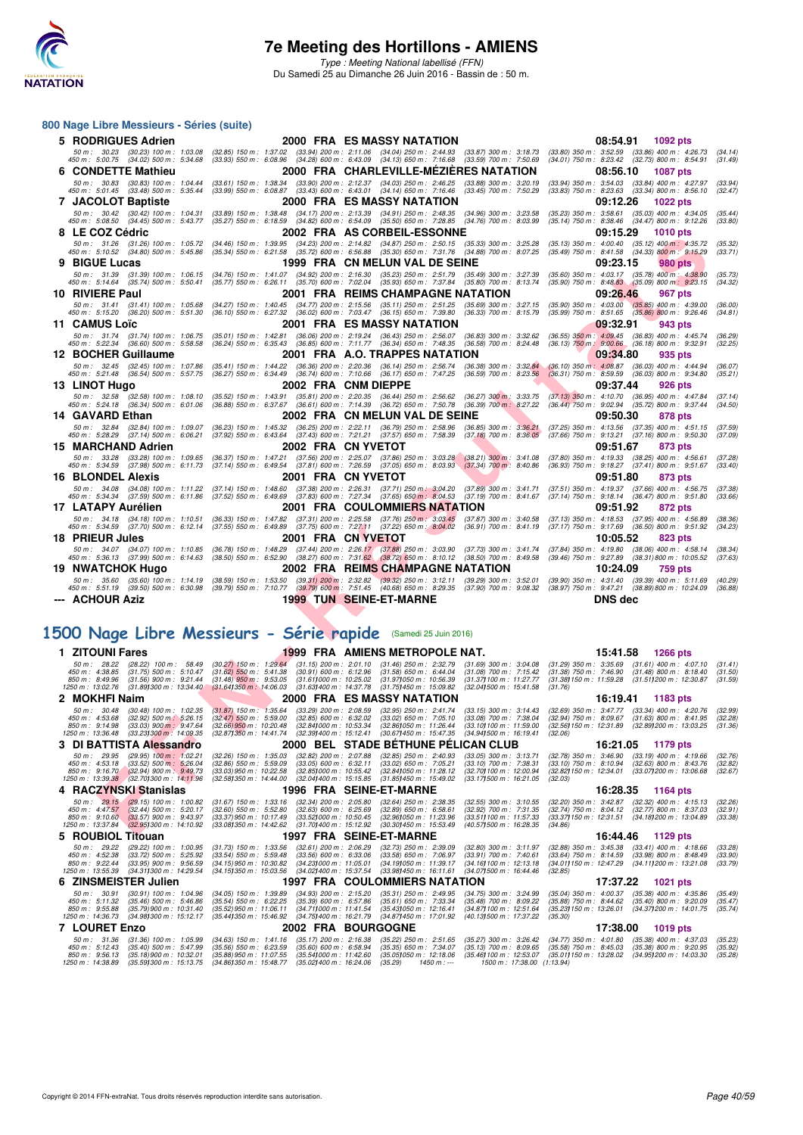

#### **800 Nage Libre Messieurs - Séries (suite)**

|    | 5 RODRIGUES Adrien                                                                                                                                                                                                                                             |                                                                                                                                                                                                                                                                                                                                                     | 2000 FRA ES MASSY NATATION                                                       |                                                                               | 08:54.91<br>1092 pts                                                                                              |                    |
|----|----------------------------------------------------------------------------------------------------------------------------------------------------------------------------------------------------------------------------------------------------------------|-----------------------------------------------------------------------------------------------------------------------------------------------------------------------------------------------------------------------------------------------------------------------------------------------------------------------------------------------------|----------------------------------------------------------------------------------|-------------------------------------------------------------------------------|-------------------------------------------------------------------------------------------------------------------|--------------------|
|    | 50 m : 30.23 (30.23) 100 m : 1:03.08<br>450 m : 5:00.75 (34.02) 500 m : 5:34.68                                                                                                                                                                                | (32.85) 150 m: 1:37.02 (33.94) 200 m: 2:11.06 (34.04) 250 m: 2:44.93 (33.87) 300 m: 3:18.73<br>(33.93) 550 m : 6:08.96 (34.28) 600 m : 6:43.09 (34.13) 650 m : 7:16.68 (33.59) 700 m : 7:50.69                                                                                                                                                      |                                                                                  |                                                                               | $(33.80)$ 350 m : $3.52.59$ $(33.86)$ 400 m : $4.26.73$<br>(34.01) 750 m : 8:23.42 (32.73) 800 m : 8:54.91        | (34.14)<br>(31.49) |
| 6. | <b>CONDETTE Mathieu</b>                                                                                                                                                                                                                                        |                                                                                                                                                                                                                                                                                                                                                     | 2000 FRA CHARLEVILLE-MEZIERES NATATION                                           |                                                                               | 08:56.10<br>1087 pts                                                                                              |                    |
|    | 50 m: 30.83 (30.83) 100 m: 1:04.44                                                                                                                                                                                                                             | $(33.61)$ 150 m : 1:38.34                                                                                                                                                                                                                                                                                                                           | $(33.90)$ 200 m : 2:12.37 $(34.03)$ 250 m : 2:46.25                              | (33.88) 300 m : 3:20.19                                                       | (33.94) 350 m: 3:54.03 (33.84) 400 m: 4:27.97                                                                     | (33.94)            |
|    | 450 m: 5:01.45 (33.48) 500 m: 5:35.44                                                                                                                                                                                                                          | $(33.99)$ 550 m : 6:08.87                                                                                                                                                                                                                                                                                                                           | $(33.43)$ 600 m : 6:43.01 $(34.14)$ 650 m : 7:16.46                              | $(33.45)$ 700 m : 7:50.29                                                     | (33.83) 750 m : 8:23.63 (33.34) 800 m : 8:56.10                                                                   | (32.47)            |
|    | 7 JACOLOT Baptiste                                                                                                                                                                                                                                             | (33.89) 150 m: 1:38.48 (34.17) 200 m: 2:13.39 (34.91) 250 m: 2:48.35 (34.96) 300 m: 3:23.58                                                                                                                                                                                                                                                         | 2000 FRA ES MASSY NATATION                                                       |                                                                               | 09:12.26<br>1022 pts                                                                                              |                    |
|    | 50 m: 30.42 (30.42) 100 m: 1:04.31<br>450 m: 5:08.50 (34.45) 500 m: 5:43.77                                                                                                                                                                                    | (35.27) 550 m: 6:18.59 (34.82) 600 m: 6:54.09 (35.50) 650 m: 7:28.85                                                                                                                                                                                                                                                                                |                                                                                  | $(34.76)$ 700 m : 8:03.99                                                     | (35.23) 350 m: 3:58.61 (35.03) 400 m: 4:34.05<br>(35.14) 750 m: 8:38.46 (34.47) 800 m: 9:12.26                    | (35.44)<br>(33.80) |
|    | 8 LE COZ Cédric                                                                                                                                                                                                                                                |                                                                                                                                                                                                                                                                                                                                                     | 2002 FRA AS CORBEIL-ESSONNE                                                      |                                                                               | 09:15.29<br><b>1010 pts</b>                                                                                       |                    |
|    | 50 m: 31.26 (31.26) 100 m: 1:05.72<br>450 m : 5:10.52 (34.80) 500 m : 5:45.86                                                                                                                                                                                  | (34.46) 150 m: 1:39.95 (34.23) 200 m: 2:14.82 (34.87) 250 m: 2:50.15<br>$(35.34)$ 550 m : 6:21.58 $(35.72)$ 600 m : 6:56.88 $(35.30)$ 650 m : 7:31.76                                                                                                                                                                                               |                                                                                  | $(35.33)$ 300 m : 3:25.28<br>$(34.88)$ 700 m : 8:07.25                        | (35.13) 350 m : 4:00.40 (35.12) 400 m : 4:35.72<br>(35.49) 750 m : 8:41.58 (34.33) 800 m : 9:15.29                | (35.32)<br>(33.71) |
| 9  | <b>BIGUE Lucas</b>                                                                                                                                                                                                                                             |                                                                                                                                                                                                                                                                                                                                                     | 1999 FRA CN MELUN VAL DE SEINE                                                   |                                                                               | 09:23.15<br>980 pts                                                                                               |                    |
|    | 50 m: 31.39<br>$(31.39)$ 100 m : 1:06.15                                                                                                                                                                                                                       | (34.76) 150 m : 1:41.07 (34.92) 200 m : 2:16.30                                                                                                                                                                                                                                                                                                     | $(35.23)$ 250 m : 2:51.79                                                        | (35.49) 300 m : 3:27.39                                                       | (35.60) 350 m : 4:03.17 (35.78) 400 m : 4:38.90                                                                   | (35.73)            |
|    | 450 m : 5:14.64 (35.74) 500 m : 5:50.41                                                                                                                                                                                                                        | $(35.77)$ 550 m : 6:26.11 $(35.70)$ 600 m : 7:02.04                                                                                                                                                                                                                                                                                                 | $(35.93)$ 650 m : 7:37.84                                                        | $(35.80)$ 700 m : 8:13.74                                                     | $(35.90)$ 750 m : 8:48.83 $(35.09)$ 800 m : 9:23.15                                                               | (34.32)            |
|    | 10 RIVIERE Paul                                                                                                                                                                                                                                                |                                                                                                                                                                                                                                                                                                                                                     | 2001 FRA REIMS CHAMPAGNE NATATION                                                |                                                                               | 09:26.46<br>967 pts                                                                                               |                    |
|    | 50 m: 31.41 (31.41) 100 m: 1:05.68<br>450 m : 5:15.20 (36.20) 500 m : 5:51.30                                                                                                                                                                                  | (34.27) 150 m : 1:40.45 (34.77) 200 m : 2:15.56 (35.11) 250 m : 2:51.25 (35.69) 300 m : 3:27.15<br>(36.10) 550 m : 6:27.32 (36.02) 600 m : 7:03.47 (36.15) 650 m : 7:39.80 (36.33) 700 m : 8:15.79                                                                                                                                                  |                                                                                  |                                                                               | $(35.90)$ 350 m : 4:03.00 $(35.85)$ 400 m : 4:39.00<br>(35.99) 750 m : 8:51.65 (35.86) 800 m : 9:26.46            | (36.00)<br>(34.81) |
|    | 11 CAMUS Loïc                                                                                                                                                                                                                                                  |                                                                                                                                                                                                                                                                                                                                                     | 2001 FRA ES MASSY NATATION                                                       |                                                                               | 09:32.91<br>943 pts                                                                                               |                    |
|    | 50 m: 31.74 (31.74) 100 m: 1:06.75                                                                                                                                                                                                                             | $(35.01)$ 150 m : 1:42.81 $(36.06)$ 200 m : 2:19.24 $(36.43)$ 250 m : 2:56.07                                                                                                                                                                                                                                                                       |                                                                                  | $(36.83)$ 300 m : 3:32.62                                                     | (36.55) 350 m: 4:09.45 (36.83) 400 m: 4:45.74                                                                     | (36.29)            |
|    | 450 m : 5:22.34 (36.60) 500 m : 5:58.58<br>12 BOCHER Guillaume                                                                                                                                                                                                 | $(36.24)$ 550 m : 6:35.43 $(36.85)$ 600 m : 7:11.77 $(36.34)$ 650 m : 7:48.35                                                                                                                                                                                                                                                                       | 2001 FRA A.O. TRAPPES NATATION                                                   | $(36.58)$ 700 m : 8:24.48                                                     | $(36.13)$ $750$ m: $9:00.66$ $(36.18)$ 800 m: $9:32.91$<br>09:34.80<br>935 pts                                    | (32.25)            |
|    | 50 m: 32.45 (32.45) 100 m: 1:07.86                                                                                                                                                                                                                             |                                                                                                                                                                                                                                                                                                                                                     |                                                                                  | $(36.38)$ 300 m : 3:32.84                                                     | (36.10) 350 m: 4:08.87 (36.03) 400 m: 4:44.94                                                                     | (36.07)            |
|    | 450 m : 5:21.48 (36.54) 500 m : 5:57.75                                                                                                                                                                                                                        | $(35.41)$ 150 m : 1:44.22 $(36.36)$ 200 m : 2:20.36 $(36.14)$ 250 m : 2:56.74<br>$(36.27)$ 550 m : 6:34.49 $(36.74)$ 600 m : 7:10.66 $(36.17)$ 650 m : 7:47.25                                                                                                                                                                                      |                                                                                  | $(36.59)$ 700 m : 8:23.56                                                     | $(36.31)$ 750 m : 8:59.59 $(36.03)$ 800 m : 9:34.80                                                               | (35.21)            |
|    | 13 LINOT Hugo                                                                                                                                                                                                                                                  |                                                                                                                                                                                                                                                                                                                                                     | 2002 FRA CNM DIEPPE                                                              |                                                                               | 09:37.44<br>926 pts                                                                                               |                    |
|    | 50 m: 32.58 (32.58) 100 m: 1:08.10<br>450 m : 5:24.18 (36.34) 500 m : 6:01.06                                                                                                                                                                                  | (35.52) 150 m: 1:43.91 (35.81) 200 m: 2:20.35 (36.44) 250 m: 2:56.62<br>(36.88) 550 m : 6:37.67 (36.61) 600 m : 7:14.39 (36.72) 650 m : 7:50.78                                                                                                                                                                                                     |                                                                                  | $(36.27)$ 300 m; 3:33.75<br>$(36.39)$ 700 m : 8:27.22                         | (37.13) 350 m: 4:10.70 (36.95) 400 m: 4:47.84<br>(36.44) 750 m: 9:02.94 (35.72) 800 m: 9:37.44                    | (37.14)<br>(34.50) |
|    | 14 GAVARD Ethan                                                                                                                                                                                                                                                |                                                                                                                                                                                                                                                                                                                                                     | 2002 FRA CN MELUN VAL DE SEINE                                                   |                                                                               | 09:50.30<br>878 pts                                                                                               |                    |
|    | 50 m: 32.84 (32.84) 100 m: 1:09.07                                                                                                                                                                                                                             | $\begin{array}{cccc} (36.23) \;\; 150\; m: & \; 1.45.32 & \; (36.25) \; 200\; m: & \; 2.22.11 & \; (36.79) \; 250\; m: & \; 2.58.96 \\ (37.92) \;\; 550\; m: & \; 6.43.64 & \; (37.43) \;\; 600\; m: & \; 7.21.21 & \; (37.57) \;\; 650\; m: & \; 7.58.39 \end{array}$                                                                              |                                                                                  | $(36.85)$ 300 m : 3:36.21                                                     | (37.25) 350 m: 4:13.56 (37.35) 400 m: 4:51.15                                                                     | (37.59)            |
|    | 450 m : 5:28.29 (37.14) 500 m : 6:06.21<br>15 MARCHAND Adrien                                                                                                                                                                                                  |                                                                                                                                                                                                                                                                                                                                                     | 2002 FRA CN YVETOT                                                               | $(37.18)$ 700 m : 8:36.05                                                     | $(37.66)$ 750 m : 9:13.21<br>$(37.16)$ 800 m : 9:50.30<br>09:51.67<br>873 pts                                     | (37.09)            |
|    | 50 m: 33.28 (33.28) 100 m: 1:09.65                                                                                                                                                                                                                             | $(36.37)$ 150 m : 1:47.21 $(37.56)$ 200 m : 2:25.07 $(37.86)$ 250 m : 3:03.28 $(38.21)$ 300 m : 3:41.08                                                                                                                                                                                                                                             |                                                                                  |                                                                               | $(37.80)$ 350 m : 4:19.33 $(38.25)$ 400 m : 4:56.61                                                               | (37.28)            |
|    | 450 m : 5:34.59 (37.98) 500 m : 6:11.73                                                                                                                                                                                                                        | (37.14) 550 m: 6:49.54 (37.81) 600 m: 7:26.59 (37.05) 650 m: 8:03.93                                                                                                                                                                                                                                                                                |                                                                                  | $(37.34)$ 700 m : 8:40.86                                                     | (36.93) 750 m: 9:18.27 (37.41) 800 m: 9:51.67                                                                     | (33.40)            |
|    | <b>16 BLONDEL Alexis</b>                                                                                                                                                                                                                                       |                                                                                                                                                                                                                                                                                                                                                     | 2001 FRA CN YVETOT                                                               |                                                                               | 09:51.80<br>873 pts                                                                                               |                    |
|    | 50 m: 34.08 (34.08) 100 m: 1:11.22<br>450 m : 5:34.34 (37.59) 500 m : 6:11.86                                                                                                                                                                                  | $(37.14)$ 150 m : 1:48.60 $(37.38)$ 200 m : 2:26.31 $(37.71)$ 250 m : 3:04.20 $(37.89)$ 300 m : 3:41.71 $(37.52)$ 550 m : 6:49.69 $(37.83)$ 600 m : 7:27.34 $(37.65)$ 650 m : 8:04.53 $(37.19)$ 700 m : 8:41.67                                                                                                                                     |                                                                                  |                                                                               | $(37.51)$ 350 m : 4:19.37 $(37.66)$ 400 m : 4:56.75<br>(37.14) 750 m : 9:18.14 (36.47) 800 m : 9:51.80            | (37.38)<br>(33.66) |
|    | 17 LATAPY Aurélien                                                                                                                                                                                                                                             |                                                                                                                                                                                                                                                                                                                                                     | 2001 FRA COULOMMIERS NATATION                                                    |                                                                               | 09:51.92<br>872 pts                                                                                               |                    |
|    | 50 m: 34.18 (34.18) 100 m: 1:10.51                                                                                                                                                                                                                             | (36.33) 150 m: 1:47.82 (37.31) 200 m: 2:25.58 (37.76) 250 m: 3:03.45 (37.87) 300 m: 3:40.58                                                                                                                                                                                                                                                         |                                                                                  |                                                                               | (37.13) 350 m: 4:18.53 (37.95) 400 m: 4:56.89                                                                     | (38.36)            |
|    |                                                                                                                                                                                                                                                                | (37.55) 550 m : 6:49.89                                                                                                                                                                                                                                                                                                                             | (37.75) 600 m : 7:27.11 (37.22) 650 m : 8:04.02<br>2001 FRA CN YVETOT            | $(36.91)$ 700 m : 8:41.19                                                     | $(37.17)$ 750 m : $9:17.69$<br>$(36.50)$ 800 m : 9:51.92<br>10:05.52<br>823 pts                                   | (34.23)            |
|    | 450 m : 5:34.59 (37.70) 500 m : 6:12.14                                                                                                                                                                                                                        |                                                                                                                                                                                                                                                                                                                                                     |                                                                                  |                                                                               |                                                                                                                   |                    |
|    | 18 PRIEUR Jules                                                                                                                                                                                                                                                |                                                                                                                                                                                                                                                                                                                                                     |                                                                                  |                                                                               |                                                                                                                   |                    |
|    | 50 m: 34.07 (34.07) 100 m: 1:10.85<br>450 m : 5:36.13 (37.99) 500 m : 6:14.63                                                                                                                                                                                  | $\begin{array}{cccc} (36.78) \ 150 \ m \colon \ 1.48.29 \quad \  (37.44) \ 200 \ m \colon \ 2.26.17 \quad \  (37.88) \ 250 \ m \colon \ 3.03.90 \quad \  (37.73) \ 300 \ m \colon \ 3.41.74 \\ (38.50) \ 550 \ m \colon \ 6.52.90 \quad \  (38.27) \ 600 \ m \colon \ 7.31.62 \quad \  (38.72) \ 650 \ m \colon \ 8.10.12 \quad \  (38.50) \ 700 \$ |                                                                                  |                                                                               | (37.84) 350 m: 4:19.80 (38.06) 400 m: 4:58.14<br>(39.46) 750 m : 9:27.89 (38.31) 800 m : 10:05.52                 | (38.34)<br>(37.63) |
|    | 19 NWATCHOK Hugo                                                                                                                                                                                                                                               |                                                                                                                                                                                                                                                                                                                                                     | 2002 FRA REIMS CHAMPAGNE NATATION                                                |                                                                               | 10:24.09<br><b>759 pts</b>                                                                                        |                    |
|    |                                                                                                                                                                                                                                                                |                                                                                                                                                                                                                                                                                                                                                     |                                                                                  |                                                                               | $(39.90)$ 350 m : 4:31.40 $(39.39)$ 400 m : 5:11.69<br>(38.97) 750 m : 9:47.21 (38.89) 800 m : 10:24.09 (36.88)   | (40.29)            |
|    | 50 m :   35.60   (35.60) 100 m :  1:14.19   (38.59) 150 m :  1:53.50   (39.31) 200 m :  2:32.82 <mark>(39.32</mark> ) 250 m :  3:12.11   (39.29) 300 m :  3:52.01<br>450 m :  5:51.19   (39.50) 500 m :  6:30.98   (39.79) 550 m :  7:10.77<br>--- ACHOUR Aziz |                                                                                                                                                                                                                                                                                                                                                     | <b>1999 TUN SEINE-ET-MARNE</b>                                                   |                                                                               | <b>DNS</b> dec                                                                                                    |                    |
|    |                                                                                                                                                                                                                                                                |                                                                                                                                                                                                                                                                                                                                                     |                                                                                  |                                                                               |                                                                                                                   |                    |
|    |                                                                                                                                                                                                                                                                |                                                                                                                                                                                                                                                                                                                                                     |                                                                                  |                                                                               |                                                                                                                   |                    |
|    | 500 Nage Libre Messieurs - Série rapide (Samedi 25 Juin 2016)                                                                                                                                                                                                  |                                                                                                                                                                                                                                                                                                                                                     |                                                                                  |                                                                               |                                                                                                                   |                    |
|    | 1 ZITOUNI Fares                                                                                                                                                                                                                                                |                                                                                                                                                                                                                                                                                                                                                     | 1999 FRA AMIENS METROPOLE NAT.                                                   |                                                                               | 15:41.58<br><b>1266 pts</b>                                                                                       |                    |
|    | 50 m: 28.22<br>$(28.22)$ 100 m : 58.49                                                                                                                                                                                                                         | $(31.15)$ 200 m : 2:01.10<br>$(30.27)$ 150 m : 1:29.64                                                                                                                                                                                                                                                                                              | $(31.46)$ 250 m : 2:32.79                                                        | $(31.69)$ 300 m : 3:04.08                                                     | (31.29) 350 m : 3:35.69<br>$(31.61)$ 400 m : 4:07.10                                                              | (31.41)            |
|    | 450 m: 4:38.85<br>$(31.75)$ 500 m : 5:10.47<br>850 m: 8:49.96<br>$(31.56)$ 900 m : 9:21.44                                                                                                                                                                     | $(31.62)$ 550 m : 5:41.38<br>$(30.91)$ 600 m : 6:12.96<br>$(31.48)$ 950 m : 9:53.05<br>$(31.611000 \text{ m} : 10.25.02)$                                                                                                                                                                                                                           | $(31.58)$ 650 m : 6:44.04<br>(31.971050 m: 10.56.39)                             | $(31.08)$ 700 m : 7:15.42<br>(31.371100 m: 11:27.77                           | $(31.38)$ 750 m : 7:46.90<br>$(31.48)$ 800 m : 8:18.40<br>(31.38) 150 m: 11.59.28 (31.51) 200 m: 12:30.87         | (31.50)<br>(31.59) |
|    | (31.89) 300 m : 13:34.40<br>1250 m: 13:02.76                                                                                                                                                                                                                   | (31.631400 m: 14:37.78)<br>$(31.64)350 \text{ m}: 14.06.03$                                                                                                                                                                                                                                                                                         | (31.75) 450 m : 15:09.82                                                         | (32.041500 m: 15:41.58)                                                       | (31.76)                                                                                                           |                    |
|    | 2 MOKHFI Naim<br>50 m: 30.48<br>$(30.48)$ 100 m : 1:02.35                                                                                                                                                                                                      | $(31.87)$ 150 m : 1:35.64<br>$(33.29)$ 200 m : 2:08.59                                                                                                                                                                                                                                                                                              | 2000 FRA ES MASSY NATATION<br>$(32.95)$ 250 m : 2:41.74                          |                                                                               | 16:19.41<br>1183 pts<br>$(32.69)$ 350 m : 3:47.77<br>$(33.34)$ 400 m : 4:20.76                                    | (32.99)            |
|    | $(32.92)$ 500 m $: 5.26.15$<br>450 m: 4:53.68                                                                                                                                                                                                                  | $(32.47)$ 550 m : 5:59.00<br>$(32.85)$ 600 m : 6:32.02                                                                                                                                                                                                                                                                                              | $(33.02)$ 650 m : 7:05.10                                                        | (33.15) 300 m : 3:14.43<br>(33.08) 700 m : 7:38.04                            | $(32.94)$ 750 m : 8:09.67<br>$(31.63)$ 800 m : 8:41.95                                                            | (32.28)            |
|    | 850 m: 9:14.98<br>$(33.03)$ 900 m : 9:47.64<br>(33.23) 300 m : 14:09.35<br>1250 m: 13:36.48                                                                                                                                                                    | (32.66) 950 m : 10:20.48<br>(32.841000 m: 10:53.34<br>(32.39) 400 m : 15:12.41<br>(32.87) 350 m : 14:41.74                                                                                                                                                                                                                                          | (32.86) 050 m: 11:26.44<br>(30.67) 450 m : 15:47.35                              | (33.10) 100 m : 11:59.00<br>(34.941500 m: 16:19.41                            | (32.56) 150 m: 12:31.89 (32.89) 200 m: 13:03.25<br>(32.06)                                                        | (31.36)            |
|    | 3 DI BATTISTA Alessandro                                                                                                                                                                                                                                       |                                                                                                                                                                                                                                                                                                                                                     | <b>2000 BEL STADE BETHUNE PELICAN CLUB</b>                                       |                                                                               | 16:21.05<br>1179 pts                                                                                              |                    |
|    | $(29.95)$ 100 m : 1:02.21<br>50 m: 29.95<br>450 m: 4:53.18<br>$(33.52)$ 500 m : 5:26.04                                                                                                                                                                        | $(32.82)$ 200 m : $2.07.88$<br>$(32.26)$ 150 m : 1:35.03<br>$(32.86)$ 550 m : 5:59.09<br>$(33.05)$ 600 m : 6:32.11                                                                                                                                                                                                                                  | $(32.85)$ 250 m : 2:40.93<br>$(33.02)$ 650 m : 7:05.21                           | (33.05) 300 m: 3:13.71<br>$(33.10)$ 700 m : 7:38.31                           | $(32.78)$ 350 m : 3:46.90 $(33.19)$ 400 m : 4:19.66<br>$(33.10)$ 750 m : 8:10.94 $(32.63)$ 800 m : 8:43.76        | (32.76)<br>(32.82) |
|    | 850 m: 9:16.70<br>$(32.94)$ 900 m : 9:49.73                                                                                                                                                                                                                    | $(33.03)$ 950 m : 10:22.58<br>(32.85) 000 m : 10:55.42                                                                                                                                                                                                                                                                                              | (32.84) 050 m: 11:28.12                                                          | (32.70) 100 m : 12:00.94                                                      | (32.82) 150 m : 12:34.01<br>(33.07) 200 m : 13:06.68                                                              | (32.67)            |
|    | 1250 m: 13:39.38<br>$(32.70)300 \text{ m}$ : 14:11.96<br>4 RACZYNSKI Stanislas                                                                                                                                                                                 | (32.58) 350 m : 14:44.00<br>(32.04) 400 m : 15:15.85                                                                                                                                                                                                                                                                                                | (31.85) 450 m : 15:49.02<br>1996 FRA SEINE-ET-MARNE                              | (33.171500 m: 16:21.05                                                        | (32.03)<br>16:28.35<br>1164 pts                                                                                   |                    |
|    | $50 \text{ m}$ : $29.15$<br>$(29.15)$ 100 m : 1:00.82                                                                                                                                                                                                          | $(32.34)$ 200 m : 2:05.80<br>$(31.67)$ 150 m : 1:33.16                                                                                                                                                                                                                                                                                              | $(32.64)$ 250 m : 2:38.35                                                        | $(32.55)$ 300 m : 3:10.55                                                     | (32.20) 350 m: 3:42.87 (32.32) 400 m: 4:15.13                                                                     | (32.26)            |
|    | $(32.44)$ 500 m : 5:20.17<br>450 m : 4:47.57<br>850 m : 9:10.60<br>$(33.57)$ 900 m : 9:43.97<br>1250 m : 13:37.84<br>$(32.951300 \text{ m} : 14.10.92)$                                                                                                        | $(32.63)$ 600 m : 6:25.69<br>$(32.60)$ 550 m : 5:52.80<br>(33.37) 950 m : 10:17.49<br>(33.52) 000 m : 10:50.45<br>(33.08) 350 m : 14:42.62 (31.70) 400 m : 15:12.92                                                                                                                                                                                 | $(32.89)$ 650 m : 6:58.61<br>(32.96) 050 m: 11:23.96<br>(30.301450 m : 15:53.49) | (32.92) 700 m : 7:31.35<br>(33.51) 100 m: 11:57.33<br>(40.571500 m: 16:28.35) | $(32.74)$ 750 m : 8:04.12 $(32.77)$ 800 m : 8:37.03<br>(33.37) 150 m: 12:31.51 (34.18) 200 m: 13:04.89<br>(34.86) | (32.91)<br>(33.38) |

## **[1500 Nage Libre Messieurs - Série rapide](http://www.ffnatation.fr/webffn/resultats.php?idact=nat&go=epr&idcpt=38947&idepr=56)** (Samedi 25 Juin 2016)

| <b>ZITOUNI Fares</b>                                                                                                                                                                                                                 |                                                                                                                            | <b>1999 FRA AMIENS METROPOLE NAT.</b>                                                                          |                                                                                                                          |                                                                                                                | 15:41.58                                                                                                               | 1266 pts                                                                          |                                |
|--------------------------------------------------------------------------------------------------------------------------------------------------------------------------------------------------------------------------------------|----------------------------------------------------------------------------------------------------------------------------|----------------------------------------------------------------------------------------------------------------|--------------------------------------------------------------------------------------------------------------------------|----------------------------------------------------------------------------------------------------------------|------------------------------------------------------------------------------------------------------------------------|-----------------------------------------------------------------------------------|--------------------------------|
| 50 m: 28.22<br>$(28.22)$ 100 m : 58.49<br>450 m : 4:38.85<br>$(31.75)$ 500 m : 5:10.47<br>850 m : 8:49.96<br>$(31.56)$ 900 m : 9:21.44<br>1250 m : 13:02.76<br>(31.891300 m : 13:34.40                                               | $(30.27)$ 150 m : 1:29.64<br>$(31.62)$ 550 m : 5:41.38<br>$(31.48)$ 950 m : 9:53.05<br>$(31.641350 \text{ m} : 14.06.03)$  | $(31.15)$ 200 m : 2:01.10<br>$(30.91)$ 600 m : 6:12.96<br>(31.611000 m : 10:25.02<br>(31.631400 m : 14:37.78   | $(31.46)$ 250 m : 2:32.79<br>$(31.58)$ 650 m : 6:44.04<br>(31.971050 m : 10.56.39<br>(31.751450 m : 15:09.82             | $(31.69)$ 300 m : 3:04.08<br>$(31.08)$ 700 m : 7:15.42<br>(31.371100 m : 11:27.77<br>(32.041500 m: 15:41.58    | $(31.29)$ 350 m : 3:35.69<br>$(31.38)$ 750 m : 7:46.90<br>(31.38) 150 m : 11:59.28 (31.51) 200 m : 12:30.87<br>(31.76) | $(31.61)$ 400 m : 4:07.10<br>$(31.48)$ 800 m : 8:18.40                            | (31.41)<br>(31.50)<br>(31.59)  |
| 2 MOKHFI Naim                                                                                                                                                                                                                        |                                                                                                                            | <b>2000 FRA ES MASSY NATATION</b>                                                                              |                                                                                                                          |                                                                                                                | 16:19.41                                                                                                               | 1183 pts                                                                          |                                |
| $50 \text{ m}$ : $30.48$<br>$(30.48)$ 100 m : 1:02.35<br>450 m : 4:53.68<br>$(32.92)$ 500 m; 5:26.15<br>850 m : 9:14.98<br>$(33.03)$ 900 m : 9:47.64<br>1250 m : 13:36.48<br>(33.23) 300 m : 14:09.35                                | $(31.87)$ 150 m : 1:35.64<br>$(32.47)$ 550 m : 5:59.00<br>$(32.66)$ 950 m : 10:20.48<br>(32.871350 m : 14:41.74)           | $(33.29)$ 200 m : 2:08.59<br>$(32.85)$ 600 m : 6:32.02<br>(32.841000 m : 10:53.34<br>(32.391400 m : 15:12.41   | $(32.95)$ 250 m : 2:41.74<br>$(33.02)$ 650 m : 7:05.10<br>(32.861050 m : 11:26.44)<br>(30.671450 m : 15:47.35            | $(33.15)$ 300 m : 3:14.43<br>(33.08) 700 m : 7:38.04<br>(33.101100 m: 11:59.00<br>(34.941500 m : 16:19.41      | $(32.69)$ 350 m : 3:47.77<br>$(32.94)$ 750 m : $8.09.67$<br>(32.56) 150 m : 12:31.89<br>(32.06)                        | $(33.34)$ 400 m : 4:20.76<br>$(31.63)$ 800 m : 8:41.95<br>(32.891200 m : 13:03.25 | (32.99)<br>(32.28)<br>(31.36)  |
| 3 DI BATTISTA Alessandro                                                                                                                                                                                                             |                                                                                                                            | 2000 BEL STADE BÉTHUNE PÉLICAN CLUB                                                                            |                                                                                                                          |                                                                                                                | 16:21.05                                                                                                               | 1179 pts                                                                          |                                |
| 50 m : 29.95<br>(29.95) 100 m : 1:02.21<br>450 m : 4:53.18<br>$(33.52)$ 500 m : 5:26.04<br>$850 \text{ m}$ : 9:16.70<br>$(32.94)$ 900 m : 9:49.73<br>1250 m : 13:39.38 (32.701300 m : 14:11.96                                       | $(32.26)$ 150 m : 1:35.03<br>$(32.86)$ 550 m : 5:59.09<br>$(33.03)$ 950 m : 10:22.58<br>$(32.581350 \text{ m} : 14.44.00)$ | $(32.82)$ 200 m : 2:07.88<br>$(33.05)$ 600 m : 6:32.11<br>(32.851000 m : 10:55.42)<br>(32.041400 m : 15:15.85  | $(32.85)$ 250 m : 2:40.93<br>$(33.02)$ 650 m : 7:05.21<br>(32.841050 m : 11:28.12)<br>(31.85) 450 m : 15:49.02           | $(33.05)$ 300 m : 3:13.71<br>$(33.10)$ 700 m : 7:38.31<br>(32.701100 m : 12:00.94<br>(33.171500 m: 16:21.05    | $(32.78)$ 350 m : 3:46.90<br>$(33.10)$ 750 m : 8:10.94<br>(32.821150 m : 12:34.01<br>(32.03)                           | $(33.19)$ 400 m : 4:19.66<br>$(32.63)$ 800 m : 8:43.76<br>(33.071200 m: 13:06.68  | (32.76)<br>(32.82)<br>(32.67)  |
| 4 RACZYNSKI Stanislas                                                                                                                                                                                                                |                                                                                                                            | 1996 FRA SEINE-ET-MARNE                                                                                        |                                                                                                                          |                                                                                                                | 16:28.35                                                                                                               | 1164 pts                                                                          |                                |
| $(29.15)$ 100 m : 1:00.82<br>$50 \text{ m}$ : 29.15<br>$450 \text{ m}$ : $4.47.57$<br>$(32.44)$ 500 m : 5:20.17<br>$(33.57)$ 900 m : 9:43.97<br>$850 \text{ m}$ : 9:10.60<br>1250 m : 13:37.84<br>$(32.951300 \text{ m} : 14.10.92)$ | $(31.67)$ 150 m : 1:33.16<br>$(32.60)$ 550 m : 5:52.80<br>$(33.37)$ 950 m : 10:17.49<br>(33.08) 350 m : 14:42.62           | $(32.34)$ 200 m : $2.05.80$<br>$(32.63)$ 600 m : 6:25.69<br>(33.521000 m : 10:50.45<br>(31.701400 m : 15:12.92 | $(32.64)$ 250 m : 2:38.35<br>$(32.89)$ 650 m : 6:58.61<br>(32.961050 m : 11:23.96)<br>(30.301450 m : 15:53.49)           | $(32.55)$ 300 m : 3:10.55<br>$(32.92)$ 700 m : 7:31.35<br>(33.511100 m: 11:57.33<br>(40.571500 m : 16:28.35    | $(32.20)$ 350 m : 3:42.87<br>$(32.74)$ 750 m : 8:04.12<br>(33.37) 150 m : 12:31.51 (34.18) 200 m : 13:04.89<br>(34.86) | $(32.32)$ 400 m : 4:15.13<br>(32.77) 800 m : 8:37.03                              | (32.26)<br>(32.91)<br>(33.38)  |
| 5 ROUBIOL Titouan                                                                                                                                                                                                                    |                                                                                                                            | 1997 FRA SEINE-ET-MARNE                                                                                        |                                                                                                                          |                                                                                                                | 16:44.46                                                                                                               | 1129 pts                                                                          |                                |
| $50 \text{ m}$ : 29.22<br>$(29.22)$ 100 m : 1:00.95<br>450 m : 4:52.38<br>$(33.72)$ 500 m : 5:25.92<br>$850 \text{ m}$ : 9:22.44<br>$(33.95)$ 900 m : 9:56.59<br>1250 m : 13:55.39<br>(34.311300 m : 14:29.54                        | $(31.73)$ 150 m : 1:33.56<br>$(33.54)$ 550 m : 5:59.48<br>(34.15) 950 m : 10:30.82<br>(34.151350 m : 15:03.56              | $(32.61)$ 200 m : 2:06.29<br>$(33.56)$ 600 m : 6:33.06<br>(34.231000 m: 11.05.01<br>(34.021400 m : 15:37.54    | $(32.73)$ 250 m : 2:39.09<br>$(33.58)$ 650 m : 7:06.97<br>(34.191050 m : 11:39.17)<br>$(33.981450 \text{ m} : 16.11.61)$ | $(32.80)$ 300 m : 3:11.97<br>$(33.91)$ 700 m : 7:40.61<br>(34.16) 100 m : 12:13.18<br>(34.071500 m : 16:44.46) | $(32.88)$ 350 m : 3:45.38<br>$(33.64)$ 750 m : 8:14.59<br>(34.011150 m : 12:47.29)<br>(32.85)                          | $(33.41)$ 400 m : 4:18.66<br>$(33.98)$ 800 m : 8:48.49<br>(34.111200 m: 13:21.08) | (33.28)<br>(33.90)<br>(33.79)  |
| 6 ZINSMEISTER Julien                                                                                                                                                                                                                 |                                                                                                                            | <b>1997 FRA COULOMMIERS NATATION</b>                                                                           |                                                                                                                          |                                                                                                                | 17:37.22                                                                                                               | <b>1021 pts</b>                                                                   |                                |
| 50 m: 30.91<br>$(30.91)$ 100 m : 1:04.96<br>450 m: 5:11.32<br>$(35.46)$ 500 m : 5:46.86<br>850 m : 9:55.88<br>$(35.79)$ 900 m : 10:31.40<br>1250 m : 14:36.73<br>(34.981300 m : 15:12.17                                             | (34.05) 150 m : 1:39.89<br>$(35.54)$ 550 m : 6:22.25<br>$(35.52)$ 950 m : 11:06.11<br>(35.441350 m : 15.46.92)             | $(34.93)$ 200 m : 2:15.20<br>$(35.39)$ 600 m : 6:57.86<br>(34.711000 m : 11:41.54)<br>(34.751400 m : 16:21.79  | $(35.31)$ 250 m : 2:49.95<br>$(35.61)$ 650 m : 7:33.34<br>(35.431050 m : 12:16.41)<br>(34.87) 450 m : 17:01.92           | $(34.75)$ 300 m : 3:24.99<br>(35.48) 700 m : 8:09.22<br>(34.871100 m : 12:51.64<br>(40.131500 m: 17:37.22)     | $(35.04)$ 350 m : 4:00.37<br>$(35.88)$ 750 m : 8:44.62<br>(35.23) 150 m : 13:26.01<br>(35.30)                          | $(35.38)$ 400 m : 4:35.86<br>$(35.40)$ 800 m : 9:20.09<br>(34.371200 m : 14:01.75 | (35.49)<br>(35.47)<br>(35, 74) |
| 7 LOURET Enzo                                                                                                                                                                                                                        |                                                                                                                            | 2002 FRA BOURGOGNE                                                                                             |                                                                                                                          |                                                                                                                | 17:38.00                                                                                                               | 1019 pts                                                                          |                                |
| 50 m: 31.36<br>$(31.36)$ 100 m : 1:05.99<br>$450 \text{ m}$ : $5:12.43$<br>(35.40) 500 m : 5:47.99<br>850 m: 9:56.13<br>$(35.18)$ 900 m : 10:32.01<br>1250 m : 14:38.89<br>(35.591300 m : 15:13.75                                   | $(34.63)$ 150 m : 1:41.16<br>$(35.56)$ 550 m : 6:23.59<br>$(35.88)$ 950 m : 11:07.55<br>(34.861350 m : 15:48.77            | $(35.17)$ 200 m : 2:16.38<br>$(35.60)$ 600 m : 6:58.94<br>(35.541000 m: 11:42.60<br>(35.021400 m: 16:24.06     | $(35.22)$ 250 m : 2:51.65<br>$(35.35)$ 650 m : 7:34.07<br>(35.051050 m : 12:18.06)<br>(35.29)<br>$1450 m$ : ---          | (35.27) 300 m : 3:26.42<br>$(35.13)$ 700 m : 8:09.65<br>(35.461100 m : 12:53.07<br>1500 m: 17:38.00 (1:13.94)  | $(34.77)$ 350 m : 4:01.80<br>$(35.58)$ 750 m : 8:45.03<br>(35.011150 m : 13:28.02)                                     | $(35.38)$ 400 m : 4:37.03<br>$(35.38)$ 800 m : 9:20.95<br>(34.951200 m : 14:03.30 | (35.23)<br>(35.92)<br>(35.28)  |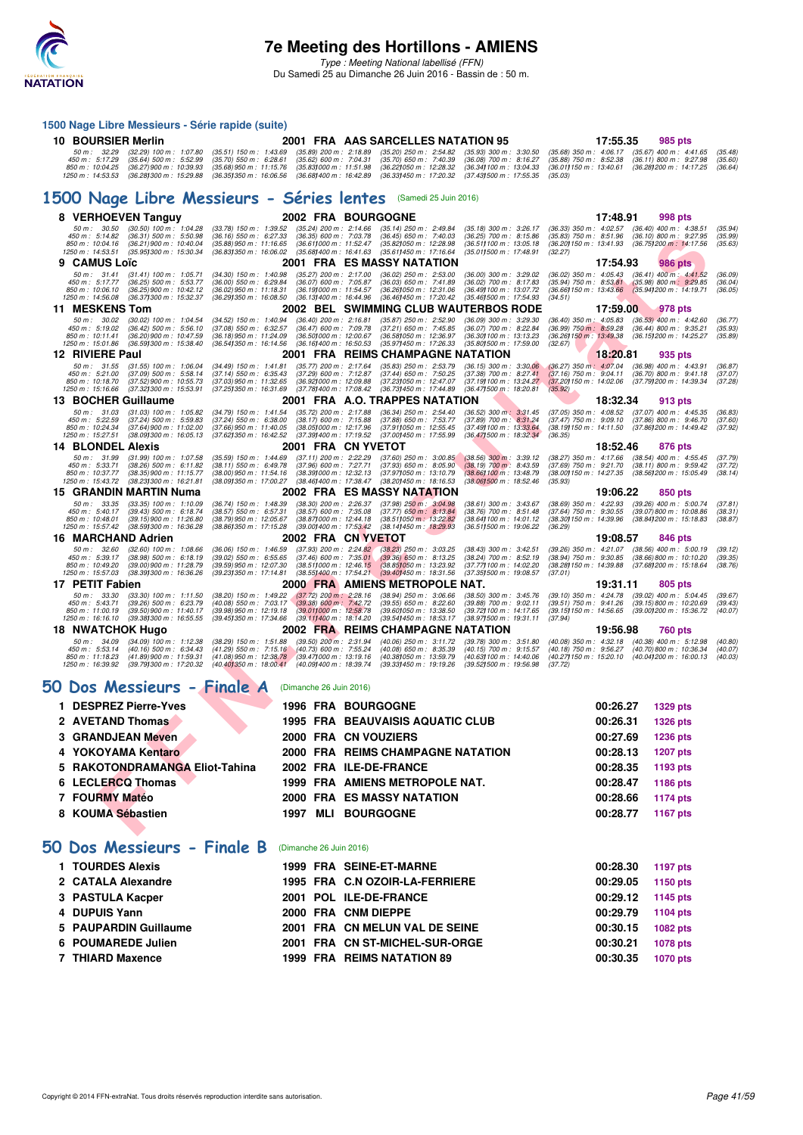

#### **1500 Nage Libre Messieurs - Série rapide (suite)**

| 10 BOURSIER Merlin |                                                                                                                                                                                                 | 2001 FRA AAS SARCELLES NATATION 95 |  | 17:55.35 985 pts |  |
|--------------------|-------------------------------------------------------------------------------------------------------------------------------------------------------------------------------------------------|------------------------------------|--|------------------|--|
|                    | 50 m: 32.29 (32.29) 100 m: 1:07.80 (35.51) 150 m: 1:43.69 (35.89) 200 m: 2:18.89 (35.20) 250 m: 2:54.82 (35.93) 300 m: 3:30.50 (35.68) 350 m: 4:06.17 (35.67) 400 m: 4:41.65 (35.48)            |                                    |  |                  |  |
|                    | 450 m : 5:17.29 (35.64) 500 m : 5:52.99 (35.70) 550 m : 6:28.61 (35.62) 600 m : 7:04.31 (35.70) 650 m : 7:40.39 (36.08) 700 m : 8:16.27 (35.88) 750 m : 8:52.38 (36.11) 800 m : 9:27.98 (35.60) |                                    |  |                  |  |
|                    | 850 m: 10:04.25 (36.27)900 m: 10:39.93 (35.68)950 m: 11:15.76 (35.831000 m: 11:51.98 (36.221050 m: 12:28.32 (36.341100 m: 13:04.33 (36.011150 m: 13:40.61 (36.281200 m: 14:17.25 (36.64)        |                                    |  |                  |  |
|                    | 1250 m : 14:53.53 (36.281300 m : 15:29.88 (36.351350 m : 16:06.56 (36.681400 m : 16:42.89 (36.331450 m : 17:20.32 (37.431500 m : 17:55.35 (35.03)                                               |                                    |  |                  |  |

#### **[1500 Nage Libre Messieurs - Séries lentes](http://www.ffnatation.fr/webffn/resultats.php?idact=nat&go=epr&idcpt=38947&idepr=56)** (Samedi 25 Juin 2016)

| 8 VERHOEVEN Tanguy                                                                                                                                                                       |                                                                                                                                                                                                                                 | <b>2002 FRA BOURGOGNE</b>                                                                                                                                                                                                                       | 17:48.91<br>998 pts                                                                                                                                                                                                             |
|------------------------------------------------------------------------------------------------------------------------------------------------------------------------------------------|---------------------------------------------------------------------------------------------------------------------------------------------------------------------------------------------------------------------------------|-------------------------------------------------------------------------------------------------------------------------------------------------------------------------------------------------------------------------------------------------|---------------------------------------------------------------------------------------------------------------------------------------------------------------------------------------------------------------------------------|
| 50 m: 30.50<br>$(30.50)$ 100 m : 1:04.28<br>450 m: 5:14.82<br>(36.31) 500 m : 5:50.98<br>850 m : 10:04.16<br>(36.21) 900 m : 10:40.04<br>1250 m: 14:53.51<br>(35.95) 300 m : 15:30.34    | (33.78) 150 m : 1:39.52<br>$(35.24)$ 200 m : 2:14.66<br>(36.35) 600 m : 7:03.78<br>$(36.16)$ 550 m : 6:27.33<br>(35.88) 950 m : 11:16.65<br>(36.611000 m: 11:52.47)<br>(36.83) 350 m : 16:06.02<br>(35.68) 400 m : 16:41.63     | $(35.14)$ 250 m : 2:49.84<br>$(35.18)$ 300 m : 3:26.17<br>$(36.45)$ 650 m : 7:40.03<br>$(36.25)$ 700 m : 8:15.86<br>(35.82) 050 m: 12:28.98<br>(36.511100 m: 13:05.18)<br>(35.011500 m: 17:48.91<br>(35.611450 m: 17:16.64                      | $(36.33)$ 350 m : 4:02.57<br>$(36.40)$ 400 m : 4:38.51<br>(35.94)<br>$(35.83)$ 750 m : $8.51.96$<br>$(36.10)$ 800 m : 9:27.95<br>(35.99)<br>(36.20) 150 m : 13:41.93<br>$(36.75)200 \text{ m}$ : 14:17.56<br>(35.63)<br>(32.27) |
| <b>CAMUS Loïc</b>                                                                                                                                                                        |                                                                                                                                                                                                                                 | 2001 FRA ES MASSY NATATION                                                                                                                                                                                                                      | 17:54.93<br>986 pts                                                                                                                                                                                                             |
| 50 m: 31.41<br>$(31.41)$ 100 m : 1:05.71<br>450 m : 5:17.77<br>$(36.25)$ 500 m : 5:53.77<br>850 m: 10:06.10<br>(36.25) 900 m : 10:42.12<br>1250 m: 14:56.08<br>(36.37) 300 m : 15:32.37  | $(34.30)$ 150 m : 1:40.98<br>$(35.27)$ 200 m : 2:17.00<br>$(36.00)$ 550 m : 6:29.84<br>$(36.07)$ 600 m : 7:05.87<br>(36.19) 000 m: 11:54.57<br>(36.02) 950 m : 11:18.31<br>(36.291350 m: 16:08.50<br>(36.131400 m: 16:44.96)    | $(36.02)$ 250 m : 2:53.00<br>$(36.00)$ 300 m : 3:29.02<br>$(36.03)$ 650 m : 7:41.89<br>$(36.02)$ 700 m : 8:17.83<br>(36.26) 050 m : 12:31.06<br>(36.49) 100 m : 13:07.72<br>(36.46) 450 m : 17:20.42<br>(35.46) 500 m: 17:54.93                 | (36.02) 350 m: 4:05.43 (36.41) 400 m: 4:41.52<br>(36.09)<br>$(35.94)$ 750 m : 8:53.81<br>$(35.98) 800 \text{ m}$ : 9:29.85<br>(36.04)<br>(36.66) 150 m : 13:43.66<br>(35.94) 200 m : 14:19.71<br>(36.05)<br>(34.51)             |
| 11 MESKENS Tom                                                                                                                                                                           |                                                                                                                                                                                                                                 | 2002   BEL   SWIMMING CLUB WAUTERBOS RODE                                                                                                                                                                                                       | 17:59.00<br><b>978</b> pts                                                                                                                                                                                                      |
| 50 m: 30.02<br>(30.02) 100 m : 1:04.54<br>450 m : 5:19.02<br>$(36.42)$ 500 m : 5:56.10<br>850 m: 10:11.41<br>(36.20) 900 m : 10:47.59<br>1250 m: 15:01.86<br>(36.591300 m: 15:38.40)     | $(36.40)$ 200 m : 2:16.81<br>(34.52) 150 m : 1:40.94<br>(37.08) 550 m : 6:32.57<br>$(36.47)$ 600 m : 7:09.78<br>(36.18) 950 m: 11:24.09<br>(36.501000 m: 12:00.67<br>(36.541350 m: 16:14.56)<br>(36.161400 m: 16:50.53          | $(35.87)$ 250 m : 2:52.90<br>$(36.09)$ 300 m : 3:29.30<br>(37.21) 650 m : 7:45.85<br>$(36.07)$ 700 m : 8:22.84<br>(36.58) 050 m: 12:36.97<br>(36.30) 100 m : 13:13.23<br>(35.97) 450 m : 17:26.33<br>(35.801500 m: 17:59.00                     | $(36.40)$ 350 m : 4:05.83<br>$(36.53)$ 400 m : 4:42.60<br>(36.77)<br>$(36.99)$ 750 m : 8.59.28<br>(35.93)<br>$(36.44)$ 800 m : 9:35.21<br>(36.26) 150 m : 13:49.38<br>(36.15) 200 m : 14:25.27<br>(35.89)<br>(32.67)            |
| 12 RIVIERE Paul                                                                                                                                                                          |                                                                                                                                                                                                                                 | 2001 FRA REIMS CHAMPAGNE NATATION                                                                                                                                                                                                               | 18:20.81<br>935 pts                                                                                                                                                                                                             |
| 50 m: 31.55<br>$(31.55)$ 100 m : 1:06.04<br>450 m: 5:21.00<br>(37.09) 500 m : 5:58.14<br>$(37.52)$ 900 m : 10:55.73<br>850 m: 10:18.70<br>1250 m : 15:16.66<br>(37.321300 m: 15:53.91    | $(34.49)$ 150 m : 1:41.81<br>$(35.77)$ 200 m : 2:17.64<br>$(37.14)$ 550 m : 6:35.43<br>(37.29) 600 m : 7:12.87<br>(37.03) 950 m: 11:32.65<br>(36.921000 m: 12:09.88<br>(37.251350 m : 16:31.69<br>(37.781400 m : 17:08.42)      | (35.83) 250 m : 2:53.79<br>$(36.15)$ 300 m : 3:30.06<br>(37.44) 650 m : 7:50.25<br>$(37.38)$ 700 m : 8:27.41<br>(37.231050 m: 12:47.07<br>(37.191100 m: 13:24.27)<br>(36.731450 m : 17:44.89)<br>$(36.47)500 \text{ m}$ : 18:20.81              | $(36.27)$ 350 m : 4:07.04<br>$(36.98)$ 400 m : 4:43.91<br>(36.87)<br>$(37.16)$ 750 m : 9:04.11<br>$(36.70)$ 800 m : 9:41.18<br>(37.07)<br>(37.20) 150 m : 14:02.06<br>(37.79) 200 m : 14:39.34<br>(37.28)<br>(35.92)            |
| 13 BOCHER Guillaume                                                                                                                                                                      |                                                                                                                                                                                                                                 | 2001 FRA A.O. TRAPPES NATATION                                                                                                                                                                                                                  | 18:32.34<br>913 pts                                                                                                                                                                                                             |
| 50 m : 31.03<br>$(31.03)$ 100 m : 1:05.82<br>450 m: 5:22.59<br>$(37.24)$ 500 m : 5:59.83<br>850 m: 10:24.34<br>(37.64) 900 m : 11:02.00<br>1250 m : 15:27.51<br>(38.09) 300 m : 16:05.13 | (35.72) 200 m : 2:17.88<br>(34.79) 150 m : 1:41.54<br>$(37.24)$ 550 m : 6:38.00<br>$(38.17)$ 600 m : 7:15.88<br>(37.66) 950 m: 11:40.05<br>(38.051000 m: 12:17.96<br>(37.62) 350 m : 16:42.52<br>(37.39) 400 m : 17:19.52       | $(36.34)$ 250 m : 2:54.40<br>$(36.52)$ 300 m : 3:31.45<br>$(37.88)$ 650 m : 7:53.77<br>$(37.89)$ 700 m : 8:31.24<br>(37.911050 m: 12:55.45)<br>(37.49) 100 m : 13:33.64<br>(37.00) 450 m : 17:55.99<br>(36.471500 m : 18:32.34)                 | $(37.05)$ 350 m : 4:08.52<br>$(37.07)$ 400 m : 4:45.35<br>(36.83)<br>$(37.47)$ 750 m : 9:09.10<br>$(37.86)$ 800 m : 9:46.70<br>(37.60)<br>(38.19) 150 m: 14:11.50<br>(37.861200 m : 14:49.42)<br>(37.92)<br>(36.35)             |
| <b>14 BLONDEL Alexis</b>                                                                                                                                                                 |                                                                                                                                                                                                                                 | 2001 FRA CN YVETOT                                                                                                                                                                                                                              | 18:52.46<br>876 pts                                                                                                                                                                                                             |
| 50 m: 31.99<br>$(31.99)$ 100 m : 1:07.58<br>450 m : 5:33.71<br>$(38.26)$ 500 m : 6:11.82<br>850 m: 10:37.77<br>(38.35) 900 m : 11:15.77<br>1250 m: 15:43.72<br>(38.23) 300 m : 16:21.81  | $(35.59)$ 150 m : 1:44.69<br>$(37.11)$ 200 m : 2:22.29<br>(38.11) 550 m : 6:49.78<br>(37.96) 600 m : 7:27.71<br>(38.00) 950 m: 11:54.16<br>(38.39) 000 m : 12:32.13<br>(38.09) 350 m : 17:00.27<br>(38.46) 400 m : 17:38.47     | $(37.60)$ 250 m : 3:00.85<br>$(38.56)$ 300 m : 3:39.12<br>$(38.19)$ 700 m : 8:43.59<br>$(37.93)$ 650 m : 8:05.90<br>(37.971050 m : 13:10.79<br>(38.66) 100 m : 13:48.79<br>(38.20) 450 m : 18:16.53<br>(38.061500 m : 18:52.46                  | $(38.27)$ 350 m : 4:17.66<br>$(38.54)$ 400 m : 4:55.45<br>(37.79)<br>(37.69) 750 m : 9:21.70<br>$(38.11)$ 800 m : 9:59.42<br>(37.72)<br>(38.00) 150 m : 14:27.35<br>(38.56) 200 m : 15:05.49<br>(38.14)<br>(35.93)              |
| 15 GRANDIN MARTIN Numa                                                                                                                                                                   |                                                                                                                                                                                                                                 | <b>2002 FRA ES MASSY NATATION</b>                                                                                                                                                                                                               | 19:06.22<br>850 pts                                                                                                                                                                                                             |
| 50 m: 33.35<br>$(33.35)$ 100 m : 1:10.09<br>450 m : 5:40.17<br>$(39.43)$ 500 m : 6:18.74<br>850 m: 10:48.01<br>(39.15) 900 m : 11:26.80<br>1250 m: 15:57.42<br>(38.591300 m : 16:36.28   | (36.74) 150 m : 1:48.39<br>$(38.30)$ 200 m : 2:26.37<br>(38.57) 550 m : 6:57.31<br>$(38.57)$ 600 m : 7:35.08<br>(38.79) 950 m : 12:05.67<br>(38.87) 000 m: 12:44.18<br>(38.861350 m: 17:15.28)<br>(39.001400 m : 17:53.42)      | $(37.98)$ $250$ m : $3:04.98$<br>$(38.61)$ 300 m : 3:43.67<br>$(37.77)$ 650 m : 8:13.84<br>$(38.76)$ 700 m : $8:51.48$<br>$(38.51)050 \text{ m}$ : 13:22.82<br>(38.64) 100 m : 14:01.12<br>(38.14) 450 m : 18:29.93<br>(36.511500 m : 19:06.22) | $(38.69)$ 350 m : 4:22.93<br>$(39.26)$ 400 m : 5:00.74<br>(37.81)<br>$(37.64)$ 750 m : $9:30.55$<br>$(39.07)800 \text{ m}$ : 10:08.86<br>(38.31)<br>(38.30) 150 m : 14:39.96<br>(38.841200 m: 15:18.83)<br>(38.87)<br>(36.29)   |
| 16 MARCHAND Adrien                                                                                                                                                                       |                                                                                                                                                                                                                                 | <b>2002 FRA CNYVETOT</b>                                                                                                                                                                                                                        | 19:08.57<br>846 pts                                                                                                                                                                                                             |
| $(32.60)$ 100 m : 1:08.66<br>50 m : 32.60<br>450 m : 5:39.17<br>(38.98) 500 m: 6:18.19<br>850 m: 10:49.20<br>(39.00) 900 m : 11:28.79<br>1250 m: 15:57.03<br>(38.39) 300 m : 16:36.26    | $(36.06)$ 150 m : 1:46.59<br>$(37.93)$ 200 m : 2:24.82<br>$(37.46)$ 600 m : 7:35.01<br>$(39.02)$ 550 m : 6:55.65<br>(39.59) 950 m : 12:07.30<br>(38.511000 m : 12:46.15<br>(39.23) 350 m : 17:14.81<br>(38.55) 400 m : 17:54.21 | $(38.23)$ 250 m : 3:03.25<br>$(38.43)$ 300 m : 3:42.51<br>$(39.36)$ 650 m : 8:13.25<br>(38.24) 700 m : 8:52.19<br>(38.851050 m : 13:23.92)<br>(37.77) 100 m : 14:02.20<br>(39.40) 450 m : 18:31.56<br>(37.35) 500 m : 19:08.57                  | (39.26) 350 m : 4:21.07<br>$(38.56)$ 400 m : 5:00.19<br>(39.12)<br>(38.94) 750 m : 9:30.85<br>(38.66) 800 m : 10:10.20<br>(39.35)<br>(38.28) 150 m : 14:39.88<br>(37.681200 m: 15:18.64<br>(38.76)<br>(37.01)                   |
| 17 PETIT Fabien                                                                                                                                                                          |                                                                                                                                                                                                                                 | 2000 FRA AMIENS METROPOLE NAT.                                                                                                                                                                                                                  | 19:31.11<br>805 pts                                                                                                                                                                                                             |
| 50 m: 33.30<br>$(33.30)$ 100 m : 1:11.50<br>450 m: 5:43.71<br>$(39.26)$ 500 m : 6:23.79<br>850 m: 11:00.19<br>(39.50) 900 m : 11:40.17<br>(39.38) 300 m : 16:55.55<br>1250 m : 16:16.10  | (38.20) 150 m : 1:49.22<br>$(37.72)$ 200 m : 2:28.16<br>(40.08) 550 m : 7:03.17<br>$(39.38)$ 600 m : 7:42.72<br>(39.98) 950 m : 12:19.18<br>(39.011000 m: 12:58.78)<br>(39.111400 m: 18:14.20<br>(39.45) 350 m : 17:34.66       | $(38.94)$ $250$ m : $3:06.66$<br>$(38.50)$ 300 m : 3:45.76<br>$(39.88)$ 700 m : 9:02.11<br>$(39.55)$ 650 m : 8:22.60<br>(39.601050 m: 13:38.50<br>(39.72) 100 m : 14:17.65<br>(39.54) 450 m : 18:53.17<br>(38.97) 500 m: 19:31.11               | (39.10) 350 m : 4:24.78<br>$(39.02)$ 400 m : 5:04.45<br>(39.67)<br>(39.51) 750 m : 9:41.26<br>(39.15) 800 m : 10:20.69<br>(39.43)<br>(39.15) 150 m : 14:56.65<br>(39.00) 200 m : 15:36.72<br>(40.07)<br>(37.94)                 |
| 18 NWATCHOK Hugo                                                                                                                                                                         |                                                                                                                                                                                                                                 | 2002 FRA REIMS CHAMPAGNE NATATION                                                                                                                                                                                                               | 19:56.98<br><b>760 pts</b>                                                                                                                                                                                                      |
| 50 m: 34.09<br>$(34.09)$ 100 m : 1:12.38<br>450 m: 5:53.14<br>$(40.16)$ 500 m : 6:34.43<br>850 m: 11:18.23<br>(41.89) 900 m : 11:59.31<br>1250 m: 16:39.92<br>(39.79) 300 m : 17:20.32   | (38.29) 150 m : 1:51.88<br>$(39.50)$ 200 m : 2:31.94<br>$(41.29)$ 550 m : 7:15.16<br>$(40.73)$ 600 m : 7:55.24<br>(41.08) 950 m : 12:38.78<br>(39.47) 000 m : 13:19.16<br>(40.40) 350 m : 18:00.41<br>(40.09) 400 m : 18:39.74  | (40.06) 250 m : 3:11.72<br>$(39.78)$ 300 m : 3:51.80<br>(40.08) 650 m : 8:35.39<br>(40.15) 700 m : 9:15.57<br>(40.38) 050 m: 13:59.79<br>(40.63) 100 m : 14:40.06<br>(39.33) 450 m : 19:19.26<br>(39.521500 m: 19:56.98)                        | $(40.38)$ 400 m : 5:12.98<br>(40.08) 350 m : 4:32.18<br>(40.80)<br>(40.18) 750 m : 9:56.27<br>(40.70) 800 m : 10:36.34<br>(40.07)<br>(40.27) 150 m : 15:20.10<br>(40.04) 200 m : 16:00.13<br>(40.03)<br>(37.72)                 |
| Dos Messieurs - Finale A<br>эO                                                                                                                                                           | (Dimanche 26 Juin 2016)                                                                                                                                                                                                         |                                                                                                                                                                                                                                                 |                                                                                                                                                                                                                                 |
| 1 DESPREZ Pierre-Yves                                                                                                                                                                    |                                                                                                                                                                                                                                 | <b>1996 FRA BOURGOGNE</b>                                                                                                                                                                                                                       | 00:26.27<br><b>1329 pts</b>                                                                                                                                                                                                     |
| <b>AVETAND Thomas</b>                                                                                                                                                                    |                                                                                                                                                                                                                                 | <b>1995 FRA BEAUVAISIS AQUATIC CLUB</b>                                                                                                                                                                                                         | 00:26.31<br>1326 pts                                                                                                                                                                                                            |
| <b>GRANDJEAN Meven</b>                                                                                                                                                                   |                                                                                                                                                                                                                                 | 2000 FRA CN VOUZIERS                                                                                                                                                                                                                            | 00:27.69<br>1236 pts                                                                                                                                                                                                            |
| YOKOYAMA Kentaro<br>4                                                                                                                                                                    |                                                                                                                                                                                                                                 | 2000 FRA REIMS CHAMPAGNE NATATION                                                                                                                                                                                                               | 00:28.13<br><b>1207 pts</b>                                                                                                                                                                                                     |
| RAKOTONDRAMANGA Eliot-Tahina<br>5                                                                                                                                                        |                                                                                                                                                                                                                                 | <b>2002 FRA ILE-DE-FRANCE</b>                                                                                                                                                                                                                   | 00:28.35<br>1193 pts                                                                                                                                                                                                            |
| <b>LECLERCQ Thomas</b>                                                                                                                                                                   |                                                                                                                                                                                                                                 | 1999 FRA AMIENS METROPOLE NAT.                                                                                                                                                                                                                  | 00:28.47<br><b>1186 pts</b>                                                                                                                                                                                                     |
| <b>FOURMY Matéo</b>                                                                                                                                                                      |                                                                                                                                                                                                                                 | <b>2000 FRA ES MASSY NATATION</b>                                                                                                                                                                                                               | 00:28.66<br><b>1174 pts</b>                                                                                                                                                                                                     |
| <b>KOUMA Sébastien</b><br>8                                                                                                                                                              | 1997<br>MLI                                                                                                                                                                                                                     | <b>BOURGOGNE</b>                                                                                                                                                                                                                                | 00:28.77<br>1167 pts                                                                                                                                                                                                            |
|                                                                                                                                                                                          |                                                                                                                                                                                                                                 |                                                                                                                                                                                                                                                 |                                                                                                                                                                                                                                 |

## **[50 Dos Messieurs - Finale A](http://www.ffnatation.fr/webffn/resultats.php?idact=nat&go=epr&idcpt=38947&idepr=61)** (Dimanche 26 Juin 2016)

| <b>1996 FRA BOURGOGNE</b>               | 00:26.27<br>1329 pts        |
|-----------------------------------------|-----------------------------|
| <b>1995 FRA BEAUVAISIS AQUATIC CLUB</b> | <b>1326 pts</b><br>00:26.31 |
| 2000 FRA CN VOUZIERS                    | 1236 pts<br>00:27.69        |
| 2000 FRA REIMS CHAMPAGNE NATATION       | 1207 pts<br>00:28.13        |
| 2002 FRA ILE-DE-FRANCE                  | 00:28.35<br>1193 pts        |
| 1999 FRA AMIENS METROPOLE NAT.          | 1186 pts<br>00:28.47        |
| 2000 FRA ES MASSY NATATION              | 1174 pts<br>00:28.66        |
| <b>BOURGOGNE</b><br>MLI<br>1997         | 1167 pts<br>00:28.77        |
|                                         |                             |

### **[50 Dos Messieurs - Finale B](http://www.ffnatation.fr/webffn/resultats.php?idact=nat&go=epr&idcpt=38947&idepr=61)** (Dimanche 26 Juin 2016)

| 1 TOURDES Alexis      |  | 1999 FRA SEINE-ET-MARNE        | 00:28.30 | 1197 pts        |
|-----------------------|--|--------------------------------|----------|-----------------|
| 2 CATALA Alexandre    |  | 1995 FRA C.N OZOIR-LA-FERRIERE | 00:29.05 | 1150 pts        |
| 3 PASTULA Kacper      |  | 2001 POL ILE-DE-FRANCE         | 00:29.12 | 1145 pts        |
| 4 DUPUIS Yann         |  | 2000 FRA CNM DIEPPE            | 00:29.79 | 1104 pts        |
| 5 PAUPARDIN Guillaume |  | 2001 FRA CN MELUN VAL DE SEINE | 00:30.15 | 1082 pts        |
| 6 POUMAREDE Julien    |  | 2001 FRA CN ST-MICHEL-SUR-ORGE | 00:30.21 | 1078 pts        |
| 7 THIARD Maxence      |  | 1999 FRA REIMS NATATION 89     | 00:30.35 | <b>1070 pts</b> |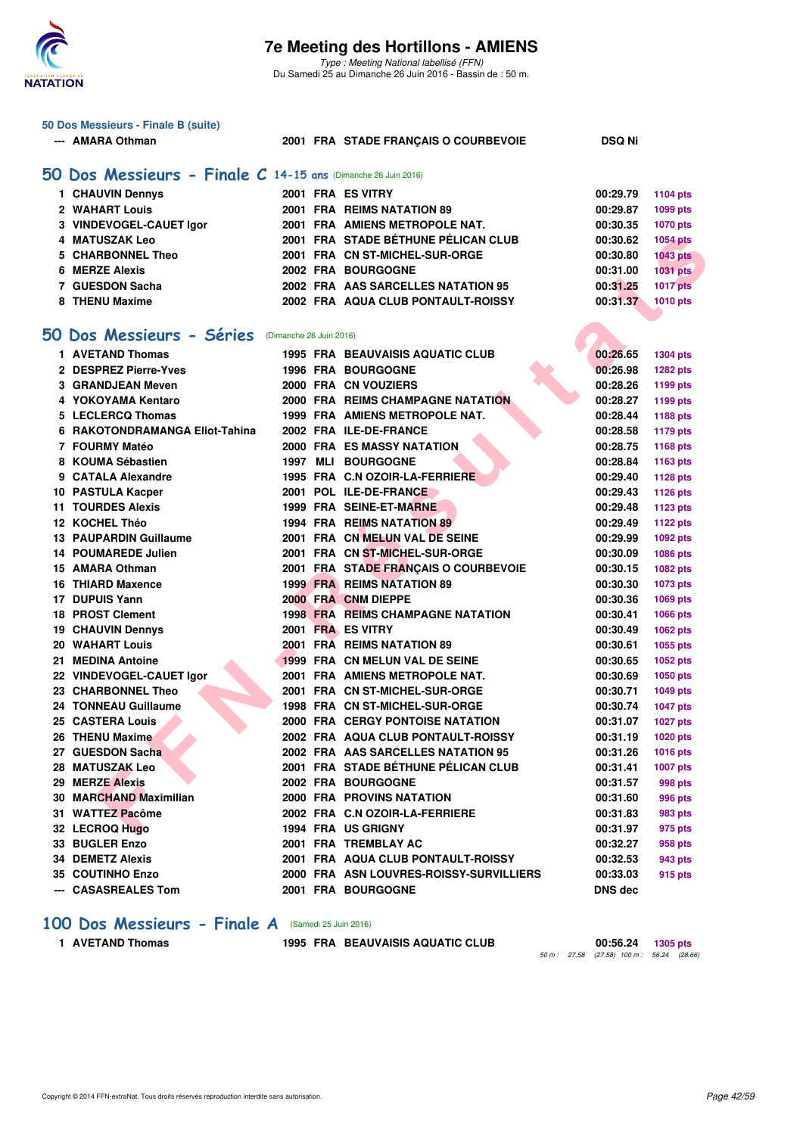

|    | 50 Dos Messieurs - Finale B (suite)                           |                                      |               |                                                                  |                      |                      |  |  |
|----|---------------------------------------------------------------|--------------------------------------|---------------|------------------------------------------------------------------|----------------------|----------------------|--|--|
|    | --- AMARA Othman                                              | 2001 FRA STADE FRANÇAIS O COURBEVOIE | <b>DSQ Ni</b> |                                                                  |                      |                      |  |  |
|    |                                                               |                                      |               |                                                                  |                      |                      |  |  |
|    | 50 Dos Messieurs - Finale C 14-15 ans (Dimanche 26 Juin 2016) |                                      |               |                                                                  |                      |                      |  |  |
|    | 1 CHAUVIN Dennys                                              |                                      |               | 2001 FRA ES VITRY                                                | 00:29.79             | <b>1104 pts</b>      |  |  |
|    | 2 WAHART Louis                                                |                                      |               | 2001 FRA REIMS NATATION 89                                       | 00:29.87             | 1099 pts             |  |  |
|    | 3 VINDEVOGEL-CAUET Igor                                       |                                      |               | 2001 FRA AMIENS METROPOLE NAT.                                   | 00:30.35             | <b>1070 pts</b>      |  |  |
|    | 4 MATUSZAK Leo                                                |                                      |               | 2001 FRA STADE BÉTHUNE PÉLICAN CLUB                              | 00:30.62             | <b>1054 pts</b>      |  |  |
|    | 5 CHARBONNEL Theo                                             |                                      |               | 2001 FRA CN ST-MICHEL-SUR-ORGE                                   | 00:30.80             | <b>1043 pts</b>      |  |  |
|    | 6 MERZE Alexis                                                |                                      |               | <b>2002 FRA BOURGOGNE</b>                                        | 00:31.00             | 1031 pts             |  |  |
|    | 7 GUESDON Sacha                                               |                                      |               | 2002 FRA AAS SARCELLES NATATION 95                               | 00:31.25             | <b>1017 pts</b>      |  |  |
|    | 8 THENU Maxime                                                |                                      |               | 2002 FRA AQUA CLUB PONTAULT-ROISSY                               | 00:31.37             | 1010 pts             |  |  |
|    |                                                               |                                      |               |                                                                  |                      |                      |  |  |
| 50 | Dos Messieurs - Séries                                        | (Dimanche 26 Juin 2016)              |               |                                                                  |                      |                      |  |  |
|    |                                                               |                                      |               |                                                                  |                      |                      |  |  |
|    | 1 AVETAND Thomas<br>2 DESPREZ Pierre-Yves                     |                                      |               | <b>1995 FRA BEAUVAISIS AQUATIC CLUB</b>                          | 00:26.65<br>00:26.98 | <b>1304 pts</b>      |  |  |
|    | 3 GRANDJEAN Meven                                             |                                      |               | <b>1996 FRA BOURGOGNE</b><br>2000 FRA CN VOUZIERS                |                      | <b>1282 pts</b>      |  |  |
|    | 4 YOKOYAMA Kentaro                                            |                                      |               | 2000 FRA REIMS CHAMPAGNE NATATION                                | 00:28.26<br>00:28.27 | 1199 pts             |  |  |
|    | 5 LECLERCQ Thomas                                             |                                      |               |                                                                  |                      | 1199 pts             |  |  |
|    | 6 RAKOTONDRAMANGA Eliot-Tahina                                |                                      |               | 1999 FRA AMIENS METROPOLE NAT.<br>2002 FRA ILE-DE-FRANCE         | 00:28.44<br>00:28.58 | 1188 pts             |  |  |
|    | 7 FOURMY Matéo                                                |                                      |               | <b>2000 FRA ES MASSY NATATION</b>                                | 00:28.75             | <b>1179 pts</b>      |  |  |
|    | 8 KOUMA Sébastien                                             |                                      |               | <b>1997 MLI BOURGOGNE</b>                                        |                      | <b>1168 pts</b>      |  |  |
|    | 9 CATALA Alexandre                                            |                                      |               | 1995 FRA C.N OZOIR-LA-FERRIERE                                   | 00:28.84             | 1163 pts             |  |  |
|    |                                                               |                                      |               |                                                                  | 00:29.40<br>00:29.43 | <b>1128 pts</b>      |  |  |
|    | 10 PASTULA Kacper<br><b>11 TOURDES Alexis</b>                 |                                      |               | 2001 POL ILE-DE-FRANCE<br>1999 FRA SEINE-ET-MARNE                | 00:29.48             | <b>1126 pts</b>      |  |  |
|    | 12 KOCHEL Théo                                                |                                      |               | 1994 FRA REIMS NATATION 89                                       | 00:29.49             | 1123 pts             |  |  |
|    |                                                               |                                      |               |                                                                  |                      | <b>1122 pts</b>      |  |  |
|    | <b>13 PAUPARDIN Guillaume</b><br>14 POUMAREDE Julien          |                                      |               | 2001 FRA CN MELUN VAL DE SEINE<br>2001 FRA CN ST-MICHEL-SUR-ORGE | 00:29.99<br>00:30.09 | 1092 pts             |  |  |
|    | 15 AMARA Othman                                               |                                      |               | 2001 FRA STADE FRANÇAIS O COURBEVOIE                             |                      | 1086 pts             |  |  |
|    | 16 THIARD Maxence                                             |                                      |               | <b>1999 FRA REIMS NATATION 89</b>                                | 00:30.15<br>00:30.30 | 1082 pts             |  |  |
|    | 17 DUPUIS Yann                                                |                                      |               | 2000 FRA CNM DIEPPE                                              | 00:30.36             | 1073 pts             |  |  |
|    | <b>18 PROST Clement</b>                                       |                                      |               | <b>1998 FRA REIMS CHAMPAGNE NATATION</b>                         | 00:30.41             | 1069 pts             |  |  |
|    | <b>19 CHAUVIN Dennys</b>                                      |                                      |               | 2001 FRA ES VITRY                                                | 00:30.49             | 1066 pts<br>1062 pts |  |  |
|    | 20 WAHART Louis                                               |                                      |               | 2001 FRA REIMS NATATION 89                                       | 00:30.61             | 1055 pts             |  |  |
|    | 21 MEDINA Antoine                                             |                                      |               | 1999 FRA CN MELUN VAL DE SEINE                                   | 00:30.65             | 1052 pts             |  |  |
|    | 22 VINDEVOGEL-CAUET Igor                                      |                                      |               | 2001 FRA AMIENS METROPOLE NAT.                                   | 00:30.69             | 1050 pts             |  |  |
|    | 23 CHARBONNEL Theo                                            |                                      |               | 2001 FRA CN ST-MICHEL-SUR-ORGE                                   | 00:30.71             | 1049 pts             |  |  |
|    | 24 TONNEAU Guillaume                                          |                                      |               | 1998 FRA CN ST-MICHEL-SUR-ORGE                                   | 00:30.74             | <b>1047 pts</b>      |  |  |
|    | 25 CASTERA Louis                                              |                                      |               | 2000 FRA CERGY PONTOISE NATATION                                 | 00:31.07             | 1027 pts             |  |  |
|    | 26 THENU Maxime                                               |                                      |               | 2002 FRA AQUA CLUB PONTAULT-ROISSY                               | 00:31.19             | <b>1020 pts</b>      |  |  |
|    | 27 GUESDON Sacha                                              |                                      |               | 2002 FRA AAS SARCELLES NATATION 95                               | 00:31.26             | <b>1016 pts</b>      |  |  |
|    | 28 MATUSZAK Leo                                               |                                      |               | 2001 FRA STADE BÉTHUNE PÉLICAN CLUB                              | 00:31.41             | <b>1007 pts</b>      |  |  |
|    | 29 MERZE Alexis                                               |                                      |               | <b>2002 FRA BOURGOGNE</b>                                        | 00:31.57             | 998 pts              |  |  |
|    | 30 MARCHAND Maximilian                                        |                                      |               | <b>2000 FRA PROVINS NATATION</b>                                 | 00:31.60             | 996 pts              |  |  |
|    | 31 WATTEZ Pacôme                                              |                                      |               | 2002 FRA C.N OZOIR-LA-FERRIERE                                   | 00:31.83             | 983 pts              |  |  |
|    | 32 LECROQ Hugo                                                |                                      |               | 1994 FRA US GRIGNY                                               | 00:31.97             | 975 pts              |  |  |
|    | 33 BUGLER Enzo                                                |                                      |               | 2001 FRA TREMBLAY AC                                             | 00:32.27             | 958 pts              |  |  |
|    | <b>34 DEMETZ Alexis</b>                                       |                                      |               | 2001 FRA AQUA CLUB PONTAULT-ROISSY                               | 00:32.53             | 943 pts              |  |  |
|    | 35 COUTINHO Enzo                                              |                                      |               | 2000 FRA ASN LOUVRES-ROISSY-SURVILLIERS                          | 00:33.03             | 915 pts              |  |  |
|    | --- CASASREALES Tom                                           |                                      |               | 2001 FRA BOURGOGNE                                               | DNS dec              |                      |  |  |
|    |                                                               |                                      |               |                                                                  |                      |                      |  |  |

# **100 Dos Messieurs - Finale A** (Samedi 25 Juin 2016)<br>1 AVETAND Thomas 1995 FRA BEAU

**1995 FRA BEAUVAISIS AQUATIC CLUB** 

**00:56.24** 1305 pts<br>50 m : 27.58 (27.58) 100 m : 56.24 (28.66)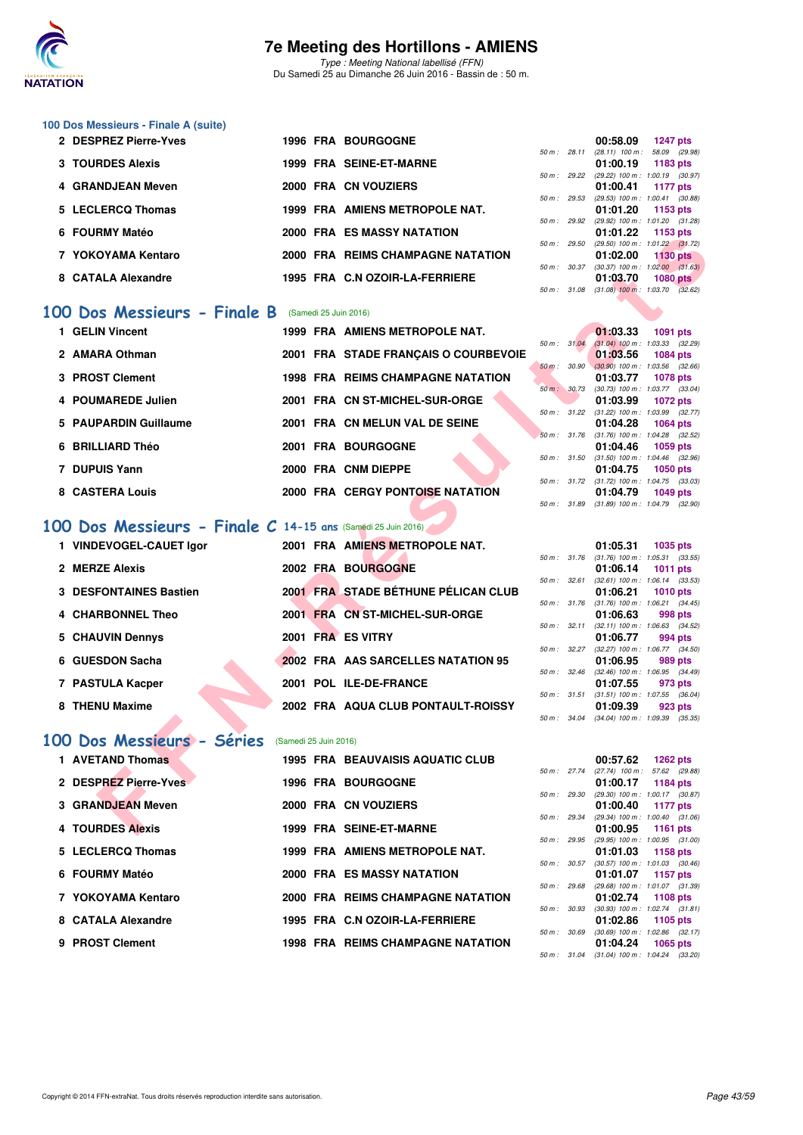

Type : Meeting National labellisé (FFN) Du Samedi 25 au Dimanche 26 Juin 2016 - Bassin de : 50 m.

## **100 Dos Messieurs - Finale A (suite)**

| 2 DESPREZ Pierre-Yves |  | <b>1996 FRA BOURGOGNE</b>         |                  | 00:58.09                                                     | <b>1247 pts</b> |
|-----------------------|--|-----------------------------------|------------------|--------------------------------------------------------------|-----------------|
| 3 TOURDES Alexis      |  | 1999 FRA SEINE-ET-MARNE           |                  | 50 m: 28.11 (28.11) 100 m: 58.09 (29.<br>01:00.19            | 1183 pts        |
| 4 GRANDJEAN Meven     |  | 2000 FRA CN VOUZIERS              |                  | 50 m: 29.22 (29.22) 100 m: 1:00.19 (30.<br>01:00.41          | 1177 pts        |
| 5 LECLERCQ Thomas     |  | 1999 FRA AMIENS METROPOLE NAT.    |                  | 50 m: 29.53 (29.53) 100 m: 1:00.41 (30.<br>01:01.20 1153 pts |                 |
| 6 FOURMY Matéo        |  | <b>2000 FRA ES MASSY NATATION</b> | 50 m: 29.92      | (29.92) 100 m : 1:01.20 (31.<br>01:01.22 1153 pts            |                 |
|                       |  |                                   |                  | 50 m: 29.50 (29.50) 100 m: 1:01.22 (31.                      |                 |
| 7 YOKOYAMA Kentaro    |  | 2000 FRA REIMS CHAMPAGNE NATATION | $50 m$ : $30.37$ | 01:02.00<br>$(30.37)$ 100 m : 1:02.00 $(31.$                 | <b>1130 pts</b> |
| 8 CATALA Alexandre    |  | 1995 FRA C.N OZOIR-LA-FERRIERE    |                  | 01:03.70                                                     | <b>1080 pts</b> |

#### **[100 Dos Messieurs - Finale B](http://www.ffnatation.fr/webffn/resultats.php?idact=nat&go=epr&idcpt=38947&idepr=62)** (Samedi 25 Juin 2016)

| 1 GELIN Vincent    |                                                             |  |                                                                                                                                                                                                                                                                  | 01:03.33 |                                                                                                                                                 |                                                                                                                                                                                                                                                                                                                                                            |
|--------------------|-------------------------------------------------------------|--|------------------------------------------------------------------------------------------------------------------------------------------------------------------------------------------------------------------------------------------------------------------|----------|-------------------------------------------------------------------------------------------------------------------------------------------------|------------------------------------------------------------------------------------------------------------------------------------------------------------------------------------------------------------------------------------------------------------------------------------------------------------------------------------------------------------|
|                    |                                                             |  |                                                                                                                                                                                                                                                                  |          |                                                                                                                                                 |                                                                                                                                                                                                                                                                                                                                                            |
|                    |                                                             |  |                                                                                                                                                                                                                                                                  |          |                                                                                                                                                 |                                                                                                                                                                                                                                                                                                                                                            |
| 3 PROST Clement    |                                                             |  |                                                                                                                                                                                                                                                                  | 01:03.77 |                                                                                                                                                 |                                                                                                                                                                                                                                                                                                                                                            |
| 4 POUMAREDE Julien |                                                             |  |                                                                                                                                                                                                                                                                  | 01:03.99 |                                                                                                                                                 |                                                                                                                                                                                                                                                                                                                                                            |
|                    |                                                             |  |                                                                                                                                                                                                                                                                  |          |                                                                                                                                                 |                                                                                                                                                                                                                                                                                                                                                            |
|                    |                                                             |  |                                                                                                                                                                                                                                                                  |          |                                                                                                                                                 |                                                                                                                                                                                                                                                                                                                                                            |
|                    |                                                             |  |                                                                                                                                                                                                                                                                  |          |                                                                                                                                                 |                                                                                                                                                                                                                                                                                                                                                            |
| 7 DUPUIS Yann      |                                                             |  |                                                                                                                                                                                                                                                                  | 01:04.75 |                                                                                                                                                 |                                                                                                                                                                                                                                                                                                                                                            |
| 8 CASTERA Louis    |                                                             |  |                                                                                                                                                                                                                                                                  | 01:04.79 |                                                                                                                                                 |                                                                                                                                                                                                                                                                                                                                                            |
|                    | 2 AMARA Othman<br>5 PAUPARDIN Guillaume<br>6 BRILLIARD Théo |  | 1999 FRA AMIENS METROPOLE NAT.<br>2001 FRA STADE FRANÇAIS O COURBEVOIE<br>1998 FRA REIMS CHAMPAGNE NATATION<br>2001 FRA CN ST-MICHEL-SUR-ORGE<br>2001 FRA CN MELUN VAL DE SEINE<br>2001 FRA BOURGOGNE<br>2000 FRA CNM DIEPPE<br>2000 FRA CERGY PONTOISE NATATION |          | $50 \text{ m}$ : 31.04<br>01:03.56<br>$50 \text{ m}$ : 30.90<br>50 m : 30.73<br>$50 \text{ m}$ : $31.22$<br>01:04.28<br>01:04.46<br>50 m: 31.72 | 1091 pts<br>$(31.04)$ 100 m : 1.03.33 (32.<br>1084 pts<br>$(30.90)$ 100 m : 1:03.56 (32.<br>1078 pts<br>(30.73) 100 m : 1:03.77 (33.<br>1072 pts<br>$(31.22)$ 100 m : 1:03.99 (32.<br>1064 pts<br>50 m: 31.76 (31.76) 100 m: 1:04.28 (32.<br>1059 pts<br>50 m: 31.50 (31.50) 100 m: 1:04.46 (32.<br>1050 pts<br>$(31.72)$ 100 m : 1:04.75 (33.<br>1049 pts |

## **[100 Dos Messieurs - Finale C](http://www.ffnatation.fr/webffn/resultats.php?idact=nat&go=epr&idcpt=38947&idepr=62) 14-15 ans** (Samedi 25 Juin 2016)

| <b>FUURINI I MAICU</b>                                      |                       | <b>FRA ES MASSINAIAIUN</b>               |              |              | 01.UI.ZZ<br>່ 1100 ນເອ                                                      |
|-------------------------------------------------------------|-----------------------|------------------------------------------|--------------|--------------|-----------------------------------------------------------------------------|
| 7 YOKOYAMA Kentaro                                          |                       | 2000 FRA REIMS CHAMPAGNE NATATION        |              | 50 m : 29.50 | $(29.50)$ 100 m : 1:01.22 $(31.72)$<br>01:02.00<br>$1130$ pts               |
|                                                             |                       |                                          |              |              | 50 m : 30.37 (30.37) 100 m : 1:02.00 (31.63)                                |
| 8 CATALA Alexandre                                          |                       | 1995 FRA C.N OZOIR-LA-FERRIERE           |              |              | 01:03.70<br>$1080$ pts<br>50 m: 31.08 (31.08) 100 m: 1:03.70 (32.62)        |
|                                                             |                       |                                          |              |              |                                                                             |
| 00 Dos Messieurs - Finale B                                 |                       | (Samedi 25 Juin 2016)                    |              |              |                                                                             |
| 1 GELIN Vincent                                             |                       | 1999 FRA AMIENS METROPOLE NAT.           |              |              | 01:03.33<br><b>1091 pts</b>                                                 |
|                                                             |                       |                                          | 50 m: 31.04  |              | $(31.04)$ 100 m : 1:03.33 $(32.29)$                                         |
| 2 AMARA Othman                                              |                       | 2001 FRA STADE FRANÇAIS O COURBEVOIE     |              |              | 01:03.56<br><b>1084 pts</b>                                                 |
| 3 PROST Clement                                             |                       | <b>1998 FRA REIMS CHAMPAGNE NATATION</b> |              |              | 50 m : 30.90 (30.90) 100 m : 1:03.56 (32.66)<br>01:03.77<br><b>1078 pts</b> |
|                                                             |                       |                                          |              |              | 50 m : 30.73 (30.73) 100 m : 1:03.77 (33.04)                                |
| 4 POUMAREDE Julien                                          |                       | 2001 FRA CN ST-MICHEL-SUR-ORGE           |              |              | 01:03.99<br><b>1072 pts</b>                                                 |
|                                                             |                       |                                          |              |              | 50 m: 31.22 (31.22) 100 m: 1:03.99 (32.77)                                  |
| 5 PAUPARDIN Guillaume                                       |                       | 2001 FRA CN MELUN VAL DE SEINE           |              |              | 01:04.28<br><b>1064 pts</b><br>50 m: 31.76 (31.76) 100 m: 1:04.28 (32.52)   |
| 6 BRILLIARD Théo                                            |                       | 2001 FRA BOURGOGNE                       |              |              | 01:04.46<br>1059 pts                                                        |
|                                                             |                       |                                          | 50 m : 31.50 |              | $(31.50)$ 100 m : 1:04.46 $(32.96)$                                         |
| 7 DUPUIS Yann                                               |                       | 2000 FRA CNM DIEPPE                      |              |              | 01:04.75<br><b>1050 pts</b>                                                 |
| 8 CASTERA Louis                                             |                       | 2000 FRA CERGY PONTOISE NATATION         |              |              | 50 m: 31.72 (31.72) 100 m: 1:04.75 (33.03)<br>01:04.79<br><b>1049 pts</b>   |
|                                                             |                       |                                          |              |              | 50 m: 31.89 (31.89) 100 m: 1:04.79 (32.90)                                  |
|                                                             |                       |                                          |              |              |                                                                             |
| 00 Dos Messieurs - Finale C 14-15 ans (Samédi 25 Juin 2016) |                       |                                          |              |              |                                                                             |
| 1 VINDEVOGEL-CAUET Igor                                     |                       | 2001 FRA AMIENS METROPOLE NAT.           |              |              | 01:05.31<br>1035 pts                                                        |
|                                                             |                       |                                          |              |              | 50 m: 31.76 (31.76) 100 m: 1:05.31 (33.55)                                  |
| 2 MERZE Alexis                                              |                       | 2002 FRA BOURGOGNE                       |              |              | 01:06.14<br><b>1011 pts</b>                                                 |
| <b>3 DESFONTAINES Bastien</b>                               |                       | 2001 FRA STADE BÉTHUNE PÉLICAN CLUB      |              |              | 50 m: 32.61 (32.61) 100 m: 1:06.14 (33.53)<br>01:06.21<br><b>1010 pts</b>   |
|                                                             |                       |                                          |              |              | 50 m: 31.76 (31.76) 100 m: 1:06.21 (34.45)                                  |
| 4 CHARBONNEL Theo                                           |                       | 2001 FRA CN ST-MICHEL-SUR-ORGE           |              |              | 01:06.63<br>998 pts                                                         |
|                                                             |                       |                                          |              |              | 50 m: 32.11 (32.11) 100 m: 1:06.63 (34.52)                                  |
| 5 CHAUVIN Dennys                                            |                       | 2001 FRA ES VITRY                        |              |              | 01:06.77<br>994 pts<br>50 m: 32.27 (32.27) 100 m: 1:06.77 (34.50)           |
| 6 GUESDON Sacha                                             |                       | 2002 FRA AAS SARCELLES NATATION 95       |              |              | 01:06.95<br>989 pts                                                         |
|                                                             |                       |                                          |              |              | 50 m : 32.46 (32.46) 100 m : 1:06.95 (34.49)                                |
| 7 PASTULA Kacper                                            |                       | 2001 POL ILE-DE-FRANCE                   |              |              | 01:07.55<br>973 pts                                                         |
| 8 THENU Maxime                                              |                       | 2002 FRA AQUA CLUB PONTAULT-ROISSY       |              |              | 50 m: 31.51 (31.51) 100 m: 1:07.55 (36.04)<br>01:09.39<br>923 pts           |
|                                                             |                       |                                          |              |              | 50 m: 34.04 (34.04) 100 m: 1:09.39 (35.35)                                  |
|                                                             |                       |                                          |              |              |                                                                             |
| 00 Dos Messieurs - Séries                                   | (Samedi 25 Juin 2016) |                                          |              |              |                                                                             |
| 1 AVETAND Thomas                                            |                       | <b>1995 FRA BEAUVAISIS AQUATIC CLUB</b>  |              |              | 00:57.62<br><b>1262 pts</b>                                                 |
|                                                             |                       |                                          |              |              | 50 m: 27.74 (27.74) 100 m: 57.62 (29.88)                                    |
| 2 DESPREZ Pierre-Yves                                       |                       | <b>1996 FRA BOURGOGNE</b>                |              |              | 01:00.17<br>1184 pts                                                        |
| 3 GRANDJEAN Meven                                           |                       | 2000 FRA CN VOUZIERS                     |              | 50 m : 29.30 | (29.30) 100 m: 1:00.17 (30.87)<br>01:00.40<br><b>1177 pts</b>               |
|                                                             |                       |                                          |              |              | 50 m: 29.34 (29.34) 100 m: 1:00.40 (31.06)                                  |
| <b>4 TOURDES Alexis</b>                                     |                       | 1999 FRA SEINE-ET-MARNE                  |              |              | 01:00.95<br><b>1161 pts</b>                                                 |

### **[100 Dos Messieurs - Séries](http://www.ffnatation.fr/webffn/resultats.php?idact=nat&go=epr&idcpt=38947&idepr=62)** (Samedi 25 Juin 2016)

| 1 AVETAND Thomas      | <b>1995 FRA BEAUVAISIS AQUATIC CLUB</b>  |                        | 00:57.62<br>1262 pts                                     |
|-----------------------|------------------------------------------|------------------------|----------------------------------------------------------|
| 2 DESPREZ Pierre-Yves | <b>1996 FRA BOURGOGNE</b>                | 50 m: 27.74            | (27.74) 100 m : 57.62 (29.<br>01:00.17<br>1184 pts       |
| 3 GRANDJEAN Meven     | 2000 FRA CN VOUZIERS                     | 50 m: 29.30            | (29.30) 100 m: 1:00.17 (30.<br>01:00.40<br>1177 pts      |
| 4 TOURDES Alexis      | 1999 FRA SEINE-ET-MARNE                  | $50 \text{ m}$ : 29.34 | $(29.34)$ 100 m : 1:00.40 (31.<br>01:00.95<br>1161 pts   |
|                       |                                          | 50 m: 29.95            | (29.95) 100 m: 1:00.95 (31.                              |
| 5 LECLERCQ Thomas     | 1999 FRA AMIENS METROPOLE NAT.           | $50 m$ : $30.57$       | 01:01.03<br>1158 pts<br>$(30.57)$ 100 m : 1:01.03 (30.   |
| 6 FOURMY Matéo        | <b>2000 FRA ES MASSY NATATION</b>        | 50 m : 29.68           | 01:01.07<br>1157 pts<br>(29.68) 100 m: 1:01.07 (31.      |
| 7 YOKOYAMA Kentaro    | 2000 FRA REIMS CHAMPAGNE NATATION        | 50 m: 30.93            | 01:02.74<br>1108 pts<br>$(30.93)$ 100 m : 1:02.74 $(31.$ |
| 8 CATALA Alexandre    | 1995 FRA C.N OZOIR-LA-FERRIERE           |                        | 01:02.86<br>1105 pts                                     |
| 9 PROST Clement       | <b>1998 FRA REIMS CHAMPAGNE NATATION</b> | 50 m: 30.69            | $(30.69)$ 100 m : 1:02.86 $(32.$<br>01:04.24 1065 pts    |
|                       |                                          |                        | $F0 \, m + 2104$ (21.04) $100 \, m + 10100$              |

|              |       | 00:58.09          | 1247 pts            |  |
|--------------|-------|-------------------|---------------------|--|
| 50 m : 28.11 |       | $(28.11)$ 100 m : | 58.09 (29.98)       |  |
|              |       | 01:00.19          | 1183 pts            |  |
| 50 m : 29.22 |       | $(29.22)$ 100 m : | 1:00.19 (30.97)     |  |
|              |       | 01:00.41          | <b>1177 pts</b>     |  |
| 50 m: 29.53  |       | $(29.53) 100 m$ : | 1:00.41 (30.88)     |  |
|              |       | 01:01.20          | 1153 pts            |  |
| 50 m : 29.92 |       | $(29.92)$ 100 m : | 1:01.20 (31.28)     |  |
|              |       | 01:01.22          | 1153 pts            |  |
| 50 m : 29.50 |       | $(29.50)$ 100 m : | $1:01.22$ $(31.72)$ |  |
|              |       | 01:02.00          | <b>1130 pts</b>     |  |
| 50 m :       | 30.37 | $(30.37)$ 100 m : | $1:02.00$ $(31.63)$ |  |
|              |       | 01:03.70          | <b>1080 pts</b>     |  |
| $50 m$ :     | 31.08 | $(31.08)$ 100 m : | 1:03.70 (32.62)     |  |
|              |       |                   |                     |  |

|              |       | 01:03.33          | 1091 pts            |  |
|--------------|-------|-------------------|---------------------|--|
| 50 m: 31.04  |       | $(31.04) 100 m$ : | 1:03.33 (32.29)     |  |
|              |       | 01:03.56          | <b>1084 pts</b>     |  |
| $50 m$ :     | 30.90 | $(30.90)$ 100 m : | 1:03.56 (32.66)     |  |
|              |       | 01:03.77          | 1078 pts            |  |
| 50 m : 30.73 |       | $(30.73)$ 100 m : | 1:03.77 (33.04)     |  |
|              |       | 01:03.99          | 1072 pts            |  |
| 50 m :       | 31.22 | $(31.22)$ 100 m : | 1:03.99 (32.77)     |  |
|              |       | 01:04.28          | 1064 pts            |  |
| 50 m: 31.76  |       | $(31.76) 100 m$ : | $1:04.28$ $(32.52)$ |  |
|              |       | 01:04.46          | 1059 pts            |  |
| 50 m: 31.50  |       | $(31.50)$ 100 m : | 1:04.46 (32.96)     |  |
|              |       | 01:04.75          | <b>1050 pts</b>     |  |
| 50 m: 31.72  |       | $(31.72)$ 100 m : | $1:04.75$ $(33.03)$ |  |
|              |       | 01:04.79          | 1049 pts            |  |
| 50 m : 31.89 |       | $(31.89) 100 m$ : | 1:04.79 (32.90)     |  |

|             |              | 01:05.31          | <b>1035 pts</b>     |
|-------------|--------------|-------------------|---------------------|
| 50 m: 31.76 |              | $(31.76) 100 m$ : | $1:05.31$ $(33.55)$ |
|             |              | 01:06.14          | 1011 pts            |
| 50 m: 32.61 |              | $(32.61)$ 100 m : | $1:06.14$ $(33.53)$ |
|             |              | 01:06.21          | <b>1010 pts</b>     |
| 50 m: 31.76 |              | $(31.76) 100 m$ : | $1:06.21$ $(34.45)$ |
|             |              | 01:06.63          | 998 pts             |
| 50 m: 32.11 |              | $(32.11)$ 100 m : | 1:06.63 (34.52)     |
|             |              |                   |                     |
|             |              | 01:06.77          | 994 pts             |
| 50 m: 32.27 |              | $(32.27)$ 100 m : | 1:06.77 (34.50)     |
|             |              | 01:06.95          | 989 pts             |
| 50 m: 32.46 |              | $(32.46)$ 100 m : | 1:06.95 (34.49)     |
|             |              | 01:07.55          | 973 pts             |
|             | 50 m : 31.51 | $(31.51)$ 100 m : | 1:07.55 (36.04)     |
|             |              | 01:09.39          | 923 pts             |

|                |       | 00:57.62                            | $1262$ pts          |  |
|----------------|-------|-------------------------------------|---------------------|--|
| 50 m: 27.74    |       | $(27.74)$ 100 m :                   | 57.62 (29.88)       |  |
|                |       | 01:00.17                            | <b>1184 pts</b>     |  |
| 50 m: 29.30    |       | $(29.30)$ 100 m :                   | 1:00.17 (30.87)     |  |
|                |       | 01:00.40                            | <b>1177 pts</b>     |  |
| 50 m: 29.34    |       | (29.34) 100 m :                     | 1:00.40 (31.06)     |  |
|                |       | 01:00.95                            | 1161 $pts$          |  |
| $50 m$ : 29.95 |       | (29.95) 100 m :                     | 1:00.95 (31.00)     |  |
|                |       | 01:01.03                            | 1158 pts            |  |
| 50 m: 30.57    |       | $(30.57)$ 100 m :                   | 1:01.03 (30.46)     |  |
|                |       | 01:01.07 1157 pts                   |                     |  |
| 50 m: 29.68    |       | $(29.68) 100 m$ :                   | 1:01.07 (31.39)     |  |
|                |       | 01:02.74 1108 pts                   |                     |  |
| 50 m : 30.93   |       | $(30.93)$ 100 m :                   | $1:02.74$ $(31.81)$ |  |
|                |       | 01:02.86 1105 pts                   |                     |  |
| 50 m : 30.69   |       | $(30.69)$ 100 m : 1:02.86 $(32.17)$ |                     |  |
|                |       | 01:04.24 1065 pts                   |                     |  |
| $50 m$ :       | 31.04 | $(31.04)$ 100 m : 1:04.24 $(33.20)$ |                     |  |
|                |       |                                     |                     |  |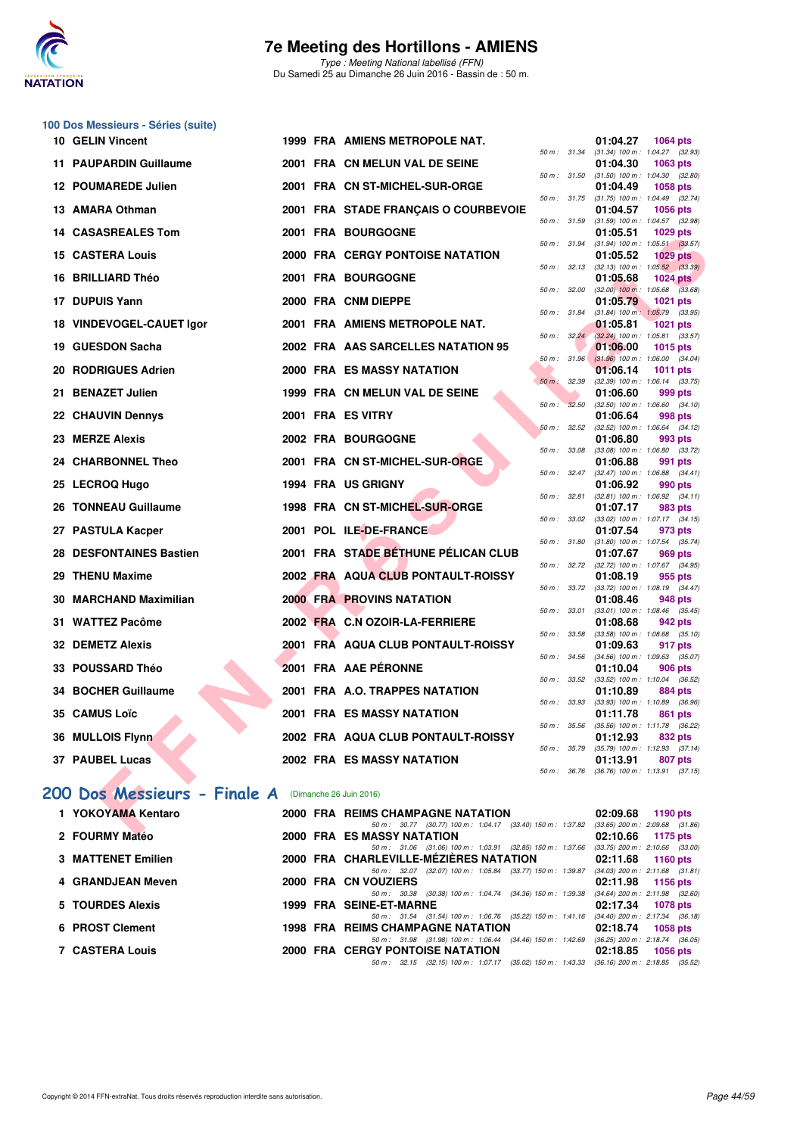

Type : Meeting National labellisé (FFN) Du Samedi 25 au Dimanche 26 Juin 2016 - Bassin de : 50 m.

#### **100 Dos Messieurs - Séries (suite)**

| <b>10 GELIN Vincent</b>                             |  | 1999 FRA AMIENS METROPOLE NAT.                                                                                         |                |             | 01:04.27                                                 | 1064 pts        |  |
|-----------------------------------------------------|--|------------------------------------------------------------------------------------------------------------------------|----------------|-------------|----------------------------------------------------------|-----------------|--|
| <b>11 PAUPARDIN Guillaume</b>                       |  | 2001 FRA CN MELUN VAL DE SEINE                                                                                         |                |             | 50 m : 31.34 (31.34) 100 m : 1:04.27 (32.93)<br>01:04.30 | 1063 pts        |  |
| 12 POUMAREDE Julien                                 |  | 2001 FRA CN ST-MICHEL-SUR-ORGE                                                                                         | 50 m: 31.50    |             | $(31.50)$ 100 m : 1:04.30 $(32.80)$<br>01:04.49          | 1058 pts        |  |
| 13 AMARA Othman                                     |  | 2001 FRA STADE FRANÇAIS O COURBEVOIE                                                                                   | 50 m: 31.75    |             | $(31.75)$ 100 m : 1:04.49 $(32.74)$<br>01:04.57          | <b>1056 pts</b> |  |
| <b>14 CASASREALES Tom</b>                           |  | 2001 FRA BOURGOGNE                                                                                                     |                |             | 50 m: 31.59 (31.59) 100 m: 1:04.57 (32.98)<br>01:05.51   | 1029 pts        |  |
|                                                     |  | 2000 FRA CERGY PONTOISE NATATION                                                                                       | 50 m: 31.94    |             | $(31.94)$ 100 m : 1:05.51 $(33.57)$                      |                 |  |
| <b>15 CASTERA Louis</b>                             |  |                                                                                                                        |                |             | 01:05.52<br>50 m: 32.13 (32.13) 100 m: 1:05.52 (33.39)   | <b>1029 pts</b> |  |
| 16 BRILLIARD Théo                                   |  | 2001 FRA BOURGOGNE                                                                                                     |                |             | 01:05.68<br>50 m : 32.00 (32.00) 100 m : 1:05.68 (33.68) | <b>1024 pts</b> |  |
| 17 DUPUIS Yann                                      |  | 2000 FRA CNM DIEPPE                                                                                                    |                |             | 01:05.79                                                 | 1021 pts        |  |
| 18 VINDEVOGEL-CAUET Igor                            |  | 2001 FRA AMIENS METROPOLE NAT.                                                                                         | 50 m : 31.84   |             | $(31.84)$ 100 m : 1:05.79 $(33.95)$<br>01:05.81          | <b>1021 pts</b> |  |
|                                                     |  |                                                                                                                        |                | 50 m: 32.24 | $(32.24)$ 100 m : 1:05.81 $(33.57)$                      |                 |  |
| 19 GUESDON Sacha                                    |  | 2002 FRA AAS SARCELLES NATATION 95                                                                                     | $50 m$ : 31.96 |             | 01:06.00<br>$(31.96)$ 100 m : 1:06.00 $(34.04)$          | 1015 pts        |  |
| 20 RODRIGUES Adrien                                 |  | 2000 FRA ES MASSY NATATION                                                                                             |                |             | 01:06.14                                                 | <b>1011 pts</b> |  |
| 21 BENAZET Julien                                   |  | 1999 FRA CN MELUN VAL DE SEINE                                                                                         | 50 m: 32.39    |             | $(32.39)$ 100 m : 1:06.14 $(33.75)$                      |                 |  |
|                                                     |  |                                                                                                                        | 50 m: 32.50    |             | 01:06.60<br>$(32.50)$ 100 m : 1:06.60 $(34.10)$          | 999 pts         |  |
| 22 CHAUVIN Dennys                                   |  | 2001 FRA ES VITRY                                                                                                      |                |             | 01:06.64                                                 | 998 pts         |  |
| 23 MERZE Alexis                                     |  | 2002 FRA BOURGOGNE                                                                                                     |                | 50 m: 32.52 | $(32.52)$ 100 m : 1:06.64 $(34.12)$<br>01:06.80          | 993 pts         |  |
|                                                     |  |                                                                                                                        | 50 m: 33.08    |             | $(33.08)$ 100 m : 1:06.80 $(33.72)$                      |                 |  |
| 24 CHARBONNEL Theo                                  |  | 2001 FRA CN ST-MICHEL-SUR-ORGE                                                                                         |                |             | 01:06.88<br>50 m: 32.47 (32.47) 100 m: 1:06.88 (34.41)   | 991 pts         |  |
| 25 LECROQ Hugo                                      |  | 1994 FRA US GRIGNY                                                                                                     |                |             | 01:06.92                                                 | 990 pts         |  |
| 26 TONNEAU Guillaume                                |  | 1998 FRA CN ST-MICHEL-SUR-ORGE                                                                                         | 50 m: 32.81    |             | $(32.81)$ 100 m : 1:06.92 $(34.11)$<br>01:07.17          | 983 pts         |  |
|                                                     |  |                                                                                                                        | 50 m: 33.02    |             | $(33.02)$ 100 m : 1:07.17 $(34.15)$                      |                 |  |
| 27 PASTULA Kacper                                   |  | 2001 POL ILE-DE-FRANCE                                                                                                 |                |             | 01:07.54<br>50 m: 31.80 (31.80) 100 m: 1:07.54 (35.74)   | 973 pts         |  |
| 28 DESFONTAINES Bastien                             |  | 2001 FRA STADE BÉTHUNE PÉLICAN CLUB                                                                                    |                |             | 01:07.67                                                 | 969 pts         |  |
| 29 THENU Maxime                                     |  | 2002 FRA AQUA CLUB PONTAULT-ROISSY                                                                                     |                |             | 50 m: 32.72 (32.72) 100 m: 1:07.67 (34.95)<br>01:08.19   | 955 pts         |  |
|                                                     |  |                                                                                                                        |                |             | 50 m: 33.72 (33.72) 100 m: 1:08.19 (34.47)               |                 |  |
| 30 MARCHAND Maximilian                              |  | <b>2000 FRA PROVINS NATATION</b>                                                                                       | 50 m: 33.01    |             | 01:08.46<br>$(33.01)$ 100 m : 1:08.46 $(35.45)$          | 948 pts         |  |
| 31 WATTEZ Pacôme                                    |  | 2002 FRA C.N OZOIR-LA-FERRIERE                                                                                         |                |             | 01:08.68                                                 | 942 pts         |  |
| 32 DEMETZ Alexis                                    |  | 2001 FRA AQUA CLUB PONTAULT-ROISSY                                                                                     |                |             | 50 m: 33.58 (33.58) 100 m: 1:08.68 (35.10)<br>01:09.63   | 917 pts         |  |
|                                                     |  |                                                                                                                        | 50 m: 34.56    |             | $(34.56)$ 100 m : 1:09.63 $(35.07)$                      |                 |  |
| 33 POUSSARD Théo                                    |  | 2001 FRA AAE PERONNE                                                                                                   |                |             | 01:10.04<br>50 m: 33.52 (33.52) 100 m: 1:10.04 (36.52)   | 906 pts         |  |
| 34 BOCHER Guillaume                                 |  | 2001 FRA A.O. TRAPPES NATATION                                                                                         |                |             | 01:10.89                                                 | 884 pts         |  |
| 35 CAMUS Loïc                                       |  | <b>2001 FRA ES MASSY NATATION</b>                                                                                      | 50 m: 33.93    |             | $(33.93)$ 100 m : 1:10.89 $(36.96)$<br>01:11.78          | 861 pts         |  |
|                                                     |  |                                                                                                                        |                |             | 50 m: 35.56 (35.56) 100 m: 1:11.78 (36.22)               |                 |  |
| 36 MULLOIS Flynn                                    |  | 2002 FRA AQUA CLUB PONTAULT-ROISSY                                                                                     | 50 m : 35.79   |             | 01:12.93<br>$(35.79)$ 100 m : 1:12.93 $(37.14)$          | 832 pts         |  |
| 37 PAUBEL Lucas                                     |  | 2002 FRA ES MASSY NATATION                                                                                             |                |             | 01:13.91                                                 | 807 pts         |  |
|                                                     |  |                                                                                                                        | 50 m : 36.76   |             | $(36.76)$ 100 m : 1:13.91 $(37.15)$                      |                 |  |
| 00 Dos Messieurs - Finale A (Dimanche 26 Juin 2016) |  |                                                                                                                        |                |             |                                                          |                 |  |
| 1 YOKOYAMA Kentaro                                  |  | 2000 FRA REIMS CHAMPAGNE NATATION                                                                                      |                |             | 02:09.68                                                 | 1190 pts        |  |
| 0.0011011V144444                                    |  | 50 m: 30.77 (30.77) 100 m: 1:04.17 (33.40) 150 m: 1:37.82 (33.65) 200 m: 2:09.68 (31.86)<br>0000 FBA FO MACOV MATATION |                |             | $0.4000$ $0.477$                                         |                 |  |

#### **[200 Dos Messieurs - Finale A](http://www.ffnatation.fr/webffn/resultats.php?idact=nat&go=epr&idcpt=38947&idepr=63)** (Dimanche 26 Juin 2016)

### **1 YOKOYAMA Kentaro 2000 FRA REIMS CHAMPAGNE NATATION** 02:09.68 **1190 pts**<br>
2000 FRA REIMS CHAMPAGNE NATATION 2008 03:65 200 m 2.09.68 (31.86)  $(33.40)$  150 m  $: 1:37.82$  (33.65)  $200$  m  $: 2:09.68$

|                           |  |                                          | 00.000 - 00.000 - 00.000 - 00.000 - 00.000 - 00.000 - 00.000 - 00.000 - 00.000 - 00.000 - 00.000 - 0 |                                                                                              |          |                                     |
|---------------------------|--|------------------------------------------|------------------------------------------------------------------------------------------------------|----------------------------------------------------------------------------------------------|----------|-------------------------------------|
| 2 FOURMY Matéo            |  | <b>2000 FRA ES MASSY NATATION</b>        |                                                                                                      |                                                                                              |          | $02:10.66$ 1175 pts                 |
|                           |  |                                          |                                                                                                      | 50 m: 31.06 (31.06) 100 m: 1:03.91 (32.85) 150 m: 1:37.66 (33.75) 200 m: 2:10.66 (33.00)     |          |                                     |
| <b>3 MATTENET Emilien</b> |  | 2000 FRA CHARLEVILLE-MÉZIÈRES NATATION   |                                                                                                      |                                                                                              |          | 02:11.68 1160 pts                   |
|                           |  | 50 m : 32.07                             |                                                                                                      | (32.07) 100 m: 1:05.84 (33.77) 150 m: 1:39.87 (34.03) 200 m: 2:11.68 (31.81)                 |          |                                     |
| 4 GRANDJEAN Meven         |  | 2000 FRA CN VOUZIERS                     |                                                                                                      |                                                                                              |          | 02:11.98 1156 pts                   |
|                           |  |                                          |                                                                                                      | 50 m: 30.38 (30.38) 100 m: 1:04.74 (34.36) 150 m: 1:39.38                                    |          | $(34.64)$ 200 m : 2:11.98 $(32.60)$ |
| 5 TOURDES Alexis          |  | 1999 FRA SEINE-ET-MARNE                  |                                                                                                      |                                                                                              |          | 02:17.34 1078 pts                   |
|                           |  |                                          |                                                                                                      | 50 m : 31.54 (31.54) 100 m : 1:06.76 (35.22) 150 m : 1:41.16 (34.40) 200 m : 2:17.34 (36.18) |          |                                     |
| 6 PROST Clement           |  | <b>1998 FRA REIMS CHAMPAGNE NATATION</b> |                                                                                                      |                                                                                              | 02:18.74 | 1058 pts                            |
|                           |  |                                          |                                                                                                      | 50 m: 31.98 (31.98) 100 m: 1:06.44 (34.46) 150 m: 1:42.69                                    |          | $(36.25)$ 200 m : 2:18.74 $(36.05)$ |
| 7 CASTERA Louis           |  | <b>2000 FRA CERGY PONTOISE NATATION</b>  |                                                                                                      |                                                                                              | 02:18.85 | 1056 pts                            |
|                           |  |                                          | 50 m : 32.15 (32.15) 100 m : 1:07.17                                                                 | (35.02) 150 m : 1:43.33                                                                      |          | $(36.16)$ 200 m : 2:18.85 $(35.52)$ |
|                           |  |                                          |                                                                                                      |                                                                                              |          |                                     |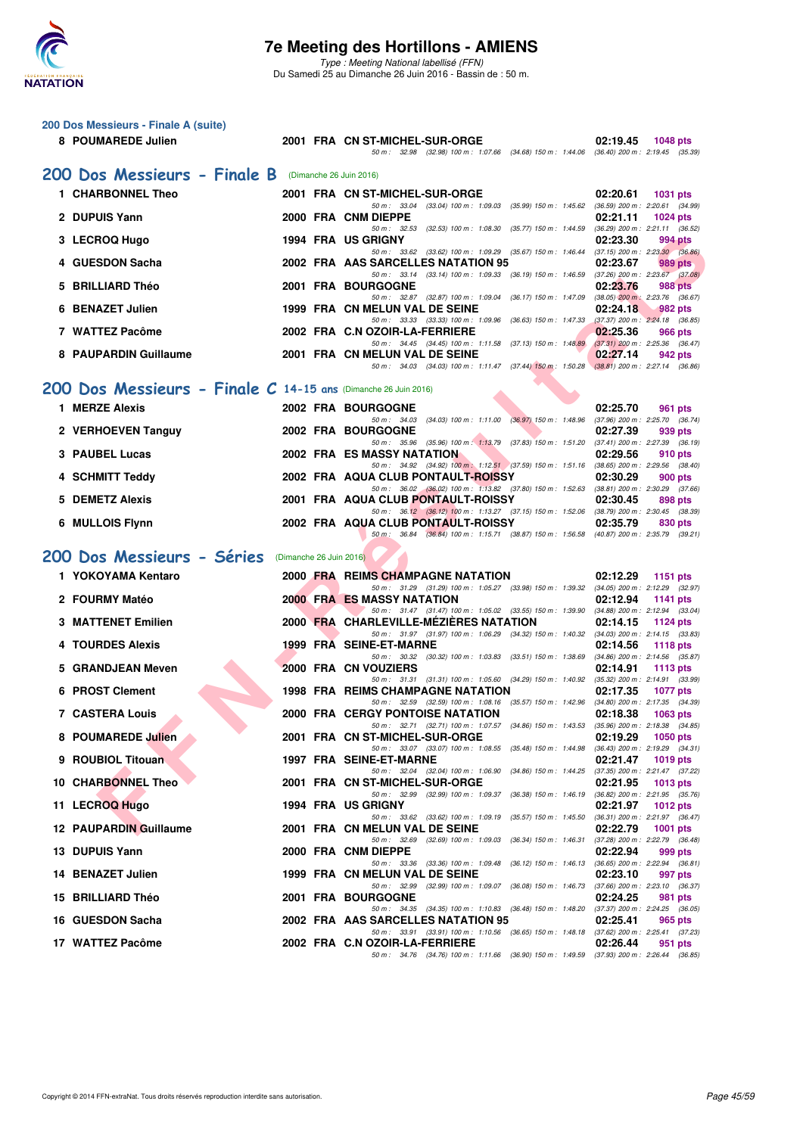

| 200 Dos Messieurs - Finale A (suite)                           |                         |                                                                                                                                                                  |                                                                    |
|----------------------------------------------------------------|-------------------------|------------------------------------------------------------------------------------------------------------------------------------------------------------------|--------------------------------------------------------------------|
| 8 POUMAREDE Julien                                             |                         | 2001 FRA CN ST-MICHEL-SUR-ORGE<br>50 m: 32.98 (32.98) 100 m: 1:07.66 (34.68) 150 m: 1:44.06 (36.40) 200 m: 2:19.45 (35.39)                                       | 02:19.45<br><b>1048 pts</b>                                        |
| 200 Dos Messieurs - Finale B                                   |                         | (Dimanche 26 Juin 2016)                                                                                                                                          |                                                                    |
| 1 CHARBONNEL Theo                                              |                         | 2001 FRA CN ST-MICHEL-SUR-ORGE                                                                                                                                   | 02:20.61<br>1031 pts                                               |
| 2 DUPUIS Yann                                                  |                         | 50 m: 33.04 (33.04) 100 m: 1:09.03 (35.99) 150 m: 1:45.62 (36.59) 200 m: 2:20.61 (34.99)<br>2000 FRA CNM DIEPPE                                                  | 02:21.11<br><b>1024 pts</b>                                        |
| 3 LECROQ Hugo                                                  |                         | 50 m: 32.53 (32.53) 100 m: 1:08.30 (35.77) 150 m: 1:44.59<br>1994 FRA US GRIGNY                                                                                  | $(36.29)$ 200 m : 2:21.11 $(36.52)$<br>02:23.30<br>994 pts         |
| 4 GUESDON Sacha                                                |                         | 50 m: 33.62 (33.62) 100 m: 1:09.29 (35.67) 150 m: 1:46.44<br>2002 FRA AAS SARCELLES NATATION 95                                                                  | $(37.15)$ 200 m : 2:23.30 $(36.86)$<br>02:23.67                    |
|                                                                |                         | 50 m: 33.14 (33.14) 100 m: 1:09.33 (36.19) 150 m: 1:46.59                                                                                                        | <b>989 pts</b><br>$(37.26)$ 200 m : 2:23.67 $(37.08)$              |
| <b>BRILLIARD Théo</b>                                          |                         | 2001 FRA BOURGOGNE<br>50 m: 32.87 (32.87) 100 m: 1:09.04 (36.17) 150 m: 1:47.09                                                                                  | 02:23.76<br>988 pts<br>$(38.05)$ 200 m : 2:23.76 $(36.67)$         |
| <b>BENAZET Julien</b><br>6                                     |                         | 1999 FRA CN MELUN VAL DE SEINE<br>50 m: 33.33 (33.33) 100 m: 1:09.96 (36.63) 150 m: 1:47.33 (37.37) 200 m: 2:24.18 (36.85)                                       | 02:24.18<br>982 pts                                                |
| 7 WATTEZ Pacôme                                                |                         | 2002 FRA C.N OZOIR-LA-FERRIERE<br>50 m: 34.45 (34.45) 100 m: 1:11.58 (37.13) 150 m: 1:48.89 (37.31) 200 m: 2:25.36 (36.47)                                       | 02:25.36<br>966 pts                                                |
| 8 PAUPARDIN Guillaume                                          |                         | 2001 FRA CN MELUN VAL DE SEINE<br>50 m: 34.03 (34.03) 100 m: 1:11.47 (37.44) 150 m: 1:50.28 (38.81) 200 m: 2:27.14 (36.86)                                       | 02:27.14<br>942 pts                                                |
| 200 Dos Messieurs - Finale C 14-15 ans (Dimanche 26 Juin 2016) |                         |                                                                                                                                                                  |                                                                    |
| 1 MERZE Alexis                                                 |                         | 2002 FRA BOURGOGNE                                                                                                                                               | 02:25.70<br>961 pts                                                |
| 2 VERHOEVEN Tanguy                                             |                         | $(34.03)$ 100 m : 1:11.00 $(36.97)$ 150 m : 1:48.96<br>50 m: 34.03<br><b>2002 FRA BOURGOGNE</b>                                                                  | (37.96) 200 m : 2:25.70 (36.74)<br>02:27.39<br>939 pts             |
| 3 PAUBEL Lucas                                                 |                         | 50 m: 35.96 (35.96) 100 m: 1:13.79 (37.83) 150 m: 1:51.20 (37.41) 200 m: 2:27.39 (36.19)<br>2002 FRA ES MASSY NATATION                                           |                                                                    |
|                                                                |                         | 50 m: 34.92 (34.92) 100 m: 1:12.51 (37.59) 150 m: 1:51.16 (38.65) 200 m: 2:29.56 (38.40)                                                                         | 02:29.56<br>910 pts                                                |
| 4 SCHMITT Teddy                                                |                         | 2002 FRA AQUA CLUB PONTAULT-ROISSY<br>50 m: 36.02 (36.02) 100 m: 1:13.82 (37.80) 150 m: 1:52.63 (38.81) 200 m: 2:30.29 (37.66)                                   | 02:30.29<br>900 pts                                                |
| <b>DEMETZ Alexis</b><br>5                                      |                         | 2001 FRA AQUA CLUB PONTAULT-ROISSY<br>50 m: 36.12 (36.12) 100 m: 1:13.27 (37.15) 150 m: 1:52.06 (38.79) 200 m: 2:30.45 (38.39)                                   | 02:30.45<br>898 pts                                                |
| 6 MULLOIS Flynn                                                |                         | 2002 FRA AQUA CLUB PONTAULT-ROISSY                                                                                                                               | 02:35.79<br>830 pts                                                |
|                                                                |                         |                                                                                                                                                                  |                                                                    |
|                                                                |                         | 50 m: 36.84 (36.84) 100 m: 1:15.71 (38.87) 150 m: 1:56.58 (40.87) 200 m: 2:35.79 (39.21)                                                                         |                                                                    |
| 200 Dos Messieurs - Séries<br>1 YOKOYAMA Kentaro               | (Dimanche 26 Juin 2016) | 2000 FRA REIMS CHAMPAGNE NATATION                                                                                                                                | 02:12.29<br>1151 pts                                               |
|                                                                |                         | 50 m: 31.29 (31.29) 100 m: 1:05.27 (33.98) 150 m: 1:39.32 (34.05) 200 m: 2:12.29 (32.97)                                                                         |                                                                    |
| 2 FOURMY Matéo                                                 |                         | 2000 FRA ES MASSY NATATION<br>50 m: 31.47 (31.47) 100 m: 1:05.02 (33.55) 150 m: 1:39.90 (34.88) 200 m: 2:12.94 (33.04)                                           | 02:12.94<br><b>1141 pts</b>                                        |
| <b>3 MATTENET Emilien</b>                                      |                         | 2000 FRA CHARLEVILLE-MEZIERES NATATION<br>50 m: 31.97 (31.97) 100 m: 1:06.29 (34.32) 150 m: 1:40.32 (34.03) 200 m: 2:14.15 (33.83)                               | 02:14.15<br><b>1124 pts</b>                                        |
| 4 TOURDES Alexis                                               |                         | 1999 FRA SEINE-ET-MARNE<br>50 m: 30.32 (30.32) 100 m: 1:03.83 (33.51) 150 m: 1:38.69                                                                             | 02:14.56<br><b>1118 pts</b><br>$(34.86)$ 200 m : 2:14.56 $(35.87)$ |
| 5 GRANDJEAN Meven                                              |                         | 2000 FRA CN VOUZIERS<br>50 m: 31.31 (31.31) 100 m: 1:05.60 (34.29) 150 m: 1:40.92                                                                                | 02:14.91<br><b>1113 pts</b><br>$(35.32)$ 200 m : 2:14.91 $(33.99)$ |
| <b>PROST Clement</b>                                           |                         | <b>1998 FRA REIMS CHAMPAGNE NATATION</b><br>50 m: 32.59 (32.59) 100 m: 1:08.16 (35.57) 150 m: 1:42.96 (34.80) 200 m: 2:17.35 (34.39)                             | 02:17.35<br>1077 pts                                               |
| <b>7 CASTERA Louis</b>                                         |                         | <b>2000 FRA CERGY PONTOISE NATATION</b>                                                                                                                          | 02:18.38<br>1063 pts                                               |
| 8 POUMAREDE Julien                                             |                         | 50 m: 32.71 (32.71) 100 m: 1:07.57 (34.86) 150 m: 1:43.53<br>2001 FRA CN ST-MICHEL-SUR-ORGE                                                                      | $(35.96)$ 200 m : 2:18.38 $(34.85)$<br>02:19.29<br><b>1050 pts</b> |
| 9 ROUBIOL Titouan                                              |                         | 50 m: 33.07 (33.07) 100 m: 1:08.55 (35.48) 150 m: 1:44.98 (36.43) 200 m: 2:19.29 (34.31)<br>1997 FRA SEINE-ET-MARNE                                              | 02:21.47<br><b>1019 pts</b>                                        |
| 10 CHARBONNEL Theo                                             |                         | 50 m: 32.04 (32.04) 100 m: 1:06.90 (34.86) 150 m: 1:44.25 (37.35) 200 m: 2:21.47 (37.22)<br>2001 FRA CN ST-MICHEL-SUR-ORGE                                       | 02:21.95<br>1013 pts                                               |
| 11 LECROQ Hugo                                                 |                         | 50 m : 32.99 (32.99) 100 m : 1:09.37 (36.38) 150 m : 1:46.19<br>1994 FRA US GRIGNY                                                                               | $(36.82)$ 200 m : 2:21.95 $(35.76)$<br>02:21.97<br><b>1012 pts</b> |
| 12 PAUPARDIN Guillaume                                         |                         | 50 m: 33.62 (33.62) 100 m: 1:09.19 (35.57) 150 m: 1:45.50<br>2001 FRA CN MELUN VAL DE SEINE                                                                      | (36.31) 200 m : 2:21.97 (36.47)<br>02:22.79<br>1001 pts            |
| 13 DUPUIS Yann                                                 |                         | 50 m : 32.69 (32.69) 100 m : 1:09.03 (36.34) 150 m : 1:46.31<br>2000 FRA CNM DIEPPE                                                                              | (37.28) 200 m : 2:22.79 (36.48)<br>02:22.94<br>999 pts             |
|                                                                |                         | 50 m : 33.36 (33.36) 100 m : 1:09.48 (36.12) 150 m : 1:46.13                                                                                                     | $(36.65)$ 200 m : 2:22.94 $(36.81)$                                |
| 14 BENAZET Julien                                              |                         | 1999 FRA CN MELUN VAL DE SEINE<br>50 m: 32.99 (32.99) 100 m: 1:09.07 (36.08) 150 m: 1:46.73                                                                      | 02:23.10<br>997 pts<br>(37.66) 200 m : 2:23.10 (36.37)             |
| 15 BRILLIARD Théo                                              |                         | 2001 FRA BOURGOGNE<br>50 m: 34.35 (34.35) 100 m: 1:10.83 (36.48) 150 m: 1:48.20 (37.37) 200 m: 2:24.25 (36.05)                                                   | 02:24.25<br>981 pts                                                |
| 16 GUESDON Sacha<br>17 WATTEZ Pacôme                           |                         | 2002 FRA AAS SARCELLES NATATION 95<br>50 m: 33.91 (33.91) 100 m: 1:10.56 (36.65) 150 m: 1:48.18 (37.62) 200 m: 2:25.41 (37.23)<br>2002 FRA C.N OZOIR-LA-FERRIERE | 02:25.41<br>965 pts<br>02:26.44<br>951 pts                         |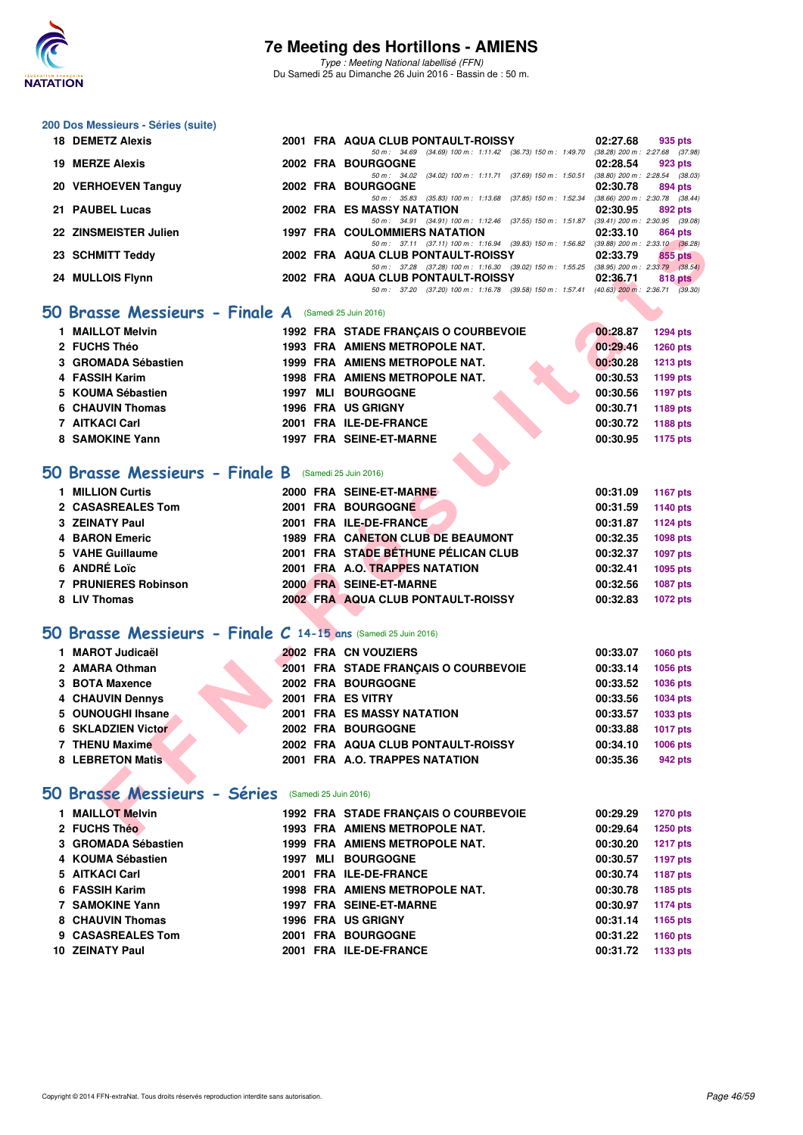

#### **200 Dos Messieurs - Séries (suite)**

| 18 DEMETZ Alexis      |  | 2001 FRA AQUA CLUB PONTAULT-ROISSY<br>02:27.68                                           | 935 pts                             |
|-----------------------|--|------------------------------------------------------------------------------------------|-------------------------------------|
|                       |  | 50 m : 34.69 (34.69) 100 m : 1:11.42 (36.73) 150 m : 1:49.70                             | $(38.28)$ 200 m : 2:27.68 $(37.98)$ |
| 19 MERZE Alexis       |  | 2002 FRA BOURGOGNE<br>02:28.54                                                           | 923 pts                             |
|                       |  | (37.69) 150 m : 1:50.51<br>50 m: 34.02 (34.02) 100 m: 1:11.71                            | $(38.80)$ 200 m : 2:28.54 $(38.03)$ |
| 20 VERHOEVEN Tanguy   |  | 2002 FRA BOURGOGNE<br>02:30.78                                                           | 894 pts                             |
|                       |  | 50 m : 35.83 (35.83) 100 m : 1:13.68 (37.85) 150 m : 1:52.34                             | $(38.66)$ 200 m : 2:30.78 $(38.44)$ |
| 21 PAUBEL Lucas       |  | <b>2002 FRA ES MASSY NATATION</b><br>02:30.95                                            | 892 pts                             |
|                       |  | 50 m: 34.91 (34.91) 100 m: 1:12.46 (37.55) 150 m: 1:51.87                                | $(39.41)$ 200 m : 2:30.95 $(39.08)$ |
| 22 ZINSMEISTER Julien |  | <b>1997 FRA COULOMMIERS NATATION</b><br>02:33.10                                         | 864 pts                             |
|                       |  | 50 m: 37.11 (37.11) 100 m: 1:16.94 (39.83) 150 m: 1:56.82                                | $(39.88)$ 200 m : 2:33.10 $(36.28)$ |
| 23 SCHMITT Teddy      |  | 2002 FRA AQUA CLUB PONTAULT-ROISSY<br>02:33.79                                           | 855 pts                             |
|                       |  | 50 m : 37.28 (37.28) 100 m : 1:16.30 (39.02) 150 m : 1:55.25                             | $(38.95)$ 200 m : 2:33.79 $(38.54)$ |
| 24 MULLOIS Flynn      |  | 2002 FRA AQUA CLUB PONTAULT-ROISSY<br>02:36.71                                           | 818 pts                             |
|                       |  | 50 m: 37.20 (37.20) 100 m: 1:16.78 (39.58) 150 m: 1:57.41 (40.63) 200 m: 2:36.71 (39.30) |                                     |
|                       |  |                                                                                          |                                     |

#### **[50 Brasse Messieurs - Finale A](http://www.ffnatation.fr/webffn/resultats.php?idact=nat&go=epr&idcpt=38947&idepr=71)** (Samedi 25 Juin 2016)

| 1 MAILLOT Melvin    |      | 1992 FRA STADE FRANCAIS O COURBEVOIE | 00:28.87 | 1294 pts        |
|---------------------|------|--------------------------------------|----------|-----------------|
| 2 FUCHS Théo        |      | 1993 FRA AMIENS METROPOLE NAT.       | 00:29.46 | <b>1260 pts</b> |
| 3 GROMADA Sébastien |      | 1999 FRA AMIENS METROPOLE NAT.       | 00:30.28 | <b>1213 pts</b> |
| 4 FASSIH Karim      |      | 1998 FRA AMIENS METROPOLE NAT.       | 00:30.53 | 1199 pts        |
| 5 KOUMA Sébastien   | 1997 | <b>MLI BOURGOGNE</b>                 | 00:30.56 | 1197 pts        |
| 6 CHAUVIN Thomas    |      | <b>1996 FRA US GRIGNY</b>            | 00:30.71 | 1189 pts        |
| 7 AITKACI Carl      |      | 2001 FRA ILE-DE-FRANCE               | 00:30.72 | 1188 pts        |
| 8 SAMOKINE Yann     |      | 1997 FRA SEINE-ET-MARNE              | 00:30.95 | 1175 pts        |

#### **[50 Brasse Messieurs - Finale B](http://www.ffnatation.fr/webffn/resultats.php?idact=nat&go=epr&idcpt=38947&idepr=71)** (Samedi 25 Juin 2016)

| 1 MILLION Curtis     |  | 2000 FRA SEINE-ET-MARNE             | 00:31.09 | 1167 pts |
|----------------------|--|-------------------------------------|----------|----------|
| 2 CASASREALES Tom    |  | 2001 FRA BOURGOGNE                  | 00:31.59 | 1140 pts |
| 3 ZEINATY Paul       |  | 2001 FRA ILE-DE-FRANCE              | 00:31.87 | 1124 pts |
| 4 BARON Emeric       |  | 1989 FRA CANETON CLUB DE BEAUMONT   | 00:32.35 | 1098 pts |
| 5 VAHE Guillaume     |  | 2001 FRA STADE BÉTHUNE PÉLICAN CLUB | 00:32.37 | 1097 pts |
| 6 ANDRÉ Loïc         |  | 2001 FRA A.O. TRAPPES NATATION      | 00:32.41 | 1095 pts |
| 7 PRUNIERES Robinson |  | 2000 FRA SEINE-ET-MARNE             | 00:32.56 | 1087 pts |
| 8 LIV Thomas         |  | 2002 FRA AQUA CLUB PONTAULT-ROISSY  | 00:32.83 | 1072 pts |

### **[50 Brasse Messieurs - Finale C](http://www.ffnatation.fr/webffn/resultats.php?idact=nat&go=epr&idcpt=38947&idepr=71) 14-15 ans** (Samedi 25 Juin 2016)

| 44 ANJMERIER JUNCH                                                   | <b>1997 FRA COOLOMMILRS NATATION</b>                                                                                                                                                                                                                                                          | <u>uz.jj.iu</u><br>ou+ pis  |
|----------------------------------------------------------------------|-----------------------------------------------------------------------------------------------------------------------------------------------------------------------------------------------------------------------------------------------------------------------------------------------|-----------------------------|
| 23 SCHMITT Teddy                                                     | 50 m: 37.11 (37.11) 100 m: 1:16.94 (39.83) 150 m: 1:56.82 (39.88) 200 m: 2:33.10 (36.28)<br>2002 FRA AQUA CLUB PONTAULT-ROISSY                                                                                                                                                                | 02:33.79<br>855 pts         |
|                                                                      | 50 m: 37.28 (37.28) 100 m: 1:16.30 (39.02) 150 m: 1:55.25 (38.95) 200 m: 2:33.79 (38.54)                                                                                                                                                                                                      |                             |
| 24 MULLOIS Flynn                                                     | 2002 FRA AQUA CLUB PONTAULT-ROISSY<br>02:36.71<br>818 pts<br>50 m: 37.20 (37.20) 100 m: 1:16.78 (39.58) 150 m: 1:57.41 (40.63) 200 m: 2:36.71 (39.30)<br>1992 FRA STADE FRANÇAIS O COURBEVOIE<br>00:28.87<br><b>1294 pts</b><br>1993 FRA AMIENS METROPOLE NAT.<br>00:29.46<br><b>1260 pts</b> |                             |
|                                                                      |                                                                                                                                                                                                                                                                                               |                             |
| O Brasse Messieurs - Finale A (Samedi 25 Juin 2016)                  |                                                                                                                                                                                                                                                                                               |                             |
| 1 MAILLOT Melvin                                                     |                                                                                                                                                                                                                                                                                               |                             |
| 2 FUCHS Théo                                                         |                                                                                                                                                                                                                                                                                               |                             |
| 3 GROMADA Sébastien                                                  | 1999 FRA AMIENS METROPOLE NAT.<br>00:30.28<br><b>1213 pts</b><br>1998 FRA AMIENS METROPOLE NAT.<br>00:30.53<br>1199 pts                                                                                                                                                                       |                             |
| 4 FASSIH Karim                                                       |                                                                                                                                                                                                                                                                                               |                             |
| 5 KOUMA Sébastien                                                    | <b>1997 MLI BOURGOGNE</b>                                                                                                                                                                                                                                                                     | 00:30.56<br>1197 pts        |
| 6 CHAUVIN Thomas                                                     | 1996 FRA US GRIGNY                                                                                                                                                                                                                                                                            | 00:30.71<br>1189 pts        |
| 7 AITKACI Carl                                                       | 2001 FRA ILE-DE-FRANCE                                                                                                                                                                                                                                                                        | 00:30.72<br>1188 pts        |
| 8 SAMOKINE Yann                                                      | 1997 FRA SEINE-ET-MARNE                                                                                                                                                                                                                                                                       | 00:30.95<br>1175 pts        |
|                                                                      |                                                                                                                                                                                                                                                                                               |                             |
| O Brasse Messieurs - Finale B (Samedi 25 Juin 2016)                  |                                                                                                                                                                                                                                                                                               |                             |
| 1 MILLION Curtis                                                     | 2000 FRA SEINE-ET-MARNE                                                                                                                                                                                                                                                                       | 00:31.09<br><b>1167 pts</b> |
| 2 CASASREALES Tom                                                    | 2001 FRA BOURGOGNE                                                                                                                                                                                                                                                                            | 00:31.59<br>1140 pts        |
| <b>3 ZEINATY Paul</b>                                                | 2001 FRA ILE-DE-FRANCE                                                                                                                                                                                                                                                                        | 00:31.87<br>1124 pts        |
| <b>4 BARON Emeric</b>                                                | 1989 FRA CANETON CLUB DE BEAUMONT                                                                                                                                                                                                                                                             | 00:32.35<br><b>1098 pts</b> |
| 5 VAHE Guillaume                                                     | 2001 FRA STADE BÉTHUNE PÉLICAN CLUB                                                                                                                                                                                                                                                           | 00:32.37<br>1097 pts        |
| 6 ANDRÉ Loïc                                                         | 2001 FRA A.O. TRAPPES NATATION                                                                                                                                                                                                                                                                | 00:32.41<br>1095 pts        |
| <b>7 PRUNIERES Robinson</b>                                          | 2000 FRA SEINE-ET-MARNE                                                                                                                                                                                                                                                                       | 00:32.56<br><b>1087 pts</b> |
| 8 LIV Thomas                                                         | 2002 FRA AQUA CLUB PONTAULT-ROISSY                                                                                                                                                                                                                                                            | 00:32.83<br><b>1072 pts</b> |
|                                                                      |                                                                                                                                                                                                                                                                                               |                             |
| <b>D Brasse Messieurs - Finale C 14-15 ans (Samedi 25 Juin 2016)</b> |                                                                                                                                                                                                                                                                                               |                             |
| 1 MAROT Judicaël                                                     | 2002 FRA CN VOUZIERS                                                                                                                                                                                                                                                                          | 00:33.07<br><b>1060 pts</b> |
| 2 AMARA Othman                                                       | 2001 FRA STADE FRANÇAIS O COURBEVOIE                                                                                                                                                                                                                                                          | 00:33.14<br>1056 pts        |
| 3 BOTA Maxence                                                       | 2002 FRA BOURGOGNE                                                                                                                                                                                                                                                                            | 00:33.52<br><b>1036 pts</b> |
| 4 CHAUVIN Dennys                                                     | 2001 FRA ES VITRY                                                                                                                                                                                                                                                                             | 00:33.56<br>1034 pts        |
| 5 OUNOUGHI Ihsane                                                    | <b>2001 FRA ES MASSY NATATION</b>                                                                                                                                                                                                                                                             | 00:33.57<br>1033 pts        |
| <b>6 SKLADZIEN Victor</b>                                            | <b>2002 FRA BOURGOGNE</b>                                                                                                                                                                                                                                                                     | 00:33.88<br><b>1017 pts</b> |
| 7 THENU Maxime                                                       | 2002 FRA AQUA CLUB PONTAULT-ROISSY                                                                                                                                                                                                                                                            | 00:34.10<br>1006 pts        |
| <b>8 LEBRETON Matis</b>                                              | 2001 FRA A.O. TRAPPES NATATION                                                                                                                                                                                                                                                                | 00:35.36<br>942 pts         |
|                                                                      |                                                                                                                                                                                                                                                                                               |                             |
| O Brasse Messieurs - Séries (Samedi 25 Juin 2016)                    |                                                                                                                                                                                                                                                                                               |                             |
| 1 MAILLOT Melvin                                                     | 1992 FRA STADE FRANÇAIS O COURBEVOIE                                                                                                                                                                                                                                                          | 00:29.29<br><b>1270 pts</b> |
| 2 FUCHS Théo                                                         | 1993 FRA AMIENS METROPOLE NAT.                                                                                                                                                                                                                                                                | 00:29.64<br><b>1250 pts</b> |
|                                                                      |                                                                                                                                                                                                                                                                                               |                             |

#### **[50 Brasse Messieurs - Séries](http://www.ffnatation.fr/webffn/resultats.php?idact=nat&go=epr&idcpt=38947&idepr=71)** (Samedi 25 Juin 2016)

| 1 MAILLOT Melvin    |      | 1992 FRA STADE FRANCAIS O COURBEVOIE | 00:29.29 | <b>1270 pts</b> |
|---------------------|------|--------------------------------------|----------|-----------------|
| 2 FUCHS Theo        |      | 1993 FRA AMIENS METROPOLE NAT.       | 00:29.64 | 1250 pts        |
| 3 GROMADA Sébastien |      | 1999 FRA AMIENS METROPOLE NAT.       | 00:30.20 | <b>1217 pts</b> |
| 4 KOUMA Sébastien   | 1997 | <b>MLI BOURGOGNE</b>                 | 00:30.57 | 1197 pts        |
| 5 AITKACI Carl      |      | 2001 FRA ILE-DE-FRANCE               | 00:30.74 | <b>1187 pts</b> |
| 6 FASSIH Karim      |      | 1998 FRA AMIENS METROPOLE NAT.       | 00:30.78 | 1185 pts        |
| 7 SAMOKINE Yann     |      | 1997 FRA SEINE-ET-MARNE              | 00:30.97 | 1174 pts        |
| 8 CHAUVIN Thomas    |      | 1996 FRA US GRIGNY                   | 00:31.14 | 1165 pts        |
| 9 CASASREALES Tom   |      | 2001 FRA BOURGOGNE                   | 00:31.22 | 1160 pts        |
| 10 ZEINATY Paul     |      | 2001 FRA ILE-DE-FRANCE               | 00:31.72 | 1133 pts        |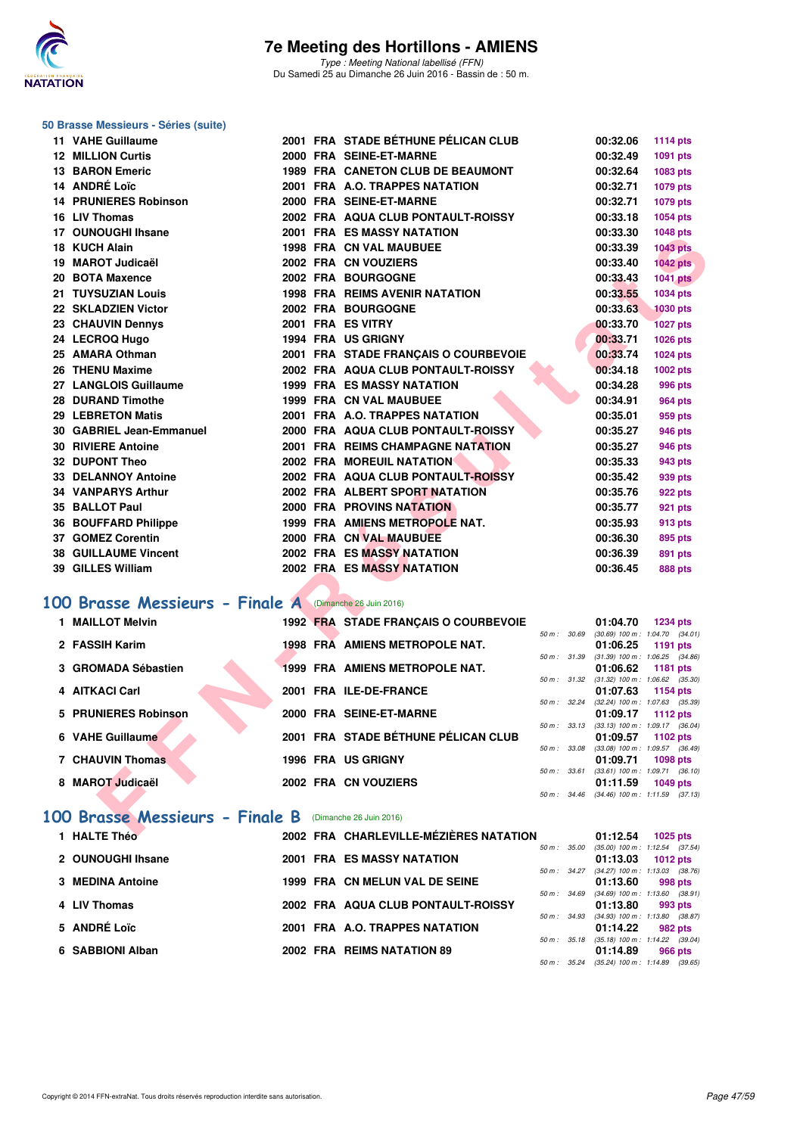

#### **50 Brasse Messieurs - Séries (suite)**

| 11 VAHE Guillaume                                      |  | 2001 FRA STADE BETHUNE PELICAN CLUB                             |              | 00:32.06             | <b>1114 pts</b>                                               |
|--------------------------------------------------------|--|-----------------------------------------------------------------|--------------|----------------------|---------------------------------------------------------------|
| <b>12 MILLION Curtis</b>                               |  | 2000 FRA SEINE-ET-MARNE                                         |              | 00:32.49             | 1091 pts                                                      |
| <b>13 BARON Emeric</b>                                 |  | <b>1989 FRA CANETON CLUB DE BEAUMONT</b>                        |              | 00:32.64             | 1083 pts                                                      |
| 14 ANDRÉ Loïc                                          |  | 2001 FRA A.O. TRAPPES NATATION                                  |              | 00:32.71             | 1079 pts                                                      |
| <b>14 PRUNIERES Robinson</b>                           |  | 2000 FRA SEINE-ET-MARNE                                         |              | 00:32.71             | 1079 pts                                                      |
| 16 LIV Thomas                                          |  | 2002 FRA AQUA CLUB PONTAULT-ROISSY                              |              | 00:33.18             | 1054 pts                                                      |
| 17 OUNOUGHI Ihsane                                     |  | <b>2001 FRA ES MASSY NATATION</b>                               |              | 00:33.30             | 1048 pts                                                      |
| 18 KUCH Alain                                          |  | <b>1998 FRA CN VAL MAUBUEE</b>                                  |              | 00:33.39             | <b>1043 pts</b>                                               |
| 19 MAROT Judicaël                                      |  | 2002 FRA CN VOUZIERS                                            |              | 00:33.40             | <b>1042 pts</b>                                               |
| 20 BOTA Maxence                                        |  | 2002 FRA BOURGOGNE                                              |              | 00:33.43             | <b>1041 pts</b>                                               |
| 21 TUYSUZIAN Louis                                     |  | <b>1998 FRA REIMS AVENIR NATATION</b>                           |              | 00:33.55             | 1034 pts                                                      |
| 22 SKLADZIEN Victor                                    |  | 2002 FRA BOURGOGNE                                              |              | 00:33.63             | 1030 pts                                                      |
| 23 CHAUVIN Dennys                                      |  | 2001 FRA ES VITRY                                               |              | 00:33.70             | <b>1027 pts</b>                                               |
| 24 LECROQ Hugo                                         |  | 1994 FRA US GRIGNY                                              |              | 00:33.71             | 1026 pts                                                      |
| 25 AMARA Othman                                        |  | 2001 FRA STADE FRANÇAIS O COURBEVOIE                            |              | 00:33.74             | 1024 pts                                                      |
| 26 THENU Maxime                                        |  | 2002 FRA AQUA CLUB PONTAULT-ROISSY                              |              | 00:34.18             | 1002 pts                                                      |
| 27 LANGLOIS Guillaume                                  |  | <b>1999 FRA ES MASSY NATATION</b>                               |              | 00:34.28             | <b>996 pts</b>                                                |
| 28 DURAND Timothe                                      |  | 1999 FRA CN VAL MAUBUEE                                         |              | 00:34.91             | <b>964 pts</b>                                                |
| <b>29 LEBRETON Matis</b>                               |  | 2001 FRA A.O. TRAPPES NATATION                                  |              | 00:35.01             | 959 pts                                                       |
| 30 GABRIEL Jean-Emmanuel                               |  | 2000 FRA AQUA CLUB PONTAULT-ROISSY                              |              | 00:35.27             | <b>946 pts</b>                                                |
| <b>30 RIVIERE Antoine</b>                              |  | 2001 FRA REIMS CHAMPAGNE NATATION                               |              | 00:35.27             | 946 pts                                                       |
| <b>32 DUPONT Theo</b>                                  |  | 2002 FRA MOREUIL NATATION                                       |              | 00:35.33             | 943 pts                                                       |
| 33 DELANNOY Antoine                                    |  | 2002 FRA AQUA CLUB PONTAULT-ROISSY                              |              | 00:35.42             | 939 pts                                                       |
| <b>34 VANPARYS Arthur</b>                              |  | 2002 FRA ALBERT SPORT NATATION                                  |              | 00:35.76             | <b>922 pts</b>                                                |
| 35 BALLOT Paul                                         |  | <b>2000 FRA PROVINS NATATION</b>                                |              | 00:35.77             | 921 pts                                                       |
| 36 BOUFFARD Philippe                                   |  | 1999 FRA AMIENS METROPOLE NAT.                                  |              | 00:35.93             | 913 pts                                                       |
| 37 GOMEZ Corentin                                      |  | 2000 FRA CN VAL MAUBUEE                                         |              | 00:36.30             | 895 pts                                                       |
| <b>38 GUILLAUME Vincent</b><br>39 GILLES William       |  | 2002 FRA ES MASSY NATATION<br><b>2002 FRA ES MASSY NATATION</b> |              | 00:36.39<br>00:36.45 | 891 pts                                                       |
|                                                        |  |                                                                 |              |                      | <b>888 pts</b>                                                |
|                                                        |  |                                                                 |              |                      |                                                               |
| 00 Brasse Messieurs - Finale A (Dimanche 26 Juin 2016) |  |                                                                 |              |                      |                                                               |
| 1 MAILLOT Melvin                                       |  | 1992 FRA STADE FRANÇAIS O COURBEVOIE                            |              | 01:04.70             | <b>1234 pts</b>                                               |
| 2 FASSIH Karim                                         |  | 1998 FRA AMIENS METROPOLE NAT.                                  | 50 m : 30.69 | 01:06.25             | $(30.69)$ 100 m : 1:04.70 $(34.01)$<br>1191 pts               |
|                                                        |  |                                                                 |              |                      | 50 m: 31.39 (31.39) 100 m: 1:06.25 (34.86)                    |
| 3 GROMADA Sébastien                                    |  | 1999 FRA AMIENS METROPOLE NAT.                                  |              | 01:06.62             | 1181 pts<br>50 m: 31.32 (31.32) 100 m: 1:06.62 (35.30)        |
| <b>4 AITKACI Carl</b>                                  |  | 2001 FRA ILE-DE-FRANCE                                          |              | 01:07.63             | 1154 pts                                                      |
|                                                        |  |                                                                 | 50 m : 32.24 |                      | (32.24) 100 m: 1:07.63 (35.39)                                |
| 5 PRUNIERES Robinson                                   |  | 2000 FRA SEINE-ET-MARNE                                         |              | 01:09.17             | <b>1112 pts</b><br>50 m: 33.13 (33.13) 100 m: 1:09.17 (36.04) |
| 6 VAHE Guillaume                                       |  | 2001 FRA STADE BÉTHUNE PÉLICAN CLUB                             |              | 01:09.57             | 1102 pts                                                      |
|                                                        |  |                                                                 |              |                      | 50 m: 33.08 (33.08) 100 m: 1:09.57 (36.49)                    |
| 7 CHAUVIN Thomas                                       |  | 1996 FRA US GRIGNY                                              | 50 m: 33.61  | 01:09.71             | <b>1098 pts</b><br>$(33.61)$ 100 m : 1:09.71 $(36.10)$        |
| 8 MAROT Judicaël                                       |  | 2002 FRA CN VOUZIERS                                            |              | 01:11.59             | 1049 pts                                                      |
|                                                        |  |                                                                 |              |                      | 50 m: 34.46 (34.46) 100 m: 1:11.59 (37.13)                    |
| 00 Brasse Messieurs - Finale B (Dimanche 26 Juin 2016) |  |                                                                 |              |                      |                                                               |
| 4 - 1181 TE TLI                                        |  | <b>0000 FBA QUABLEVILLE MÉZIÈREC MATATION</b>                   |              | 04.40E               | $A O Q F = 1.1$                                               |

## **[100 Brasse Messieurs - Finale A](http://www.ffnatation.fr/webffn/resultats.php?idact=nat&go=epr&idcpt=38947&idepr=72)** (Dimanche 26 Juin 2016)

| 1 MAILLOT Melvin     | 1992 FRA STADE FRANCAIS O COURBEVOIE |                        | 01:04.70<br><b>1234 pts</b>                                   |
|----------------------|--------------------------------------|------------------------|---------------------------------------------------------------|
| 2 FASSIH Karim       | 1998 FRA AMIENS METROPOLE NAT.       | 50 m: 30.69            | $(30.69)$ 100 m : 1:04.70 $(34.01)$<br>01:06.25<br>1191 pts   |
| 3 GROMADA Sébastien  | 1999 FRA AMIENS METROPOLE NAT.       | $50 m$ : $31.39$       | $(31.39)$ 100 m : 1:06.25 $(34.86)$<br>01:06.62<br>1181 pts   |
| 4 AITKACI Carl       | 2001 FRA ILE-DE-FRANCE               | 50 m: 31.32            | $(31.32)$ 100 m : 1:06.62 $(35.30)$<br>01:07.63<br>1154 pts   |
| 5 PRUNIERES Robinson | 2000 FRA SEINE-ET-MARNE              | $50 \text{ m}$ : 32.24 | $(32.24)$ 100 m : 1:07.63 $(35.39)$<br>01:09.17<br>1112 $pts$ |
| 6 VAHE Guillaume     | 2001 FRA STADE BÉTHUNE PÉLICAN CLUB  | 50 m: 33.13            | $(33.13)$ 100 m : 1:09.17 $(36.04)$<br>01:09.57<br>1102 $pts$ |
| 7 CHAUVIN Thomas     | <b>1996 FRA US GRIGNY</b>            | 50 m: 33.08            | $(33.08)$ 100 m : 1:09.57 $(36.49)$<br>01:09.71<br>1098 pts   |
| 8 MAROT Judicaël     | 2002 FRA CN VOUZIERS                 | 50 m: 33.61            | $(33.61)$ 100 m : 1:09.71 $(36.10)$<br>01:11.59<br>1049 pts   |
|                      |                                      |                        | 50 m: 34.46 (34.46) 100 m: 1:11.59 (37.13)                    |

## **[100 Brasse Messieurs - Finale B](http://www.ffnatation.fr/webffn/resultats.php?idact=nat&go=epr&idcpt=38947&idepr=72)** (Dimanche 26 Juin 2016)

| 1 HALTE Théo      |  | 2002 FRA CHARLEVILLE-MÉZIÈRES NATATION |                          | 01:12.54                            | $1025$ pts |  |
|-------------------|--|----------------------------------------|--------------------------|-------------------------------------|------------|--|
|                   |  |                                        | 50 m : 35.00             | $(35.00)$ 100 m : 1:12.54 $(37.54)$ |            |  |
| 2 OUNOUGHI Ihsane |  | <b>2001 FRA ES MASSY NATATION</b>      |                          | 01:13.03                            | 1012 pts   |  |
|                   |  |                                        | $50 \text{ m}$ : $34.27$ | $(34.27)$ 100 m : 1:13.03 $(38.76)$ |            |  |
| 3 MEDINA Antoine  |  | 1999 FRA CN MELUN VAL DE SEINE         |                          | 01:13.60                            | 998 pts    |  |
|                   |  |                                        | 50 m: 34.69              | $(34.69)$ 100 m : 1:13.60 $(38.91)$ |            |  |
| 4 LIV Thomas      |  | 2002 FRA AQUA CLUB PONTAULT-ROISSY     |                          | 01:13.80                            | 993 pts    |  |
|                   |  |                                        | 50 m: 34.93              | $(34.93)$ 100 m : 1:13.80 $(38.87)$ |            |  |
| 5 ANDRÉ Loïc      |  | 2001 FRA A.O. TRAPPES NATATION         |                          | 01:14.22                            | 982 pts    |  |
|                   |  |                                        | $50 m$ : $35.18$         | $(35.18)$ 100 m : 1:14.22 $(39.04)$ |            |  |
| 6 SABBIONI Alban  |  | 2002 FRA REIMS NATATION 89             |                          | 01:14.89                            | 966 pts    |  |
|                   |  |                                        | $50 \text{ m}$ : 35.24   | $(35.24)$ 100 m : 1:14.89 $(39.65)$ |            |  |
|                   |  |                                        |                          |                                     |            |  |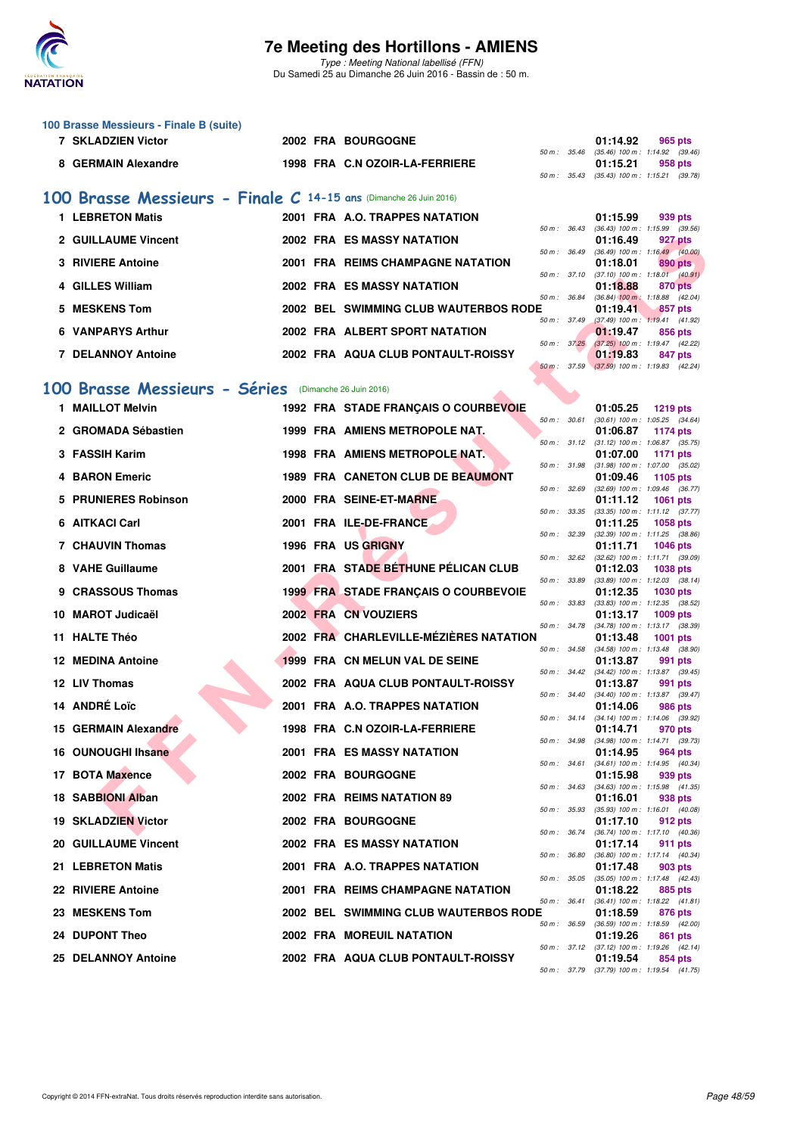

Type : Meeting National labellisé (FFN) Du Samedi 25 au Dimanche 26 Juin 2016 - Bassin de : 50 m.

|   | 100 Brasse Messieurs - Finale B (suite)                           |  |  |                                          |              |  |                                                                     |  |  |  |  |  |
|---|-------------------------------------------------------------------|--|--|------------------------------------------|--------------|--|---------------------------------------------------------------------|--|--|--|--|--|
|   | <b>7 SKLADZIEN Victor</b>                                         |  |  | <b>2002 FRA BOURGOGNE</b>                | 50 m : 35.46 |  | 01:14.92<br>965 pts<br>$(35.46)$ 100 m : 1:14.92 $(39.46)$          |  |  |  |  |  |
|   | 8 GERMAIN Alexandre                                               |  |  | 1998 FRA C.N OZOIR-LA-FERRIERE           |              |  | 01:15.21<br>958 pts<br>50 m: 35.43 (35.43) 100 m: 1:15.21 (39.78)   |  |  |  |  |  |
|   | 100 Brasse Messieurs - Finale C 14-15 ans (Dimanche 26 Juin 2016) |  |  |                                          |              |  |                                                                     |  |  |  |  |  |
|   | 1 LEBRETON Matis                                                  |  |  | 2001 FRA A.O. TRAPPES NATATION           |              |  | 01:15.99<br>939 pts                                                 |  |  |  |  |  |
|   | 2 GUILLAUME Vincent                                               |  |  | <b>2002 FRA ES MASSY NATATION</b>        | 50 m: 36.43  |  | (36.43) 100 m: 1:15.99 (39.56)                                      |  |  |  |  |  |
|   |                                                                   |  |  |                                          | 50 m : 36.49 |  | 01:16.49<br>927 pts<br>(36.49) 100 m : 1:16.49 (40.00)              |  |  |  |  |  |
|   | <b>3 RIVIERE Antoine</b>                                          |  |  | <b>2001 FRA REIMS CHAMPAGNE NATATION</b> | 50 m : 37.10 |  | 890 pts<br>01:18.01<br>$(37.10)$ 100 m : 1:18.01 $(40.91)$          |  |  |  |  |  |
|   | 4 GILLES William                                                  |  |  | <b>2002 FRA ES MASSY NATATION</b>        | 50 m : 36.84 |  | 01:18.88<br>870 pts<br>$(36.84)$ 100 m : 1:18.88 $(42.04)$          |  |  |  |  |  |
| 5 | <b>MESKENS Tom</b>                                                |  |  | 2002 BEL SWIMMING CLUB WAUTERBOS RODE    |              |  | 01:19.41<br>857 pts                                                 |  |  |  |  |  |
|   | <b>6 VANPARYS Arthur</b>                                          |  |  | 2002 FRA ALBERT SPORT NATATION           | 50 m : 37.49 |  | $(37.49)$ 100 m : 1:19.41 $(41.92)$<br>01:19.47<br>856 pts          |  |  |  |  |  |
|   | <b>7 DELANNOY Antoine</b>                                         |  |  | 2002 FRA AQUA CLUB PONTAULT-ROISSY       | 50 m: 37.25  |  | (37.25) 100 m: 1:19.47 (42.22)<br>01:19.83<br>847 pts               |  |  |  |  |  |
|   |                                                                   |  |  |                                          | 50 m: 37.59  |  | $(37.59)$ 100 m : 1:19.83 $(42.24)$                                 |  |  |  |  |  |
|   | 100 Brasse Messieurs - Séries<br>(Dimanche 26 Juin 2016)          |  |  |                                          |              |  |                                                                     |  |  |  |  |  |
|   | 1 MAILLOT Melvin                                                  |  |  | 1992 FRA STADE FRANÇAIS O COURBEVOIE     |              |  | 01:05.25<br><b>1219 pts</b>                                         |  |  |  |  |  |
|   | 2 GROMADA Sébastien                                               |  |  | 1999 FRA AMIENS METROPOLE NAT.           | 50 m: 30.61  |  | (30.61) 100 m: 1:05.25 (34.64)<br>01:06.87<br>1174 pts              |  |  |  |  |  |
|   | 3 FASSIH Karim                                                    |  |  | 1998 FRA AMIENS METROPOLE NAT.           |              |  | 50 m: 31.12 (31.12) 100 m: 1:06.87 (35.75)<br>01:07.00<br>1171 pts  |  |  |  |  |  |
| 4 | <b>BARON Emeric</b>                                               |  |  | 1989 FRA CANETON CLUB DE BEAUMONT        |              |  | 50 m: 31.98 (31.98) 100 m: 1:07.00 (35.02)<br>01:09.46<br>1105 pts  |  |  |  |  |  |
|   | 5 PRUNIERES Robinson                                              |  |  | 2000 FRA SEINE-ET-MARNE                  | 50 m: 32.69  |  | (32.69) 100 m: 1:09.46 (36.77)                                      |  |  |  |  |  |
|   |                                                                   |  |  |                                          | 50 m : 33.35 |  | 01:11.12<br>1061 pts<br>(33.35) 100 m: 1:11.12 (37.77)              |  |  |  |  |  |
|   | 6 AITKACI Carl                                                    |  |  | 2001 FRA ILE-DE-FRANCE                   | 50 m : 32.39 |  | 01:11.25<br><b>1058 pts</b><br>(32.39) 100 m: 1:11.25 (38.86)       |  |  |  |  |  |
|   | <b>7 CHAUVIN Thomas</b>                                           |  |  | <b>1996 FRA US GRIGNY</b>                | 50 m: 32.62  |  | 01:11.71<br>1046 pts<br>(32.62) 100 m: 1:11.71 (39.09)              |  |  |  |  |  |
|   | 8 VAHE Guillaume                                                  |  |  | 2001 FRA STADE BETHUNE PÉLICAN CLUB      |              |  | 01:12.03<br><b>1038 pts</b>                                         |  |  |  |  |  |
|   | 9 CRASSOUS Thomas                                                 |  |  | 1999 FRA STADE FRANÇAIS O COURBEVOIE     | 50 m : 33.89 |  | $(33.89)$ 100 m : 1:12.03 $(38.14)$<br>01:12.35<br><b>1030 pts</b>  |  |  |  |  |  |
|   | 10 MAROT Judicaël                                                 |  |  | 2002 FRA CN VOUZIERS                     | 50 m : 33.83 |  | (33.83) 100 m: 1:12.35 (38.52)<br>01:13.17<br>1009 pts              |  |  |  |  |  |
|   | 11 HALTE Théo                                                     |  |  | 2002 FRA CHARLEVILLE-MÉZIÈRES NATATION   | 50 m : 34.78 |  | (34.78) 100 m: 1:13.17 (38.39)<br>01:13.48<br>1001 pts              |  |  |  |  |  |
|   | 12 MEDINA Antoine                                                 |  |  | 1999 FRA CN MELUN VAL DE SEINE           | 50 m : 34.58 |  | (34.58) 100 m: 1:13.48 (38.90)                                      |  |  |  |  |  |
|   |                                                                   |  |  |                                          |              |  | 01:13.87<br>991 pts<br>50 m: 34.42 (34.42) 100 m: 1:13.87 (39.45)   |  |  |  |  |  |
|   | 12 LIV Thomas                                                     |  |  | 2002 FRA AQUA CLUB PONTAULT-ROISSY       |              |  | 01:13.87<br>991 pts<br>50 m: 34.40 (34.40) 100 m: 1:13.87 (39.47)   |  |  |  |  |  |
|   | 14 ANDRÉ Loïc                                                     |  |  | 2001 FRA A.O. TRAPPES NATATION           | 50 m : 34.14 |  | 01:14.06<br>986 pts<br>(34.14) 100 m: 1:14.06 (39.92)               |  |  |  |  |  |
|   | 15 GERMAIN Alexandre                                              |  |  | 1998 FRA C.N OZOIR-LA-FERRIERE           | 50 m : 34.98 |  | 01:14.71<br>970 pts<br>$(34.98)$ 100 m : 1:14.71 $(39.73)$          |  |  |  |  |  |
|   | 16 OUNOUGHI Ihsane                                                |  |  | 2001 FRA ES MASSY NATATION               |              |  | 01:14.95<br>964 pts                                                 |  |  |  |  |  |
|   | 17 BOTA Maxence                                                   |  |  | 2002 FRA BOURGOGNE                       | 50 m : 34.61 |  | (34.61) 100 m: 1:14.95 (40.34)<br>01:15.98<br>939 pts               |  |  |  |  |  |
|   | 18 SABBIONI Alban                                                 |  |  | 2002 FRA REIMS NATATION 89               | 50 m : 34.63 |  | $(34.63)$ 100 m : 1:15.98 $(41.35)$<br>01:16.01<br>938 pts          |  |  |  |  |  |
|   | <b>19 SKLADZIEN Victor</b>                                        |  |  | 2002 FRA BOURGOGNE                       | 50 m : 35.93 |  | (35.93) 100 m: 1:16.01 (40.08)<br>01:17.10<br>912 pts               |  |  |  |  |  |
|   |                                                                   |  |  |                                          | 50 m : 36.74 |  | (36.74) 100 m: 1:17.10 (40.36)                                      |  |  |  |  |  |
|   | <b>20 GUILLAUME Vincent</b>                                       |  |  | 2002 FRA ES MASSY NATATION               | 50 m : 36.80 |  | 01:17.14<br>911 pts<br>$(36.80)$ 100 m : 1:17.14 $(40.34)$          |  |  |  |  |  |
|   | 21 LEBRETON Matis                                                 |  |  | 2001 FRA A.O. TRAPPES NATATION           | 50 m : 35.05 |  | 01:17.48<br>903 pts<br>(35.05) 100 m: 1:17.48 (42.43)               |  |  |  |  |  |
|   | 22 RIVIERE Antoine                                                |  |  | 2001 FRA REIMS CHAMPAGNE NATATION        | 50 m : 36.41 |  | 01:18.22<br>885 pts<br>$(36.41)$ 100 m : 1:18.22 $(41.81)$          |  |  |  |  |  |
|   | 23 MESKENS Tom                                                    |  |  | 2002 BEL SWIMMING CLUB WAUTERBOS RODE    |              |  | 01:18.59<br>876 pts                                                 |  |  |  |  |  |
|   | 24 DUPONT Theo                                                    |  |  | 2002 FRA MOREUIL NATATION                | 50 m : 36.59 |  | $(36.59)$ 100 m : 1:18.59 $(42.00)$<br>01:19.26<br>861 pts          |  |  |  |  |  |
|   | 25 DELANNOY Antoine                                               |  |  | 2002 FRA AQUA CLUB PONTAULT-ROISSY       |              |  | 50 m : 37.12 (37.12) 100 m : 1:19.26 (42.14)<br>01:19.54<br>854 pts |  |  |  |  |  |
|   |                                                                   |  |  |                                          |              |  | 50 m: 37.79 (37.79) 100 m: 1:19.54 (41.75)                          |  |  |  |  |  |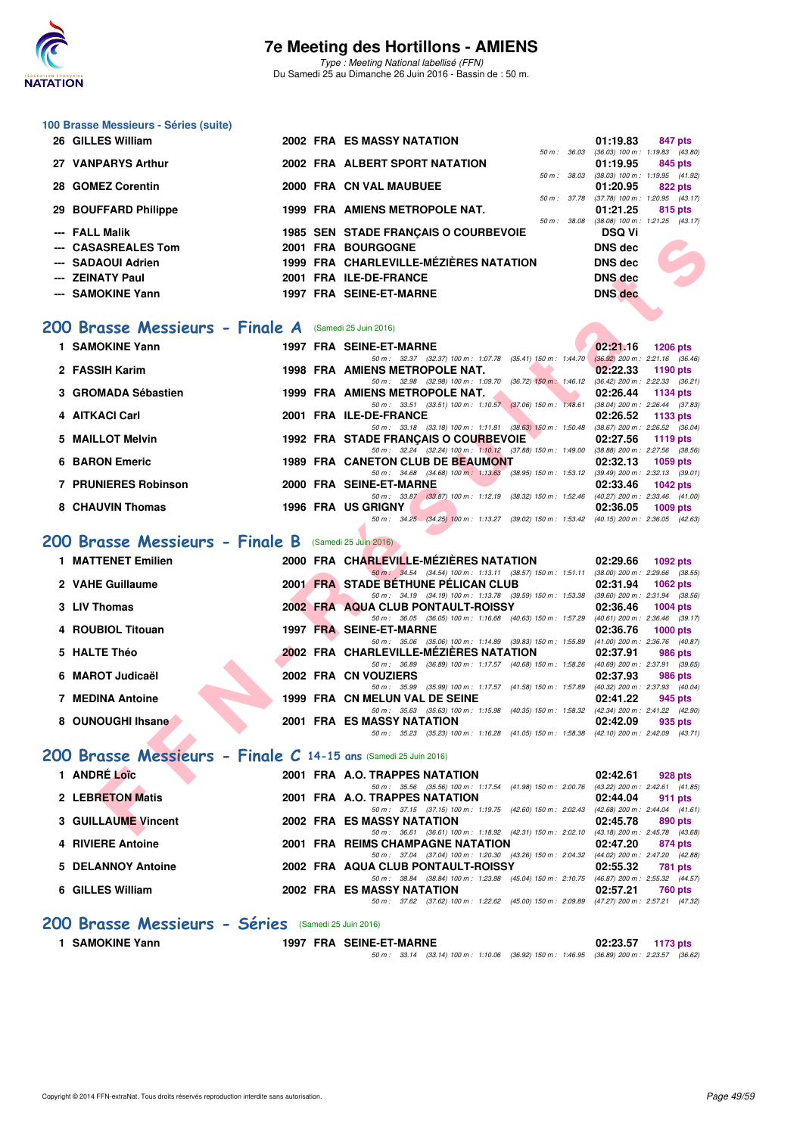

Type : Meeting National labellisé (FFN) Du Samedi 25 au Dimanche 26 Juin 2016 - Bassin de : 50 m.

| 100 Brasse Messieurs - Séries (suite) |  |
|---------------------------------------|--|
| 26 GILLES William                     |  |

| 26 GILLES William    |  | 2002 FRA ES MASSY NATATION             |             | 01:19.83                                                  |         | 847 pts |
|----------------------|--|----------------------------------------|-------------|-----------------------------------------------------------|---------|---------|
| 27 VANPARYS Arthur   |  | 2002 FRA ALBERT SPORT NATATION         | 50 m: 36.03 | $(36.03)$ 100 m : 1:19.83 $(43.80)$<br>$01:19.95$ 845 pts |         |         |
| 28 GOMEZ Corentin    |  | 2000 FRA CN VAL MAUBUEE                | 50 m: 38.03 | $(38.03)$ 100 m : 1:19.95 $(41.92)$<br>$01:20.95$ 822 pts |         |         |
| 29 BOUFFARD Philippe |  | 1999 FRA AMIENS METROPOLE NAT.         |             | 50 m: 37.78 (37.78) 100 m: 1:20.95 (43.17)<br>01:21.25    | 815 pts |         |
| --- FALL Malik       |  | 1985 SEN STADE FRANCAIS O COURBEVOIE   | 50 m: 38.08 | $(38.08)$ 100 m : 1:21.25 $(43.17)$<br><b>DSQ Vi</b>      |         |         |
| --- CASASREALES Tom  |  | 2001 FRA BOURGOGNE                     |             | DNS dec                                                   |         |         |
| --- SADAOUI Adrien   |  | 1999 FRA CHARLEVILLE-MÉZIÈRES NATATION |             | <b>DNS</b> dec                                            |         |         |
| --- ZEINATY Paul     |  | 2001 FRA ILE-DE-FRANCE                 |             | <b>DNS</b> dec                                            |         |         |
| --- SAMOKINE Yann    |  | 1997 FRA SEINE-ET-MARNE                |             | <b>DNS</b> dec                                            |         |         |

#### **[200 Brasse Messieurs - Finale A](http://www.ffnatation.fr/webffn/resultats.php?idact=nat&go=epr&idcpt=38947&idepr=73)** (Samedi 25 Juin 2016)

|                                                                |  | <b>1900 SEN STADE FRANÇAIS O COURDEVOIE</b>                                                                                       | וי צפש                      |
|----------------------------------------------------------------|--|-----------------------------------------------------------------------------------------------------------------------------------|-----------------------------|
| --- CASASREALES Tom                                            |  | 2001 FRA BOURGOGNE                                                                                                                | <b>DNS dec</b>              |
| --- SADAOUI Adrien                                             |  | 1999 FRA CHARLEVILLE-MÉZIÈRES NATATION                                                                                            | <b>DNS</b> dec              |
| --- ZEINATY Paul                                               |  | 2001 FRA ILE-DE-FRANCE                                                                                                            | <b>DNS</b> dec              |
| --- SAMOKINE Yann                                              |  | 1997 FRA SEINE-ET-MARNE                                                                                                           | <b>DNS</b> dec              |
|                                                                |  |                                                                                                                                   |                             |
|                                                                |  |                                                                                                                                   |                             |
| 00 Brasse Messieurs - Finale A (Samedi 25 Juin 2016)           |  |                                                                                                                                   |                             |
| 1 SAMOKINE Yann                                                |  | 1997 FRA SEINE-ET-MARNE                                                                                                           | 02:21.16<br><b>1206 pts</b> |
|                                                                |  | 50 m: 32.37 (32.37) 100 m: 1.07.78 (35.41) 150 m: 1.44.70 (36.92) 200 m: 2.21.16 (36.46)                                          |                             |
| 2 FASSIH Karim                                                 |  | <b>1998 FRA AMIENS METROPOLE NAT.</b><br>50 m: 32.98 (32.98) 100 m: 1:09.70 (36.72) 150 m: 1:46.12 (36.42) 200 m: 2:22.33 (36.21) | 02:22.33<br>1190 pts        |
| 3 GROMADA Sébastien                                            |  | 1999 FRA AMIENS METROPOLE NAT.                                                                                                    | 02:26.44<br>1134 pts        |
|                                                                |  | 50 m: 33.51 (33.51) 100 m: 1:10.57 (37.06) 150 m: 1:48.61 (38.04) 200 m: 2:26.44 (37.83)                                          |                             |
| 4 AITKACI Carl                                                 |  | 2001 FRA ILE-DE-FRANCE                                                                                                            | 02:26.52<br>1133 pts        |
|                                                                |  | 50 m: 33.18 (33.18) 100 m: 1:11.81 (38.63) 150 m: 1:50.48 (38.67) 200 m: 2:26.52 (36.04)                                          |                             |
| 5 MAILLOT Melvin                                               |  | 1992 FRA STADE FRANCAIS O COURBEVOIE<br>50 m: 32.24 (32.24) 100 m: 1:10.12 (37.88) 150 m: 1:49.00 (38.88) 200 m: 2:27.56 (38.56)  | 02:27.56<br>1119 pts        |
| <b>6 BARON Emeric</b>                                          |  | 1989 FRA CANETON CLUB DE BEAUMONT                                                                                                 | 02:32.13<br><b>1059 pts</b> |
|                                                                |  | 50 m: 34.68 (34.68) 100 m: 1:13.63 (38.95) 150 m: 1:53.12 (39.49) 200 m: 2:32.13 (39.01)                                          |                             |
| <b>7 PRUNIERES Robinson</b>                                    |  | 2000 FRA SEINE-ET-MARNE                                                                                                           | 02:33.46<br>$1042$ pts      |
|                                                                |  | 50 m: 33.87 (33.87) 100 m: 1:12.19 (38.32) 150 m: 1:52.46 (40.27) 200 m: 2:33.46 (41.00)                                          |                             |
| 8 CHAUVIN Thomas                                               |  | 1996 FRA US GRIGNY<br>50 m: 34.25 (34.25) 100 m: 1:13.27 (39.02) 150 m: 1:53.42 (40.15) 200 m: 2:36.05 (42.63)                    | 02:36.05<br>1009 pts        |
|                                                                |  |                                                                                                                                   |                             |
| 00 Brasse Messieurs - Finale B (Samedi 25 Juin 2016)           |  |                                                                                                                                   |                             |
| 1 MATTENET Emilien                                             |  | 2000 FRA CHARLEVILLE-MÉZIÈRES NATATION                                                                                            | 02:29.66<br>1092 pts        |
|                                                                |  | 50 m: 34.54 (34.54) 100 m: 1:13.11 (38.57) 150 m: 1:51.11 (38.00) 200 m: 2:29.66 (38.55)                                          |                             |
| 2 VAHE Guillaume                                               |  | 2001 FRA STADE BETHUNE PELICAN CLUB                                                                                               | 02:31.94<br>1062 pts        |
|                                                                |  | 50 m: 34.19 (34.19) 100 m: 1:13.78 (39.59) 150 m: 1:53.38 (39.60) 200 m: 2:31.94 (38.56)                                          |                             |
| 3 LIV Thomas                                                   |  | 2002 FRA AQUA CLUB PONTAULT-ROISSY                                                                                                | 02:36.46<br><b>1004 pts</b> |
| 4 ROUBIOL Titouan                                              |  | 50 m: 36.05 (36.05) 100 m: 1:16.68 (40.63) 150 m: 1:57.29 (40.61) 200 m: 2:36.46 (39.17)<br>1997 FRA SEINE-ET-MARNE               | 02:36.76<br>1000 $pts$      |
|                                                                |  | 50 m: 35.06 (35.06) 100 m: 1:14.89 (39.83) 150 m: 1:55.89 (41.00) 200 m: 2:36.76 (40.87)                                          |                             |
| 5 HALTE Théo                                                   |  | 2002 FRA CHARLEVILLE-MÉZIÈRES NATATION                                                                                            | 02:37.91<br><b>986 pts</b>  |
|                                                                |  | 50 m: 36.89 (36.89) 100 m: 1:17.57 (40.68) 150 m: 1:58.26 (40.69) 200 m: 2:37.91 (39.65)                                          |                             |
| 6 MAROT Judicaël                                               |  | 2002 FRA CN VOUZIERS                                                                                                              | 02:37.93<br>986 pts         |
| <b>7 MEDINA Antoine</b>                                        |  | 50 m: 35.99 (35.99) 100 m: 1:17.57 (41.58) 150 m: 1:57.89 (40.32) 200 m: 2:37.93 (40.04)<br>1999 FRA CN MELUN VAL DE SEINE        | 02:41.22<br>945 pts         |
|                                                                |  | 50 m: 35.63 (35.63) 100 m: 1:15.98 (40.35) 150 m: 1:58.32 (42.34) 200 m: 2:41.22 (42.90)                                          |                             |
| 8 OUNOUGHI Ihsane                                              |  | 2001 FRA ES MASSY NATATION                                                                                                        | 02:42.09<br>935 pts         |
|                                                                |  | 50 m: 35.23 (35.23) 100 m: 1:16.28 (41.05) 150 m: 1:58.38 (42.10) 200 m: 2:42.09 (43.71)                                          |                             |
| 00 Brasse Messieurs - Finale C 14-15 ans (Samedi 25 Juin 2016) |  |                                                                                                                                   |                             |
| 1 ANDRÉ Loïc                                                   |  | 2001 FRA A.O. TRAPPES NATATION                                                                                                    | 02:42.61<br>928 pts         |
|                                                                |  | 50 m: 35.56 (35.56) 100 m: 1:17.54 (41.98) 150 m: 2:00.76 (43.22) 200 m: 2:42.61 (41.85)                                          |                             |
| 2 LEBRETON Matis                                               |  | 2001 FRA A.O. TRAPPES NATATION                                                                                                    | 02:44.04<br>911 pts         |
|                                                                |  | 50 m: 37.15 (37.15) 100 m: 1:19.75 (42.60) 150 m: 2:02.43 (42.68) 200 m: 2:44.04 (41.61)                                          |                             |
| <b>3 GUILLAUME Vincent</b>                                     |  | 2002 FRA ES MASSY NATATION<br>50 m: 36.61 (36.61) 100 m: 1:18.92 (42.31) 150 m: 2:02.10 (43.18) 200 m: 2:45.78 (43.68)            | 02:45.78<br>890 pts         |
|                                                                |  |                                                                                                                                   |                             |

### **[200 Brasse Messieurs - Finale B](http://www.ffnatation.fr/webffn/resultats.php?idact=nat&go=epr&idcpt=38947&idepr=73)** (Samedi 25 Juin 2016)

| 1 MATTENET Emilien      |  | 2000 FRA CHARLEVILLE-MÉZIÈRES NATATION                                                                 | 02:29.66 | 1092 $pts$                                        |
|-------------------------|--|--------------------------------------------------------------------------------------------------------|----------|---------------------------------------------------|
| 2 VAHE Guillaume        |  | 50 m: 34.54 (34.54) 100 m: 1:13.11 (38.57) 150 m: 1:51.11<br>2001 FRA STADE BETHUNE PELICAN CLUB       | 02:31.94 | $(38.00)$ 200 m : 2:29.66 $(38.55)$<br>1062 $pts$ |
| 3 LIV Thomas            |  | 50 m: 34.19 (34.19) 100 m: 1:13.78 (39.59) 150 m: 1:53.38<br>2002 FRA AQUA CLUB PONTAULT-ROISSY        | 02:36.46 | $(39.60)$ 200 m : 2:31.94 $(38.56)$<br>$1004$ pts |
| 4 ROUBIOL Titouan       |  | 50 m: 36.05 (36.05) 100 m: 1:16.68 (40.63) 150 m: 1:57.29<br>1997 FRA SEINE-ET-MARNE                   | 02:36.76 | (40.61) 200 m : 2:36.46 (39.17)<br>$1000$ pts     |
| 5 HALTE Théo            |  | 50 m : 35.06 (35.06) 100 m : 1:14.89 (39.83) 150 m : 1:55.89<br>2002 FRA CHARLEVILLE-MÉZIÈRES NATATION | 02:37.91 | (41.00) 200 m : 2:36.76 (40.87)<br>986 pts        |
| 6 MAROT Judicaël        |  | 50 m: 36.89 (36.89) 100 m: 1:17.57 (40.68) 150 m: 1:58.26<br>2002 FRA CN VOUZIERS                      | 02:37.93 | (40.69) 200 m : 2:37.91 (39.65)<br>986 pts        |
| <b>7 MEDINA Antoine</b> |  | (35.99) 100 m : 1:17.57 (41.58) 150 m : 1:57.89<br>50 m : 35.99<br>1999 FRA CN MELUN VAL DE SEINE      | 02:41.22 | (40.32) 200 m : 2:37.93 (40.04)<br>945 pts        |
| 8 OUNOUGHI Ihsane       |  | 50 m: 35.63 (35.63) 100 m: 1:15.98 (40.35) 150 m: 1:58.32<br>2001 FRA ES MASSY NATATION                | 02:42.09 | (42.34) 200 m : 2:41.22 (42.90)<br>935 pts        |
|                         |  | 50 m : 35.23 (35.23) 100 m : 1:16.28 (41.05) 150 m : 1:58.38                                           |          | (42.10) 200 m : 2:42.09 (43.71)                   |

### **[200 Brasse Messieurs - Finale C](http://www.ffnatation.fr/webffn/resultats.php?idact=nat&go=epr&idcpt=38947&idepr=73) 14-15 ans** (Samedi 25 Juin 2016)

| 1 ANDRÉ Loïc               |  | 2001 FRA A.O. TRAPPES NATATION |                                          |                                                                                          | 02:42.61                            | 928 pts |
|----------------------------|--|--------------------------------|------------------------------------------|------------------------------------------------------------------------------------------|-------------------------------------|---------|
|                            |  |                                |                                          | 50 m: 35.56 (35.56) 100 m: 1:17.54 (41.98) 150 m: 2:00.76                                | $(43.22)$ 200 m : 2:42.61 $(41.85)$ |         |
| 2 LEBRETON Matis           |  | 2001 FRA A.O. TRAPPES NATATION |                                          |                                                                                          | 02:44.04                            | 911 pts |
|                            |  |                                |                                          | 50 m: 37.15 (37.15) 100 m: 1:19.75 (42.60) 150 m: 2:02.43                                | $(42.68)$ 200 m : 2:44.04 $(41.61)$ |         |
| <b>3 GUILLAUME Vincent</b> |  | 2002 FRA ES MASSY NATATION     |                                          |                                                                                          | 02:45.78                            | 890 pts |
|                            |  |                                |                                          | 50 m: 36.61 (36.61) 100 m: 1:18.92 (42.31) 150 m: 2:02.10 (43.18) 200 m: 2:45.78 (43.68) |                                     |         |
| 4 RIVIERE Antoine          |  |                                | <b>2001 FRA REIMS CHAMPAGNE NATATION</b> |                                                                                          | 02:47.20                            | 874 pts |
|                            |  |                                |                                          | 50 m: 37.04 (37.04) 100 m: 1:20.30 (43.26) 150 m: 2:04.32                                | (44.02) 200 m : 2:47.20 (42.88)     |         |
| 5 DELANNOY Antoine         |  |                                | 2002 FRA AQUA CLUB PONTAULT-ROISSY       |                                                                                          | 02:55.32                            | 781 pts |
|                            |  |                                |                                          | 50 m: 38.84 (38.84) 100 m: 1:23.88 (45.04) 150 m: 2:10.75                                | (46.87) 200 m : 2:55.32 (44.57)     |         |
| 6 GILLES William           |  | 2002 FRA ES MASSY NATATION     |                                          |                                                                                          | 02:57.21                            | 760 pts |
|                            |  |                                |                                          | 50 m: 37.62 (37.62) 100 m: 1:22.62 (45.00) 150 m: 2:09.89 (47.27) 200 m: 2:57.21 (47.32) |                                     |         |

#### **[200 Brasse Messieurs - Séries](http://www.ffnatation.fr/webffn/resultats.php?idact=nat&go=epr&idcpt=38947&idepr=73)** (Samedi 25 Juin 2016)

**1 SAMOKINE Yann 1997 FRA SEINE-ET-MARNE 02:23.57 1173 pts**

50 m : 33.14 (33.14) 100 m : 1:10.06 (36.92) 150 m : 1:46.95 (36.89) 200 m : 2:23.57 (36.62)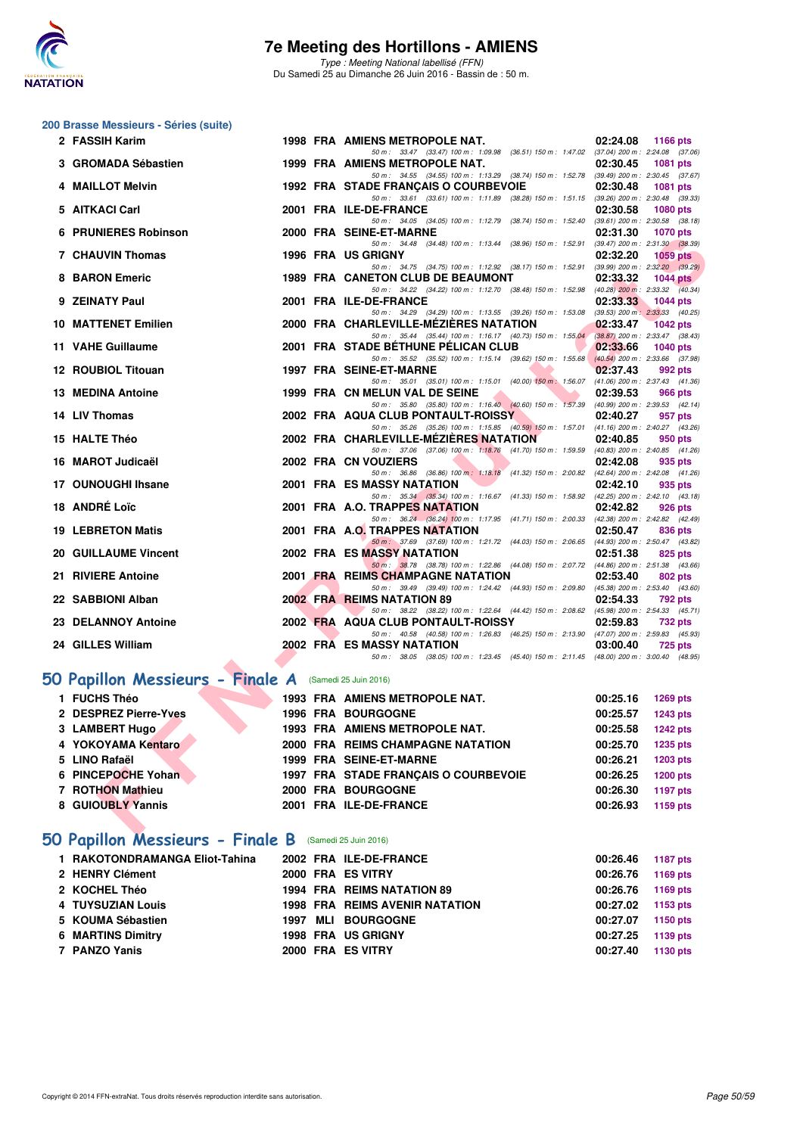

Type : Meeting National labellisé (FFN) Du Samedi 25 au Dimanche 26 Juin 2016 - Bassin de : 50 m.

## **200 Brasse Messieurs - Séries (suite)**

| 2 FASSIH Karim                                        |  | 1998 FRA AMIENS METROPOLE NAT.                                                                                                        | 02:24.08 | 1166 pts                                               |
|-------------------------------------------------------|--|---------------------------------------------------------------------------------------------------------------------------------------|----------|--------------------------------------------------------|
| 3 GROMADA Sébastien                                   |  | 50 m: 33.47 (33.47) 100 m: 1:09.98 (36.51) 150 m: 1:47.02 (37.04) 200 m: 2:24.08 (37.06)<br>1999 FRA AMIENS METROPOLE NAT.            | 02:30.45 | <b>1081 pts</b>                                        |
|                                                       |  | 50 m: 34.55 (34.55) 100 m: 1:13.29 (38.74) 150 m: 1:52.78 (39.49) 200 m: 2:30.45 (37.67)                                              |          |                                                        |
| 4 MAILLOT Melvin                                      |  | 1992 FRA STADE FRANÇAIS O COURBEVOIE                                                                                                  | 02:30.48 | 1081 pts                                               |
| 5 AITKACI Carl                                        |  | 50 m: 33.61 (33.61) 100 m: 1:11.89 (38.28) 150 m: 1:51.15 (39.26) 200 m: 2:30.48 (39.33)<br>2001 FRA ILE-DE-FRANCE                    | 02:30.58 | <b>1080 pts</b>                                        |
|                                                       |  | 50 m: 34.05 (34.05) 100 m: 1:12.79 (38.74) 150 m: 1:52.40                                                                             |          | $(39.61)$ 200 m : 2:30.58 $(38.18)$                    |
| <b>6 PRUNIERES Robinson</b>                           |  | 2000 FRA SEINE-ET-MARNE                                                                                                               | 02:31.30 | <b>1070 pts</b>                                        |
| <b>7 CHAUVIN Thomas</b>                               |  | 50 m: 34.48 (34.48) 100 m: 1:13.44 (38.96) 150 m: 1:52.91<br>1996 FRA US GRIGNY                                                       | 02:32.20 | $(39.47)$ 200 m : 2:31.30 $(38.39)$<br>$1059$ pts      |
|                                                       |  | 50 m: 34.75 (34.75) 100 m: 1:12.92 (38.17) 150 m: 1:52.91 (39.99) 200 m: 2:32.20 (39.29)                                              |          |                                                        |
| <b>8 BARON Emeric</b>                                 |  | 1989 FRA CANETON CLUB DE BEAUMONT                                                                                                     | 02:33.32 | <b>1044 pts</b>                                        |
| 9 ZEINATY Paul                                        |  | 50 m: 34.22 (34.22) 100 m: 1:12.70 (38.48) 150 m: 1:52.98 (40.28) 200 m: 2:33.32 (40.34)<br>2001 FRA ILE-DE-FRANCE                    | 02:33.33 | 1044 pts                                               |
|                                                       |  | 50 m: 34.29 (34.29) 100 m: 1:13.55 (39.26) 150 m: 1:53.08 (39.53) 200 m: 2:33.33 (40.25)                                              |          |                                                        |
| <b>10 MATTENET Emilien</b>                            |  | 2000 FRA CHARLEVILLE-MÉZIÈRES NATATION<br>50 m: 35.44 (35.44) 100 m: 1:16.17 (40.73) 150 m: 1:55.04                                   | 02:33.47 | <b>1042 pts</b><br>$(38.87)$ 200 m : 2:33.47 $(38.43)$ |
| 11 VAHE Guillaume                                     |  | 2001 FRA STADE BETHUNE PELICAN CLUB                                                                                                   | 02:33.66 | <b>1040 pts</b>                                        |
|                                                       |  | 50 m: 35.52 (35.52) 100 m: 1:15.14 (39.62) 150 m: 1:55.68 (40.54) 200 m: 2:33.66 (37.98)                                              |          |                                                        |
| <b>12 ROUBIOL Titouan</b>                             |  | 1997 FRA SEINE-ET-MARNE                                                                                                               | 02:37.43 | 992 pts                                                |
| <b>13 MEDINA Antoine</b>                              |  | 50 m: 35.01 (35.01) 100 m: 1:15.01 (40.00) $150 \text{ m}$ : 1:56.07 (41.06) 200 m: 2:37.43 (41.36)<br>1999 FRA CN MELUN VAL DE SEINE | 02:39.53 | 966 pts                                                |
|                                                       |  | 50 m: 35.80 (35.80) 100 m: 1:16.40 (40.60) 150 m: 1:57.39 (40.99) 200 m: 2:39.53 (42.14)                                              |          |                                                        |
| 14 LIV Thomas                                         |  | 2002 FRA AQUA CLUB PONTAULT-ROISSY                                                                                                    | 02:40.27 | 957 pts                                                |
| 15 HALTE Théo                                         |  | 50 m: 35.26 (35.26) 100 m: 1:15.85 (40.59) 150 m: 1:57.01 (41.16) 200 m: 2:40.27 (43.26)<br>2002 FRA CHARLEVILLE-MÉZIÈRES NATATION    | 02:40.85 | 950 pts                                                |
|                                                       |  | 50 m: 37.06 (37.06) 100 m: 1:18.76 (41.70) 150 m: 1:59.59 (40.83) 200 m: 2:40.85 (41.26)                                              |          |                                                        |
| 16 MAROT Judicaël                                     |  | 2002 FRA CN VOUZIERS                                                                                                                  | 02:42.08 | 935 pts                                                |
| 17 OUNOUGHI Ihsane                                    |  | 50 m: 36.86 (36.86) 100 m: 1:18.18 (41.32) 150 m: 2:00.82 (42.64) 200 m: 2:42.08 (41.26)<br>2001 FRA ES MASSY NATATION                | 02:42.10 | 935 pts                                                |
|                                                       |  | 50 m: 35.34 (35.34) 100 m: 1:16.67 (41.33) 150 m: 1:58.92 (42.25) 200 m: 2:42.10 (43.18)                                              |          |                                                        |
| 18 ANDRÉ Loïc                                         |  | 2001 FRA A.O. TRAPPES NATATION                                                                                                        | 02:42.82 | 926 pts                                                |
| <b>19 LEBRETON Matis</b>                              |  | 50 m: 36.24 (36.24) 100 m: 1:17.95 (41.71) 150 m: 2:00.33 (42.38) 200 m: 2:42.82 (42.49)<br>2001 FRA A.O. TRAPPES NATATION            | 02:50.47 | 836 pts                                                |
|                                                       |  | 50 m: 37.69 (37.69) 100 m: 1:21.72 (44.03) 150 m: 2:06.65 (44.93) 200 m: 2:50.47 (43.82)                                              |          |                                                        |
| 20 GUILLAUME Vincent                                  |  | 2002 FRA ES MASSY NATATION                                                                                                            | 02:51.38 | 825 pts                                                |
| 21 RIVIERE Antoine                                    |  | 50 m: 38.78 (38.78) 100 m: 1:22.86 (44.08) 150 m: 2:07.72 (44.86) 200 m: 2:51.38 (43.66)<br><b>2001 FRA REIMS CHAMPAGNE NATATION</b>  | 02:53.40 |                                                        |
|                                                       |  | 50 m: 39.49 (39.49) 100 m: 1:24.42 (44.93) 150 m: 2:09.80 (45.38) 200 m: 2:53.40 (43.60)                                              |          | 802 pts                                                |
| 22 SABBIONI Alban                                     |  | 2002 FRA REIMS NATATION 89                                                                                                            | 02:54.33 | 792 pts                                                |
| 23 DELANNOY Antoine                                   |  | 50 m: 38.22 (38.22) 100 m: 1:22.64 (44.42) 150 m: 2:08.62 (45.98) 200 m: 2:54.33 (45.71)<br>2002 FRA AQUA CLUB PONTAULT-ROISSY        |          |                                                        |
|                                                       |  | 50 m: 40.58 (40.58) 100 m: 1:26.83 (46.25) 150 m: 2:13.90 (47.07) 200 m: 2:59.83 (45.93)                                              | 02:59.83 | 732 pts                                                |
| 24 GILLES William                                     |  | 2002 FRA ES MASSY NATATION                                                                                                            | 03:00.40 | 725 pts                                                |
|                                                       |  | 50 m: 38.05 (38.05) 100 m: 1:23.45 (45.40) 150 m: 2:11.45 (48.00) 200 m: 3:00.40 (48.95)                                              |          |                                                        |
| O Papillon Messieurs - Finale A (Samedi 25 Juin 2016) |  |                                                                                                                                       |          |                                                        |
| 1 FUCHS Théo                                          |  | 1993 FRA AMIENS METROPOLE NAT.                                                                                                        | 00:25.16 | <b>1269 pts</b>                                        |
| 2 DESPREZ Pierre-Yves                                 |  | <b>1996 FRA BOURGOGNE</b>                                                                                                             | 00:25.57 | 1243 pts                                               |
| 3 LAMBERT Hugo                                        |  | 1993 FRA AMIENS METROPOLE NAT.                                                                                                        | 00:25.58 | <b>1242 pts</b>                                        |
| 4 YOKOYAMA Kentaro                                    |  | 2000 FRA REIMS CHAMPAGNE NATATION                                                                                                     | 00:25.70 | <b>1235 pts</b>                                        |
| 5 LINO Rafaël                                         |  | 1999 FRA SEINE-ET-MARNE                                                                                                               | 00:26.21 | 1203 pts                                               |
| 6 PINCEPOCHE Yohan                                    |  | 1997 FRA STADE FRANÇAIS O COURBEVOIE                                                                                                  | 00:26.25 | <b>1200 pts</b>                                        |
| 7 ROTHON Mathieu                                      |  | 2000 FRA BOURGOGNE                                                                                                                    | 00:26.30 | <b>1197 pts</b>                                        |
| 8 GUIOUBLY Yannis                                     |  | 2001 FRA ILE-DE-FRANCE                                                                                                                | 00:26.93 | 1159 pts                                               |
| $-0.00$<br>___                                        |  |                                                                                                                                       |          |                                                        |

## **[50 Papillon Messieurs - Finale A](http://www.ffnatation.fr/webffn/resultats.php?idact=nat&go=epr&idcpt=38947&idepr=81)** (Samedi 25 Juin 2016)

| 1 FUCHS Théo          |  | 1993 FRA AMIENS METROPOLE NAT.       | 00:25.16 | <b>1269 pts</b> |
|-----------------------|--|--------------------------------------|----------|-----------------|
| 2 DESPREZ Pierre-Yves |  | <b>1996 FRA BOURGOGNE</b>            | 00:25.57 | <b>1243 pts</b> |
| 3 LAMBERT Hugo        |  | 1993 FRA AMIENS METROPOLE NAT.       | 00:25.58 | <b>1242 pts</b> |
| 4 YOKOYAMA Kentaro    |  | 2000 FRA REIMS CHAMPAGNE NATATION    | 00:25.70 | 1235 pts        |
| 5 LINO Rafaël         |  | 1999 FRA SEINE-ET-MARNE              | 00:26.21 | <b>1203 pts</b> |
| 6 PINCEPOCHE Yohan    |  | 1997 FRA STADE FRANCAIS O COURBEVOIE | 00:26.25 | <b>1200 pts</b> |
| 7 ROTHON Mathieu      |  | 2000 FRA BOURGOGNE                   | 00:26.30 | 1197 pts        |
| 8 GUIOUBLY Yannis     |  | 2001 FRA ILE-DE-FRANCE               | 00:26.93 | 1159 pts        |

## **[50 Papillon Messieurs - Finale B](http://www.ffnatation.fr/webffn/resultats.php?idact=nat&go=epr&idcpt=38947&idepr=81)** (Samedi 25 Juin 2016)

|                                                                                                                                                    |  | 00:26.46                                                                                                                                                                                          | 1187 pts |
|----------------------------------------------------------------------------------------------------------------------------------------------------|--|---------------------------------------------------------------------------------------------------------------------------------------------------------------------------------------------------|----------|
|                                                                                                                                                    |  | 00:26.76                                                                                                                                                                                          | 1169 pts |
|                                                                                                                                                    |  | 00:26.76                                                                                                                                                                                          | 1169 pts |
|                                                                                                                                                    |  | 00:27.02                                                                                                                                                                                          | 1153 pts |
|                                                                                                                                                    |  | 00:27.07                                                                                                                                                                                          | 1150 pts |
|                                                                                                                                                    |  | 00:27.25                                                                                                                                                                                          | 1139 pts |
|                                                                                                                                                    |  | 00:27.40                                                                                                                                                                                          | 1130 pts |
| 1 RAKOTONDRAMANGA Eliot-Tahina<br>2 HENRY Clément<br>2 KOCHEL Théo<br>4 TUYSUZIAN Louis<br>5 KOUMA Sébastien<br>6 MARTINS Dimitry<br>7 PANZO Yanis |  | 2002 FRA ILE-DE-FRANCE<br>2000 FRA ES VITRY<br>1994 FRA REIMS NATATION 89<br><b>1998 FRA REIMS AVENIR NATATION</b><br><b>1997 MLI BOURGOGNE</b><br><b>1998 FRA US GRIGNY</b><br>2000 FRA ES VITRY |          |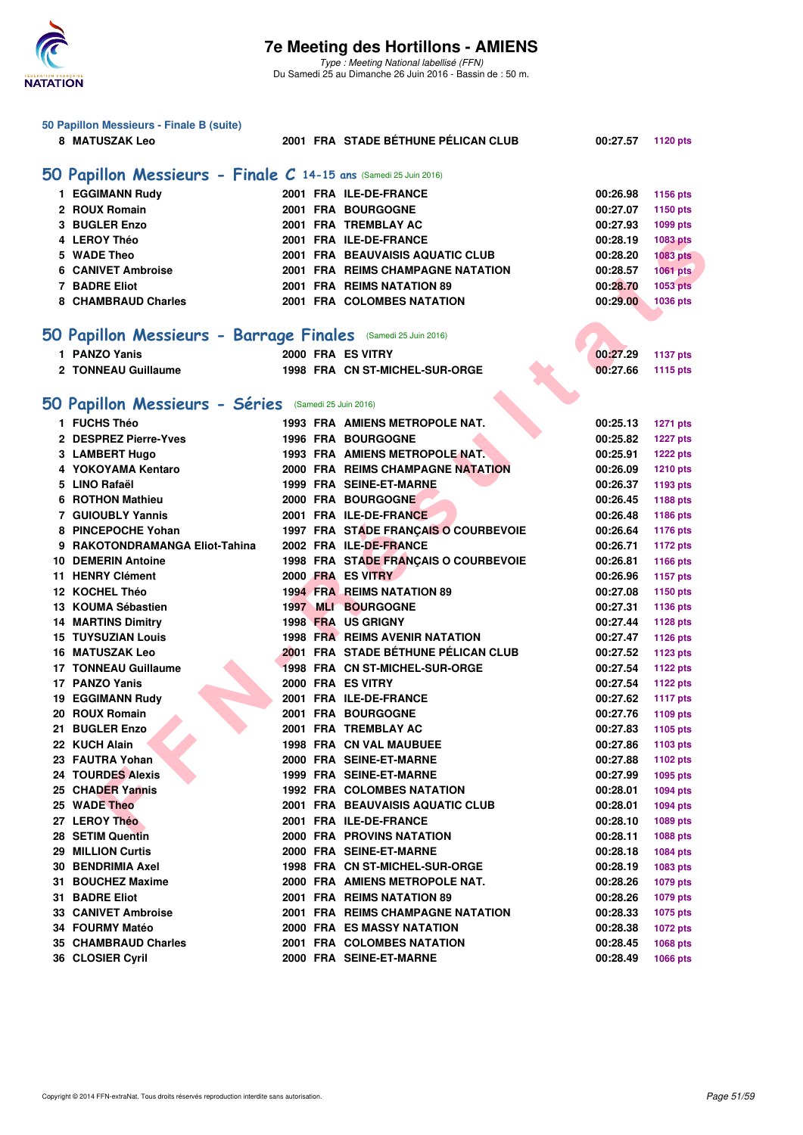

|                                                                  | 50 Papillon Messieurs - Finale B (suite)                      |  |  |                                       |          |                 |  |  |  |  |  |  |
|------------------------------------------------------------------|---------------------------------------------------------------|--|--|---------------------------------------|----------|-----------------|--|--|--|--|--|--|
|                                                                  | 8 MATUSZAK Leo                                                |  |  | 2001 FRA STADE BÉTHUNE PÉLICAN CLUB   | 00:27.57 | <b>1120 pts</b> |  |  |  |  |  |  |
|                                                                  |                                                               |  |  |                                       |          |                 |  |  |  |  |  |  |
| 50 Papillon Messieurs - Finale C 14-15 ans (Samedi 25 Juin 2016) |                                                               |  |  |                                       |          |                 |  |  |  |  |  |  |
|                                                                  |                                                               |  |  |                                       |          |                 |  |  |  |  |  |  |
|                                                                  | 1 EGGIMANN Rudy                                               |  |  | 2001 FRA ILE-DE-FRANCE                | 00:26.98 | 1156 pts        |  |  |  |  |  |  |
|                                                                  | 2 ROUX Romain                                                 |  |  | 2001 FRA BOURGOGNE                    | 00:27.07 | 1150 pts        |  |  |  |  |  |  |
|                                                                  | 3 BUGLER Enzo                                                 |  |  | 2001 FRA TREMBLAY AC                  | 00:27.93 | 1099 pts        |  |  |  |  |  |  |
|                                                                  | 4 LEROY Théo                                                  |  |  | 2001 FRA ILE-DE-FRANCE                | 00:28.19 | 1083 pts        |  |  |  |  |  |  |
|                                                                  | 5 WADE Theo                                                   |  |  | 2001 FRA BEAUVAISIS AQUATIC CLUB      | 00:28.20 | <b>1083 pts</b> |  |  |  |  |  |  |
|                                                                  | <b>6 CANIVET Ambroise</b>                                     |  |  | 2001 FRA REIMS CHAMPAGNE NATATION     | 00:28.57 | 1061 pts        |  |  |  |  |  |  |
|                                                                  | 7 BADRE Eliot                                                 |  |  | 2001 FRA REIMS NATATION 89            | 00:28.70 | 1053 pts        |  |  |  |  |  |  |
|                                                                  | 8 CHAMBRAUD Charles                                           |  |  | 2001 FRA COLOMBES NATATION            | 00:29.00 | 1036 pts        |  |  |  |  |  |  |
|                                                                  |                                                               |  |  |                                       |          |                 |  |  |  |  |  |  |
|                                                                  | 50 Papillon Messieurs - Barrage Finales (Samedi 25 Juin 2016) |  |  |                                       |          |                 |  |  |  |  |  |  |
|                                                                  | 1 PANZO Yanis                                                 |  |  | 2000 FRA ES VITRY                     | 00:27.29 | <b>1137 pts</b> |  |  |  |  |  |  |
|                                                                  | 2 TONNEAU Guillaume                                           |  |  | 1998 FRA CN ST-MICHEL-SUR-ORGE        | 00:27.66 | <b>1115 pts</b> |  |  |  |  |  |  |
|                                                                  |                                                               |  |  |                                       |          |                 |  |  |  |  |  |  |
|                                                                  |                                                               |  |  |                                       |          |                 |  |  |  |  |  |  |
|                                                                  | 50 Papillon Messieurs - Séries (Samedi 25 Juin 2016)          |  |  |                                       |          |                 |  |  |  |  |  |  |
|                                                                  | 1 FUCHS Théo                                                  |  |  | 1993 FRA AMIENS METROPOLE NAT.        | 00:25.13 | <b>1271 pts</b> |  |  |  |  |  |  |
|                                                                  | 2 DESPREZ Pierre-Yves                                         |  |  | <b>1996 FRA BOURGOGNE</b>             | 00:25.82 | <b>1227 pts</b> |  |  |  |  |  |  |
|                                                                  | 3 LAMBERT Hugo                                                |  |  | 1993 FRA AMIENS METROPOLE NAT.        | 00:25.91 | <b>1222 pts</b> |  |  |  |  |  |  |
|                                                                  | 4 YOKOYAMA Kentaro                                            |  |  | 2000 FRA REIMS CHAMPAGNE NATATION     | 00:26.09 | <b>1210 pts</b> |  |  |  |  |  |  |
|                                                                  | 5 LINO Rafaël                                                 |  |  | 1999 FRA SEINE-ET-MARNE               | 00:26.37 | 1193 pts        |  |  |  |  |  |  |
| 6                                                                | <b>ROTHON Mathieu</b>                                         |  |  | 2000 FRA BOURGOGNE                    | 00:26.45 | 1188 pts        |  |  |  |  |  |  |
|                                                                  | <b>7 GUIOUBLY Yannis</b>                                      |  |  | 2001 FRA ILE-DE-FRANCE                | 00:26.48 | 1186 pts        |  |  |  |  |  |  |
|                                                                  | 8 PINCEPOCHE Yohan                                            |  |  | 1997 FRA STADE FRANÇAIS O COURBEVOIE  | 00:26.64 | 1176 pts        |  |  |  |  |  |  |
|                                                                  | 9 RAKOTONDRAMANGA Eliot-Tahina                                |  |  | 2002 FRA ILE-DE-FRANCE                | 00:26.71 | <b>1172 pts</b> |  |  |  |  |  |  |
|                                                                  | <b>10 DEMERIN Antoine</b>                                     |  |  | 1998 FRA STADE FRANÇAIS O COURBEVOIE  | 00:26.81 | 1166 pts        |  |  |  |  |  |  |
|                                                                  | 11 HENRY Clément                                              |  |  | 2000 FRA ES VITRY                     | 00:26.96 | <b>1157 pts</b> |  |  |  |  |  |  |
|                                                                  | 12 KOCHEL Théo                                                |  |  | <b>1994 FRA REIMS NATATION 89</b>     | 00:27.08 | 1150 pts        |  |  |  |  |  |  |
|                                                                  | 13 KOUMA Sébastien                                            |  |  | 1997 MLI BOURGOGNE                    | 00:27.31 | 1136 pts        |  |  |  |  |  |  |
|                                                                  | <b>14 MARTINS Dimitry</b>                                     |  |  | 1998 FRA US GRIGNY                    | 00:27.44 | <b>1128 pts</b> |  |  |  |  |  |  |
|                                                                  | <b>15 TUYSUZIAN Louis</b>                                     |  |  | <b>1998 FRA REIMS AVENIR NATATION</b> | 00:27.47 | <b>1126 pts</b> |  |  |  |  |  |  |
|                                                                  | 16 MATUSZAK Leo                                               |  |  | 2001 FRA STADE BÉTHUNE PÉLICAN CLUB   | 00:27.52 |                 |  |  |  |  |  |  |
|                                                                  | <b>17 TONNEAU Guillaume</b>                                   |  |  | 1998 FRA CN ST-MICHEL-SUR-ORGE        | 00:27.54 | <b>1123 pts</b> |  |  |  |  |  |  |
|                                                                  | 17 PANZO Yanis                                                |  |  | 2000 FRA ES VITRY                     |          | <b>1122 pts</b> |  |  |  |  |  |  |
|                                                                  |                                                               |  |  |                                       | 00:27.54 | <b>1122 pts</b> |  |  |  |  |  |  |
|                                                                  | 19 EGGIMANN Rudy                                              |  |  | 2001 FRA ILE-DE-FRANCE                | 00:27.62 | <b>1117 pts</b> |  |  |  |  |  |  |
|                                                                  | 20 ROUX Romain                                                |  |  | <b>2001 FRA BOURGOGNE</b>             | 00:27.76 | 1109 pts        |  |  |  |  |  |  |
|                                                                  | 21 BUGLER Enzo                                                |  |  | 2001 FRA TREMBLAY AC                  | 00:27.83 | 1105 pts        |  |  |  |  |  |  |
|                                                                  | 22 KUCH Alain                                                 |  |  | <b>1998 FRA CN VAL MAUBUEE</b>        | 00:27.86 | 1103 pts        |  |  |  |  |  |  |
|                                                                  | 23 FAUTRA Yohan                                               |  |  | 2000 FRA SEINE-ET-MARNE               | 00:27.88 | 1102 pts        |  |  |  |  |  |  |
|                                                                  | 24 TOURDES Alexis                                             |  |  | 1999 FRA SEINE-ET-MARNE               | 00:27.99 | 1095 pts        |  |  |  |  |  |  |
|                                                                  | 25 CHADER Yannis                                              |  |  | <b>1992 FRA COLOMBES NATATION</b>     | 00:28.01 | 1094 pts        |  |  |  |  |  |  |
|                                                                  | 25 WADE Theo                                                  |  |  | 2001 FRA BEAUVAISIS AQUATIC CLUB      | 00:28.01 | 1094 pts        |  |  |  |  |  |  |
|                                                                  | 27 LEROY Théo                                                 |  |  | 2001 FRA ILE-DE-FRANCE                | 00:28.10 | <b>1089 pts</b> |  |  |  |  |  |  |
|                                                                  | 28 SETIM Quentin                                              |  |  | <b>2000 FRA PROVINS NATATION</b>      | 00:28.11 | <b>1088 pts</b> |  |  |  |  |  |  |
|                                                                  | 29 MILLION Curtis                                             |  |  | 2000 FRA SEINE-ET-MARNE               | 00:28.18 | 1084 pts        |  |  |  |  |  |  |
|                                                                  | 30 BENDRIMIA Axel                                             |  |  | 1998 FRA CN ST-MICHEL-SUR-ORGE        | 00:28.19 | 1083 pts        |  |  |  |  |  |  |
|                                                                  | 31 BOUCHEZ Maxime                                             |  |  | 2000 FRA AMIENS METROPOLE NAT.        | 00:28.26 | <b>1079 pts</b> |  |  |  |  |  |  |
|                                                                  | 31 BADRE Eliot                                                |  |  | 2001 FRA REIMS NATATION 89            | 00:28.26 | <b>1079 pts</b> |  |  |  |  |  |  |
|                                                                  | <b>33 CANIVET Ambroise</b>                                    |  |  | 2001 FRA REIMS CHAMPAGNE NATATION     | 00:28.33 | 1075 pts        |  |  |  |  |  |  |
|                                                                  | 34 FOURMY Matéo                                               |  |  | <b>2000 FRA ES MASSY NATATION</b>     | 00:28.38 | <b>1072 pts</b> |  |  |  |  |  |  |
|                                                                  | 35 CHAMBRAUD Charles                                          |  |  | 2001 FRA COLOMBES NATATION            | 00:28.45 | 1068 pts        |  |  |  |  |  |  |
|                                                                  | 36 CLOSIER Cyril                                              |  |  | 2000 FRA SEINE-ET-MARNE               | 00:28.49 | <b>1066 pts</b> |  |  |  |  |  |  |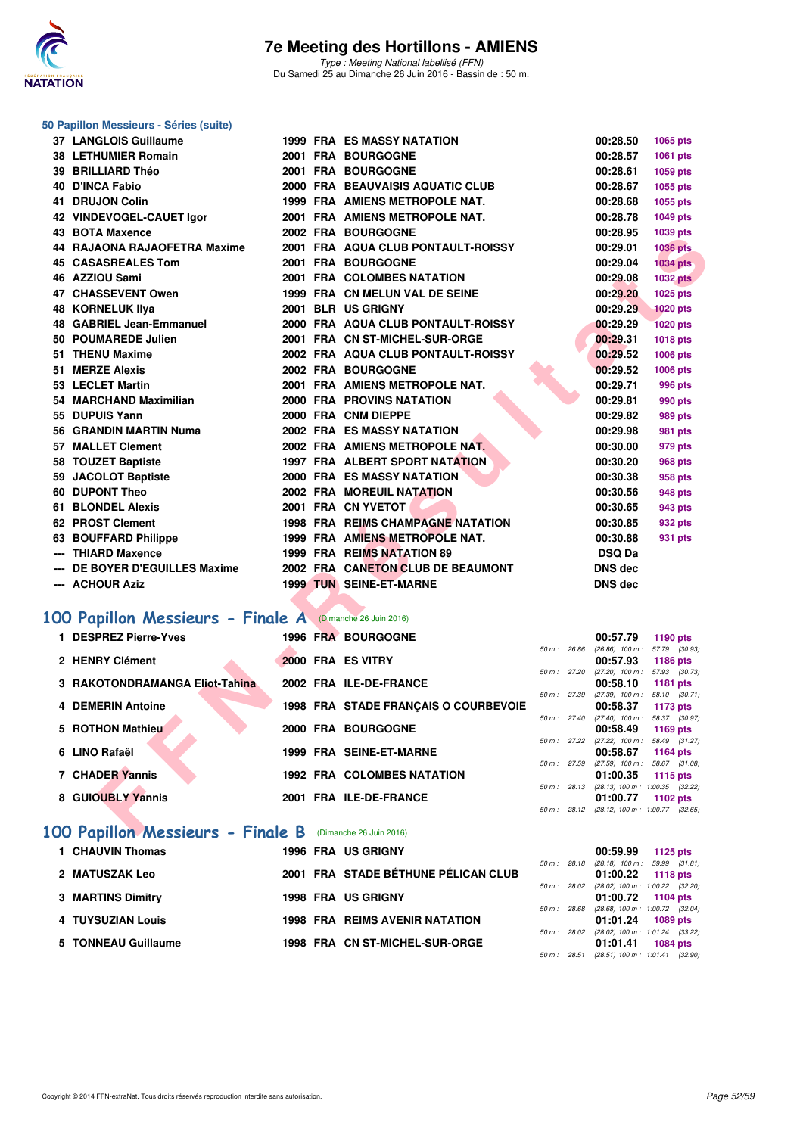

## **50 Papillon Messieurs - Séries (suite)**

| 37 LANGLOIS Guillaume                                                 |  | <b>1999 FRA ES MASSY NATATION</b>        |              | 00:28.50                                               | 1065 pts        |  |
|-----------------------------------------------------------------------|--|------------------------------------------|--------------|--------------------------------------------------------|-----------------|--|
| <b>38 LETHUMIER Romain</b>                                            |  | 2001 FRA BOURGOGNE                       |              | 00:28.57                                               | 1061 pts        |  |
| 39 BRILLIARD Théo                                                     |  | 2001 FRA BOURGOGNE                       |              | 00:28.61                                               | 1059 pts        |  |
| <b>40 D'INCA Fabio</b>                                                |  | 2000 FRA BEAUVAISIS AQUATIC CLUB         |              | 00:28.67                                               | 1055 pts        |  |
| 41 DRUJON Colin                                                       |  | 1999 FRA AMIENS METROPOLE NAT.           |              | 00:28.68                                               | 1055 pts        |  |
| 42 VINDEVOGEL-CAUET Igor                                              |  | 2001 FRA AMIENS METROPOLE NAT.           |              | 00:28.78                                               | 1049 pts        |  |
| 43 BOTA Maxence                                                       |  | 2002 FRA BOURGOGNE                       |              | 00:28.95                                               | 1039 pts        |  |
| 44 RAJAONA RAJAOFETRA Maxime                                          |  | 2001 FRA AQUA CLUB PONTAULT-ROISSY       |              | 00:29.01                                               | <b>1036 pts</b> |  |
| <b>45 CASASREALES Tom</b>                                             |  | 2001 FRA BOURGOGNE                       |              | 00:29.04                                               | <b>1034 pts</b> |  |
| 46 AZZIOU Sami                                                        |  | 2001 FRA COLOMBES NATATION               |              | 00:29.08                                               | <b>1032 pts</b> |  |
| 47 CHASSEVENT Owen                                                    |  | 1999 FRA CN MELUN VAL DE SEINE           |              | 00:29.20                                               | 1025 pts        |  |
| <b>48 KORNELUK IIya</b>                                               |  | 2001 BLR US GRIGNY                       |              | 00:29.29                                               | 1020 pts        |  |
| 48 GABRIEL Jean-Emmanuel                                              |  | 2000 FRA AQUA CLUB PONTAULT-ROISSY       |              | 00:29.29                                               | <b>1020 pts</b> |  |
| 50 POUMAREDE Julien                                                   |  | 2001 FRA CN ST-MICHEL-SUR-ORGE           |              | 00:29.31                                               | 1018 pts        |  |
| 51 THENU Maxime                                                       |  | 2002 FRA AQUA CLUB PONTAULT-ROISSY       |              | 00:29.52                                               | 1006 pts        |  |
| 51 MERZE Alexis                                                       |  | 2002 FRA BOURGOGNE                       |              | 00:29.52                                               | 1006 pts        |  |
| 53 LECLET Martin                                                      |  | 2001 FRA AMIENS METROPOLE NAT.           |              | 00:29.71                                               | <b>996 pts</b>  |  |
| 54 MARCHAND Maximilian                                                |  | 2000 FRA PROVINS NATATION                |              | 00:29.81                                               | 990 pts         |  |
| 55 DUPUIS Yann                                                        |  | 2000 FRA CNM DIEPPE                      |              | 00:29.82                                               | <b>989 pts</b>  |  |
| 56 GRANDIN MARTIN Numa                                                |  | 2002 FRA ES MASSY NATATION               |              | 00:29.98                                               | <b>981 pts</b>  |  |
| 57 MALLET Clement                                                     |  | 2002 FRA AMIENS METROPOLE NAT.           |              | 00:30.00                                               | 979 pts         |  |
| 58 TOUZET Baptiste                                                    |  | 1997 FRA ALBERT SPORT NATATION           |              | 00:30.20                                               | <b>968 pts</b>  |  |
| 59 JACOLOT Baptiste                                                   |  | 2000 FRA ES MASSY NATATION               |              | 00:30.38                                               | 958 pts         |  |
| 60 DUPONT Theo                                                        |  | 2002 FRA MOREUIL NATATION                |              | 00:30.56                                               | 948 pts         |  |
| 61 BLONDEL Alexis                                                     |  | 2001 FRA CN YVETOT                       |              | 00:30.65                                               | 943 pts         |  |
| 62 PROST Clement                                                      |  | <b>1998 FRA REIMS CHAMPAGNE NATATION</b> |              | 00:30.85                                               | 932 pts         |  |
| 63 BOUFFARD Philippe                                                  |  | 1999 FRA AMIENS METROPOLE NAT.           |              | 00:30.88                                               | 931 pts         |  |
| --- THIARD Maxence                                                    |  | 1999 FRA REIMS NATATION 89               |              | <b>DSQ Da</b>                                          |                 |  |
| --- DE BOYER D'EGUILLES Maxime                                        |  | 2002 FRA CANETON CLUB DE BEAUMONT        |              | <b>DNS dec</b>                                         |                 |  |
| --- ACHOUR Aziz                                                       |  | <b>1999 TUN SEINE-ET-MARNE</b>           |              | <b>DNS dec</b>                                         |                 |  |
|                                                                       |  |                                          |              |                                                        |                 |  |
| 00 Papillon Messieurs - Finale A (Dimanche 26 Juin 2016)              |  |                                          |              |                                                        |                 |  |
| 1 DESPREZ Pierre-Yves                                                 |  | 1996 FRA BOURGOGNE                       |              | 00:57.79                                               | 1190 pts        |  |
| 2 HENRY Clément                                                       |  | 2000 FRA ES VITRY                        | 50 m: 26.86  | $(26.86)$ 100 m : 57.79 $(30.93)$                      |                 |  |
|                                                                       |  |                                          | 50 m: 27.20  | 00:57.93<br>$(27.20)$ 100 m : 57.93 $(30.73)$          | 1186 pts        |  |
| 3 RAKOTONDRAMANGA Eliot-Tahina                                        |  | 2002 FRA ILE-DE-FRANCE                   |              | 00:58.10                                               | 1181 pts        |  |
| <b>4 DEMERIN Antoine</b>                                              |  | 1998 FRA STADE FRANÇAIS O COURBEVOIE     | 50 m: 27.39  | $(27.39)$ 100 m : 58.10 $(30.71)$<br>00:58.37          | 1173 pts        |  |
|                                                                       |  |                                          | 50 m : 27.40 | $(27.40)$ 100 m : 58.37 $(30.97)$                      |                 |  |
| 5 ROTHON Mathieu                                                      |  | 2000 FRA BOURGOGNE                       |              | 00:58.49                                               | 1169 pts        |  |
| 6 LINO Rafaël                                                         |  | 1999 FRA SEINE-ET-MARNE                  | 50 m : 27.22 | $(27.22)$ 100 m : 58.49 $(31.27)$<br>00:58.67          | 1164 pts        |  |
|                                                                       |  |                                          |              | 50 m: 27.59 (27.59) 100 m: 58.67 (31.08)               |                 |  |
| 7 CHADER Yannis                                                       |  | <b>1992 FRA COLOMBES NATATION</b>        |              | 01:00.35                                               | 1115 pts        |  |
| 8 GUIOUBLY Yannis                                                     |  | 2001 FRA ILE-DE-FRANCE                   |              | 50 m: 28.13 (28.13) 100 m: 1:00.35 (32.22)<br>01:00.77 | 1102 pts        |  |
|                                                                       |  |                                          |              | 50 m: 28.12 (28.12) 100 m: 1:00.77 (32.65)             |                 |  |
| $\overline{00}$ Panillon Messieurs - Finale B (Dimanche 26 Juin 2016) |  |                                          |              |                                                        |                 |  |
|                                                                       |  |                                          |              |                                                        |                 |  |

## **[100 Papillon Messieurs - Finale A](http://www.ffnatation.fr/webffn/resultats.php?idact=nat&go=epr&idcpt=38947&idepr=82)** (Dimanche 26 Juin 2016)

| <b>DESPREZ Pierre-Yves</b>        |                   | 1996 FRA BOURGOGNE                   |             |             | 00:57.79                      | 1190 pts                                          |
|-----------------------------------|-------------------|--------------------------------------|-------------|-------------|-------------------------------|---------------------------------------------------|
| 2 HENRY Clément                   | 2000 FRA ES VITRY |                                      | 50 m: 26.86 |             | $(26.86)$ 100 m :<br>00:57.93 | 57.79 (30.93)<br>1186 pts                         |
| 3 RAKOTONDRAMANGA Eliot-Tahina    |                   | 2002 FRA ILE-DE-FRANCE               | 50 m: 27.20 |             | $(27.20)$ 100 m :<br>00:58.10 | 57.93 (30.73)<br>1181 pts                         |
| <b>4 DEMERIN Antoine</b>          |                   | 1998 FRA STADE FRANÇAIS O COURBEVOIE | 50 m: 27.39 |             | $(27.39)$ 100 m :<br>00:58.37 | 58.10 (30.71)<br>1173 pts                         |
| 5 ROTHON Mathieu                  |                   | 2000 FRA BOURGOGNE                   |             | 50 m: 27.40 | $(27.40)$ 100 m :<br>00:58.49 | 58.37 (30.97)<br>1169 pts                         |
| 6 LINO Rafaël                     |                   | 1999 FRA SEINE-ET-MARNE              |             | 50 m: 27.22 | $(27.22)$ 100 m :<br>00:58.67 | 58.49 (31.27)<br>1164 pts                         |
| 7 CHADER Yannis                   |                   | <b>1992 FRA COLOMBES NATATION</b>    | 50 m: 27.59 |             | $(27.59)$ 100 m :<br>01:00.35 | 58.67 (31.08)<br>1115 pts                         |
| 8 GUIOUBLY Yannis                 |                   | 2001 FRA ILE-DE-FRANCE               |             | 50 m: 28.13 | 01:00.77                      | $(28.13)$ 100 m : 1:00.35 $(32.22)$<br>1102 $pts$ |
|                                   |                   |                                      |             | 50 m: 28.12 |                               | $(28.12)$ 100 m : 1:00.77 $(32.65)$               |
| 100 Papillon Messieurs - Finale B |                   | (Dimanche 26 Juin 2016)              |             |             |                               |                                                   |

| 1 CHAUVIN Thomas         |  | <b>1996 FRA US GRIGNY</b>             |                        | 00:59.99                                                   | 1125 $p$ ts     |  |
|--------------------------|--|---------------------------------------|------------------------|------------------------------------------------------------|-----------------|--|
| 2 MATUSZAK Leo           |  | 2001 FRA STADE BÉTHUNE PÉLICAN CLUB   | $50 m$ : 28.18         | $(28.18)$ 100 m : 59.99 $(31.81)$<br>01:00.22              | 1118 pts        |  |
| <b>3 MARTINS Dimitry</b> |  | <b>1998 FRA US GRIGNY</b>             | 50 m : 28.02           | $(28.02)$ 100 m : 1:00.22 $(32.20)$<br>$01:00.72$ 1104 pts |                 |  |
| 4 TUYSUZIAN Louis        |  | <b>1998 FRA REIMS AVENIR NATATION</b> | 50 m : 28.68           | $(28.68)$ 100 m : 1:00.72 $(32.04)$<br>$01:01.24$ 1089 pts |                 |  |
| 5 TONNEAU Guillaume      |  | 1998 FRA CN ST-MICHEL-SUR-ORGE        | 50 m : 28.02           | $(28.02)$ 100 m : 1:01.24 $(33.22)$<br>01:01.41            | <b>1084 pts</b> |  |
|                          |  |                                       | $50 \text{ m}$ : 28.51 | $(28.51)$ 100 m : 1:01.41 $(32.90)$                        |                 |  |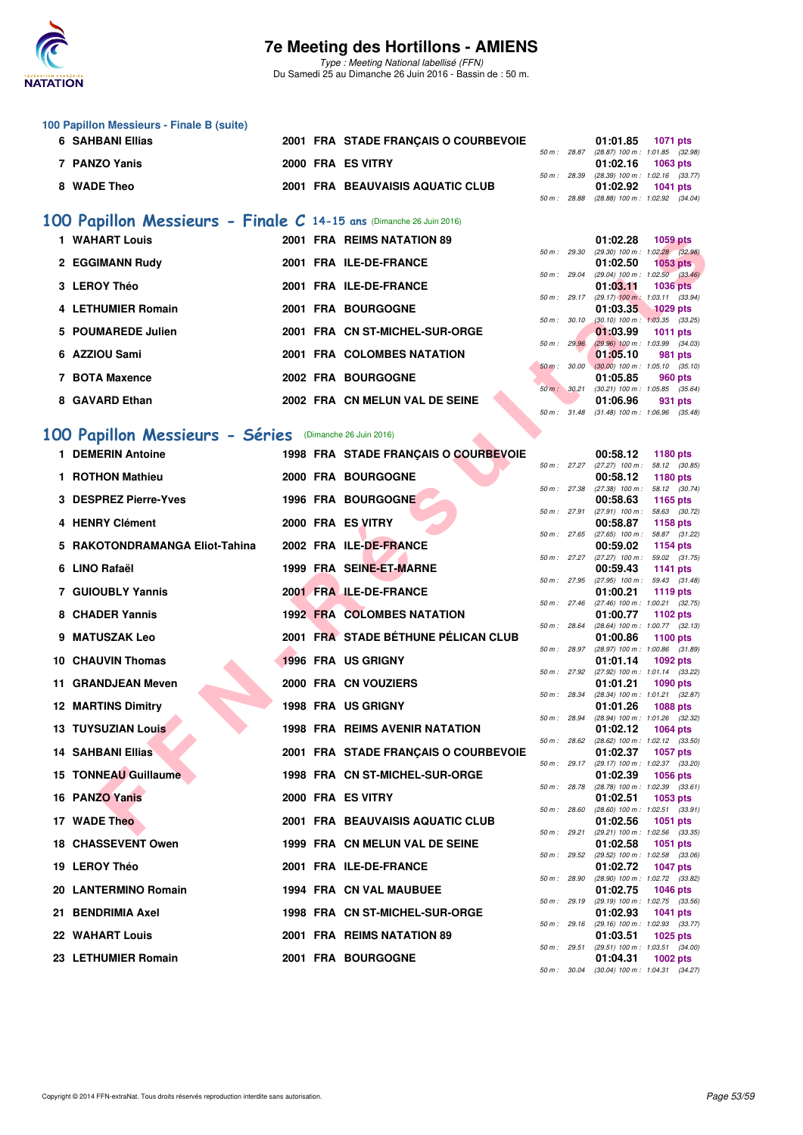

Type : Meeting National labellisé (FFN) Du Samedi 25 au Dimanche 26 Juin 2016 - Bassin de : 50 m.

| 100 Papillon Messieurs - Finale B (suite) |  |                                                                                               |  |                                                                                                                                                                                                             |
|-------------------------------------------|--|-----------------------------------------------------------------------------------------------|--|-------------------------------------------------------------------------------------------------------------------------------------------------------------------------------------------------------------|
| 6 SAHBANI Ellias                          |  |                                                                                               |  |                                                                                                                                                                                                             |
|                                           |  |                                                                                               |  |                                                                                                                                                                                                             |
| 7 PANZO Yanis                             |  |                                                                                               |  |                                                                                                                                                                                                             |
|                                           |  |                                                                                               |  |                                                                                                                                                                                                             |
| 8 WADE Theo                               |  |                                                                                               |  |                                                                                                                                                                                                             |
|                                           |  |                                                                                               |  |                                                                                                                                                                                                             |
|                                           |  | 2001 FRA STADE FRANCAIS O COURBEVOIE<br>2000 FRA ES VITRY<br>2001 FRA BEAUVAISIS AQUATIC CLUB |  | 01:01.85 1071 pts<br>50 m : 28.87 (28.87) 100 m : 1:01.85 (32.98)<br>$01:02.16$ 1063 pts<br>50 m: 28.39 (28.39) 100 m: 1:02.16 (33.77)<br>01:02.92 1041 pts<br>50 m : 28.88 (28.88) 100 m : 1:02.92 (34.04) |

### **[100 Papillon Messieurs - Finale C](http://www.ffnatation.fr/webffn/resultats.php?idact=nat&go=epr&idcpt=38947&idepr=82) 14-15 ans** (Dimanche 26 Juin 2016)

| 1 WAHART Louis     | 2001 FRA REIMS NATATION 89     | 01:02.28<br><b>1059 pts</b>                                          |
|--------------------|--------------------------------|----------------------------------------------------------------------|
|                    |                                | $(29.30)$ 100 m : 1:02.28 (32.<br>50 m: 29.30                        |
| 2 EGGIMANN Rudy    | 2001 FRA ILE-DE-FRANCE         | 01:02.50<br>1053 pts<br>50 m: 29.04                                  |
| 3 LEROY Théo       | 2001 FRA ILE-DE-FRANCE         | $(29.04)$ 100 m : 1:02.50 $(33.$<br>01:03.11<br>1036 pts             |
|                    |                                | $(29.17)$ 100 m : 1:03.11 (33.<br>50 m : 29.17                       |
| 4 LETHUMIER Romain | 2001 FRA BOURGOGNE             | 01:03.35<br><b>1029 pts</b>                                          |
|                    |                                | $(30.10)$ 100 m : 1:03.35 (33.<br>$50 m$ : $30.10$                   |
| 5 POUMAREDE Julien | 2001 FRA CN ST-MICHEL-SUR-ORGE | 01:03.99<br><b>1011 pts</b>                                          |
| 6 AZZIOU Sami      | 2001 FRA COLOMBES NATATION     | $(29.96)$ 100 m : 1:03.99 (34.<br>50 m: 29.96<br>01:05.10<br>981 pts |
|                    |                                | 50 m : 30.00<br>$(30.00)$ 100 m : 1:05.10 (35.                       |
| 7 BOTA Maxence     | 2002 FRA BOURGOGNE             | 01:05.85<br>960 pts                                                  |
|                    |                                | 30.21<br>$(30.21)$ 100 m : 1:05.85 (35.<br>$50 m$ :                  |
| 8 GAVARD Ethan     | 2002 FRA CN MELUN VAL DE SEINE | 01:06.96<br>931 pts                                                  |

### **[100 Papillon Messieurs - Séries](http://www.ffnatation.fr/webffn/resultats.php?idact=nat&go=epr&idcpt=38947&idepr=82)** (Dimanche 26 Juin 2016)

|   | 1 WAHART Louis                                          |  | 2001 FRA REIMS NATATION 89            |                |              | 01:02.28 | <b>1059 pts</b>                                        |
|---|---------------------------------------------------------|--|---------------------------------------|----------------|--------------|----------|--------------------------------------------------------|
|   | 2 EGGIMANN Rudy                                         |  | 2001 FRA ILE-DE-FRANCE                | 50 m: 29.30    |              | 01:02.50 | $(29.30)$ 100 m : 1:02.28 $(32.98)$<br><b>1053 pts</b> |
|   | 3 LEROY Théo                                            |  | 2001 FRA ILE-DE-FRANCE                | 50 m: 29.04    |              | 01:03.11 | $(29.04)$ 100 m : 1:02.50 $(33.46)$<br><b>1036 pts</b> |
|   |                                                         |  |                                       | 50 m: 29.17    |              |          | $(29.17)$ 100 m : 1:03.11 $(33.94)$                    |
|   | 4 LETHUMIER Romain                                      |  | 2001 FRA BOURGOGNE                    | 50 m: 30.10    |              | 01:03.35 | <b>1029 pts</b><br>$(30.10)$ 100 m : 1:03.35 $(33.25)$ |
|   | <b>POUMAREDE Julien</b>                                 |  | 2001 FRA CN ST-MICHEL-SUR-ORGE        | 50 m: 29.96    |              | 01:03.99 | <b>1011 pts</b><br>$(29.96)$ 100 m : 1:03.99 $(34.03)$ |
| 6 | AZZIOU Sami                                             |  | 2001 FRA COLOMBES NATATION            |                |              | 01:05.10 | 981 pts                                                |
|   | 7 BOTA Maxence                                          |  | 2002 FRA BOURGOGNE                    | 50 m : 30.00   |              | 01:05.85 | $(30.00)$ 100 m : 1:05.10 $(35.10)$<br>960 pts         |
| 8 | <b>GAVARD Ethan</b>                                     |  | 2002 FRA CN MELUN VAL DE SEINE        |                | 50 m : 30.21 | 01:06.96 | $(30.21)$ 100 m : 1:05.85 $(35.64)$                    |
|   |                                                         |  |                                       | 50 m: 31.48    |              |          | 931 pts<br>$(31.48)$ 100 m : 1:06.96 $(35.48)$         |
|   | 100 Papillon Messieurs - Séries (Dimanche 26 Juin 2016) |  |                                       |                |              |          |                                                        |
|   | 1 DEMERIN Antoine                                       |  | 1998 FRA STADE FRANÇAIS O COURBEVOIE  |                |              | 00:58.12 | 1180 pts                                               |
|   |                                                         |  |                                       |                | 50 m : 27.27 |          | $(27.27)$ 100 m : 58.12 $(30.85)$                      |
|   | 1 ROTHON Mathieu                                        |  | 2000 FRA BOURGOGNE                    |                | 50 m : 27.38 | 00:58.12 | 1180 pts<br>$(27.38)$ 100 m : 58.12 $(30.74)$          |
|   | <b>DESPREZ Pierre-Yves</b>                              |  | <b>1996 FRA BOURGOGNE</b>             |                | 50 m : 27.91 | 00:58.63 | 1165 pts                                               |
|   | <b>HENRY Clément</b>                                    |  | 2000 FRA ES VITRY                     |                |              | 00:58.87 | (27.91) 100 m: 58.63 (30.72)<br>1158 pts               |
|   | RAKOTONDRAMANGA Eliot-Tahina                            |  | 2002 FRA ILE-DE-FRANCE                |                | 50 m : 27.65 | 00:59.02 | $(27.65)$ 100 m : 58.87 $(31.22)$<br>1154 pts          |
|   |                                                         |  |                                       | 50 m : 27.27   |              |          | $(27.27)$ 100 m : 59.02 $(31.75)$                      |
| 6 | LINO Rafaël                                             |  | 1999 FRA SEINE-ET-MARNE               | 50 m: 27.95    |              | 00:59.43 | 1141 pts<br>(27.95) 100 m: 59.43 (31.48)               |
|   | 7 GUIOUBLY Yannis                                       |  | 2001 FRA ILE-DE-FRANCE                |                |              | 01:00.21 | 1119 pts                                               |
| 8 | <b>CHADER Yannis</b>                                    |  | <b>1992 FRA COLOMBES NATATION</b>     | 50 m: 27.46    |              | 01:00.77 | $(27.46)$ 100 m : 1:00.21 $(32.75)$<br>1102 pts        |
|   | <b>MATUSZAK Leo</b>                                     |  | 2001 FRA STADE BÉTHUNE PÉLICAN CLUB   | 50 m: 28.64    |              | 01:00.86 | (28.64) 100 m : 1:00.77 (32.13)<br>1100 pts            |
|   |                                                         |  |                                       | 50 m: 28.97    |              |          | (28.97) 100 m: 1:00.86 (31.89)                         |
|   | <b>10 CHAUVIN Thomas</b>                                |  | 1996 FRA US GRIGNY                    |                | 50 m : 27.92 | 01:01.14 | <b>1092 pts</b><br>(27.92) 100 m: 1:01.14 (33.22)      |
|   | 11 GRANDJEAN Meven                                      |  | 2000 FRA CN VOUZIERS                  |                |              | 01:01.21 | <b>1090 pts</b>                                        |
|   | <b>12 MARTINS Dimitry</b>                               |  | <b>1998 FRA US GRIGNY</b>             | 50 m : 28.34   |              | 01:01.26 | (28.34) 100 m: 1:01.21 (32.87)<br><b>1088 pts</b>      |
|   | <b>13 TUYSUZIAN Louis</b>                               |  | <b>1998 FRA REIMS AVENIR NATATION</b> | 50 m : 28.94   |              |          | (28.94) 100 m: 1:01.26 (32.32)<br><b>1064 pts</b>      |
|   |                                                         |  |                                       | 50 m: 28.62    |              | 01:02.12 | (28.62) 100 m: 1:02.12 (33.50)                         |
|   | <b>14 SAHBANI Ellias</b>                                |  | 2001 FRA STADE FRANÇAIS O COURBEVOIE  |                | 50 m : 29.17 | 01:02.37 | 1057 pts<br>(29.17) 100 m: 1:02.37 (33.20)             |
|   | 15 TONNEAU Guillaume                                    |  | 1998 FRA CN ST-MICHEL-SUR-ORGE        |                |              | 01:02.39 | <b>1056 pts</b>                                        |
|   | 16 PANZO Yanis                                          |  | 2000 FRA ES VITRY                     | 50 m : 28.78   |              | 01:02.51 | (28.78) 100 m : 1:02.39 (33.61)<br>1053 pts            |
|   | 17 WADE Theo                                            |  | 2001 FRA BEAUVAISIS AQUATIC CLUB      | 50 m: 28.60    |              |          | $(28.60)$ 100 m : 1:02.51 $(33.91)$                    |
|   |                                                         |  |                                       |                | 50 m : 29.21 | 01:02.56 | 1051 pts<br>(29.21) 100 m: 1:02.56 (33.35)             |
|   | <b>18 CHASSEVENT Owen</b>                               |  | 1999 FRA CN MELUN VAL DE SEINE        | $50 m$ : 29.52 |              | 01:02.58 | 1051 pts<br>(29.52) 100 m : 1:02.58 (33.06)            |
|   | 19 LEROY Théo                                           |  | 2001 FRA ILE-DE-FRANCE                |                |              | 01:02.72 | <b>1047 pts</b>                                        |
|   | 20 LANTERMINO Romain                                    |  | 1994 FRA CN VAL MAUBUEE               |                | 50 m : 28.90 | 01:02.75 | (28.90) 100 m: 1:02.72 (33.82)<br><b>1046 pts</b>      |
|   |                                                         |  |                                       |                | 50 m: 29.19  |          | (29.19) 100 m: 1:02.75 (33.56)                         |
|   | 21 BENDRIMIA Axel                                       |  | 1998 FRA CN ST-MICHEL-SUR-ORGE        |                | 50 m : 29.16 | 01:02.93 | 1041 pts<br>(29.16) 100 m: 1:02.93 (33.77)             |
|   | 22 WAHART Louis                                         |  | 2001 FRA REIMS NATATION 89            |                | 50 m : 29.51 | 01:03.51 | <b>1025 pts</b><br>(29.51) 100 m: 1:03.51 (34.00)      |
|   | 23 LETHUMIER Romain                                     |  | 2001 FRA BOURGOGNE                    |                |              | 01:04.31 | 1002 $pts$                                             |

|              |       | 01:02.28 |                   | <b>1059 pts</b>     |         |
|--------------|-------|----------|-------------------|---------------------|---------|
| 50 m : 29.30 |       |          | (29.30) 100 m :   | $1:02.28$ $(32.98)$ |         |
|              |       |          | 01:02.50          | $1053$ pts          |         |
| 50 m : 29.04 |       |          | (29.04) 100 m :   | $1:02.50$ $(33.46)$ |         |
|              |       |          | 01:03.11          | <b>1036 pts</b>     |         |
| 50 m: 29.17  |       |          | $(29.17)$ 100 m : | $1:03.11$ $(33.94)$ |         |
|              |       |          | 01:03.35          | $1029$ pts          |         |
| 50 m :       | 30.10 |          | $(30.10)$ 100 m : | $1:03.35$ $(33.25)$ |         |
|              |       |          | 01:03.99          | 1011 pts            |         |
| $50 m$ :     | 29.96 |          | $(29.96)$ 100 m : | 1:03.99 (34.03)     |         |
|              |       |          | 01:05.10          | 981 pts             |         |
| $50m$ :      | 30.00 |          | $(30.00)$ 100 m : | $1:05.10$ $(35.10)$ |         |
|              |       |          | 01:05.85          | <b>960 pts</b>      |         |
| $50 m$ :     | 30.21 |          | $(30.21)$ 100 m : | 1:05.85             | (35.64) |
|              |       |          | 01:06.96          | 931 pts             |         |
| 50 m :       | 31.48 |          | (31.48) 100 m :   | 1:06.96             | (35.48) |

|          |       | 00:58.12          | 1180 pts            |
|----------|-------|-------------------|---------------------|
| 50 m:    | 27.27 | $(27.27)$ 100 m : | 58.12<br>(30.85)    |
|          |       | 00:58.12          | 1180 pts            |
| $50 m$ : | 27.38 | $(27.38)$ 100 m : | 58.12<br>(30.74)    |
|          |       | 00:58.63          | 1165 pts            |
| $50 m$ : | 27.91 | $(27.91)$ 100 m : | (30.72)<br>58.63    |
|          |       | 00:58.87          |                     |
|          |       |                   | 1158 pts<br>(31.22) |
| $50 m$ : | 27.65 | $(27.65)$ 100 m : | 58.87               |
|          |       | 00:59.02          | 1154 pts            |
| $50 m$ : | 27.27 | $(27.27)$ 100 m : | (31.75)<br>59.02    |
|          |       | 00:59.43          | 1141<br>pts         |
| $50 m$ : | 27.95 | $(27.95)$ 100 m : | 59.43<br>(31.48)    |
|          |       | 01:00.21          | 1119 pts            |
| $50 m$ : | 27.46 | $(27.46)$ 100 m : | 1:00.21<br>(32.75)  |
|          |       | 01:00.77          | 1102 pts            |
| $50 m$ : | 28.64 | $(28.64)$ 100 m : | 1:00.77<br>(32.13)  |
|          |       | 01:00.86          | 1100 pts            |
| $50 m$ : | 28.97 | (28.97) 100 m :   | (31.89)<br>1:00.86  |
|          |       | 01:01.14          | 1092 pts            |
| $50 m$ : | 27.92 | $(27.92)$ 100 m : | 1:01.14<br>(33.22)  |
|          |       | 01:01.21          | 1090 pts            |
| $50 m$ : | 28.34 | $(28.34) 100 m$ : | (32.87)<br>1:01.21  |
|          |       | 01:01.26          | 1088 pts            |
| $50 m$ : | 28.94 | (28.94) 100 m :   | 1:01.26<br>(32.32)  |
|          |       | 01:02.12          | 1064 pts            |
| $50 m$ : | 28.62 | $(28.62)$ 100 m : | 1:02.12<br>(33.50)  |
|          |       | 01:02.37          | 1057 pts            |
| $50 m$ : | 29.17 | (29.17) 100 m :   | 1:02.37<br>(33.20)  |
|          |       | 01:02.39          | 1056 pts            |
| $50 m$ : | 28.78 | $(28.78) 100 m$ : | 1:02.39<br>(33.61)  |
|          |       | 01:02.51          | 1053 pts            |
| $50 m$ : | 28.60 | $(28.60)$ 100 m : | (33.91)<br>1:02.51  |
|          |       | 01:02.56          | 1051                |
|          | 29.21 | $(29.21)$ 100 m : | pts                 |
| $50 m$ : |       |                   | 1:02.56<br>(33.35)  |
|          |       | 01:02.58          | 1051<br>pts         |
| $50 m$ : | 29.52 | (29.52) 100 m :   | 1:02.58<br>(33.06)  |
|          |       | 01:02.72          | 1047<br>pts         |
| $50 m$ : | 28.90 | $(28.90)$ 100 m : | 1:02.72<br>(33.82)  |
|          |       | 01:02.75          | 1046 pts            |
| $50 m$ : | 29.19 | (29.19) 100 m :   | 1:02.75<br>(33.56)  |
|          |       | 01:02.93          | 1041<br>pts         |
| $50 m$ : | 29.16 | $(29.16) 100 m$ : | 1:02.93<br>(33.77)  |
|          |       | 01:03.51          | 1025<br>pts         |
| $50 m$ : | 29.51 | $(29.51)$ 100 m : | 1:03.51<br>(34.00)  |
|          |       | 01:04.31          | 1002 pts            |
| $50 m$ : | 30.04 | $(30.04)$ 100 m : | (34.27)<br>1:04.31  |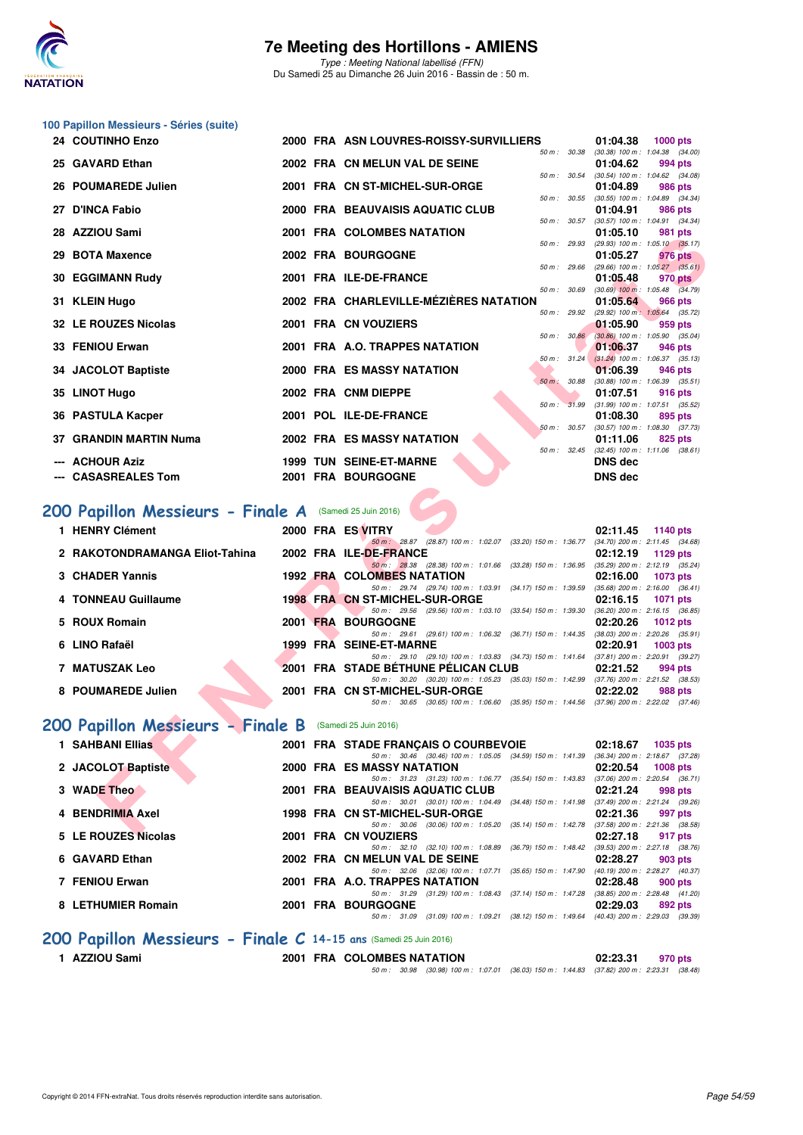

Type : Meeting National labellisé (FFN) Du Samedi 25 au Dimanche 26 Juin 2016 - Bassin de : 50 m.

#### **100 Papillon Messieurs - Séries (suite)**

| 24 COUTINHO Enzo                                               |  | 2000 FRA ASN LOUVRES-ROISSY-SURVILLIERS                                                                                         | 01:04.38<br><b>1000 pts</b>                                       |
|----------------------------------------------------------------|--|---------------------------------------------------------------------------------------------------------------------------------|-------------------------------------------------------------------|
| 25 GAVARD Ethan                                                |  | 50 m : 30.38<br>2002 FRA CN MELUN VAL DE SEINE                                                                                  | $(30.38)$ 100 m : 1:04.38 $(34.00)$<br>01:04.62<br>994 pts        |
| 26 POUMAREDE Julien                                            |  | 50 m : 30.54<br>2001 FRA CN ST-MICHEL-SUR-ORGE                                                                                  | $(30.54)$ 100 m : 1:04.62 $(34.08)$<br>01:04.89<br>986 pts        |
| 27 D'INCA Fabio                                                |  | 50 m : 30.55<br>2000 FRA BEAUVAISIS AQUATIC CLUB                                                                                | $(30.55)$ 100 m : 1:04.89 $(34.34)$                               |
|                                                                |  | 50 m: 30.57                                                                                                                     | 01:04.91<br><b>986 pts</b><br>$(30.57)$ 100 m : 1:04.91 $(34.34)$ |
| 28 AZZIOU Sami                                                 |  | 2001 FRA COLOMBES NATATION<br>50 m: 29.93                                                                                       | 01:05.10<br>981 pts<br>$(29.93)$ 100 m : 1:05.10 $(35.17)$        |
| 29 BOTA Maxence                                                |  | 2002 FRA BOURGOGNE                                                                                                              | 01:05.27<br>976 pts                                               |
| 30 EGGIMANN Rudy                                               |  | 50 m : 29.66<br>2001 FRA ILE-DE-FRANCE                                                                                          | $(29.66)$ 100 m : 1:05.27 $(35.61)$<br>01:05.48<br>970 pts        |
| 31 KLEIN Hugo                                                  |  | 50 m : 30.69<br>2002 FRA CHARLEVILLE-MÉZIÈRES NATATION                                                                          | $(30.69)$ 100 m : 1:05.48 $(34.79)$<br>01:05.64<br>966 pts        |
| 32 LE ROUZES Nicolas                                           |  | 50 m : 29.92<br>2001 FRA CN VOUZIERS                                                                                            | (29.92) 100 m: 1:05.64 (35.72)<br>01:05.90<br>959 pts             |
|                                                                |  | 50 m: 30.86                                                                                                                     | $(30.86)$ 100 m : 1:05.90 $(35.04)$                               |
| 33 FENIOU Erwan                                                |  | 2001 FRA A.O. TRAPPES NATATION<br>$50 m$ : 31.24                                                                                | 01:06.37<br>946 pts<br>$(31.24)$ 100 m : 1:06.37 $(35.13)$        |
| 34 JACOLOT Baptiste                                            |  | 2000 FRA ES MASSY NATATION                                                                                                      | 01:06.39<br>946 pts                                               |
| 35 LINOT Hugo                                                  |  | 50 m : 30.88<br>2002 FRA CNM DIEPPE                                                                                             | $(30.88)$ 100 m : 1:06.39 $(35.51)$<br>01:07.51<br>916 pts        |
|                                                                |  | 50 m: 31.99                                                                                                                     | $(31.99)$ 100 m : 1:07.51 $(35.52)$                               |
| 36 PASTULA Kacper                                              |  | 2001 POL ILE-DE-FRANCE<br>50 m: 30.57                                                                                           | 01:08.30<br>895 pts<br>$(30.57)$ 100 m : 1:08.30 $(37.73)$        |
| <b>37 GRANDIN MARTIN Numa</b>                                  |  | <b>2002 FRA ES MASSY NATATION</b><br>50 m: 32.45                                                                                | 01:11.06<br>825 pts<br>$(32.45)$ 100 m : 1:11.06 $(38.61)$        |
| <b>ACHOUR Aziz</b>                                             |  | <b>1999 TUN SEINE-ET-MARNE</b>                                                                                                  | <b>DNS dec</b>                                                    |
| <b>CASASREALES Tom</b>                                         |  | 2001 FRA BOURGOGNE                                                                                                              | <b>DNS dec</b>                                                    |
|                                                                |  |                                                                                                                                 |                                                                   |
| <b>'00 Papillon Messieurs - Finale A</b> (Samedi 25 Juin 2016) |  |                                                                                                                                 |                                                                   |
| 1 HENRY Clément                                                |  | 2000 FRA ES VITRY                                                                                                               | 02:11.45<br>1140 pts                                              |
| 2 RAKOTONDRAMANGA Eliot-Tahina                                 |  | 50 m: 28.87 (28.87) 100 m: 1.02.07 (33.20) 150 m: 1.36.77 (34.70) 200 m: 2.11.45 (34.68)<br>2002 FRA ILE-DE-FRANCE              | 02:12.19<br>1129 pts                                              |
| 3 CHADER Yannis                                                |  | 50 m: 28.38 (28.38) 100 m: 1:01.66 (33.28) 150 m: 1:36.95<br><b>1992 FRA COLOMBES NATATION</b>                                  | (35.29) 200 m : 2:12.19 (35.24)<br>02:16.00<br><b>1073 pts</b>    |
|                                                                |  | 50 m: 29.74 (29.74) 100 m: 1:03.91 (34.17) 150 m: 1:39.59                                                                       | $(35.68)$ 200 m : 2:16.00 $(36.41)$                               |
| 4 TONNEAU Guillaume                                            |  | 1998 FRA CN ST-MICHEL-SUR-ORGE<br>50 m: 29.56 (29.56) 100 m: 1:03.10 (33.54) 150 m: 1:39.30                                     | 02:16.15<br>1071 pts<br>(36.20) 200 m : 2:16.15 (36.85)           |
| 5 ROUX Romain                                                  |  | 2001 FRA BOURGOGNE                                                                                                              | 02:20.26<br><b>1012 pts</b>                                       |
| 6 LINO Rafaël                                                  |  | 50 m: 29.61 (29.61) 100 m: 1:06.32 (36.71) 150 m: 1:44.35 (38.03) 200 m: 2:20.26 (35.91)<br>1999 FRA SEINE-ET-MARNE             | 02:20.91<br>1003 pts                                              |
|                                                                |  | 50 m: 29.10 (29.10) 100 m: 1:03.83 (34.73) 150 m: 1:41.64 (37.81) 200 m: 2:20.91 (39.27)                                        |                                                                   |
| <b>7 MATUSZAK Leo</b>                                          |  | 2001 FRA STADE BETHUNE PELICAN CLUB<br>50 m: 30.20 (30.20) 100 m: 1:05.23 (35.03) 150 m: 1:42.99 (37.76) 200 m: 2:21.52 (38.53) | 02:21.52<br>994 pts                                               |
| 8 POUMAREDE Julien                                             |  | 2001 FRA CN ST-MICHEL-SUR-ORGE                                                                                                  | 02:22.02<br>988 pts                                               |
|                                                                |  | 50 m: 30.65 (30.65) 100 m: 1:06.60 (35.95) 150 m: 1:44.56 (37.96) 200 m: 2:22.02 (37.46)                                        |                                                                   |
| <b>00 Papillon Messieurs - Finale B</b>                        |  | (Samedi 25 Juin 2016)                                                                                                           |                                                                   |
| 1 SAHBANI Ellias                                               |  | 2001 FRA STADE FRANÇAIS O COURBEVOIE                                                                                            | 02:18.67<br><b>1035 pts</b>                                       |
|                                                                |  | 50 m: 30.46 (30.46) 100 m: 1:05.05 (34.59) 150 m: 1:41.39 (36.34) 200 m: 2:18.67 (37.28)                                        |                                                                   |
| 2 JACOLOT Baptiste                                             |  | 2000 FRA ES MASSY NATATION                                                                                                      | 02:20.54<br><b>1008 pts</b>                                       |
|                                                                |  | 50 m: 31.23 (31.23) 100 m: 1:06.77 (35.54) 150 m: 1:43.83 (37.06) 200 m: 2:20.54 (36.71)                                        |                                                                   |
| 3 WADE Theo                                                    |  | 2001 FRA BEAUVAISIS AQUATIC CLUB<br>50 m: 30.01 (30.01) 100 m: 1:04.49 (34.48) 150 m: 1:41.98 (37.49) 200 m: 2:21.24 (39.26)    | 02:21.24<br>998 pts                                               |
| 4 BENDRIMIA Axel                                               |  | 1998 FRA CN ST-MICHEL-SUR-ORGE<br>50 m: 30.06 (30.06) 100 m: 1:05.20 (35.14) 150 m: 1:42.78 (37.58) 200 m: 2:21.36 (38.58)      | 02:21.36<br>997 pts                                               |

## **[200 Papillon Messieurs - Finale A](http://www.ffnatation.fr/webffn/resultats.php?idact=nat&go=epr&idcpt=38947&idepr=83)** (Samedi 25 Juin 2016)

| 1 HENRY Clément                |  | 2000 FRA ES VITRY<br>02:11.45                                                                                                                             | 1140 $pts$      |
|--------------------------------|--|-----------------------------------------------------------------------------------------------------------------------------------------------------------|-----------------|
| 2 RAKOTONDRAMANGA Eliot-Tahina |  | 50 m: 28.87 (28.87) 100 m: 1:02.07<br>(33.20) 150 m : 1:36.77<br>$(34.70)$ 200 m : 2:11.45 $(34.68)$<br>2002 FRA ILE-DE-FRANCE<br>02:12.19                | 1129 pts        |
| 3 CHADER Yannis                |  | $(35.29)$ 200 m : 2:12.19 $(35.24)$<br>50 m : 28.38 (28.38) 100 m : 1.01.66 (33.28) 150 m : 1.36.95<br><b>1992 FRA COLOMBES NATATION</b>                  |                 |
|                                |  | 02:16.00<br>$(35.68)$ 200 m : 2:16.00 $(36.41)$<br>$(34.17)$ 150 m : 1:39.59<br>50 m: 29.74 (29.74) 100 m: 1:03.91                                        | <b>1073 pts</b> |
| 4 TONNEAU Guillaume            |  | 1998 FRA CN ST-MICHEL-SUR-ORGE<br>02:16.15<br>$(36.20)$ 200 m : 2:16.15 $(36.85)$<br>$(33.54)$ 150 m : 1:39.30<br>50 m : 29.56<br>(29.56) 100 m : 1:03.10 | 1071 pts        |
| 5 ROUX Romain                  |  | 2001 FRA BOURGOGNE<br>02:20.26                                                                                                                            | 1012 $pts$      |
| 6 LINO Rafaël                  |  | $(38.03)$ 200 m : 2:20.26 $(35.91)$<br>50 m : 29.61 (29.61) 100 m : 1:06.32 (36.71) 150 m : 1:44.35<br>1999 FRA SEINE-ET-MARNE<br>02:20.91                | $1003$ pts      |
| <b>7 MATUSZAK Leo</b>          |  | 50 m: 29.10 (29.10) 100 m: 1:03.83 (34.73) 150 m: 1:41.64 (37.81) 200 m: 2:20.91 (39.27)<br>2001 FRA STADE BETHUNE PELICAN CLUB<br>02:21.52               | 994 pts         |
| 8 POUMAREDE Julien             |  | $(37.76)$ 200 m : 2:21.52 $(38.53)$<br>(35.03) 150 m : 1:42.99<br>50 m : 30.20 (30.20) 100 m : 1:05.23<br>2001 FRA CN ST-MICHEL-SUR-ORGE<br>02:22.02      | 988 pts         |
|                                |  | (35.95) 150 m : 1:44.56<br>$(37.96)$ 200 m : 2:22.02 $(37.46)$<br>50 m : 30.65 (30.65) 100 m : 1:06.60                                                    |                 |

## **[200 Papillon Messieurs - Finale B](http://www.ffnatation.fr/webffn/resultats.php?idact=nat&go=epr&idcpt=38947&idepr=83)** (Samedi 25 Juin 2016)

| 1 SAHBANI Ellias    | 2001 FRA STADE FRANCAIS O COURBEVOIE                                                                | 02:18.67<br><b>1035 pts</b>                                   |
|---------------------|-----------------------------------------------------------------------------------------------------|---------------------------------------------------------------|
| 2 JACOLOT Baptiste  | 50 m: 30.46 (30.46) 100 m: 1:05.05 (34.59) 150 m: 1:41.39<br>2000 FRA ES MASSY NATATION             | $(36.34)$ 200 m : 2:18.67 $(37.28)$<br>02:20.54<br>$1008$ pts |
| 3 WADE Theo         | 50 m: 31.23 (31.23) 100 m: 1:06.77 (35.54) 150 m: 1:43.83<br>2001 FRA BEAUVAISIS AQUATIC CLUB       | (37.06) 200 m : 2:20.54 (36.71<br>02:21.24<br>998 pts         |
| 4 BENDRIMIA Axel    | $(34.48)$ 150 m : 1:41.98<br>50 m : 30.01 (30.01) 100 m : 1:04.49<br>1998 FRA CN ST-MICHEL-SUR-ORGE | (37.49) 200 m : 2:21.24 (39.26<br>02:21.36<br>997 pts         |
| 5 LE ROUZES Nicolas | 50 m: 30.06 (30.06) 100 m: 1:05.20 (35.14) 150 m: 1:42.78<br>2001 FRA CN VOUZIERS                   | $(37.58)$ 200 m : 2:21.36 $(38.58)$<br>02:27.18<br>917 pts    |
| 6 GAVARD Ethan      | 50 m : 32.10 (32.10) 100 m : 1:08.89<br>(36.79) 150 m : 1:48.42<br>2002 FRA CN MELUN VAL DE SEINE   | $(39.53)$ 200 m : 2:27.18 $(38.76)$<br>02:28.27<br>903 pts    |
| 7 FENIOU Erwan      | $(35.65)$ 150 m : 1:47.90<br>50 m: 32.06 (32.06) 100 m: 1:07.71<br>2001 FRA A.O. TRAPPES NATATION   | (40.19) 200 m : 2:28.27 (40.37<br>02:28.48<br>900 pts         |
| 8 LETHUMIER Romain  | 50 m: 31.29 (31.29) 100 m: 1:08.43 (37.14) 150 m: 1:47.28<br>2001 FRA BOURGOGNE                     | $(38.85)$ 200 m : 2:28.48 $(41.20)$<br>02:29.03<br>892 pts    |
|                     | 50 m: 31.09 (31.09) 100 m: 1:09.21 (38.12) 150 m: 1:49.64 (40.43) 200 m: 2:29.03 (39.39             |                                                               |

#### **[200 Papillon Messieurs - Finale C](http://www.ffnatation.fr/webffn/resultats.php?idact=nat&go=epr&idcpt=38947&idepr=83) 14-15 ans** (Samedi 25 Juin 2016)

|  | 1 AZZIOU Sami |  |
|--|---------------|--|
|--|---------------|--|

**2001 FRA COLOMBES NATATION** 02:23.31 970 pts

50 m : 30.98 (30.98) 100 m : 1:07.01 (36.03) 150 m : 1:44.83 (37.82) 200 m : 2:23.31 (38.48)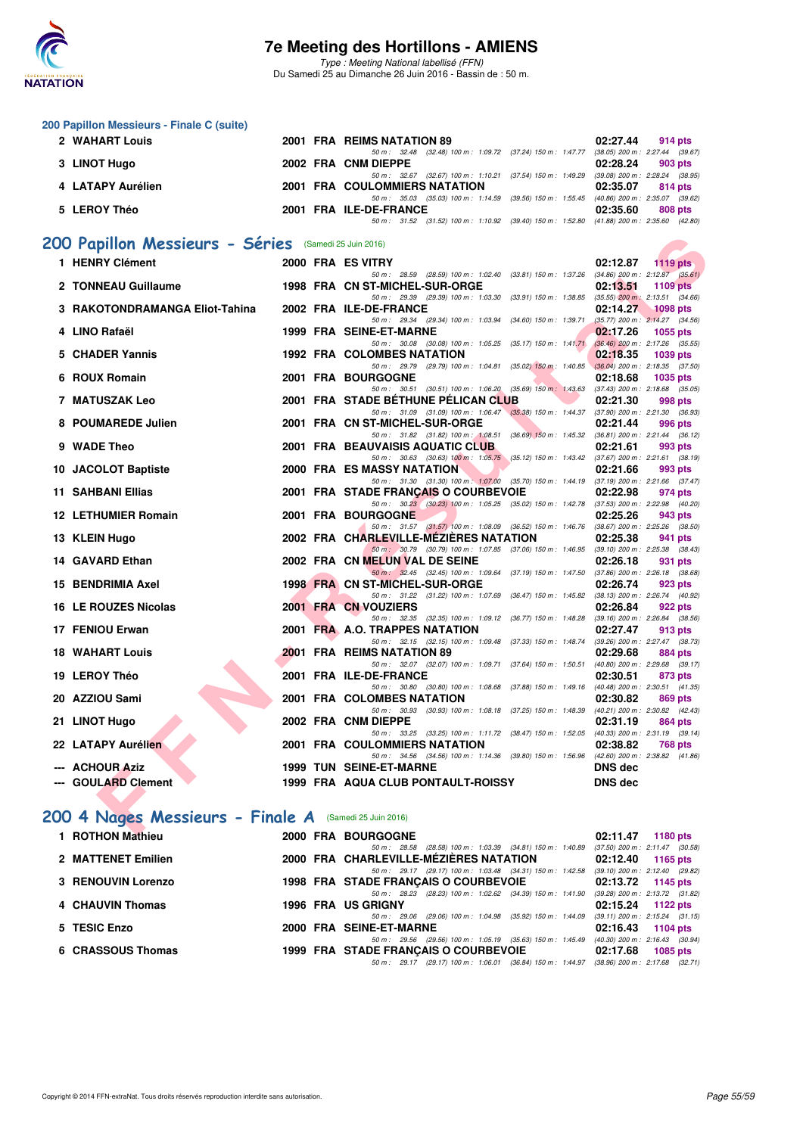

Type : Meeting National labellisé (FFN) Du Samedi 25 au Dimanche 26 Juin 2016 - Bassin de : 50 m.

|   | 200 Papillon Messieurs - Finale C (suite)              |  |                                                                                                                                        |                                                 |                 |
|---|--------------------------------------------------------|--|----------------------------------------------------------------------------------------------------------------------------------------|-------------------------------------------------|-----------------|
|   | 2 WAHART Louis                                         |  | 2001 FRA REIMS NATATION 89                                                                                                             | 02:27.44                                        | 914 pts         |
|   | 3 LINOT Hugo                                           |  | 50 m: 32.48 (32.48) 100 m: 1:09.72 (37.24) 150 m: 1:47.77 (38.05) 200 m: 2:27.44 (39.67)<br>2002 FRA CNM DIEPPE                        | 02:28.24                                        | 903 pts         |
|   |                                                        |  | 50 m: 32.67 (32.67) 100 m: 1:10.21 (37.54) 150 m: 1:49.29 (39.08) 200 m: 2:28.24 (38.95)                                               |                                                 |                 |
|   | 4 LATAPY Aurélien                                      |  | <b>2001 FRA COULOMMIERS NATATION</b><br>50 m: 35.03 (35.03) 100 m: 1:14.59 (39.56) 150 m: 1:55.45 (40.86) 200 m: 2:35.07 (39.62)       | 02:35.07                                        | 814 pts         |
|   | 5 LEROY Théo                                           |  | 2001 FRA ILE-DE-FRANCE                                                                                                                 | 02:35.60                                        | 808 pts         |
|   |                                                        |  | 50 m: 31.52 (31.52) 100 m: 1:10.92 (39.40) 150 m: 1:52.80 (41.88) 200 m: 2:35.60 (42.80)                                               |                                                 |                 |
|   | 200 Papillon Messieurs - Séries (Samedi 25 Juin 2016)  |  |                                                                                                                                        |                                                 |                 |
|   | 1 HENRY Clément                                        |  | 2000 FRA ES VITRY                                                                                                                      | 02:12.87                                        | 1119 $pts$      |
|   |                                                        |  | 50 m: 28.59 (28.59) 100 m: 1:02.40 (33.81) 150 m: 1:37.26 (34.86) 200 m: 2:12.87 (35.61)                                               |                                                 |                 |
|   | 2 TONNEAU Guillaume                                    |  | 1998 FRA CN ST-MICHEL-SUR-ORGE<br>50 m: 29.39 (29.39) 100 m: 1:03.30 (33.91) 150 m: 1:38.85 (35.55) 200 m: 2:13.51 (34.66)             | 02:13.51                                        | <b>1109 pts</b> |
|   | 3 RAKOTONDRAMANGA Eliot-Tahina                         |  | 2002 FRA ILE-DE-FRANCE                                                                                                                 | 02:14.27                                        | $1098$ pts      |
|   | 4 LINO Rafaël                                          |  | 50 m: 29.34 (29.34) 100 m: 1:03.94 (34.60) 150 m: 1:39.71<br>1999 FRA SEINE-ET-MARNE                                                   | $(35.77)$ 200 m : 2:14.27 $(34.56)$<br>02:17.26 |                 |
|   |                                                        |  | 50 m: 30.08 (30.08) 100 m: 1:05.25 (35.17) 150 m: 1:41.71                                                                              | $(36.46)$ 200 m : 2:17.26 $(35.55)$             | 1055 pts        |
|   | 5 CHADER Yannis                                        |  | 1992 FRA COLOMBES NATATION                                                                                                             | 02:18.35                                        | 1039 pts        |
|   | 6 ROUX Romain                                          |  | 50 m: 29.79 (29.79) 100 m: 1:04.81 (35.02) 150 m: 1:40.85<br><b>2001 FRA BOURGOGNE</b>                                                 | $(36.04)$ 200 m : 2:18.35 $(37.50)$<br>02:18.68 | <b>1035 pts</b> |
|   |                                                        |  | 50 m: 30.51 (30.51) 100 m: 1:06.20 (35.69) 150 m: 1:43.63 (37.43) 200 m: 2:18.68 (35.05)                                               |                                                 |                 |
|   | 7 MATUSZAK Leo                                         |  | <b>2001 FRA STADE BETHUNE PELICAN CLUB</b><br>50 m: 31.09 (31.09) 100 m: 1:06.47 (35.38) 150 m: 1:44.37 (37.90) 200 m: 2:21.30 (36.93) | 02:21.30                                        | 998 pts         |
| 8 | <b>POUMAREDE Julien</b>                                |  | 2001 FRA CN ST-MICHEL-SUR-ORGE                                                                                                         | 02:21.44                                        | 996 pts         |
|   | 9 WADE Theo                                            |  | 50 m: 31.82 (31.82) 100 m: 1:08.51 (36.69) 150 m: 1:45.32 (36.81) 200 m: 2:21.44 (36.12)<br>2001 FRA BEAUVAISIS AQUATIC CLUB           | 02:21.61                                        | 993 pts         |
|   |                                                        |  | 50 m: 30.63 (30.63) 100 m: 1:05.75 (35.12) 150 m: 1:43.42 (37.67) 200 m: 2:21.61 (38.19)                                               |                                                 |                 |
|   | 10 JACOLOT Baptiste                                    |  | 2000 FRA ES MASSY NATATION                                                                                                             | 02:21.66                                        | 993 pts         |
|   | 11 SAHBANI Ellias                                      |  | 50 m: 31.30 (31.30) 100 m: 1:07.00 (35.70) 150 m: 1:44.19 (37.19) 200 m: 2:21.66 (37.47)<br>2001 FRA STADE FRANÇAIS O COURBEVOIE       | 02:22.98                                        | 974 pts         |
|   |                                                        |  | 50 m: 30.23 (30.23) 100 m: 1:05.25 (35.02) 150 m: 1:42.78 (37.53) 200 m: 2:22.98 (40.20)                                               |                                                 |                 |
|   | <b>12 LETHUMIER Romain</b>                             |  | <b>2001 FRA BOURGOGNE</b><br>50 m: 31.57 (31.57) 100 m: 1:08.09 (36.52) 150 m: 1:46.76 (38.67) 200 m: 2:25.26 (38.50)                  | 02:25.26                                        | 943 pts         |
|   | 13 KLEIN Hugo                                          |  | 2002 FRA CHARLEVILLE-MEZIERES NATATION                                                                                                 | 02:25.38                                        | 941 pts         |
|   | 14 GAVARD Ethan                                        |  | 50 m: 30.79 (30.79) 100 m: 1:07.85 (37.06) 150 m: 1:46.95 (39.10) 200 m: 2:25.38 (38.43)<br>2002 FRA CN MELUN VAL DE SEINE             | 02:26.18                                        | 931 pts         |
|   |                                                        |  | 50 m: 32.45 (32.45) 100 m: 1.09.64 (37.19) 150 m: 1.47.50 (37.86) 200 m: 2:26.18 (38.68)                                               |                                                 |                 |
|   | 15 BENDRIMIA Axel                                      |  | 1998 FRA CN ST-MICHEL-SUR-ORGE<br>50 m: 31.22 (31.22) 100 m: 1:07.69 (36.47) 150 m: 1:45.82 (38.13) 200 m: 2:26.74 (40.92)             | 02:26.74                                        | 923 pts         |
|   | 16 LE ROUZES Nicolas                                   |  | 2001 FRA CN VOUZIERS                                                                                                                   | 02:26.84                                        | 922 pts         |
|   | 17 FENIOU Erwan                                        |  | 50 m: 32.35 (32.35) 100 m: 1:09.12 (36.77) 150 m: 1:48.28<br>2001 FRA A.O. TRAPPES NATATION                                            | $(39.16)$ 200 m : 2:26.84 $(38.56)$<br>02:27.47 | 913 pts         |
|   |                                                        |  | 50 m: 32.15 (32.15) 100 m: 1:09.48 (37.33) 150 m: 1:48.74                                                                              | (39.26) 200 m : 2:27.47 (38.73)                 |                 |
|   | <b>18 WAHART Louis</b>                                 |  | 2001 FRA REIMS NATATION 89<br>50 m: 32.07 (32.07) 100 m: 1:09.71 (37.64) 150 m: 1:50.51                                                | 02:29.68<br>$(40.80)$ 200 m : 2:29.68 $(39.17)$ | 884 pts         |
|   | 19 LEROY Théo                                          |  | 2001 FRA ILE-DE-FRANCE                                                                                                                 | 02:30.51                                        | 873 pts         |
|   |                                                        |  | 50 m: 30.80 (30.80) 100 m: 1:08.68 (37.88) 150 m: 1:49.16 (40.48) 200 m: 2:30.51 (41.35)                                               |                                                 |                 |
|   | 20 AZZIOU Sami                                         |  | 2001 FRA COLOMBES NATATION<br>50 m: 30.93 (30.93) 100 m: 1:08.18 (37.25) 150 m: 1:48.39 (40.21) 200 m: 2:30.82 (42.43)                 | 02:30.82                                        | 869 pts         |
|   | 21 LINOT Hugo                                          |  | 2002 FRA CNM DIEPPE                                                                                                                    | 02:31.19 864 pts                                |                 |
|   | 22 LATAPY Aurélien                                     |  | 50 m: 33.25 (33.25) 100 m: 1:11.72 (38.47) 150 m: 1:52.05 (40.33) 200 m: 2:31.19 (39.14)<br>2001 FRA COULOMMIERS NATATION              | 02:38.82                                        | <b>768 pts</b>  |
|   |                                                        |  | 50 m: 34.56 (34.56) 100 m: 1:14.36 (39.80) 150 m: 1:56.96 (42.60) 200 m: 2:38.82 (41.86)                                               |                                                 |                 |
|   | --- ACHOUR Aziz                                        |  | 1999 TUN SEINE-ET-MARNE                                                                                                                | <b>DNS</b> dec                                  |                 |
|   | --- GOULARD Clement                                    |  | 1999 FRA AQUA CLUB PONTAULT-ROISSY                                                                                                     | <b>DNS</b> dec                                  |                 |
|   |                                                        |  |                                                                                                                                        |                                                 |                 |
|   | 200 4 Nages Messieurs - Finale A (Samedi 25 Juin 2016) |  |                                                                                                                                        |                                                 |                 |
|   | <b>4 DOTUON Mathiass</b>                               |  | 0000 FBA BOURCOONE                                                                                                                     | 00.44.47                                        | 4400            |

## [200 4 Nages Messieurs - Finale A](http://www.ffnatation.fr/webffn/resultats.php?idact=nat&go=epr&idcpt=38947&idepr=91) (Samedi 25 Juin 2016)

| 1 ROTHON Mathieu   |  | 2000 FRA BOURGOGNE                                                                                                               | 02:11.47 | 1180 pts                                                   |
|--------------------|--|----------------------------------------------------------------------------------------------------------------------------------|----------|------------------------------------------------------------|
| 2 MATTENET Emilien |  | 50 m: 28.58 (28.58) 100 m: 1:03.39 (34.81) 150 m: 1:40.89<br>2000 FRA CHARLEVILLE-MÉZIÈRES NATATION                              |          | $(37.50)$ 200 m : 2:11.47 $(30.58)$<br>$02:12.40$ 1165 pts |
| 3 RENOUVIN Lorenzo |  | 50 m: 29.17 (29.17) 100 m: 1:03.48 (34.31) 150 m: 1:42.58<br><b>1998 FRA STADE FRANCAIS O COURBEVOIE</b>                         |          | $(39.10)$ 200 m : 2:12.40 $(29.82)$<br>$02:13.72$ 1145 pts |
| 4 CHAUVIN Thomas   |  | 50 m: 28.23 (28.23) 100 m: 1:02.62 (34.39) 150 m: 1:41.90 (39.28) 200 m: 2:13.72 (31.82)<br><b>1996 FRA US GRIGNY</b>            |          | $02:15.24$ 1122 pts                                        |
| 5 TESIC Enzo       |  | 50 m: 29.06 (29.06) 100 m: 1:04.98 (35.92) 150 m: 1:44.09 (39.11) 200 m: 2:15.24 (31.15)<br>2000 FRA SEINE-ET-MARNE              |          | 02:16.43 1104 pts                                          |
| 6 CRASSOUS Thomas  |  | 50 m: 29.56 (29.56) 100 m: 1:05.19 (35.63) 150 m: 1:45.49 (40.30) 200 m: 2:16.43 (30.94)<br>1999 FRA STADE FRANÇAIS O COURBEVOIE | 02:17.68 | <b>1085 pts</b>                                            |
|                    |  | 50 m: 29.17 (29.17) 100 m: 1:06.01 (36.84) 150 m: 1:44.97 (38.96) 200 m: 2:17.68 (32.71)                                         |          |                                                            |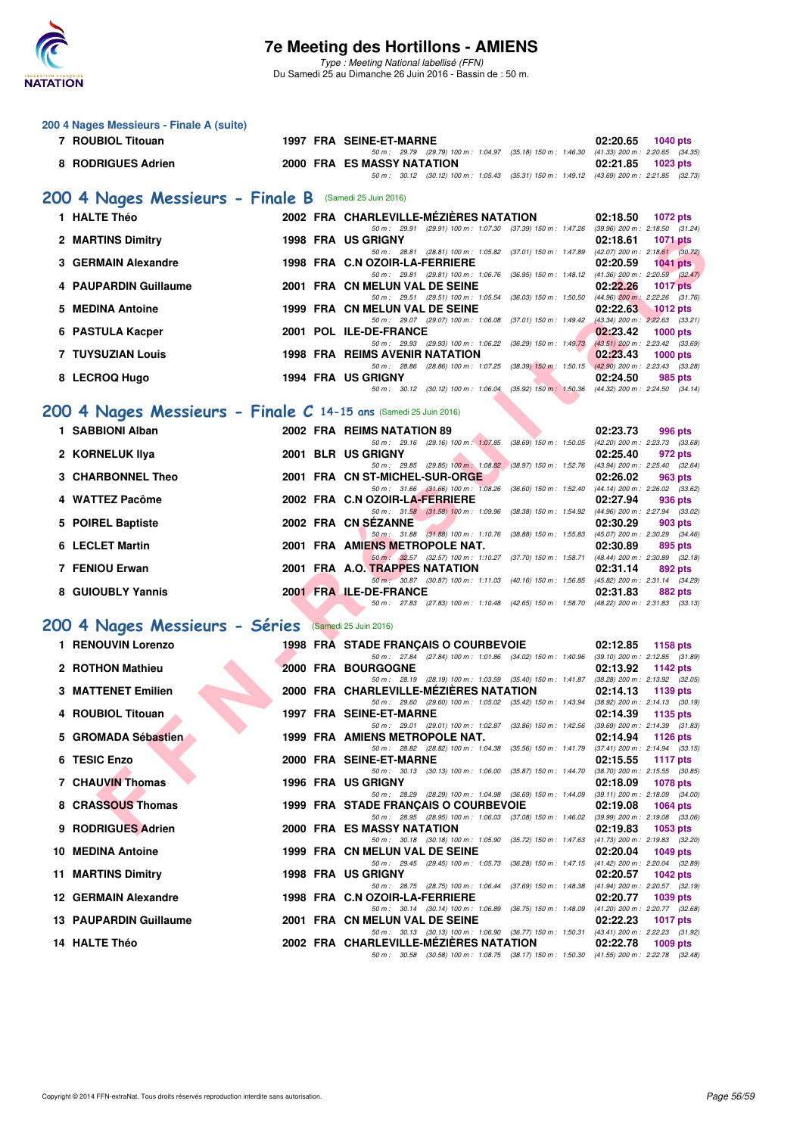

Type : Meeting National labellisé (FFN) Du Samedi 25 au Dimanche 26 Juin 2016 - Bassin de : 50 m.

| 200 4 Nages Messieurs - Finale A (suite) |                                                                  |                                                                                                                                    |                                                                    |
|------------------------------------------|------------------------------------------------------------------|------------------------------------------------------------------------------------------------------------------------------------|--------------------------------------------------------------------|
| 7 ROUBIOL Titouan                        |                                                                  | 1997 FRA SEINE-ET-MARNE<br>50 m: 29.79 (29.79) 100 m: 1:04.97 (35.18) 150 m: 1:46.30 (41.33) 200 m: 2:20.65 (34.35)                | 02:20.65<br><b>1040 pts</b>                                        |
| 8 RODRIGUES Adrien                       |                                                                  | 2000 FRA ES MASSY NATATION                                                                                                         | 02:21.85<br><b>1023 pts</b>                                        |
|                                          |                                                                  | 50 m: 30.12 (30.12) 100 m: 1:05.43 (35.31) 150 m: 1:49.12 (43.69) 200 m: 2:21.85 (32.73)                                           |                                                                    |
|                                          | 200 4 Nages Messieurs - Finale B (Samedi 25 Juin 2016)           |                                                                                                                                    |                                                                    |
| 1 HALTE Théo                             |                                                                  | 2002 FRA CHARLEVILLE-MÉZIÈRES NATATION                                                                                             | 02:18.50<br><b>1072 pts</b>                                        |
| 2 MARTINS Dimitry                        |                                                                  | 50 m: 29.91 (29.91) 100 m: 1:07.30 (37.39) 150 m: 1:47.26 (39.96) 200 m: 2:18.50 (31.24)<br>1998 FRA US GRIGNY                     | 02:18.61<br>1071 pts                                               |
|                                          |                                                                  | 50 m: 28.81 (28.81) 100 m: 1:05.82 (37.01) 150 m: 1:47.89 (42.07) 200 m: 2:18.61 (30.72)                                           |                                                                    |
| 3 GERMAIN Alexandre                      |                                                                  | 1998 FRA C.N OZOIR-LA-FERRIERE<br>50 m: 29.81 (29.81) 100 m: 1:06.76 (36.95) 150 m: 1:48.12 (41.36) 200 m: 2:20.59 (32.47)         | 02:20.59<br>1041 $pts$                                             |
| 4 PAUPARDIN Guillaume                    |                                                                  | 2001 FRA CN MELUN VAL DE SEINE<br>50 m: 29.51 (29.51) 100 m: 1:05.54 (36.03) 150 m: 1:50.50 (44.96) 200 m: 2:22.26 (31.76)         | 02:22.26<br>1017 pts                                               |
| <b>MEDINA Antoine</b><br>5.              |                                                                  | 1999 FRA CN MELUN VAL DE SEINE                                                                                                     | 02:22.63<br>$1012$ pts                                             |
| 6 PASTULA Kacper                         |                                                                  | 50 m: 29.07 (29.07) 100 m: 1:06.08 (37.01) 150 m: 1:49.42 (43.34) 200 m: 2:22.63 (33.21)<br>2001 POL ILE-DE-FRANCE                 | 02:23.42<br>$1000$ pts                                             |
|                                          |                                                                  | 50 m: 29.93 (29.93) 100 m: 1:06.22 (36.29) 150 m: 1:49.73 (43.51) 200 m: 2:23.42 (33.69)                                           |                                                                    |
| <b>7 TUYSUZIAN Louis</b>                 |                                                                  | <b>1998 FRA REIMS AVENIR NATATION</b><br>50 m: 28.86 (28.86) 100 m: 1:07.25 (38.39) 150 m: 1:50.15 (42.90) 200 m: 2:23.43 (33.28)  | 02:23.43<br>$1000$ pts                                             |
| 8 LECROQ Hugo                            |                                                                  | 1994 FRA US GRIGNY<br>50 m: 30.12 (30.12) 100 m: 1:06.04 (35.92) 150 m: 1:50.36 (44.32) 200 m: 2:24.50 (34.14)                     | 02:24.50<br>985 pts                                                |
|                                          |                                                                  |                                                                                                                                    |                                                                    |
|                                          | 200 4 Nages Messieurs - Finale C 14-15 ans (Samedi 25 Juin 2016) |                                                                                                                                    |                                                                    |
| 1 SABBIONI Alban                         |                                                                  | 2002 FRA REIMS NATATION 89<br>50 m: 29.16 (29.16) 100 m: 1:07.85 (38.69) 150 m: 1:50.05 (42.20) 200 m: 2:23.73 (33.68)             | 02:23.73<br>996 pts                                                |
| 2 KORNELUK Ilya                          |                                                                  | 2001 BLR US GRIGNY                                                                                                                 | 02:25.40<br>972 pts                                                |
| 3 CHARBONNEL Theo                        |                                                                  | 50 m: 29.85 (29.85) 100 m: 1:08.82 (38.97) 150 m: 1:52.76 (43.94) 200 m: 2:25.40 (32.64)<br>2001 FRA CN ST-MICHEL-SUR-ORGE         | 02:26.02<br>963 pts                                                |
| 4 WATTEZ Pacôme                          |                                                                  | 50 m: 31.66 (31.66) 100 m: 1:08.26 (36.60) 150 m: 1:52.40 (44.14) 200 m: 2:26.02 (33.62)<br>2002 FRA C.N OZOIR-LA-FERRIERE         | 02:27.94<br>936 pts                                                |
|                                          |                                                                  | 50 m: 31.58 (31.58) 100 m: 1:09.96 (38.38) 150 m: 1:54.92 (44.96) 200 m: 2:27.94 (33.02)                                           |                                                                    |
| 5 POIREL Baptiste                        |                                                                  | 2002 FRA CN SEZANNE<br>50 m: 31.88 (31.88) 100 m: 1:10.76 (38.88) 150 m: 1:55.83 (45.07) 200 m: 2:30.29 (34.46)                    | 02:30.29<br>903 pts                                                |
| <b>6 LECLET Martin</b>                   |                                                                  | 2001 FRA AMIENS METROPOLE NAT.                                                                                                     | 02:30.89<br>895 pts                                                |
| 7 FENIOU Erwan                           |                                                                  | 50 m: 32.57 (32.57) 100 m: 1:10.27 (37.70) 150 m: 1:58.71 (48.44) 200 m: 2:30.89 (32.18)<br>2001 FRA A.O. TRAPPES NATATION         | 02:31.14<br>892 pts                                                |
| 8 GUIOUBLY Yannis                        |                                                                  | 50 m: 30.87 (30.87) 100 m: 1:11.03 (40.16) 150 m: 1:56.85 (45.82) 200 m: 2:31.14 (34.29)<br>2001 FRA ILE-DE-FRANCE                 | 02:31.83<br>882 pts                                                |
|                                          |                                                                  | 50 m: 27.83 (27.83) 100 m: 1:10.48 (42.65) 150 m: 1:58.70 (48.22) 200 m: 2:31.83 (33.13)                                           |                                                                    |
|                                          | 200 4 Nages Messieurs - Séries                                   | (Samedi 25 Juin 2016)                                                                                                              |                                                                    |
| 1 RENOUVIN Lorenzo                       |                                                                  | 1998 FRA STADE FRANÇAIS O COURBEVOIE                                                                                               | 02:12.85<br>1158 pts                                               |
|                                          |                                                                  | 50 m: 27.84 (27.84) 100 m: 1:01.86 (34.02) 150 m: 1:40.96 (39.10) 200 m: 2:12.85 (31.89)                                           |                                                                    |
| 2 ROTHON Mathieu                         |                                                                  | <b>2000 FRA BOURGOGNE</b><br>50 m: 28.19 (28.19) 100 m: 1:03.59 (35.40) 150 m: 1:41.87 (38.28) 200 m: 2:13.92 (32.05)              | 02:13.92<br><b>1142 pts</b>                                        |
| 3 MATTENET Emilien                       |                                                                  | 2000 FRA CHARLEVILLE-MEZIERES NATATION<br>50 m: 29.60 (29.60) 100 m: 1:05.02 (35.42) 150 m: 1:43.94 (38.92) 200 m: 2:14.13 (30.19) | 02:14.13<br>1139 pts                                               |
| 4 ROUBIOL Titouan                        |                                                                  | <b>1997 FRA SEINE-ET-MARNE</b>                                                                                                     | 02:14.39<br>1135 pts                                               |
| 5 GROMADA Sébastien                      |                                                                  | 50 m : 29.01 (29.01) 100 m : 1:02.87 (33.86) 150 m : 1:42.56<br>1999 FRA AMIENS METROPOLE NAT.                                     | $(39.69)$ 200 m : 2:14.39 $(31.83)$<br>02:14.94<br><b>1126 pts</b> |
| 6 TESIC Enzo                             |                                                                  | 50 m: 28.82 (28.82) 100 m: 1:04.38 (35.56) 150 m: 1:41.79 (37.41) 200 m: 2:14.94 (33.15)<br>2000 FRA SEINE-ET-MARNE                | 02:15.55<br><b>1117 pts</b>                                        |
|                                          |                                                                  | 50 m: 30.13 (30.13) 100 m: 1:06.00 (35.87) 150 m: 1:44.70                                                                          | (38.70) 200 m : 2:15.55 (30.85)                                    |
| 7 CHAUVIN Thomas                         |                                                                  | 1996 FRA US GRIGNY<br>50 m: 28.29 (28.29) 100 m: 1:04.98 (36.69) 150 m: 1:44.09                                                    | 02:18.09<br>1078 pts<br>$(39.11)$ 200 m : 2:18.09 $(34.00)$        |
| <b>CRASSOUS Thomas</b><br>8              |                                                                  | 1999 FRA STADE FRANÇAIS O COURBEVOIE                                                                                               | 02:19.08<br>1064 pts                                               |
| 9 RODRIGUES Adrien                       |                                                                  | 50 m : 28.95 (28.95) 100 m : 1:06.03 (37.08) 150 m : 1:46.02<br>2000 FRA ES MASSY NATATION                                         | $(39.99)$ 200 m : 2:19.08 $(33.06)$<br>02:19.83<br>1053 pts        |
| 10 MEDINA Antoine                        |                                                                  | 50 m : 30.18 (30.18) 100 m : 1:05.90 (35.72) 150 m : 1:47.63<br>1999 FRA CN MELUN VAL DE SEINE                                     | (41.73) 200 m : 2:19.83 (32.20)<br>02:20.04<br>1049 pts            |
|                                          |                                                                  | 50 m: 29.45 (29.45) 100 m: 1:05.73 (36.28) 150 m: 1:47.15 (41.42) 200 m: 2:20.04 (32.89)                                           |                                                                    |
| <b>11 MARTINS Dimitry</b>                |                                                                  | 1998 FRA US GRIGNY<br>50 m: 28.75 (28.75) 100 m: 1:06.44 (37.69) 150 m: 1:48.38                                                    | 02:20.57<br>1042 pts<br>(41.94) 200 m : 2:20.57 (32.19)            |
| 12 GERMAIN Alexandre                     |                                                                  | 1998 FRA C.N OZOIR-LA-FERRIERE                                                                                                     | 02:20.77<br>1039 pts                                               |
| 13 PAUPARDIN Guillaume                   |                                                                  | 50 m : 30.14 (30.14) 100 m : 1:06.89 (36.75) 150 m : 1:48.09<br>2001 FRA CN MELUN VAL DE SEINE                                     | (41.20) 200 m : 2:20.77 (32.68)<br>02:22.23<br><b>1017 pts</b>     |
|                                          |                                                                  | 50 m: 30.13 (30.13) 100 m: 1:06.90 (36.77) 150 m: 1:50.31 (43.41) 200 m: 2:22.23 (31.92)                                           |                                                                    |
| 14 HALTE Théo                            |                                                                  | 2002 FRA CHARLEVILLE-MEZIERES NATATION<br>50 m: 30.58 (30.58) 100 m: 1:08.75 (38.17) 150 m: 1:50.30 (41.55) 200 m: 2:22.78 (32.48) | 02:22.78<br>1009 pts                                               |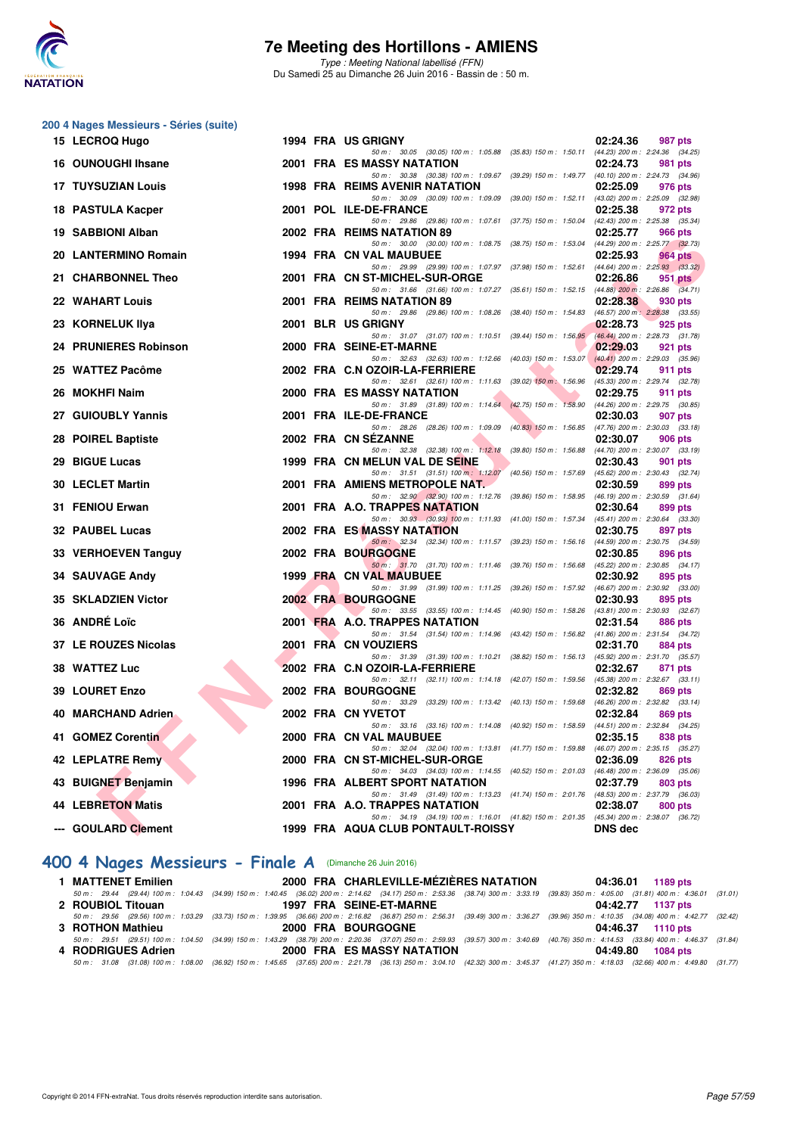

Type : Meeting National labellisé (FFN) Du Samedi 25 au Dimanche 26 Juin 2016 - Bassin de : 50 m.

#### **200 4 Nages Messieurs - Séries (suite)**

|     | 15 LECROQ Hugo            |  | 1994 FRA US GRIGNY                                                                                                                |                           | 02:24.36                              | 987 pts                                               |
|-----|---------------------------|--|-----------------------------------------------------------------------------------------------------------------------------------|---------------------------|---------------------------------------|-------------------------------------------------------|
|     | 16 OUNOUGHI Ihsane        |  | 50 m: 30.05 (30.05) 100 m: 1:05.88 (35.83) 150 m: 1:50.11<br>2001 FRA ES MASSY NATATION                                           |                           | 02:24.73                              | (44.23) 200 m : 2:24.36 (34.25)<br><b>981 pts</b>     |
|     | <b>17 TUYSUZIAN Louis</b> |  | 50 m: 30.38 (30.38) 100 m: 1:09.67 (39.29) 150 m: 1:49.77 (40.10) 200 m: 2:24.73 (34.96)<br><b>1998 FRA REIMS AVENIR NATATION</b> |                           | 02:25.09                              | 976 pts                                               |
|     | 18 PASTULA Kacper         |  | 50 m: 30.09 (30.09) 100 m: 1:09.09 (39.00) 150 m: 1:52.11<br>2001 POL ILE-DE-FRANCE                                               |                           | 02:25.38                              | $(43.02)$ 200 m : 2:25.09 $(32.98)$<br>972 pts        |
|     |                           |  | 50 m: 29.86 (29.86) 100 m: 1:07.61 (37.75) 150 m: 1:50.04                                                                         |                           |                                       | (42.43) 200 m : 2:25.38 (35.34)                       |
|     | 19 SABBIONI Alban         |  | 2002 FRA REIMS NATATION 89<br>50 m: 30.00 (30.00) 100 m: 1:08.75                                                                  | (38.75) 150 m : 1:53.04   | 02:25.77                              | 966 pts<br>(44.29) 200 m : 2:25.77 (32.73)            |
|     | 20 LANTERMINO Romain      |  | <b>1994 FRA CN VAL MAUBUEE</b>                                                                                                    |                           | 02:25.93                              | <b>964 pts</b>                                        |
|     | 21 CHARBONNEL Theo        |  | 50 m: 29.99 (29.99) 100 m: 1:07.97<br>2001 FRA CN ST-MICHEL-SUR-ORGE                                                              | $(37.98)$ 150 m : 1:52.61 | 02:26.86                              | $(44.64)$ 200 m : 2:25.93 $(33.32)$<br>951 pts        |
|     |                           |  | 50 m: 31.66 (31.66) 100 m: 1:07.27 (35.61) 150 m: 1:52.15 (44.88) 200 m: 2:26.86 (34.71)                                          |                           |                                       |                                                       |
|     | <b>22 WAHART Louis</b>    |  | 2001 FRA REIMS NATATION 89<br>50 m: 29.86 (29.86) 100 m: 1:08.26                                                                  | (38.40) 150 m : 1:54.83   | 02:28.38                              | 930 pts<br>$(46.57)$ 200 m : 2:28.38 $(33.55)$        |
|     | 23 KORNELUK Ilya          |  | 2001 BLR US GRIGNY                                                                                                                |                           | 02:28.73                              | 925 pts                                               |
|     | 24 PRUNIERES Robinson     |  | 50 m: 31.07 (31.07) 100 m: 1:10.51 (39.44) 150 m: 1:56.95<br>2000 FRA SEINE-ET-MARNE                                              |                           | 02:29.03                              | (46.44) 200 m : 2:28.73 (31.78)<br>921 pts            |
|     |                           |  | 50 m: 32.63 (32.63) 100 m: 1:12.66                                                                                                | $(40.03)$ 150 m : 1:53.07 |                                       | $(40.41)$ 200 m : 2:29.03 $(35.96)$                   |
|     | 25 WATTEZ Pacôme          |  | 2002 FRA C.N OZOIR-LA-FERRIERE<br>50 m: 32.61 (32.61) 100 m: 1:11.63 (39.02) 150 m: 1:56.96                                       |                           | 02:29.74                              | <b>911 pts</b><br>(45.33) 200 m : 2:29.74 (32.78)     |
|     | 26 MOKHFI Naim            |  | <b>2000 FRA ES MASSY NATATION</b>                                                                                                 |                           | 02:29.75                              | 911 pts                                               |
|     | 27 GUIOUBLY Yannis        |  | 50 m: 31.89 (31.89) 100 m: 1:14.64 (42.75) 150 m: 1:58.90<br>2001 FRA ILE-DE-FRANCE                                               |                           | 02:30.03                              | (44.26) 200 m : 2:29.75 (30.85)<br>907 pts            |
|     |                           |  | 50 m: 28.26 (28.26) 100 m: 1:09.09 (40.83) 150 m: 1:56.85                                                                         |                           |                                       | $(47.76)$ 200 m : 2:30.03 $(33.18)$                   |
|     | 28 POIREL Baptiste        |  | 2002 FRA CN SEZANNE<br>50 m: 32.38 (32.38) 100 m: 1:12.18                                                                         | (39.80) 150 m : 1:56.88   | 02:30.07                              | <b>906 pts</b><br>$(44.70)$ 200 m : 2:30.07 $(33.19)$ |
|     | 29 BIGUE Lucas            |  | 1999 FRA CN MELUN VAL DE SEINE                                                                                                    |                           | 02:30.43                              | 901 pts                                               |
|     |                           |  | 50 m: 31.51 (31.51) 100 m: 1:12.07                                                                                                | (40.56) 150 m : 1:57.69   |                                       | $(45.62)$ 200 m : 2:30.43 $(32.74)$                   |
|     | <b>30 LECLET Martin</b>   |  | 2001 FRA AMIENS METROPOLE NAT.<br>50 m: 32.90 (32.90) 100 m: 1:12.76 (39.86) 150 m: 1:58.95                                       |                           | 02:30.59                              | 899 pts<br>$(46.19)$ 200 m : 2:30.59 $(31.64)$        |
|     | 31 FENIOU Erwan           |  | 2001 FRA A.O. TRAPPES NATATION                                                                                                    |                           | 02:30.64                              | 899 pts                                               |
|     | <b>32 PAUBEL Lucas</b>    |  | 50 m: 30.93 (30.93) 100 m: 1:11.93 (41.00) 150 m: 1:57.34<br>2002 FRA ES MASSY NATATION                                           |                           | $(45.41)$ 200 m : 2:30.64<br>02:30.75 | (33.30)<br>897 pts                                    |
|     |                           |  | 50 m: 32.34 (32.34) 100 m: 1:11.57 (39.23) 150 m: 1:56.16                                                                         |                           |                                       | (44.59) 200 m : 2:30.75 (34.59)                       |
|     | 33 VERHOEVEN Tanguy       |  | 2002 FRA BOURGOGNE<br>50 m: 31.70 (31.70) 100 m: 1:11.46 (39.76) 150 m: 1:56.68                                                   |                           | 02:30.85                              | 896 pts<br>(45.22) 200 m : 2:30.85 (34.17)            |
|     | <b>34 SAUVAGE Andy</b>    |  | 1999 FRA CN VAL MAUBUEE                                                                                                           |                           | 02:30.92                              | 895 pts                                               |
|     | 35 SKLADZIEN Victor       |  | 50 m: 31.99 (31.99) 100 m: 1:11.25 (39.26) 150 m: 1:57.92<br>2002 FRA BOURGOGNE                                                   |                           | 02:30.93                              | (46.67) 200 m : 2:30.92 (33.00)<br>895 pts            |
|     |                           |  | 50 m: 33.55 (33.55) 100 m: 1:14.45 (40.90) 150 m: 1:58.26                                                                         |                           |                                       | $(43.81)$ 200 m : 2:30.93 $(32.67)$                   |
|     | 36 ANDRÉ Loïc             |  | 2001 FRA A.O. TRAPPES NATATION<br>50 m: 31.54 (31.54) 100 m: 1:14.96 (43.42) 150 m: 1:56.82                                       |                           | 02:31.54                              | 886 pts<br>(41.86) 200 m : 2:31.54 (34.72)            |
|     | 37 LE ROUZES Nicolas      |  | 2001 FRA CN VOUZIERS                                                                                                              |                           | 02:31.70                              | 884 pts                                               |
|     | 38 WATTEZ Luc             |  | 50 m: 31.39 (31.39) 100 m: 1:10.21 (38.82) 150 m: 1:56.13 (45.92) 200 m: 2:31.70 (35.57)<br>2002 FRA C.N OZOIR-LA-FERRIERE        |                           | 02:32.67                              | 871 pts                                               |
|     |                           |  | 50 m: 32.11 (32.11) 100 m: 1:14.18 (42.07) 150 m: 1:59.56                                                                         |                           |                                       | $(45.38)$ 200 m : 2:32.67 $(33.11)$                   |
|     | <b>39 LOURET Enzo</b>     |  | <b>2002 FRA BOURGOGNE</b><br>50 m: 33.29 (33.29) 100 m: 1:13.42 (40.13) 150 m: 1:59.68                                            |                           | 02:32.82                              | 869 pts<br>$(46.26)$ 200 m : 2:32.82 $(33.14)$        |
|     | 40 MARCHAND Adrien.       |  | 2002 FRA CN YVETOT                                                                                                                |                           | 02:32.84                              | 869 pts                                               |
| 41. | <b>GOMEZ Corentin</b>     |  | 50 m: 33.16 (33.16) 100 m: 1:14.08 (40.92) 150 m: 1:58.59<br>2000 FRA CN VAL MAUBUEE                                              |                           | 02:35.15                              | (44.51) 200 m : 2:32.84 (34.25)<br>838 pts            |
|     |                           |  | 50 m: 32.04 (32.04) 100 m: 1:13.81 (41.77) 150 m: 1:59.88 (46.07) 200 m: 2:35.15 (35.27)                                          |                           |                                       |                                                       |
|     | 42 LEPLATRE Remy          |  | 2000 FRA CN ST-MICHEL-SUR-ORGE<br>50 m: 34.03 (34.03) 100 m: 1:14.55 (40.52) 150 m: 2:01.03 (46.48) 200 m: 2:36.09                |                           | 02:36.09                              | 826 pts<br>(35.06)                                    |
|     | 43 BUIGNET Benjamin       |  | 1996 FRA ALBERT SPORT NATATION                                                                                                    |                           | 02:37.79                              | 803 pts                                               |
|     | <b>44 LEBRETON Matis</b>  |  | 50 m: 31.49 (31.49) 100 m: 1:13.23 (41.74) 150 m: 2:01.76 (48.53) 200 m: 2:37.79 (36.03)<br>2001 FRA A.O. TRAPPES NATATION        |                           | 02:38.07                              | 800 pts                                               |
|     |                           |  | 50 m: 34.19 (34.19) 100 m: 1:16.01 (41.82) 150 m: 2:01.35 (45.34) 200 m: 2:38.07 (36.72)                                          |                           |                                       |                                                       |
|     | --- GOULARD Clement       |  | 1999 FRA AQUA CLUB PONTAULT-ROISSY                                                                                                |                           | <b>DNS</b> dec                        |                                                       |

### **[400 4 Nages Messieurs - Finale A](http://www.ffnatation.fr/webffn/resultats.php?idact=nat&go=epr&idcpt=38947&idepr=92)** (Dimanche 26 Juin 2016)

| 1 MATTENET Emilien | 2000 FRA CHARLEVILLE-MÉZIÈRES NATATION                                                                                                                                                       | 04:36.01 1189 pts |
|--------------------|----------------------------------------------------------------------------------------------------------------------------------------------------------------------------------------------|-------------------|
|                    | 50 m: 29.44 (29.44) 100 m: 1:04.43 (34.99) 150 m: 1:40.45 (36.02) 200 m: 2:14.62 (34.17) 250 m: 2:53.36 (38.74) 300 m: 3:33.19 (39.83) 350 m: 4:05.00 (31.81) 400 m: 4:36.01 (31.01)         |                   |
| 2 ROUBIOL Titouan  | 1997 FRA SEINE-ET-MARNE                                                                                                                                                                      | 04:42.77 1137 pts |
|                    | 50 m: 29.56 (29.56) 100 m: 1:03.29 (33.73) 150 m: 1:39.95 (36.66) 200 m: 2:16.82 (36.87) 250 m: 2:56.31 (39.49) 300 m: 3:36.27 (39.96) 350 m: 4:10.35 (34.08) 400 m: 4:42.77 (32.42)         |                   |
| 3 ROTHON Mathieu   | <b>2000 FRA BOURGOGNE</b>                                                                                                                                                                    | 04:46.37 1110 pts |
|                    | 50 m : 29.51 (29.51) 100 m : 1:04.50 (34.99) 150 m : 1:43.29 (38.79) 200 m : 2:20.36 (37.07) 250 m : 2:59.93 (39.57) 300 m : 3:40.69 (40.76) 350 m : 4:14.53 (33.84) 400 m : 4:46.37 (31.84) |                   |
| 4 RODRIGUES Adrien | 2000 FRA ES MASSY NATATION                                                                                                                                                                   | 04:49.80 1084 pts |
|                    | 50 m: 31.08 (31.08) 100 m: 1:08.00 (36.92) 150 m: 1:45.65 (37.65) 200 m: 2:21.78 (36.13) 250 m: 3:04.10 (42.32) 300 m: 3:45.37 (41.27) 350 m: 4:18.03 (32.66) 400 m: 4:49.80 (31.77)         |                   |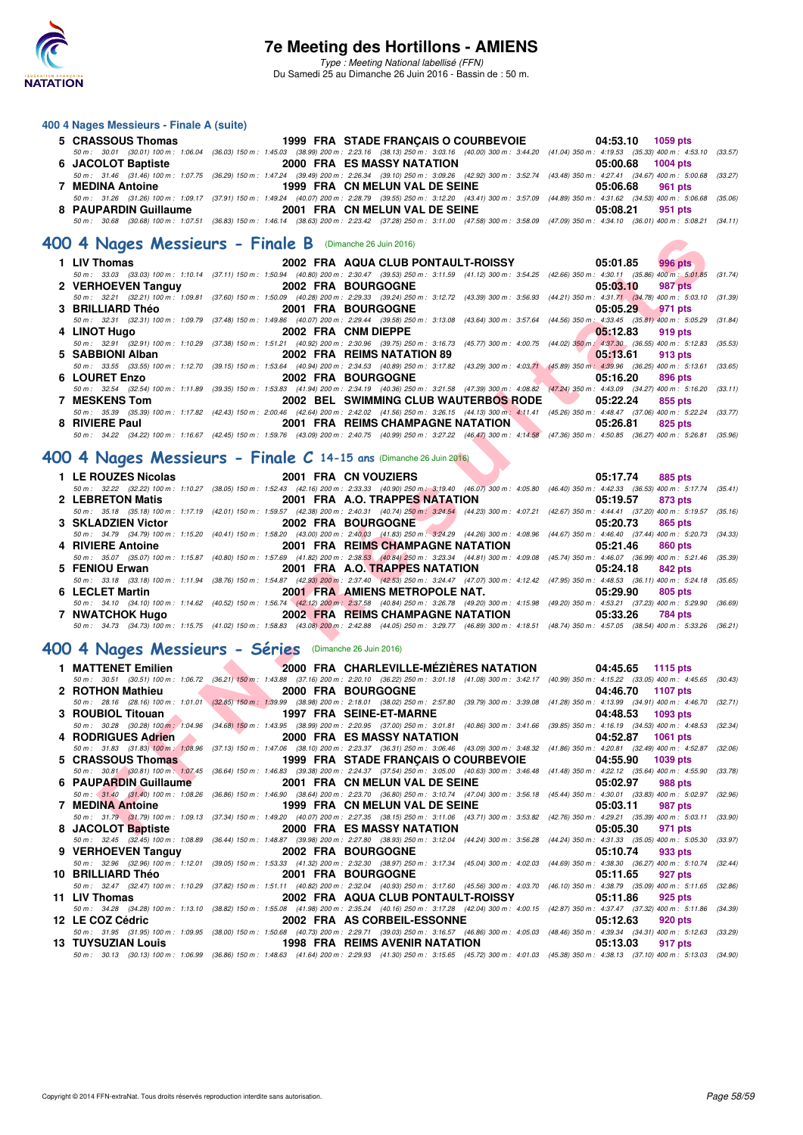

#### **400 4 Nages Messieurs - Finale A (suite)**

| 5 CRASSOUS Thomas     | 1999 FRA STADE FRANCAIS O COURBEVOIE                                                                                                                                                         | 04:53.10 1059 pts |
|-----------------------|----------------------------------------------------------------------------------------------------------------------------------------------------------------------------------------------|-------------------|
|                       | 50 m : 30.01 (30.01) 100 m : 1:06.04 (36.03) 150 m : 1:45.03 (38.99) 200 m : 2:23.16 (38.13) 250 m : 3:03.16 (40.00) 300 m : 3:44.20 (41.04) 350 m : 4:19.53 (35.33) 400 m : 4:53.10 (33.57) |                   |
| 6 JACOLOT Baptiste    | <b>2000 FRA ES MASSY NATATION</b>                                                                                                                                                            | 05:00.68 1004 pts |
|                       | 50 m : 31.46 (31.46) 100 m : 1:07.75 (36.29) 150 m : 1:47.24 (39.49) 200 m : 2:26.34 (39.10) 250 m : 3:09.26 (42.92) 300 m : 3:52.74 (43.48) 350 m : 4:27.41 (34.67) 400 m : 5:00.68 (33.27) |                   |
| 7 MEDINA Antoine      | 1999 FRA CN MELUN VAL DE SEINE                                                                                                                                                               | 05:06.68 961 pts  |
|                       | 50 m : 31.26 (31.26) 100 m : 1:09.17 (37.91) 150 m : 1:49.24 (40.07) 200 m : 2:28.79 (39.55) 250 m : 3:12.20 (43.41) 300 m : 3:57.09 (44.89) 350 m : 4:31.62 (34.53) 400 m : 5:06.68 (35.06) |                   |
| 8 PAUPARDIN Guillaume | 2001 FRA CN MELUN VAL DE SEINE                                                                                                                                                               | 05:08.21 951 pts  |
|                       | 50 m: 30.68 (30.68) 100 m: 1:07.51 (36.83) 150 m: 1:46.14 (38.63) 200 m: 2:23.42 (37.28) 250 m: 3:11.00 (47.58) 300 m: 3:58.09 (47.09) 350 m: 4:34.10 (36.01) 400 m: 5:08.21 (34.11)         |                   |

#### **[400 4 Nages Messieurs - Finale B](http://www.ffnatation.fr/webffn/resultats.php?idact=nat&go=epr&idcpt=38947&idepr=92)** (Dimanche 26 Juin 2016)

| 00 4 Nages Messieurs - Finale B (Dimanche 26 Juin 2016)           |                                                                                                                                                                                      |                                                                                                                                                                                              |
|-------------------------------------------------------------------|--------------------------------------------------------------------------------------------------------------------------------------------------------------------------------------|----------------------------------------------------------------------------------------------------------------------------------------------------------------------------------------------|
| 1 LIV Thomas                                                      | 2002 FRA AQUA CLUB PONTAULT-ROISSY                                                                                                                                                   | 05:01.85<br>996 pts                                                                                                                                                                          |
|                                                                   |                                                                                                                                                                                      | 50 m: 33.03 (33.03) 100 m: 1:10.14 (37.11) 150 m: 1:50.94 (40.80) 200 m: 2:30.47 (39.53) 250 m: 3:11.59 (41.12) 300 m: 3:54.25 (42.66) 350 m: 4:30.11 (35.86) 400 m: 5:01.85 (31.74)         |
| 2 VERHOEVEN Tanguy                                                | <b>2002 FRA BOURGOGNE</b>                                                                                                                                                            | 05:03.10<br>987 pts                                                                                                                                                                          |
|                                                                   | 50 m: 32.21 (32.21) 100 m: 1:09.81 (37.60) 150 m: 1:50.09 (40.28) 200 m: 2:29.33 (39.24) 250 m: 3:12.72 (43.39) 300 m: 3:56.93 (44.21) 350 m: 4:31.71 (34.78) 400 m: 5:03.10         | (31.39)                                                                                                                                                                                      |
| <b>3 BRILLIARD Théo</b>                                           | <b>2001 FRA BOURGOGNE</b>                                                                                                                                                            | 05:05.29<br>971 pts                                                                                                                                                                          |
|                                                                   | 50 m: 32.31 (32.31) 100 m: 1:09.79 (37.48) 150 m: 1:49.86 (40.07) 200 m: 2:29.44 (39.58) 250 m: 3:13.08 (43.64) 300 m: 3:57.64 (44.56) 350 m: 4:33.45 (35.81) 400 m: 5:05.29         | (31.84)                                                                                                                                                                                      |
| 4 LINOT Hugo                                                      | 2002 FRA CNM DIEPPE                                                                                                                                                                  | 05.12.83<br>919 pts                                                                                                                                                                          |
|                                                                   | 50 m : 32.91 (32.91) 100 m : 1:10.29 (37.38) 150 m : 1:51.21 (40.92) 200 m : 2:30.96 (39.75) 250 m : 3:16.73 (45.77) 300 m : 4:00.75 (44.02) 350 m : 4:37.30 (36.55) 400 m : 5:12.83 | (35.53)                                                                                                                                                                                      |
| 5 SABBIONI Alban                                                  | 2002 FRA REIMS NATATION 89                                                                                                                                                           | 05:13.61<br>913 pts                                                                                                                                                                          |
|                                                                   | 50 m : 33.55 (33.55) 100 m : 1:12.70 (39.15) 150 m : 1:53.64 (40.94) 200 m : 2:34.53 (40.89) 250 m : 3:17.82 (43.29) 300 m : 4:03.71 (45.89) 350 m : 4:39.96 (36.25) 400 m : 5:13.61 | (33.65)                                                                                                                                                                                      |
| 6 LOURET Enzo                                                     | <b>2002 FRA BOURGOGNE</b>                                                                                                                                                            | 05:16.20<br>896 pts                                                                                                                                                                          |
|                                                                   |                                                                                                                                                                                      | 50 m: 32.54 (32.54) 100 m: 1:11.89 (39.35) 150 m: 1:53.83 (41.94) 200 m: 2:34.19 (40.36) 250 m: 3:21.58 (47.39) 300 m: 4:08.82 (47.24) 350 m: 4:43.09 (34.27) 400 m: 5:16.20 (33.11)         |
| <b>7 MESKENS Tom</b>                                              | 2002 BEL SWIMMING CLUB WAUTERBOS RODE                                                                                                                                                | 05:22.24<br>855 pts                                                                                                                                                                          |
|                                                                   |                                                                                                                                                                                      | 50 m : 35.39 (35.39) 100 m : 1:17.82 (42.43) 150 m : 2:00.46 (42.64) 200 m : 2:42.02 (41.56) 250 m : 3:26.15 (44.13) 300 m : 4:11.41 (45.26) 350 m : 4:48.47 (37.06) 400 m : 5:22.24 (33.77) |
| 8 RIVIERE Paul                                                    | <b>2001 FRA REIMS CHAMPAGNE NATATION</b>                                                                                                                                             | 05:26.81<br>825 pts                                                                                                                                                                          |
|                                                                   |                                                                                                                                                                                      | 50 m: 34.22 (34.22) 100 m: 1:16.67 (42.45) 150 m: 1:59.76 (43.09) 200 m: 2:40.75 (40.99) 250 m: 3:27.22 (46.47) 300 m: 4:14.58 (47.36) 350 m: 4:50.85 (36.27) 400 m: 5:26.81 (35.96)         |
|                                                                   |                                                                                                                                                                                      |                                                                                                                                                                                              |
| 00 4 Nages Messieurs - Finale C 14-15 ans (Dimanche 26 Juin 2016) |                                                                                                                                                                                      |                                                                                                                                                                                              |
|                                                                   |                                                                                                                                                                                      |                                                                                                                                                                                              |
| 1 LE ROUZES Nicolas                                               | 2001 FRA CN VOUZIERS                                                                                                                                                                 | 05:17.74<br><b>885 pts</b>                                                                                                                                                                   |
|                                                                   |                                                                                                                                                                                      | 50 m: 32.22 (32.22) 100 m: 1:10.27 (38.05) 150 m: 1:52.43 (42.16) 200 m: 2:33.33 (40.90) 250 m: 3:19.40 (46.07) 300 m: 4:05.80 (46.40) 350 m: 4:42.33 (36.53) 400 m: 5:17.74 (35.41)         |
| 2 LEBRETON Matis                                                  | 2001 FRA A.O. TRAPPES NATATION                                                                                                                                                       | 05:19.57<br>873 pts                                                                                                                                                                          |
|                                                                   |                                                                                                                                                                                      | 50 m: 35.18 (35.18) 100 m: 1:17.19 (42.01) 150 m: 1:59.57 (42.38) 200 m: 2:40.31 (40.74) 250 m: 3:24.54 (44.23) 300 m: 4:07.21 (42.67) 350 m: 4:44.41 (37.20) 400 m: 5:19.57 (35.16)         |
| 3 SKLADZIEN Victor                                                | 2002 FRA BOURGOGNE                                                                                                                                                                   | 05:20.73<br>865 pts                                                                                                                                                                          |
|                                                                   |                                                                                                                                                                                      | 50 m: 34.79 (34.79) 100 m: 1:15.20 (40.41) 150 m: 1:58.20 (43.00) 200 m: 2:40.03 (41.83) 250 m: 3:24.29 (44.26) 300 m: 4:08.96 (44.67) 350 m: 4:46.40 (37.44) 400 m: 5:20.73 (34.33)         |
| 4 RIVIERE Antoine                                                 | <b>2001 FRA REIMS CHAMPAGNE NATATION</b>                                                                                                                                             | 05:21.46<br><b>860 pts</b>                                                                                                                                                                   |
|                                                                   | 50 m: 35.07 (35.07) 100 m: 1:15.87 (40.80) 150 m: 1:57.69 (41.82) 200 m: 2:38.53 (40.84) 250 m: 3:23.34 (44.81) 300 m: 4:09.08 (45.74) 350 m: 4:46.07 (36.99) 400 m: 5:21.46         | (35.39)                                                                                                                                                                                      |
| 5 FENIOU Erwan                                                    | 2001 FRA A.O. TRAPPES NATATION                                                                                                                                                       | 05:24.18<br>842 pts                                                                                                                                                                          |
|                                                                   |                                                                                                                                                                                      | 50 m: 33.18 (33.18) 100 m: 1:11.94 (38.76) 150 m: 1:54.87 (42.93) 200 m: 2:37.40 (42.53) 250 m: 3:24.47 (47.07) 300 m: 4:12.42 (47.95) 350 m: 4:48.53 (36.11) 400 m: 5:24.18 (35.65)         |
| 6 LECLET Martin                                                   | 2001 FRA AMIENS METROPOLE NAT.                                                                                                                                                       | 05:29.90<br><b>805 pts</b>                                                                                                                                                                   |
|                                                                   | 50 m: 34.10 (34.10) 100 m: 1:14.62 (40.52) 150 m: 1:56.74 (42.12) 200 m: 2:37.58 (40.84) 250 m: 3:26.78 (49.20) 300 m: 4:15.98 (49.20) 350 m: 4:5.3.21 (37.23) 400 m: 5:29.90        | (36.69)                                                                                                                                                                                      |
| 7 NWATCHOK Hugo                                                   | 2002 FRA REIMS CHAMPAGNE NATATION                                                                                                                                                    | 05:33.26<br>784 pts                                                                                                                                                                          |
|                                                                   |                                                                                                                                                                                      | 50 m: 34.73 (34.73) 100 m: 1:15.75 (41.02) 150 m: 1:58.83 (43.08) 200 m: 2:42.88 (44.05) 250 m: 3:29.77 (46.89) 300 m: 4:18.51 (48.74) 350 m: 4:57.05 (38.54) 400 m: 5:33.26 (36.21)         |
|                                                                   |                                                                                                                                                                                      |                                                                                                                                                                                              |
| 00 4 Nages Messieurs - Séries (Dimanche 26 Juin 2016)             |                                                                                                                                                                                      |                                                                                                                                                                                              |
|                                                                   |                                                                                                                                                                                      |                                                                                                                                                                                              |
| 1 MATTENET Emilien                                                | 2000 FRA CHARLEVILLE-MÉZIÈRES NATATION                                                                                                                                               | 04:45.65<br>1115 pts                                                                                                                                                                         |
|                                                                   |                                                                                                                                                                                      | 50 m: 30.51 (30.51) 100 m: 1:06.72 (36.21) 150 m: 1:43.88 (37.16) 200 m: 2:20.10 (36.22) 250 m: 3:01.18 (41.08) 300 m: 3:42.17 (40.99) 350 m: 4:15.22 (33.05) 400 m: 4:45.65 (30.43)         |
| 2 ROTHON Mathieu                                                  | 2000 FRA BOURGOGNE                                                                                                                                                                   | 04:46.70<br>1107 pts                                                                                                                                                                         |
|                                                                   |                                                                                                                                                                                      | 50 m: 28.16 (28.16) 100 m: 1:01.01 (32.85) 150 m: 1:39.99 (38.98) 200 m: 2:18.01 (38.02) 250 m: 2:57.80 (39.79) 300 m: 3:39.08 (41.28) 350 m: 4:13.99 (34.91) 400 m: 4:46.70 (32.71)         |
| 3 ROUBIOL Titouan                                                 | 1997 FRA SEINE-ET-MARNE                                                                                                                                                              | 04:48.53<br>1093 pts                                                                                                                                                                         |
|                                                                   |                                                                                                                                                                                      | 50 m: 30.28 (30.28) 100 m: 1:04.96 (34.68) 150 m: 1:43.95 (38.99) 200 m: 2:20.95 (37.00) 250 m: 3:01.81 (40.86) 300 m: 3:41.66 (39.85) 350 m: 4:16.19 (34.53) 400 m: 4:48.53 (32.34)         |
| 4 RODRIGUES Adrien                                                | <b>2000 FRA ES MASSY NATATION</b>                                                                                                                                                    | 04:52.87<br><b>1061 pts</b>                                                                                                                                                                  |
|                                                                   | 50 m: 31.83 (31.83) 100 m: 1:08.96 (37.13) 150 m: 1:47.06 (38.10) 200 m: 2:23.37 (36.31) 250 m: 3:06.46 (43.09) 300 m: 3:48.32 (41.86) 350 m: 4:20.81 (32.49) 400 m: 4:52.87         | (32.06)                                                                                                                                                                                      |
| 5 CRASSOUS Thomas                                                 | 1999 FRA STADE FRANCAIS O COURBEVOIE                                                                                                                                                 | 04:55.90<br>1039 pts                                                                                                                                                                         |
|                                                                   | 50 m : 30.81 (30.81) 100 m : 1:07.45 (36.64) 150 m : 1:46.83 (39.38) 200 m : 2:24.37 (37.54) 250 m : 3:05.00 (40.63) 300 m : 3:46.48 (41.48) 350 m : 4:22.12 (35.64) 400 m : 4:55.90 | (33.78)                                                                                                                                                                                      |
| 6 PAUPARDIN Guillaume                                             | 2001 FRA CN MELUN VAL DE SEINE                                                                                                                                                       | 05:02.97<br><b>988 pts</b>                                                                                                                                                                   |
|                                                                   | 50 m : 31.40 (31.40) 100 m : 1:08.26 (36.86) 150 m : 1:46.90 (38.64) 200 m : 2:23.70 (36.80) 250 m : 3:10.74 (47.04) 300 m : 3:56.18 (45.44) 350 m : 4:30.01 (33.83) 400 m : 5:02.97 | (32.96)                                                                                                                                                                                      |
| <b>7 MEDINA Antoine</b>                                           | 1999 FRA CN MELUN VAL DE SEINE                                                                                                                                                       | 05:03.11<br>987 pts                                                                                                                                                                          |
|                                                                   |                                                                                                                                                                                      | 50 m: 31.79 (31.79) 100 m: 1:09.13 (37.34) 150 m: 1:49.20 (40.07) 200 m: 2:27.35 (38.15) 250 m: 3:11.06 (43.71) 300 m: 3:53.82 (42.76) 350 m: 4:29.21 (35.39) 400 m: 5:03.11 (33.90)         |
| 8 JACOLOT Baptiste                                                | 2000 FRA ES MASSY NATATION                                                                                                                                                           | 05:05.30<br>971 pts                                                                                                                                                                          |

## **[400 4 Nages Messieurs - Finale C](http://www.ffnatation.fr/webffn/resultats.php?idact=nat&go=epr&idcpt=38947&idepr=92) 14-15 ans** (Dimanche 26 Juin 2016)

| 1 LE ROUZES Nicolas 2001 FRA CN VOUZIERS |                                   | 05:17.74 885 pts                                                                                                                                                                             |
|------------------------------------------|-----------------------------------|----------------------------------------------------------------------------------------------------------------------------------------------------------------------------------------------|
|                                          |                                   | 50 m: 32.22 (32.22) 100 m: 1:10.27 (38.05) 150 m: 1:52.43 (42.16) 200 m: 2:33.33 (40.90) 250 m: 3:19.40 (46.07) 300 m: 4:05.80 (46.40) 350 m: 4:42.33 (36.53) 400 m: 5:17.74 (35.41)         |
| 2 LEBRETON Matis                         | 2001 FRA A.O. TRAPPES NATATION    | 05:19.57<br>873 pts                                                                                                                                                                          |
|                                          |                                   | 50 m: 35.18 (35.18) 100 m: 1:17.19 (42.01) 150 m: 1:59.57 (42.38) 200 m: 2:40.31 (40.74) 250 m: 3:24.54 (44.23) 300 m: 4:07.21 (42.67) 350 m: 4:44.41 (37.20) 400 m: 5:19.57 (35.16)         |
| 3 SKLADZIEN Victor                       | 2002 FRA BOURGOGNE                | 05:20.73<br>865 pts                                                                                                                                                                          |
|                                          |                                   | 50 m: 34.79 (34.79) 100 m: 1:15.20 (40.41) 150 m: 1:58.20 (43.00) 200 m: 2:40.03 (41.83) 250 m: 3:24.29 (44.26) 300 m: 4:08.96 (44.67) 350 m: 4:46.40 (37.44) 400 m: 5:20.73 (34.33)         |
| 4 RIVIERE Antoine                        | 2001 FRA REIMS CHAMPAGNE NATATION | 05:21.46 860 pts                                                                                                                                                                             |
|                                          |                                   | 50 m : 35.07 (35.07) 100 m : 1:15.87 (40.80) 150 m : 1:57.69 (41.82) 200 m : 2:38.53 (40.84) 250 m : 3:23.34 (44.81) 300 m : 4:09.08 (45.74) 350 m : 4:46.07 (36.99) 400 m : 5:21.46 (35.39) |
| 5 FENIOU Erwan                           | 2001 FRA A.O. TRAPPES NATATION    | 05:24.18 842 pts                                                                                                                                                                             |
|                                          |                                   | 50 m: 33.18 (33.18) 100 m: 1:11.94 (38.76) 150 m: 1:54.87 (42.93) 200 m: 2:37.40 (42.53) 250 m: 3:24.47 (47.07) 300 m: 4:12.42 (47.95) 350 m: 4:48.53 (36.11) 400 m: 5:24.18 (35.65)         |
| 6 LECLET Martin                          | 2001 FRA AMIENS METROPOLE NAT.    | 05:29.90<br>805 pts                                                                                                                                                                          |
|                                          |                                   | 50 m : 34.10 (34.10) 100 m : 1:14.62 (40.52) 150 m : 1:56.74 (42.12) 200 m : 2:37.58 (40.84) 250 m : 3:26.78 (49.20) 300 m : 4:15.98 (49.20) 350 m : 4:53.21 (37.23) 400 m : 5:29.90 (36.69) |
| 7 NWATCHOK Hugo                          | 2002 FRA REIMS CHAMPAGNE NATATION | 05:33.26 784 pts                                                                                                                                                                             |
|                                          |                                   | 50 m: 34.73 (34.73) 100 m: 1:15.75 (41.02) 150 m: 1:58.83 (43.08) 200 m: 2:42.88 (44.05) 250 m: 3:29.77 (46.89) 300 m: 4:18.51 (48.74) 350 m: 4:57.05 (38.54) 400 m: 5:33.26 (36.21)         |

## **[400 4 Nages Messieurs - Séries](http://www.ffnatation.fr/webffn/resultats.php?idact=nat&go=epr&idcpt=38947&idepr=92)** (Dimanche 26 Juin 2016)

| 1 MATTENET Emilien    | 2000 FRA CHARLEVILLE-MEZIERES NATATION                                                                                                                                               | 04:45.65<br>1115 pts                                                                                                                                                                         |
|-----------------------|--------------------------------------------------------------------------------------------------------------------------------------------------------------------------------------|----------------------------------------------------------------------------------------------------------------------------------------------------------------------------------------------|
|                       |                                                                                                                                                                                      | 50 m: 30.51 (30.51) 100 m: 1:06.72 (36.21) 150 m: 1:43.88 (37.16) 200 m: 2:20.10 (36.22) 250 m: 3:01.18 (41.08) 300 m: 3:42.17 (40.99) 350 m: 4:15.22 (33.05) 400 m: 4:45.65 (30.43)         |
| 2 ROTHON Mathieu      | <b>2000 FRA BOURGOGNE</b>                                                                                                                                                            | 04:46.70<br>1107 pts                                                                                                                                                                         |
|                       |                                                                                                                                                                                      | 50 m: 28.16 (28.16) 100 m: 1:01.01 (32.85) 150 m: 1:39.99 (38.98) 200 m: 2:18.01 (38.02) 250 m: 2:57.80 (39.79) 300 m: 3:39.08 (41.28) 350 m: 4:13.99 (34.91) 400 m: 4:46.70 (32.71)         |
| 3 ROUBIOL Titouan     | 1997 FRA SEINE-ET-MARNE                                                                                                                                                              | 04:48.53<br>1093 pts                                                                                                                                                                         |
|                       | 50 m : 30.28 (30.28) 100 m : 1:04.96 (34.68) 150 m : 1:43.95 (38.99) 200 m : 2:20.95 (37.00) 250 m : 3:01.81 (40.86) 300 m : 3:41.66 (39.85) 350 m : 4:16.19 (34.53) 400 m : 4:48.53 | (32.34)                                                                                                                                                                                      |
| 4 RODRIGUES Adrien    | 2000 FRA ES MASSY NATATION                                                                                                                                                           | 04:52.87<br>1061 pts                                                                                                                                                                         |
|                       |                                                                                                                                                                                      | 50 m : 31.83 (31.83) 100 m : 1:08.96 (37.13) 150 m : 1:47.06 (38.10) 200 m : 2:23.37 (36.31) 250 m : 3:06.46 (43.09) 300 m : 3:48.32 (41.86) 350 m : 4:20.81 (32.49) 400 m : 4:52.87 (32.06) |
| 5 CRASSOUS Thomas     | 1999 FRA STADE FRANÇAIS O COURBEVOIE                                                                                                                                                 | 04:55.90<br>1039 pts                                                                                                                                                                         |
|                       | 50 m: 30.81 (30.81) 100 m: 1:07.45 (36.64) 150 m: 1:46.83 (39.38) 200 m: 2:24.37 (37.54) 250 m: 3:05.00 (40.63) 300 m: 3:46.48 (41.48) 350 m: 4:22.12 (35.64) 400 m: 4:55.90         | (33.78)                                                                                                                                                                                      |
| 6 PAUPARDIN Guillaume | 2001 FRA CN MELUN VAL DE SEINE                                                                                                                                                       | 05:02.97<br>988 pts                                                                                                                                                                          |
|                       |                                                                                                                                                                                      | 50 m : 31.40 (31.40) 100 m : 1:08.26 (36.86) 150 m : 1:46.90 (38.64) 200 m : 2:23.70 (36.80) 250 m : 3:10.74 (47.04) 300 m : 3:56.18 (45.44) 350 m : 4:30.01 (33.83) 400 m : 5:02.97 (32.96) |
| 7 MEDINA Antoine      | 1999 FRA CN MELUN VAL DE SEINE                                                                                                                                                       | 05:03.11<br>987 pts                                                                                                                                                                          |
|                       |                                                                                                                                                                                      | 50 m: 31.79 (31.79) 100 m: 1:09.13 (37.34) 150 m: 1:49.20 (40.07) 200 m: 2:27.35 (38.15) 250 m: 3:11.06 (43.71) 300 m: 3:53.82 (42.76) 350 m: 4:29.21 (35.39) 400 m: 5:03.11 (33.90)         |
| 8 JACOLOT Baptiste    | 2000 FRA ES MASSY NATATION                                                                                                                                                           | 05:05.30<br>971 pts                                                                                                                                                                          |
|                       | 50 m: 32.45 (32.45) 100 m: 1:08.89 (36.44) 150 m: 1:48.87 (39.98) 200 m: 2:27.80 (38.93) 250 m: 3:12.04 (44.24) 300 m: 3:56.28 (44.24) 350 m: 4:31.33 (35.05) 400 m: 5:05.30         | (33.97)                                                                                                                                                                                      |
| 9 VERHOEVEN Tanguy    | <b>2002 FRA BOURGOGNE</b>                                                                                                                                                            | 05:10.74<br>933 pts                                                                                                                                                                          |
|                       | 50 m : 32.96 (32.96) 100 m : 1:12.01 (39.05) 150 m : 1:53.33 (41.32) 200 m : 2:32.30 (38.97) 250 m : 3:17.34 (45.04) 300 m : 4:02.03 (44.69) 350 m : 4:38.30 (36.27) 400 m : 5:10.74 | (32.44)                                                                                                                                                                                      |
| 10 BRILLIARD Théo     | 2001 FRA BOURGOGNE                                                                                                                                                                   | 05:11.65<br>927 pts                                                                                                                                                                          |
|                       |                                                                                                                                                                                      | 50 m: 32.47 (32.47) 100 m: 1:10.29 (37.82) 150 m: 1:51.11 (40.82) 200 m: 2:32.04 (40.93) 250 m: 3:17.60 (45.56) 300 m: 4:03.70 (46.10) 350 m: 4:38.79 (35.09) 400 m: 5:11.65 (32.86)         |
| 11 LIV Thomas         | 2002 FRA AQUA CLUB PONTAULT-ROISSY                                                                                                                                                   | 05:11.86<br>925 pts                                                                                                                                                                          |
|                       |                                                                                                                                                                                      | 50 m: 34.28 (34.28) 100 m: 1:13.10 (38.82) 150 m: 1:55.08 (41.98) 200 m: 2:35.24 (40.16) 250 m: 3:17.28 (42.04) 300 m: 4:00.15 (42.87) 350 m: 4:37.47 (37.32) 400 m: 5:11.86 (34.39)         |
| 12 LE COZ Cédric      | 2002 FRA AS CORBEIL-ESSONNE                                                                                                                                                          | 05:12.63<br>920 pts                                                                                                                                                                          |
|                       |                                                                                                                                                                                      | 50 m: 31.95 (31.95) 100 m: 1:09.95 (38.00) 150 m: 1:50.68 (40.73) 200 m: 2:29.71 (39.03) 250 m: 3:16.57 (46.86) 300 m: 4:05.03 (48.46) 350 m: 4:39.34 (34.31) 400 m: 5:12.63 (33.29)         |
| 13 TUYSUZIAN Louis    | 1998 FRA REIMS AVENIR NATATION                                                                                                                                                       | 05:13.03<br>917 pts                                                                                                                                                                          |
|                       |                                                                                                                                                                                      | 50 m : 30.13 (30.13) 100 m : 1:06.99 (36.86) 150 m : 1:48.63 (41.64) 200 m : 2:29.93 (41.30) 250 m : 3:15.65 (45.72) 300 m : 4:01.03 (45.38) 350 m : 4:38.13 (37.10) 400 m : 5:13.03 (34.90) |
|                       |                                                                                                                                                                                      |                                                                                                                                                                                              |